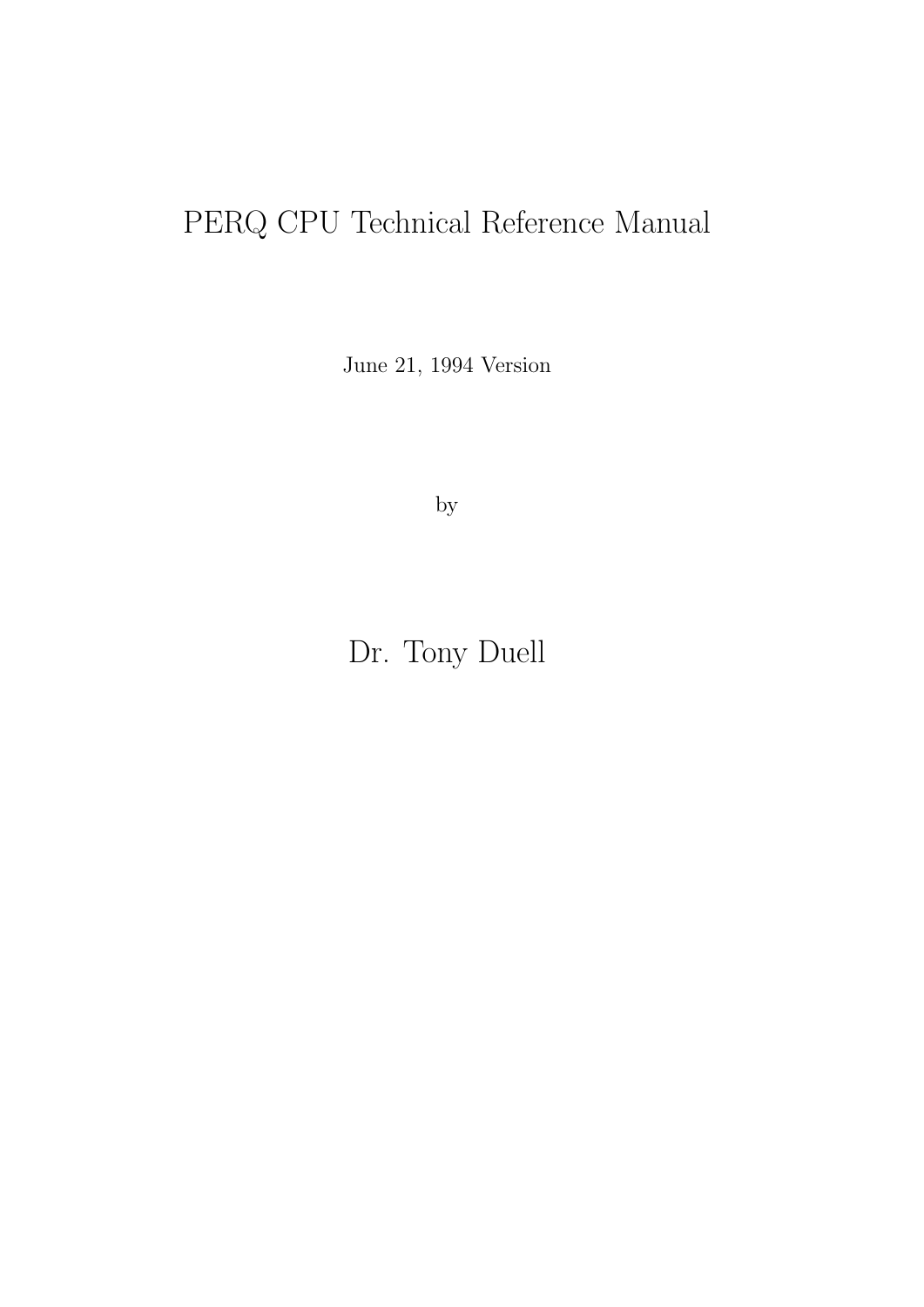# PERQ CPU Technical Reference Manual

June 21, 1994 Version

by

Dr. Tony Duell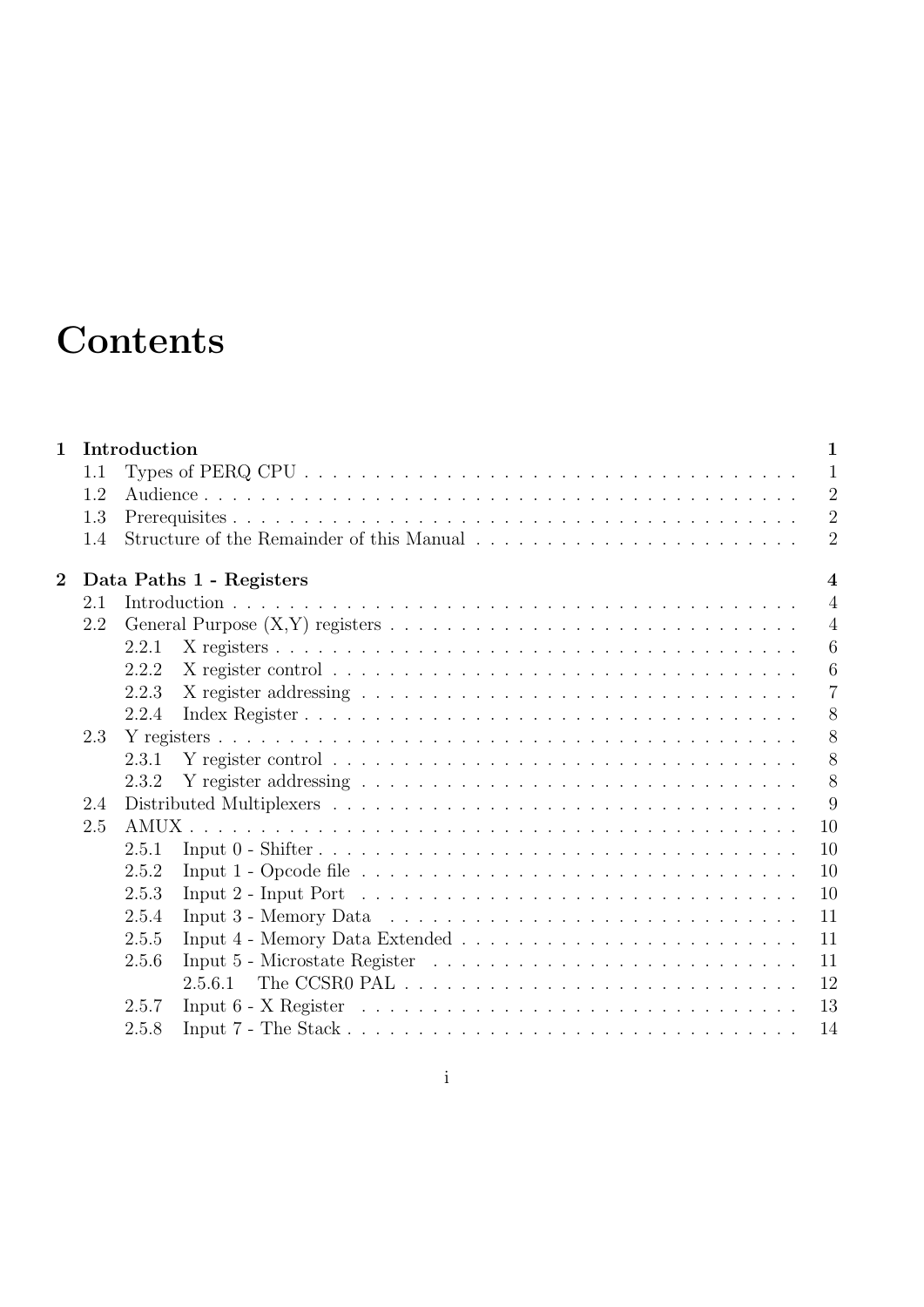# **Contents**

|     | Introduction                                                                                                        | $\mathbf{1}$                                                                                                                       |
|-----|---------------------------------------------------------------------------------------------------------------------|------------------------------------------------------------------------------------------------------------------------------------|
| 1.1 |                                                                                                                     | $\mathbf{1}$                                                                                                                       |
| 1.2 |                                                                                                                     | $\overline{2}$                                                                                                                     |
| 1.3 |                                                                                                                     | $\overline{2}$                                                                                                                     |
| 1.4 |                                                                                                                     | $\overline{2}$                                                                                                                     |
|     |                                                                                                                     | $\overline{4}$                                                                                                                     |
| 2.1 |                                                                                                                     | $\overline{4}$                                                                                                                     |
| 2.2 |                                                                                                                     | $\overline{4}$                                                                                                                     |
|     | 2.2.1                                                                                                               | 6                                                                                                                                  |
|     | 2.2.2                                                                                                               | $\boldsymbol{6}$                                                                                                                   |
|     | 2.2.3                                                                                                               | $\overline{7}$                                                                                                                     |
|     | 2.2.4                                                                                                               | 8                                                                                                                                  |
| 2.3 |                                                                                                                     | 8                                                                                                                                  |
|     | Y register control $\dots \dots \dots \dots \dots \dots \dots \dots \dots \dots \dots \dots \dots$<br>2.3.1         | 8                                                                                                                                  |
|     | 2.3.2                                                                                                               | 8                                                                                                                                  |
| 2.4 |                                                                                                                     | 9                                                                                                                                  |
| 2.5 |                                                                                                                     | 10                                                                                                                                 |
|     | 2.5.1                                                                                                               | 10                                                                                                                                 |
|     | 2.5.2                                                                                                               | 10                                                                                                                                 |
|     | Input 2 - Input Port $\dots \dots \dots \dots \dots \dots \dots \dots \dots \dots \dots \dots \dots \dots$<br>2.5.3 | 10                                                                                                                                 |
|     | 2.5.4                                                                                                               | 11                                                                                                                                 |
|     | 2.5.5                                                                                                               | 11                                                                                                                                 |
|     | 2.5.6                                                                                                               | 11                                                                                                                                 |
|     |                                                                                                                     | 12                                                                                                                                 |
|     | Input $6 - X$ Register $\ldots \ldots \ldots \ldots \ldots \ldots \ldots \ldots \ldots \ldots \ldots$<br>2.5.7      | 13                                                                                                                                 |
|     | 2.5.8                                                                                                               | 14                                                                                                                                 |
|     |                                                                                                                     | Data Paths 1 - Registers<br>Input 4 - Memory Data Extended $\ldots \ldots \ldots \ldots \ldots \ldots \ldots \ldots \ldots \ldots$ |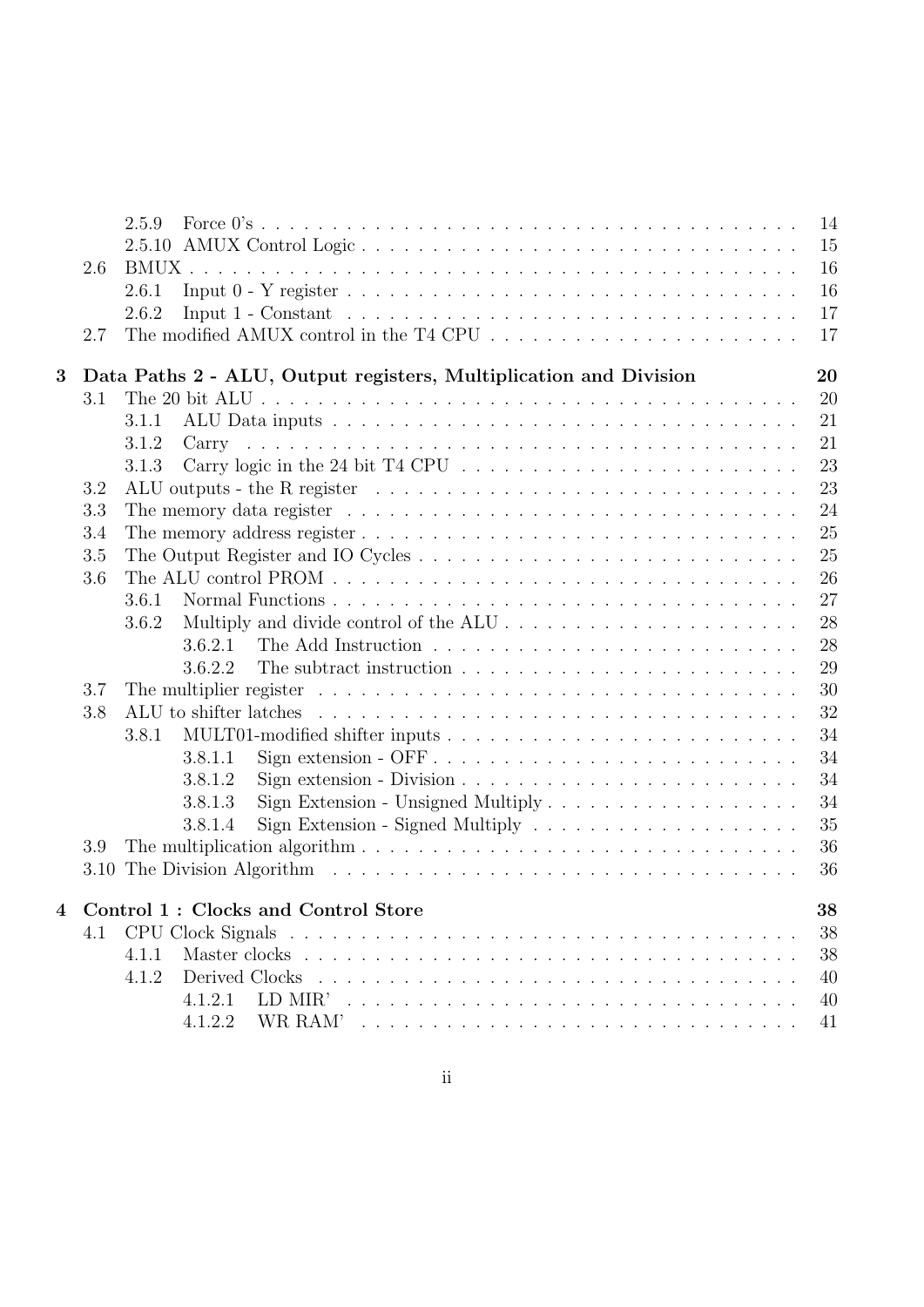|   |      | 2.5.9                                                                                                                                                                                                                          | 14 |
|---|------|--------------------------------------------------------------------------------------------------------------------------------------------------------------------------------------------------------------------------------|----|
|   |      |                                                                                                                                                                                                                                | 15 |
|   | 2.6  |                                                                                                                                                                                                                                | 16 |
|   |      | 2.6.1                                                                                                                                                                                                                          | 16 |
|   |      | Input $1$ - Constant $\ldots \ldots \ldots \ldots \ldots \ldots \ldots \ldots \ldots \ldots \ldots$<br>2.6.2                                                                                                                   | 17 |
|   | 2.7  |                                                                                                                                                                                                                                | 17 |
|   |      |                                                                                                                                                                                                                                |    |
| 3 |      | Data Paths 2 - ALU, Output registers, Multiplication and Division                                                                                                                                                              | 20 |
|   | 3.1  |                                                                                                                                                                                                                                | 20 |
|   |      | 3.1.1                                                                                                                                                                                                                          | 21 |
|   |      | 3.1.2                                                                                                                                                                                                                          | 21 |
|   |      | Carry logic in the 24 bit T4 CPU $\ldots \ldots \ldots \ldots \ldots \ldots \ldots \ldots$<br>3.1.3                                                                                                                            | 23 |
|   | 3.2  |                                                                                                                                                                                                                                | 23 |
|   | 3.3  |                                                                                                                                                                                                                                | 24 |
|   | 3.4  |                                                                                                                                                                                                                                | 25 |
|   | 3.5  |                                                                                                                                                                                                                                | 25 |
|   | 3.6  |                                                                                                                                                                                                                                | 26 |
|   |      | 3.6.1                                                                                                                                                                                                                          | 27 |
|   |      | 3.6.2                                                                                                                                                                                                                          | 28 |
|   |      | 3.6.2.1                                                                                                                                                                                                                        | 28 |
|   |      | 3.6.2.2                                                                                                                                                                                                                        | 29 |
|   | 3.7  |                                                                                                                                                                                                                                | 30 |
|   | 3.8  | ALU to shifter latches entering in the contract of the set of the set of the set of the set of the set of the set of the set of the set of the set of the set of the set of the set of the set of the set of the set of the se | 32 |
|   |      | 3.8.1                                                                                                                                                                                                                          | 34 |
|   |      | 3.8.1.1                                                                                                                                                                                                                        | 34 |
|   |      | 3.8.1.2                                                                                                                                                                                                                        | 34 |
|   |      | 3.8.1.3                                                                                                                                                                                                                        | 34 |
|   |      | Sign Extension - Signed Multiply $\dots \dots \dots \dots \dots \dots \dots$<br>3.8.1.4                                                                                                                                        | 35 |
|   | 3.9  |                                                                                                                                                                                                                                | 36 |
|   | 3.10 |                                                                                                                                                                                                                                | 36 |
|   |      |                                                                                                                                                                                                                                |    |
|   |      | Control 1: Clocks and Control Store                                                                                                                                                                                            | 38 |
|   | 4.1  |                                                                                                                                                                                                                                | 38 |
|   |      | 4.1.1                                                                                                                                                                                                                          | 38 |
|   |      | 4.1.2                                                                                                                                                                                                                          | 40 |
|   |      | 4.1.2.1                                                                                                                                                                                                                        | 40 |
|   |      | 4.1.2.2                                                                                                                                                                                                                        | 41 |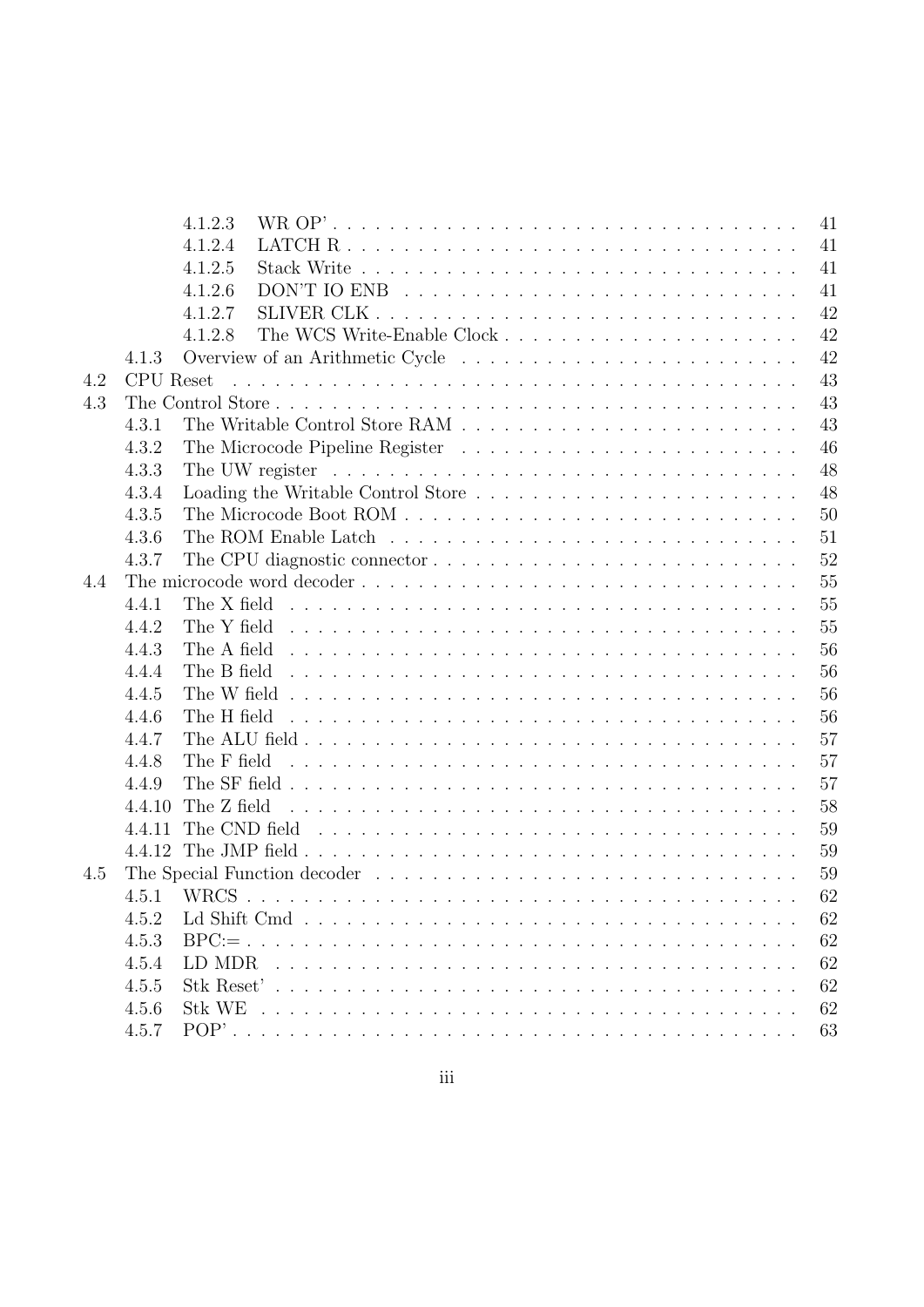|     |           | 4.1.2.3<br>41                                                                                           |
|-----|-----------|---------------------------------------------------------------------------------------------------------|
|     |           | 41<br>4.1.2.4                                                                                           |
|     |           | 4.1.2.5<br>41                                                                                           |
|     |           | 41<br>4.1.2.6                                                                                           |
|     |           | 42<br>4.1.2.7                                                                                           |
|     |           | 42<br>4.1.2.8                                                                                           |
|     | 4.1.3     | 42                                                                                                      |
| 4.2 | CPU Reset | 43                                                                                                      |
| 4.3 |           | 43                                                                                                      |
|     | 4.3.1     | 43                                                                                                      |
|     | 4.3.2     | 46                                                                                                      |
|     | 4.3.3     | 48                                                                                                      |
|     | 4.3.4     | 48                                                                                                      |
|     | 4.3.5     | 50                                                                                                      |
|     | 4.3.6     | 51                                                                                                      |
|     | 4.3.7     | 52<br>The CPU diagnostic connector $\dots \dots \dots \dots \dots \dots \dots \dots \dots \dots \dots$  |
| 4.4 |           | 55                                                                                                      |
|     | 4.4.1     | 55<br>The X field $\ldots \ldots \ldots \ldots \ldots \ldots \ldots \ldots \ldots \ldots \ldots \ldots$ |
|     | 4.4.2     | 55                                                                                                      |
|     | 4.4.3     | 56                                                                                                      |
|     | 4.4.4     | 56<br>The B field $\ldots \ldots \ldots \ldots \ldots \ldots \ldots \ldots \ldots \ldots \ldots \ldots$ |
|     | 4.4.5     | 56                                                                                                      |
|     | 4.4.6     | 56<br>The H field $\ldots \ldots \ldots \ldots \ldots \ldots \ldots \ldots \ldots \ldots \ldots \ldots$ |
|     | 4.4.7     | 57                                                                                                      |
|     | 4.4.8     | 57                                                                                                      |
|     | 4.4.9     | 57                                                                                                      |
|     | 4.4.10    | 58                                                                                                      |
|     | 4.4.11    | 59                                                                                                      |
|     |           | 59                                                                                                      |
| 4.5 |           | 59                                                                                                      |
|     | 4.5.1     | 62                                                                                                      |
|     | 4.5.2     | 62                                                                                                      |
|     | 4.5.3     | 62                                                                                                      |
|     | 4.5.4     | 62<br>LD MDR                                                                                            |
|     | 4.5.5     | 62                                                                                                      |
|     | 4.5.6     | 62                                                                                                      |
|     | 4.5.7     | 63                                                                                                      |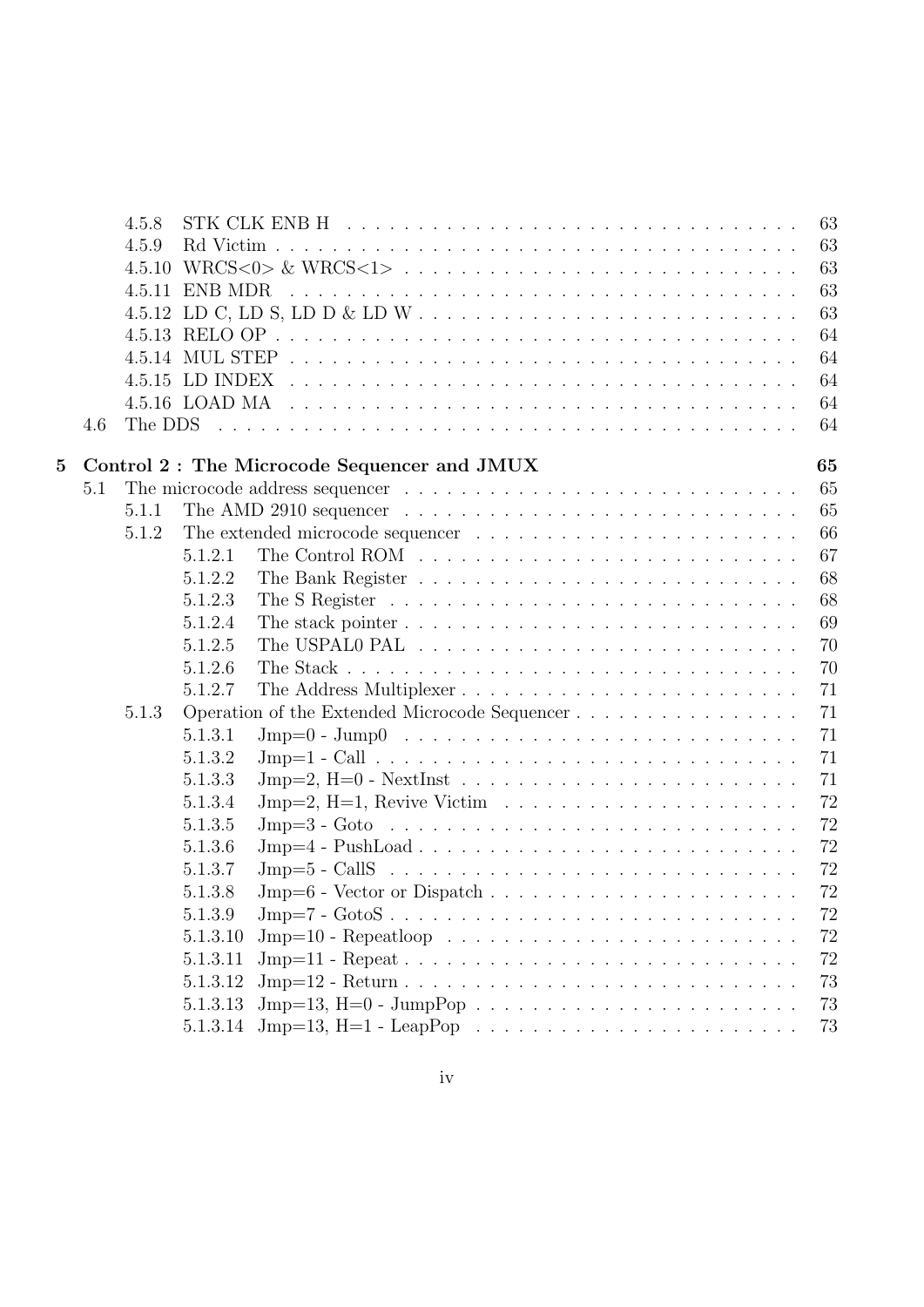|                |     | 4.5.8  |          | 63                                                                                                                                                                                                                                   |  |
|----------------|-----|--------|----------|--------------------------------------------------------------------------------------------------------------------------------------------------------------------------------------------------------------------------------------|--|
|                |     | 4.5.9  |          | 63                                                                                                                                                                                                                                   |  |
|                |     | 4.5.10 |          | 63                                                                                                                                                                                                                                   |  |
|                |     | 4.5.11 | ENB MDR  | 63                                                                                                                                                                                                                                   |  |
|                |     |        |          | 63                                                                                                                                                                                                                                   |  |
|                |     |        |          | 64                                                                                                                                                                                                                                   |  |
|                |     |        |          | 64                                                                                                                                                                                                                                   |  |
|                |     |        |          | 64                                                                                                                                                                                                                                   |  |
|                |     |        |          | 64                                                                                                                                                                                                                                   |  |
|                | 4.6 |        |          | The DDS reconstruction of the contract of the DDS reconstruction of the contract of the contract of the DDS reconstruction of the DDS reconstruction of the DDS reconstruction of the DDS reconstruction of the DDS reconstruc<br>64 |  |
| $\overline{5}$ |     |        |          | 65<br>Control 2: The Microcode Sequencer and JMUX                                                                                                                                                                                    |  |
|                | 5.1 |        |          | 65                                                                                                                                                                                                                                   |  |
|                |     | 5.1.1  |          | 65<br>The AMD 2910 sequencer $\dots \dots \dots \dots \dots \dots \dots \dots \dots \dots \dots \dots$                                                                                                                               |  |
|                |     | 5.1.2  |          | 66                                                                                                                                                                                                                                   |  |
|                |     |        | 5.1.2.1  | 67                                                                                                                                                                                                                                   |  |
|                |     |        | 5.1.2.2  | 68                                                                                                                                                                                                                                   |  |
|                |     |        | 5.1.2.3  | 68                                                                                                                                                                                                                                   |  |
|                |     |        | 5.1.2.4  | 69                                                                                                                                                                                                                                   |  |
|                |     |        | 5.1.2.5  | The USPALO PAL $\ldots \ldots \ldots \ldots \ldots \ldots \ldots \ldots \ldots$<br>70                                                                                                                                                |  |
|                |     |        | 5.1.2.6  | 70                                                                                                                                                                                                                                   |  |
|                |     |        | 5.1.2.7  | The Address Multiplexer<br>71                                                                                                                                                                                                        |  |
|                |     | 5.1.3  |          | Operation of the Extended Microcode Sequencer<br>71                                                                                                                                                                                  |  |
|                |     |        | 5.1.3.1  | 71                                                                                                                                                                                                                                   |  |
|                |     |        | 5.1.3.2  | $Jmp=1 - Call \ldots \ldots \ldots \ldots \ldots \ldots \ldots \ldots \ldots \ldots \ldots$<br>71                                                                                                                                    |  |
|                |     |        | 5.1.3.3  | 71                                                                                                                                                                                                                                   |  |
|                |     |        | 5.1.3.4  | 72<br>$\text{Jmp}=2, \text{ H}=1, \text{ Review } \text{Victim } \dots \dots \dots \dots \dots \dots \dots \dots$                                                                                                                    |  |
|                |     |        | 5.1.3.5  | 72                                                                                                                                                                                                                                   |  |
|                |     |        | 5.1.3.6  | 72<br>$Jmp=4$ - $PushLoad \ldots \ldots \ldots \ldots \ldots \ldots \ldots \ldots \ldots \ldots$                                                                                                                                     |  |
|                |     |        | 5.1.3.7  | 72<br>$\text{Jmp=}5$ - CallS $\ldots \ldots \ldots \ldots \ldots \ldots \ldots \ldots \ldots \ldots \ldots$                                                                                                                          |  |
|                |     |        | 5.1.3.8  | 72                                                                                                                                                                                                                                   |  |
|                |     |        | 5.1.3.9  | 72                                                                                                                                                                                                                                   |  |
|                |     |        | 5.1.3.10 | 72                                                                                                                                                                                                                                   |  |
|                |     |        | 5.1.3.11 | 72                                                                                                                                                                                                                                   |  |
|                |     |        | 5.1.3.12 | 73                                                                                                                                                                                                                                   |  |
|                |     |        | 5.1.3.13 | 73                                                                                                                                                                                                                                   |  |
|                |     |        | 5.1.3.14 | 73                                                                                                                                                                                                                                   |  |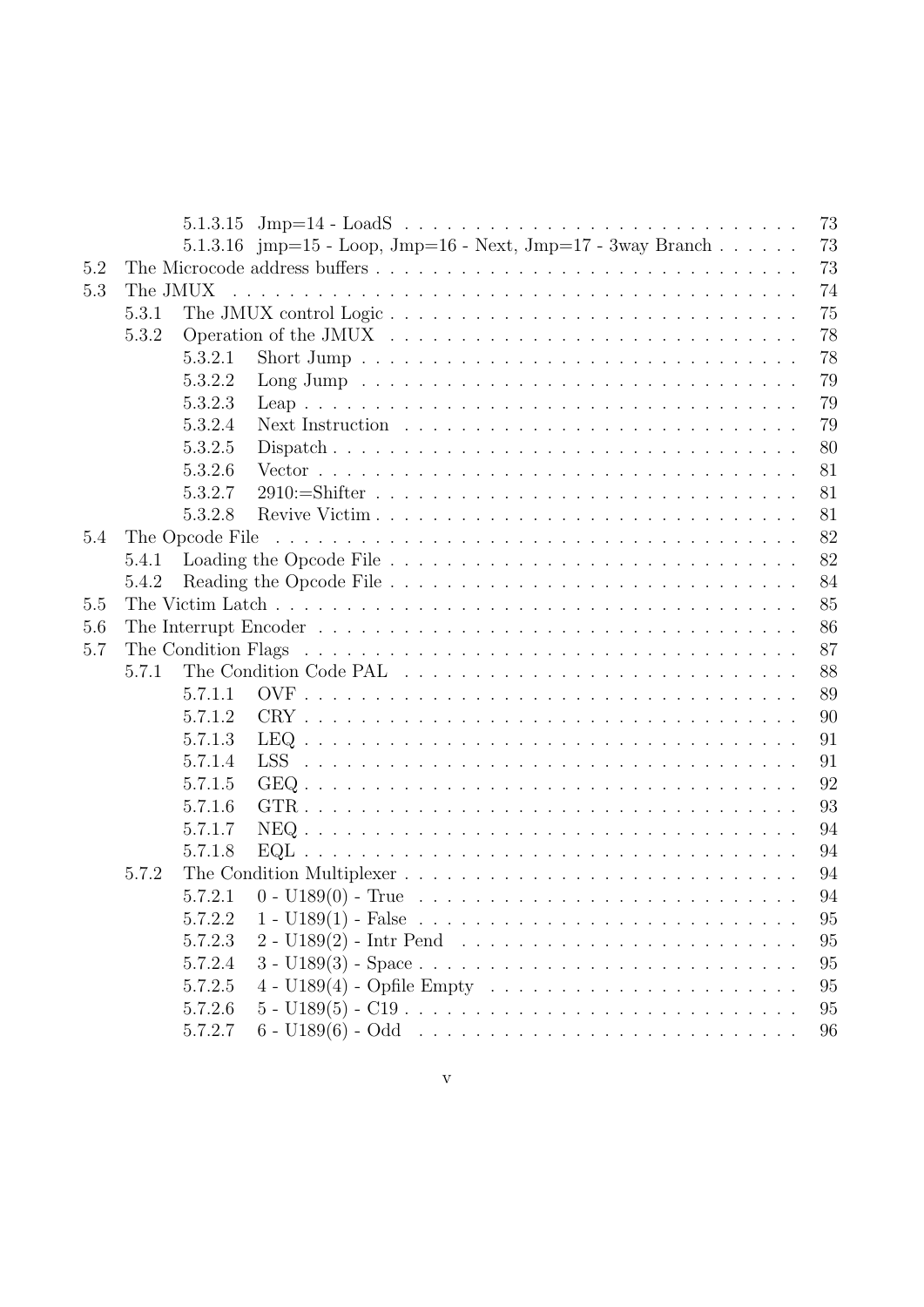|     |          |         | 73                                                                                                 |  |  |  |  |
|-----|----------|---------|----------------------------------------------------------------------------------------------------|--|--|--|--|
|     |          |         | 5.1.3.16 $\text{imp}=15$ - Loop, Jmp=16 - Next, Jmp=17 - 3way Branch<br>73                         |  |  |  |  |
| 5.2 | 73       |         |                                                                                                    |  |  |  |  |
| 5.3 | The JMUX |         | 74                                                                                                 |  |  |  |  |
|     | 5.3.1    |         | 75<br>The JMUX control Logic                                                                       |  |  |  |  |
|     | 5.3.2    |         | 78                                                                                                 |  |  |  |  |
|     |          | 5.3.2.1 | 78                                                                                                 |  |  |  |  |
|     |          | 5.3.2.2 | 79                                                                                                 |  |  |  |  |
|     |          | 5.3.2.3 | 79                                                                                                 |  |  |  |  |
|     |          | 5.3.2.4 | 79                                                                                                 |  |  |  |  |
|     |          | 5.3.2.5 | 80<br>Dispatch                                                                                     |  |  |  |  |
|     |          | 5.3.2.6 | 81<br>Vector $\ldots \ldots \ldots \ldots \ldots \ldots \ldots \ldots \ldots \ldots \ldots \ldots$ |  |  |  |  |
|     |          | 5.3.2.7 | 81                                                                                                 |  |  |  |  |
|     |          | 5.3.2.8 | 81<br>Revive Victim                                                                                |  |  |  |  |
| 5.4 |          |         | 82                                                                                                 |  |  |  |  |
|     | 5.4.1    |         | 82                                                                                                 |  |  |  |  |
|     | 5.4.2    |         | 84                                                                                                 |  |  |  |  |
| 5.5 |          |         | 85                                                                                                 |  |  |  |  |
| 5.6 |          |         | 86                                                                                                 |  |  |  |  |
| 5.7 |          |         | 87                                                                                                 |  |  |  |  |
|     | 5.7.1    |         | 88                                                                                                 |  |  |  |  |
|     |          | 5.7.1.1 | 89                                                                                                 |  |  |  |  |
|     |          | 5.7.1.2 | 90                                                                                                 |  |  |  |  |
|     |          | 5.7.1.3 | 91                                                                                                 |  |  |  |  |
|     |          | 5.7.1.4 | 91                                                                                                 |  |  |  |  |
|     |          | 5.7.1.5 | 92                                                                                                 |  |  |  |  |
|     |          | 5.7.1.6 | 93                                                                                                 |  |  |  |  |
|     |          | 5.7.1.7 | 94                                                                                                 |  |  |  |  |
|     |          | 5.7.1.8 | 94                                                                                                 |  |  |  |  |
|     | 5.7.2    |         | 94                                                                                                 |  |  |  |  |
|     |          | 5.7.2.1 | 94                                                                                                 |  |  |  |  |
|     |          | 5.7.2.2 | 95                                                                                                 |  |  |  |  |
|     |          | 5.7.2.3 | 95                                                                                                 |  |  |  |  |
|     |          | 5.7.2.4 | $3 - U189(3) - Space \ldots \ldots \ldots \ldots \ldots \ldots \ldots \ldots \ldots$<br>95         |  |  |  |  |
|     |          | 5.7.2.5 | 4 - U $189(4)$ - Opfile Empty $\ldots \ldots \ldots \ldots \ldots \ldots \ldots \ldots$<br>95      |  |  |  |  |
|     |          | 5.7.2.6 | $5 - U189(5) - C19$<br>95                                                                          |  |  |  |  |
|     |          | 5.7.2.7 | 96                                                                                                 |  |  |  |  |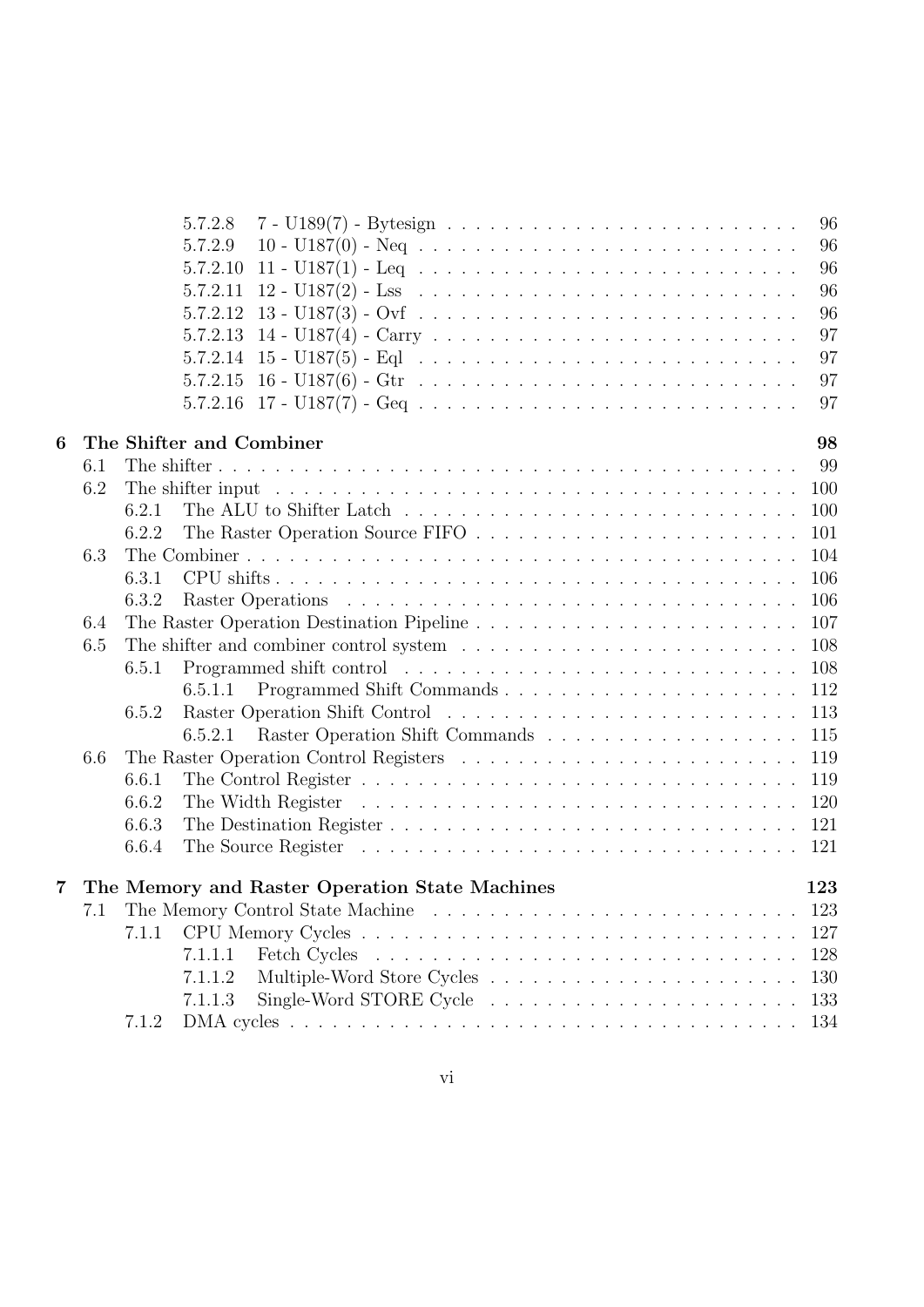|                |     | 96<br>5.7.2.8                                                                                                       |
|----------------|-----|---------------------------------------------------------------------------------------------------------------------|
|                |     | 96<br>5.7.2.9<br>10 - U187(0) - Neq                                                                                 |
|                |     | 96<br>11 - U187(1) - Leq<br>5.7.2.10                                                                                |
|                |     | 96<br>5.7.2.11                                                                                                      |
|                |     | 96<br>5.7.2.12                                                                                                      |
|                |     | 97<br>5.7.2.13                                                                                                      |
|                |     | 97<br>15 - U187(5) - Eql<br>5.7.2.14                                                                                |
|                |     | 16 - U187(6) - Gtr $\ldots \ldots \ldots \ldots \ldots \ldots \ldots \ldots \ldots \ldots \ldots$<br>97<br>5.7.2.15 |
|                |     | 97<br>5.7.2.16                                                                                                      |
| 6              |     | The Shifter and Combiner<br>98                                                                                      |
|                | 6.1 | 99                                                                                                                  |
|                | 6.2 | The shifter input $\ldots \ldots \ldots \ldots \ldots \ldots \ldots \ldots \ldots \ldots \ldots \ldots$<br>100      |
|                |     | 100<br>6.2.1                                                                                                        |
|                |     | 6.2.2<br>101                                                                                                        |
|                | 6.3 | 104                                                                                                                 |
|                |     | 6.3.1<br>106                                                                                                        |
|                |     | 106<br>6.3.2                                                                                                        |
|                | 6.4 | 107                                                                                                                 |
|                | 6.5 | The shifter and combiner control system $\ldots \ldots \ldots \ldots \ldots \ldots \ldots \ldots$<br>108            |
|                |     | 108<br>6.5.1                                                                                                        |
|                |     | 112<br>6.5.1.1                                                                                                      |
|                |     | 113<br>6.5.2                                                                                                        |
|                |     | 115<br>6.5.2.1                                                                                                      |
|                | 6.6 | 119                                                                                                                 |
|                |     | 6.6.1<br>119                                                                                                        |
|                |     | 6.6.2<br>120                                                                                                        |
|                |     | 6.6.3<br>121                                                                                                        |
|                |     | 6.6.4<br>121                                                                                                        |
| $\overline{7}$ |     | The Memory and Raster Operation State Machines<br>123                                                               |
|                | 7.1 | 123                                                                                                                 |
|                |     | 7.1.1<br>127                                                                                                        |
|                |     | 7.1.1.1<br>128                                                                                                      |
|                |     | 7.1.1.2<br>130                                                                                                      |
|                |     | 7.1.1.3<br>133                                                                                                      |
|                |     | 7.1.2                                                                                                               |
|                |     |                                                                                                                     |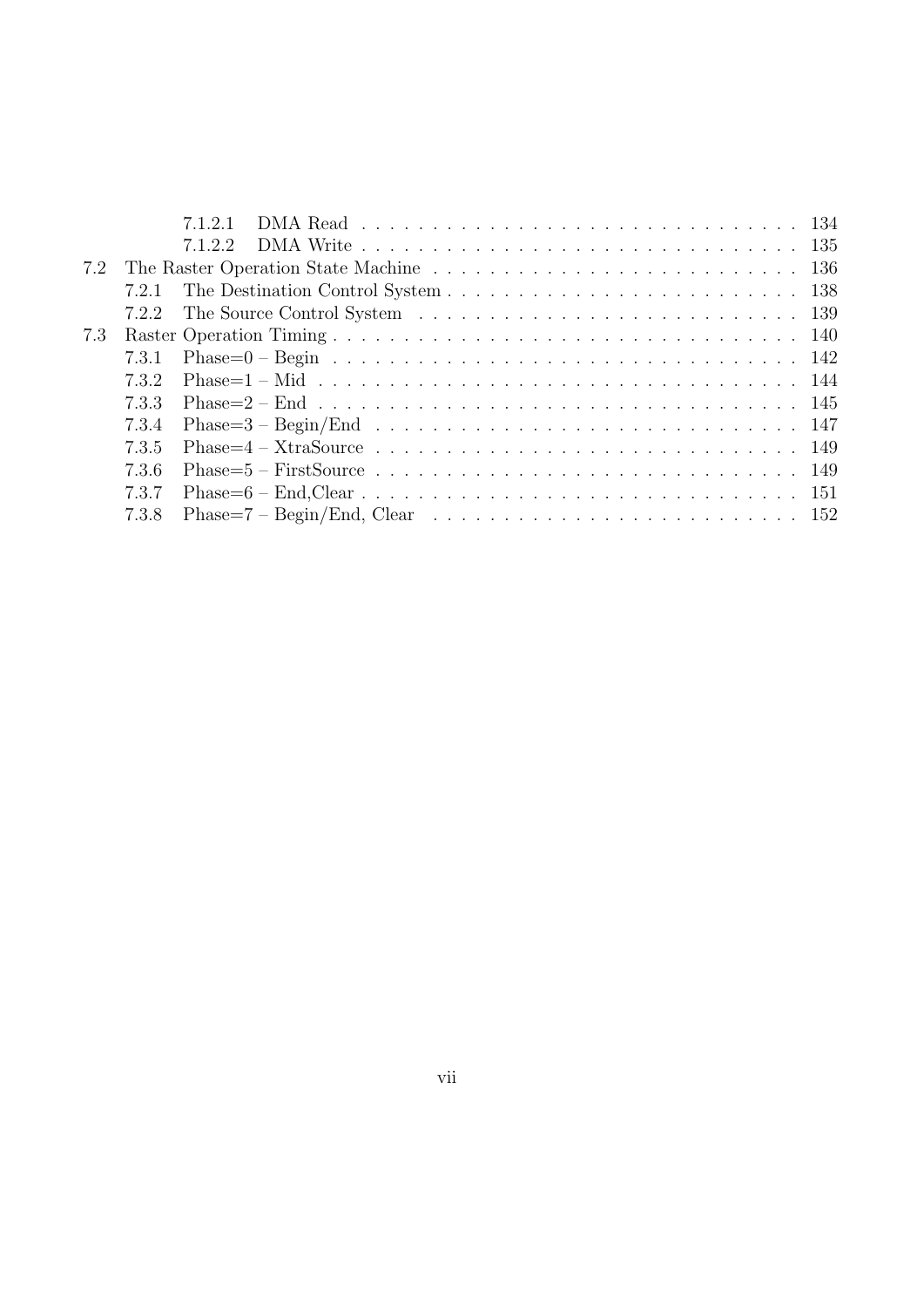|     |       | 7122                                                                                                                               |  |
|-----|-------|------------------------------------------------------------------------------------------------------------------------------------|--|
| 7.2 |       |                                                                                                                                    |  |
|     | 7.2.1 |                                                                                                                                    |  |
|     |       |                                                                                                                                    |  |
| 7.3 |       |                                                                                                                                    |  |
|     | 7.3.1 |                                                                                                                                    |  |
|     | 732   |                                                                                                                                    |  |
|     | 7.3.3 |                                                                                                                                    |  |
|     | 7.3.4 |                                                                                                                                    |  |
|     | 7.3.5 |                                                                                                                                    |  |
|     | 736   | Phase= $5$ – First Source $\ldots$ , $\ldots$ , $\ldots$ , $\ldots$ , $\ldots$ , $\ldots$ , $\ldots$ , $\ldots$ , $\ldots$ , $149$ |  |
|     | 737   |                                                                                                                                    |  |
|     | 738   |                                                                                                                                    |  |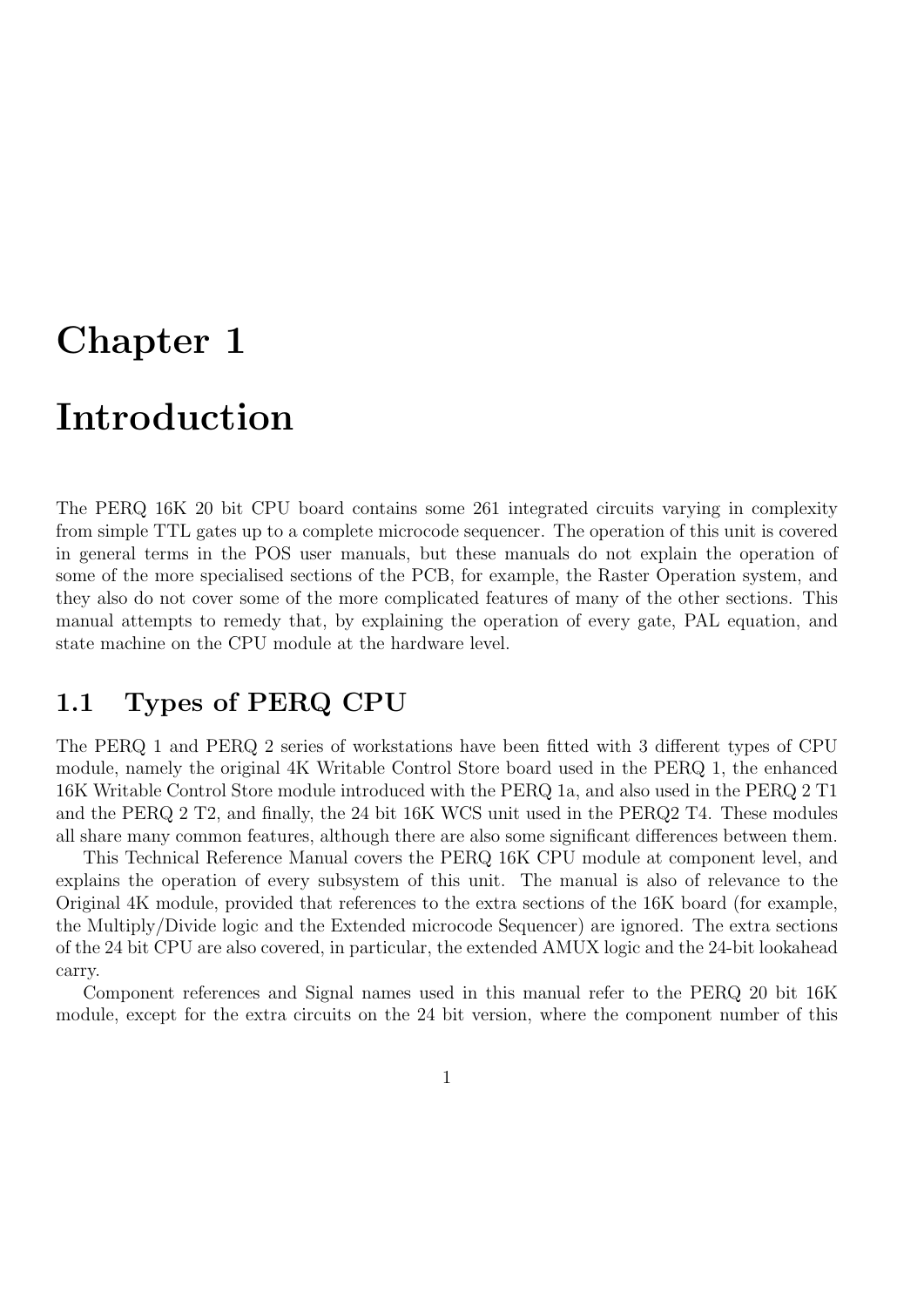# Chapter 1

# Introduction

The PERQ 16K 20 bit CPU board contains some 261 integrated circuits varying in complexity from simple TTL gates up to a complete microcode sequencer. The operation of this unit is covered in general terms in the POS user manuals, but these manuals do not explain the operation of some of the more specialised sections of the PCB, for example, the Raster Operation system, and they also do not cover some of the more complicated features of many of the other sections. This manual attempts to remedy that, by explaining the operation of every gate, PAL equation, and state machine on the CPU module at the hardware level.

# 1.1 Types of PERQ CPU

The PERQ 1 and PERQ 2 series of workstations have been fitted with 3 different types of CPU module, namely the original 4K Writable Control Store board used in the PERQ 1, the enhanced 16K Writable Control Store module introduced with the PERQ 1a, and also used in the PERQ 2 T1 and the PERQ 2 T2, and finally, the 24 bit 16K WCS unit used in the PERQ2 T4. These modules all share many common features, although there are also some significant differences between them.

This Technical Reference Manual covers the PERQ 16K CPU module at component level, and explains the operation of every subsystem of this unit. The manual is also of relevance to the Original 4K module, provided that references to the extra sections of the 16K board (for example, the Multiply/Divide logic and the Extended microcode Sequencer) are ignored. The extra sections of the 24 bit CPU are also covered, in particular, the extended AMUX logic and the 24-bit lookahead carry.

Component references and Signal names used in this manual refer to the PERQ 20 bit 16K module, except for the extra circuits on the 24 bit version, where the component number of this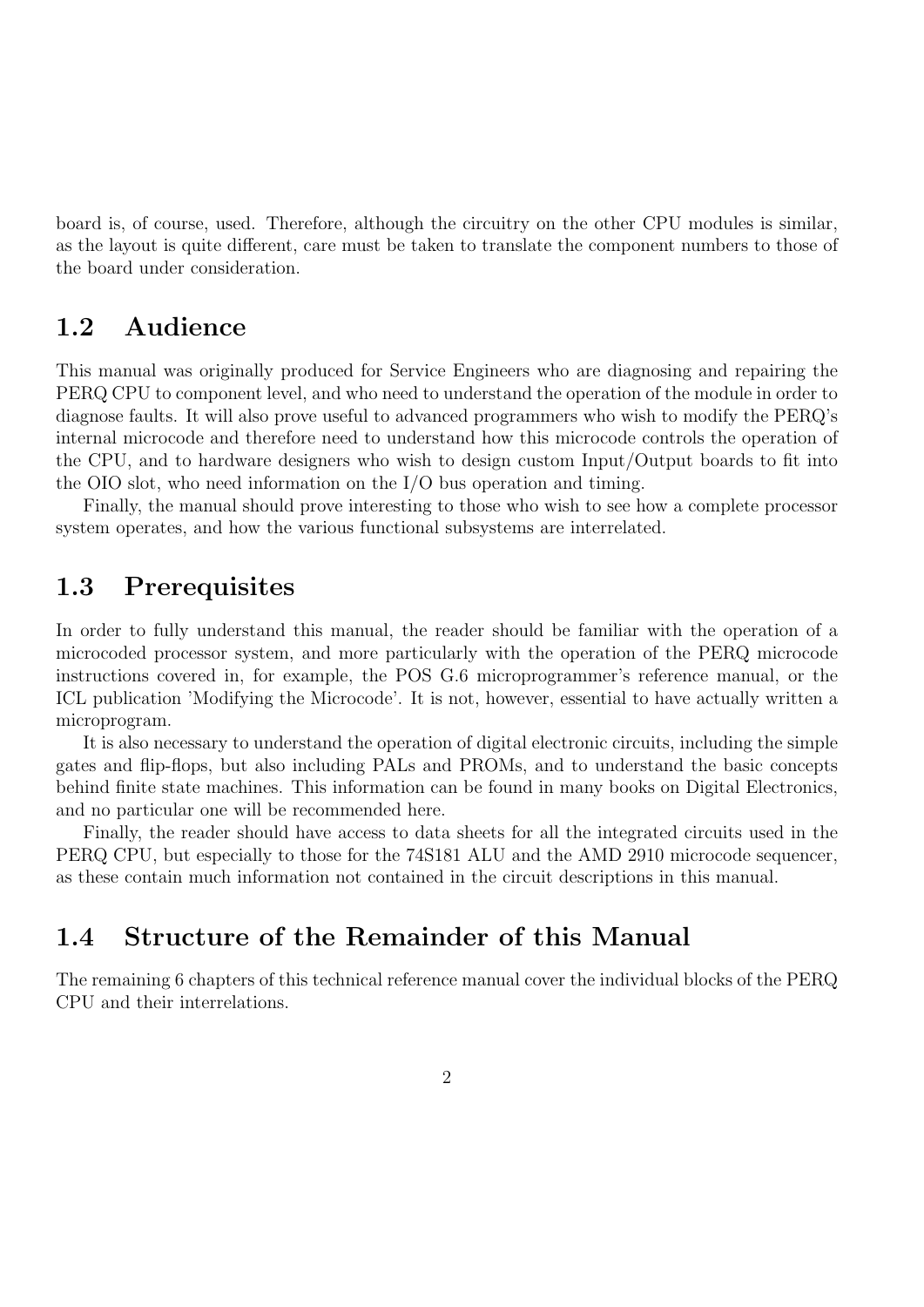board is, of course, used. Therefore, although the circuitry on the other CPU modules is similar, as the layout is quite different, care must be taken to translate the component numbers to those of the board under consideration.

## 1.2 Audience

This manual was originally produced for Service Engineers who are diagnosing and repairing the PERQ CPU to component level, and who need to understand the operation of the module in order to diagnose faults. It will also prove useful to advanced programmers who wish to modify the PERQ's internal microcode and therefore need to understand how this microcode controls the operation of the CPU, and to hardware designers who wish to design custom Input/Output boards to fit into the OIO slot, who need information on the  $I/O$  bus operation and timing.

Finally, the manual should prove interesting to those who wish to see how a complete processor system operates, and how the various functional subsystems are interrelated.

## 1.3 Prerequisites

In order to fully understand this manual, the reader should be familiar with the operation of a microcoded processor system, and more particularly with the operation of the PERQ microcode instructions covered in, for example, the POS G.6 microprogrammer's reference manual, or the ICL publication 'Modifying the Microcode'. It is not, however, essential to have actually written a microprogram.

It is also necessary to understand the operation of digital electronic circuits, including the simple gates and flip-flops, but also including PALs and PROMs, and to understand the basic concepts behind finite state machines. This information can be found in many books on Digital Electronics, and no particular one will be recommended here.

Finally, the reader should have access to data sheets for all the integrated circuits used in the PERQ CPU, but especially to those for the 74S181 ALU and the AMD 2910 microcode sequencer, as these contain much information not contained in the circuit descriptions in this manual.

# 1.4 Structure of the Remainder of this Manual

The remaining 6 chapters of this technical reference manual cover the individual blocks of the PERQ CPU and their interrelations.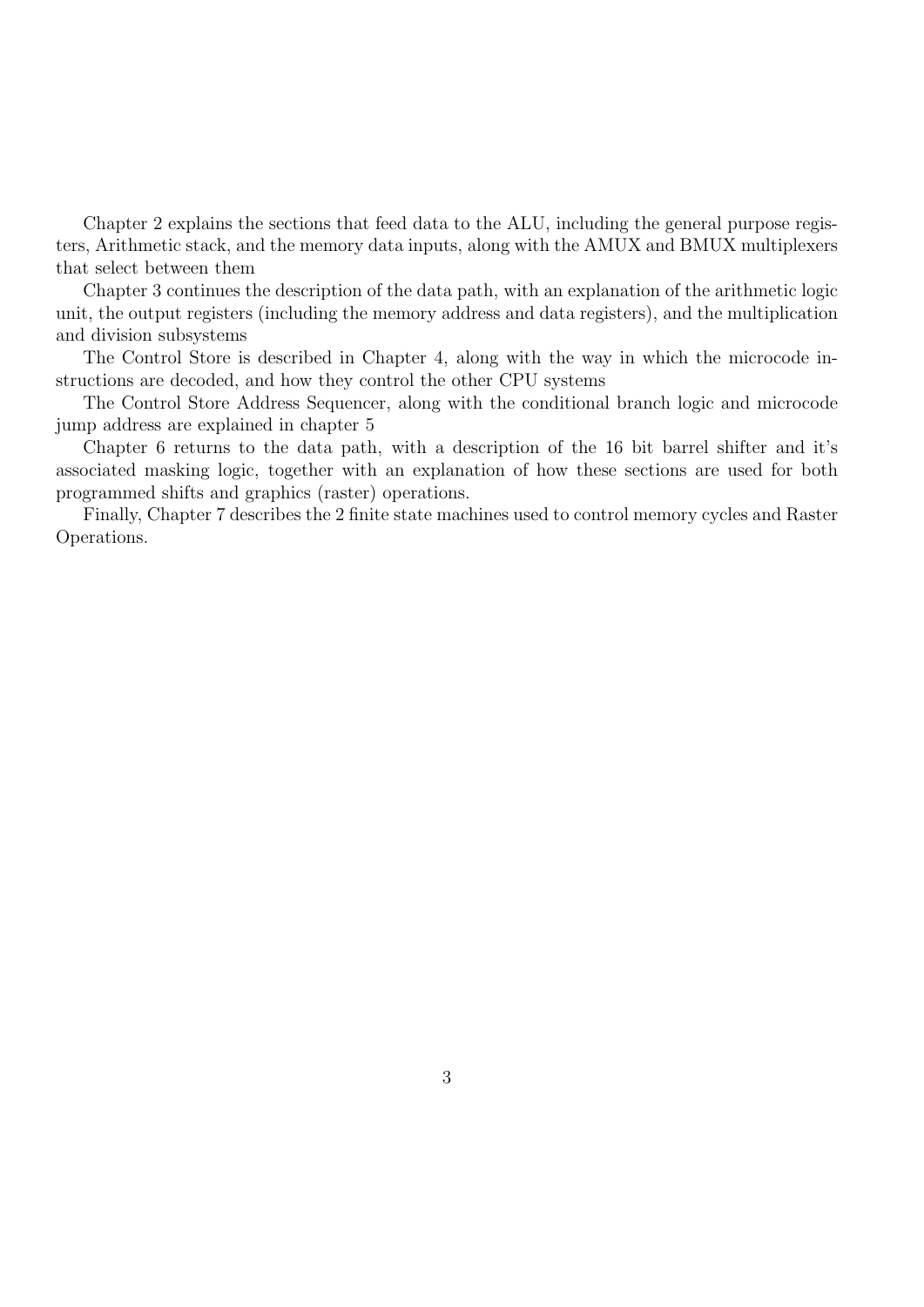Chapter 2 explains the sections that feed data to the ALU, including the general purpose registers, Arithmetic stack, and the memory data inputs, along with the AMUX and BMUX multiplexers that select between them

Chapter 3 continues the description of the data path, with an explanation of the arithmetic logic unit, the output registers (including the memory address and data registers), and the multiplication and division subsystems

The Control Store is described in Chapter 4, along with the way in which the microcode instructions are decoded, and how they control the other CPU systems

The Control Store Address Sequencer, along with the conditional branch logic and microcode jump address are explained in chapter 5

Chapter 6 returns to the data path, with a description of the 16 bit barrel shifter and it's associated masking logic, together with an explanation of how these sections are used for both programmed shifts and graphics (raster) operations.

Finally, Chapter 7 describes the 2 finite state machines used to control memory cycles and Raster Operations.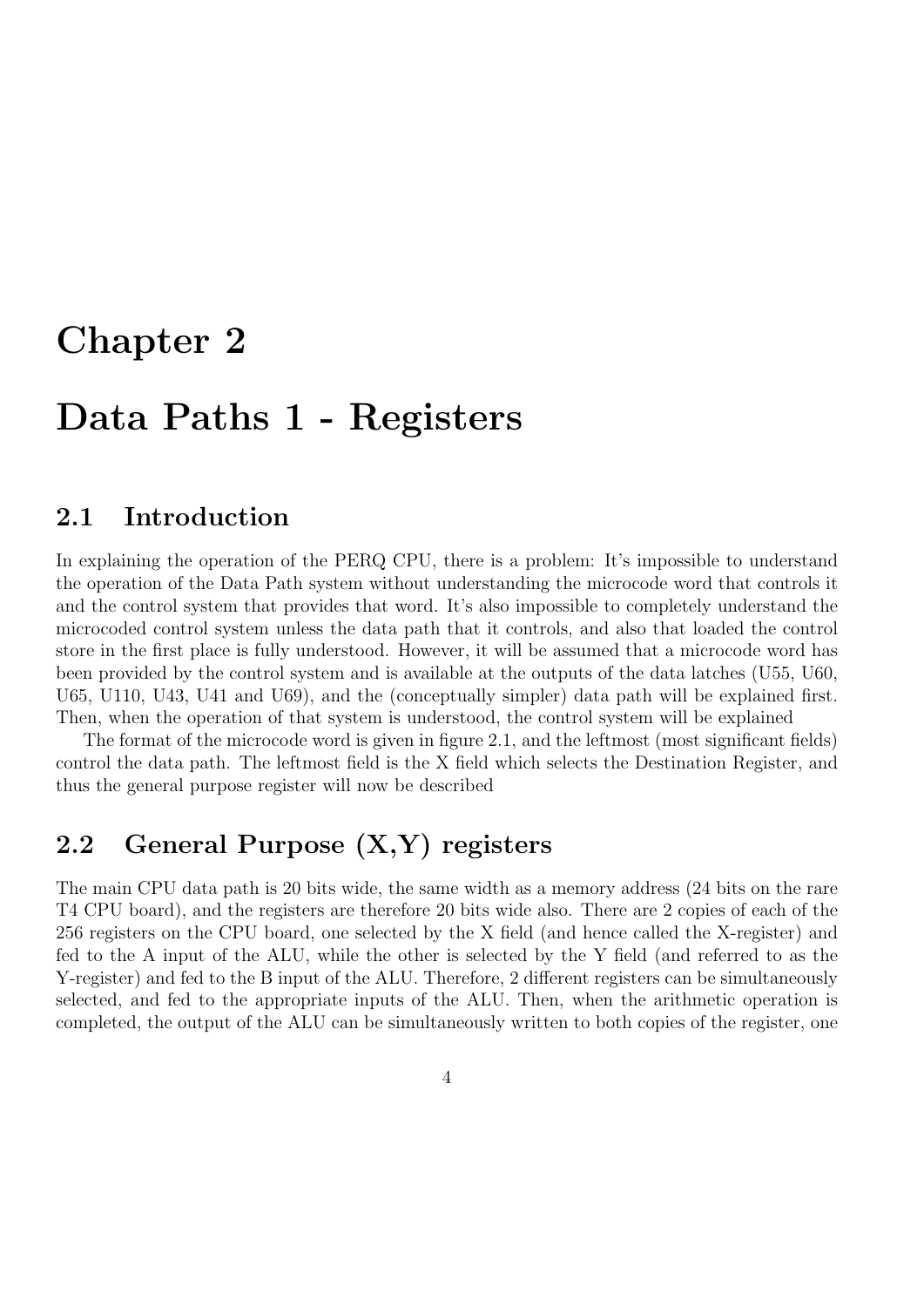# Chapter 2

# Data Paths 1 - Registers

# 2.1 Introduction

In explaining the operation of the PERQ CPU, there is a problem: It's impossible to understand the operation of the Data Path system without understanding the microcode word that controls it and the control system that provides that word. It's also impossible to completely understand the microcoded control system unless the data path that it controls, and also that loaded the control store in the first place is fully understood. However, it will be assumed that a microcode word has been provided by the control system and is available at the outputs of the data latches (U55, U60, U65, U110, U43, U41 and U69), and the (conceptually simpler) data path will be explained first. Then, when the operation of that system is understood, the control system will be explained

The format of the microcode word is given in figure 2.1, and the leftmost (most significant fields) control the data path. The leftmost field is the X field which selects the Destination Register, and thus the general purpose register will now be described

# 2.2 General Purpose (X,Y) registers

The main CPU data path is 20 bits wide, the same width as a memory address (24 bits on the rare T4 CPU board), and the registers are therefore 20 bits wide also. There are 2 copies of each of the 256 registers on the CPU board, one selected by the X field (and hence called the X-register) and fed to the A input of the ALU, while the other is selected by the Y field (and referred to as the Y-register) and fed to the B input of the ALU. Therefore, 2 different registers can be simultaneously selected, and fed to the appropriate inputs of the ALU. Then, when the arithmetic operation is completed, the output of the ALU can be simultaneously written to both copies of the register, one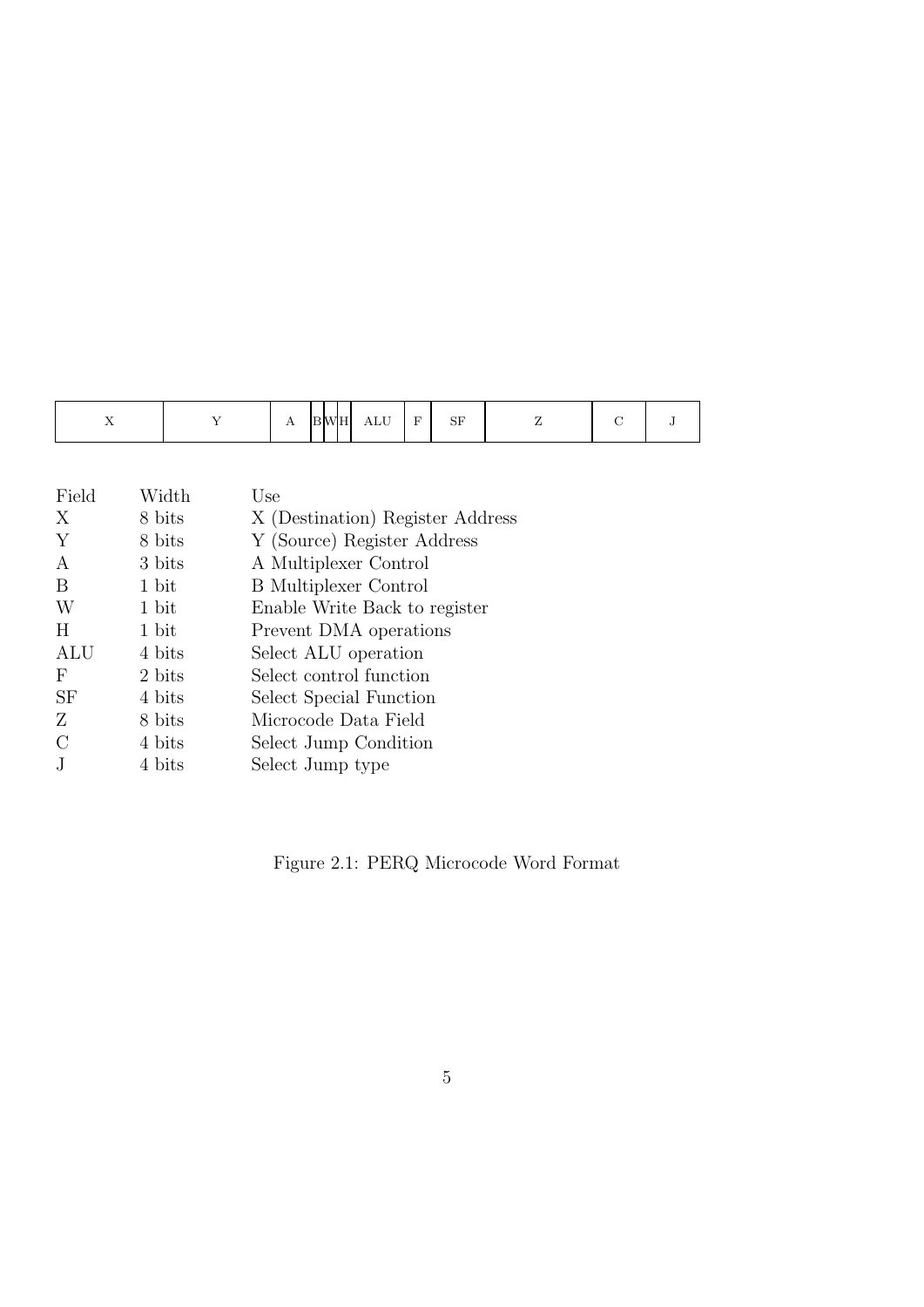| $\sim$ $\sim$<br>$\sim$ $\sim$ | . . | $\Delta$ | BWH | $\sim$ $\sim$<br>$\sim$<br>ALU<br>--- | $\sim$ | $\sim$ T<br>БF |  |  |  |
|--------------------------------|-----|----------|-----|---------------------------------------|--------|----------------|--|--|--|
|--------------------------------|-----|----------|-----|---------------------------------------|--------|----------------|--|--|--|

| Field         | Width  | Use                              |
|---------------|--------|----------------------------------|
| X             | 8 bits | X (Destination) Register Address |
| Y             | 8 bits | Y (Source) Register Address      |
| A             | 3 bits | A Multiplexer Control            |
| B             | 1 bit  | <b>B</b> Multiplexer Control     |
| W             | 1 bit  | Enable Write Back to register    |
| H             | 1 bit  | Prevent DMA operations           |
| <b>ALU</b>    | 4 bits | Select ALU operation             |
| F             | 2 bits | Select control function          |
| <b>SF</b>     | 4 bits | Select Special Function          |
| Ζ             | 8 bits | Microcode Data Field             |
| $\mathcal{C}$ | 4 bits | Select Jump Condition            |
|               | 4 bits | Select Jump type                 |
|               |        |                                  |

Figure 2.1: PERQ Microcode Word Format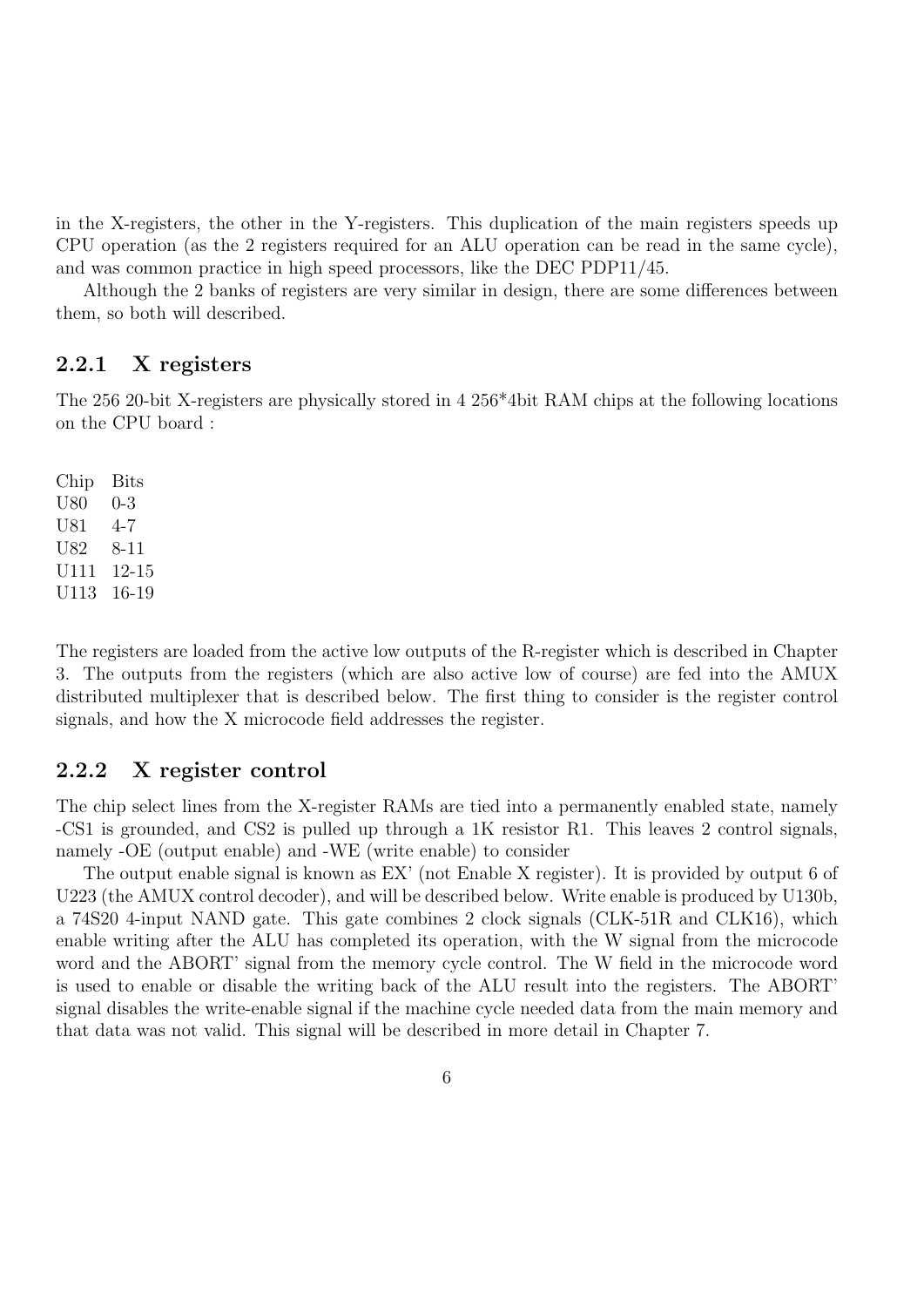in the X-registers, the other in the Y-registers. This duplication of the main registers speeds up CPU operation (as the 2 registers required for an ALU operation can be read in the same cycle), and was common practice in high speed processors, like the DEC PDP11/45.

Although the 2 banks of registers are very similar in design, there are some differences between them, so both will described.

## 2.2.1 X registers

The 256 20-bit X-registers are physically stored in 4 256\*4bit RAM chips at the following locations on the CPU board :

Chip Bits U80 0-3 U81 4-7 U82 8-11 U111 12-15 U113 16-19

The registers are loaded from the active low outputs of the R-register which is described in Chapter 3. The outputs from the registers (which are also active low of course) are fed into the AMUX distributed multiplexer that is described below. The first thing to consider is the register control signals, and how the X microcode field addresses the register.

### 2.2.2 X register control

The chip select lines from the X-register RAMs are tied into a permanently enabled state, namely -CS1 is grounded, and CS2 is pulled up through a 1K resistor R1. This leaves 2 control signals, namely -OE (output enable) and -WE (write enable) to consider

The output enable signal is known as EX' (not Enable X register). It is provided by output 6 of U223 (the AMUX control decoder), and will be described below. Write enable is produced by U130b, a 74S20 4-input NAND gate. This gate combines 2 clock signals (CLK-51R and CLK16), which enable writing after the ALU has completed its operation, with the W signal from the microcode word and the ABORT' signal from the memory cycle control. The W field in the microcode word is used to enable or disable the writing back of the ALU result into the registers. The ABORT' signal disables the write-enable signal if the machine cycle needed data from the main memory and that data was not valid. This signal will be described in more detail in Chapter 7.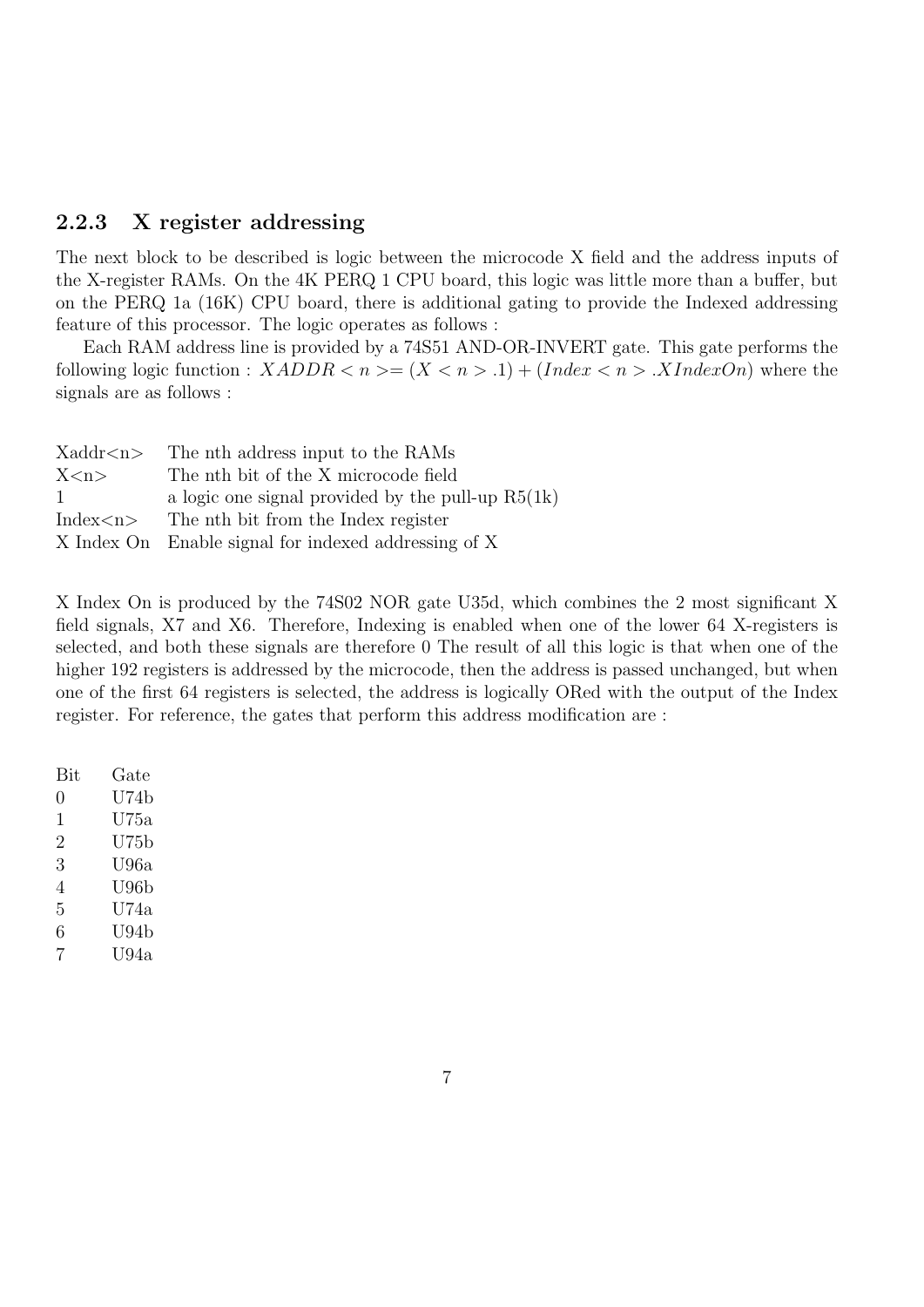## 2.2.3 X register addressing

The next block to be described is logic between the microcode X field and the address inputs of the X-register RAMs. On the 4K PERQ 1 CPU board, this logic was little more than a buffer, but on the PERQ 1a (16K) CPU board, there is additional gating to provide the Indexed addressing feature of this processor. The logic operates as follows :

Each RAM address line is provided by a 74S51 AND-OR-INVERT gate. This gate performs the following logic function :  $XADDR < n > = (X < n > 0.1) + (Index < n > 0.1)$  where the signals are as follows :

|                           | $Xaddr < n$ The nth address input to the RAMs        |
|---------------------------|------------------------------------------------------|
| X < n>                    | The nth bit of the X microcode field                 |
| $\mathbf{1}$              | a logic one signal provided by the pull-up $R5(1k)$  |
| Index $\langle n \rangle$ | The nth bit from the Index register                  |
|                           | X Index On Enable signal for indexed addressing of X |

X Index On is produced by the 74S02 NOR gate U35d, which combines the 2 most significant X field signals, X7 and X6. Therefore, Indexing is enabled when one of the lower 64 X-registers is selected, and both these signals are therefore 0 The result of all this logic is that when one of the higher 192 registers is addressed by the microcode, then the address is passed unchanged, but when one of the first 64 registers is selected, the address is logically ORed with the output of the Index register. For reference, the gates that perform this address modification are :

| Bit              | Gate |
|------------------|------|
| $\left( \right)$ | U74b |
| 1                | U75a |
| 2                | U75b |
| 3                | U96a |
| 4                | U96b |
| 5                | U74a |
| 6                | U94b |
| 7                | U94a |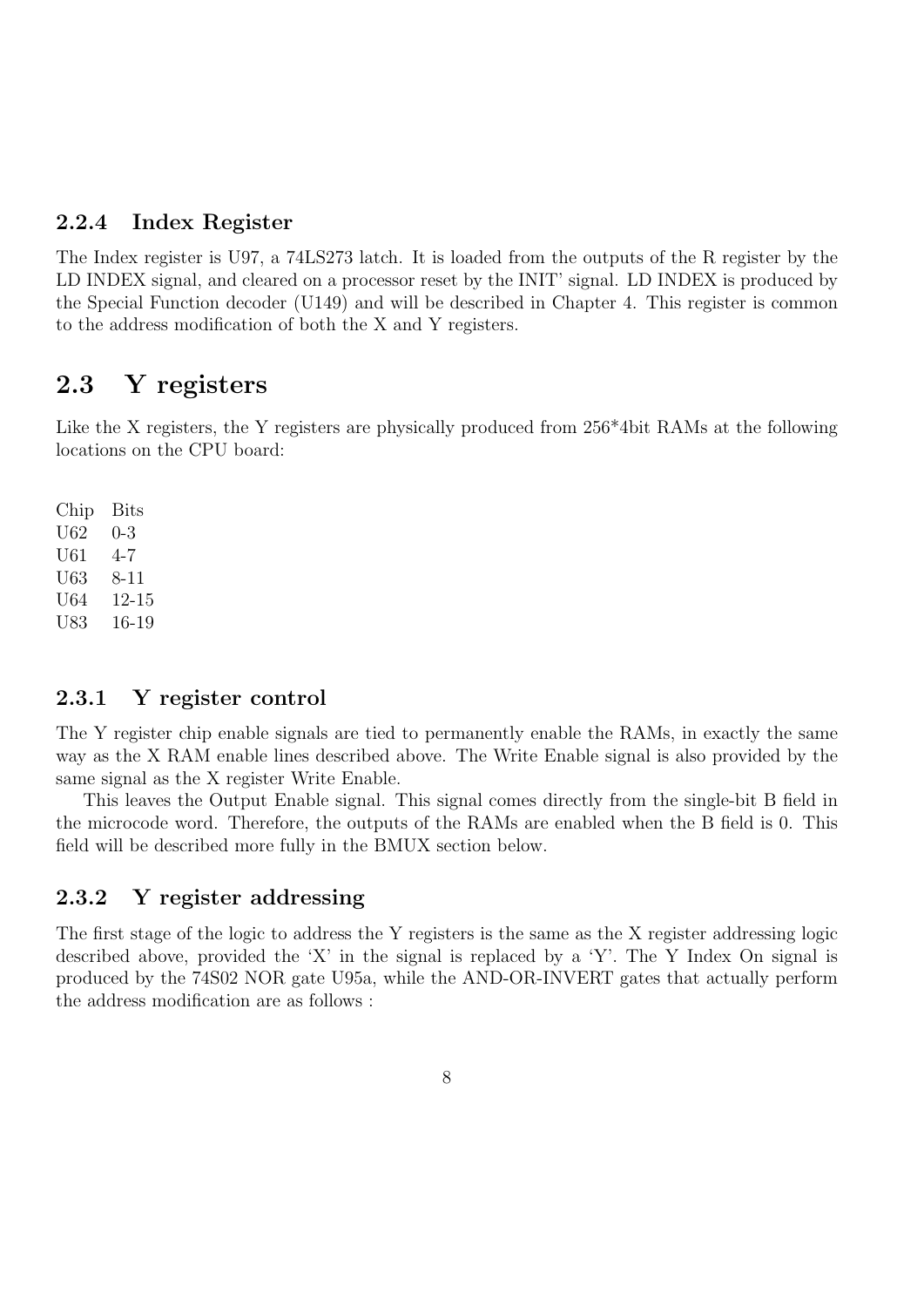## 2.2.4 Index Register

The Index register is U97, a 74LS273 latch. It is loaded from the outputs of the R register by the LD INDEX signal, and cleared on a processor reset by the INIT' signal. LD INDEX is produced by the Special Function decoder (U149) and will be described in Chapter 4. This register is common to the address modification of both the X and Y registers.

# 2.3 Y registers

Like the X registers, the Y registers are physically produced from 256<sup>\*</sup>4bit RAMs at the following locations on the CPU board:

Chip Bits U62 0-3 U61 4-7 U63 8-11 U64 12-15 U83 16-19

## 2.3.1 Y register control

The Y register chip enable signals are tied to permanently enable the RAMs, in exactly the same way as the X RAM enable lines described above. The Write Enable signal is also provided by the same signal as the X register Write Enable.

This leaves the Output Enable signal. This signal comes directly from the single-bit B field in the microcode word. Therefore, the outputs of the RAMs are enabled when the B field is 0. This field will be described more fully in the BMUX section below.

## 2.3.2 Y register addressing

The first stage of the logic to address the Y registers is the same as the X register addressing logic described above, provided the 'X' in the signal is replaced by a 'Y'. The Y Index On signal is produced by the 74S02 NOR gate U95a, while the AND-OR-INVERT gates that actually perform the address modification are as follows :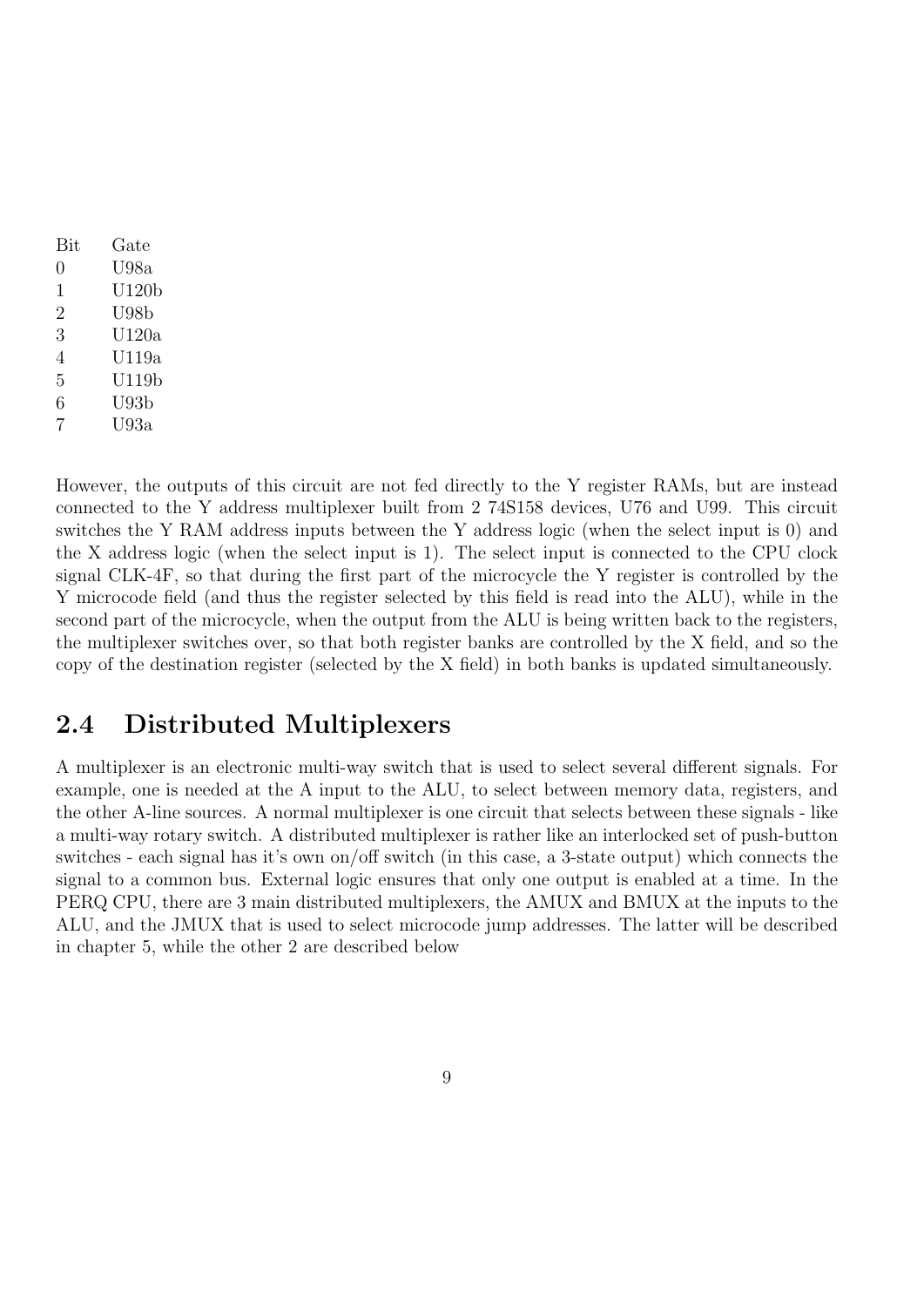| Bit           | $_{\text{Gate}}$ |
|---------------|------------------|
| $\mathcal{O}$ | U98a             |
| 1             | U120b            |
| 2             | U98 <sub>b</sub> |
| 3             | U120a            |
| 4             | U119a            |
| 5             | U119b            |
| 6             | U93b             |
| 7             | U93a             |

However, the outputs of this circuit are not fed directly to the Y register RAMs, but are instead connected to the Y address multiplexer built from 2 74S158 devices, U76 and U99. This circuit switches the Y RAM address inputs between the Y address logic (when the select input is 0) and the X address logic (when the select input is 1). The select input is connected to the CPU clock signal CLK-4F, so that during the first part of the microcycle the Y register is controlled by the Y microcode field (and thus the register selected by this field is read into the ALU), while in the second part of the microcycle, when the output from the ALU is being written back to the registers, the multiplexer switches over, so that both register banks are controlled by the X field, and so the copy of the destination register (selected by the X field) in both banks is updated simultaneously.

# 2.4 Distributed Multiplexers

A multiplexer is an electronic multi-way switch that is used to select several different signals. For example, one is needed at the A input to the ALU, to select between memory data, registers, and the other A-line sources. A normal multiplexer is one circuit that selects between these signals - like a multi-way rotary switch. A distributed multiplexer is rather like an interlocked set of push-button switches - each signal has it's own on/off switch (in this case, a 3-state output) which connects the signal to a common bus. External logic ensures that only one output is enabled at a time. In the PERQ CPU, there are 3 main distributed multiplexers, the AMUX and BMUX at the inputs to the ALU, and the JMUX that is used to select microcode jump addresses. The latter will be described in chapter 5, while the other 2 are described below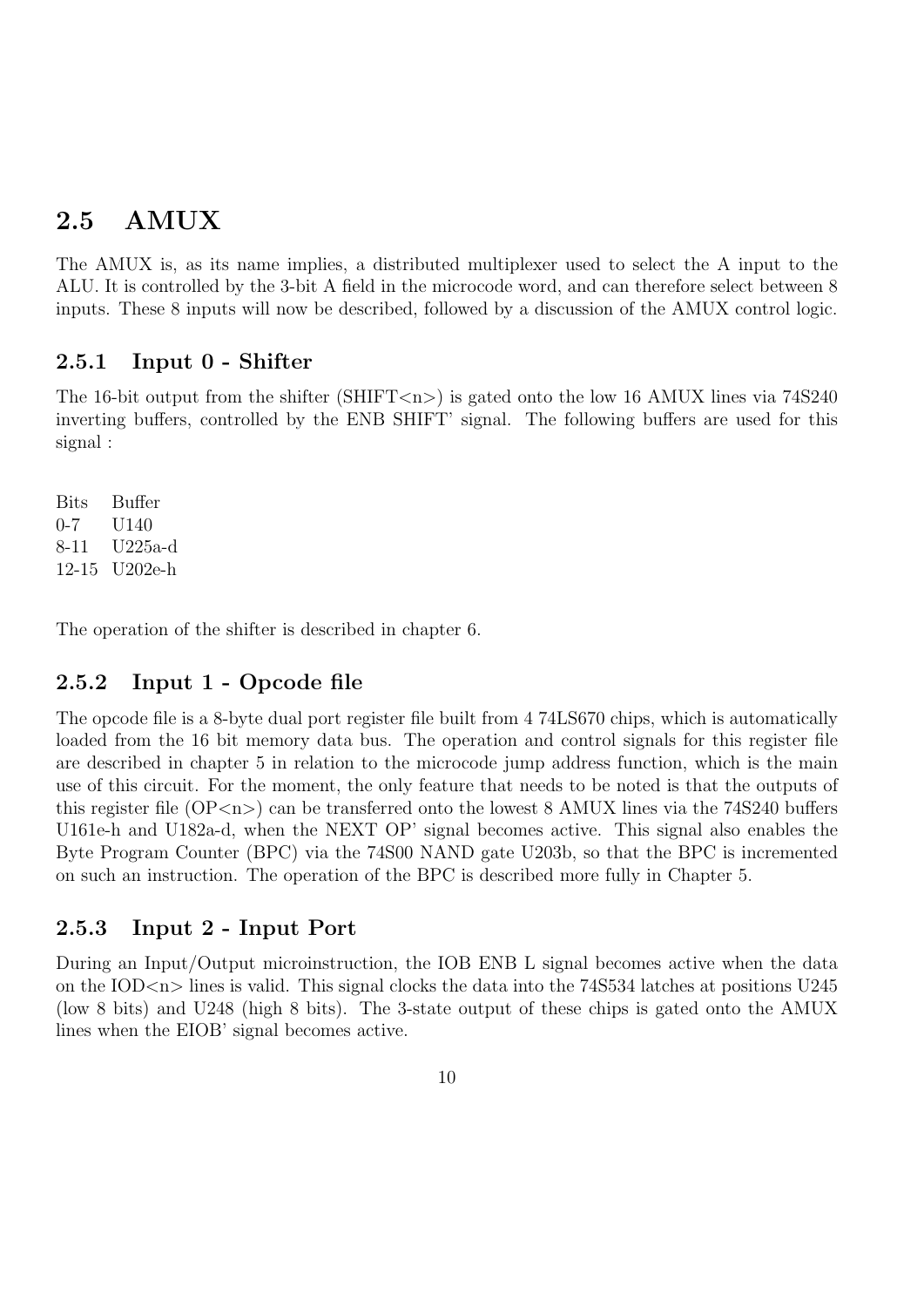# 2.5 AMUX

The AMUX is, as its name implies, a distributed multiplexer used to select the A input to the ALU. It is controlled by the 3-bit A field in the microcode word, and can therefore select between 8 inputs. These 8 inputs will now be described, followed by a discussion of the AMUX control logic.

## 2.5.1 Input 0 - Shifter

The 16-bit output from the shifter (SHIFT $\langle n \rangle$ ) is gated onto the low 16 AMUX lines via 74S240 inverting buffers, controlled by the ENB SHIFT' signal. The following buffers are used for this signal :

Bits Buffer 0-7 U140 8-11 U225a-d 12-15 U202e-h

The operation of the shifter is described in chapter 6.

## 2.5.2 Input 1 - Opcode file

The opcode file is a 8-byte dual port register file built from 4 74LS670 chips, which is automatically loaded from the 16 bit memory data bus. The operation and control signals for this register file are described in chapter 5 in relation to the microcode jump address function, which is the main use of this circuit. For the moment, the only feature that needs to be noted is that the outputs of this register file  $(OP\langle n \rangle)$  can be transferred onto the lowest 8 AMUX lines via the 74S240 buffers U161e-h and U182a-d, when the NEXT OP' signal becomes active. This signal also enables the Byte Program Counter (BPC) via the 74S00 NAND gate U203b, so that the BPC is incremented on such an instruction. The operation of the BPC is described more fully in Chapter 5.

## 2.5.3 Input 2 - Input Port

During an Input/Output microinstruction, the IOB ENB L signal becomes active when the data on the IOD $\langle n \rangle$  lines is valid. This signal clocks the data into the 74S534 latches at positions U245 (low 8 bits) and U248 (high 8 bits). The 3-state output of these chips is gated onto the AMUX lines when the EIOB' signal becomes active.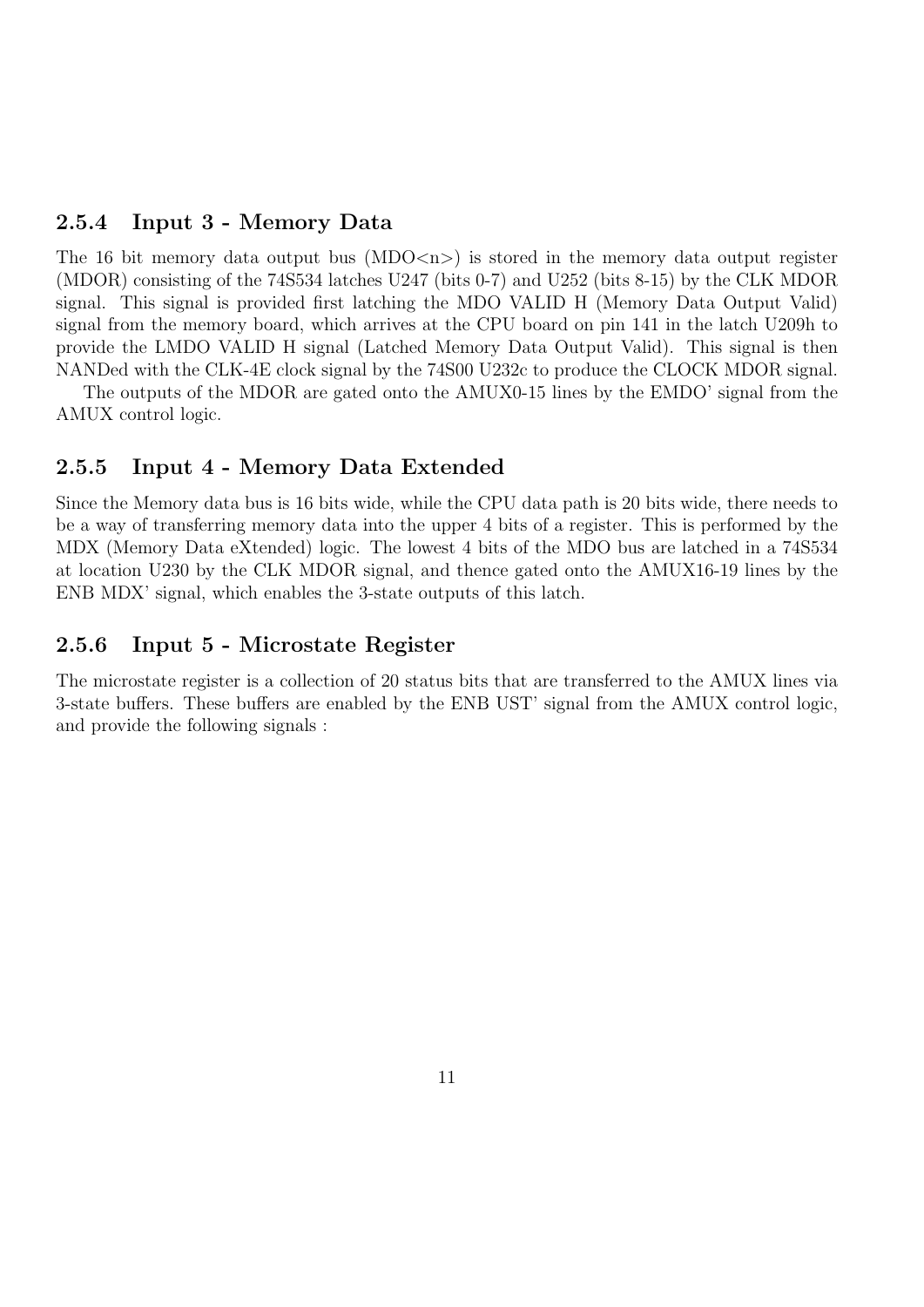## 2.5.4 Input 3 - Memory Data

The 16 bit memory data output bus  $(MDO<sub>n</sub>)$  is stored in the memory data output register (MDOR) consisting of the 74S534 latches U247 (bits 0-7) and U252 (bits 8-15) by the CLK MDOR signal. This signal is provided first latching the MDO VALID H (Memory Data Output Valid) signal from the memory board, which arrives at the CPU board on pin 141 in the latch U209h to provide the LMDO VALID H signal (Latched Memory Data Output Valid). This signal is then NANDed with the CLK-4E clock signal by the 74S00 U232c to produce the CLOCK MDOR signal.

The outputs of the MDOR are gated onto the AMUX0-15 lines by the EMDO' signal from the AMUX control logic.

## 2.5.5 Input 4 - Memory Data Extended

Since the Memory data bus is 16 bits wide, while the CPU data path is 20 bits wide, there needs to be a way of transferring memory data into the upper 4 bits of a register. This is performed by the MDX (Memory Data eXtended) logic. The lowest 4 bits of the MDO bus are latched in a 74S534 at location U230 by the CLK MDOR signal, and thence gated onto the AMUX16-19 lines by the ENB MDX' signal, which enables the 3-state outputs of this latch.

## 2.5.6 Input 5 - Microstate Register

The microstate register is a collection of 20 status bits that are transferred to the AMUX lines via 3-state buffers. These buffers are enabled by the ENB UST' signal from the AMUX control logic, and provide the following signals :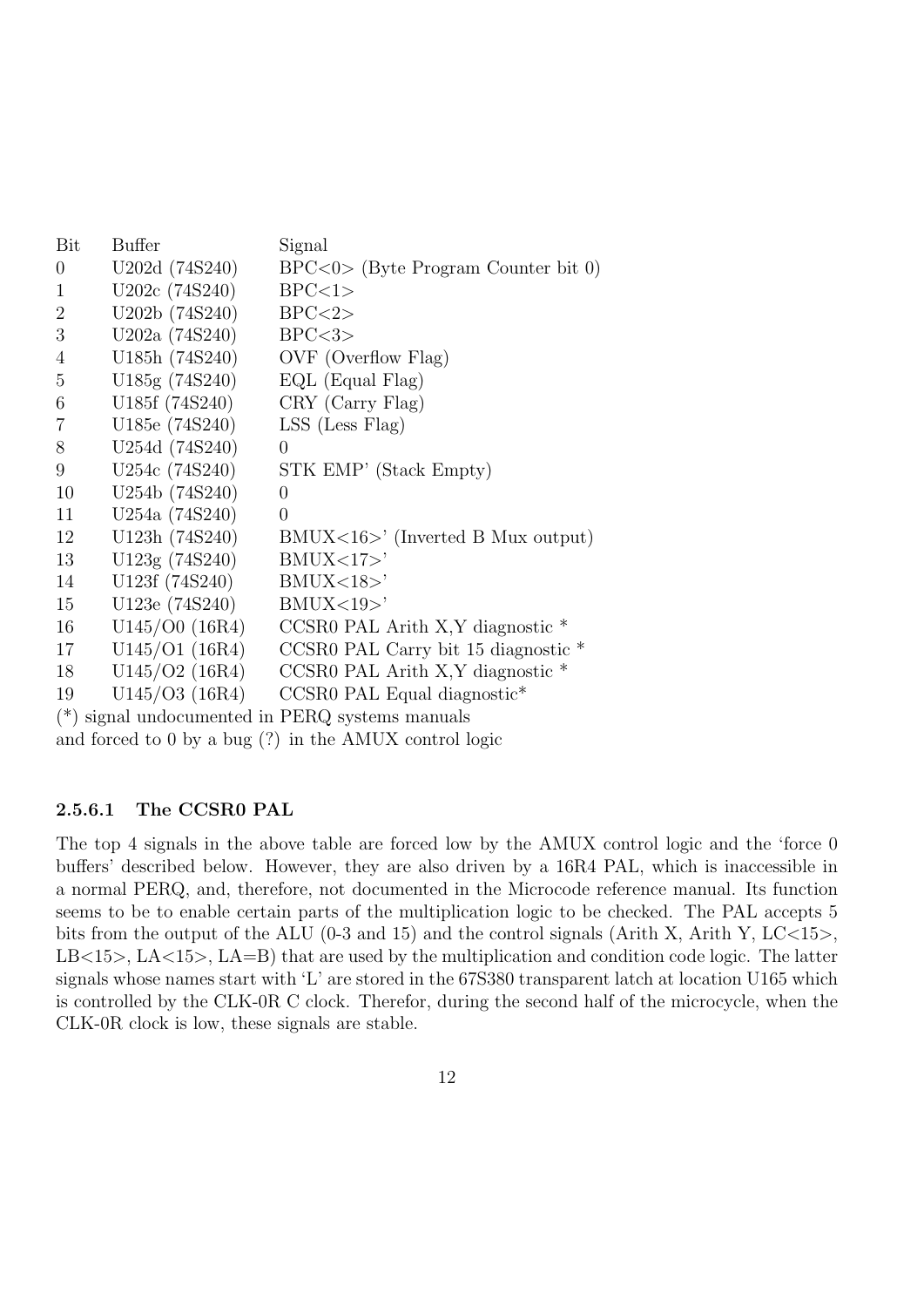| Bit                                                        | Buffer         | Signal                                              |  |
|------------------------------------------------------------|----------------|-----------------------------------------------------|--|
| $\theta$                                                   | U202d (74S240) | $BPC<0$ (Byte Program Counter bit 0)                |  |
| $\mathbf{1}$                                               | U202c (74S240) | BPC<1>                                              |  |
| $\overline{2}$                                             | U202b (74S240) | BPC < 2>                                            |  |
| 3                                                          | U202a (74S240) | BPC < 3>                                            |  |
| $\overline{4}$                                             | U185h (74S240) | OVF (Overflow Flag)                                 |  |
| $\overline{5}$                                             | U185g (74S240) | $EQL$ (Equal Flag)                                  |  |
| $6\,$                                                      | U185f (74S240) | CRY (Carry Flag)                                    |  |
| $\overline{7}$                                             | U185e (74S240) | $LSS$ (Less Flag)                                   |  |
| 8                                                          | U254d (74S240) | $\theta$                                            |  |
| 9                                                          | U254c (74S240) | STK EMP' (Stack Empty)                              |  |
| 10                                                         | U254b (74S240) | $\theta$                                            |  |
| 11                                                         | U254a (74S240) | $\theta$                                            |  |
| 12                                                         | U123h (74S240) | $BMUX < 16$ <sup>&gt;</sup> (Inverted B Mux output) |  |
| 13                                                         | U123g (74S240) | BMUX <17                                            |  |
| 14                                                         | U123f (74S240) | BMUX < 18                                           |  |
| 15                                                         | U123e (74S240) | BMUX<19                                             |  |
| 16                                                         | U145/O0(16R4)  | CCSR0 PAL Arith $X, Y$ diagnostic $*$               |  |
| 17                                                         | U145/O1(16R4)  | CCSR0 PAL Carry bit 15 diagnostic $*$               |  |
| 18                                                         | U145/O2(16R4)  | CCSR0 PAL Arith $X, Y$ diagnostic $*$               |  |
| 19                                                         | U145/O3 (16R4) | $CCSR0$ PAL Equal diagnostic <sup>*</sup>           |  |
| signal undocumented in PERQ systems manuals<br>$(*)$       |                |                                                     |  |
| and forced to $0$ by a bug $(?)$ in the AMUX control logic |                |                                                     |  |

#### 2.5.6.1 The CCSR0 PAL

The top 4 signals in the above table are forced low by the AMUX control logic and the 'force 0 buffers' described below. However, they are also driven by a 16R4 PAL, which is inaccessible in a normal PERQ, and, therefore, not documented in the Microcode reference manual. Its function seems to be to enable certain parts of the multiplication logic to be checked. The PAL accepts 5 bits from the output of the ALU (0-3 and 15) and the control signals (Arith X, Arith Y, LC<15>, LB $<$ 15 $>$ , LA $<$ 15 $>$ , LA $=$ B) that are used by the multiplication and condition code logic. The latter signals whose names start with 'L' are stored in the 67S380 transparent latch at location U165 which is controlled by the CLK-0R C clock. Therefor, during the second half of the microcycle, when the CLK-0R clock is low, these signals are stable.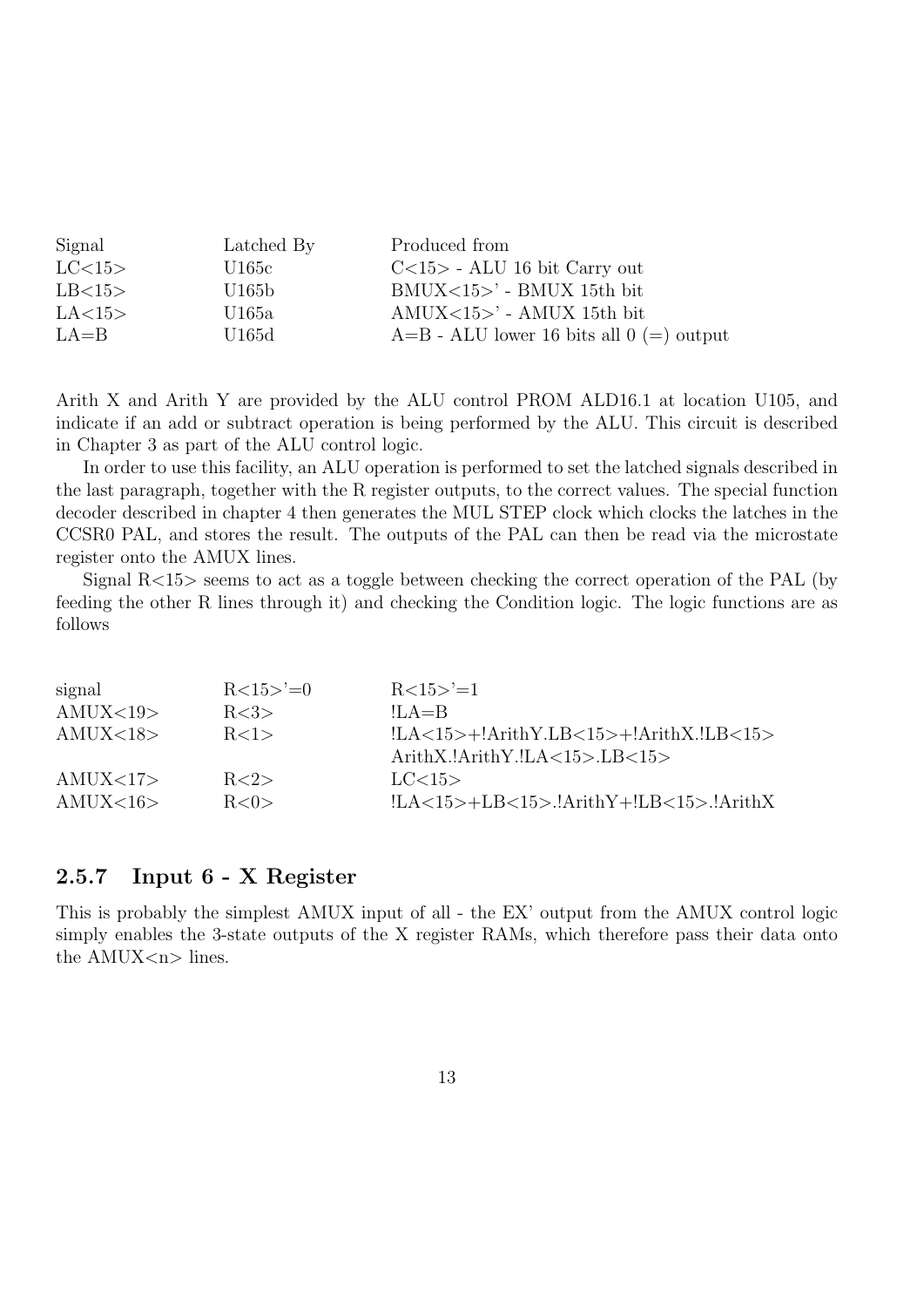| Signal   | Latched By | Produced from                                |
|----------|------------|----------------------------------------------|
| LC<15>   | U165c      | $C<15$ - ALU 16 bit Carry out                |
| LB<15>   | U165b      | $BMUX <15$ >' - BMUX 15th bit                |
| LA<15>   | U165a      | $AMUX <15$ >' - $AMUX$ 15th bit              |
| $LA = B$ | U165d      | $A=B$ - ALU lower 16 bits all $0 (=)$ output |

Arith X and Arith Y are provided by the ALU control PROM ALD16.1 at location U105, and indicate if an add or subtract operation is being performed by the ALU. This circuit is described in Chapter 3 as part of the ALU control logic.

In order to use this facility, an ALU operation is performed to set the latched signals described in the last paragraph, together with the R register outputs, to the correct values. The special function decoder described in chapter 4 then generates the MUL STEP clock which clocks the latches in the CCSR0 PAL, and stores the result. The outputs of the PAL can then be read via the microstate register onto the AMUX lines.

Signal R<15> seems to act as a toggle between checking the correct operation of the PAL (by feeding the other R lines through it) and checking the Condition logic. The logic functions are as follows

| signal     | $R<15>^{\circ}=0$ | $R<15>^{\circ}=1$                        |
|------------|-------------------|------------------------------------------|
| AMUX < 19  | R < 3             | $\overline{A} = B$                       |
| AMUX < 18> | R<1>              | $ LA<15>+!ArithY.LB<15>+!ArithX.ILB<15>$ |
|            |                   | $ArithX.lArithY.lLA <15$ >.LB $<15$ >    |
| AMUX < 17  | R < 2             | LC < 15                                  |
| AMUX < 16  | R < 0>            | $ LA<15>+LB<15>. ArithY+!LB<15 .$        |

## 2.5.7 Input 6 - X Register

This is probably the simplest AMUX input of all - the EX' output from the AMUX control logic simply enables the 3-state outputs of the X register RAMs, which therefore pass their data onto the  $AMUX < n >$  lines.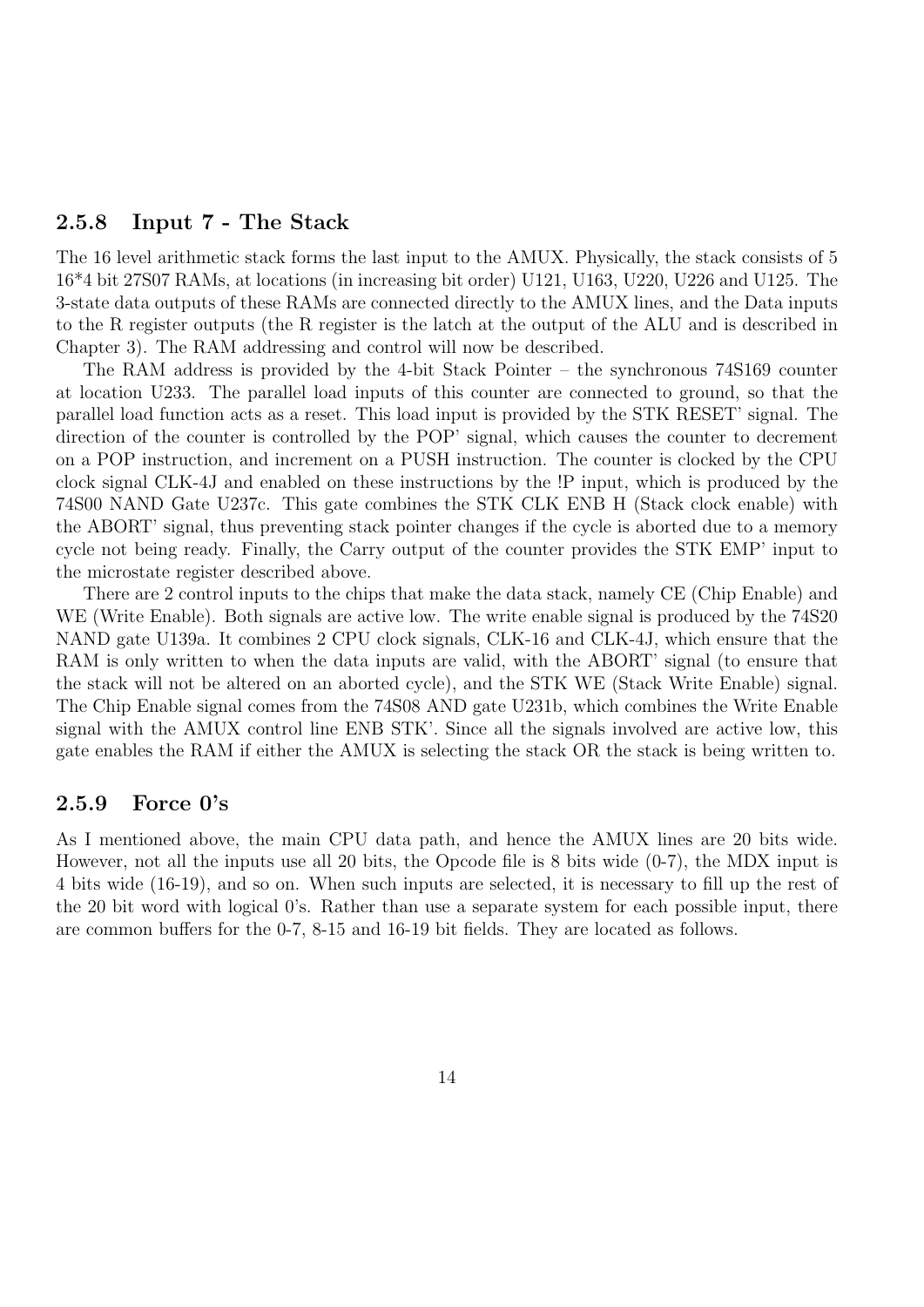### 2.5.8 Input 7 - The Stack

The 16 level arithmetic stack forms the last input to the AMUX. Physically, the stack consists of 5 16\*4 bit 27S07 RAMs, at locations (in increasing bit order) U121, U163, U220, U226 and U125. The 3-state data outputs of these RAMs are connected directly to the AMUX lines, and the Data inputs to the R register outputs (the R register is the latch at the output of the ALU and is described in Chapter 3). The RAM addressing and control will now be described.

The RAM address is provided by the 4-bit Stack Pointer – the synchronous 74S169 counter at location U233. The parallel load inputs of this counter are connected to ground, so that the parallel load function acts as a reset. This load input is provided by the STK RESET' signal. The direction of the counter is controlled by the POP' signal, which causes the counter to decrement on a POP instruction, and increment on a PUSH instruction. The counter is clocked by the CPU clock signal CLK-4J and enabled on these instructions by the !P input, which is produced by the 74S00 NAND Gate U237c. This gate combines the STK CLK ENB H (Stack clock enable) with the ABORT' signal, thus preventing stack pointer changes if the cycle is aborted due to a memory cycle not being ready. Finally, the Carry output of the counter provides the STK EMP' input to the microstate register described above.

There are 2 control inputs to the chips that make the data stack, namely CE (Chip Enable) and WE (Write Enable). Both signals are active low. The write enable signal is produced by the 74S20 NAND gate U139a. It combines 2 CPU clock signals, CLK-16 and CLK-4J, which ensure that the RAM is only written to when the data inputs are valid, with the ABORT' signal (to ensure that the stack will not be altered on an aborted cycle), and the STK WE (Stack Write Enable) signal. The Chip Enable signal comes from the 74S08 AND gate U231b, which combines the Write Enable signal with the AMUX control line ENB STK'. Since all the signals involved are active low, this gate enables the RAM if either the AMUX is selecting the stack OR the stack is being written to.

#### 2.5.9 Force 0's

As I mentioned above, the main CPU data path, and hence the AMUX lines are 20 bits wide. However, not all the inputs use all 20 bits, the Opcode file is 8 bits wide (0-7), the MDX input is 4 bits wide (16-19), and so on. When such inputs are selected, it is necessary to fill up the rest of the 20 bit word with logical 0's. Rather than use a separate system for each possible input, there are common buffers for the 0-7, 8-15 and 16-19 bit fields. They are located as follows.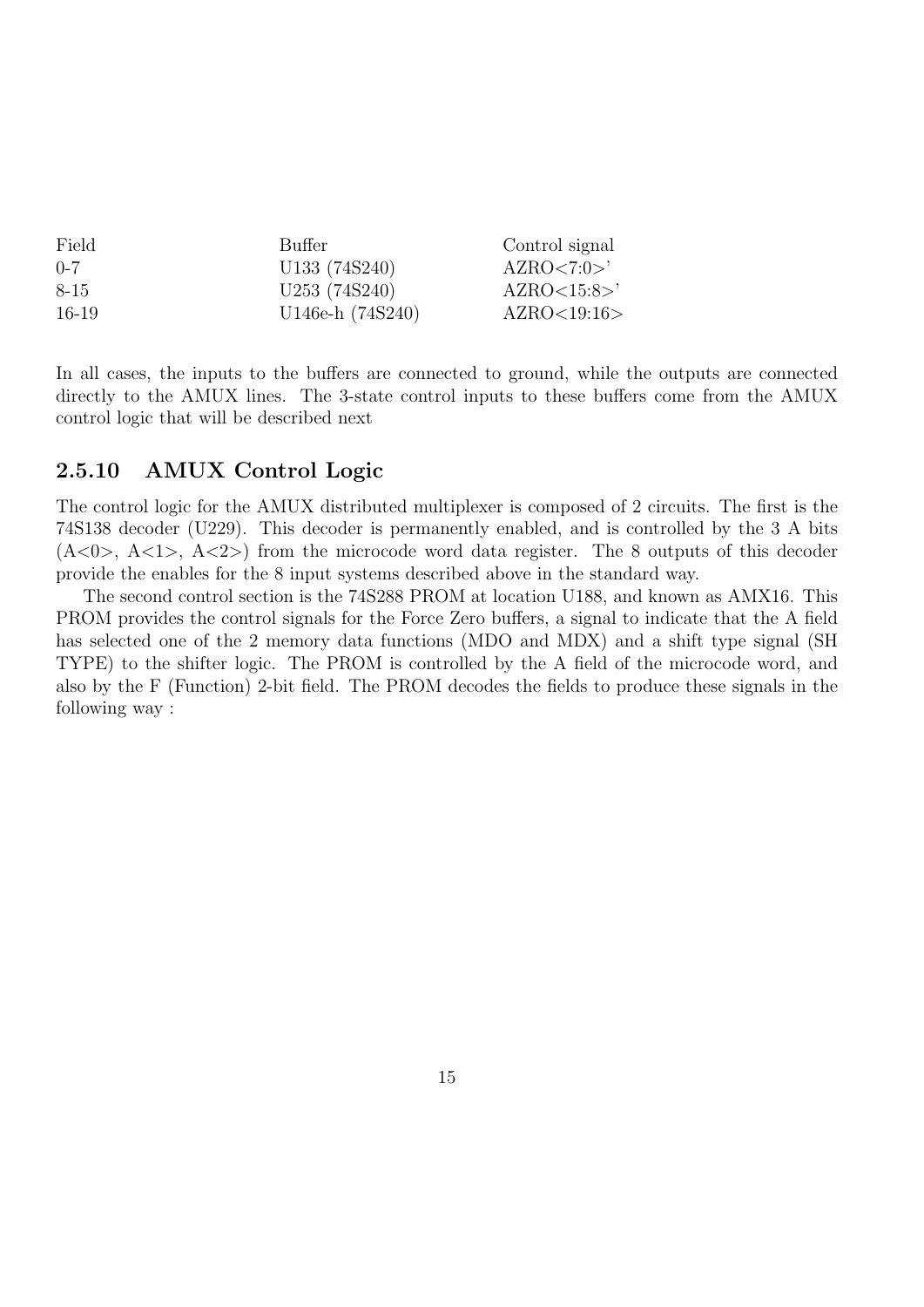| Field   | Buffer           | Control signal |
|---------|------------------|----------------|
| $0 - 7$ | U133 (74S240)    | AZRO < 7:0 >'  |
| 8-15    | U253 (74S240)    | AZRO<15:8>     |
| 16-19   | U146e-h (74S240) | AZRO<19:16>    |

In all cases, the inputs to the buffers are connected to ground, while the outputs are connected directly to the AMUX lines. The 3-state control inputs to these buffers come from the AMUX control logic that will be described next

## 2.5.10 AMUX Control Logic

The control logic for the AMUX distributed multiplexer is composed of 2 circuits. The first is the 74S138 decoder (U229). This decoder is permanently enabled, and is controlled by the 3 A bits  $(A<0>, A<1>, A<2>)$  from the microcode word data register. The 8 outputs of this decoder provide the enables for the 8 input systems described above in the standard way.

The second control section is the 74S288 PROM at location U188, and known as AMX16. This PROM provides the control signals for the Force Zero buffers, a signal to indicate that the A field has selected one of the 2 memory data functions (MDO and MDX) and a shift type signal (SH TYPE) to the shifter logic. The PROM is controlled by the A field of the microcode word, and also by the F (Function) 2-bit field. The PROM decodes the fields to produce these signals in the following way :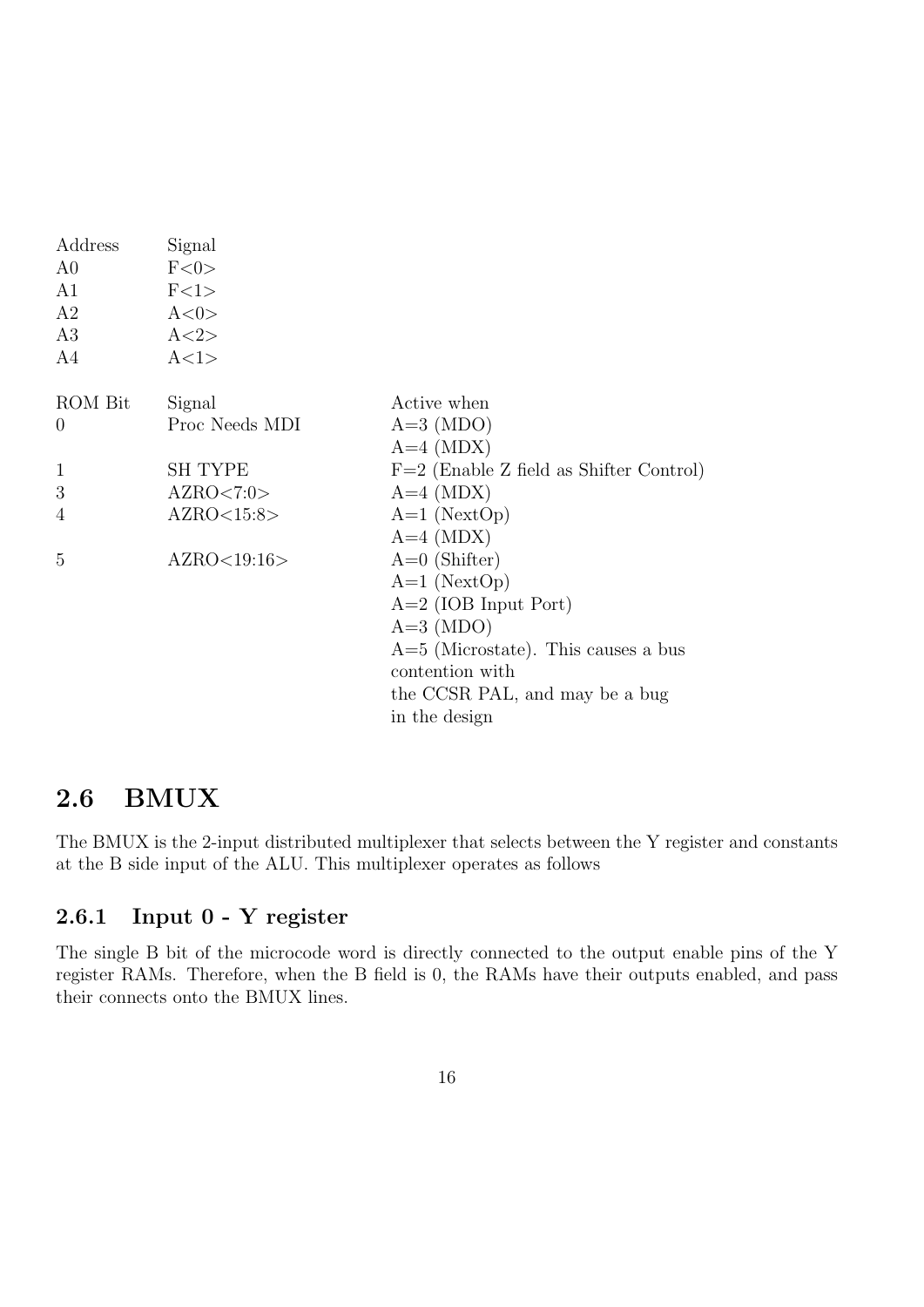| Address        | Signal         |                                           |
|----------------|----------------|-------------------------------------------|
| A <sub>0</sub> | F<0>           |                                           |
| A1             | F<1>           |                                           |
| A2             | A<0>           |                                           |
| A3             | A<2>           |                                           |
| A4             | A<1>           |                                           |
| ROM Bit        | Signal         | Active when                               |
| $\overline{0}$ | Proc Needs MDI | $A=3 (MDO)$                               |
|                |                | $A=4$ (MDX)                               |
| $\mathbf{1}$   | <b>SH TYPE</b> | $F=2$ (Enable Z field as Shifter Control) |
| 3              | AZRO < 7:0>    | $A=4 (MDX)$                               |
| 4              | AZRO<15:8>     | $A=1$ (NextOp)                            |
|                |                | $A=4$ (MDX)                               |
| 5              | AZRO<19:16>    | $A=0$ (Shifter)                           |
|                |                | $A=1$ (NextOp)                            |
|                |                | $A=2$ (IOB Input Port)                    |
|                |                | $A=3 (MDO)$                               |
|                |                | $A=5$ (Microstate). This causes a bus     |
|                |                | contention with                           |
|                |                | the CCSR PAL, and may be a bug            |
|                |                | in the design                             |

# 2.6 BMUX

The BMUX is the 2-input distributed multiplexer that selects between the Y register and constants at the B side input of the ALU. This multiplexer operates as follows

# 2.6.1 Input 0 - Y register

The single B bit of the microcode word is directly connected to the output enable pins of the Y register RAMs. Therefore, when the B field is 0, the RAMs have their outputs enabled, and pass their connects onto the BMUX lines.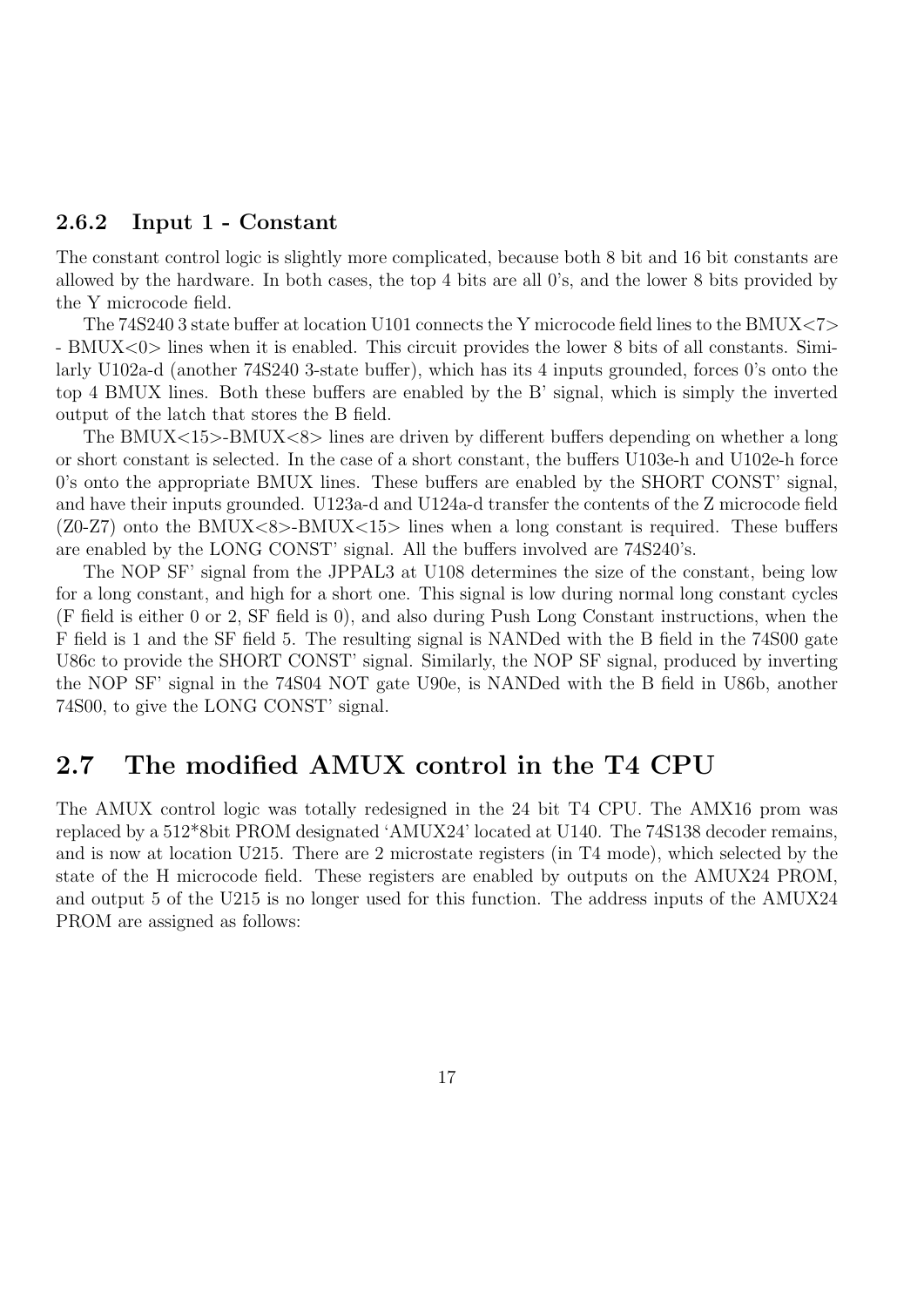#### 2.6.2 Input 1 - Constant

The constant control logic is slightly more complicated, because both 8 bit and 16 bit constants are allowed by the hardware. In both cases, the top 4 bits are all 0's, and the lower 8 bits provided by the Y microcode field.

The 74S240 3 state buffer at location U101 connects the Y microcode field lines to the BMUX<7> - BMUX<0> lines when it is enabled. This circuit provides the lower 8 bits of all constants. Similarly U102a-d (another 74S240 3-state buffer), which has its 4 inputs grounded, forces 0's onto the top 4 BMUX lines. Both these buffers are enabled by the B' signal, which is simply the inverted output of the latch that stores the B field.

The BMUX $<$ 15 $>$ -BMUX $<$ 8 $>$  lines are driven by different buffers depending on whether a long or short constant is selected. In the case of a short constant, the buffers U103e-h and U102e-h force 0's onto the appropriate BMUX lines. These buffers are enabled by the SHORT CONST' signal, and have their inputs grounded. U123a-d and U124a-d transfer the contents of the Z microcode field  $(Z0-Z7)$  onto the BMUX $\langle 8 \rangle$ -BMUX $\langle 15 \rangle$  lines when a long constant is required. These buffers are enabled by the LONG CONST' signal. All the buffers involved are 74S240's.

The NOP SF' signal from the JPPAL3 at U108 determines the size of the constant, being low for a long constant, and high for a short one. This signal is low during normal long constant cycles (F field is either 0 or 2, SF field is 0), and also during Push Long Constant instructions, when the F field is 1 and the SF field 5. The resulting signal is NANDed with the B field in the 74S00 gate U86c to provide the SHORT CONST' signal. Similarly, the NOP SF signal, produced by inverting the NOP SF' signal in the 74S04 NOT gate U90e, is NANDed with the B field in U86b, another 74S00, to give the LONG CONST' signal.

# 2.7 The modified AMUX control in the T4 CPU

The AMUX control logic was totally redesigned in the 24 bit T4 CPU. The AMX16 prom was replaced by a 512\*8bit PROM designated 'AMUX24' located at U140. The 74S138 decoder remains, and is now at location U215. There are 2 microstate registers (in T4 mode), which selected by the state of the H microcode field. These registers are enabled by outputs on the AMUX24 PROM, and output 5 of the U215 is no longer used for this function. The address inputs of the AMUX24 PROM are assigned as follows: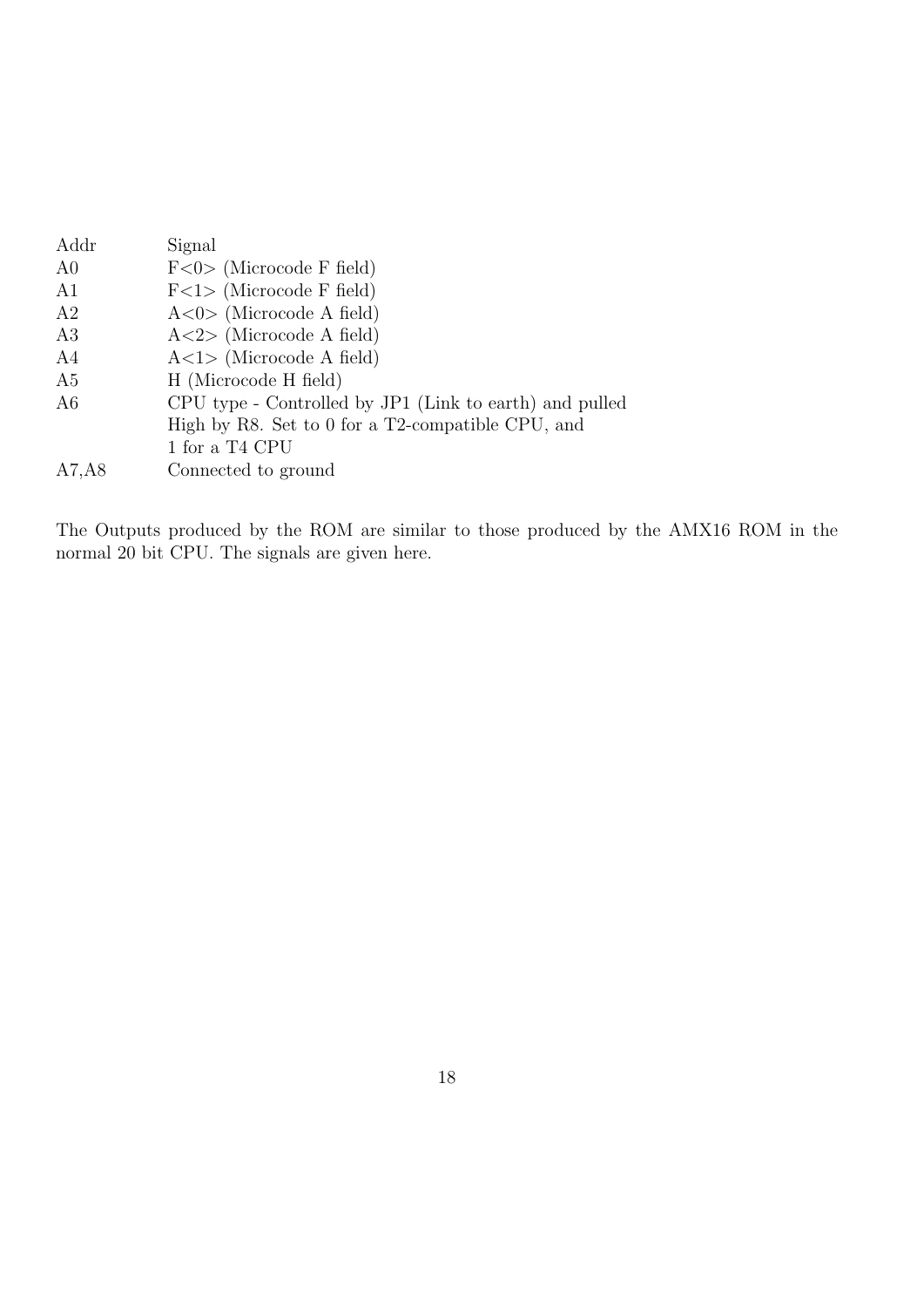| Addr           | Signal                                                  |
|----------------|---------------------------------------------------------|
| A <sub>0</sub> | $F<0$ (Microcode F field)                               |
| A <sub>1</sub> | $F<1$ (Microcode F field)                               |
| A2             | $A < 0$ (Microcode A field)                             |
| A3             | $A < 2$ (Microcode A field)                             |
| A4             | $A<1$ (Microcode A field)                               |
| A5             | H (Microcode H field)                                   |
| A6             | CPU type - Controlled by JP1 (Link to earth) and pulled |
|                | High by R8. Set to 0 for a T2-compatible CPU, and       |
|                | 1 for a T4 CPU                                          |
| A7, A8         | Connected to ground                                     |

The Outputs produced by the ROM are similar to those produced by the AMX16 ROM in the normal 20 bit CPU. The signals are given here.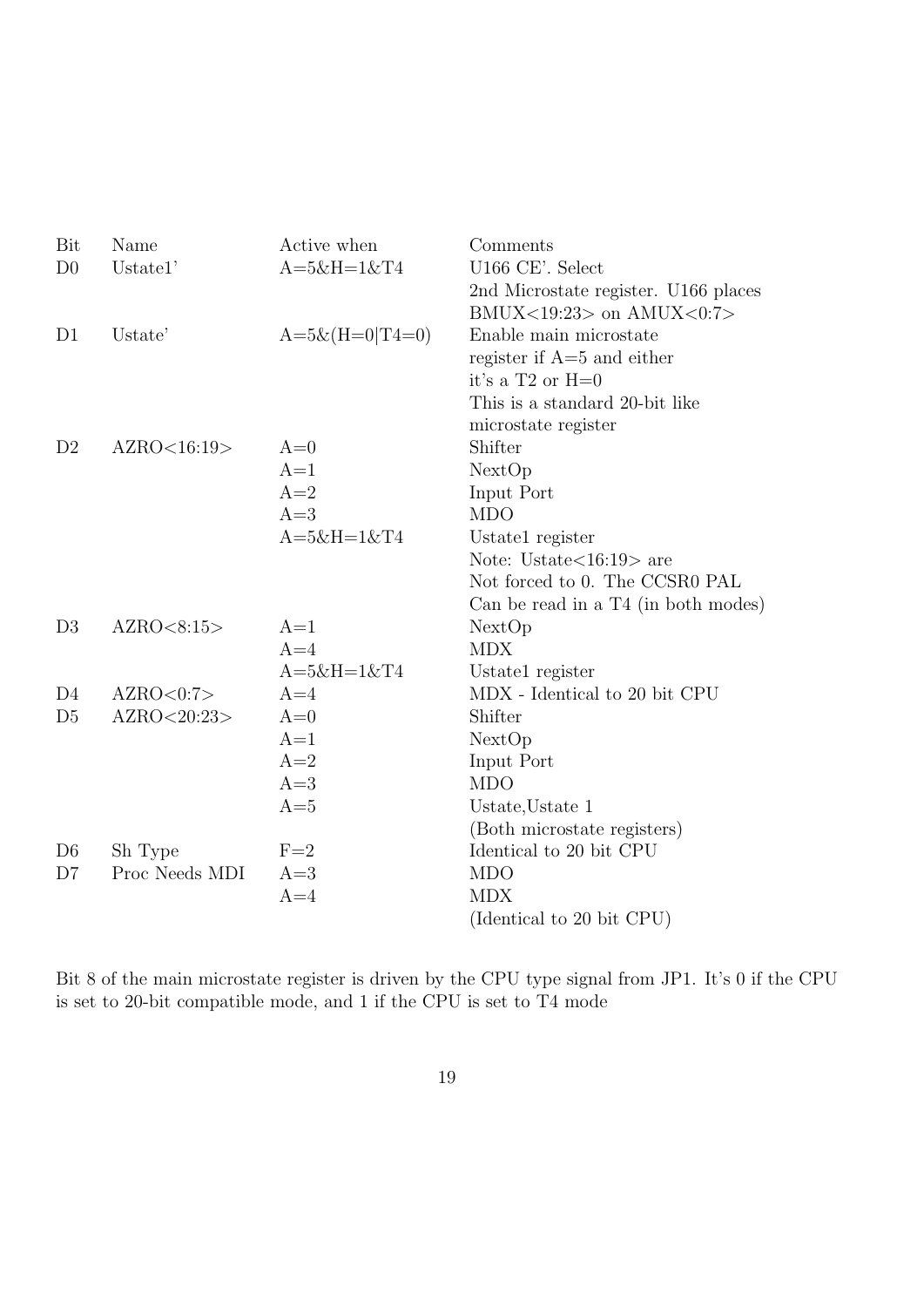| Bit            | Name           | Active when        | Comments                                 |
|----------------|----------------|--------------------|------------------------------------------|
| D <sub>0</sub> | Ustate1'       | $A = 5&H = 1&T4$   | U166 CE'. Select                         |
|                |                |                    | 2nd Microstate register. U166 places     |
|                |                |                    | $BMUX < 19:23$ on $AMUX < 0:7$           |
| D1             | Ustate'        | $A=5\& (H=0 T4=0)$ | Enable main microstate                   |
|                |                |                    | register if $A=5$ and either             |
|                |                |                    | it's a $T2$ or $H=0$                     |
|                |                |                    | This is a standard 20-bit like           |
|                |                |                    | microstate register                      |
| D2             | AZRO<16:19>    | $A=0$              | Shifter                                  |
|                |                | $A=1$              | NextOp                                   |
|                |                | $A=2$              | Input Port                               |
|                |                | $A=3$              | <b>MDO</b>                               |
|                |                | $A=5\&H=1\&T4$     | Ustate1 register                         |
|                |                |                    | Note: Ustate $\langle 16:19 \rangle$ are |
|                |                |                    | Not forced to 0. The CCSR0 PAL           |
|                |                |                    | Can be read in a T4 (in both modes)      |
| D3             | AZRO < 8:15    | $A=1$              | NextOp                                   |
|                |                | $A=4$              | <b>MDX</b>                               |
|                |                | $A = 5\&H = 1\&T4$ | Ustate1 register                         |
| D <sub>4</sub> | AZRO<0:7>      | $A=4$              | MDX - Identical to 20 bit CPU            |
| D5             | AZRO<20:23>    | $A=0$              | Shifter                                  |
|                |                | $A=1$              | NextOp                                   |
|                |                | $A=2$              | Input Port                               |
|                |                | $A=3$              | <b>MDO</b>                               |
|                |                | $A=5$              | Ustate, Ustate 1                         |
|                |                |                    | (Both microstate registers)              |
| D <sub>6</sub> | Sh Type        | $F=2$              | Identical to 20 bit CPU                  |
| D7             | Proc Needs MDI | $A=3$              | <b>MDO</b>                               |
|                |                | $A=4$              | <b>MDX</b>                               |
|                |                |                    | (Identical to 20 bit CPU)                |

Bit 8 of the main microstate register is driven by the CPU type signal from JP1. It's 0 if the CPU is set to 20-bit compatible mode, and 1 if the CPU is set to T4 mode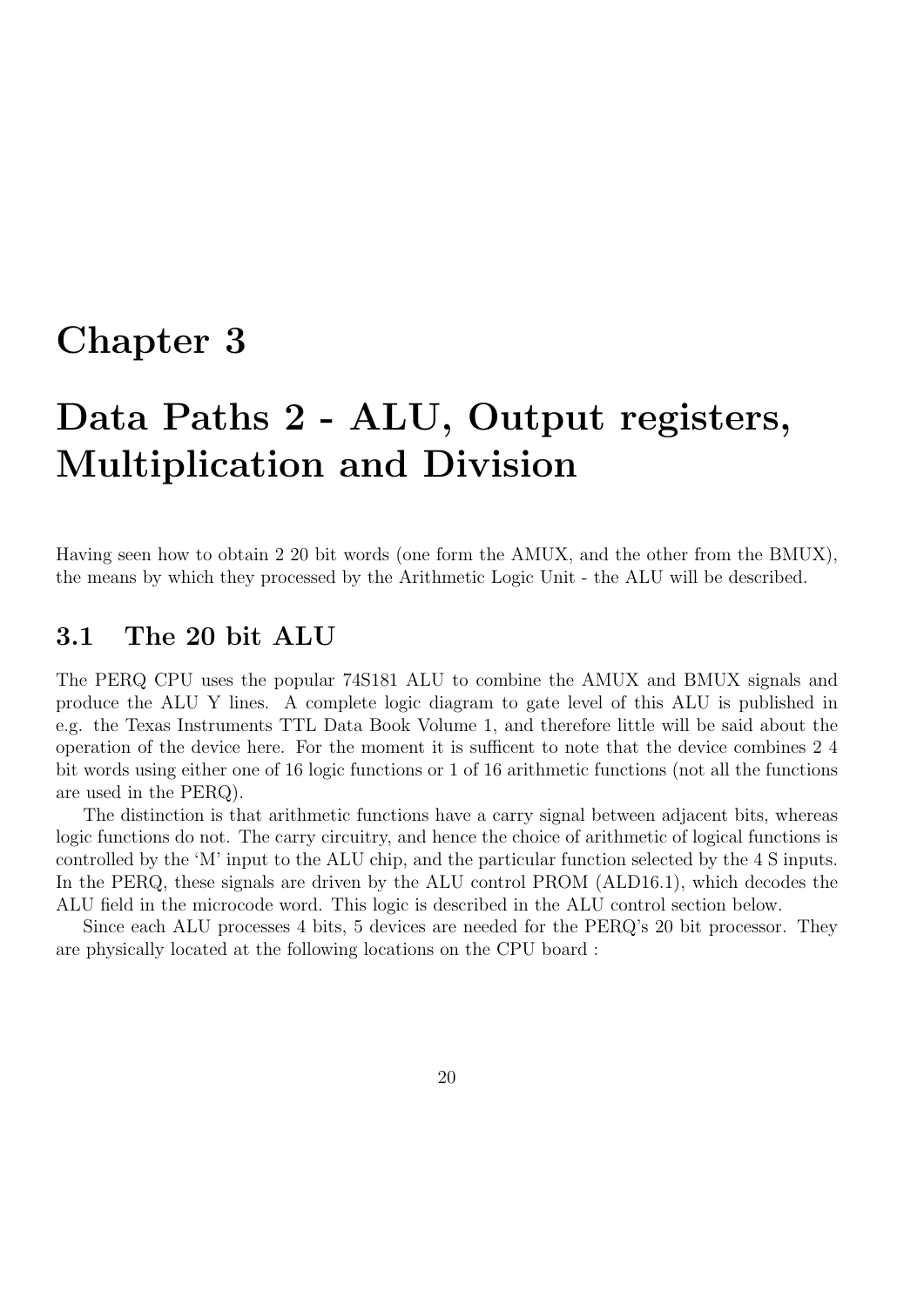# Chapter 3

# Data Paths 2 - ALU, Output registers, Multiplication and Division

Having seen how to obtain 2 20 bit words (one form the AMUX, and the other from the BMUX), the means by which they processed by the Arithmetic Logic Unit - the ALU will be described.

## 3.1 The 20 bit ALU

The PERQ CPU uses the popular 74S181 ALU to combine the AMUX and BMUX signals and produce the ALU Y lines. A complete logic diagram to gate level of this ALU is published in e.g. the Texas Instruments TTL Data Book Volume 1, and therefore little will be said about the operation of the device here. For the moment it is sufficent to note that the device combines 2 4 bit words using either one of 16 logic functions or 1 of 16 arithmetic functions (not all the functions are used in the PERQ).

The distinction is that arithmetic functions have a carry signal between adjacent bits, whereas logic functions do not. The carry circuitry, and hence the choice of arithmetic of logical functions is controlled by the 'M' input to the ALU chip, and the particular function selected by the 4 S inputs. In the PERQ, these signals are driven by the ALU control PROM (ALD16.1), which decodes the ALU field in the microcode word. This logic is described in the ALU control section below.

Since each ALU processes 4 bits, 5 devices are needed for the PERQ's 20 bit processor. They are physically located at the following locations on the CPU board :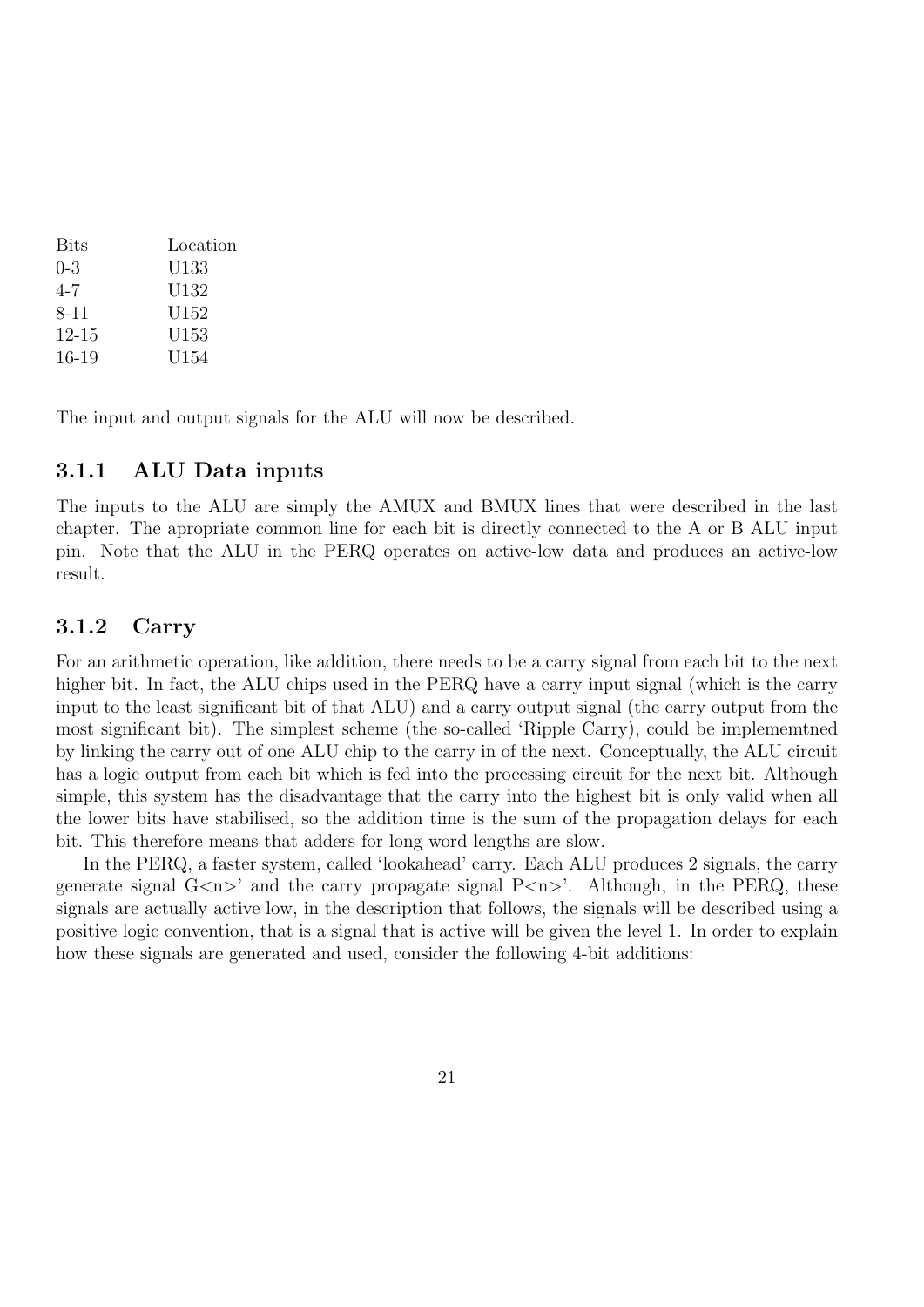| <b>Bits</b> | Location |
|-------------|----------|
| $0 - 3$     | U133     |
| $4 - 7$     | U132     |
| 8-11        | U152     |
| $12 - 15$   | U153     |
| 16-19       | U154     |

The input and output signals for the ALU will now be described.

## 3.1.1 ALU Data inputs

The inputs to the ALU are simply the AMUX and BMUX lines that were described in the last chapter. The apropriate common line for each bit is directly connected to the A or B ALU input pin. Note that the ALU in the PERQ operates on active-low data and produces an active-low result.

## 3.1.2 Carry

For an arithmetic operation, like addition, there needs to be a carry signal from each bit to the next higher bit. In fact, the ALU chips used in the PERQ have a carry input signal (which is the carry input to the least significant bit of that ALU) and a carry output signal (the carry output from the most significant bit). The simplest scheme (the so-called 'Ripple Carry), could be implememtned by linking the carry out of one ALU chip to the carry in of the next. Conceptually, the ALU circuit has a logic output from each bit which is fed into the processing circuit for the next bit. Although simple, this system has the disadvantage that the carry into the highest bit is only valid when all the lower bits have stabilised, so the addition time is the sum of the propagation delays for each bit. This therefore means that adders for long word lengths are slow.

In the PERQ, a faster system, called 'lookahead' carry. Each ALU produces 2 signals, the carry generate signal  $G\langle n\rangle'$  and the carry propagate signal  $P\langle n\rangle'$ . Although, in the PERQ, these signals are actually active low, in the description that follows, the signals will be described using a positive logic convention, that is a signal that is active will be given the level 1. In order to explain how these signals are generated and used, consider the following 4-bit additions: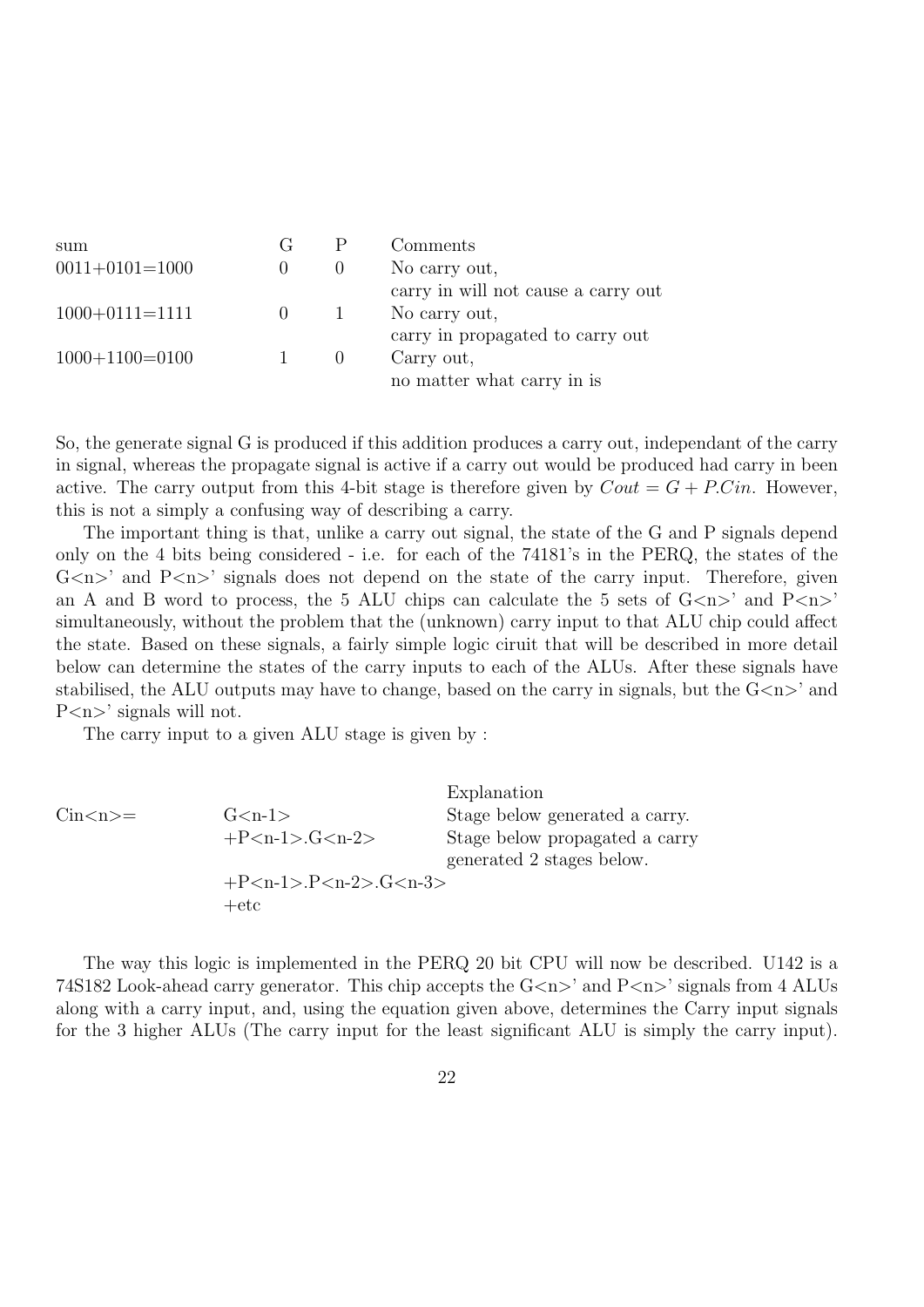| sum                  |                | Comments                            |
|----------------------|----------------|-------------------------------------|
| $0011 + 0101 = 1000$ |                | No carry out,                       |
|                      |                | carry in will not cause a carry out |
| $1000+0111=1111$     | $\overline{1}$ | No carry out,                       |
|                      |                | carry in propagated to carry out    |
| $1000+1100=0100$     |                | Carry out,                          |
|                      |                | no matter what carry in is          |

So, the generate signal G is produced if this addition produces a carry out, independant of the carry in signal, whereas the propagate signal is active if a carry out would be produced had carry in been active. The carry output from this 4-bit stage is therefore given by  $Cout = G + P.Cin$ . However, this is not a simply a confusing way of describing a carry.

The important thing is that, unlike a carry out signal, the state of the G and P signals depend only on the 4 bits being considered - i.e. for each of the 74181's in the PERQ, the states of the  $G\langle n\rangle'$  and  $P\langle n\rangle'$  signals does not depend on the state of the carry input. Therefore, given an A and B word to process, the 5 ALU chips can calculate the 5 sets of  $G\langle n\rangle$  and  $P\langle n\rangle$ simultaneously, without the problem that the (unknown) carry input to that ALU chip could affect the state. Based on these signals, a fairly simple logic ciruit that will be described in more detail below can determine the states of the carry inputs to each of the ALUs. After these signals have stabilised, the ALU outputs may have to change, based on the carry in signals, but the  $G\langle n\rangle$  and  $P\langle n \rangle$ ' signals will not.

The carry input to a given ALU stage is given by :

|             |                                           | Explanation                    |
|-------------|-------------------------------------------|--------------------------------|
| $Cin < n>=$ | $G$ $m-1$                                 | Stage below generated a carry. |
|             | $+P\leq n-1$ >.G $\leq n-2$ >             | Stage below propagated a carry |
|             |                                           | generated 2 stages below.      |
|             | $+P\le n-1$ >. $P\le n-2$ >. $G\le n-3$ > |                                |
|             | $+$ etc                                   |                                |

The way this logic is implemented in the PERQ 20 bit CPU will now be described. U142 is a 74S182 Look-ahead carry generator. This chip accepts the  $G\langle n\rangle'$  and  $P\langle n\rangle'$  signals from 4 ALUs along with a carry input, and, using the equation given above, determines the Carry input signals for the 3 higher ALUs (The carry input for the least significant ALU is simply the carry input).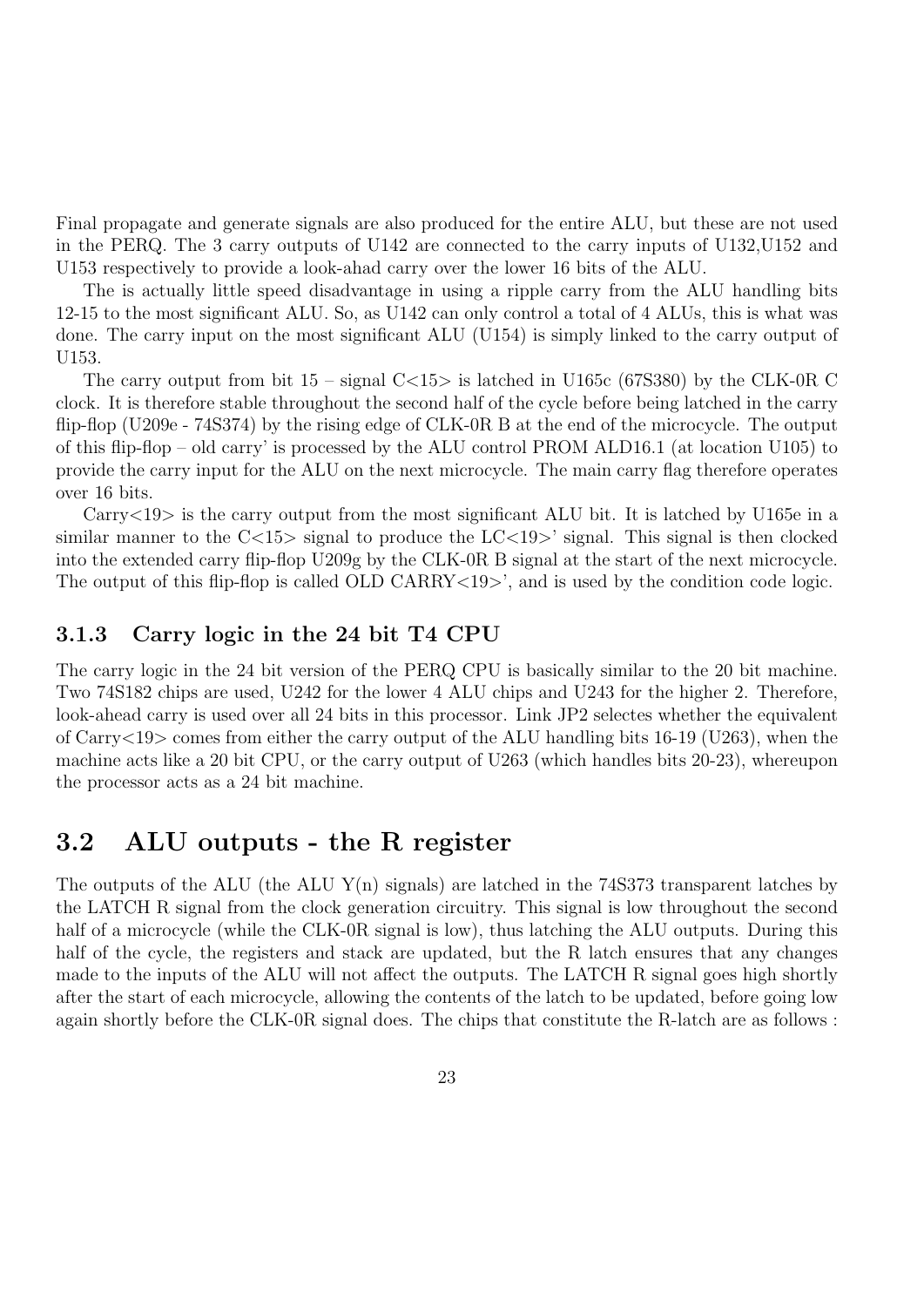Final propagate and generate signals are also produced for the entire ALU, but these are not used in the PERQ. The 3 carry outputs of U142 are connected to the carry inputs of U132,U152 and U153 respectively to provide a look-ahad carry over the lower 16 bits of the ALU.

The is actually little speed disadvantage in using a ripple carry from the ALU handling bits 12-15 to the most significant ALU. So, as U142 can only control a total of 4 ALUs, this is what was done. The carry input on the most significant ALU (U154) is simply linked to the carry output of U153.

The carry output from bit  $15$  – signal C $\lt$ 15 $>$  is latched in U165c (67S380) by the CLK-0R C clock. It is therefore stable throughout the second half of the cycle before being latched in the carry flip-flop (U209e - 74S374) by the rising edge of CLK-0R B at the end of the microcycle. The output of this flip-flop – old carry' is processed by the ALU control PROM ALD16.1 (at location U105) to provide the carry input for the ALU on the next microcycle. The main carry flag therefore operates over 16 bits.

Carry<19> is the carry output from the most significant ALU bit. It is latched by U165e in a similar manner to the  $C<15$  signal to produce the  $LC<19$  signal. This signal is then clocked into the extended carry flip-flop U209g by the CLK-0R B signal at the start of the next microcycle. The output of this flip-flop is called OLD CARRY<19>', and is used by the condition code logic.

## 3.1.3 Carry logic in the 24 bit T4 CPU

The carry logic in the 24 bit version of the PERQ CPU is basically similar to the 20 bit machine. Two 74S182 chips are used, U242 for the lower 4 ALU chips and U243 for the higher 2. Therefore, look-ahead carry is used over all 24 bits in this processor. Link JP2 selectes whether the equivalent of Carry<19> comes from either the carry output of the ALU handling bits 16-19 (U263), when the machine acts like a 20 bit CPU, or the carry output of U263 (which handles bits 20-23), whereupon the processor acts as a 24 bit machine.

# 3.2 ALU outputs - the R register

The outputs of the ALU (the ALU  $Y(n)$  signals) are latched in the 74S373 transparent latches by the LATCH R signal from the clock generation circuitry. This signal is low throughout the second half of a microcycle (while the CLK-0R signal is low), thus latching the ALU outputs. During this half of the cycle, the registers and stack are updated, but the R latch ensures that any changes made to the inputs of the ALU will not affect the outputs. The LATCH R signal goes high shortly after the start of each microcycle, allowing the contents of the latch to be updated, before going low again shortly before the CLK-0R signal does. The chips that constitute the R-latch are as follows :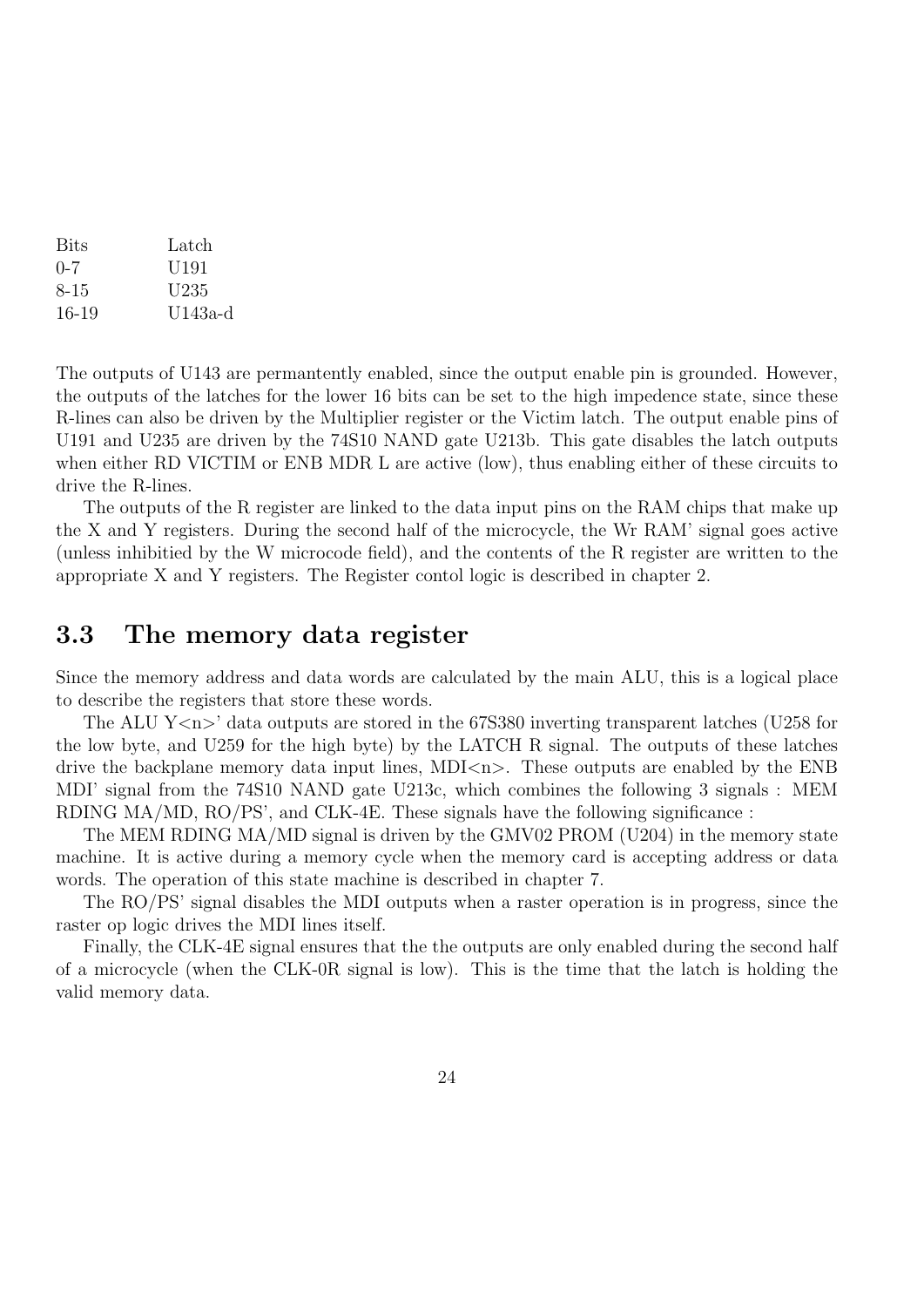| <b>Bits</b> | Latch   |
|-------------|---------|
| $0 - 7$     | U191    |
| 8-15        | U235    |
| 16-19       | U143a-d |

The outputs of U143 are permantently enabled, since the output enable pin is grounded. However, the outputs of the latches for the lower 16 bits can be set to the high impedence state, since these R-lines can also be driven by the Multiplier register or the Victim latch. The output enable pins of U191 and U235 are driven by the 74S10 NAND gate U213b. This gate disables the latch outputs when either RD VICTIM or ENB MDR L are active (low), thus enabling either of these circuits to drive the R-lines.

The outputs of the R register are linked to the data input pins on the RAM chips that make up the X and Y registers. During the second half of the microcycle, the Wr RAM' signal goes active (unless inhibitied by the W microcode field), and the contents of the R register are written to the appropriate X and Y registers. The Register contol logic is described in chapter 2.

## 3.3 The memory data register

Since the memory address and data words are calculated by the main ALU, this is a logical place to describe the registers that store these words.

The ALU Y $\langle n \rangle$ ' data outputs are stored in the 67S380 inverting transparent latches (U258 for the low byte, and U259 for the high byte) by the LATCH R signal. The outputs of these latches drive the backplane memory data input lines,  $MDI < n$ . These outputs are enabled by the ENB MDI' signal from the 74S10 NAND gate U213c, which combines the following 3 signals : MEM RDING MA/MD, RO/PS', and CLK-4E. These signals have the following significance :

The MEM RDING MA/MD signal is driven by the GMV02 PROM (U204) in the memory state machine. It is active during a memory cycle when the memory card is accepting address or data words. The operation of this state machine is described in chapter 7.

The RO/PS' signal disables the MDI outputs when a raster operation is in progress, since the raster op logic drives the MDI lines itself.

Finally, the CLK-4E signal ensures that the the outputs are only enabled during the second half of a microcycle (when the CLK-0R signal is low). This is the time that the latch is holding the valid memory data.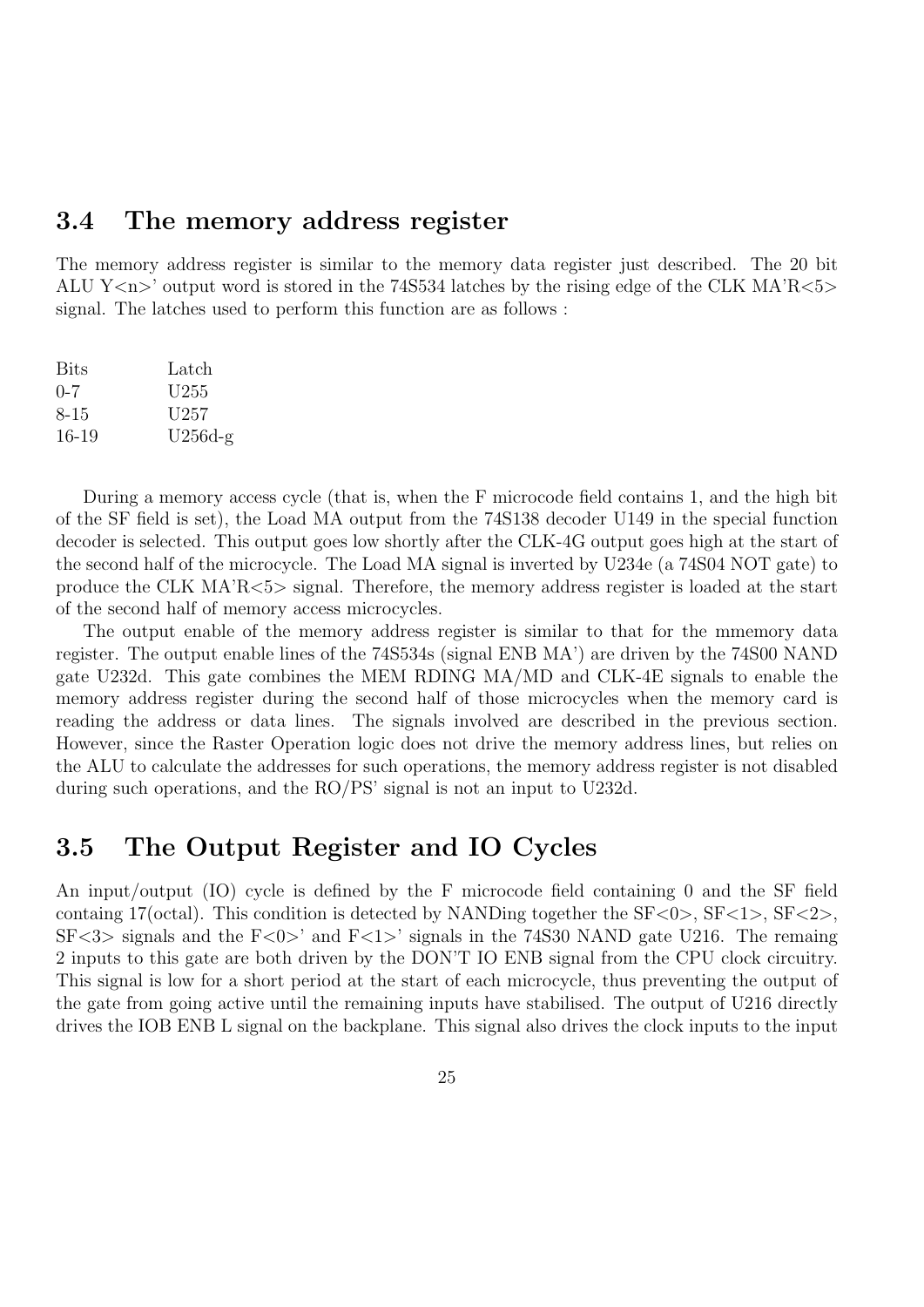## 3.4 The memory address register

The memory address register is similar to the memory data register just described. The 20 bit ALU Y $\langle n \rangle$  output word is stored in the 74S534 latches by the rising edge of the CLK MA'R $\langle 5 \rangle$ signal. The latches used to perform this function are as follows :

| <b>Bits</b> | Latch            |
|-------------|------------------|
| $0 - 7$     | U255             |
| 8-15        | U <sub>257</sub> |
| 16-19       | $U256d-g$        |

During a memory access cycle (that is, when the F microcode field contains 1, and the high bit of the SF field is set), the Load MA output from the 74S138 decoder U149 in the special function decoder is selected. This output goes low shortly after the CLK-4G output goes high at the start of the second half of the microcycle. The Load MA signal is inverted by U234e (a 74S04 NOT gate) to produce the CLK MA'R<5> signal. Therefore, the memory address register is loaded at the start of the second half of memory access microcycles.

The output enable of the memory address register is similar to that for the mmemory data register. The output enable lines of the 74S534s (signal ENB MA') are driven by the 74S00 NAND gate U232d. This gate combines the MEM RDING MA/MD and CLK-4E signals to enable the memory address register during the second half of those microcycles when the memory card is reading the address or data lines. The signals involved are described in the previous section. However, since the Raster Operation logic does not drive the memory address lines, but relies on the ALU to calculate the addresses for such operations, the memory address register is not disabled during such operations, and the RO/PS' signal is not an input to U232d.

# 3.5 The Output Register and IO Cycles

An input/output (IO) cycle is defined by the F microcode field containing 0 and the SF field containg 17(octal). This condition is detected by NANDing together the  $SF < 0$ ,  $SF < 1$ ,  $SF < 2$ ,  $S_{\rm F}$  signals and the  $F$  <0>' and  $F$  <1>' signals in the 74S30 NAND gate U216. The remaing 2 inputs to this gate are both driven by the DON'T IO ENB signal from the CPU clock circuitry. This signal is low for a short period at the start of each microcycle, thus preventing the output of the gate from going active until the remaining inputs have stabilised. The output of U216 directly drives the IOB ENB L signal on the backplane. This signal also drives the clock inputs to the input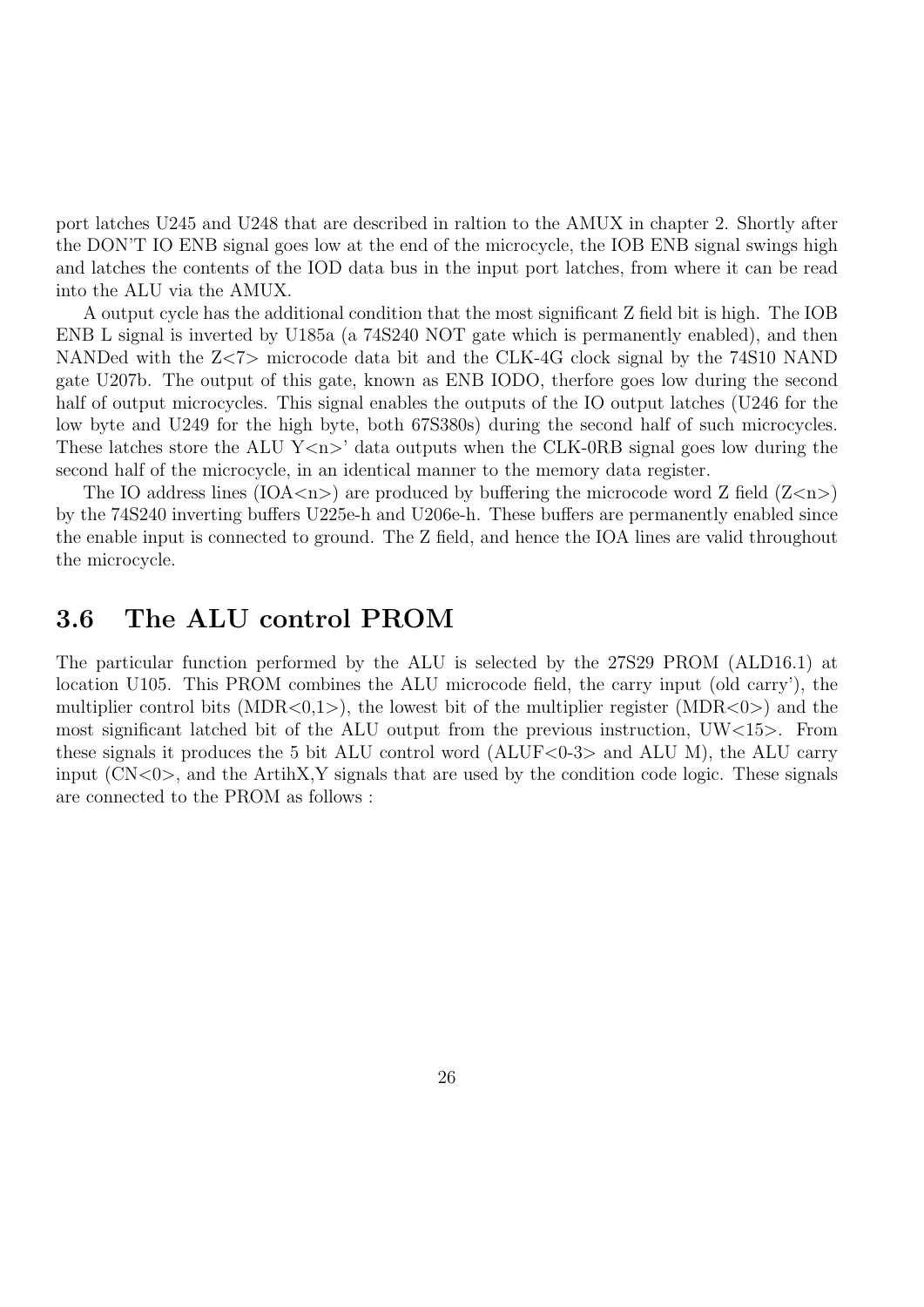port latches U245 and U248 that are described in raltion to the AMUX in chapter 2. Shortly after the DON'T IO ENB signal goes low at the end of the microcycle, the IOB ENB signal swings high and latches the contents of the IOD data bus in the input port latches, from where it can be read into the ALU via the AMUX.

A output cycle has the additional condition that the most significant Z field bit is high. The IOB ENB L signal is inverted by U185a (a 74S240 NOT gate which is permanently enabled), and then NANDed with the Z<7> microcode data bit and the CLK-4G clock signal by the 74S10 NAND gate U207b. The output of this gate, known as ENB IODO, therfore goes low during the second half of output microcycles. This signal enables the outputs of the IO output latches (U246 for the low byte and U249 for the high byte, both 67S380s) during the second half of such microcycles. These latches store the ALU  $Y\langle n \rangle$  data outputs when the CLK-0RB signal goes low during the second half of the microcycle, in an identical manner to the memory data register.

The IO address lines (IOA $\langle n \rangle$ ) are produced by buffering the microcode word Z field (Z $\langle n \rangle$ ) by the 74S240 inverting buffers U225e-h and U206e-h. These buffers are permanently enabled since the enable input is connected to ground. The Z field, and hence the IOA lines are valid throughout the microcycle.

# 3.6 The ALU control PROM

The particular function performed by the ALU is selected by the 27S29 PROM (ALD16.1) at location U105. This PROM combines the ALU microcode field, the carry input (old carry'), the multiplier control bits (MDR $< 0.1$ ), the lowest bit of the multiplier register (MDR $< 0$ ) and the most significant latched bit of the ALU output from the previous instruction, UW<15>. From these signals it produces the 5 bit ALU control word  $(ALUF<0-3)$  and ALU M), the ALU carry input  $(CN<0)$ , and the ArtihX, Y signals that are used by the condition code logic. These signals are connected to the PROM as follows :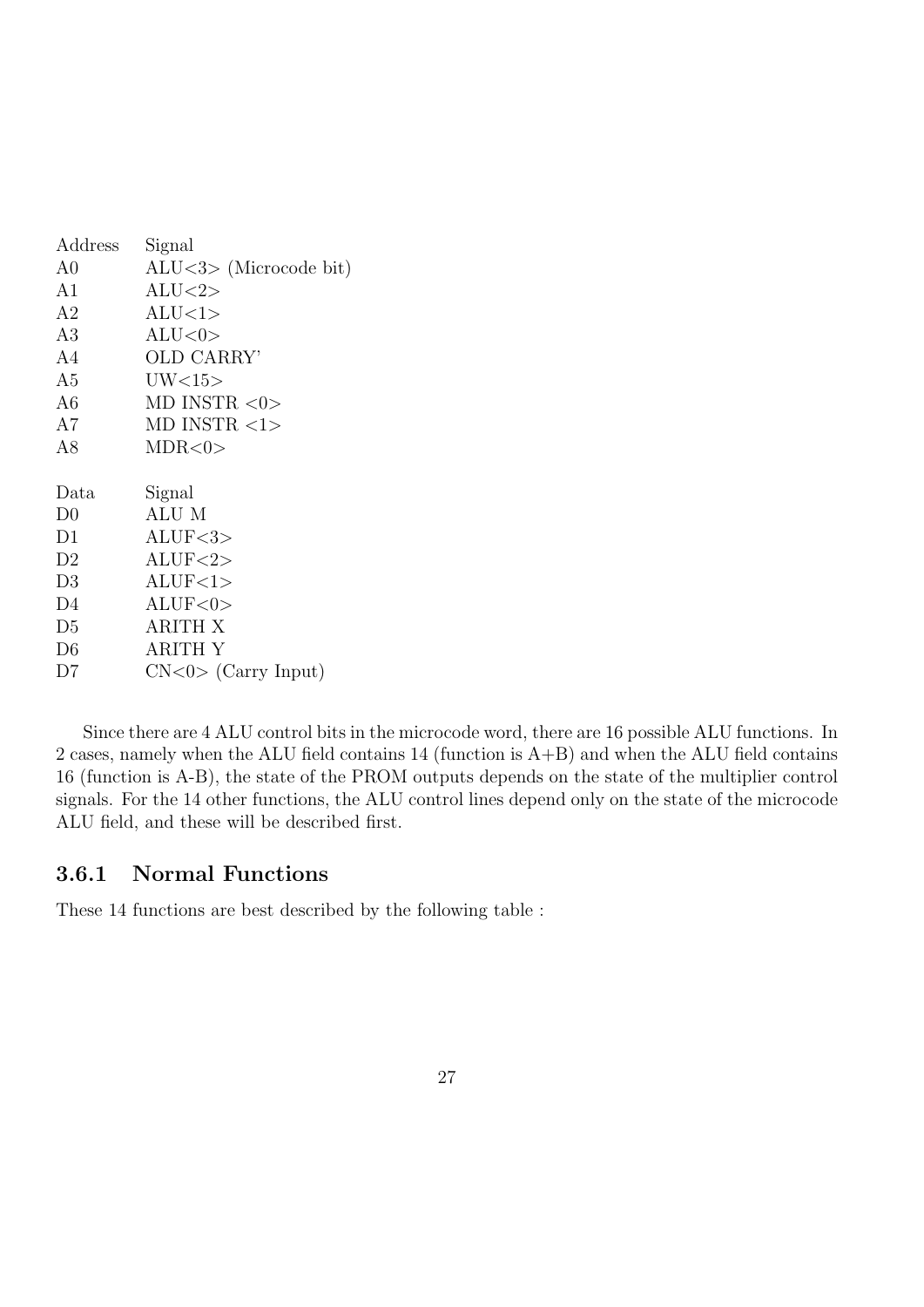| Address                  | Signal                    |
|--------------------------|---------------------------|
| A <sub>0</sub>           | $ALU < 3$ (Microcode bit) |
| A1                       | ALU < 2>                  |
| A2                       | ALU<1>                    |
| A3                       | ALU < 0                   |
| A <sub>4</sub>           | OLD CARRY'                |
| A5                       | UW<15>                    |
| A6                       | MD INSTR $<0>$            |
| A7                       | MD INSTR $<1>$            |
| A8                       | MDR <0>                   |
|                          |                           |
| Data                     | Signal                    |
| D0                       | ALU M                     |
| D1                       | ALUF<3>                   |
| $\rm D2$                 | ALUF<2>                   |
| D3                       | ALUF<1>                   |
| D4                       | ALUF<0>                   |
| $\overline{\mathrm{D}5}$ | <b>ARITH X</b>            |
| D6                       | <b>ARITH Y</b>            |
| D7                       | $CN < 0$ (Carry Input)    |
|                          |                           |

Since there are 4 ALU control bits in the microcode word, there are 16 possible ALU functions. In 2 cases, namely when the ALU field contains  $14$  (function is  $A+B$ ) and when the ALU field contains 16 (function is A-B), the state of the PROM outputs depends on the state of the multiplier control signals. For the 14 other functions, the ALU control lines depend only on the state of the microcode ALU field, and these will be described first.

## 3.6.1 Normal Functions

These 14 functions are best described by the following table :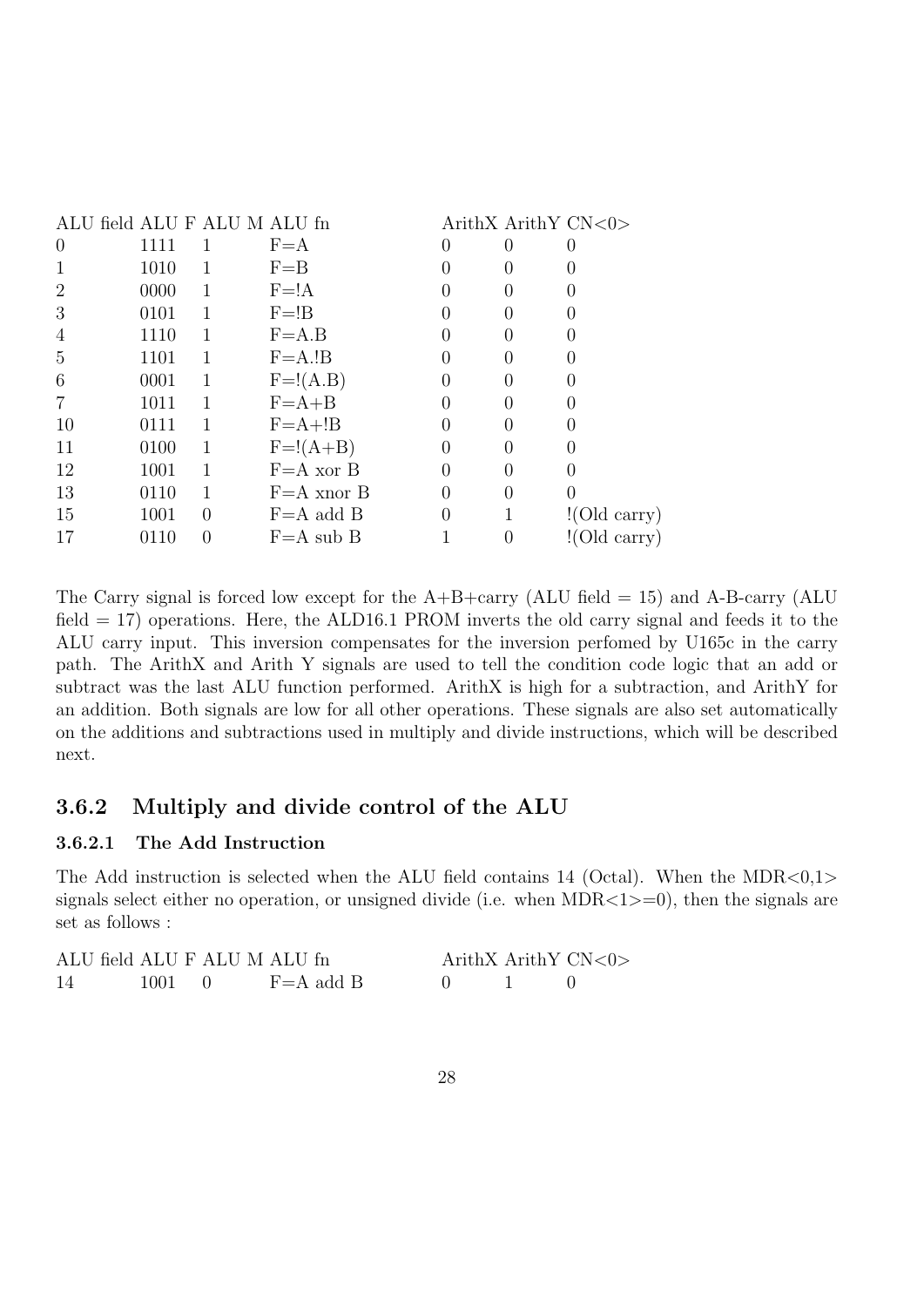| ALU field ALU F ALU M ALU fn |      |   |                |                  |                  | ArithX ArithY CN<0> |
|------------------------------|------|---|----------------|------------------|------------------|---------------------|
| $\left( \right)$             | 1111 |   | $F = A$        | $\theta$         | 0                |                     |
|                              | 1010 |   | $F = B$        |                  |                  |                     |
| 2                            | 0000 |   | $F = !A$       |                  |                  |                     |
| 3                            | 0101 |   | $F = !B$       |                  |                  |                     |
| 4                            | 1110 |   | $F = A.B$      |                  |                  |                     |
| 5                            | 1101 |   | $F = A.IB$     |                  |                  |                     |
| 6                            | 0001 |   | $F=!(A.B)$     |                  |                  |                     |
|                              | 1011 | 1 | $F = A + B$    | 0                | $\left( \right)$ | $\left( \right)$    |
| 10                           | 0111 |   | $F = A + !B$   | $\left( \right)$ |                  |                     |
| 11                           | 0100 | 1 | $F=\xi(A+B)$   | $\theta$         | $\mathbf{0}$     | $\mathcal{O}$       |
| 12                           | 1001 |   | $F = A x$ or B | $\theta$         | 0                |                     |
| 13                           | 0110 | 1 | $F = A$ xnor B | $\Omega$         | $\left( \right)$ | $\mathcal{O}$       |
| 15                           | 1001 | 0 | $F = A$ add B  | $\theta$         | 1                | !(Old carry)        |
| 17                           | 0110 | 0 | $F = A$ sub B  |                  |                  | !(Old carry)        |

The Carry signal is forced low except for the  $A+B+carry$  (ALU field = 15) and A-B-carry (ALU field  $= 17$ ) operations. Here, the ALD16.1 PROM inverts the old carry signal and feeds it to the ALU carry input. This inversion compensates for the inversion perfomed by U165c in the carry path. The ArithX and Arith Y signals are used to tell the condition code logic that an add or subtract was the last ALU function performed. ArithX is high for a subtraction, and ArithY for an addition. Both signals are low for all other operations. These signals are also set automatically on the additions and subtractions used in multiply and divide instructions, which will be described next.

## 3.6.2 Multiply and divide control of the ALU

## 3.6.2.1 The Add Instruction

The Add instruction is selected when the ALU field contains 14 (Octal). When the MDR<0,1> signals select either no operation, or unsigned divide (i.e. when  $MDR<1>=0$ ), then the signals are set as follows :

| ALU field ALU F ALU M ALU fn |                |               |                                           | ArithX ArithY $CN < 0$ |
|------------------------------|----------------|---------------|-------------------------------------------|------------------------|
| 14                           | $1001 \quad 0$ | $F = A$ add B | $\begin{pmatrix} 1 & 1 & 1 \end{pmatrix}$ |                        |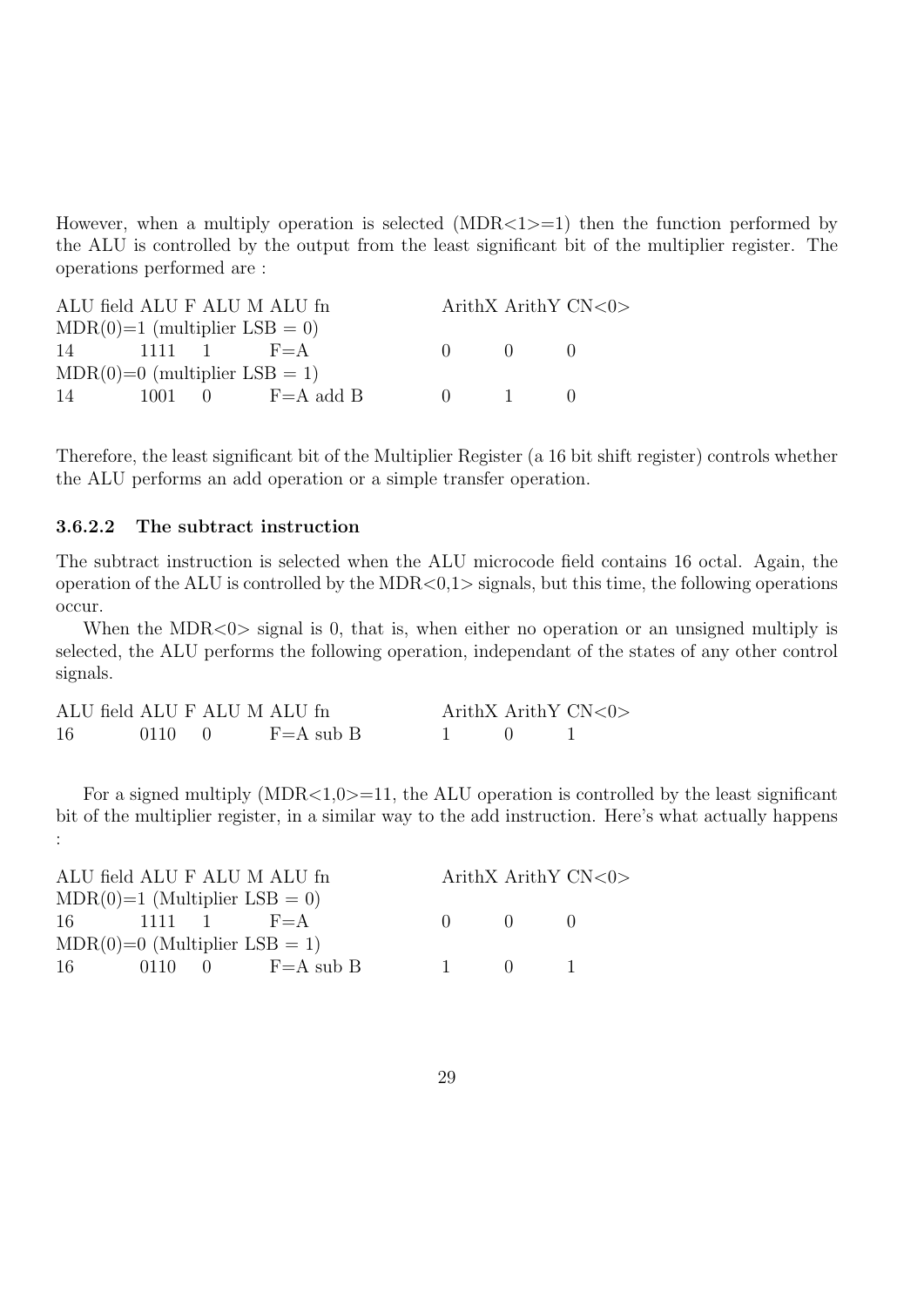However, when a multiply operation is selected  $(MDR<1>1)$  then the function performed by the ALU is controlled by the output from the least significant bit of the multiplier register. The operations performed are :

| ALU field ALU F ALU M ALU fn    |  |                                         |              |          | ArithX ArithY CN<0> |
|---------------------------------|--|-----------------------------------------|--------------|----------|---------------------|
| $MDR(0)=1$ (multiplier LSB = 0) |  |                                         |              |          |                     |
| $14$ 1111 1 F=A                 |  |                                         | $\mathbf{0}$ | $\Box$   |                     |
| $MDR(0)=0$ (multiplier LSB = 1) |  |                                         |              |          |                     |
| 14                              |  | $1001 \quad 0 \quad F=A \text{ add } B$ | $\bigcap$    | $\sim$ 1 |                     |

Therefore, the least significant bit of the Multiplier Register (a 16 bit shift register) controls whether the ALU performs an add operation or a simple transfer operation.

#### 3.6.2.2 The subtract instruction

The subtract instruction is selected when the ALU microcode field contains 16 octal. Again, the operation of the ALU is controlled by the MDR $< 0,1>$  signals, but this time, the following operations occur.

When the MDR $<0>$  signal is 0, that is, when either no operation or an unsigned multiply is selected, the ALU performs the following operation, independant of the states of any other control signals.

| ALU field ALU F ALU M ALU fn |                |               |  | ArithX ArithY $CN < 0$ |
|------------------------------|----------------|---------------|--|------------------------|
| 16                           | $0110 \quad 0$ | $F = A$ sub B |  |                        |

For a signed multiply  $(MDR<1,0>=11$ , the ALU operation is controlled by the least significant bit of the multiplier register, in a similar way to the add instruction. Here's what actually happens :

| ALU field ALU F ALU M ALU fn    |  |                          |                   |                 | ArithX ArithY $CN < 0$ |
|---------------------------------|--|--------------------------|-------------------|-----------------|------------------------|
| $MDR(0)=1$ (Multiplier LSB = 0) |  |                          |                   |                 |                        |
| $16 \t 1111 \t 1 \t F = A$      |  |                          | $\mathbf{0}$      | $\Box$          | $\Box$                 |
| $MDR(0)=0$ (Multiplier LSB = 1) |  |                          |                   |                 |                        |
|                                 |  | 16 $0110 \t 0$ F=A sub B | $\sim$ 1.0 $\sim$ | $\sim$ 0 $\sim$ |                        |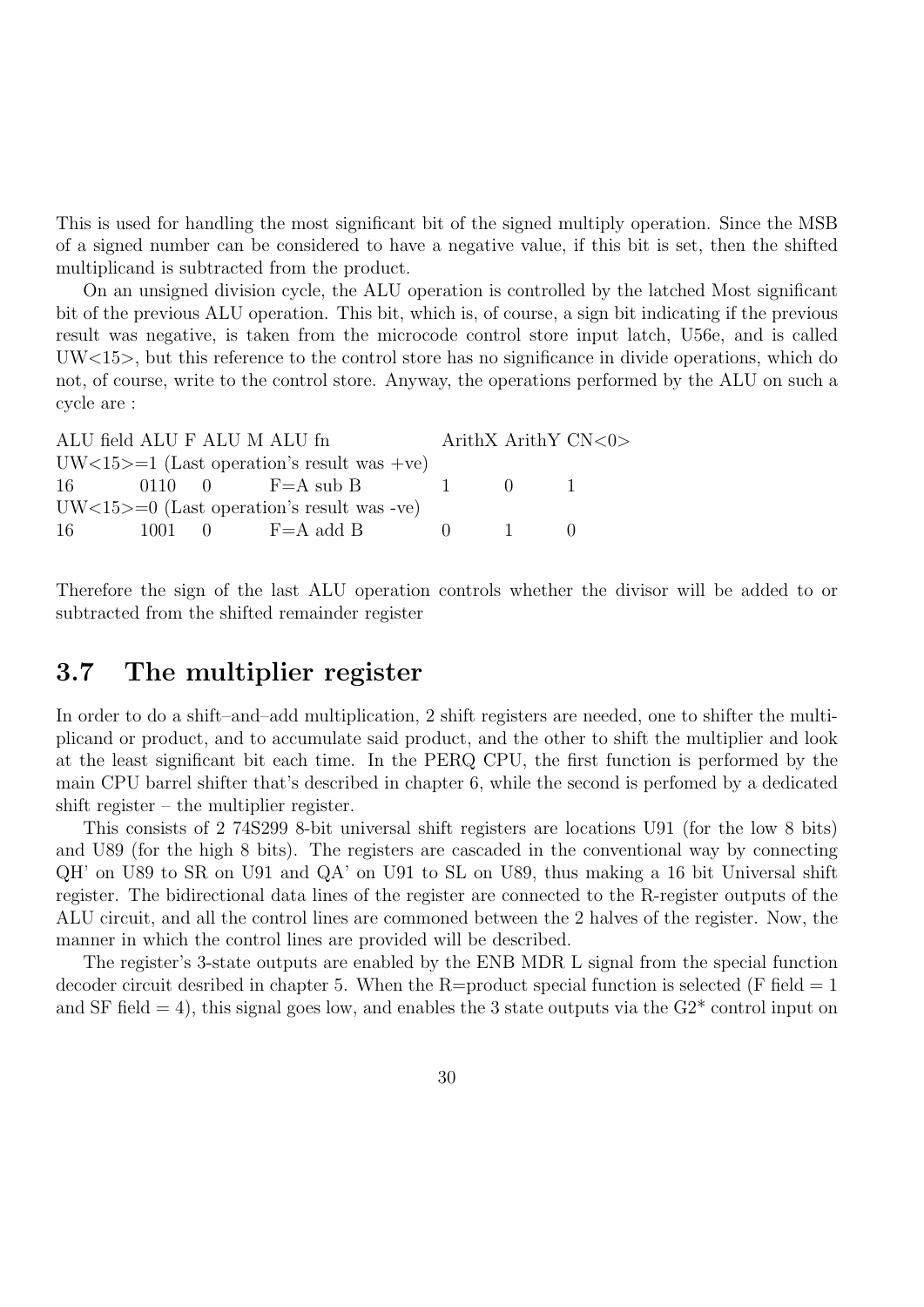This is used for handling the most significant bit of the signed multiply operation. Since the MSB of a signed number can be considered to have a negative value, if this bit is set, then the shifted multiplicand is subtracted from the product.

On an unsigned division cycle, the ALU operation is controlled by the latched Most significant bit of the previous ALU operation. This bit, which is, of course, a sign bit indicating if the previous result was negative, is taken from the microcode control store input latch, U56e, and is called UW<15>, but this reference to the control store has no significance in divide operations, which do not, of course, write to the control store. Anyway, the operations performed by the ALU on such a cycle are :

| ALU field ALU F ALU M ALU fn |  |                                                      |                  | ArithX ArithY $CN < 0$ |
|------------------------------|--|------------------------------------------------------|------------------|------------------------|
|                              |  | $UW<15>=1$ (Last operation's result was +ve)         |                  |                        |
|                              |  | $16 \t\t 0110 \t\t 0 \t\t F=A \text{ sub } B \t\t 1$ | $\mathbf{u}$     | and the state          |
|                              |  | $UW<15>=0$ (Last operation's result was -ve)         |                  |                        |
|                              |  | 16 $1001 \t 0 \t F = A \t add B \t 0$                | and the contract |                        |

Therefore the sign of the last ALU operation controls whether the divisor will be added to or subtracted from the shifted remainder register

# 3.7 The multiplier register

In order to do a shift–and–add multiplication, 2 shift registers are needed, one to shifter the multiplicand or product, and to accumulate said product, and the other to shift the multiplier and look at the least significant bit each time. In the PERQ CPU, the first function is performed by the main CPU barrel shifter that's described in chapter 6, while the second is perfomed by a dedicated shift register – the multiplier register.

This consists of 2 74S299 8-bit universal shift registers are locations U91 (for the low 8 bits) and U89 (for the high 8 bits). The registers are cascaded in the conventional way by connecting QH' on U89 to SR on U91 and QA' on U91 to SL on U89, thus making a 16 bit Universal shift register. The bidirectional data lines of the register are connected to the R-register outputs of the ALU circuit, and all the control lines are commoned between the 2 halves of the register. Now, the manner in which the control lines are provided will be described.

The register's 3-state outputs are enabled by the ENB MDR L signal from the special function decoder circuit desribed in chapter 5. When the R=product special function is selected (F field  $= 1$ ) and SF field  $= 4$ ), this signal goes low, and enables the 3 state outputs via the  $G2^*$  control input on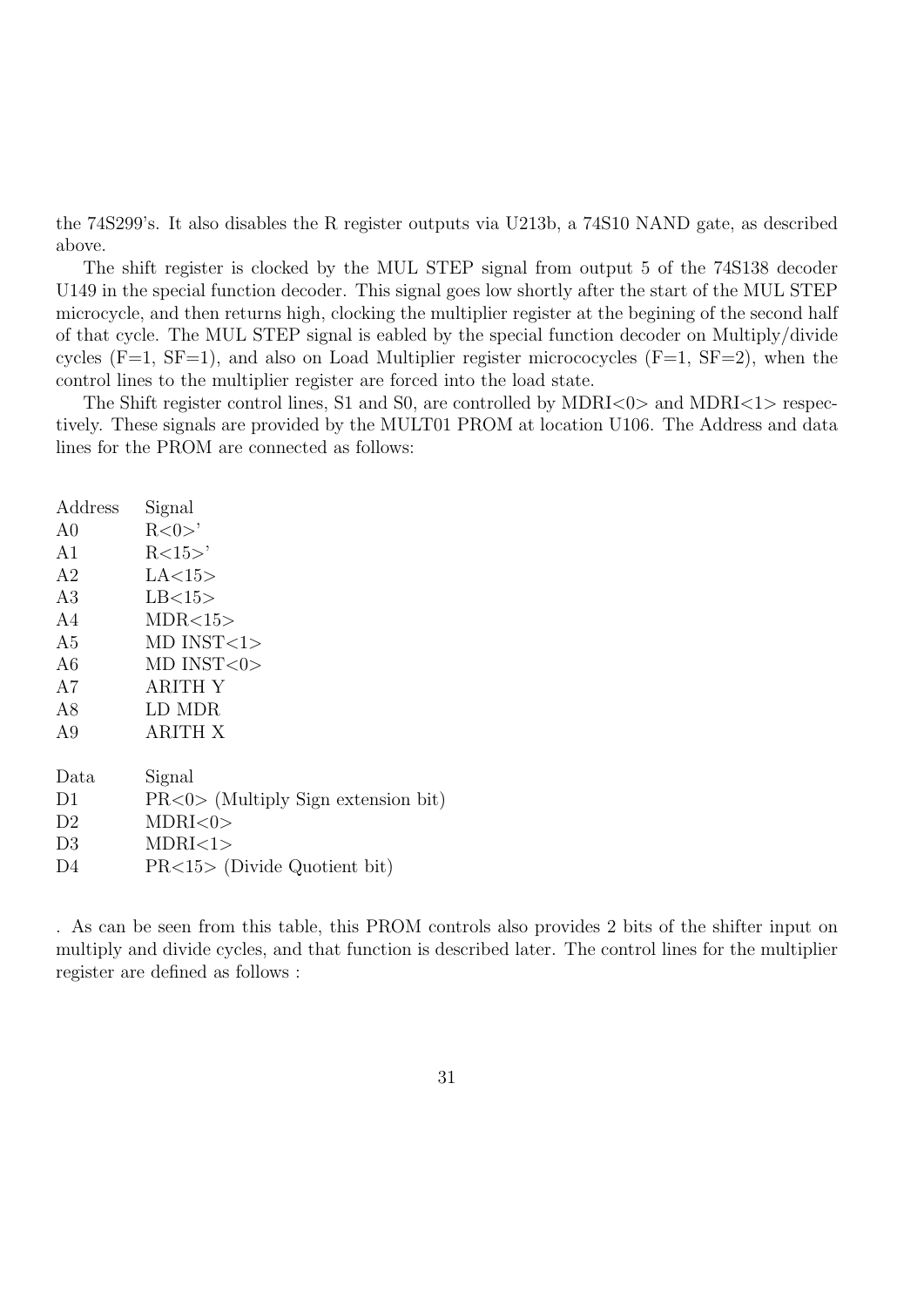the 74S299's. It also disables the R register outputs via U213b, a 74S10 NAND gate, as described above.

The shift register is clocked by the MUL STEP signal from output 5 of the 74S138 decoder U149 in the special function decoder. This signal goes low shortly after the start of the MUL STEP microcycle, and then returns high, clocking the multiplier register at the begining of the second half of that cycle. The MUL STEP signal is eabled by the special function decoder on Multiply/divide cycles  $(F=1, SF=1)$ , and also on Load Multiplier register micrococycles  $(F=1, SF=2)$ , when the control lines to the multiplier register are forced into the load state.

The Shift register control lines, S1 and S0, are controlled by  $MDRI < 0$  and  $MDRI < 1$  respectively. These signals are provided by the MULT01 PROM at location U106. The Address and data lines for the PROM are connected as follows:

| Address        | Signal                                  |
|----------------|-----------------------------------------|
| A <sub>0</sub> | R < 0 >'                                |
| A <sub>1</sub> | R<15>                                   |
| A <sub>2</sub> | LA < 15                                 |
| A <sub>3</sub> | LB<15>                                  |
| A4             | MDR < 15                                |
| A <sub>5</sub> | $MD$ $INST < 1>$                        |
| A <sub>6</sub> | $MD$ $INST < 0$                         |
| A7             | ARITH Y                                 |
| A8             | LD MDR                                  |
| A9             | <b>ARITH X</b>                          |
|                |                                         |
| Data           | Signal                                  |
| D1             | $PR < 0$ (Multiply                      |
| D <sub>2</sub> | MDRI <0>                                |
| D <sub>3</sub> | MDRI<1>                                 |
| $\mathbf{D}$   | $DD \geq 15$ $\lt$ $(D)$ $\ldots$ $J_2$ |

D4 PR<15> (Divide Quotient bit)

. As can be seen from this table, this PROM controls also provides 2 bits of the shifter input on multiply and divide cycles, and that function is described later. The control lines for the multiplier register are defined as follows :

Sign extension bit)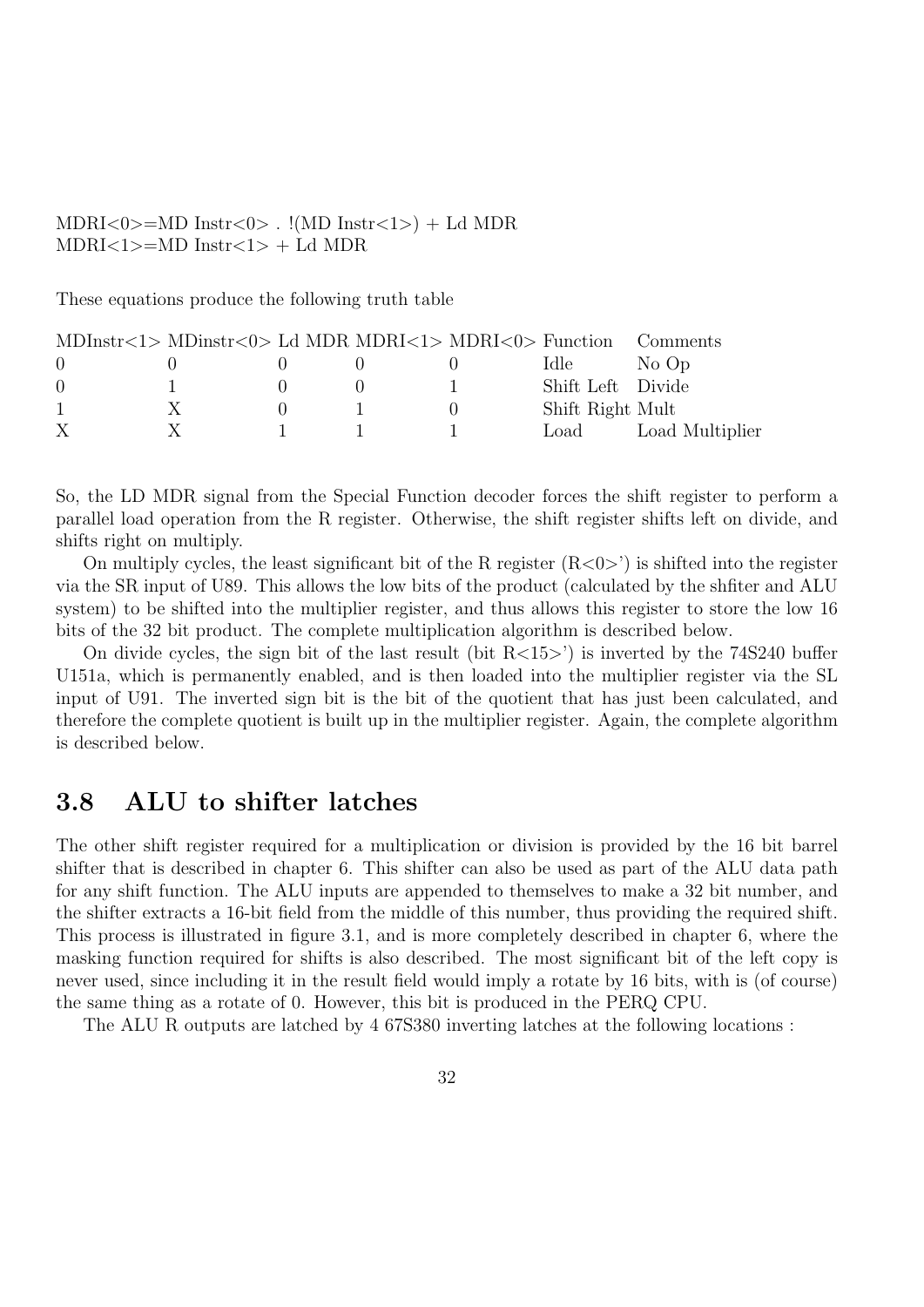$MDRI<0>=MD$  Instr $<0>$ .  $!(MD$  Instr $<1>)$  + Ld MDR  $MDRI<1>=MD$  Instr<1> + Ld MDR

These equations produce the following truth table

| $MDInstr < 1 > MDinstr < 0 > Ld MDR MDRI < 1 > MDRI < 0 > Function$ |   |  |                   | – Comments      |
|---------------------------------------------------------------------|---|--|-------------------|-----------------|
| $\left( \right)$                                                    |   |  | Idle -            | No Op           |
| $\Omega$                                                            |   |  | Shift Left Divide |                 |
|                                                                     |   |  | Shift Right Mult  |                 |
|                                                                     | X |  | Load              | Load Multiplier |

So, the LD MDR signal from the Special Function decoder forces the shift register to perform a parallel load operation from the R register. Otherwise, the shift register shifts left on divide, and shifts right on multiply.

On multiply cycles, the least significant bit of the R register  $(R<0>)$  is shifted into the register via the SR input of U89. This allows the low bits of the product (calculated by the shfiter and ALU system) to be shifted into the multiplier register, and thus allows this register to store the low 16 bits of the 32 bit product. The complete multiplication algorithm is described below.

On divide cycles, the sign bit of the last result (bit  $R<15>$ ) is inverted by the 74S240 buffer U151a, which is permanently enabled, and is then loaded into the multiplier register via the SL input of U91. The inverted sign bit is the bit of the quotient that has just been calculated, and therefore the complete quotient is built up in the multiplier register. Again, the complete algorithm is described below.

# 3.8 ALU to shifter latches

The other shift register required for a multiplication or division is provided by the 16 bit barrel shifter that is described in chapter 6. This shifter can also be used as part of the ALU data path for any shift function. The ALU inputs are appended to themselves to make a 32 bit number, and the shifter extracts a 16-bit field from the middle of this number, thus providing the required shift. This process is illustrated in figure 3.1, and is more completely described in chapter 6, where the masking function required for shifts is also described. The most significant bit of the left copy is never used, since including it in the result field would imply a rotate by 16 bits, with is (of course) the same thing as a rotate of 0. However, this bit is produced in the PERQ CPU.

The ALU R outputs are latched by 4 67S380 inverting latches at the following locations :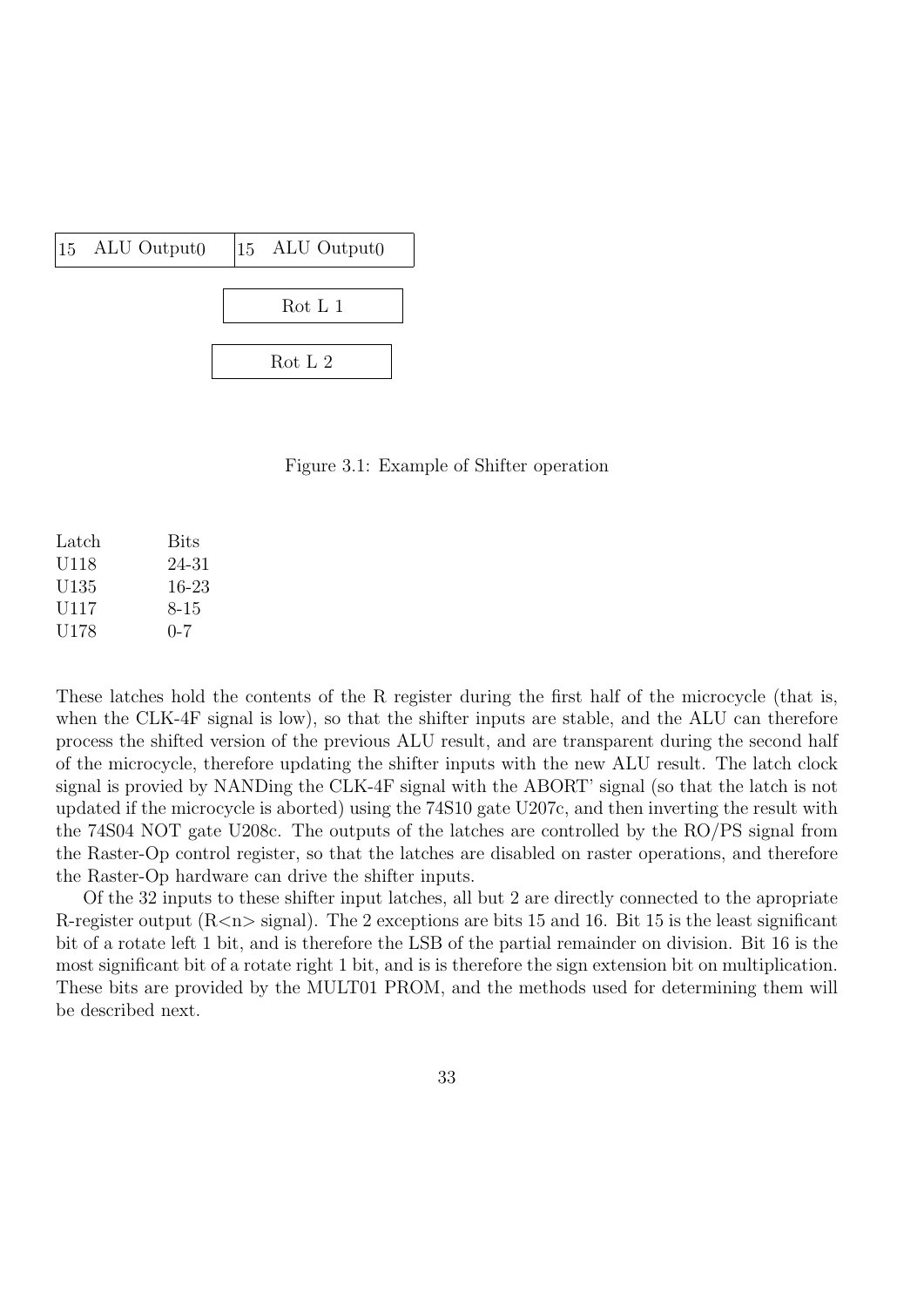

Figure 3.1: Example of Shifter operation

| Latch | <b>Bits</b> |
|-------|-------------|
| U118  | 24-31       |
| U135  | 16-23       |
| U117  | 8-15        |
| U178  | $0 - 7$     |

These latches hold the contents of the R register during the first half of the microcycle (that is, when the CLK-4F signal is low), so that the shifter inputs are stable, and the ALU can therefore process the shifted version of the previous ALU result, and are transparent during the second half of the microcycle, therefore updating the shifter inputs with the new ALU result. The latch clock signal is provied by NANDing the CLK-4F signal with the ABORT' signal (so that the latch is not updated if the microcycle is aborted) using the 74S10 gate U207c, and then inverting the result with the 74S04 NOT gate U208c. The outputs of the latches are controlled by the RO/PS signal from the Raster-Op control register, so that the latches are disabled on raster operations, and therefore the Raster-Op hardware can drive the shifter inputs.

Of the 32 inputs to these shifter input latches, all but 2 are directly connected to the apropriate R-register output  $(R < n >$  signal). The 2 exceptions are bits 15 and 16. Bit 15 is the least significant bit of a rotate left 1 bit, and is therefore the LSB of the partial remainder on division. Bit 16 is the most significant bit of a rotate right 1 bit, and is is therefore the sign extension bit on multiplication. These bits are provided by the MULT01 PROM, and the methods used for determining them will be described next.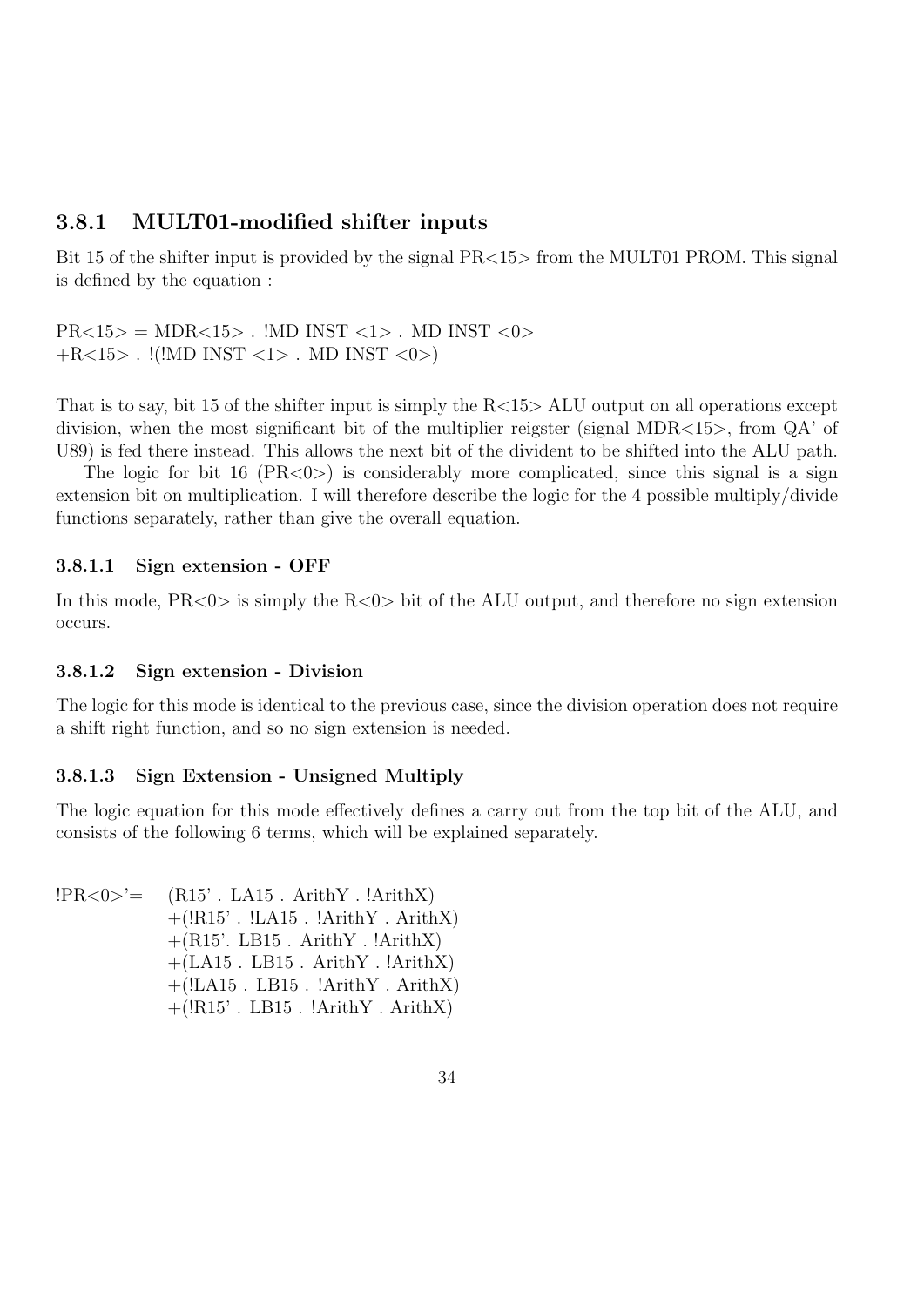### 3.8.1 MULT01-modified shifter inputs

Bit 15 of the shifter input is provided by the signal PR<15> from the MULT01 PROM. This signal is defined by the equation :

```
PR < 15 = MDR< 15 . IMD INST < 1 > . MD INST < 0 >
+R<15>. !(!MD INST <1> . MD INST <0>)
```
That is to say, bit 15 of the shifter input is simply the  $R<15$  ALU output on all operations except division, when the most significant bit of the multiplier reigster (signal MDR $<15$ ), from  $QA'$  of U89) is fed there instead. This allows the next bit of the divident to be shifted into the ALU path.

The logic for bit 16 ( $PR < 0$ ) is considerably more complicated, since this signal is a sign extension bit on multiplication. I will therefore describe the logic for the 4 possible multiply/divide functions separately, rather than give the overall equation.

#### 3.8.1.1 Sign extension - OFF

In this mode,  $PR < 0$  is simply the  $R < 0$  bit of the ALU output, and therefore no sign extension occurs.

#### 3.8.1.2 Sign extension - Division

The logic for this mode is identical to the previous case, since the division operation does not require a shift right function, and so no sign extension is needed.

#### 3.8.1.3 Sign Extension - Unsigned Multiply

The logic equation for this mode effectively defines a carry out from the top bit of the ALU, and consists of the following 6 terms, which will be explained separately.

 $\text{IPR} < 0 > ' = (R15'. \text{LA}15 \text{ Arith} Y \text{ Arith} X)$  $+(!R15'.\;!LA15'.\;!ArithY'.ArithX)$  $+(R15)$ . LB15 . ArithY . !ArithX)  $+(LA15$ . LB15. ArithY. !ArithX)  $+(!LA15$ . LB15.  $!ArithY$ .  $ArithX)$  $+(!R15'.LB15'.IArithY.ArithX)$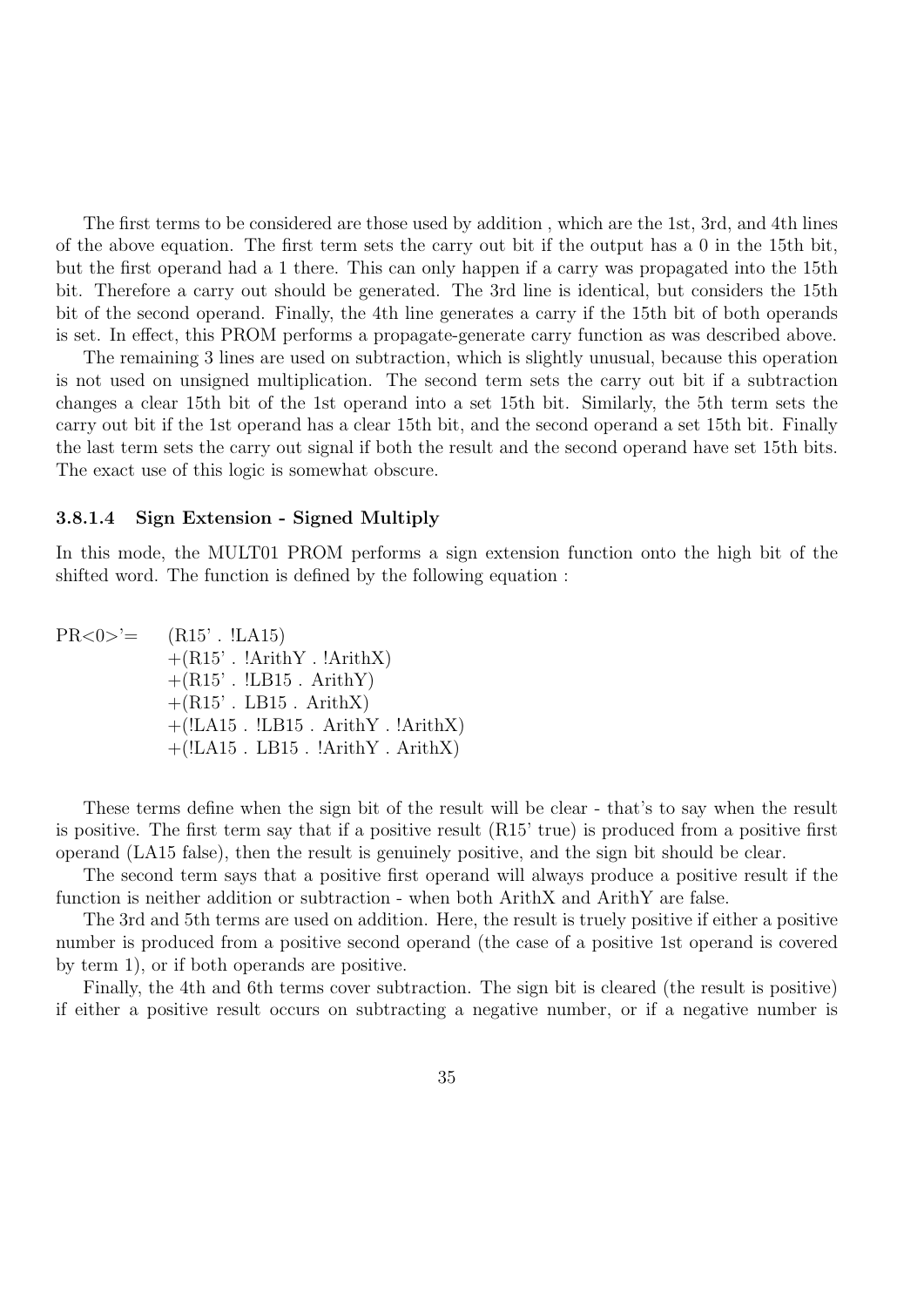The first terms to be considered are those used by addition , which are the 1st, 3rd, and 4th lines of the above equation. The first term sets the carry out bit if the output has a 0 in the 15th bit, but the first operand had a 1 there. This can only happen if a carry was propagated into the 15th bit. Therefore a carry out should be generated. The 3rd line is identical, but considers the 15th bit of the second operand. Finally, the 4th line generates a carry if the 15th bit of both operands is set. In effect, this PROM performs a propagate-generate carry function as was described above.

The remaining 3 lines are used on subtraction, which is slightly unusual, because this operation is not used on unsigned multiplication. The second term sets the carry out bit if a subtraction changes a clear 15th bit of the 1st operand into a set 15th bit. Similarly, the 5th term sets the carry out bit if the 1st operand has a clear 15th bit, and the second operand a set 15th bit. Finally the last term sets the carry out signal if both the result and the second operand have set 15th bits. The exact use of this logic is somewhat obscure.

#### 3.8.1.4 Sign Extension - Signed Multiply

In this mode, the MULT01 PROM performs a sign extension function onto the high bit of the shifted word. The function is defined by the following equation :

| $PR < 0 >' = (R15'. \text{ L}A15)$                   |
|------------------------------------------------------|
| $+(R15)$ . !ArithY. !ArithX)                         |
| $+(R15)$ . !LB15. ArithY)                            |
| $+(R15)$ . LB15. ArithX)                             |
| $+(!LA15 \tcdot !LB15 \tcdot ArithY \tcdot !ArithX)$ |
| $+(!LA15$ . LB15. $!ArithY$ . $ArithX)$              |

These terms define when the sign bit of the result will be clear - that's to say when the result is positive. The first term say that if a positive result (R15' true) is produced from a positive first operand (LA15 false), then the result is genuinely positive, and the sign bit should be clear.

The second term says that a positive first operand will always produce a positive result if the function is neither addition or subtraction - when both ArithX and ArithY are false.

The 3rd and 5th terms are used on addition. Here, the result is truely positive if either a positive number is produced from a positive second operand (the case of a positive 1st operand is covered by term 1), or if both operands are positive.

Finally, the 4th and 6th terms cover subtraction. The sign bit is cleared (the result is positive) if either a positive result occurs on subtracting a negative number, or if a negative number is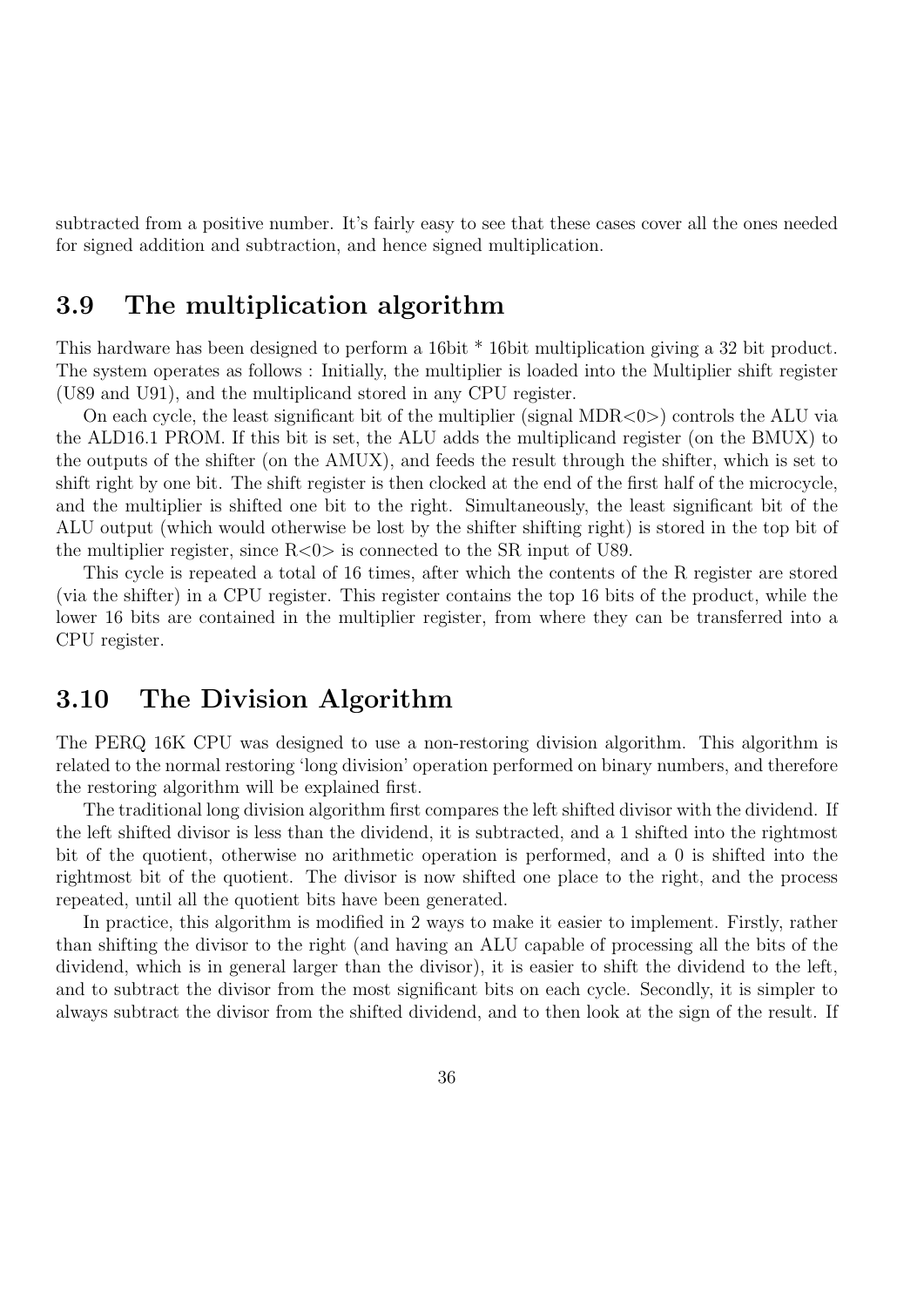subtracted from a positive number. It's fairly easy to see that these cases cover all the ones needed for signed addition and subtraction, and hence signed multiplication.

# 3.9 The multiplication algorithm

This hardware has been designed to perform a 16bit \* 16bit multiplication giving a 32 bit product. The system operates as follows : Initially, the multiplier is loaded into the Multiplier shift register (U89 and U91), and the multiplicand stored in any CPU register.

On each cycle, the least significant bit of the multiplier (signal  $MDR < 0$ ) controls the ALU via the ALD16.1 PROM. If this bit is set, the ALU adds the multiplicand register (on the BMUX) to the outputs of the shifter (on the AMUX), and feeds the result through the shifter, which is set to shift right by one bit. The shift register is then clocked at the end of the first half of the microcycle, and the multiplier is shifted one bit to the right. Simultaneously, the least significant bit of the ALU output (which would otherwise be lost by the shifter shifting right) is stored in the top bit of the multiplier register, since  $R \langle 0 \rangle$  is connected to the SR input of U89.

This cycle is repeated a total of 16 times, after which the contents of the R register are stored (via the shifter) in a CPU register. This register contains the top 16 bits of the product, while the lower 16 bits are contained in the multiplier register, from where they can be transferred into a CPU register.

# 3.10 The Division Algorithm

The PERQ 16K CPU was designed to use a non-restoring division algorithm. This algorithm is related to the normal restoring 'long division' operation performed on binary numbers, and therefore the restoring algorithm will be explained first.

The traditional long division algorithm first compares the left shifted divisor with the dividend. If the left shifted divisor is less than the dividend, it is subtracted, and a 1 shifted into the rightmost bit of the quotient, otherwise no arithmetic operation is performed, and a 0 is shifted into the rightmost bit of the quotient. The divisor is now shifted one place to the right, and the process repeated, until all the quotient bits have been generated.

In practice, this algorithm is modified in 2 ways to make it easier to implement. Firstly, rather than shifting the divisor to the right (and having an ALU capable of processing all the bits of the dividend, which is in general larger than the divisor), it is easier to shift the dividend to the left, and to subtract the divisor from the most significant bits on each cycle. Secondly, it is simpler to always subtract the divisor from the shifted dividend, and to then look at the sign of the result. If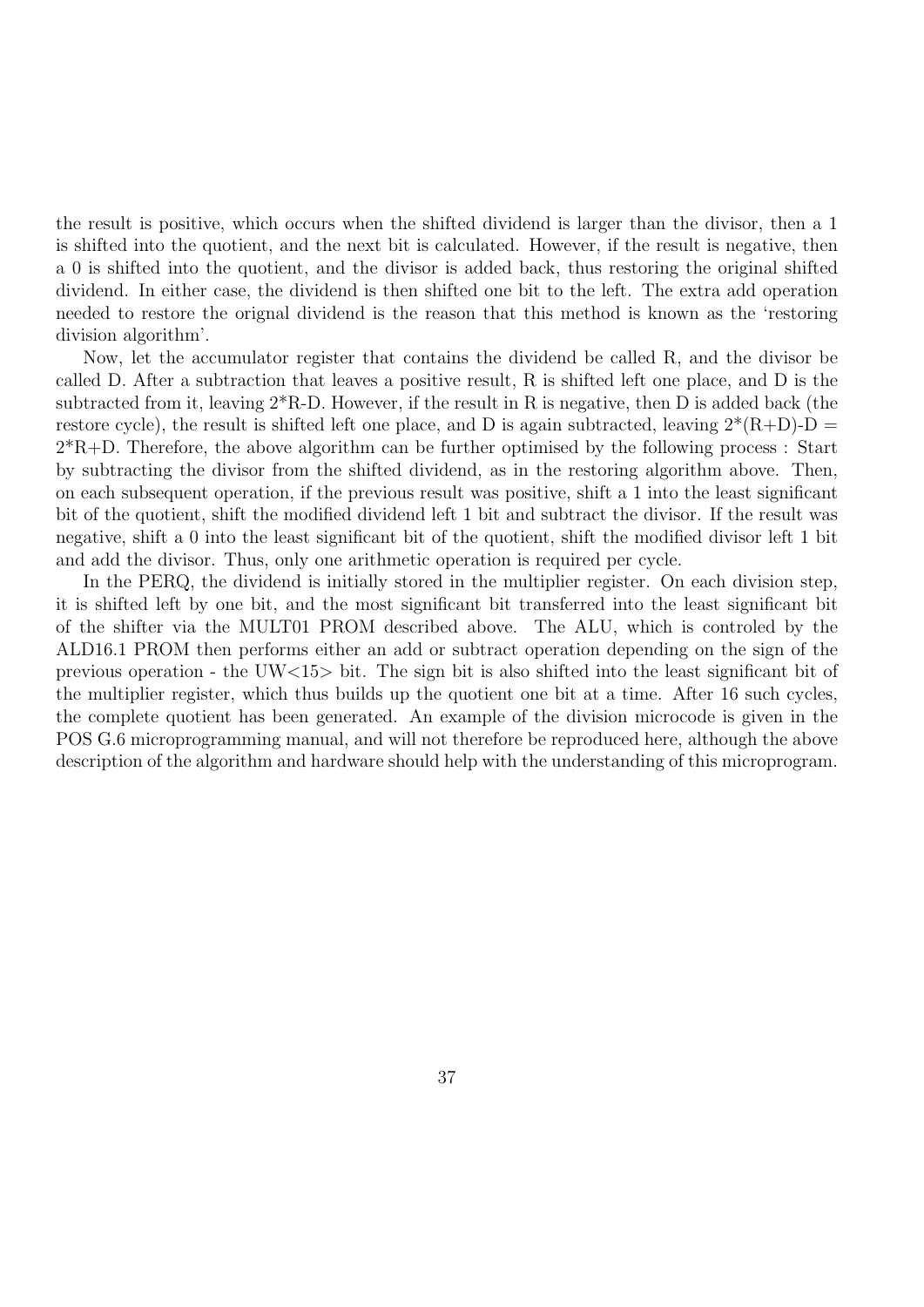the result is positive, which occurs when the shifted dividend is larger than the divisor, then a 1 is shifted into the quotient, and the next bit is calculated. However, if the result is negative, then a 0 is shifted into the quotient, and the divisor is added back, thus restoring the original shifted dividend. In either case, the dividend is then shifted one bit to the left. The extra add operation needed to restore the orignal dividend is the reason that this method is known as the 'restoring division algorithm'.

Now, let the accumulator register that contains the dividend be called R, and the divisor be called D. After a subtraction that leaves a positive result, R is shifted left one place, and D is the subtracted from it, leaving 2\*R-D. However, if the result in R is negative, then D is added back (the restore cycle), the result is shifted left one place, and D is again subtracted, leaving  $2^*(R+D)-D =$  $2*R+D$ . Therefore, the above algorithm can be further optimised by the following process : Start by subtracting the divisor from the shifted dividend, as in the restoring algorithm above. Then, on each subsequent operation, if the previous result was positive, shift a 1 into the least significant bit of the quotient, shift the modified dividend left 1 bit and subtract the divisor. If the result was negative, shift a 0 into the least significant bit of the quotient, shift the modified divisor left 1 bit and add the divisor. Thus, only one arithmetic operation is required per cycle.

In the PERQ, the dividend is initially stored in the multiplier register. On each division step, it is shifted left by one bit, and the most significant bit transferred into the least significant bit of the shifter via the MULT01 PROM described above. The ALU, which is controled by the ALD16.1 PROM then performs either an add or subtract operation depending on the sign of the previous operation - the UW $\lt 15$  bit. The sign bit is also shifted into the least significant bit of the multiplier register, which thus builds up the quotient one bit at a time. After 16 such cycles, the complete quotient has been generated. An example of the division microcode is given in the POS G.6 microprogramming manual, and will not therefore be reproduced here, although the above description of the algorithm and hardware should help with the understanding of this microprogram.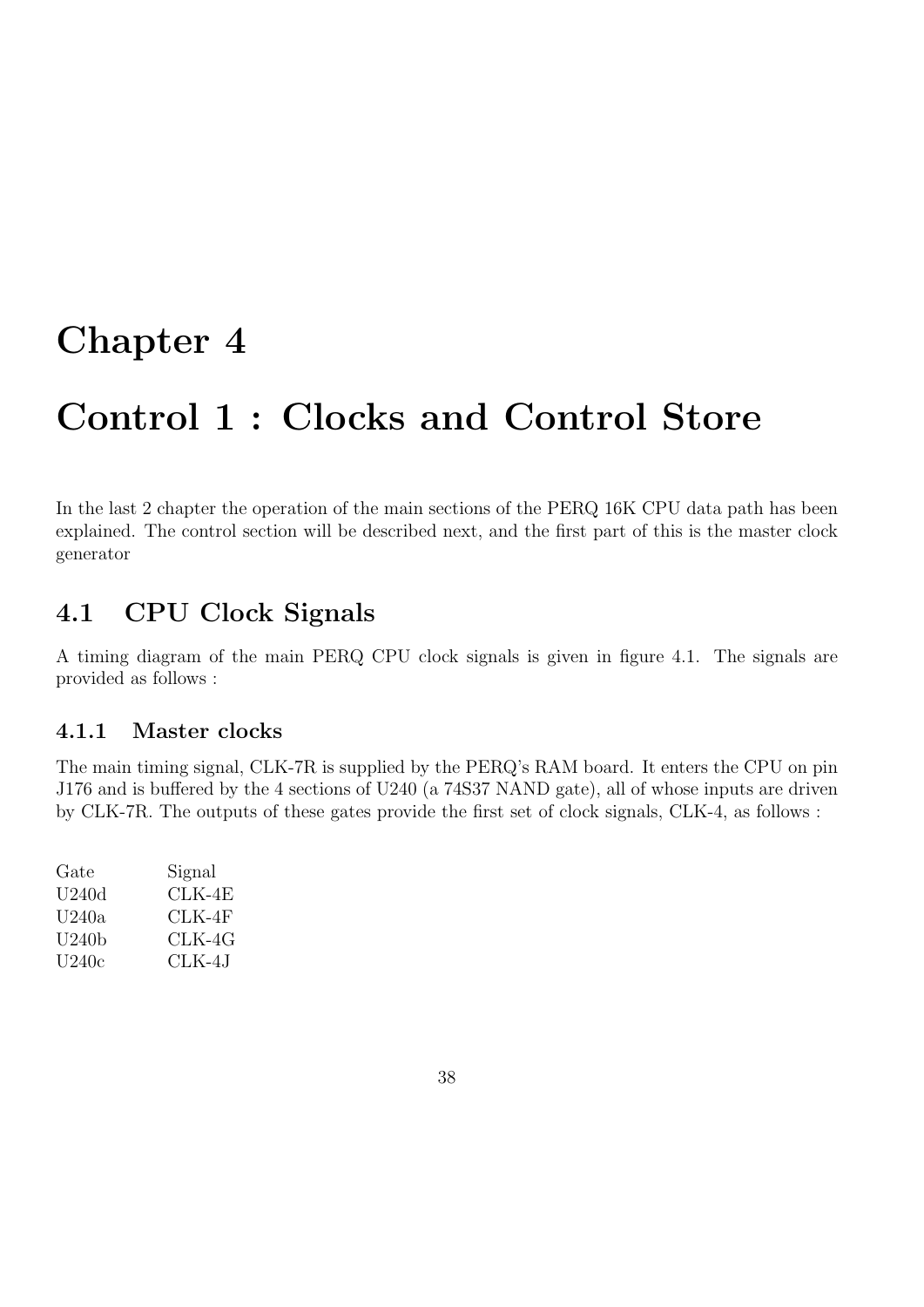# Chapter 4

# Control 1 : Clocks and Control Store

In the last 2 chapter the operation of the main sections of the PERQ 16K CPU data path has been explained. The control section will be described next, and the first part of this is the master clock generator

# 4.1 CPU Clock Signals

A timing diagram of the main PERQ CPU clock signals is given in figure 4.1. The signals are provided as follows :

## 4.1.1 Master clocks

The main timing signal, CLK-7R is supplied by the PERQ's RAM board. It enters the CPU on pin J176 and is buffered by the 4 sections of U240 (a 74S37 NAND gate), all of whose inputs are driven by CLK-7R. The outputs of these gates provide the first set of clock signals, CLK-4, as follows :

| Gate<br>Signal   |  |
|------------------|--|
| U240d<br>CLK-4E  |  |
| CLK-4F<br>U240a  |  |
| CLK-4G<br>U240b  |  |
| U240c<br>CLK-4.I |  |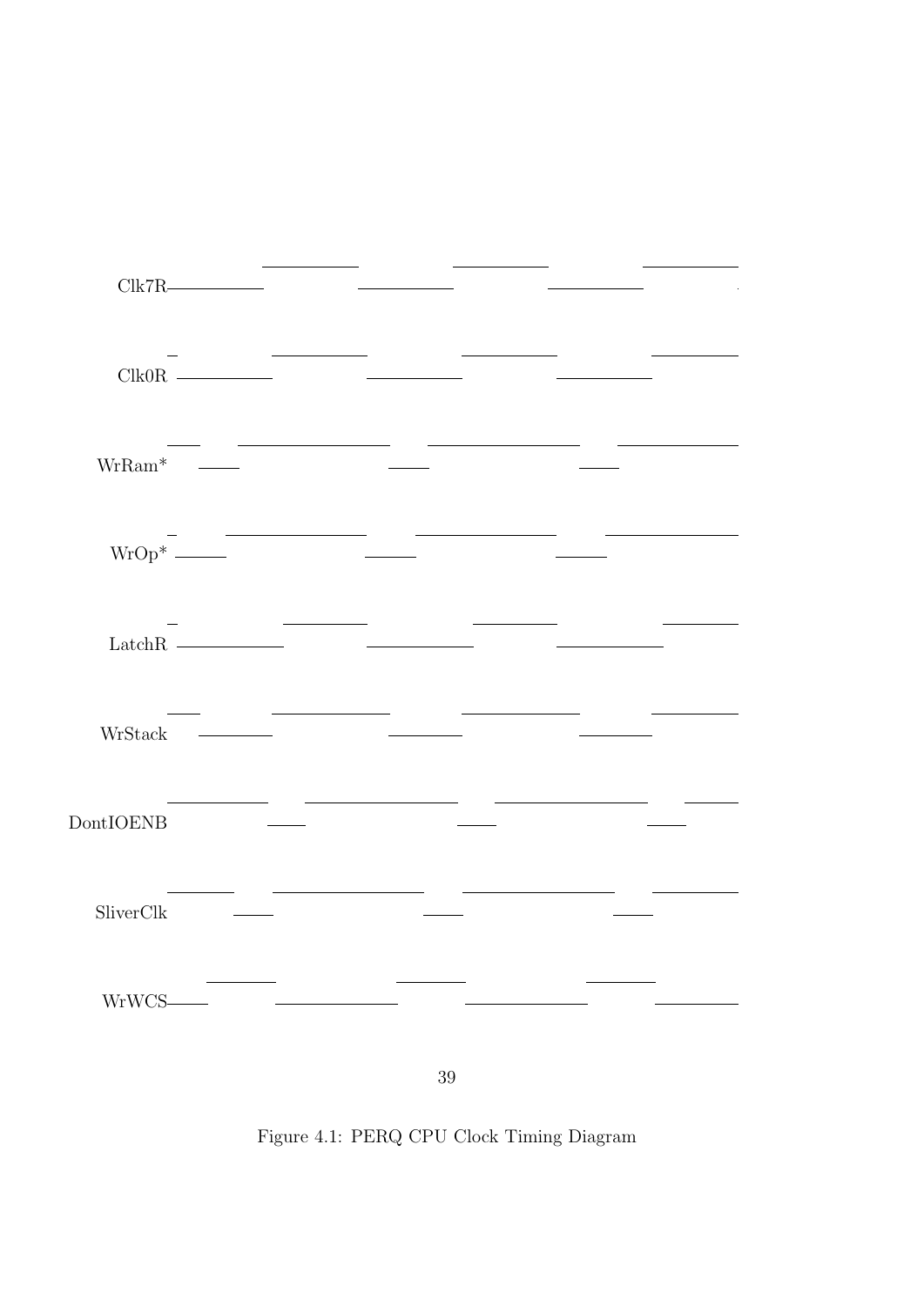|              |                                               | $ClkOR$ $\qquad \qquad$           | $\begin{tabular}{ll} \multicolumn{2}{c} {\textbf{1}} & \multicolumn{2}{c} {\textbf{1}} & \multicolumn{2}{c} {\textbf{1}} \\ \multicolumn{2}{c} {\textbf{1}} & \multicolumn{2}{c} {\textbf{1}} & \multicolumn{2}{c} {\textbf{1}} \\ \multicolumn{2}{c} {\textbf{1}} & \multicolumn{2}{c} {\textbf{1}} & \multicolumn{2}{c} {\textbf{1}} \\ \multicolumn{2}{c} {\textbf{1}} & \multicolumn{2}{c} {\textbf{1}} & \multicolumn{2}{c} {\textbf{1}} \\ \multicolumn{2}{c} {\textbf{1}} & \multicolumn$ |                                                                                                                                                                                                                                      |  |
|--------------|-----------------------------------------------|-----------------------------------|--------------------------------------------------------------------------------------------------------------------------------------------------------------------------------------------------------------------------------------------------------------------------------------------------------------------------------------------------------------------------------------------------------------------------------------------------------------------------------------------------|--------------------------------------------------------------------------------------------------------------------------------------------------------------------------------------------------------------------------------------|--|
|              | $\text{WrRam}^*$ ——                           |                                   | $\overline{\phantom{a}}$                                                                                                                                                                                                                                                                                                                                                                                                                                                                         | <u>. Andrew American and American and American and American and American and American and American and American and American and American and American and American and American and American and American and American and Amer</u> |  |
|              |                                               |                                   | $\frac{1}{\sqrt{2}}$                                                                                                                                                                                                                                                                                                                                                                                                                                                                             |                                                                                                                                                                                                                                      |  |
|              | $\text{LatchR} \xrightarrow{\hspace*{1.5cm}}$ | <u> Albanya (Albanya Albanya)</u> |                                                                                                                                                                                                                                                                                                                                                                                                                                                                                                  |                                                                                                                                                                                                                                      |  |
|              |                                               |                                   | $\frac{1}{\sqrt{1-\frac{1}{2}}\left(1-\frac{1}{2}\right)}$                                                                                                                                                                                                                                                                                                                                                                                                                                       |                                                                                                                                                                                                                                      |  |
| DontIOENB    |                                               |                                   |                                                                                                                                                                                                                                                                                                                                                                                                                                                                                                  |                                                                                                                                                                                                                                      |  |
| SliverClk    |                                               |                                   |                                                                                                                                                                                                                                                                                                                                                                                                                                                                                                  |                                                                                                                                                                                                                                      |  |
| <b>WrWCS</b> |                                               |                                   |                                                                                                                                                                                                                                                                                                                                                                                                                                                                                                  |                                                                                                                                                                                                                                      |  |
|              |                                               |                                   |                                                                                                                                                                                                                                                                                                                                                                                                                                                                                                  | $39\,$                                                                                                                                                                                                                               |  |

Figure 4.1: PERQ CPU Clock Timing Diagram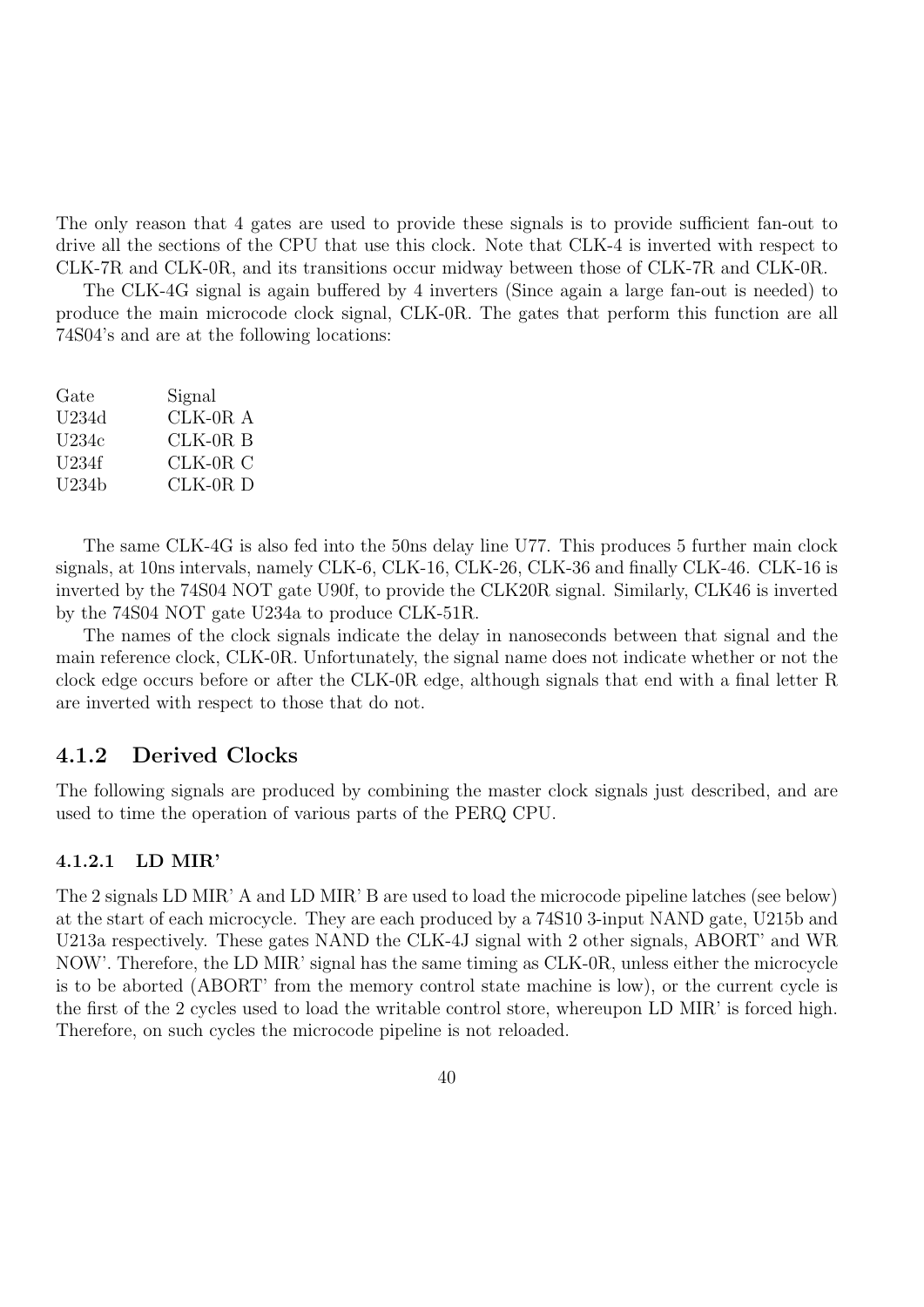The only reason that 4 gates are used to provide these signals is to provide sufficient fan-out to drive all the sections of the CPU that use this clock. Note that CLK-4 is inverted with respect to CLK-7R and CLK-0R, and its transitions occur midway between those of CLK-7R and CLK-0R.

The CLK-4G signal is again buffered by 4 inverters (Since again a large fan-out is needed) to produce the main microcode clock signal, CLK-0R. The gates that perform this function are all 74S04's and are at the following locations:

| Signal     |
|------------|
| $CLK-0R$ A |
| CLK-0R B   |
| $CLK-0R$ C |
| $CLK-0R$ D |
|            |

The same CLK-4G is also fed into the 50ns delay line U77. This produces 5 further main clock signals, at 10ns intervals, namely CLK-6, CLK-16, CLK-26, CLK-36 and finally CLK-46. CLK-16 is inverted by the 74S04 NOT gate U90f, to provide the CLK20R signal. Similarly, CLK46 is inverted by the 74S04 NOT gate U234a to produce CLK-51R.

The names of the clock signals indicate the delay in nanoseconds between that signal and the main reference clock, CLK-0R. Unfortunately, the signal name does not indicate whether or not the clock edge occurs before or after the CLK-0R edge, although signals that end with a final letter R are inverted with respect to those that do not.

#### 4.1.2 Derived Clocks

The following signals are produced by combining the master clock signals just described, and are used to time the operation of various parts of the PERQ CPU.

#### 4.1.2.1 LD MIR'

The 2 signals LD MIR' A and LD MIR' B are used to load the microcode pipeline latches (see below) at the start of each microcycle. They are each produced by a 74S10 3-input NAND gate, U215b and U213a respectively. These gates NAND the CLK-4J signal with 2 other signals, ABORT' and WR NOW'. Therefore, the LD MIR' signal has the same timing as CLK-0R, unless either the microcycle is to be aborted (ABORT' from the memory control state machine is low), or the current cycle is the first of the 2 cycles used to load the writable control store, whereupon LD MIR' is forced high. Therefore, on such cycles the microcode pipeline is not reloaded.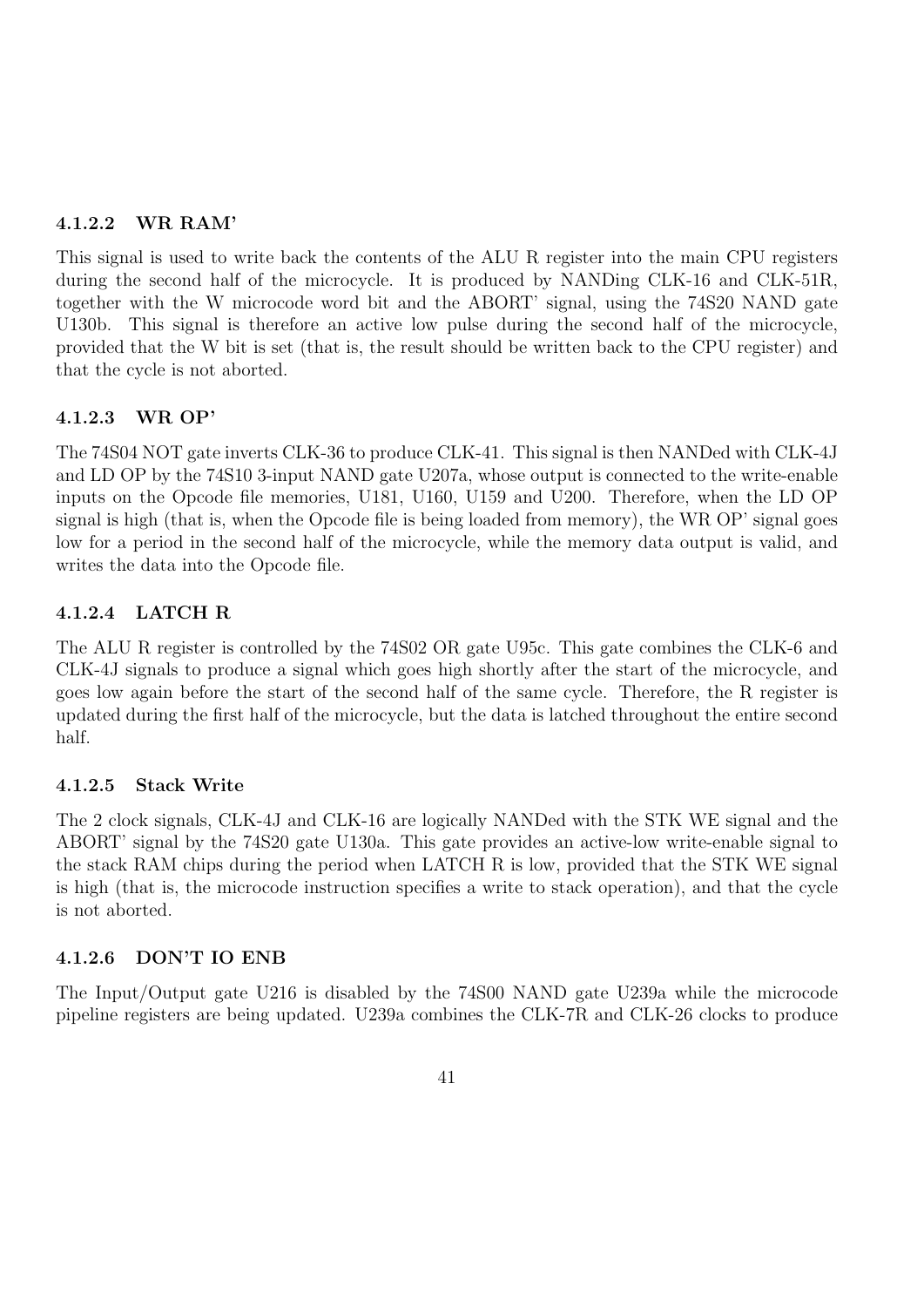#### 4.1.2.2 WR RAM'

This signal is used to write back the contents of the ALU R register into the main CPU registers during the second half of the microcycle. It is produced by NANDing CLK-16 and CLK-51R, together with the W microcode word bit and the ABORT' signal, using the 74S20 NAND gate U130b. This signal is therefore an active low pulse during the second half of the microcycle, provided that the W bit is set (that is, the result should be written back to the CPU register) and that the cycle is not aborted.

#### 4.1.2.3 WR OP'

The 74S04 NOT gate inverts CLK-36 to produce CLK-41. This signal is then NANDed with CLK-4J and LD OP by the 74S10 3-input NAND gate U207a, whose output is connected to the write-enable inputs on the Opcode file memories, U181, U160, U159 and U200. Therefore, when the LD OP signal is high (that is, when the Opcode file is being loaded from memory), the WR OP' signal goes low for a period in the second half of the microcycle, while the memory data output is valid, and writes the data into the Opcode file.

## 4.1.2.4 LATCH R

The ALU R register is controlled by the 74S02 OR gate U95c. This gate combines the CLK-6 and CLK-4J signals to produce a signal which goes high shortly after the start of the microcycle, and goes low again before the start of the second half of the same cycle. Therefore, the R register is updated during the first half of the microcycle, but the data is latched throughout the entire second half.

#### 4.1.2.5 Stack Write

The 2 clock signals, CLK-4J and CLK-16 are logically NANDed with the STK WE signal and the ABORT' signal by the 74S20 gate U130a. This gate provides an active-low write-enable signal to the stack RAM chips during the period when LATCH R is low, provided that the STK WE signal is high (that is, the microcode instruction specifies a write to stack operation), and that the cycle is not aborted.

#### 4.1.2.6 DON'T IO ENB

The Input/Output gate U216 is disabled by the 74S00 NAND gate U239a while the microcode pipeline registers are being updated. U239a combines the CLK-7R and CLK-26 clocks to produce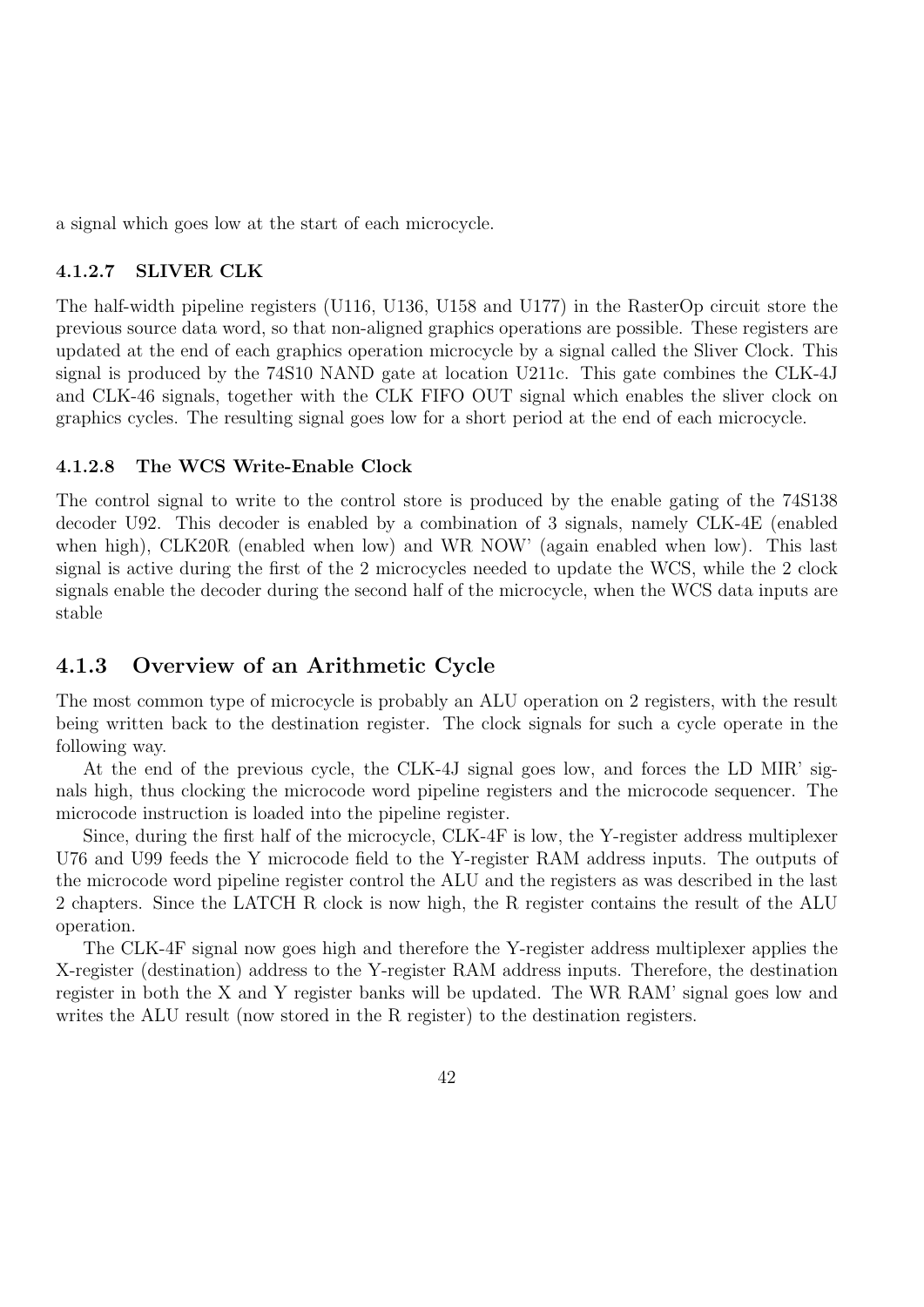a signal which goes low at the start of each microcycle.

#### 4.1.2.7 SLIVER CLK

The half-width pipeline registers (U116, U136, U158 and U177) in the RasterOp circuit store the previous source data word, so that non-aligned graphics operations are possible. These registers are updated at the end of each graphics operation microcycle by a signal called the Sliver Clock. This signal is produced by the 74S10 NAND gate at location U211c. This gate combines the CLK-4J and CLK-46 signals, together with the CLK FIFO OUT signal which enables the sliver clock on graphics cycles. The resulting signal goes low for a short period at the end of each microcycle.

#### 4.1.2.8 The WCS Write-Enable Clock

The control signal to write to the control store is produced by the enable gating of the 74S138 decoder U92. This decoder is enabled by a combination of 3 signals, namely CLK-4E (enabled when high), CLK20R (enabled when low) and WR NOW' (again enabled when low). This last signal is active during the first of the 2 microcycles needed to update the WCS, while the 2 clock signals enable the decoder during the second half of the microcycle, when the WCS data inputs are stable

### 4.1.3 Overview of an Arithmetic Cycle

The most common type of microcycle is probably an ALU operation on 2 registers, with the result being written back to the destination register. The clock signals for such a cycle operate in the following way.

At the end of the previous cycle, the CLK-4J signal goes low, and forces the LD MIR' signals high, thus clocking the microcode word pipeline registers and the microcode sequencer. The microcode instruction is loaded into the pipeline register.

Since, during the first half of the microcycle, CLK-4F is low, the Y-register address multiplexer U76 and U99 feeds the Y microcode field to the Y-register RAM address inputs. The outputs of the microcode word pipeline register control the ALU and the registers as was described in the last 2 chapters. Since the LATCH R clock is now high, the R register contains the result of the ALU operation.

The CLK-4F signal now goes high and therefore the Y-register address multiplexer applies the X-register (destination) address to the Y-register RAM address inputs. Therefore, the destination register in both the X and Y register banks will be updated. The WR RAM' signal goes low and writes the ALU result (now stored in the R register) to the destination registers.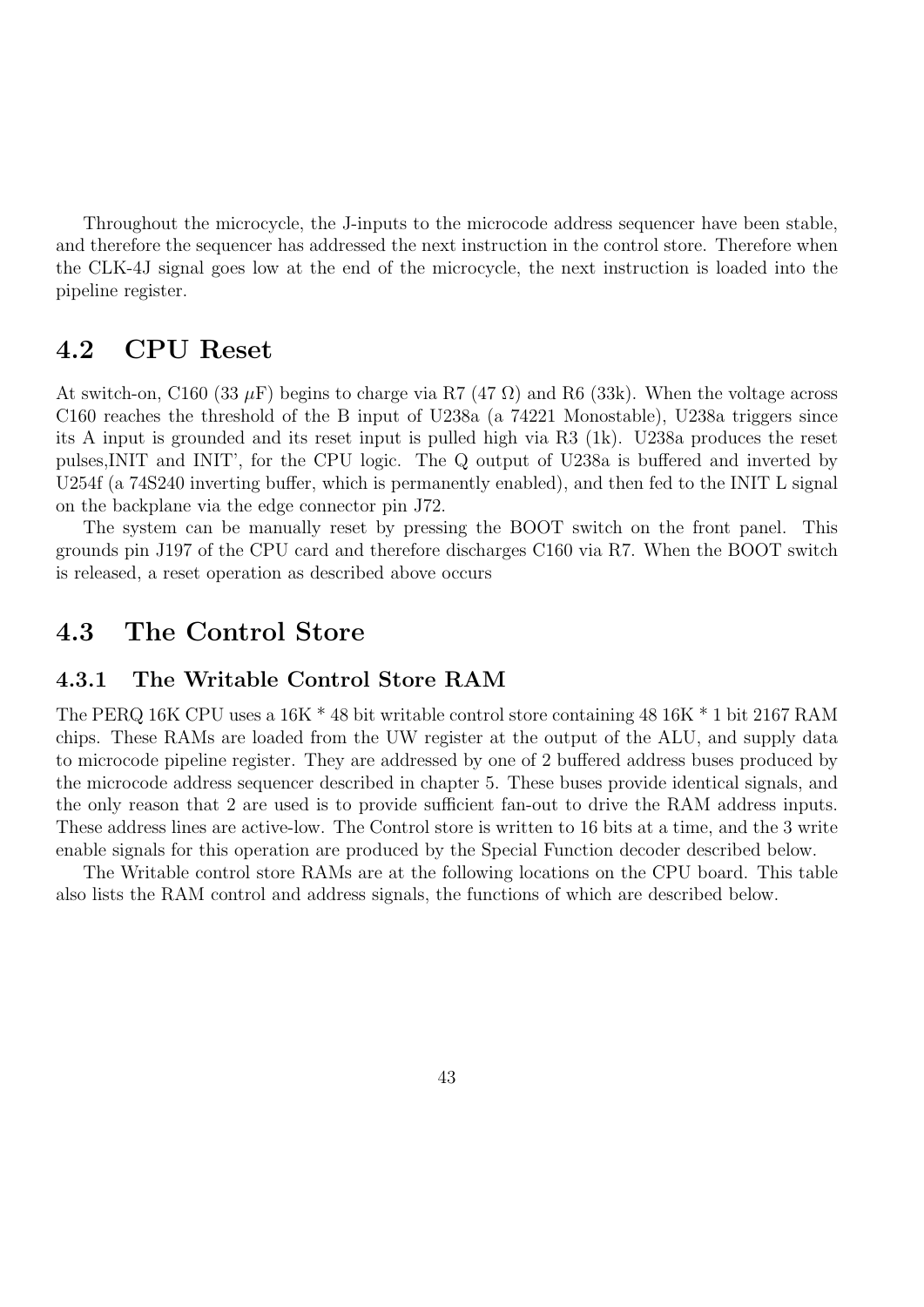Throughout the microcycle, the J-inputs to the microcode address sequencer have been stable, and therefore the sequencer has addressed the next instruction in the control store. Therefore when the CLK-4J signal goes low at the end of the microcycle, the next instruction is loaded into the pipeline register.

# 4.2 CPU Reset

At switch-on, C160 (33  $\mu$ F) begins to charge via R7 (47  $\Omega$ ) and R6 (33k). When the voltage across C160 reaches the threshold of the B input of U238a (a 74221 Monostable), U238a triggers since its A input is grounded and its reset input is pulled high via R3 (1k). U238a produces the reset pulses,INIT and INIT', for the CPU logic. The Q output of U238a is buffered and inverted by U254f (a 74S240 inverting buffer, which is permanently enabled), and then fed to the INIT L signal on the backplane via the edge connector pin J72.

The system can be manually reset by pressing the BOOT switch on the front panel. This grounds pin J197 of the CPU card and therefore discharges C160 via R7. When the BOOT switch is released, a reset operation as described above occurs

# 4.3 The Control Store

#### 4.3.1 The Writable Control Store RAM

The PERQ 16K CPU uses a 16K \* 48 bit writable control store containing 48 16K \* 1 bit 2167 RAM chips. These RAMs are loaded from the UW register at the output of the ALU, and supply data to microcode pipeline register. They are addressed by one of 2 buffered address buses produced by the microcode address sequencer described in chapter 5. These buses provide identical signals, and the only reason that 2 are used is to provide sufficient fan-out to drive the RAM address inputs. These address lines are active-low. The Control store is written to 16 bits at a time, and the 3 write enable signals for this operation are produced by the Special Function decoder described below.

The Writable control store RAMs are at the following locations on the CPU board. This table also lists the RAM control and address signals, the functions of which are described below.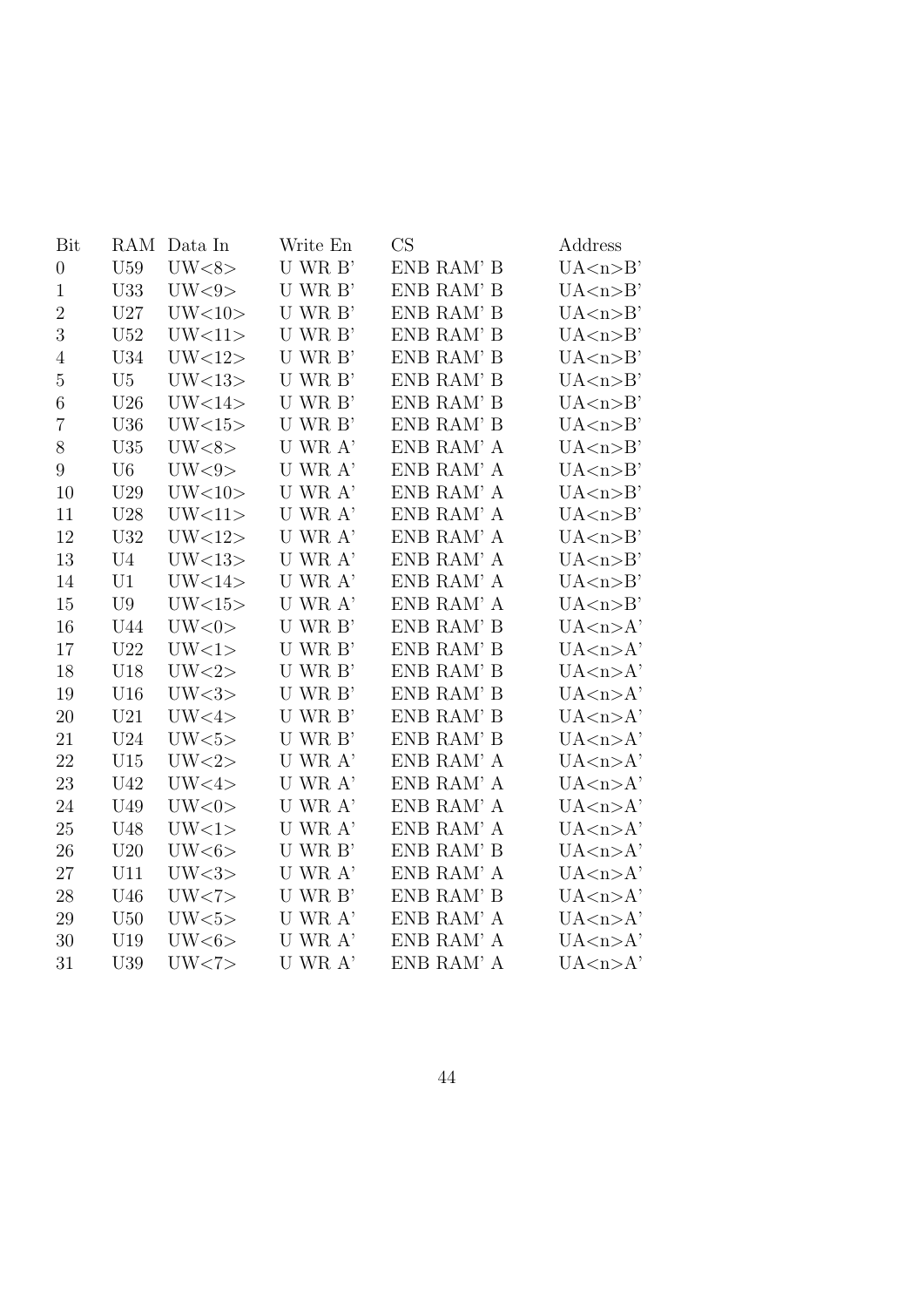| Bit              | RAM            | Data In         | Write En                   | CS                         | Address     |
|------------------|----------------|-----------------|----------------------------|----------------------------|-------------|
| $\boldsymbol{0}$ | U59            | UW<8>           | U WR B'                    | ENB RAM' B                 | UA < n > B' |
| $\mathbf{1}$     | U33            | UW<9>           | U WR $\mathbf{B}^{\prime}$ | ENB RAM' B                 | UA < n > B' |
| $\overline{2}$   | U27            | UW<10>          | U WR B'                    | ENB RAM' B                 | UA < n > B' |
| 3                | U52            | UW<11           | U WR B'                    | ${\rm ENB}$ ${\rm RAM'}$ B | UA < n > B' |
| $\overline{4}$   | U34            | UW<12>          | U WR B'                    | ENB RAM' B                 | UA < n > B' |
| 5                | U <sub>5</sub> | UW<13>          | U WR B'                    | ENB RAM' B                 | UA < n > B' |
| 6                | U26            | UW<14>          | U WR B'                    | ENB RAM' B                 | UA < n > B' |
| 7                | U36            | UW<15>          | U WR B'                    | ENB RAM' B                 | UA < n > B' |
| $8\,$            | U35            | UW<8>           | U WR A'                    | ENB RAM' A                 | UA < n > B' |
| $\boldsymbol{9}$ | U <sub>6</sub> | UW<9>           | U WR A'                    | ENB RAM' A                 | UA < n > B' |
| 10               | U29            | UW<10>          | U WR A'                    | ENB RAM' A                 | UA < n > B' |
| 11               | U28            | UW<11           | U WR A'                    | ENB RAM' A                 | UA < n>B'   |
| 12               | U32            | UW<12>          | U WR A'                    | ENB RAM' A                 | UA < n > B' |
| 13               | U <sub>4</sub> | UW<13>          | U WR A'                    | ENB RAM' A                 | UA < n > B' |
| 14               | U <sub>1</sub> | UW<14>          | U WR A'                    | ENB RAM' A                 | UA < n > B' |
| 15               | U9             | UW<15>          | U WR A'                    | ENB RAM' A                 | UA < n > B' |
| 16               | U44            | UW<0>           | U WR B'                    | ENB RAM' B                 | UA < n > A' |
| 17               | U22            | UW<1>           | U WR B'                    | ENB RAM' B                 | UA < n > A' |
| 18               | U18            | UW<2>           | U WR B'                    | ${\rm ENB}$ ${\rm RAM'}$ B | UA < n > A' |
| 19               | U16            | UW<3>           | U WR B'                    | ENB RAM' B                 | UA < n > A' |
| 20               | U21            | UW<4>           | U WR B'                    | ENB RAM' B                 | UA < n > A' |
| 21               | U24            | UW <sub>5</sub> | U WR B'                    | ENB RAM' B                 | UA < n > A' |
| 22               | U15            | UW<2>           | U WR A'                    | ENB RAM' A                 | UA < n > A' |
| 23               | U42            | UW<4>           | U WR A'                    | ENB RAM' A                 | UA < n > A' |
| 24               | U49            | UW<0>           | U WR A'                    | ENB RAM' A                 | UA < n > A' |
| 25               | U48            | UW<1>           | U WR A'                    | ENB RAM' A                 | UA < n > A' |
| 26               | U20            | UW<6>           | U WR B'                    | ENB RAM' B                 | UA < n > A' |
| 27               | U11            | UW<3>           | U WR A'                    | ENB RAM' A                 | UA < n > A' |
| 28               | U46            | UW < 7          | U WR B'                    | ENB RAM' B                 | UA < n > A' |
| 29               | U50            | UW <sub>5</sub> | U WR A'                    | ENB RAM' A                 | UA < n > A' |
| 30               | U19            | UW<6>           | U WR A'                    | ENB RAM' A                 | UA < n > A' |
| 31               | U39            | UW < 7          | U WR A'                    | ENB RAM' A                 | UA < n > A' |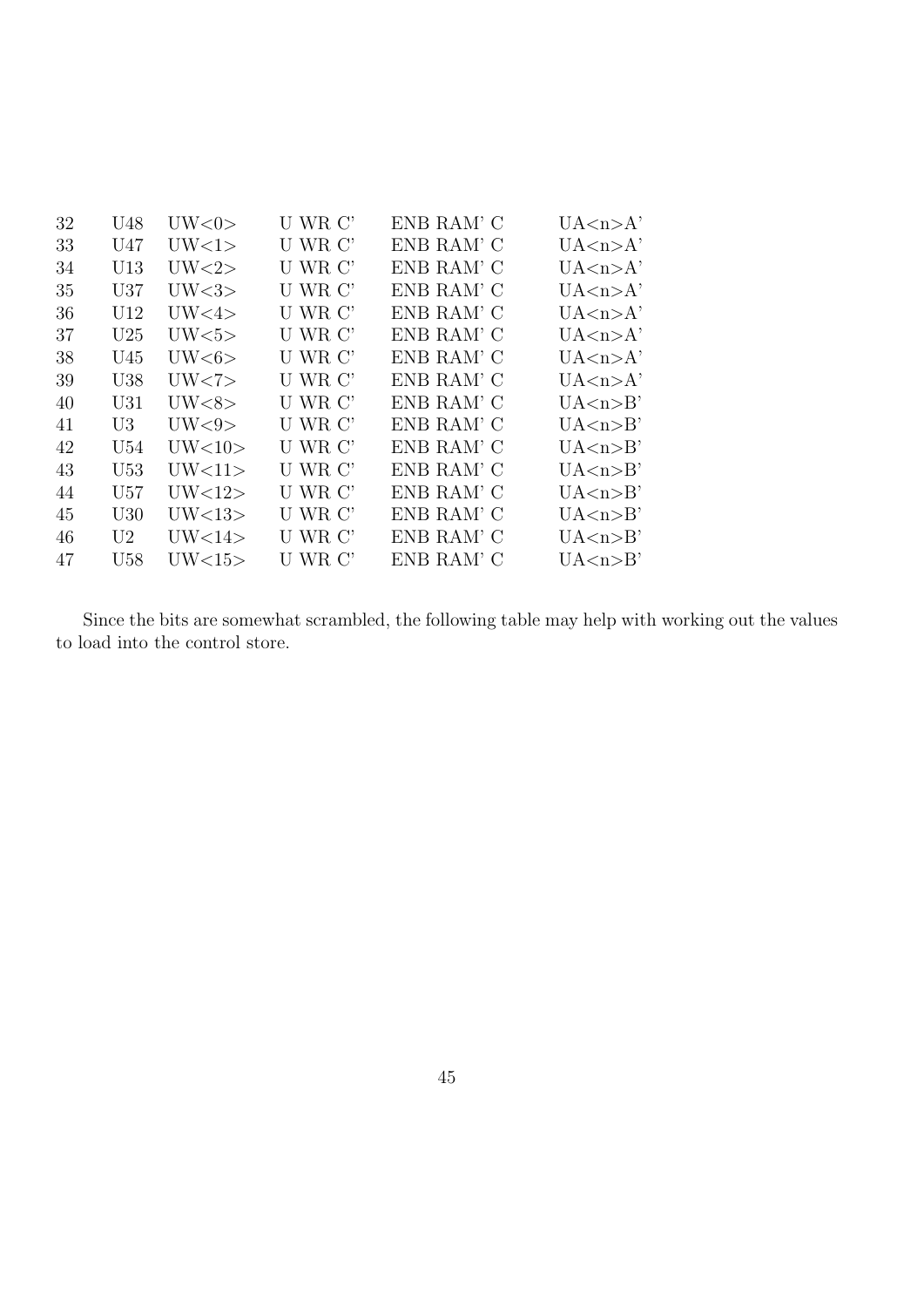| 32 | U48               | UW<0>           | U WR C' | ENB RAM' C | UA <sub>n</sub> > A' |
|----|-------------------|-----------------|---------|------------|----------------------|
| 33 | U47               | UW<1>           | U WR C' | ENB RAM' C | $UA \le n > A'$      |
| 34 | $\rm U13$         | UW <sub>2</sub> | U WR C' | ENB RAM' C | UA < n > A'          |
| 35 | U37               | UW<3>           | U WR C' | ENB RAM' C | UA <sub>n</sub> > A' |
| 36 | U12               | UW<4>           | U WR C' | ENB RAM' C | $UA \le n > A'$      |
| 37 | $_{\mathrm{U25}}$ | UW <sub>5</sub> | U WR C' | ENB RAM' C | $UA \le n > A'$      |
| 38 | U45               | UW<6>           | U WR C' | ENB RAM' C | $UA \le n > A'$      |
| 39 | U38               | UW < 7          | U WR C' | ENB RAM' C | UA < n > A'          |
| 40 | U31               | UW<8>           | U WR C' | ENB RAM' C | UA < n > B'          |
| 41 | U3                | UW<9>           | U WR C' | ENB RAM' C | UA < n > B'          |
| 42 | U54               | UV<10>          | U WR C' | ENB RAM' C | UA < n > B'          |
| 43 | U53               | UW<11>          | U WR C' | ENB RAM' C | UA < n > B'          |
| 44 | U57               | UW<12>          | U WR C' | ENB RAM' C | UA < n > B'          |
| 45 | U30               | UW<13>          | U WR C' | ENB RAM' C | UA < n > B'          |
| 46 | U2.               | UW<14>          | U WR C' | ENB RAM' C | UA < n > B'          |
| 47 | U58               | UW<15>          | U WR C' | ENB RAM' C | UA <n>B'</n>         |
|    |                   |                 |         |            |                      |

Since the bits are somewhat scrambled, the following table may help with working out the values to load into the control store.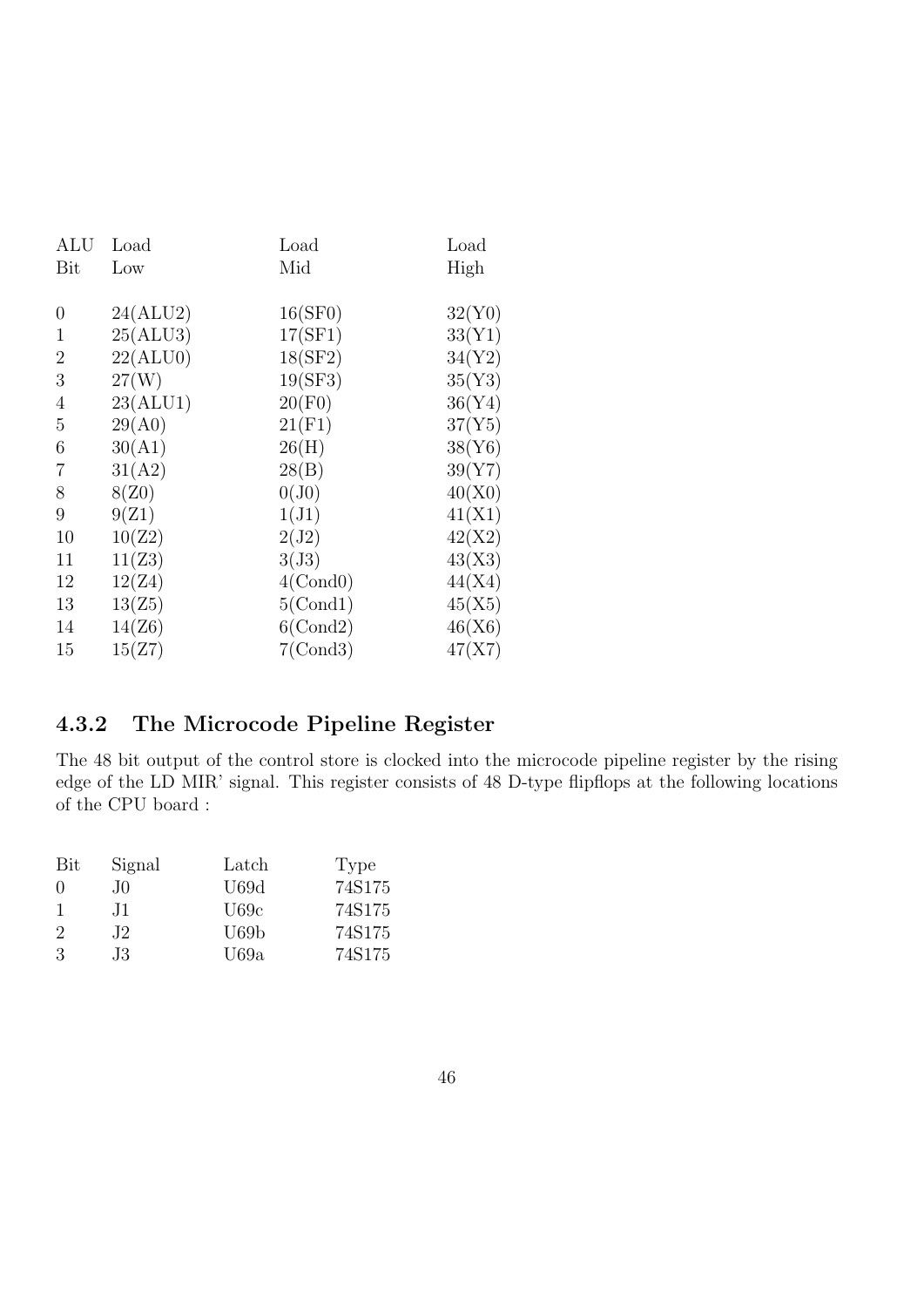| ALU            | Load     | Load        | Load   |
|----------------|----------|-------------|--------|
| Bit            | Low      | Mid         | High   |
|                |          |             |        |
| 0              | 24(ALU2) | 16(SF0)     | 32(Y0) |
| 1              | 25(ALU3) | 17(SF1)     | 33(Y1) |
| $\overline{2}$ | 22(ALU0) | 18(SF2)     | 34(Y2) |
| 3              | 27(W)    | 19(SF3)     | 35(Y3) |
| $\overline{4}$ | 23(ALU1) | 20(F0)      | 36(Y4) |
| 5              | 29(A0)   | 21(F1)      | 37(Y5) |
| 6              | 30(A1)   | 26(H)       | 38(Y6) |
| 7              | 31(A2)   | 28(B)       | 39(Y7) |
| 8              | 8(Z0)    | $0(J_0)$    | 40(X0) |
| 9              | 9(Z1)    | 1(J1)       | 41(X1) |
| 10             | 10(Z2)   | 2(J2)       | 42(X2) |
| 11             | 11(23)   | 3(J3)       | 43(X3) |
| 12             | 12(Z4)   | $4$ (Cond0) | 44(X4) |
| 13             | 13(25)   | 5(Cond1)    | 45(X5) |
| 14             | 14(Z6)   | $6$ (Cond2) | 46(X6) |
| 15             | 15(Z7)   | 7(Cond3)    | 47(X7) |

# 4.3.2 The Microcode Pipeline Register

The 48 bit output of the control store is clocked into the microcode pipeline register by the rising edge of the LD MIR' signal. This register consists of 48 D-type flipflops at the following locations of the CPU board :

| Signal | Latch | Type   |
|--------|-------|--------|
| .IO    | U69d  | 74S175 |
| .H     | U69c  | 74S175 |
| .I2    | U69b  | 74S175 |
| J3.    | U69a  | 74S175 |
|        |       |        |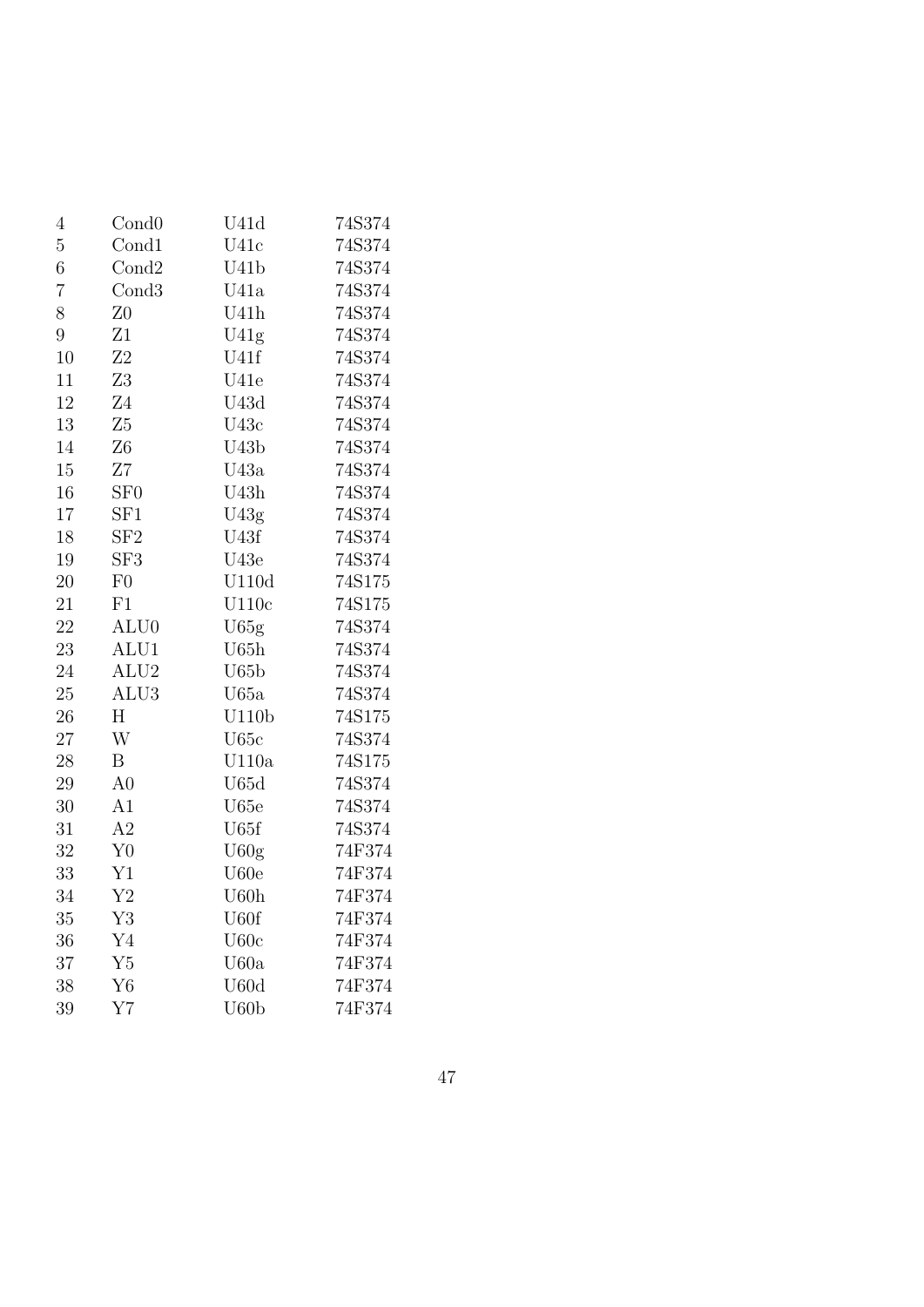| $\overline{4}$   | Cond <sub>0</sub> | U41d             | 74S374 |
|------------------|-------------------|------------------|--------|
| $\overline{5}$   | Cond1             | U41c             | 74S374 |
| $\boldsymbol{6}$ | Cond <sub>2</sub> | U41b             | 74S374 |
| 7                | Cond <sub>3</sub> | U41a             | 74S374 |
| 8                | Z <sub>0</sub>    | U41h             | 74S374 |
| 9                | Z1                | U41g             | 74S374 |
| 10               | Z <sub>2</sub>    | U41f             | 74S374 |
| 11               | Z <sub>3</sub>    | U41e             | 74S374 |
| 12               | Z4                | U43d             | 74S374 |
| 13               | Z5                | U43c             | 74S374 |
| 14               | Z6                | U43b             | 74S374 |
| 15               | Z7                | U43a             | 74S374 |
| 16               | SF <sub>0</sub>   | U43h             | 74S374 |
| 17               | SF1               | U43g             | 74S374 |
| 18               | ${\rm SF2}$       | U43f             | 74S374 |
| 19               | SF <sub>3</sub>   | U43e             | 74S374 |
| 20               | F <sub>0</sub>    | U110d            | 74S175 |
| 21               | F1                | U110c            | 74S175 |
| 22               | ALU <sub>0</sub>  | U65g             | 74S374 |
| 23               | ALU1              | U65h             | 74S374 |
| 24               | ALU <sub>2</sub>  | U65b             | 74S374 |
| 25               | ALU3              | U65a             | 74S374 |
| 26               | H                 | U110b            | 74S175 |
| 27               | W                 | U65c             | 74S374 |
| $28\,$           | B                 | U110a            | 74S175 |
| 29               | A <sub>0</sub>    | U65d             | 74S374 |
| 30               | A1                | U65e             | 74S374 |
| 31               | A2                | U65f             | 74S374 |
| 32               | Y <sub>0</sub>    | U60g             | 74F374 |
| 33               | Y1                | U <sub>60e</sub> | 74F374 |
| 34               | Y2                | U60h             | 74F374 |
| 35               | Y3                | U60f             | 74F374 |
| 36               | Y4                | U60c             | 74F374 |
| 37               | Y5                | U60a             | 74F374 |
| 38               | ${\rm Y6}$        | U60d             | 74F374 |
| 39               | Y7                | U60b             | 74F374 |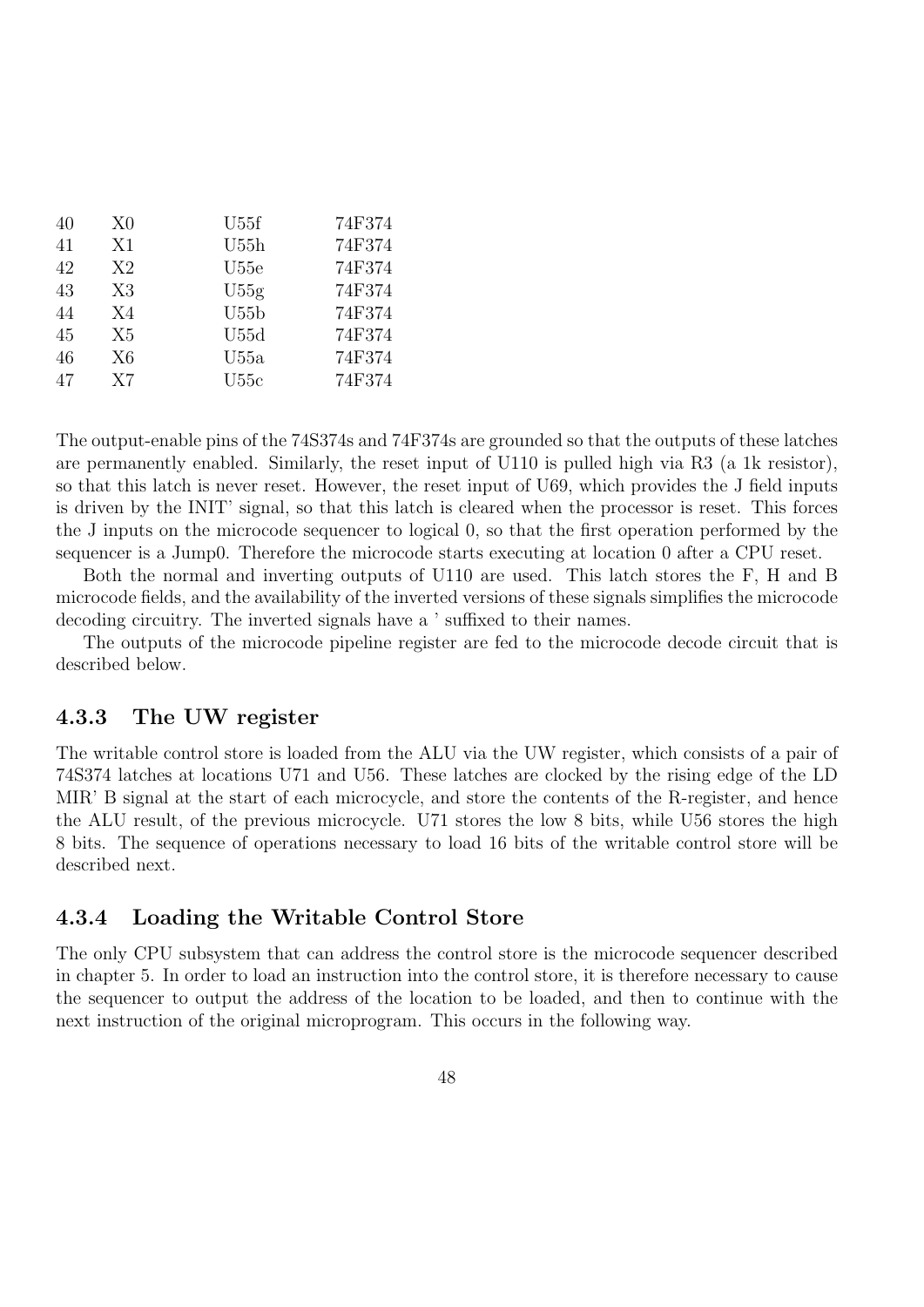| 40 | X0 | U55f | 74F374 |
|----|----|------|--------|
| 41 | X1 | U55h | 74F374 |
| 42 | X2 | U55e | 74F374 |
| 43 | X3 | U55g | 74F374 |
| 44 | X4 | U55b | 74F374 |
| 45 | X5 | U55d | 74F374 |
| 46 | X6 | U55a | 74F374 |
| 47 | X7 | U55c | 74F374 |

The output-enable pins of the 74S374s and 74F374s are grounded so that the outputs of these latches are permanently enabled. Similarly, the reset input of U110 is pulled high via R3 (a 1k resistor), so that this latch is never reset. However, the reset input of U69, which provides the J field inputs is driven by the INIT' signal, so that this latch is cleared when the processor is reset. This forces the J inputs on the microcode sequencer to logical 0, so that the first operation performed by the sequencer is a Jump0. Therefore the microcode starts executing at location 0 after a CPU reset.

Both the normal and inverting outputs of U110 are used. This latch stores the F, H and B microcode fields, and the availability of the inverted versions of these signals simplifies the microcode decoding circuitry. The inverted signals have a ' suffixed to their names.

The outputs of the microcode pipeline register are fed to the microcode decode circuit that is described below.

#### 4.3.3 The UW register

The writable control store is loaded from the ALU via the UW register, which consists of a pair of 74S374 latches at locations U71 and U56. These latches are clocked by the rising edge of the LD MIR' B signal at the start of each microcycle, and store the contents of the R-register, and hence the ALU result, of the previous microcycle. U71 stores the low 8 bits, while U56 stores the high 8 bits. The sequence of operations necessary to load 16 bits of the writable control store will be described next.

## 4.3.4 Loading the Writable Control Store

The only CPU subsystem that can address the control store is the microcode sequencer described in chapter 5. In order to load an instruction into the control store, it is therefore necessary to cause the sequencer to output the address of the location to be loaded, and then to continue with the next instruction of the original microprogram. This occurs in the following way.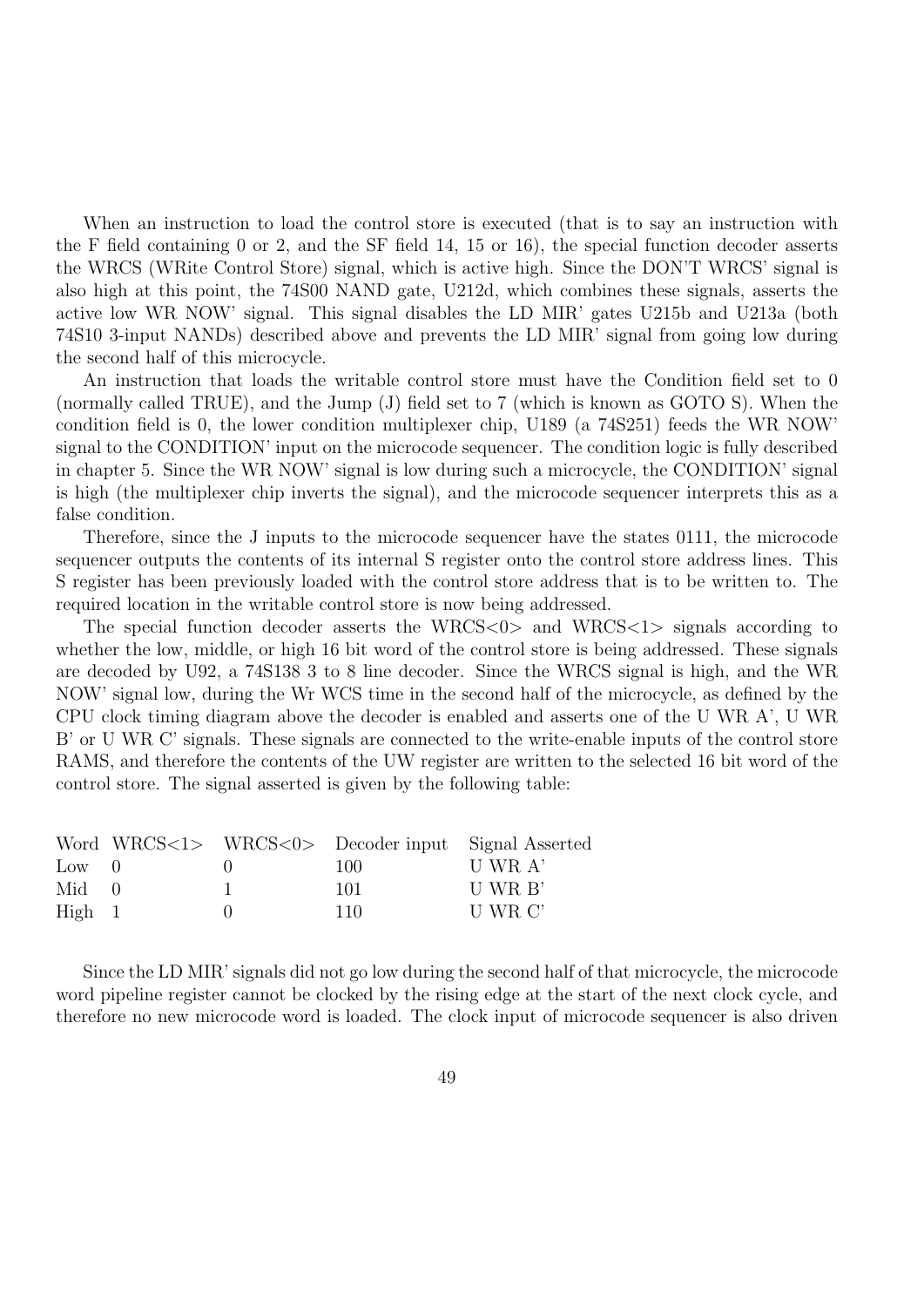When an instruction to load the control store is executed (that is to say an instruction with the F field containing 0 or 2, and the SF field 14, 15 or 16), the special function decoder asserts the WRCS (WRite Control Store) signal, which is active high. Since the DON'T WRCS' signal is also high at this point, the 74S00 NAND gate, U212d, which combines these signals, asserts the active low WR NOW' signal. This signal disables the LD MIR' gates U215b and U213a (both 74S10 3-input NANDs) described above and prevents the LD MIR' signal from going low during the second half of this microcycle.

An instruction that loads the writable control store must have the Condition field set to 0 (normally called TRUE), and the Jump (J) field set to 7 (which is known as GOTO S). When the condition field is 0, the lower condition multiplexer chip, U189 (a 74S251) feeds the WR NOW' signal to the CONDITION' input on the microcode sequencer. The condition logic is fully described in chapter 5. Since the WR NOW' signal is low during such a microcycle, the CONDITION' signal is high (the multiplexer chip inverts the signal), and the microcode sequencer interprets this as a false condition.

Therefore, since the J inputs to the microcode sequencer have the states 0111, the microcode sequencer outputs the contents of its internal S register onto the control store address lines. This S register has been previously loaded with the control store address that is to be written to. The required location in the writable control store is now being addressed.

The special function decoder asserts the WRCS<0> and WRCS<1> signals according to whether the low, middle, or high 16 bit word of the control store is being addressed. These signals are decoded by U92, a 74S138 3 to 8 line decoder. Since the WRCS signal is high, and the WR NOW' signal low, during the Wr WCS time in the second half of the microcycle, as defined by the CPU clock timing diagram above the decoder is enabled and asserts one of the U WR A', U WR B' or U WR C' signals. These signals are connected to the write-enable inputs of the control store RAMS, and therefore the contents of the UW register are written to the selected 16 bit word of the control store. The signal asserted is given by the following table:

|                |  | Word WRCS<1> WRCS<0> Decoder input Signal Asserted |         |
|----------------|--|----------------------------------------------------|---------|
| $Low \t0$      |  | 10O                                                | U WR A' |
| $Mid \quad 0$  |  | 101                                                | U WR B' |
| $High \quad 1$ |  | 110                                                | U WR C' |

Since the LD MIR' signals did not go low during the second half of that microcycle, the microcode word pipeline register cannot be clocked by the rising edge at the start of the next clock cycle, and therefore no new microcode word is loaded. The clock input of microcode sequencer is also driven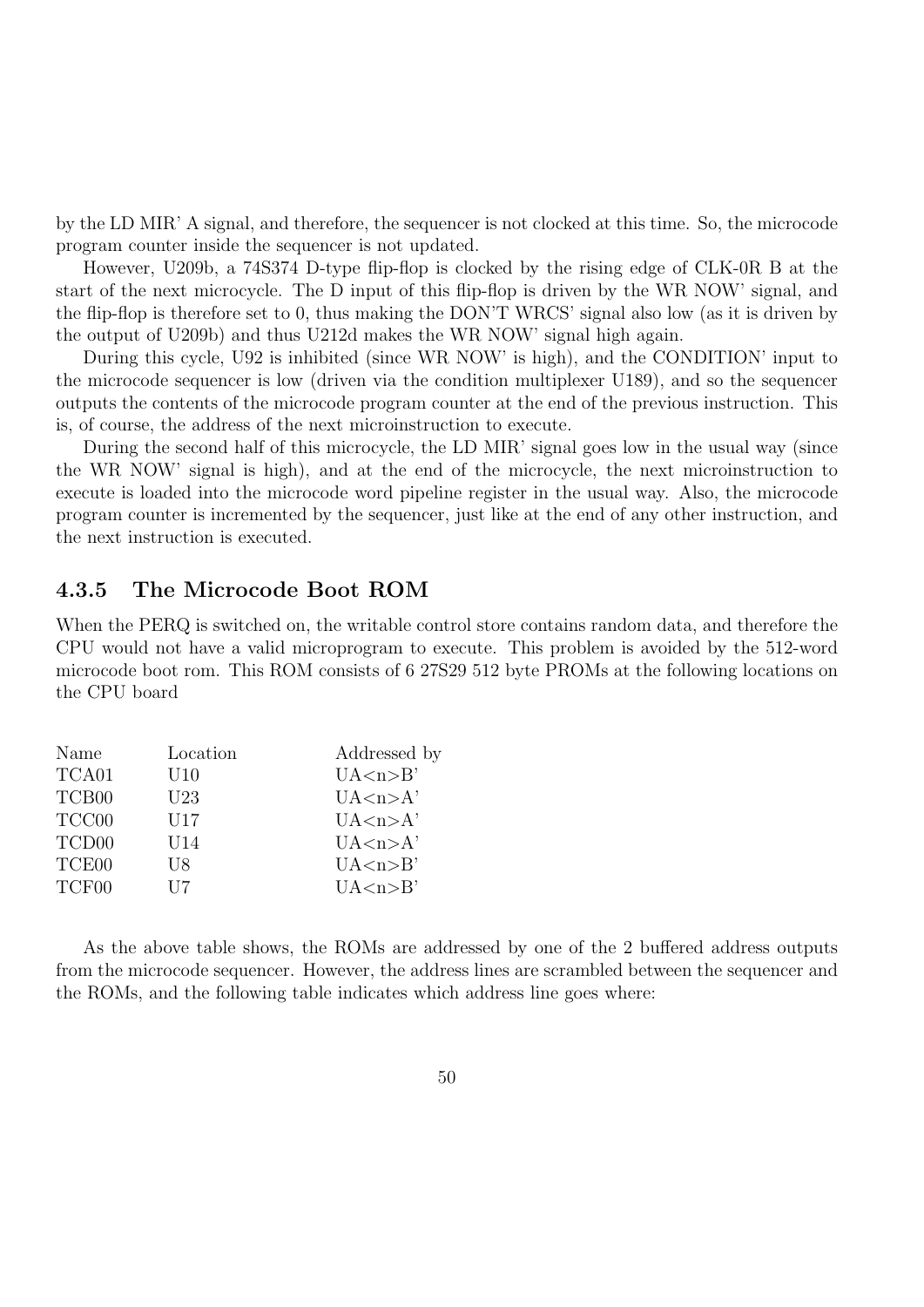by the LD MIR' A signal, and therefore, the sequencer is not clocked at this time. So, the microcode program counter inside the sequencer is not updated.

However, U209b, a 74S374 D-type flip-flop is clocked by the rising edge of CLK-0R B at the start of the next microcycle. The D input of this flip-flop is driven by the WR NOW' signal, and the flip-flop is therefore set to 0, thus making the DON'T WRCS' signal also low (as it is driven by the output of U209b) and thus U212d makes the WR NOW' signal high again.

During this cycle, U92 is inhibited (since WR NOW' is high), and the CONDITION' input to the microcode sequencer is low (driven via the condition multiplexer U189), and so the sequencer outputs the contents of the microcode program counter at the end of the previous instruction. This is, of course, the address of the next microinstruction to execute.

During the second half of this microcycle, the LD MIR' signal goes low in the usual way (since the WR NOW' signal is high), and at the end of the microcycle, the next microinstruction to execute is loaded into the microcode word pipeline register in the usual way. Also, the microcode program counter is incremented by the sequencer, just like at the end of any other instruction, and the next instruction is executed.

#### 4.3.5 The Microcode Boot ROM

When the PERQ is switched on, the writable control store contains random data, and therefore the CPU would not have a valid microprogram to execute. This problem is avoided by the 512-word microcode boot rom. This ROM consists of 6 27S29 512 byte PROMs at the following locations on the CPU board

| Name              | Location | Addressed by |
|-------------------|----------|--------------|
| TCA01             | U10      | UA < n > B'  |
| TCB00             | U23      | UA < n > A'  |
| TCC00             | U17      | UA < n > A'  |
| TCD <sub>00</sub> | U14      | UA < n > A'  |
| TCE <sub>00</sub> | U8.      | UA < n > B'  |
| TCF00             | H7       | UA < n > B'  |

As the above table shows, the ROMs are addressed by one of the 2 buffered address outputs from the microcode sequencer. However, the address lines are scrambled between the sequencer and the ROMs, and the following table indicates which address line goes where: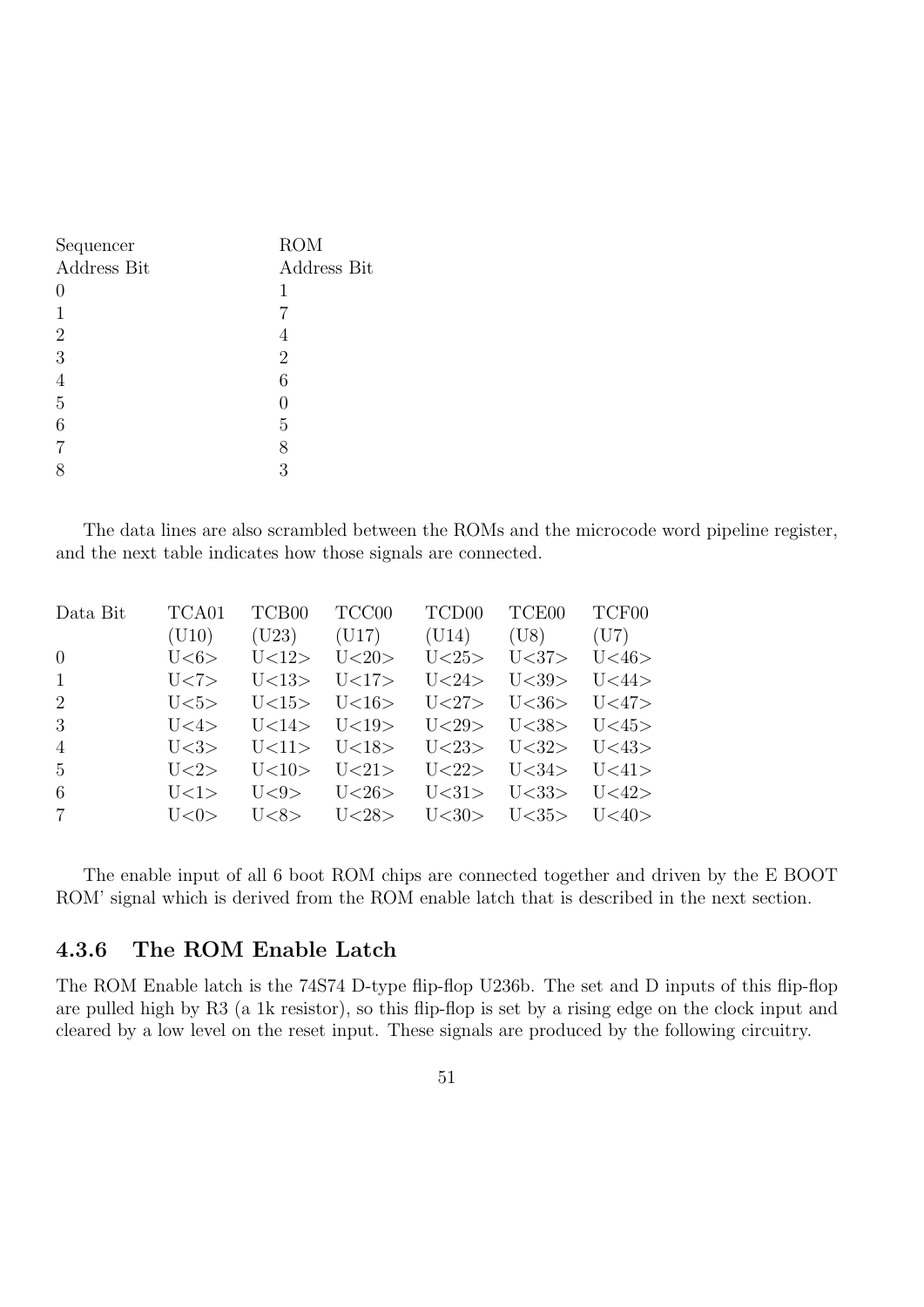| Sequencer      | <b>ROM</b>     |
|----------------|----------------|
| Address Bit    | Address Bit    |
| 0              | 1              |
| 1              |                |
| $\overline{2}$ |                |
| 3              | $\overline{2}$ |
| $\overline{4}$ | 6              |
| $\overline{5}$ |                |
| 6              | 5              |
| $\overline{7}$ | 8              |
|                | 3              |

The data lines are also scrambled between the ROMs and the microcode word pipeline register, and the next table indicates how those signals are connected.

| Data Bit       |  | TCA01 TCB00 TCC00 TCD00 TCE00 TCF00            |  |
|----------------|--|------------------------------------------------|--|
|                |  | (U10) (U23) (U17) (U14) (U8) (U7)              |  |
| $\Omega$       |  | $U<6>$ $U<12>$ $U<20>$ $U<25>$ $U<37>$ $U<46>$ |  |
| $\mathbf{1}$   |  | U<7> U<13> U<17> U<24> U<39> U<44>             |  |
| 2              |  | $U<5>$ $U<15>$ $U<16>$ $U<27>$ $U<36>$ $U<47>$ |  |
| 3              |  | U<4> U<14> U<19> U<29> U<38> U<45>             |  |
| $\overline{4}$ |  | $U<3>$ $U<11>$ $U<18>$ $U<23>$ $U<32>$ $U<43>$ |  |
| $5^{\circ}$    |  | $U<2>$ $U<10>$ $U<21>$ $U<22>$ $U<34>$ $U<41>$ |  |
| 6              |  | $U<1>$ $U<9>$ $U<26>$ $U<31>$ $U<33>$ $U<42>$  |  |
| $7\phantom{.}$ |  | U<0> U<8> U<28> U<30> U<35> U<40>              |  |

The enable input of all 6 boot ROM chips are connected together and driven by the E BOOT ROM' signal which is derived from the ROM enable latch that is described in the next section.

# 4.3.6 The ROM Enable Latch

The ROM Enable latch is the 74S74 D-type flip-flop U236b. The set and D inputs of this flip-flop are pulled high by R3 (a 1k resistor), so this flip-flop is set by a rising edge on the clock input and cleared by a low level on the reset input. These signals are produced by the following circuitry.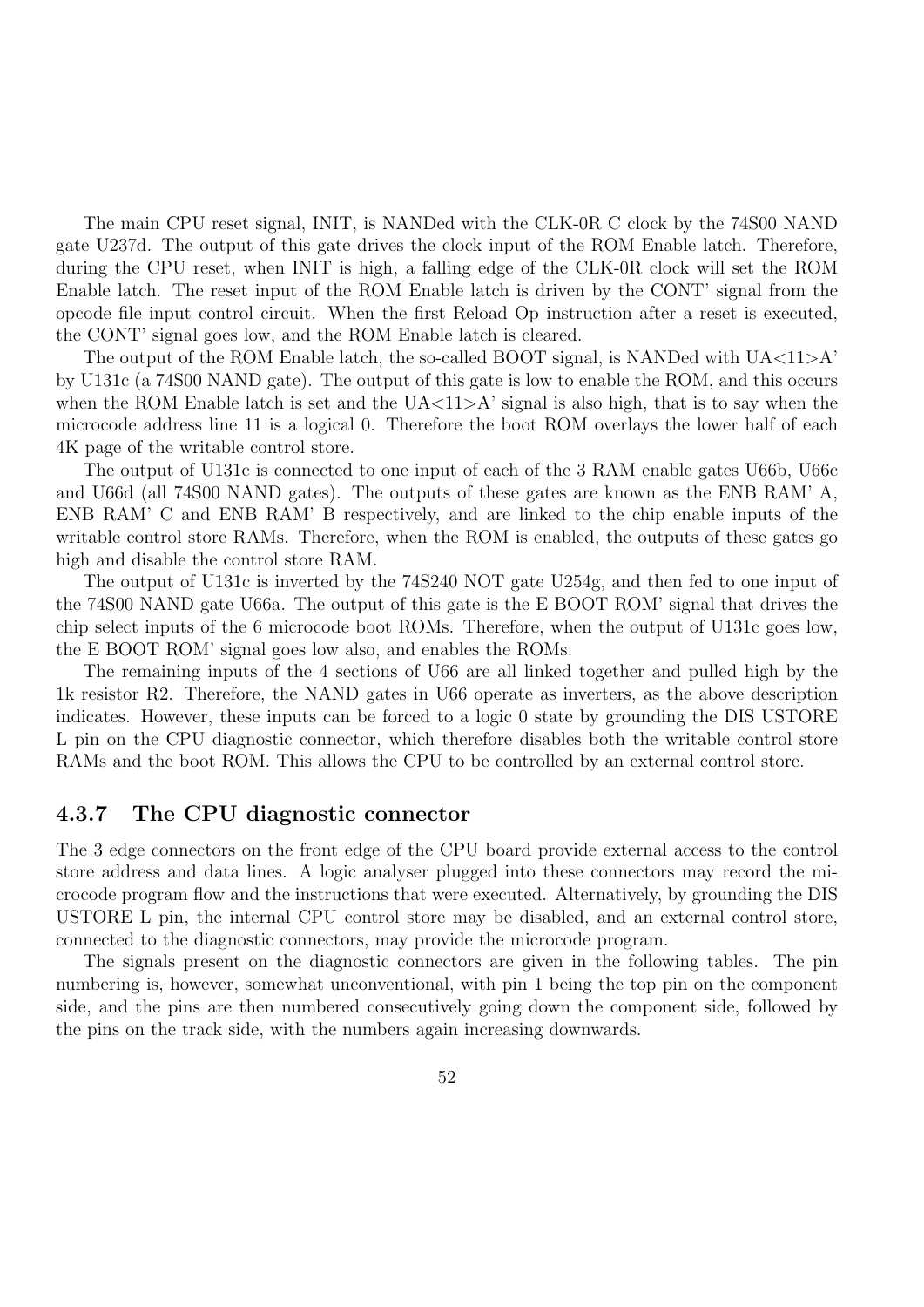The main CPU reset signal, INIT, is NANDed with the CLK-0R C clock by the 74S00 NAND gate U237d. The output of this gate drives the clock input of the ROM Enable latch. Therefore, during the CPU reset, when INIT is high, a falling edge of the CLK-0R clock will set the ROM Enable latch. The reset input of the ROM Enable latch is driven by the CONT' signal from the opcode file input control circuit. When the first Reload Op instruction after a reset is executed, the CONT' signal goes low, and the ROM Enable latch is cleared.

The output of the ROM Enable latch, the so-called BOOT signal, is NANDed with  $U\text{A}$ <11>A' by U131c (a 74S00 NAND gate). The output of this gate is low to enable the ROM, and this occurs when the ROM Enable latch is set and the  $UA < 11 > A'$  signal is also high, that is to say when the microcode address line 11 is a logical 0. Therefore the boot ROM overlays the lower half of each 4K page of the writable control store.

The output of U131c is connected to one input of each of the 3 RAM enable gates U66b, U66c and U66d (all 74S00 NAND gates). The outputs of these gates are known as the ENB RAM' A, ENB RAM' C and ENB RAM' B respectively, and are linked to the chip enable inputs of the writable control store RAMs. Therefore, when the ROM is enabled, the outputs of these gates go high and disable the control store RAM.

The output of U131c is inverted by the 74S240 NOT gate U254g, and then fed to one input of the 74S00 NAND gate U66a. The output of this gate is the E BOOT ROM' signal that drives the chip select inputs of the 6 microcode boot ROMs. Therefore, when the output of U131c goes low, the E BOOT ROM' signal goes low also, and enables the ROMs.

The remaining inputs of the 4 sections of U66 are all linked together and pulled high by the 1k resistor R2. Therefore, the NAND gates in U66 operate as inverters, as the above description indicates. However, these inputs can be forced to a logic 0 state by grounding the DIS USTORE L pin on the CPU diagnostic connector, which therefore disables both the writable control store RAMs and the boot ROM. This allows the CPU to be controlled by an external control store.

#### 4.3.7 The CPU diagnostic connector

The 3 edge connectors on the front edge of the CPU board provide external access to the control store address and data lines. A logic analyser plugged into these connectors may record the microcode program flow and the instructions that were executed. Alternatively, by grounding the DIS USTORE L pin, the internal CPU control store may be disabled, and an external control store, connected to the diagnostic connectors, may provide the microcode program.

The signals present on the diagnostic connectors are given in the following tables. The pin numbering is, however, somewhat unconventional, with pin 1 being the top pin on the component side, and the pins are then numbered consecutively going down the component side, followed by the pins on the track side, with the numbers again increasing downwards.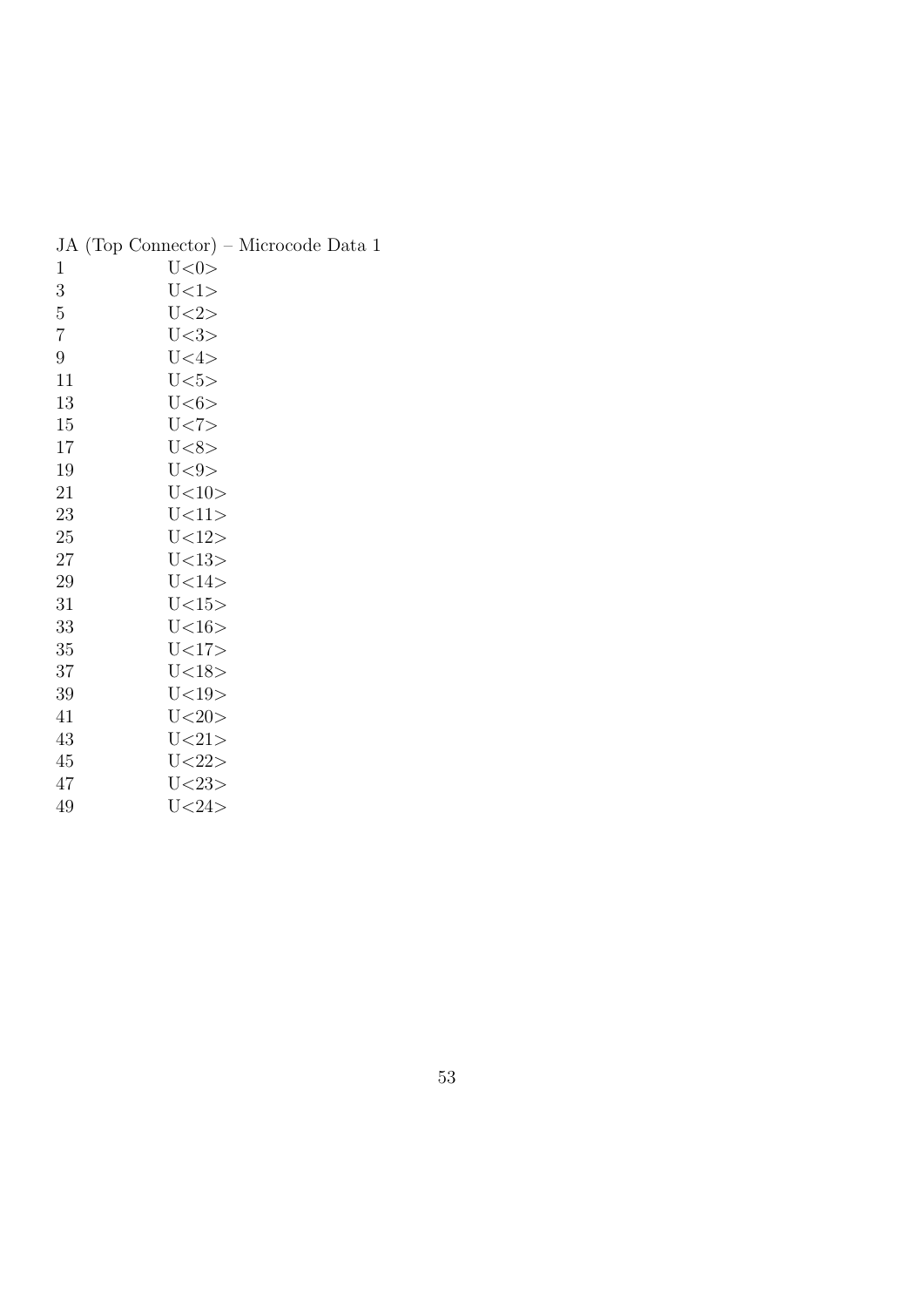|                | $J_{\rm A}$ (10p Connection) | TATT <sub>1</sub> |
|----------------|------------------------------|-------------------|
| 1              | U < 0 >                      |                   |
| 3              | U<1>                         |                   |
| $\overline{5}$ | U < 2>                       |                   |
| 7              | U<3>                         |                   |
| 9              | U<4>                         |                   |
| 11             | U <sub>5</sub>               |                   |
| 13             | U<6>                         |                   |
| 15             | U < 7>                       |                   |
| 17             | U < 8 >                      |                   |
| 19             | U < 9>                       |                   |
| 21             | U < 10>                      |                   |
| 23             | U<11>                        |                   |
| 25             | U<12>                        |                   |
| 27             | U<13>                        |                   |
| 29             | U < 14                       |                   |
| 31             | U<15>                        |                   |
| 33             | U<16>                        |                   |
| 35             | U<17>                        |                   |
| 37             | U<18>                        |                   |
| 39             | U<19>                        |                   |
| 41             | U < 20                       |                   |
| 43             | U < 21                       |                   |
| 45             | U < 22                       |                   |
| 47             | U < 23                       |                   |
| 49             | U < 24                       |                   |

JA (Top Connector) – Microcode Data 1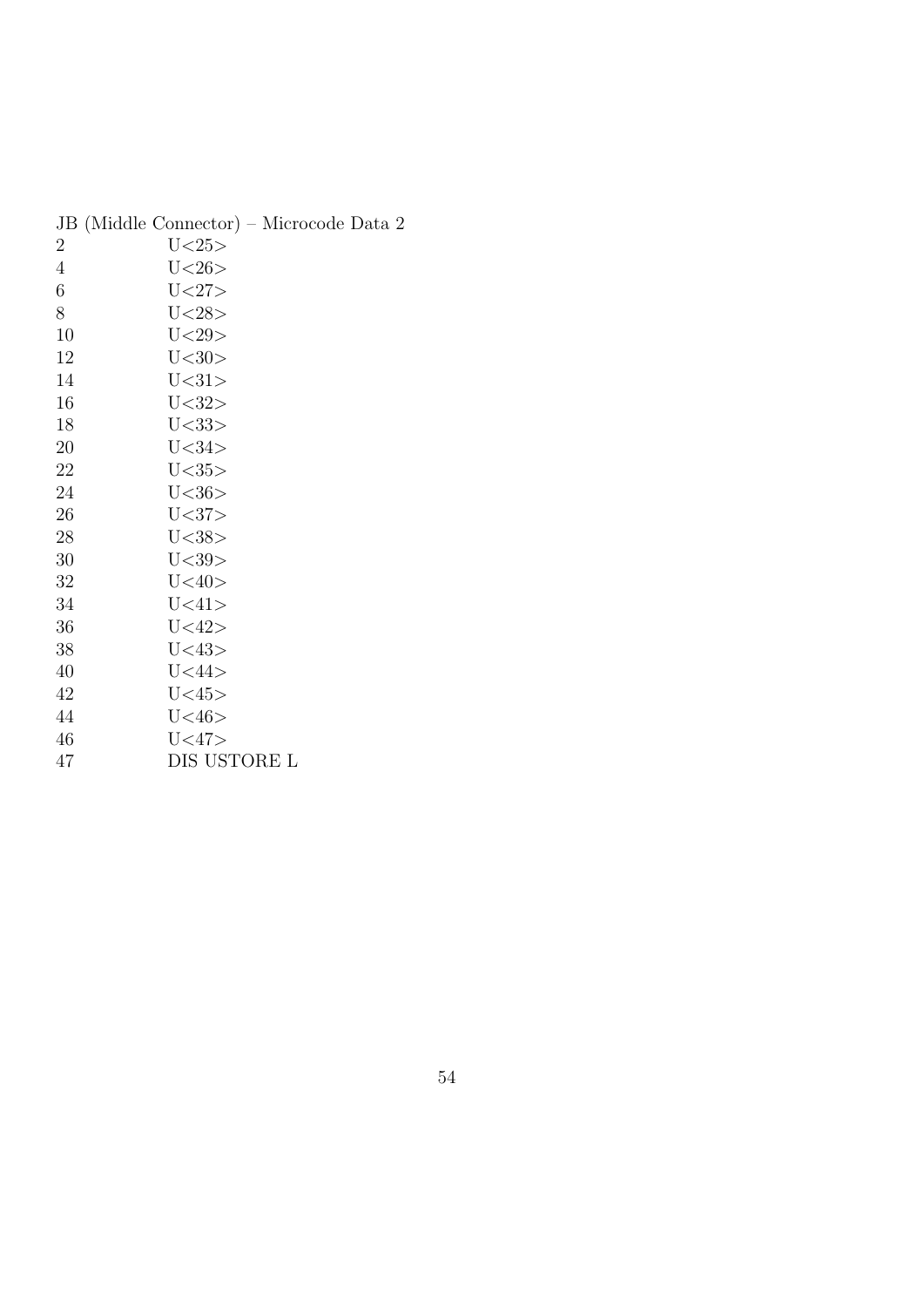|                | JB (Middle Connector) - Microcode Data 2 |
|----------------|------------------------------------------|
| $\overline{2}$ | U < 25                                   |
| $\overline{4}$ | U < 26                                   |
| 6              | U < 27                                   |
| 8              | U < 28                                   |
| 10             | U < 29                                   |
| 12             | U < 30                                   |
| 14             | U < 31                                   |
| 16             | U < 32                                   |
| 18             | U < 33                                   |
| 20             | U < 34                                   |
| 22             | U < 35                                   |
| 24             | U < 36                                   |
| 26             | U < 37                                   |
| 28             | U < 38                                   |
| 30             | U < 39                                   |
| 32             | U < 40>                                  |
| 34             | U<41>                                    |
| 36             | U < 42                                   |
| 38             | U<43>                                    |
| 40             | U < 44                                   |
| 42             | U <sub>45&gt;</sub>                      |
| 44             | U<46>                                    |
| 46             | U<47>                                    |
| 47             | DIS USTORE L                             |
|                |                                          |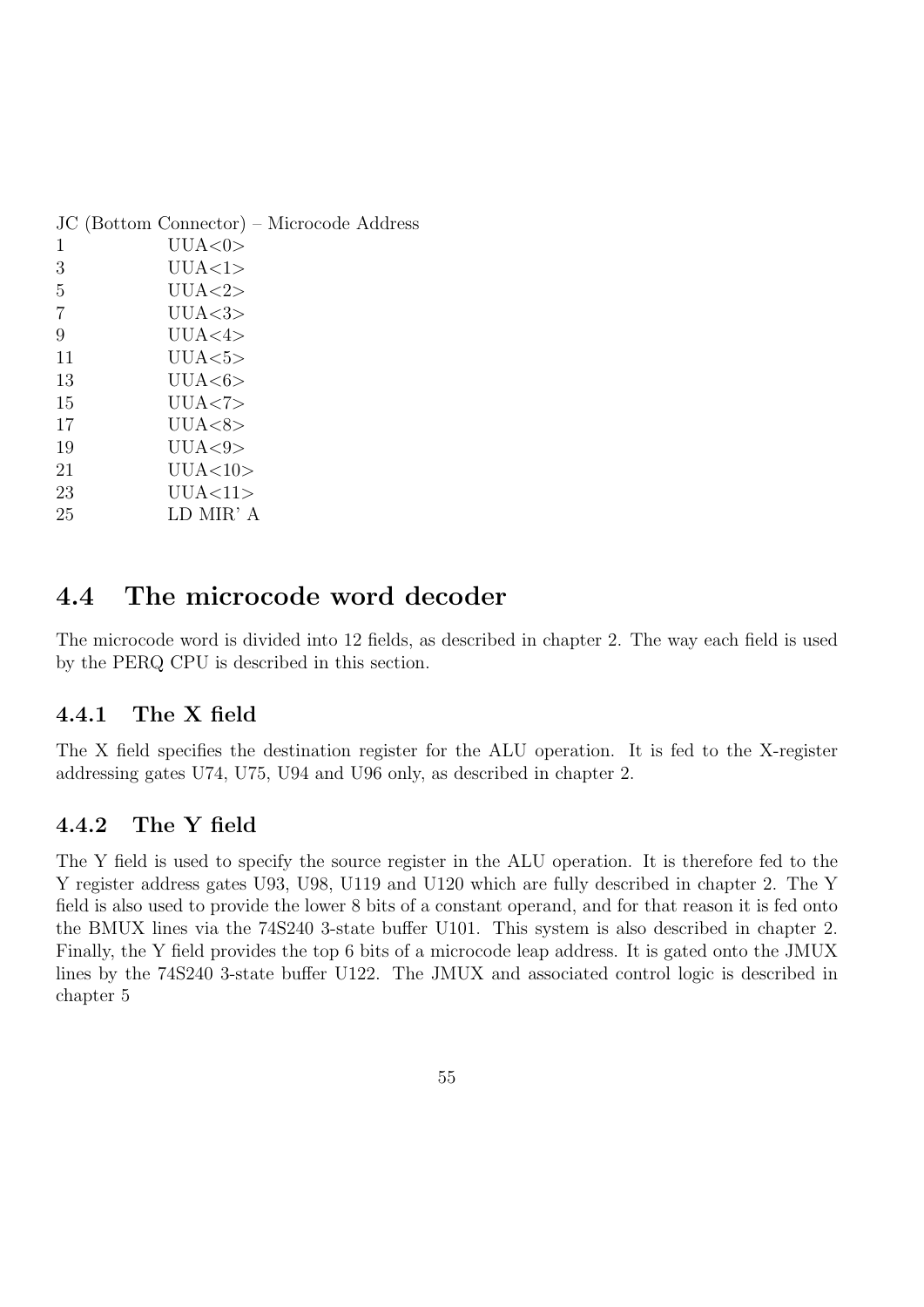|                | JC (Bottom Connector) – Microcode Address |
|----------------|-------------------------------------------|
| 1              | UUA<0>                                    |
| 3              | UUA<1>                                    |
| 5              | UUA < 2>                                  |
| $\overline{7}$ | UUA < 3>                                  |
| 9              | UUA<4>                                    |
| 11             | UUA<5>                                    |
| 13             | UUA<6>                                    |
| 15             | UUA < 7                                   |
| 17             | UUA<8>                                    |
| 19             | UUA<9>                                    |
| 21             | UUA<10>                                   |
| 23             | UUA<11>                                   |
| 25             | LD MIR' A                                 |

# 4.4 The microcode word decoder

The microcode word is divided into 12 fields, as described in chapter 2. The way each field is used by the PERQ CPU is described in this section.

## 4.4.1 The X field

The X field specifies the destination register for the ALU operation. It is fed to the X-register addressing gates U74, U75, U94 and U96 only, as described in chapter 2.

## 4.4.2 The Y field

The Y field is used to specify the source register in the ALU operation. It is therefore fed to the Y register address gates U93, U98, U119 and U120 which are fully described in chapter 2. The Y field is also used to provide the lower 8 bits of a constant operand, and for that reason it is fed onto the BMUX lines via the 74S240 3-state buffer U101. This system is also described in chapter 2. Finally, the Y field provides the top 6 bits of a microcode leap address. It is gated onto the JMUX lines by the 74S240 3-state buffer U122. The JMUX and associated control logic is described in chapter 5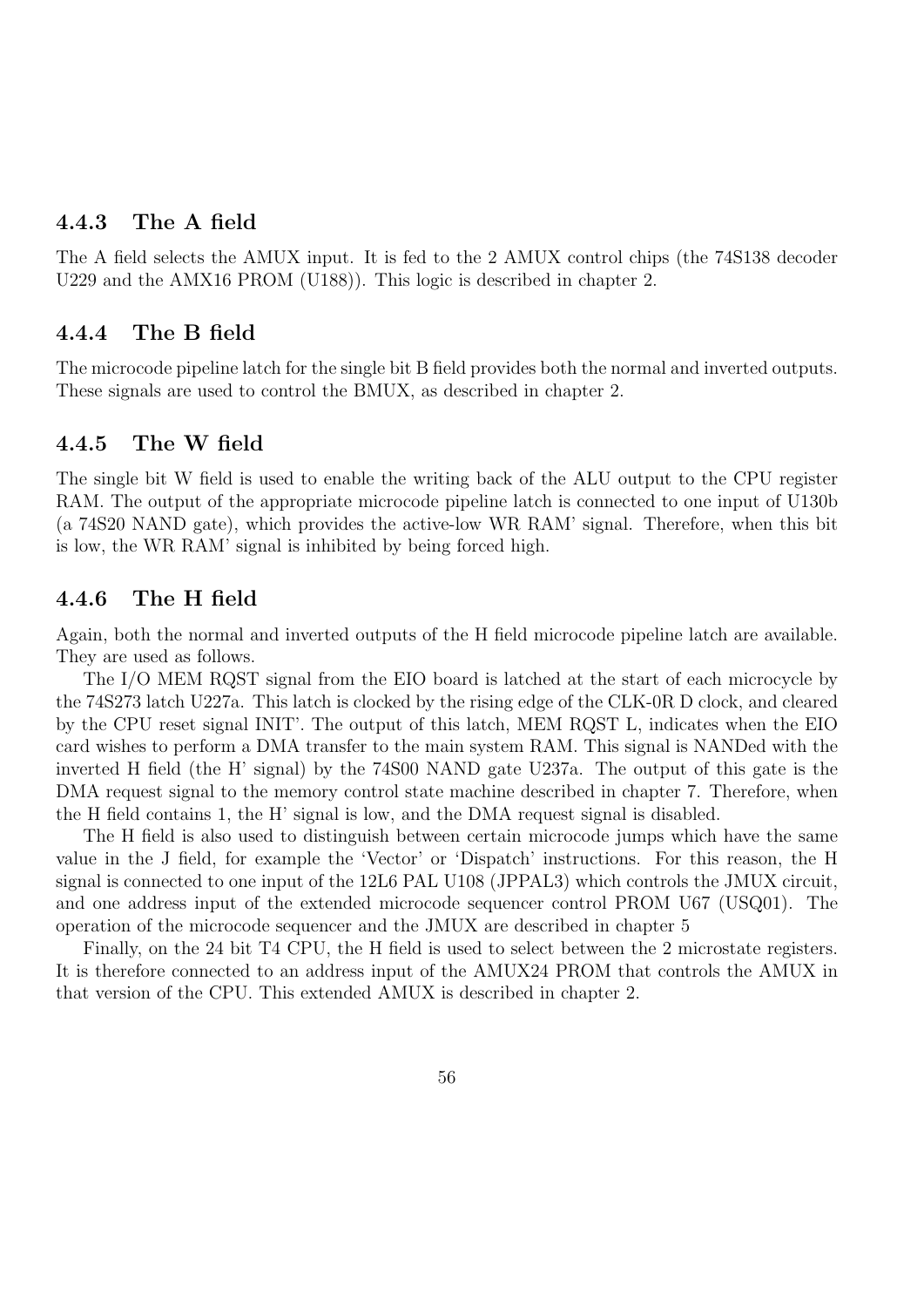#### 4.4.3 The A field

The A field selects the AMUX input. It is fed to the 2 AMUX control chips (the 74S138 decoder U229 and the AMX16 PROM (U188)). This logic is described in chapter 2.

#### 4.4.4 The B field

The microcode pipeline latch for the single bit B field provides both the normal and inverted outputs. These signals are used to control the BMUX, as described in chapter 2.

## 4.4.5 The W field

The single bit W field is used to enable the writing back of the ALU output to the CPU register RAM. The output of the appropriate microcode pipeline latch is connected to one input of U130b (a 74S20 NAND gate), which provides the active-low WR RAM' signal. Therefore, when this bit is low, the WR RAM' signal is inhibited by being forced high.

#### 4.4.6 The H field

Again, both the normal and inverted outputs of the H field microcode pipeline latch are available. They are used as follows.

The I/O MEM RQST signal from the EIO board is latched at the start of each microcycle by the 74S273 latch U227a. This latch is clocked by the rising edge of the CLK-0R D clock, and cleared by the CPU reset signal INIT'. The output of this latch, MEM RQST L, indicates when the EIO card wishes to perform a DMA transfer to the main system RAM. This signal is NANDed with the inverted H field (the H' signal) by the 74S00 NAND gate U237a. The output of this gate is the DMA request signal to the memory control state machine described in chapter 7. Therefore, when the H field contains 1, the H' signal is low, and the DMA request signal is disabled.

The H field is also used to distinguish between certain microcode jumps which have the same value in the J field, for example the 'Vector' or 'Dispatch' instructions. For this reason, the H signal is connected to one input of the 12L6 PAL U108 (JPPAL3) which controls the JMUX circuit, and one address input of the extended microcode sequencer control PROM U67 (USQ01). The operation of the microcode sequencer and the JMUX are described in chapter 5

Finally, on the 24 bit T4 CPU, the H field is used to select between the 2 microstate registers. It is therefore connected to an address input of the AMUX24 PROM that controls the AMUX in that version of the CPU. This extended AMUX is described in chapter 2.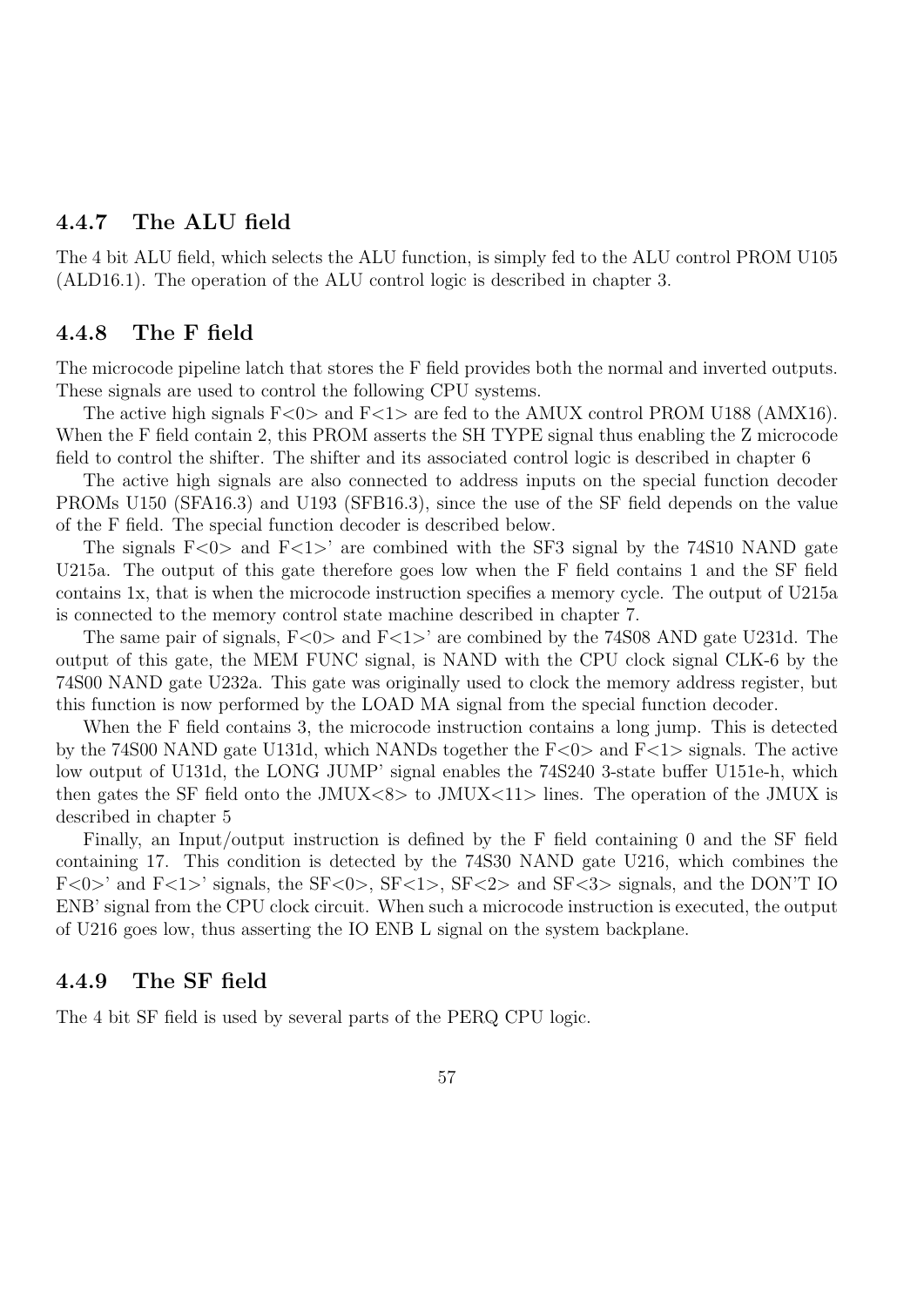#### 4.4.7 The ALU field

The 4 bit ALU field, which selects the ALU function, is simply fed to the ALU control PROM U105 (ALD16.1). The operation of the ALU control logic is described in chapter 3.

#### 4.4.8 The F field

The microcode pipeline latch that stores the F field provides both the normal and inverted outputs. These signals are used to control the following CPU systems.

The active high signals  $F<0>$  and  $F<1>$  are fed to the AMUX control PROM U188 (AMX16). When the F field contain 2, this PROM asserts the SH TYPE signal thus enabling the Z microcode field to control the shifter. The shifter and its associated control logic is described in chapter 6

The active high signals are also connected to address inputs on the special function decoder PROMs U150 (SFA16.3) and U193 (SFB16.3), since the use of the SF field depends on the value of the F field. The special function decoder is described below.

The signals  $F<0>$  and  $F<1>$ ' are combined with the SF3 signal by the 74S10 NAND gate U215a. The output of this gate therefore goes low when the F field contains 1 and the SF field contains 1x, that is when the microcode instruction specifies a memory cycle. The output of U215a is connected to the memory control state machine described in chapter 7.

The same pair of signals,  $F<0>$  and  $F<1>$ ' are combined by the 74S08 AND gate U231d. The output of this gate, the MEM FUNC signal, is NAND with the CPU clock signal CLK-6 by the 74S00 NAND gate U232a. This gate was originally used to clock the memory address register, but this function is now performed by the LOAD MA signal from the special function decoder.

When the F field contains 3, the microcode instruction contains a long jump. This is detected by the 74S00 NAND gate U131d, which NANDs together the  $F<0>$  and  $F<1>$  signals. The active low output of U131d, the LONG JUMP' signal enables the 74S240 3-state buffer U151e-h, which then gates the SF field onto the JMUX $\langle 8 \rangle$  to JMUX $\langle 11 \rangle$  lines. The operation of the JMUX is described in chapter 5

Finally, an Input/output instruction is defined by the F field containing 0 and the SF field containing 17. This condition is detected by the 74S30 NAND gate U216, which combines the F<0>' and F<1>' signals, the SF<0>, SF<1>, SF<2> and SF<3> signals, and the DON'T IO ENB' signal from the CPU clock circuit. When such a microcode instruction is executed, the output of U216 goes low, thus asserting the IO ENB L signal on the system backplane.

#### 4.4.9 The SF field

The 4 bit SF field is used by several parts of the PERQ CPU logic.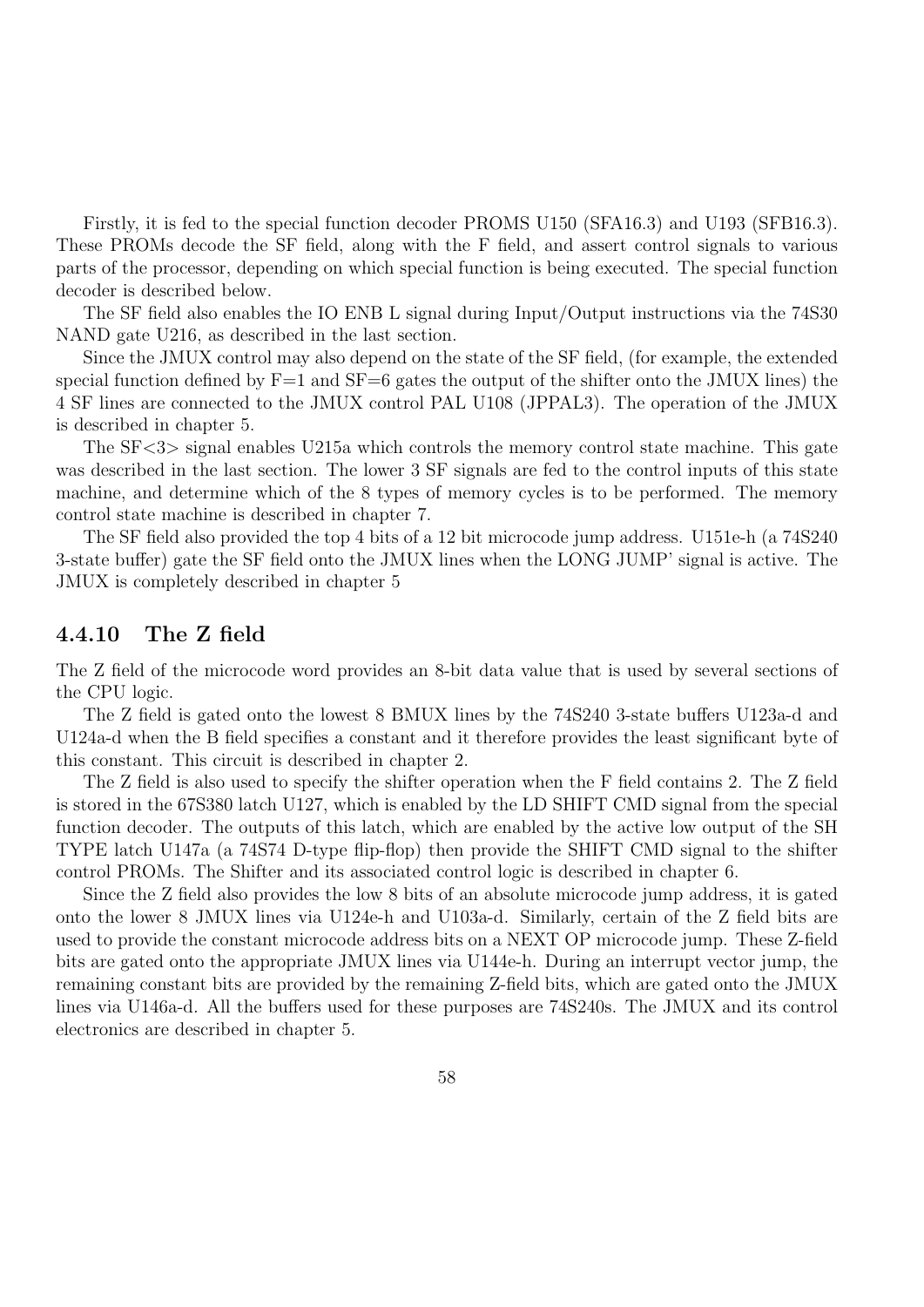Firstly, it is fed to the special function decoder PROMS U150 (SFA16.3) and U193 (SFB16.3). These PROMs decode the SF field, along with the F field, and assert control signals to various parts of the processor, depending on which special function is being executed. The special function decoder is described below.

The SF field also enables the IO ENB L signal during Input/Output instructions via the 74S30 NAND gate U216, as described in the last section.

Since the JMUX control may also depend on the state of the SF field, (for example, the extended special function defined by  $F=1$  and  $SF=6$  gates the output of the shifter onto the JMUX lines) the 4 SF lines are connected to the JMUX control PAL U108 (JPPAL3). The operation of the JMUX is described in chapter 5.

The SF<3> signal enables U215a which controls the memory control state machine. This gate was described in the last section. The lower 3 SF signals are fed to the control inputs of this state machine, and determine which of the 8 types of memory cycles is to be performed. The memory control state machine is described in chapter 7.

The SF field also provided the top 4 bits of a 12 bit microcode jump address. U151e-h (a 74S240 3-state buffer) gate the SF field onto the JMUX lines when the LONG JUMP' signal is active. The JMUX is completely described in chapter 5

#### 4.4.10 The Z field

The Z field of the microcode word provides an 8-bit data value that is used by several sections of the CPU logic.

The Z field is gated onto the lowest 8 BMUX lines by the 74S240 3-state buffers U123a-d and U124a-d when the B field specifies a constant and it therefore provides the least significant byte of this constant. This circuit is described in chapter 2.

The Z field is also used to specify the shifter operation when the F field contains 2. The Z field is stored in the 67S380 latch U127, which is enabled by the LD SHIFT CMD signal from the special function decoder. The outputs of this latch, which are enabled by the active low output of the SH TYPE latch U147a (a 74S74 D-type flip-flop) then provide the SHIFT CMD signal to the shifter control PROMs. The Shifter and its associated control logic is described in chapter 6.

Since the Z field also provides the low 8 bits of an absolute microcode jump address, it is gated onto the lower 8 JMUX lines via U124e-h and U103a-d. Similarly, certain of the Z field bits are used to provide the constant microcode address bits on a NEXT OP microcode jump. These Z-field bits are gated onto the appropriate JMUX lines via U144e-h. During an interrupt vector jump, the remaining constant bits are provided by the remaining Z-field bits, which are gated onto the JMUX lines via U146a-d. All the buffers used for these purposes are 74S240s. The JMUX and its control electronics are described in chapter 5.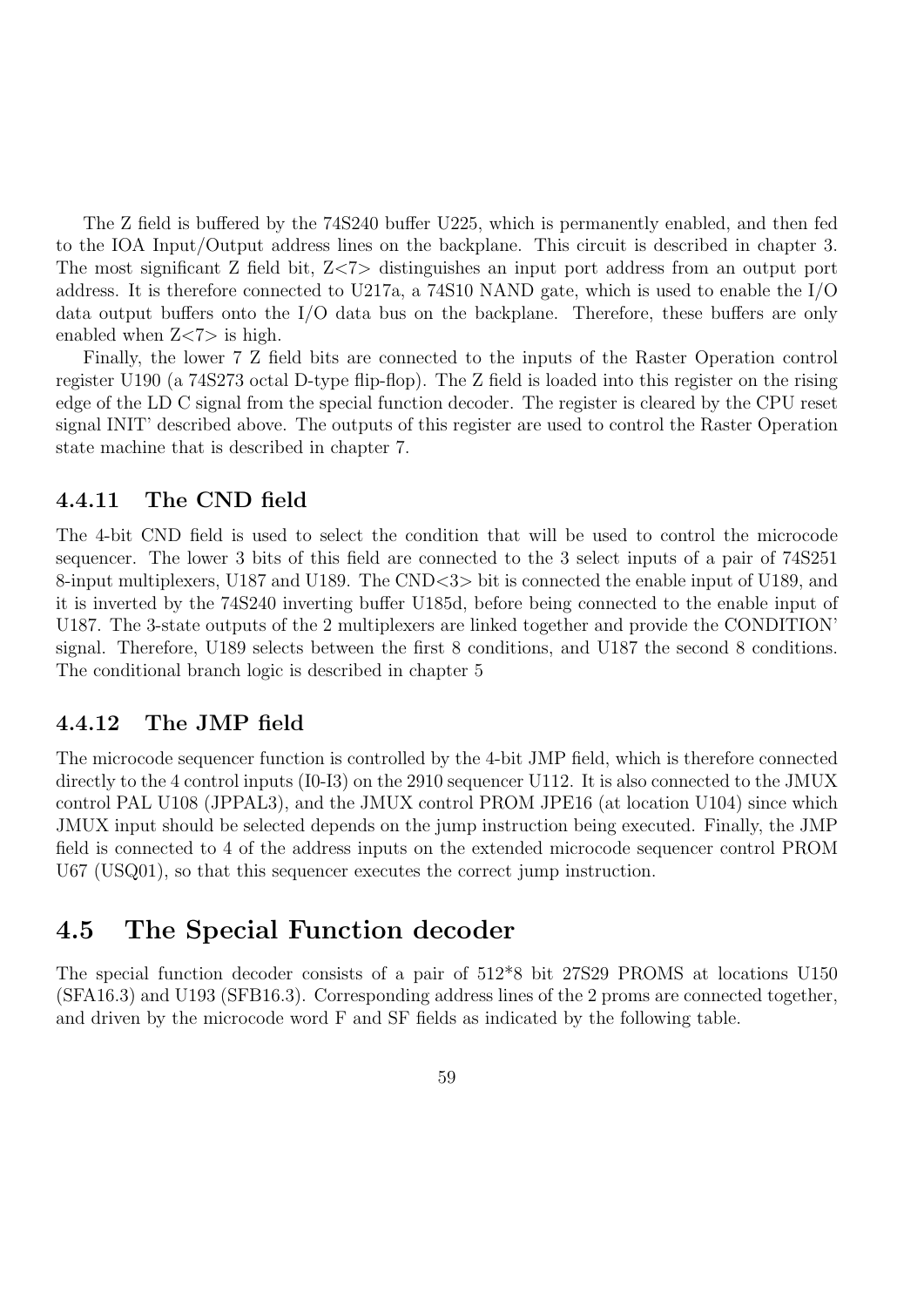The Z field is buffered by the 74S240 buffer U225, which is permanently enabled, and then fed to the IOA Input/Output address lines on the backplane. This circuit is described in chapter 3. The most significant Z field bit,  $Z\ll 7$  distinguishes an input port address from an output port address. It is therefore connected to U217a, a 74S10 NAND gate, which is used to enable the I/O data output buffers onto the I/O data bus on the backplane. Therefore, these buffers are only enabled when  $Z \lt 7$  is high.

Finally, the lower 7 Z field bits are connected to the inputs of the Raster Operation control register U190 (a 74S273 octal D-type flip-flop). The Z field is loaded into this register on the rising edge of the LD C signal from the special function decoder. The register is cleared by the CPU reset signal INIT' described above. The outputs of this register are used to control the Raster Operation state machine that is described in chapter 7.

#### 4.4.11 The CND field

The 4-bit CND field is used to select the condition that will be used to control the microcode sequencer. The lower 3 bits of this field are connected to the 3 select inputs of a pair of 74S251 8-input multiplexers, U187 and U189. The CND<3> bit is connected the enable input of U189, and it is inverted by the 74S240 inverting buffer U185d, before being connected to the enable input of U187. The 3-state outputs of the 2 multiplexers are linked together and provide the CONDITION' signal. Therefore, U189 selects between the first 8 conditions, and U187 the second 8 conditions. The conditional branch logic is described in chapter 5

## 4.4.12 The JMP field

The microcode sequencer function is controlled by the 4-bit JMP field, which is therefore connected directly to the 4 control inputs (I0-I3) on the 2910 sequencer U112. It is also connected to the JMUX control PAL U108 (JPPAL3), and the JMUX control PROM JPE16 (at location U104) since which JMUX input should be selected depends on the jump instruction being executed. Finally, the JMP field is connected to 4 of the address inputs on the extended microcode sequencer control PROM U67 (USQ01), so that this sequencer executes the correct jump instruction.

# 4.5 The Special Function decoder

The special function decoder consists of a pair of 512\*8 bit 27S29 PROMS at locations U150 (SFA16.3) and U193 (SFB16.3). Corresponding address lines of the 2 proms are connected together, and driven by the microcode word F and SF fields as indicated by the following table.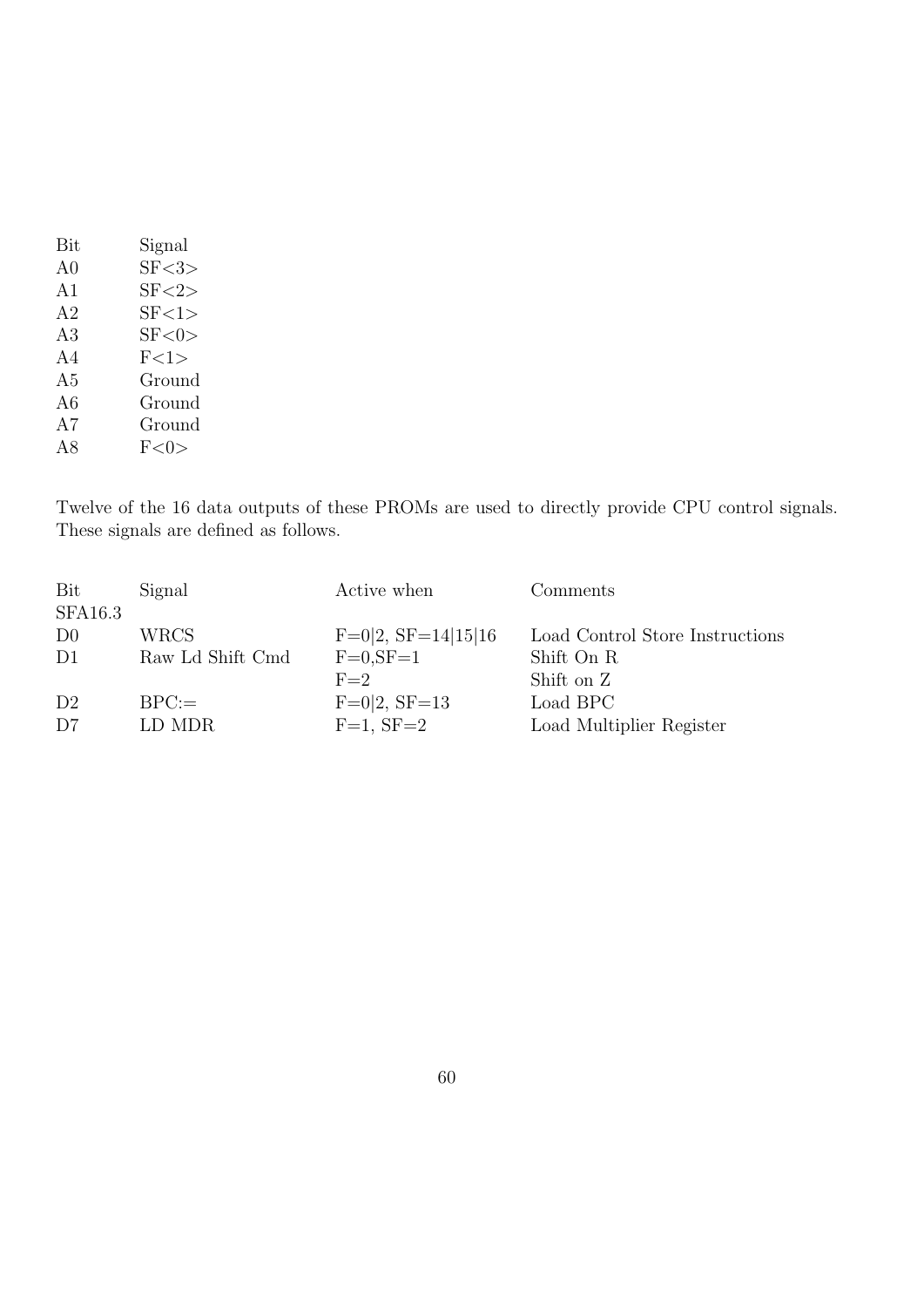| Bit            | Signal   |
|----------------|----------|
| A <sub>0</sub> | SF < 3   |
| A1             | SF < 2   |
| A2             | SF < 1 > |
| A3             | SF < 0 > |
| A4             | F<1>     |
| A5             | Ground   |
| A6             | Ground   |
| A7             | Ground   |
| A8             | F<0>     |

Twelve of the 16 data outputs of these PROMs are used to directly provide CPU control signals. These signals are defined as follows.

| Signal           | Active when             | Comments                        |
|------------------|-------------------------|---------------------------------|
|                  |                         |                                 |
| <b>WRCS</b>      | $F=0 2$ , $SF=14 15 16$ | Load Control Store Instructions |
| Raw Ld Shift Cmd | $F=0, SF=1$             | Shift On R                      |
|                  | $F=2$                   | Shift on Z                      |
| $BPC =$          | $F=0 2, SF=13$          | Load BPC                        |
| LD MDR           | $F=1$ , $SF=2$          | Load Multiplier Register        |
|                  |                         |                                 |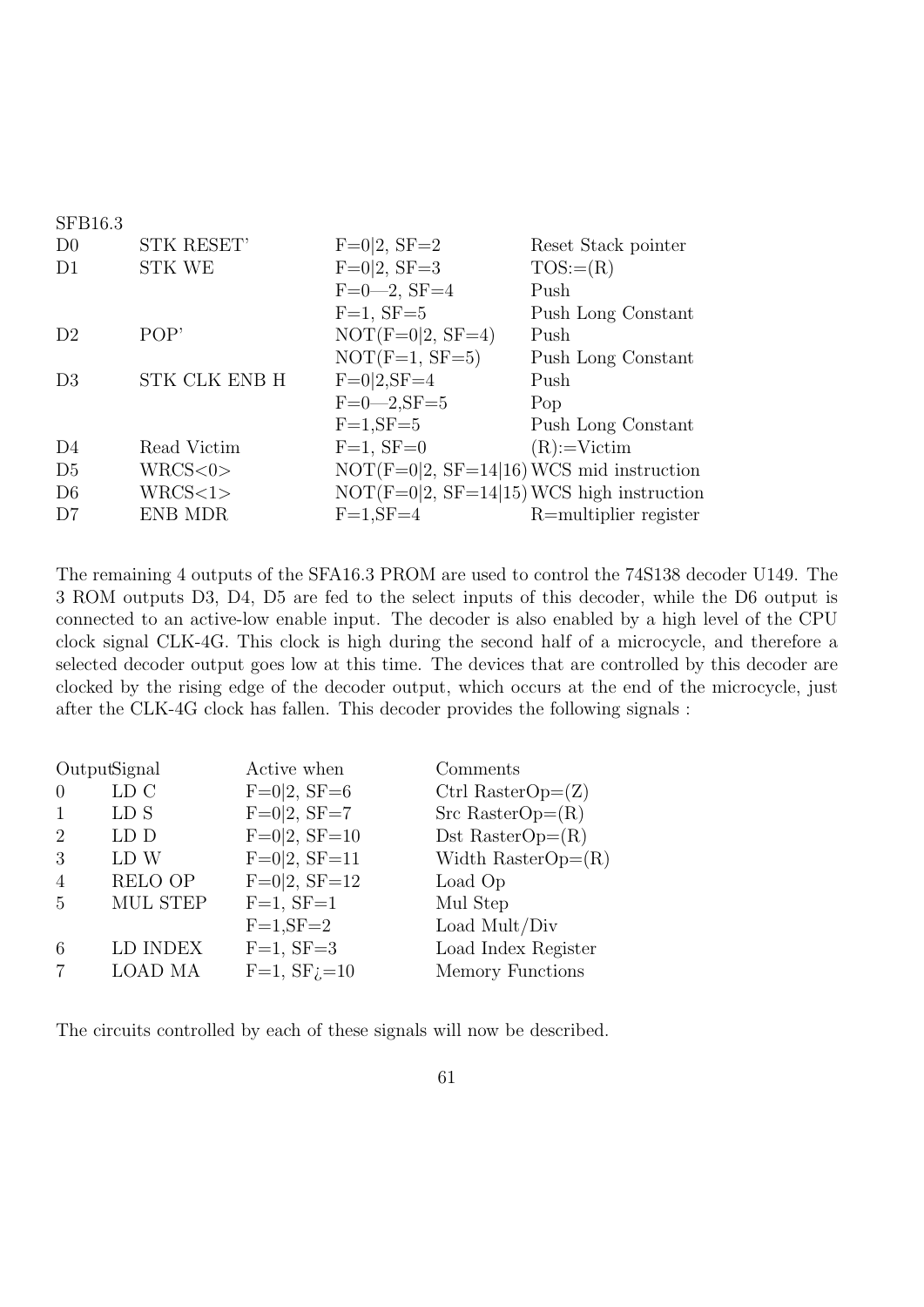| <b>SFB16.3</b> |                      |                                             |                       |
|----------------|----------------------|---------------------------------------------|-----------------------|
| D <sub>0</sub> | STK RESET'           | $F=0 2, SF=2$                               | Reset Stack pointer   |
| D <sub>1</sub> | <b>STK WE</b>        | $F=0 2, SF=3$                               | $TOS:= (R)$           |
|                |                      | $F=0-2$ , $SF=4$                            | Push                  |
|                |                      | $F=1$ , $SF=5$                              | Push Long Constant    |
| D <sub>2</sub> | POP'                 | $NOT(F=0 2, SF=4)$                          | Push                  |
|                |                      | $NOT(F=1, SF=5)$                            | Push Long Constant    |
| D3             | <b>STK CLK ENB H</b> | $F=0 2, SF=4$                               | Push                  |
|                |                      | $F = 0 - 2, SF = 5$                         | Pop                   |
|                |                      | $F=1,SF=5$                                  | Push Long Constant    |
| D4             | Read Victim          | $F=1$ , $SF=0$                              | $(R)=Victim$          |
| D <sub>5</sub> | WRCS<0>              | $NOT(F=0 2, SF=14 16) WCS$ mid instruction  |                       |
| D <sub>6</sub> | WRCS<1>              | $NOT(F=0 2, SF=14 15) WCS$ high instruction |                       |
| D7             | ENB MDR              | $F=1,SF=4$                                  | R=multiplier register |
|                |                      |                                             |                       |

The remaining 4 outputs of the SFA16.3 PROM are used to control the 74S138 decoder U149. The 3 ROM outputs D3, D4, D5 are fed to the select inputs of this decoder, while the D6 output is connected to an active-low enable input. The decoder is also enabled by a high level of the CPU clock signal CLK-4G. This clock is high during the second half of a microcycle, and therefore a selected decoder output goes low at this time. The devices that are controlled by this decoder are clocked by the rising edge of the decoder output, which occurs at the end of the microcycle, just after the CLK-4G clock has fallen. This decoder provides the following signals :

|                | OutputSignal   | Active when      | Comments                |
|----------------|----------------|------------------|-------------------------|
| $\overline{0}$ | LD C           | $F=0 2, SF=6$    | Ctrl RasterOp= $(Z)$    |
| 1              | LD S           | $F=0 2, SF=7$    | $Src$ RasterOp= $(R)$   |
| 2              | LD D           | $F=0 2, SF=10$   | Dst RasterOp= $(R)$     |
| 3              | LD W           | $F=0 2, SF=11$   | Width Raster $Op=(R)$   |
| $\overline{4}$ | <b>RELO OP</b> | $F=0 2, SF=12$   | Load Op                 |
| $\frac{5}{2}$  | MUL STEP       | $F=1$ , $SF=1$   | Mul Step                |
|                |                | $F=1, SF=2$      | Load Mult/Div           |
| 6              | LD INDEX       | $F=1$ , $SF=3$   | Load Index Register     |
|                | LOAD MA        | $F=1$ , $SFj=10$ | <b>Memory Functions</b> |

The circuits controlled by each of these signals will now be described.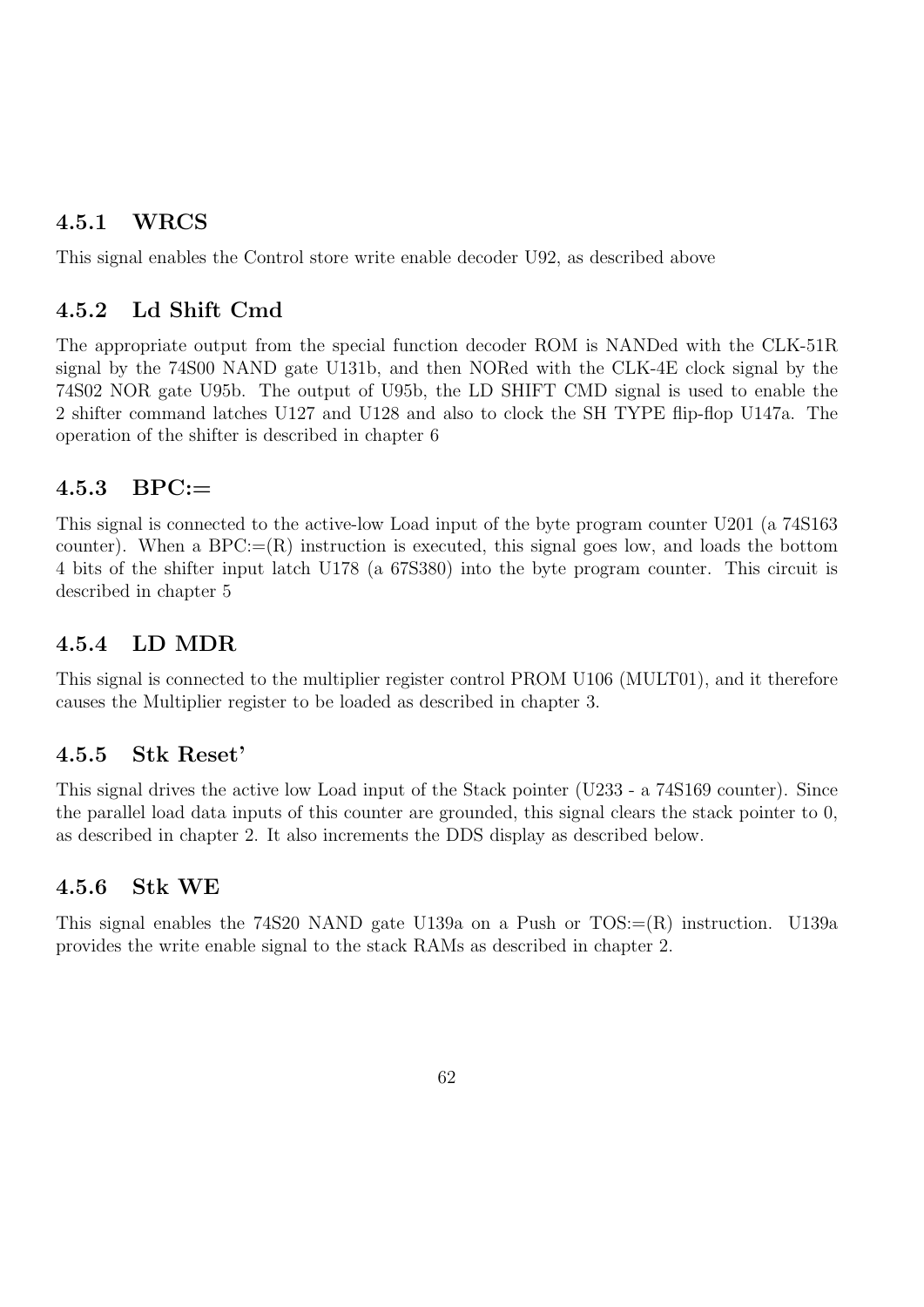# 4.5.1 WRCS

This signal enables the Control store write enable decoder U92, as described above

# 4.5.2 Ld Shift Cmd

The appropriate output from the special function decoder ROM is NANDed with the CLK-51R signal by the 74S00 NAND gate U131b, and then NORed with the CLK-4E clock signal by the 74S02 NOR gate U95b. The output of U95b, the LD SHIFT CMD signal is used to enable the 2 shifter command latches U127 and U128 and also to clock the SH TYPE flip-flop U147a. The operation of the shifter is described in chapter 6

# 4.5.3 BPC:=

This signal is connected to the active-low Load input of the byte program counter U201 (a 74S163 counter). When a  $BPC:=(R)$  instruction is executed, this signal goes low, and loads the bottom 4 bits of the shifter input latch U178 (a 67S380) into the byte program counter. This circuit is described in chapter 5

# 4.5.4 LD MDR

This signal is connected to the multiplier register control PROM U106 (MULT01), and it therefore causes the Multiplier register to be loaded as described in chapter 3.

# 4.5.5 Stk Reset'

This signal drives the active low Load input of the Stack pointer (U233 - a 74S169 counter). Since the parallel load data inputs of this counter are grounded, this signal clears the stack pointer to 0, as described in chapter 2. It also increments the DDS display as described below.

# 4.5.6 Stk WE

This signal enables the 74S20 NAND gate U139a on a Push or  $TOS := (R)$  instruction. U139a provides the write enable signal to the stack RAMs as described in chapter 2.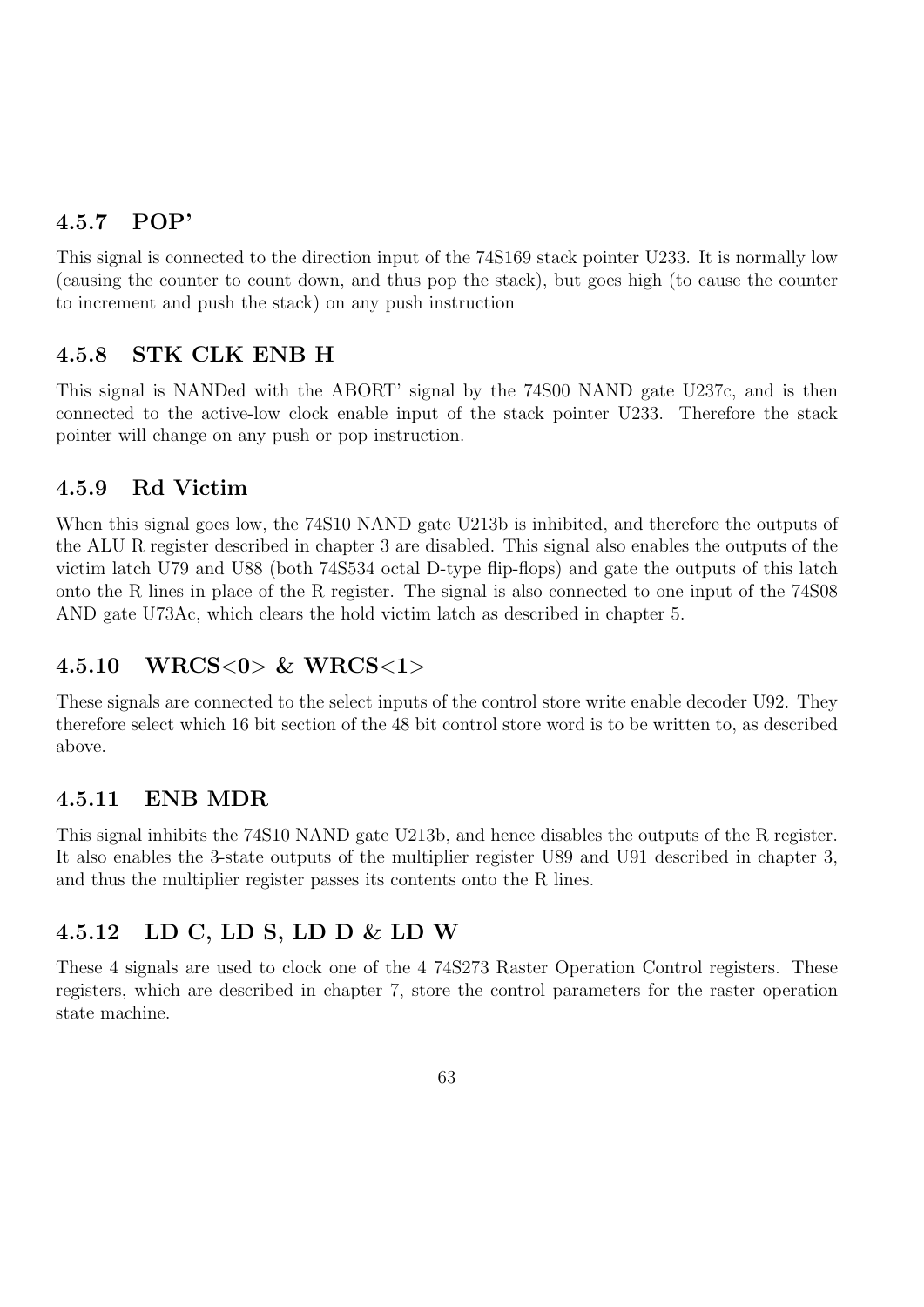# 4.5.7 POP'

This signal is connected to the direction input of the 74S169 stack pointer U233. It is normally low (causing the counter to count down, and thus pop the stack), but goes high (to cause the counter to increment and push the stack) on any push instruction

# 4.5.8 STK CLK ENB H

This signal is NANDed with the ABORT' signal by the 74S00 NAND gate U237c, and is then connected to the active-low clock enable input of the stack pointer U233. Therefore the stack pointer will change on any push or pop instruction.

# 4.5.9 Rd Victim

When this signal goes low, the 74S10 NAND gate U213b is inhibited, and therefore the outputs of the ALU R register described in chapter 3 are disabled. This signal also enables the outputs of the victim latch U79 and U88 (both 74S534 octal D-type flip-flops) and gate the outputs of this latch onto the R lines in place of the R register. The signal is also connected to one input of the 74S08 AND gate U73Ac, which clears the hold victim latch as described in chapter 5.

# 4.5.10 WRCS<0> & WRCS<1>

These signals are connected to the select inputs of the control store write enable decoder U92. They therefore select which 16 bit section of the 48 bit control store word is to be written to, as described above.

# 4.5.11 ENB MDR

This signal inhibits the 74S10 NAND gate U213b, and hence disables the outputs of the R register. It also enables the 3-state outputs of the multiplier register U89 and U91 described in chapter 3, and thus the multiplier register passes its contents onto the R lines.

# 4.5.12 LD C, LD S, LD D & LD W

These 4 signals are used to clock one of the 4 74S273 Raster Operation Control registers. These registers, which are described in chapter 7, store the control parameters for the raster operation state machine.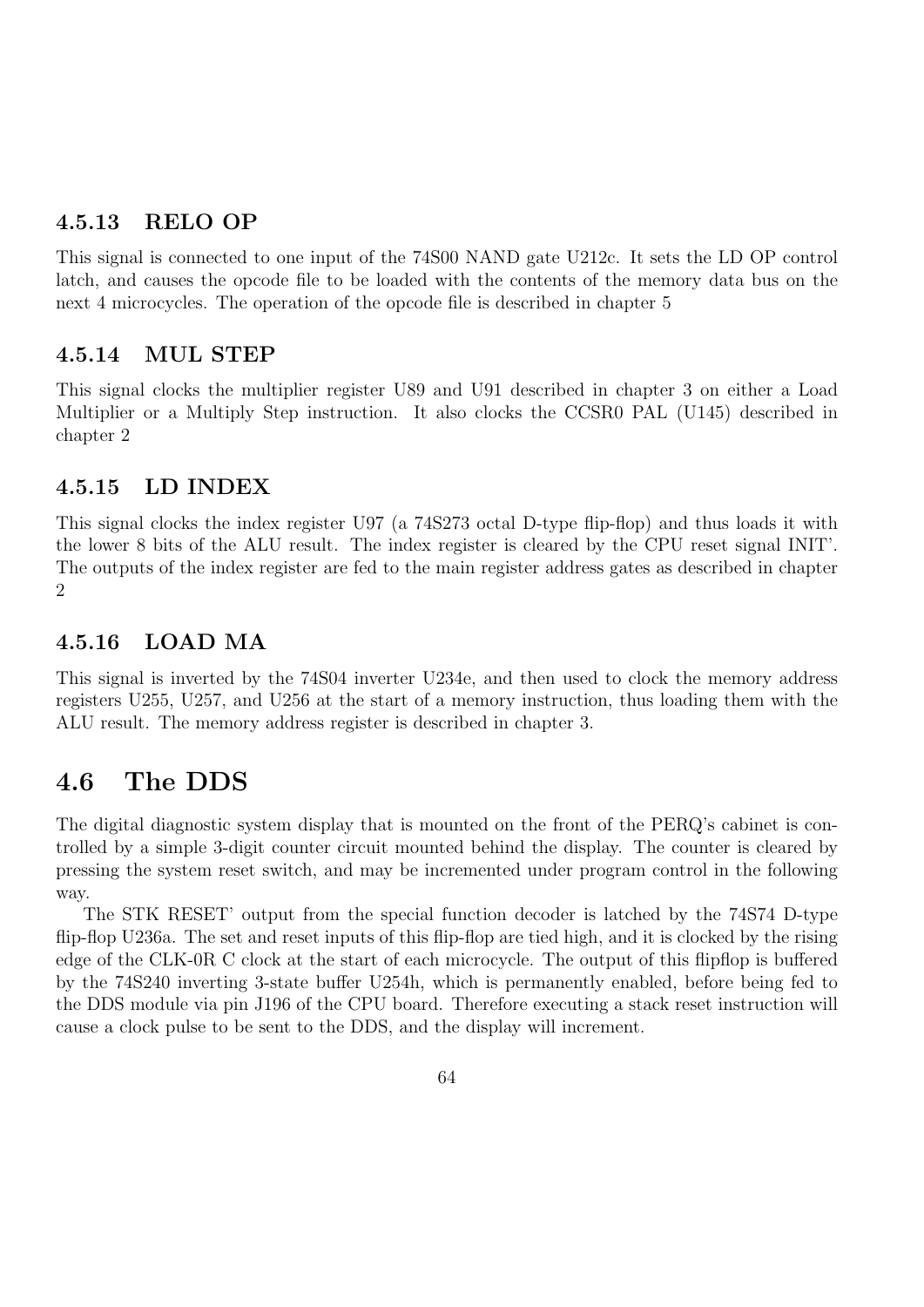# 4.5.13 RELO OP

This signal is connected to one input of the 74S00 NAND gate U212c. It sets the LD OP control latch, and causes the opcode file to be loaded with the contents of the memory data bus on the next 4 microcycles. The operation of the opcode file is described in chapter 5

## 4.5.14 MUL STEP

This signal clocks the multiplier register U89 and U91 described in chapter 3 on either a Load Multiplier or a Multiply Step instruction. It also clocks the CCSR0 PAL (U145) described in chapter 2

## 4.5.15 LD INDEX

This signal clocks the index register U97 (a 74S273 octal D-type flip-flop) and thus loads it with the lower 8 bits of the ALU result. The index register is cleared by the CPU reset signal INIT'. The outputs of the index register are fed to the main register address gates as described in chapter 2

## 4.5.16 LOAD MA

This signal is inverted by the 74S04 inverter U234e, and then used to clock the memory address registers U255, U257, and U256 at the start of a memory instruction, thus loading them with the ALU result. The memory address register is described in chapter 3.

# 4.6 The DDS

The digital diagnostic system display that is mounted on the front of the PERQ's cabinet is controlled by a simple 3-digit counter circuit mounted behind the display. The counter is cleared by pressing the system reset switch, and may be incremented under program control in the following way.

The STK RESET' output from the special function decoder is latched by the 74S74 D-type flip-flop U236a. The set and reset inputs of this flip-flop are tied high, and it is clocked by the rising edge of the CLK-0R C clock at the start of each microcycle. The output of this flipflop is buffered by the 74S240 inverting 3-state buffer U254h, which is permanently enabled, before being fed to the DDS module via pin J196 of the CPU board. Therefore executing a stack reset instruction will cause a clock pulse to be sent to the DDS, and the display will increment.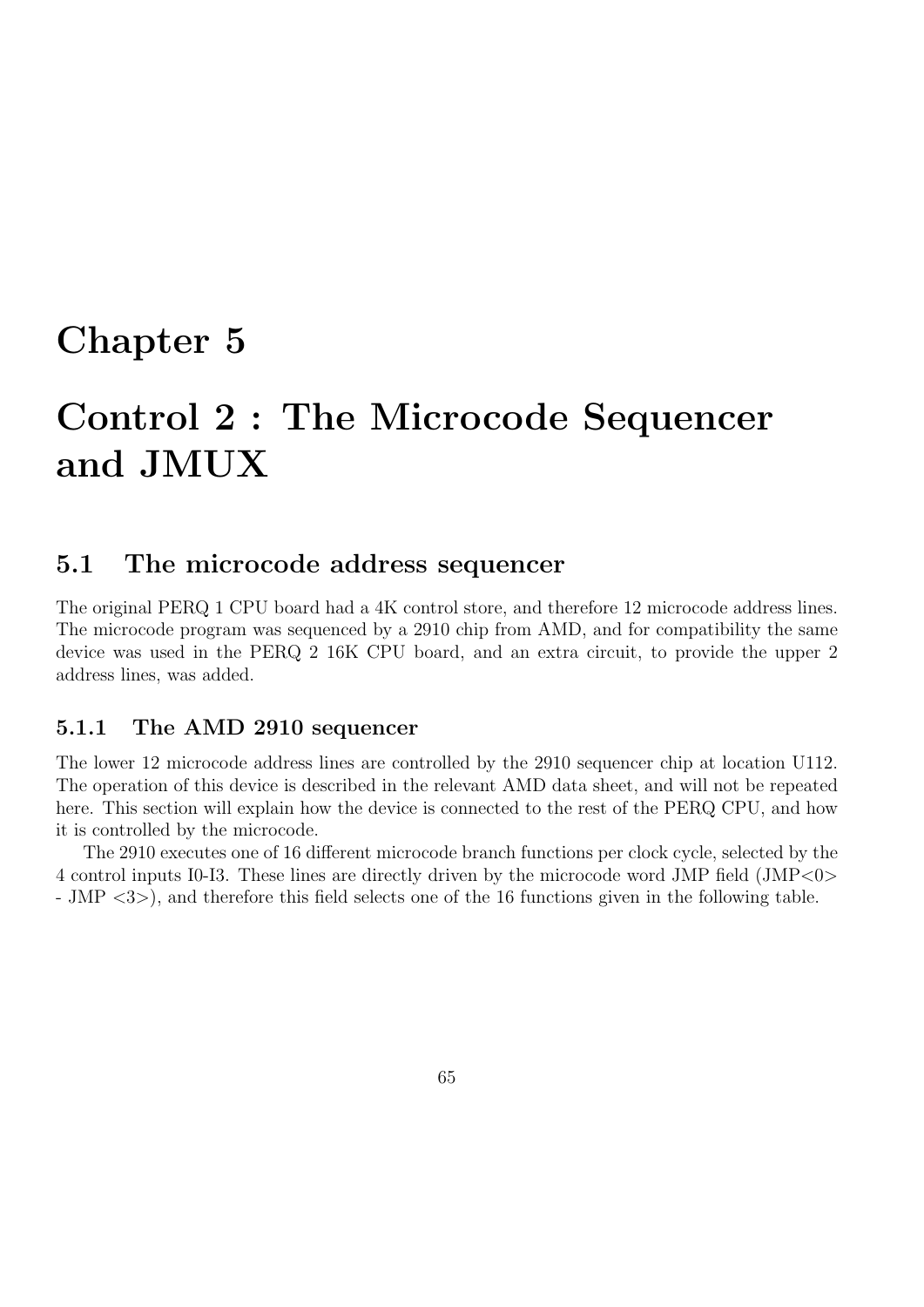# Chapter 5

# Control 2 : The Microcode Sequencer and JMUX

# 5.1 The microcode address sequencer

The original PERQ 1 CPU board had a 4K control store, and therefore 12 microcode address lines. The microcode program was sequenced by a 2910 chip from AMD, and for compatibility the same device was used in the PERQ 2 16K CPU board, and an extra circuit, to provide the upper 2 address lines, was added.

## 5.1.1 The AMD 2910 sequencer

The lower 12 microcode address lines are controlled by the 2910 sequencer chip at location U112. The operation of this device is described in the relevant AMD data sheet, and will not be repeated here. This section will explain how the device is connected to the rest of the PERQ CPU, and how it is controlled by the microcode.

The 2910 executes one of 16 different microcode branch functions per clock cycle, selected by the 4 control inputs I0-I3. These lines are directly driven by the microcode word JMP field (JMP<0> - JMP <3>), and therefore this field selects one of the 16 functions given in the following table.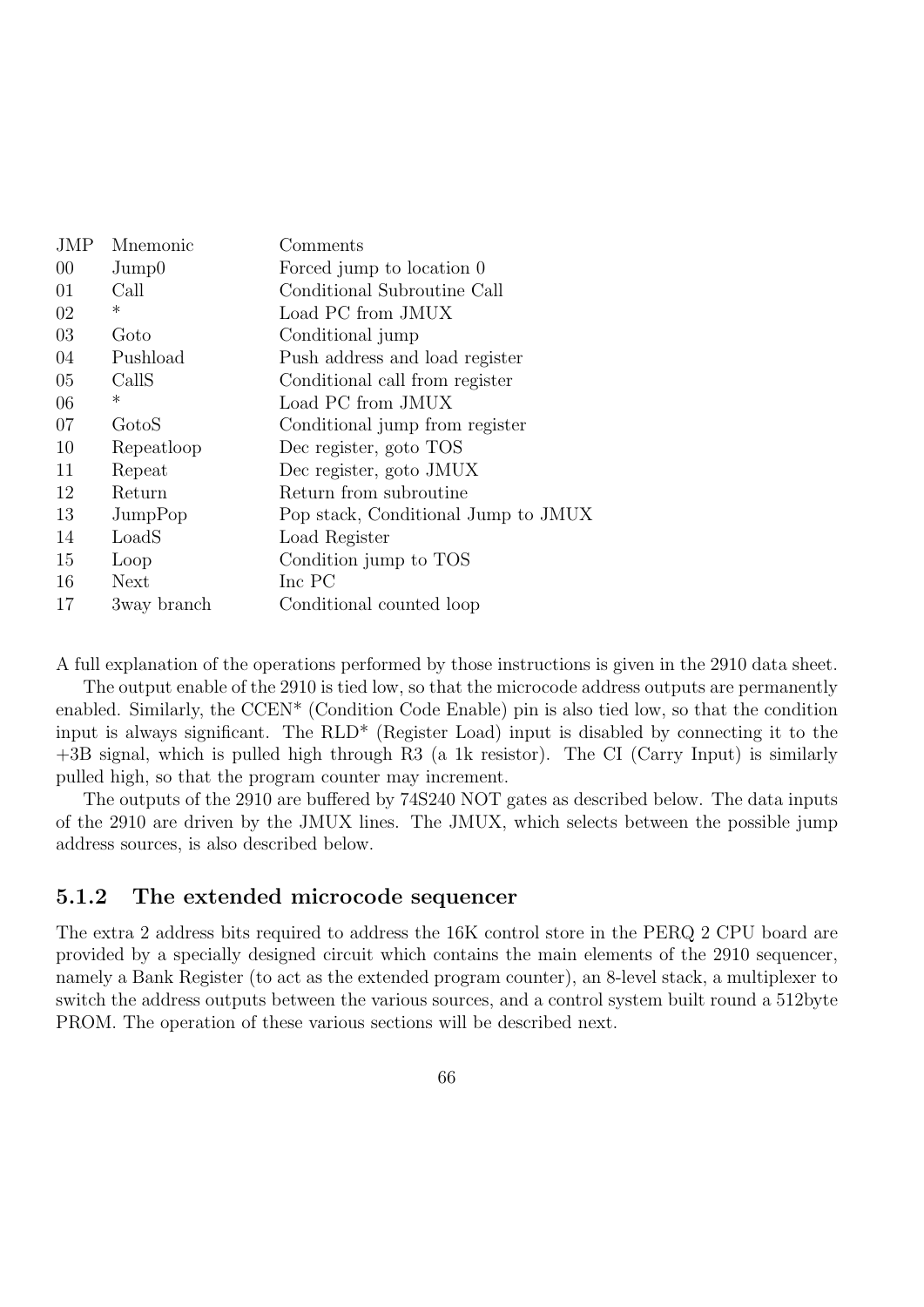| Mnemonic       | Comments                            |
|----------------|-------------------------------------|
| $\text{Jump0}$ | Forced jump to location 0           |
| Call           | Conditional Subroutine Call         |
| $\ast$         | Load PC from JMUX                   |
| Goto           | Conditional jump                    |
| Pushload       | Push address and load register      |
| CallS          | Conditional call from register      |
| $\ast$         | Load PC from JMUX                   |
| GotoS          | Conditional jump from register      |
| Repeatloop     | Dec register, goto TOS              |
| Repeat         | Dec register, goto JMUX             |
| Return         | Return from subroutine              |
| JumpPop        | Pop stack, Conditional Jump to JMUX |
| LoadS          | Load Register                       |
| Loop           | Condition jump to TOS               |
| Next           | Inc PC                              |
| 3way branch    | Conditional counted loop            |
|                |                                     |

A full explanation of the operations performed by those instructions is given in the 2910 data sheet.

The output enable of the 2910 is tied low, so that the microcode address outputs are permanently enabled. Similarly, the CCEN\* (Condition Code Enable) pin is also tied low, so that the condition input is always significant. The RLD\* (Register Load) input is disabled by connecting it to the +3B signal, which is pulled high through R3 (a 1k resistor). The CI (Carry Input) is similarly pulled high, so that the program counter may increment.

The outputs of the 2910 are buffered by 74S240 NOT gates as described below. The data inputs of the 2910 are driven by the JMUX lines. The JMUX, which selects between the possible jump address sources, is also described below.

#### 5.1.2 The extended microcode sequencer

The extra 2 address bits required to address the 16K control store in the PERQ 2 CPU board are provided by a specially designed circuit which contains the main elements of the 2910 sequencer, namely a Bank Register (to act as the extended program counter), an 8-level stack, a multiplexer to switch the address outputs between the various sources, and a control system built round a 512byte PROM. The operation of these various sections will be described next.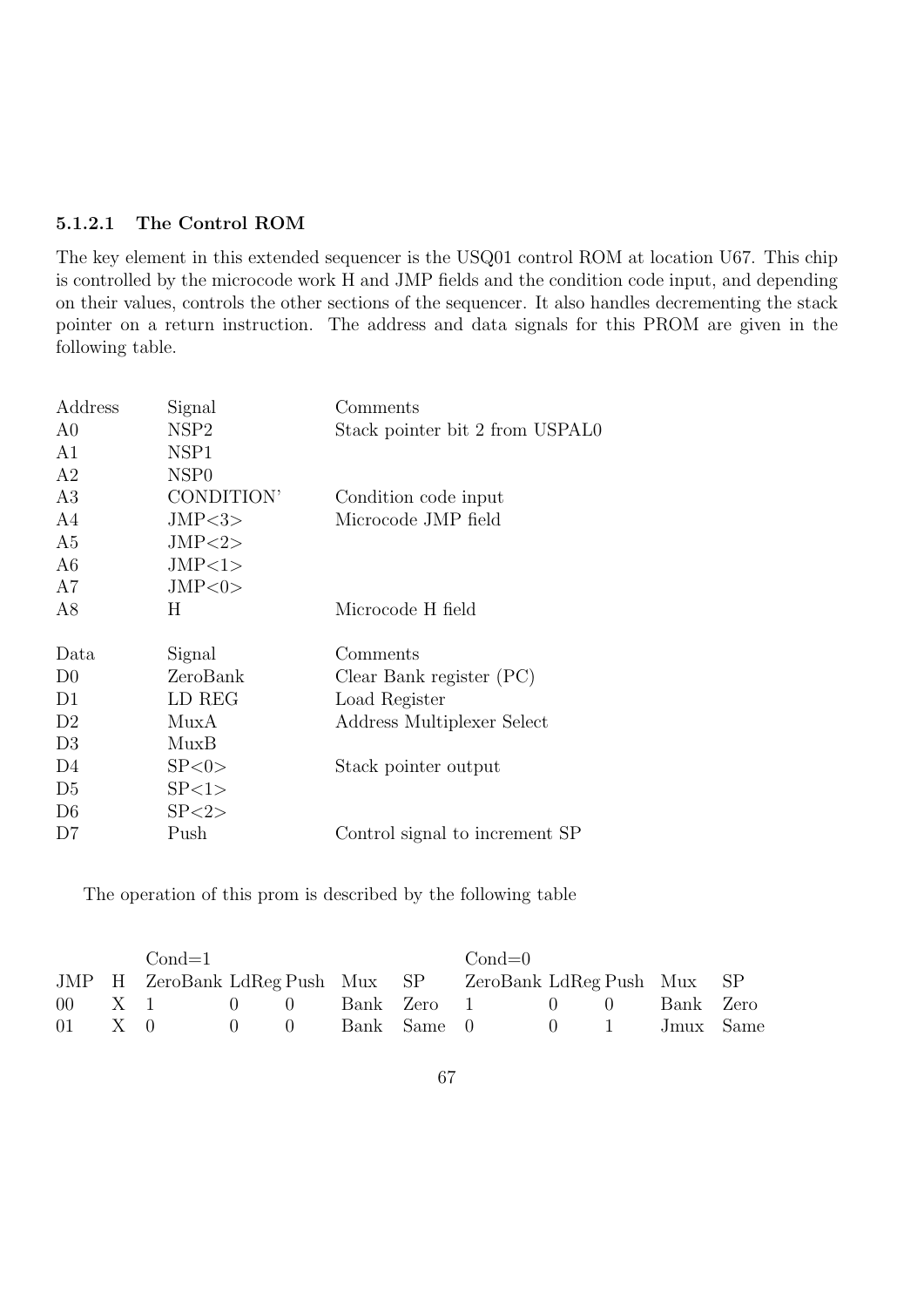## 5.1.2.1 The Control ROM

The key element in this extended sequencer is the USQ01 control ROM at location U67. This chip is controlled by the microcode work H and JMP fields and the condition code input, and depending on their values, controls the other sections of the sequencer. It also handles decrementing the stack pointer on a return instruction. The address and data signals for this PROM are given in the following table.

| Address        | Signal           | Comments                        |
|----------------|------------------|---------------------------------|
| A <sub>0</sub> | NSP <sub>2</sub> | Stack pointer bit 2 from USPAL0 |
| A1             | NSP1             |                                 |
| A2             | NSP <sub>0</sub> |                                 |
| A3             | CONDITION'       | Condition code input            |
| A4             | JMP < 3          | Microcode JMP field             |
| A <sub>5</sub> | JMP < 2>         |                                 |
| A6             | JMP<1>           |                                 |
| A7             | JMP<0>           |                                 |
| A8             | Η                | Microcode H field               |
| Data           | Signal           | Comments                        |
| D <sub>0</sub> | ZeroBank         | Clear Bank register (PC)        |
| D1             | LD REG           | Load Register                   |
| D2             | MuxA             | Address Multiplexer Select      |
| D <sub>3</sub> | MuxB             |                                 |
| D <sub>4</sub> | SP < 0 >         | Stack pointer output            |
| D <sub>5</sub> | SP < 1>          |                                 |
| D <sub>6</sub> | SP < 2>          |                                 |
| D7             | Push             | Control signal to increment SP  |
|                |                  |                                 |

The operation of this prom is described by the following table

|                      | $Cond=1$                             |                                       |  |             | $Cond=0$                                                    |                                          |           |  |
|----------------------|--------------------------------------|---------------------------------------|--|-------------|-------------------------------------------------------------|------------------------------------------|-----------|--|
|                      |                                      |                                       |  |             | JMP H ZeroBank LdReg Push Mux SP ZeroBank LdReg Push Mux SP |                                          |           |  |
|                      | $00 \quad X \quad 1 \quad 0 \quad 0$ |                                       |  |             | Bank Zero 1 0 0                                             |                                          | Bank Zero |  |
| $01 \quad X \quad 0$ |                                      | $\begin{pmatrix} 0 & 0 \end{pmatrix}$ |  | Bank Same 0 |                                                             | $\begin{array}{ccc} & 0 & 1 \end{array}$ | Jmux Same |  |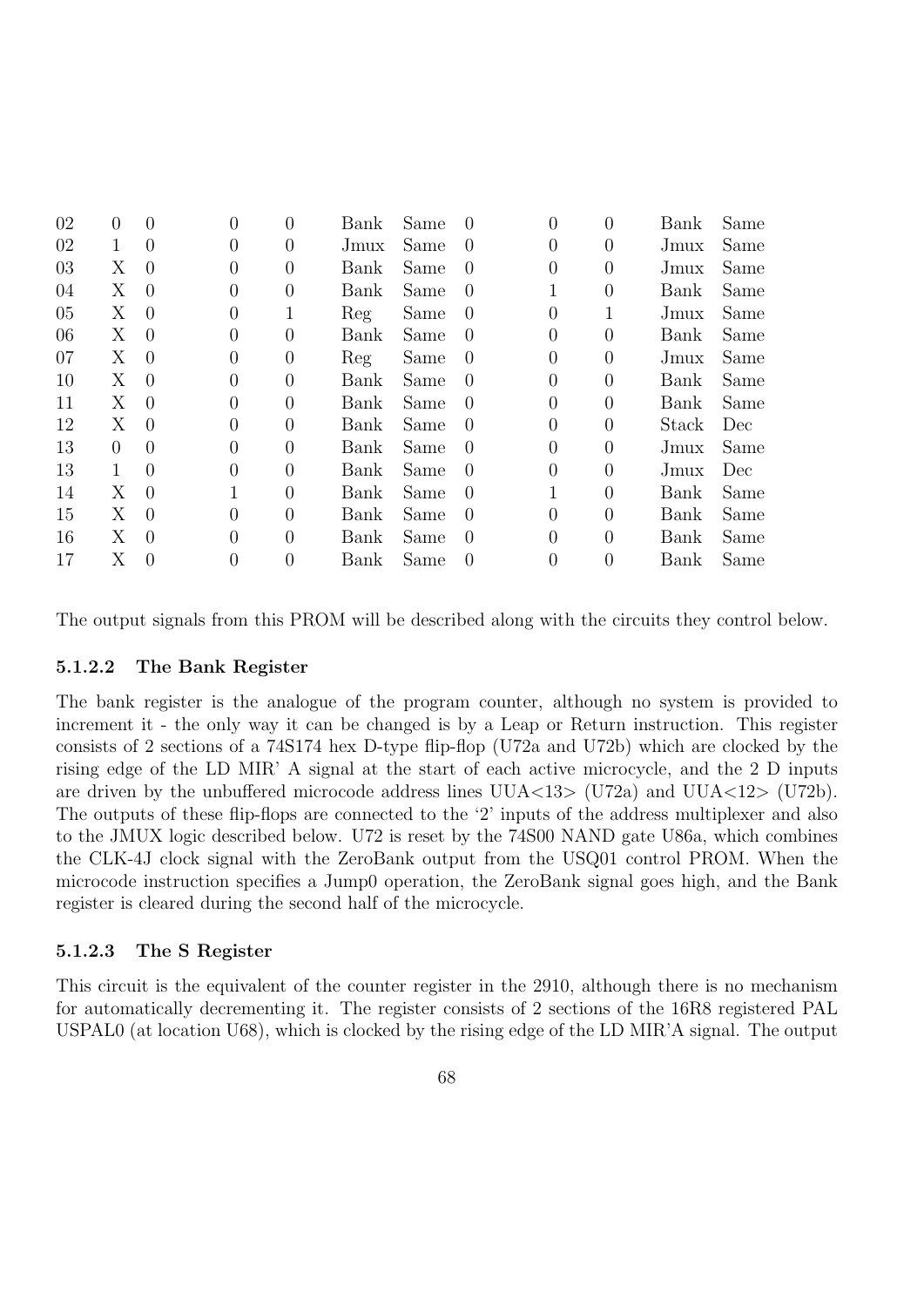| 02 | $\theta$ | 0        | 0                | $\theta$       | Bank | Same | $\Omega$         | 0                | 0              | Bank  | Same |
|----|----------|----------|------------------|----------------|------|------|------------------|------------------|----------------|-------|------|
| 02 | 1        | 0        | $\theta$         | $\theta$       | Jmux | Same | $\Omega$         | $\Omega$         | 0              | Jmux  | Same |
| 03 | Х        | $\theta$ | $\theta$         | $\overline{0}$ | Bank | Same | $\left( \right)$ | 0                | $\overline{0}$ | Jmux  | Same |
| 04 | Χ        | $\theta$ | $\left( \right)$ | $\theta$       | Bank | Same | $\Omega$         |                  | $\theta$       | Bank  | Same |
| 05 | Χ        | $\theta$ | $\theta$         | 1              | Reg  | Same | $\Omega$         |                  |                | Jmux  | Same |
| 06 | Χ        | $\Omega$ | $\theta$         | 0              | Bank | Same | $\theta$         | $\theta$         | 0              | Bank  | Same |
| 07 | Χ        | $\theta$ | $\theta$         | $\overline{0}$ | Reg  | Same | $\theta$         | $\Omega$         | $\theta$       | Jmux  | Same |
| 10 | Χ        | $\theta$ | 0                | $\theta$       | Bank | Same | $\Omega$         | $\theta$         | 0              | Bank  | Same |
| 11 | Χ        | $\theta$ | $\theta$         | $\overline{0}$ | Bank | Same | $\Omega$         | $\left( \right)$ | 0              | Bank  | Same |
| 12 | Χ        | $\theta$ | $\Omega$         | $\theta$       | Bank | Same | $\Omega$         | $\theta$         | $\overline{0}$ | Stack | Dec. |
| 13 | $\theta$ | $\theta$ | $\theta$         | $\Omega$       | Bank | Same | $\Omega$         | $\left( \right)$ | 0              | Jmux  | Same |
| 13 | 1        | 0        | $\theta$         | $\theta$       | Bank | Same | $\Omega$         | $\left( \right)$ | $\theta$       | Jmux  | Dec  |
| 14 | Χ        | $\theta$ |                  | $\theta$       | Bank | Same | $\Omega$         |                  | $\overline{0}$ | Bank  | Same |
| 15 | Χ        | $\Omega$ | $\left( \right)$ | $\Omega$       | Bank | Same | $\Omega$         |                  | 0              | Bank  | Same |
| 16 | Χ        | $\theta$ | $\cup$           | $\theta$       | Bank | Same | $\Omega$         | $\theta$         | $\theta$       | Bank  | Same |
| 17 | Х        | 0        | U                | 0              | Bank | Same | $\theta$         |                  | 0              | Bank  | Same |
|    |          |          |                  |                |      |      |                  |                  |                |       |      |

The output signals from this PROM will be described along with the circuits they control below.

#### 5.1.2.2 The Bank Register

The bank register is the analogue of the program counter, although no system is provided to increment it - the only way it can be changed is by a Leap or Return instruction. This register consists of 2 sections of a 74S174 hex D-type flip-flop (U72a and U72b) which are clocked by the rising edge of the LD MIR' A signal at the start of each active microcycle, and the 2 D inputs are driven by the unbuffered microcode address lines  $UUA<13$ >  $(U72a)$  and  $UUA<12$ >  $(U72b)$ . The outputs of these flip-flops are connected to the '2' inputs of the address multiplexer and also to the JMUX logic described below. U72 is reset by the 74S00 NAND gate U86a, which combines the CLK-4J clock signal with the ZeroBank output from the USQ01 control PROM. When the microcode instruction specifies a Jump0 operation, the ZeroBank signal goes high, and the Bank register is cleared during the second half of the microcycle.

#### 5.1.2.3 The S Register

This circuit is the equivalent of the counter register in the 2910, although there is no mechanism for automatically decrementing it. The register consists of 2 sections of the 16R8 registered PAL USPAL0 (at location U68), which is clocked by the rising edge of the LD MIR'A signal. The output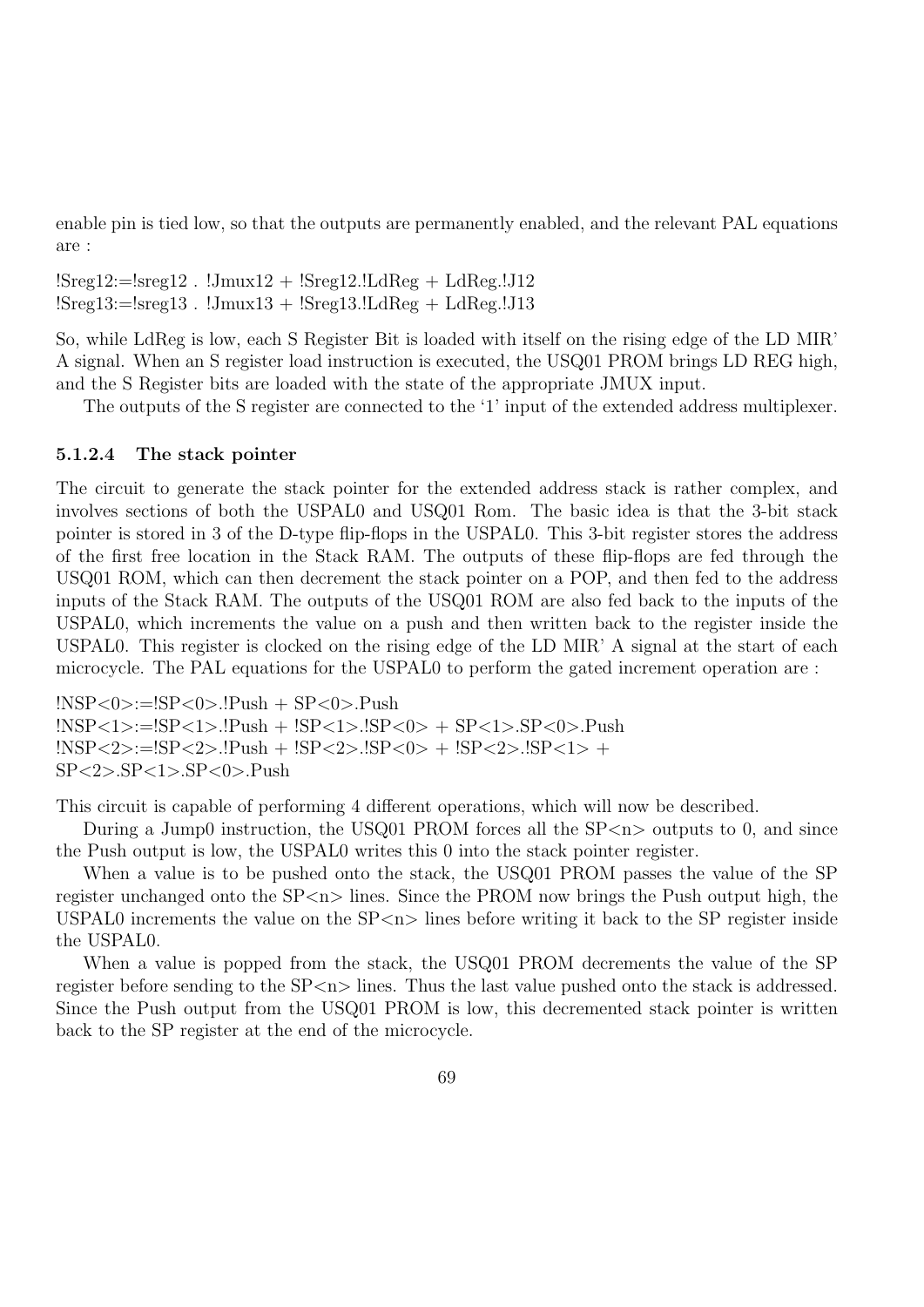enable pin is tied low, so that the outputs are permanently enabled, and the relevant PAL equations are :

 $!Sreg12:=!sreg12$  .  $!Jmux12 + !Sreg12$ .!LdReg + LdReg.!J12  $!Sreg13:=lsreg13$ .  $!Jmux13 + !Sreg13$ . $!LdReg + LdReg.$ ! $J13$ 

So, while LdReg is low, each S Register Bit is loaded with itself on the rising edge of the LD MIR' A signal. When an S register load instruction is executed, the USQ01 PROM brings LD REG high, and the S Register bits are loaded with the state of the appropriate JMUX input.

The outputs of the S register are connected to the '1' input of the extended address multiplexer.

#### 5.1.2.4 The stack pointer

The circuit to generate the stack pointer for the extended address stack is rather complex, and involves sections of both the USPAL0 and USQ01 Rom. The basic idea is that the 3-bit stack pointer is stored in 3 of the D-type flip-flops in the USPAL0. This 3-bit register stores the address of the first free location in the Stack RAM. The outputs of these flip-flops are fed through the USQ01 ROM, which can then decrement the stack pointer on a POP, and then fed to the address inputs of the Stack RAM. The outputs of the USQ01 ROM are also fed back to the inputs of the USPAL0, which increments the value on a push and then written back to the register inside the USPAL0. This register is clocked on the rising edge of the LD MIR' A signal at the start of each microcycle. The PAL equations for the USPAL0 to perform the gated increment operation are :

 $|NSP<0>:=|SP<0>$ .!Push +  $SP<0>$ .Push  $!$   $\text{NSP} < 1$   $> := \text{SP} < 1$   $>$   $\text{IP}$   $\text{ush}$   $+$   $\text{SP} < 1$   $>$   $\text{SP} < 0$   $>$   $+$   $\text{SP} < 1$  $>$   $\text{SP} < 0$  $>$   $\text{P}$   $\text{ush}$  $!$   $\text{NSP} < 2 > := !$  $\text{SP} < 2 > . !$  $\text{Push} + !\text{SP} < 2 > . !$  $\text{SP} < 0 > + !\text{SP} < 2 > . !$  $\text{SP} < 1 > +$ SP<2>.SP<1>.SP<0>.Push

This circuit is capable of performing 4 different operations, which will now be described.

During a Jump0 instruction, the USQ01 PROM forces all the  $SP\langle n \rangle$  outputs to 0, and since the Push output is low, the USPAL0 writes this 0 into the stack pointer register.

When a value is to be pushed onto the stack, the USQ01 PROM passes the value of the SP register unchanged onto the  $SP\langle n \rangle$  lines. Since the PROM now brings the Push output high, the USPAL0 increments the value on the  $SP < n >$  lines before writing it back to the SP register inside the USPAL0.

When a value is popped from the stack, the USQ01 PROM decrements the value of the SP register before sending to the SP $\langle n \rangle$  lines. Thus the last value pushed onto the stack is addressed. Since the Push output from the USQ01 PROM is low, this decremented stack pointer is written back to the SP register at the end of the microcycle.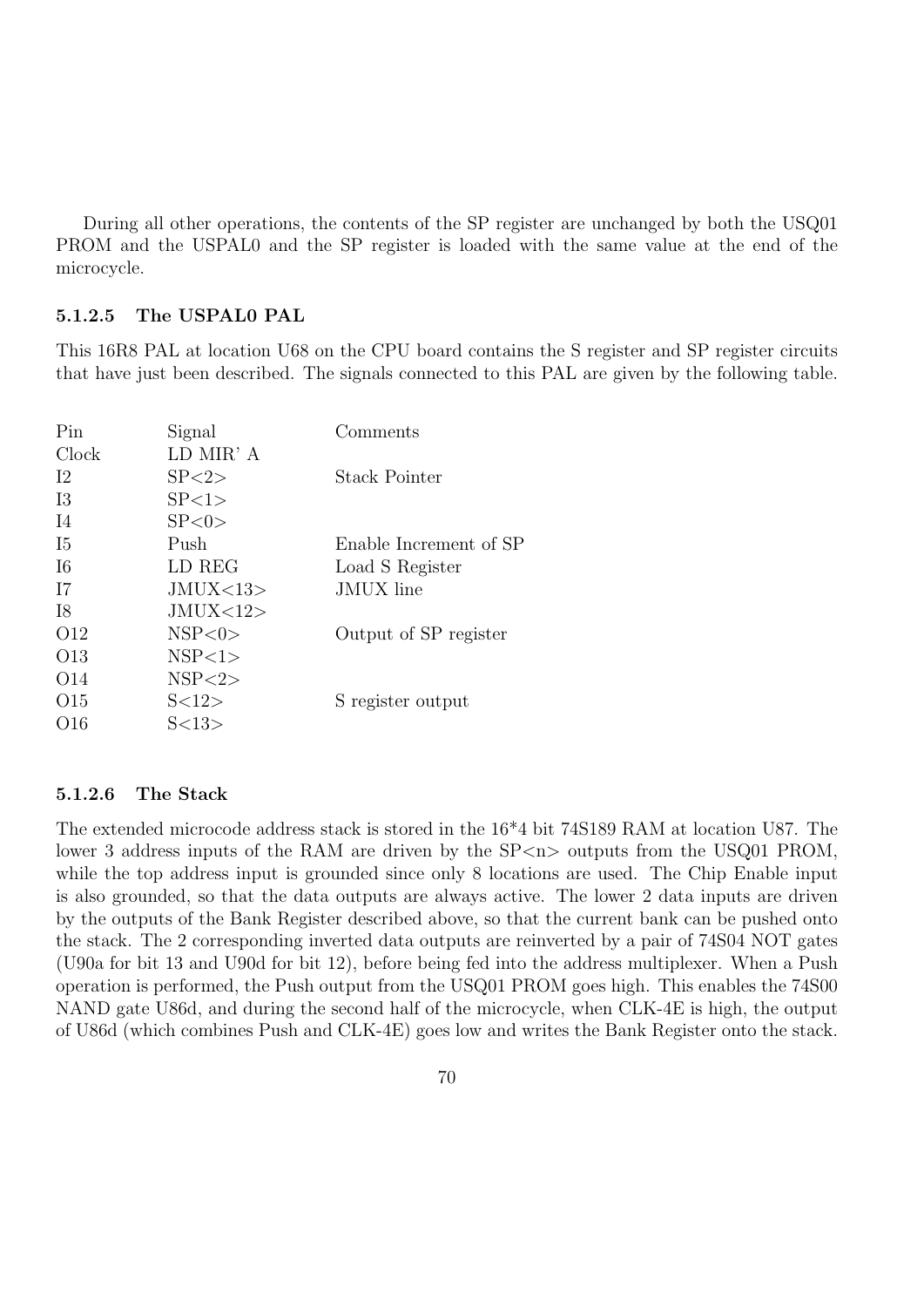During all other operations, the contents of the SP register are unchanged by both the USQ01 PROM and the USPAL0 and the SP register is loaded with the same value at the end of the microcycle.

#### 5.1.2.5 The USPAL0 PAL

This 16R8 PAL at location U68 on the CPU board contains the S register and SP register circuits that have just been described. The signals connected to this PAL are given by the following table.

| Pin             | Signal    | Comments               |
|-----------------|-----------|------------------------|
| Clock           | LD MIR' A |                        |
| $12\,$          | SP < 2>   | Stack Pointer          |
| 13              | SP < 1>   |                        |
| I4              | SP < 0 >  |                        |
| 15              | Push      | Enable Increment of SP |
| $16\,$          | LD REG    | Load S Register        |
| I7              | JMUX<13>  | <b>JMUX</b> line       |
| I8              | JMUX<12>  |                        |
| O12             | NSP<0>    | Output of SP register  |
| O <sub>13</sub> | NSP<1>    |                        |
| O <sub>14</sub> | NSP<2>    |                        |
| O <sub>15</sub> | S<12>     | S register output      |
| O16             | S<13>     |                        |
|                 |           |                        |

#### 5.1.2.6 The Stack

The extended microcode address stack is stored in the 16\*4 bit 74S189 RAM at location U87. The lower 3 address inputs of the RAM are driven by the SP $\langle n \rangle$  outputs from the USQ01 PROM, while the top address input is grounded since only 8 locations are used. The Chip Enable input is also grounded, so that the data outputs are always active. The lower 2 data inputs are driven by the outputs of the Bank Register described above, so that the current bank can be pushed onto the stack. The 2 corresponding inverted data outputs are reinverted by a pair of 74S04 NOT gates (U90a for bit 13 and U90d for bit 12), before being fed into the address multiplexer. When a Push operation is performed, the Push output from the USQ01 PROM goes high. This enables the 74S00 NAND gate U86d, and during the second half of the microcycle, when CLK-4E is high, the output of U86d (which combines Push and CLK-4E) goes low and writes the Bank Register onto the stack.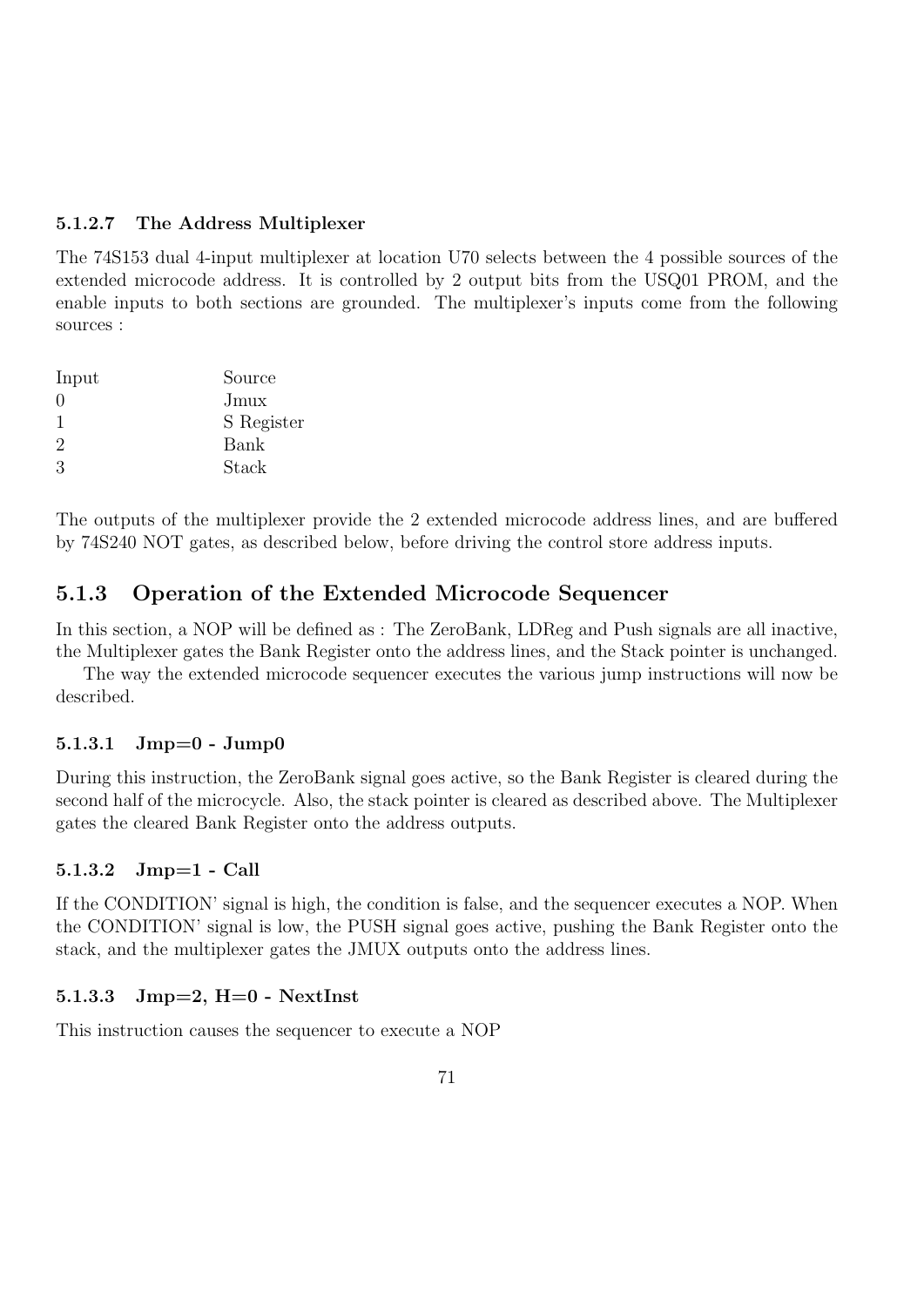## 5.1.2.7 The Address Multiplexer

The 74S153 dual 4-input multiplexer at location U70 selects between the 4 possible sources of the extended microcode address. It is controlled by 2 output bits from the USQ01 PROM, and the enable inputs to both sections are grounded. The multiplexer's inputs come from the following sources :

| S Register |
|------------|
|            |
|            |
|            |

The outputs of the multiplexer provide the 2 extended microcode address lines, and are buffered by 74S240 NOT gates, as described below, before driving the control store address inputs.

# 5.1.3 Operation of the Extended Microcode Sequencer

In this section, a NOP will be defined as : The ZeroBank, LDReg and Push signals are all inactive, the Multiplexer gates the Bank Register onto the address lines, and the Stack pointer is unchanged.

The way the extended microcode sequencer executes the various jump instructions will now be described.

#### 5.1.3.1 Jmp=0 - Jump0

During this instruction, the ZeroBank signal goes active, so the Bank Register is cleared during the second half of the microcycle. Also, the stack pointer is cleared as described above. The Multiplexer gates the cleared Bank Register onto the address outputs.

#### 5.1.3.2 Jmp=1 - Call

If the CONDITION' signal is high, the condition is false, and the sequencer executes a NOP. When the CONDITION' signal is low, the PUSH signal goes active, pushing the Bank Register onto the stack, and the multiplexer gates the JMUX outputs onto the address lines.

#### 5.1.3.3 Jmp=2, H=0 - NextInst

This instruction causes the sequencer to execute a NOP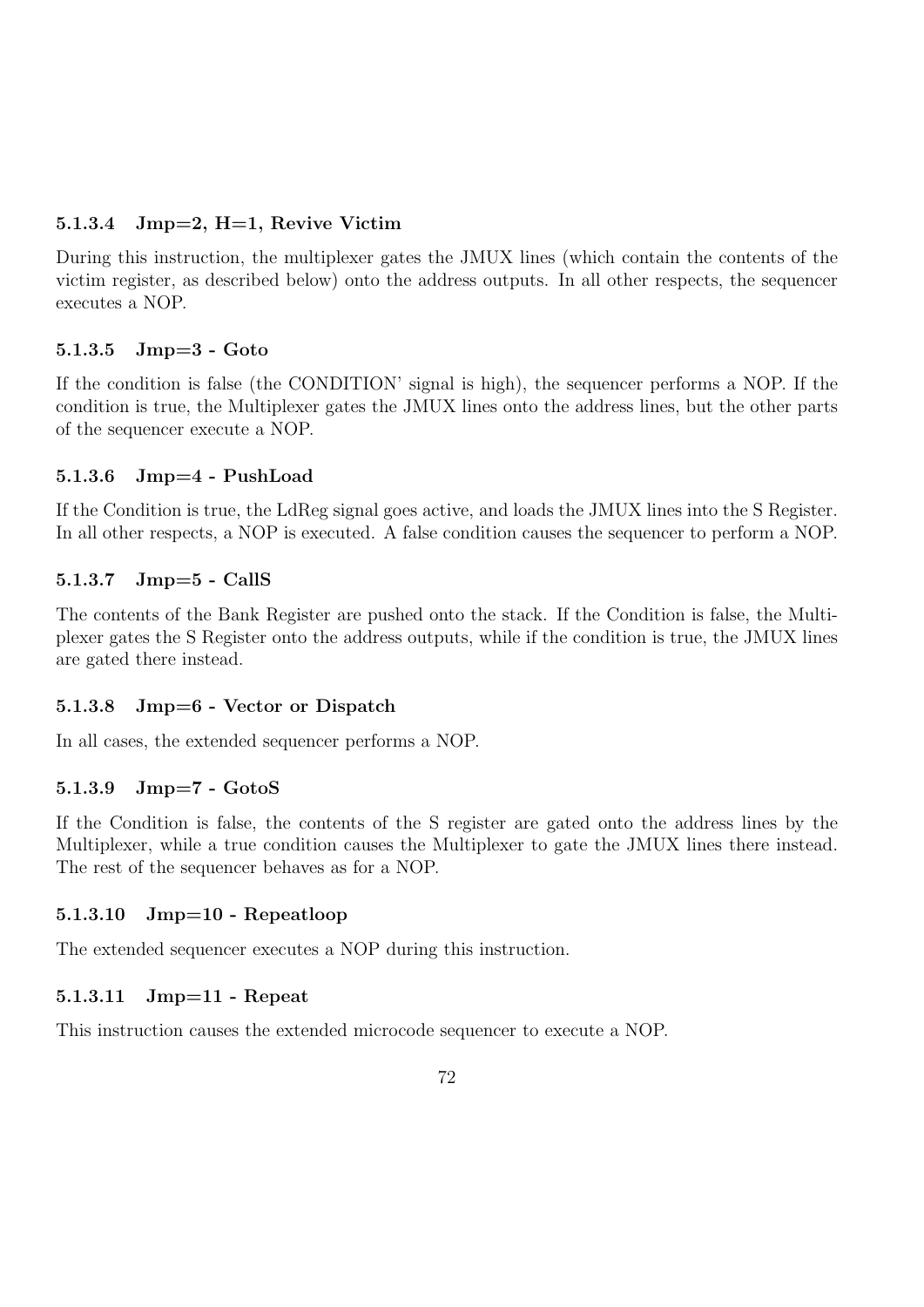## 5.1.3.4 Jmp=2, H=1, Revive Victim

During this instruction, the multiplexer gates the JMUX lines (which contain the contents of the victim register, as described below) onto the address outputs. In all other respects, the sequencer executes a NOP.

#### 5.1.3.5 Jmp=3 - Goto

If the condition is false (the CONDITION' signal is high), the sequencer performs a NOP. If the condition is true, the Multiplexer gates the JMUX lines onto the address lines, but the other parts of the sequencer execute a NOP.

## 5.1.3.6 Jmp=4 - PushLoad

If the Condition is true, the LdReg signal goes active, and loads the JMUX lines into the S Register. In all other respects, a NOP is executed. A false condition causes the sequencer to perform a NOP.

# 5.1.3.7 Jmp=5 - CallS

The contents of the Bank Register are pushed onto the stack. If the Condition is false, the Multiplexer gates the S Register onto the address outputs, while if the condition is true, the JMUX lines are gated there instead.

#### 5.1.3.8 Jmp=6 - Vector or Dispatch

In all cases, the extended sequencer performs a NOP.

#### 5.1.3.9 Jmp=7 - GotoS

If the Condition is false, the contents of the S register are gated onto the address lines by the Multiplexer, while a true condition causes the Multiplexer to gate the JMUX lines there instead. The rest of the sequencer behaves as for a NOP.

#### 5.1.3.10 Jmp=10 - Repeatloop

The extended sequencer executes a NOP during this instruction.

# 5.1.3.11 Jmp=11 - Repeat

This instruction causes the extended microcode sequencer to execute a NOP.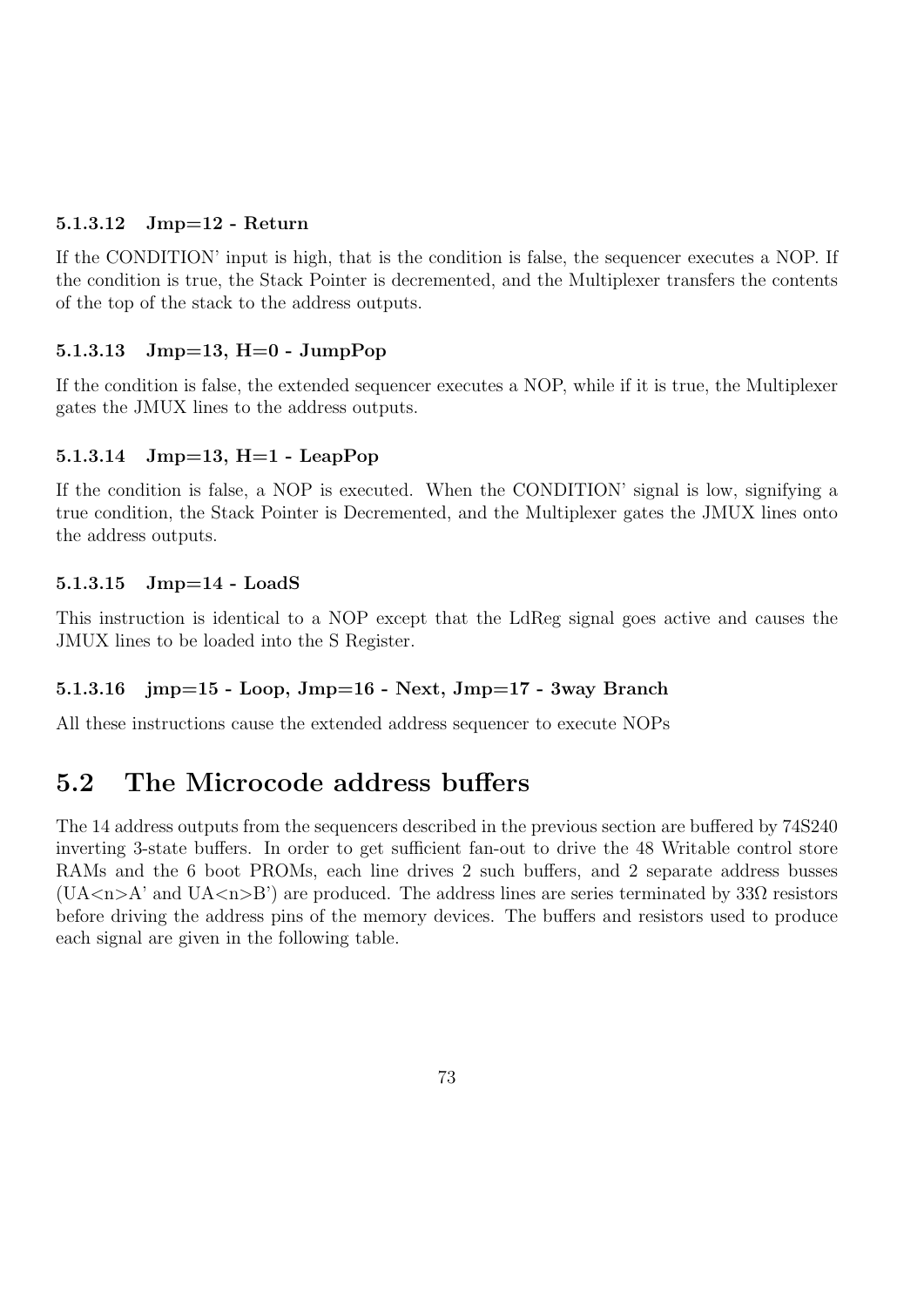## 5.1.3.12 Jmp=12 - Return

If the CONDITION' input is high, that is the condition is false, the sequencer executes a NOP. If the condition is true, the Stack Pointer is decremented, and the Multiplexer transfers the contents of the top of the stack to the address outputs.

## 5.1.3.13 Jmp=13, H=0 - JumpPop

If the condition is false, the extended sequencer executes a NOP, while if it is true, the Multiplexer gates the JMUX lines to the address outputs.

#### 5.1.3.14 Jmp=13, H=1 - LeapPop

If the condition is false, a NOP is executed. When the CONDITION' signal is low, signifying a true condition, the Stack Pointer is Decremented, and the Multiplexer gates the JMUX lines onto the address outputs.

#### 5.1.3.15 Jmp=14 - LoadS

This instruction is identical to a NOP except that the LdReg signal goes active and causes the JMUX lines to be loaded into the S Register.

#### 5.1.3.16 jmp=15 - Loop, Jmp=16 - Next, Jmp=17 - 3way Branch

All these instructions cause the extended address sequencer to execute NOPs

# 5.2 The Microcode address buffers

The 14 address outputs from the sequencers described in the previous section are buffered by 74S240 inverting 3-state buffers. In order to get sufficient fan-out to drive the 48 Writable control store RAMs and the 6 boot PROMs, each line drives 2 such buffers, and 2 separate address busses  $(UA < n > A'$  and  $UA < n > B'$  are produced. The address lines are series terminated by 33 $\Omega$  resistors before driving the address pins of the memory devices. The buffers and resistors used to produce each signal are given in the following table.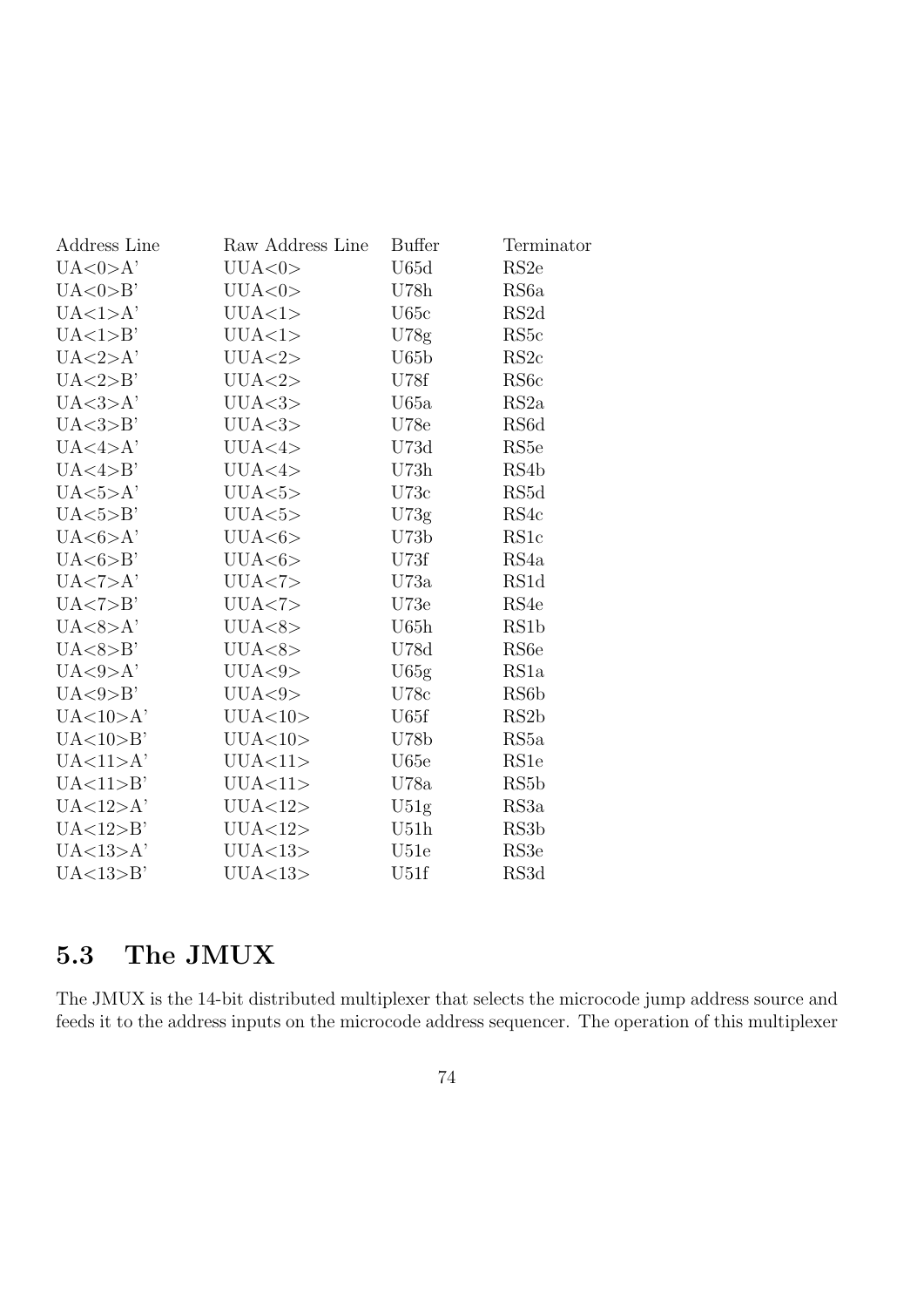| Address Line         | Raw Address Line     | <b>Buffer</b>    | Terminator        |
|----------------------|----------------------|------------------|-------------------|
| UA < 0 > A'          | UUA<0>               | U65d             | RS <sub>2e</sub>  |
| UA < 0 > B'          | UUA<0>               | U78h             | RS6a              |
| UA<1>A'              | UUA<1>               | U65c             | RS <sub>2</sub> d |
| UA<1>B'              | UUA<1>               | U78g             | RS <sub>5</sub> c |
| UA < 2>A'            | UUA < 2>             | U65 <sub>b</sub> | RS2c              |
| UA < 2>B'            | UUA < 2>             | U78f             | RS <sub>6</sub> c |
| UA < 3>A'            | UUA <sub>3</sub>     | U65a             | RS2a              |
| UA <sub>3</sub> > B' | UUA <sub>3</sub>     | U78e             | RS <sub>6</sub> d |
| UA < 4>A'            | UUA<4>               | U73d             | RS <sub>5e</sub>  |
| UA < 4>B'            | UUA<4>               | U73h             | RS4b              |
| UA < 5 > A'          | UUA<5>               | U73c             | RS5d              |
| UA < 5>B'            | UUA<5>               | U73g             | RS4c              |
| UA<6>A'              | UUA<6>               | U73b             | RS1c              |
| UA<6>B'              | UUA <sub>6&gt;</sub> | U73f             | RS4a              |
| UA < 7>A'            | UUA < 7              | U73a             | RS1d              |
| UA < 7>B'            | UUA < 7              | U73e             | RS4e              |
| UA < 8 > A'          | UUA<8>               | U65h             | RS1b              |
| UA < 8 > B'          | UUA<8>               | U78d             | RS <sub>6</sub> e |
| UA < 9>A'            | UUA<9>               | U65g             | RS <sub>1</sub> a |
| UA < 9 > B'          | UUA<9>               | U78c             | RS <sub>6</sub> b |
| UA<10>A'             | UUA<10>              | U65f             | RS <sub>2</sub> b |
| UA<10>B'             | UUA<10>              | U78b             | RS5a              |
| UA<11>A'             | UUA<11>              | U65e             | RS <sub>1e</sub>  |
| UA < 11 > B'         | UUA<11>              | U78a             | RS5b              |
| UA<12>A'             | UUA<12>              | U51g             | RS3a              |
| UA < 12>B'           | UUA<12>              | U51h             | RS3b              |
| UA<13>A'             | UUA<13>              | U51e             | RS3e              |
| UA<13>B'             | UUA<13>              | U51f             | RS3d              |

# 5.3 The JMUX

The JMUX is the 14-bit distributed multiplexer that selects the microcode jump address source and feeds it to the address inputs on the microcode address sequencer. The operation of this multiplexer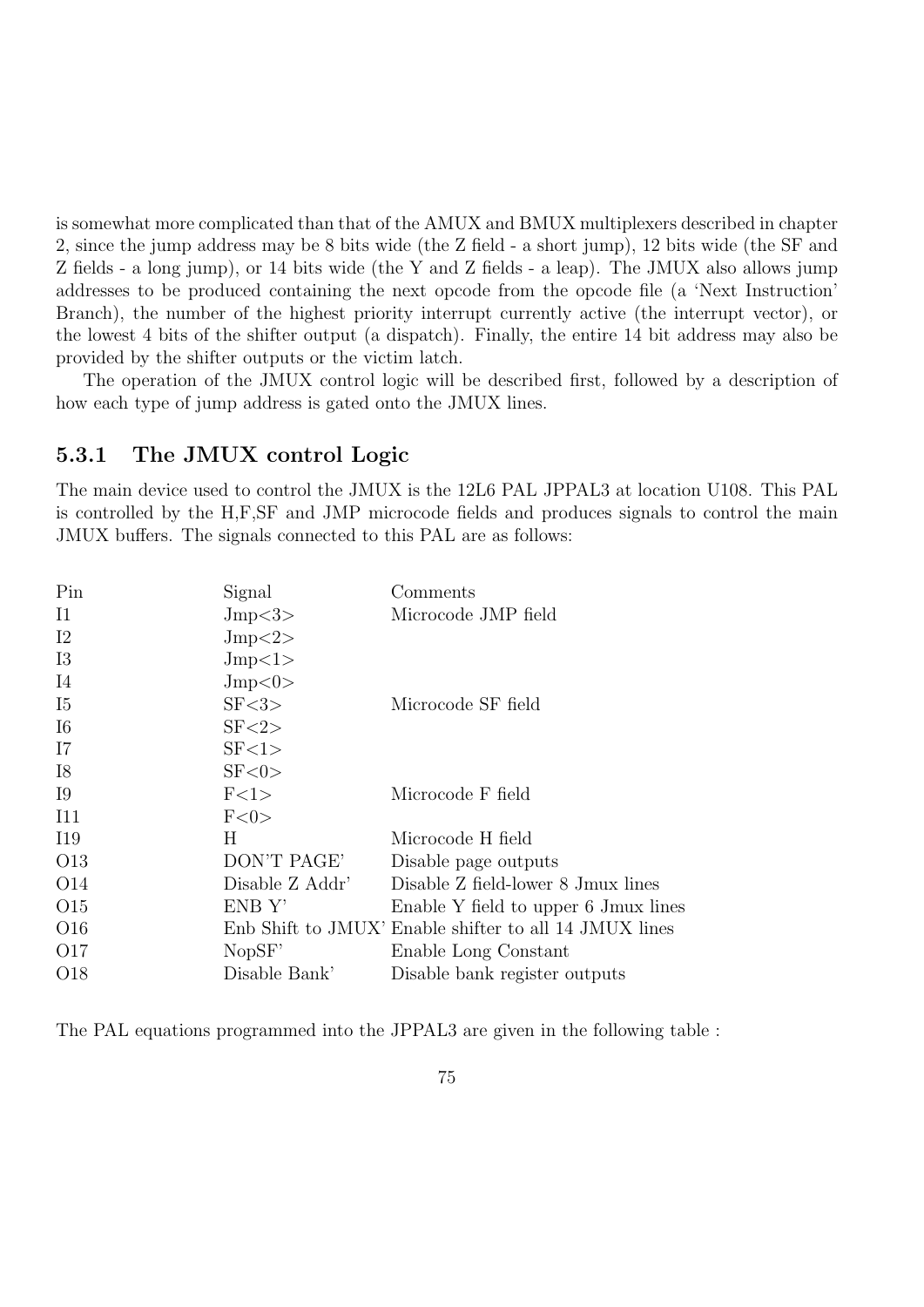is somewhat more complicated than that of the AMUX and BMUX multiplexers described in chapter 2, since the jump address may be 8 bits wide (the Z field - a short jump), 12 bits wide (the SF and Z fields - a long jump), or 14 bits wide (the Y and Z fields - a leap). The JMUX also allows jump addresses to be produced containing the next opcode from the opcode file (a 'Next Instruction' Branch), the number of the highest priority interrupt currently active (the interrupt vector), or the lowest 4 bits of the shifter output (a dispatch). Finally, the entire 14 bit address may also be provided by the shifter outputs or the victim latch.

The operation of the JMUX control logic will be described first, followed by a description of how each type of jump address is gated onto the JMUX lines.

# 5.3.1 The JMUX control Logic

The main device used to control the JMUX is the 12L6 PAL JPPAL3 at location U108. This PAL is controlled by the H,F,SF and JMP microcode fields and produces signals to control the main JMUX buffers. The signals connected to this PAL are as follows:

| Pin             | Signal          | Comments                                               |
|-----------------|-----------------|--------------------------------------------------------|
| I <sub>1</sub>  | Jmp<3>          | Microcode JMP field                                    |
| $12\,$          | Jmp<2>          |                                                        |
| 13              | Jmp<1>          |                                                        |
| <b>I4</b>       | Jmp<0>          |                                                        |
| I5              | SF <3>          | Microcode SF field                                     |
| $16\,$          | SF < 2          |                                                        |
| I7              | SF < 1>         |                                                        |
| I8              | SF < 0          |                                                        |
| <b>I</b> 9      | F<1>            | Microcode F field                                      |
| I11             | F<0>            |                                                        |
| I19             | H               | Microcode H field                                      |
| O13             | DON'T PAGE'     | Disable page outputs                                   |
| O <sub>14</sub> | Disable Z Addr' | Disable Z field-lower 8 Jmux lines                     |
| O15             | ENB Y'          | Enable Y field to upper 6 Jmux lines                   |
| O16             |                 | Enb Shift to JMUX' Enable shifter to all 14 JMUX lines |
| O17             | NopSF'          | Enable Long Constant                                   |
| O <sub>18</sub> | Disable Bank'   | Disable bank register outputs                          |

The PAL equations programmed into the JPPAL3 are given in the following table :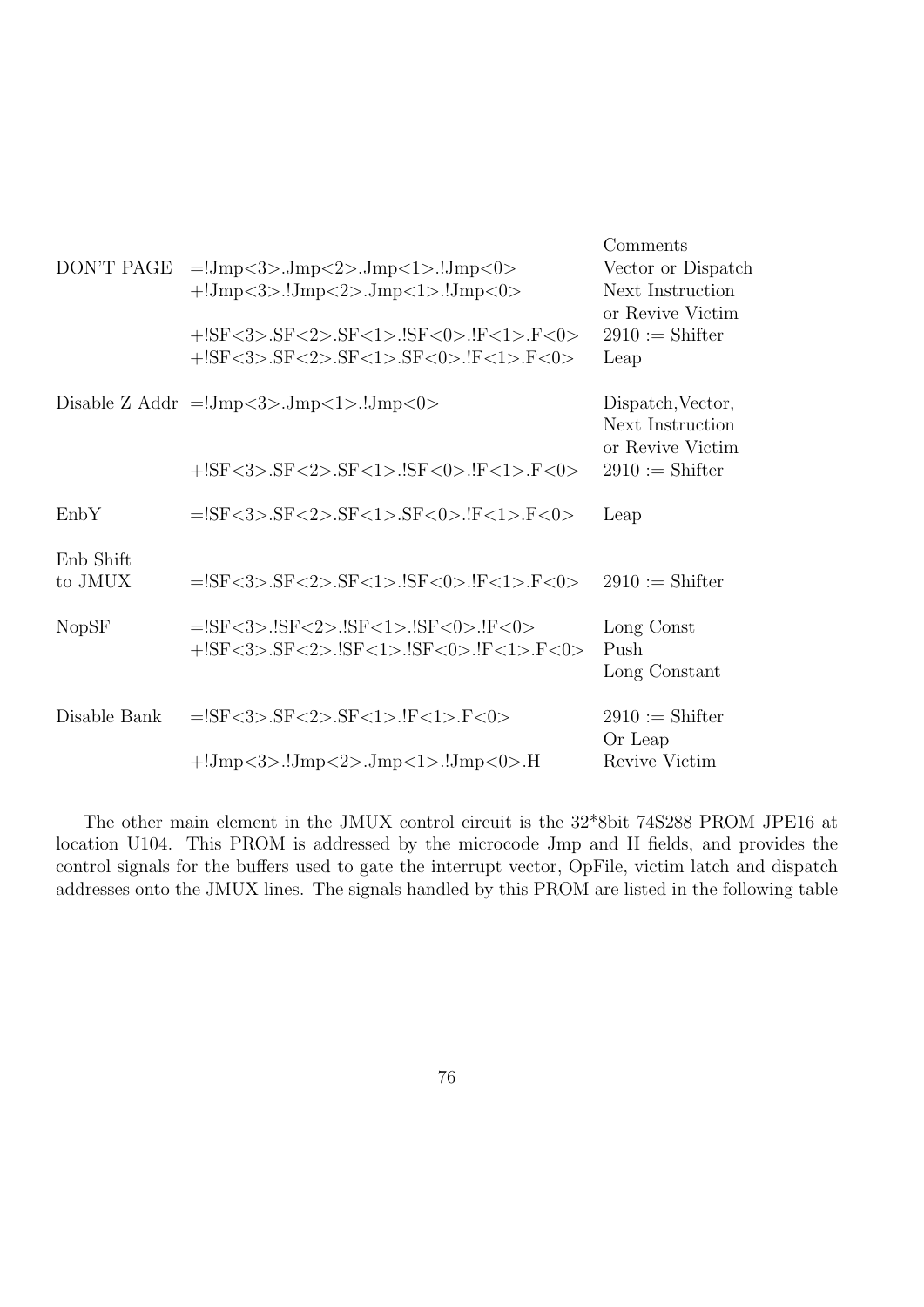| DON'T PAGE           | $=!Jmp<3>.Jmp<2>.Jmp<1>.Jmp<0>$<br>$+!Jmp<3>$ .!Jmp $<2>$ .Jmp $<1>$ .!Jmp $<0>$<br>$+!SF<3>SF<2>SF<1>IF<1>IF<0>IF<1>IF<0>$<br>$+!SF<3>SF<2>SF<1>SF<1>SF<0>IF<1>IF<1>F<0>$ | Comments<br>Vector or Dispatch<br>Next Instruction<br>or Revive Victim<br>$2910 := Shifter$<br>Leap |
|----------------------|----------------------------------------------------------------------------------------------------------------------------------------------------------------------------|-----------------------------------------------------------------------------------------------------|
|                      | Disable Z Addr =!Jmp<3>.Jmp<1>.!Jmp<0>                                                                                                                                     | Dispatch, Vector,<br>Next Instruction<br>or Revive Victim                                           |
|                      | $+!SF<3>SF<2>SF<1>IF<1>IF<0>IF<1>IF<0>$                                                                                                                                    | $2910 := Shifter$                                                                                   |
| EnbY                 | $=$ !SF<3>.SF<2>.SF<1>.SF<0>.!F<1>.F<0>                                                                                                                                    | Leap                                                                                                |
| Enb Shift<br>to JMUX | $=!SF<3>SF<2>SF<1>IF<1>IF<0>IF<1>IF<0>$                                                                                                                                    | $2910 := Shifter$                                                                                   |
| <b>NopSF</b>         | $=$ !SF<3>.!SF<2>.!SF<1>.!SF<0>.!F<0><br>+!SF<3>.SF<2>.!SF<1>.!SF<0>.!F<1>.F<0>                                                                                            | Long Const<br>Push<br>Long Constant                                                                 |
| Disable Bank         | $=!SF<3>.SF<2>.SF<1>.IF<1>.F<0>$                                                                                                                                           | $2910 := Shifter$<br>Or Leap                                                                        |
|                      | $+!Jmp<3>$ $Jmp<2>$ $Jmp<1>$ $Jmp<0>$                                                                                                                                      | Revive Victim                                                                                       |

The other main element in the JMUX control circuit is the 32\*8bit 74S288 PROM JPE16 at location U104. This PROM is addressed by the microcode Jmp and H fields, and provides the control signals for the buffers used to gate the interrupt vector, OpFile, victim latch and dispatch addresses onto the JMUX lines. The signals handled by this PROM are listed in the following table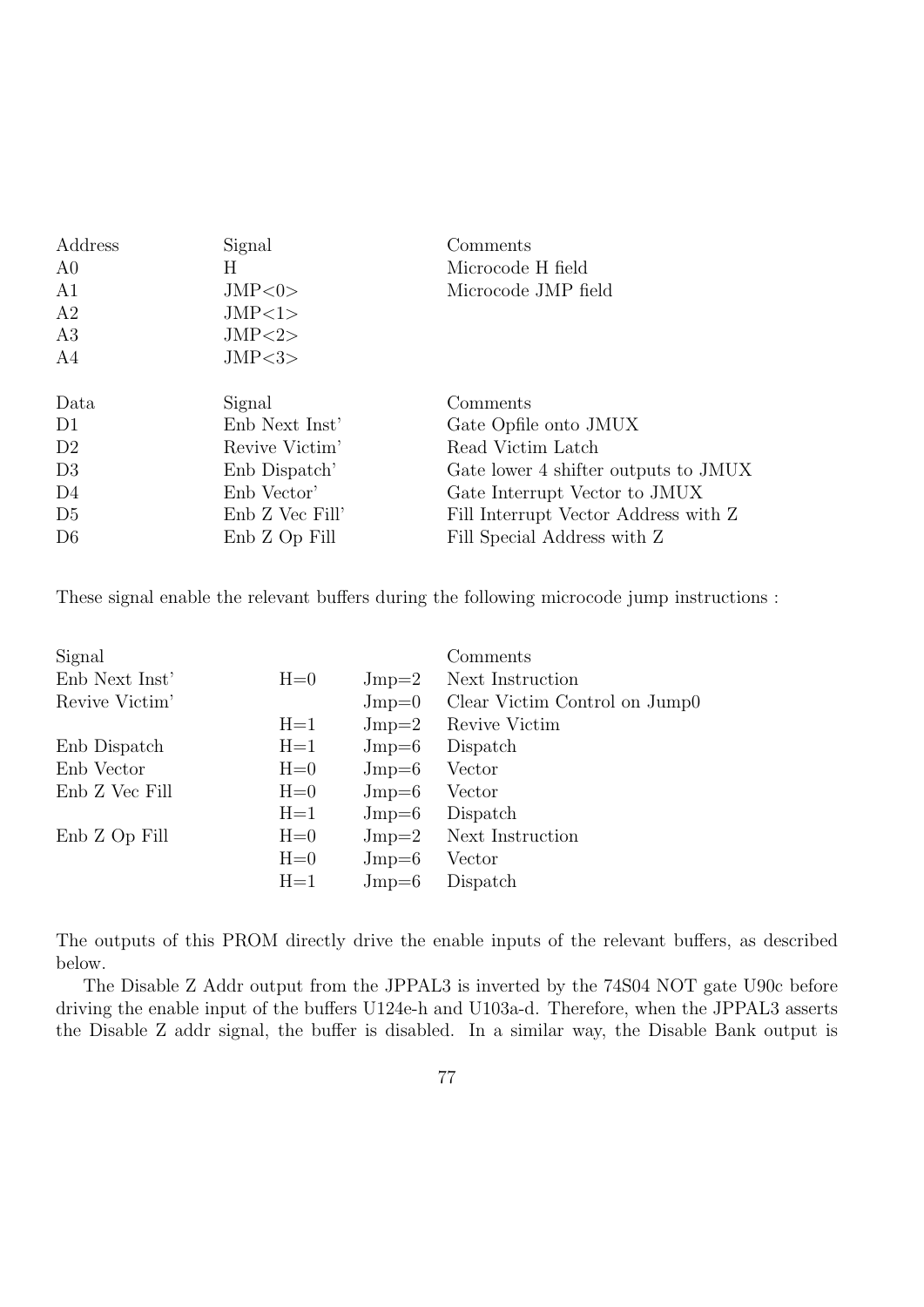| Address<br>A <sub>0</sub><br>A <sub>1</sub><br>A2<br>A3<br>A4 | Signal<br>Н<br>JMP<0><br>JMP<1><br>JMP < 2><br>JMP < 3 | Comments<br>Microcode H field<br>Microcode JMP field |
|---------------------------------------------------------------|--------------------------------------------------------|------------------------------------------------------|
| Data                                                          | Signal                                                 | Comments                                             |
| D <sub>1</sub>                                                | Enb Next Inst'                                         | Gate Opfile onto JMUX                                |
| D2                                                            | Revive Victim'                                         | Read Victim Latch                                    |
| D3                                                            | Enb Dispatch'                                          | Gate lower 4 shifter outputs to JMUX                 |
| D4                                                            | Enb Vector                                             | Gate Interrupt Vector to JMUX                        |
| D <sub>5</sub>                                                | Enb Z Vec Fill'                                        | Fill Interrupt Vector Address with Z                 |
| D <sub>6</sub>                                                | Enb Z Op Fill                                          | Fill Special Address with Z                          |

These signal enable the relevant buffers during the following microcode jump instructions :

| Signal         |         |                | Comments                      |
|----------------|---------|----------------|-------------------------------|
| Enb Next Inst' | $H=0$   | $_{\rm Jmp=2}$ | Next Instruction              |
| Revive Victim' |         | $_{\rm Jmp=0}$ | Clear Victim Control on Jump0 |
|                | $H=1$   | $_{\rm Jmp=2}$ | Revive Victim                 |
| Enb Dispatch   | $H=1$   | $Jmp=6$        | Dispatch                      |
| Enb Vector     | $H=0$   | $Jmp=6$        | Vector                        |
| Enb Z Vec Fill | $H=0$   | $_{\rm Jmp=6}$ | Vector                        |
|                | $H=1$   | $Jmp=6$        | Dispatch                      |
| Enb Z Op Fill  | $H=0$   |                | $Jmp=2$ Next Instruction      |
|                | $H=0$   | $Jmp=6$        | Vector                        |
|                | $H = 1$ | $Jmp=6$        | Dispatch                      |

The outputs of this PROM directly drive the enable inputs of the relevant buffers, as described below.

The Disable Z Addr output from the JPPAL3 is inverted by the 74S04 NOT gate U90c before driving the enable input of the buffers U124e-h and U103a-d. Therefore, when the JPPAL3 asserts the Disable Z addr signal, the buffer is disabled. In a similar way, the Disable Bank output is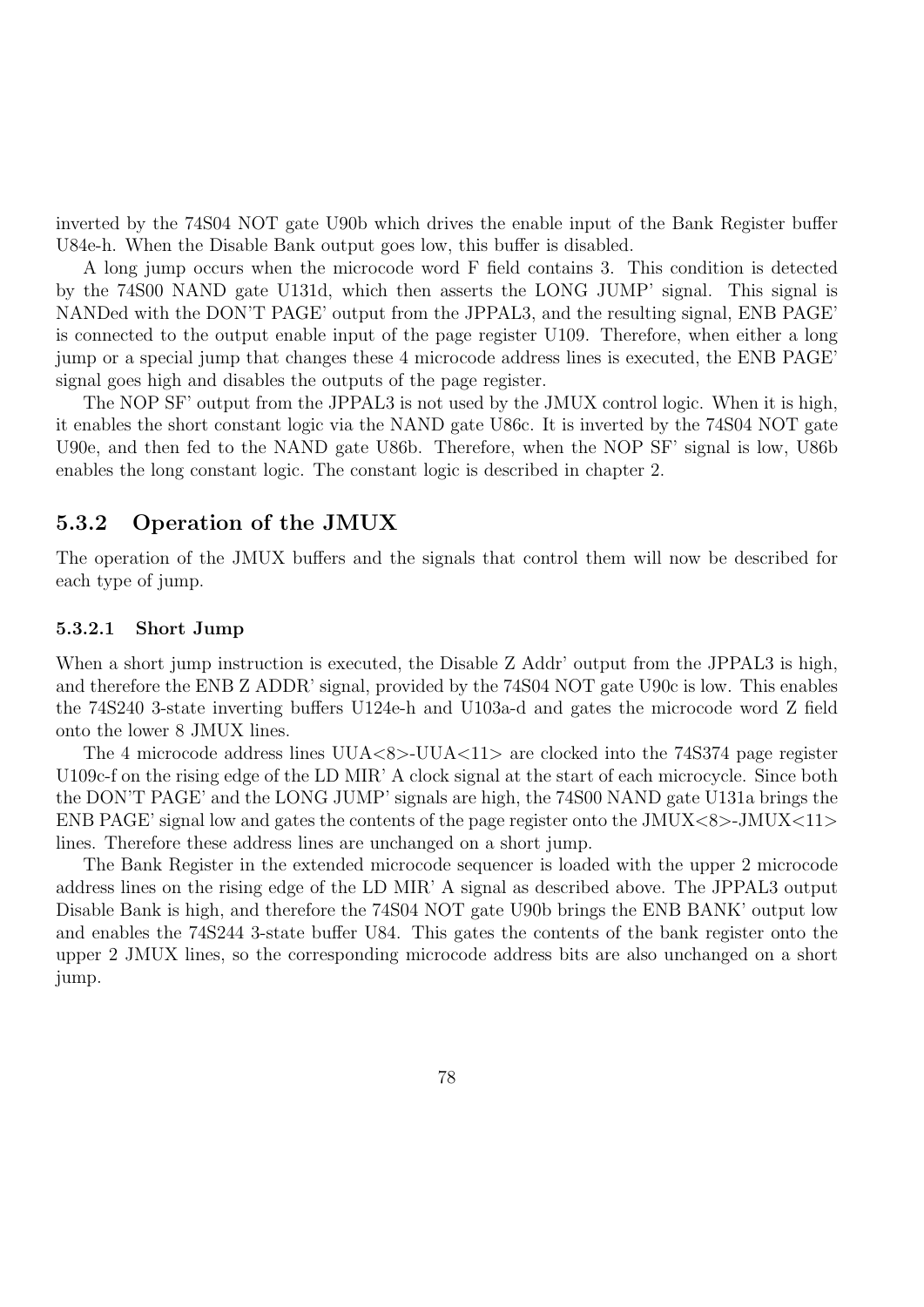inverted by the 74S04 NOT gate U90b which drives the enable input of the Bank Register buffer U84e-h. When the Disable Bank output goes low, this buffer is disabled.

A long jump occurs when the microcode word F field contains 3. This condition is detected by the 74S00 NAND gate U131d, which then asserts the LONG JUMP' signal. This signal is NANDed with the DON'T PAGE' output from the JPPAL3, and the resulting signal, ENB PAGE' is connected to the output enable input of the page register U109. Therefore, when either a long jump or a special jump that changes these 4 microcode address lines is executed, the ENB PAGE' signal goes high and disables the outputs of the page register.

The NOP SF' output from the JPPAL3 is not used by the JMUX control logic. When it is high, it enables the short constant logic via the NAND gate U86c. It is inverted by the 74S04 NOT gate U90e, and then fed to the NAND gate U86b. Therefore, when the NOP SF' signal is low, U86b enables the long constant logic. The constant logic is described in chapter 2.

#### 5.3.2 Operation of the JMUX

The operation of the JMUX buffers and the signals that control them will now be described for each type of jump.

#### 5.3.2.1 Short Jump

When a short jump instruction is executed, the Disable Z Addr' output from the JPPAL3 is high, and therefore the ENB Z ADDR' signal, provided by the 74S04 NOT gate U90c is low. This enables the 74S240 3-state inverting buffers U124e-h and U103a-d and gates the microcode word Z field onto the lower 8 JMUX lines.

The 4 microcode address lines  $UUA < 8$  > - $UUA < 11$  are clocked into the 74S374 page register U109c-f on the rising edge of the LD MIR' A clock signal at the start of each microcycle. Since both the DON'T PAGE' and the LONG JUMP' signals are high, the 74S00 NAND gate U131a brings the ENB PAGE' signal low and gates the contents of the page register onto the JMUX $<8>$ -JMUX $<11>$ lines. Therefore these address lines are unchanged on a short jump.

The Bank Register in the extended microcode sequencer is loaded with the upper 2 microcode address lines on the rising edge of the LD MIR' A signal as described above. The JPPAL3 output Disable Bank is high, and therefore the 74S04 NOT gate U90b brings the ENB BANK' output low and enables the 74S244 3-state buffer U84. This gates the contents of the bank register onto the upper 2 JMUX lines, so the corresponding microcode address bits are also unchanged on a short jump.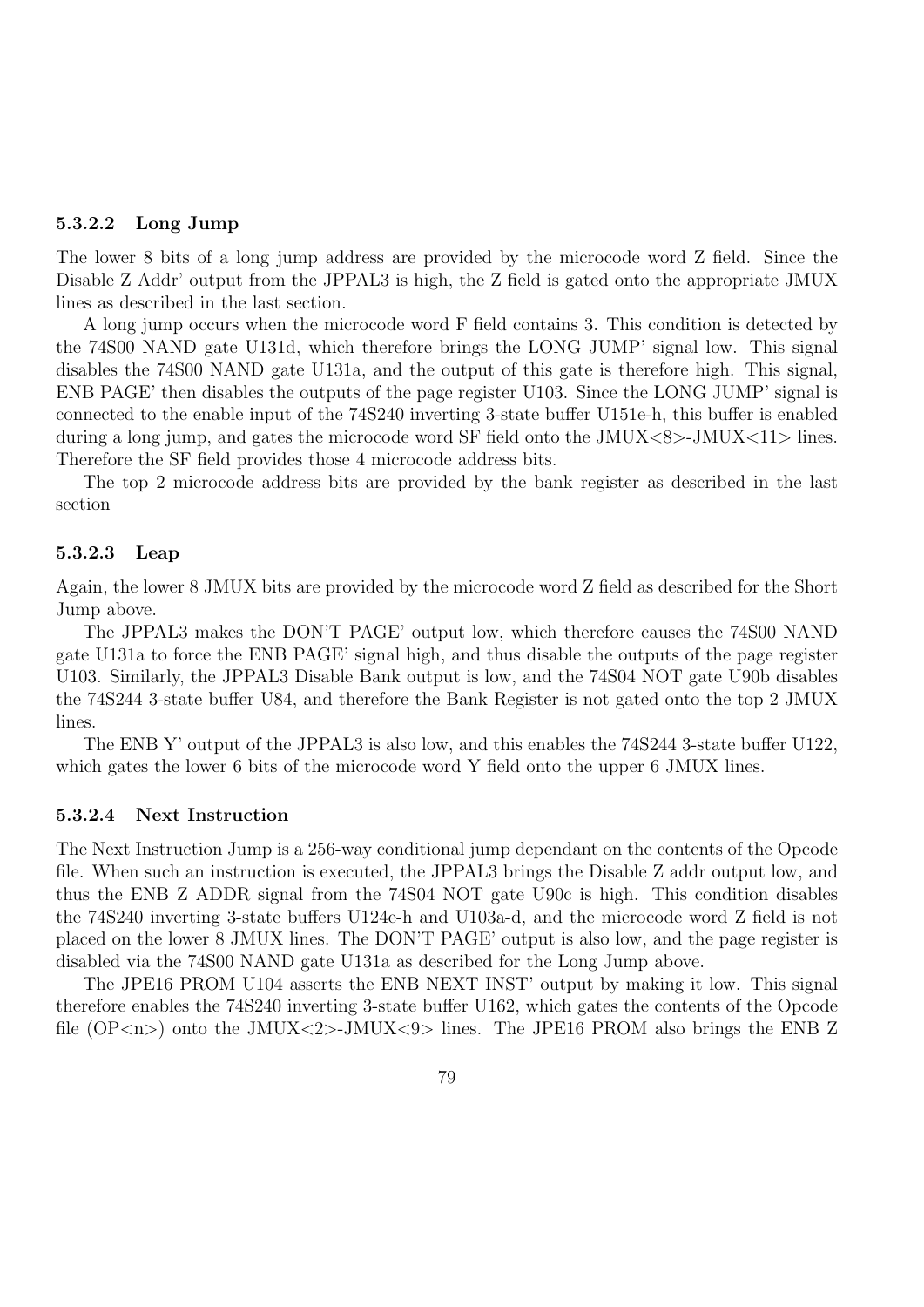#### 5.3.2.2 Long Jump

The lower 8 bits of a long jump address are provided by the microcode word Z field. Since the Disable Z Addr' output from the JPPAL3 is high, the Z field is gated onto the appropriate JMUX lines as described in the last section.

A long jump occurs when the microcode word F field contains 3. This condition is detected by the 74S00 NAND gate U131d, which therefore brings the LONG JUMP' signal low. This signal disables the 74S00 NAND gate U131a, and the output of this gate is therefore high. This signal, ENB PAGE' then disables the outputs of the page register U103. Since the LONG JUMP' signal is connected to the enable input of the 74S240 inverting 3-state buffer U151e-h, this buffer is enabled during a long jump, and gates the microcode word SF field onto the  $JMUX < 8$ -J $MUX < 11$  lines. Therefore the SF field provides those 4 microcode address bits.

The top 2 microcode address bits are provided by the bank register as described in the last section

#### 5.3.2.3 Leap

Again, the lower 8 JMUX bits are provided by the microcode word Z field as described for the Short Jump above.

The JPPAL3 makes the DON'T PAGE' output low, which therefore causes the 74S00 NAND gate U131a to force the ENB PAGE' signal high, and thus disable the outputs of the page register U103. Similarly, the JPPAL3 Disable Bank output is low, and the 74S04 NOT gate U90b disables the 74S244 3-state buffer U84, and therefore the Bank Register is not gated onto the top 2 JMUX lines.

The ENB Y' output of the JPPAL3 is also low, and this enables the 74S244 3-state buffer U122, which gates the lower 6 bits of the microcode word Y field onto the upper 6 JMUX lines.

#### 5.3.2.4 Next Instruction

The Next Instruction Jump is a 256-way conditional jump dependant on the contents of the Opcode file. When such an instruction is executed, the JPPAL3 brings the Disable Z addr output low, and thus the ENB Z ADDR signal from the 74S04 NOT gate U90c is high. This condition disables the 74S240 inverting 3-state buffers U124e-h and U103a-d, and the microcode word Z field is not placed on the lower 8 JMUX lines. The DON'T PAGE' output is also low, and the page register is disabled via the 74S00 NAND gate U131a as described for the Long Jump above.

The JPE16 PROM U104 asserts the ENB NEXT INST' output by making it low. This signal therefore enables the 74S240 inverting 3-state buffer U162, which gates the contents of the Opcode file (OP<n>) onto the JMUX<2>-JMUX<9> lines. The JPE16 PROM also brings the ENB Z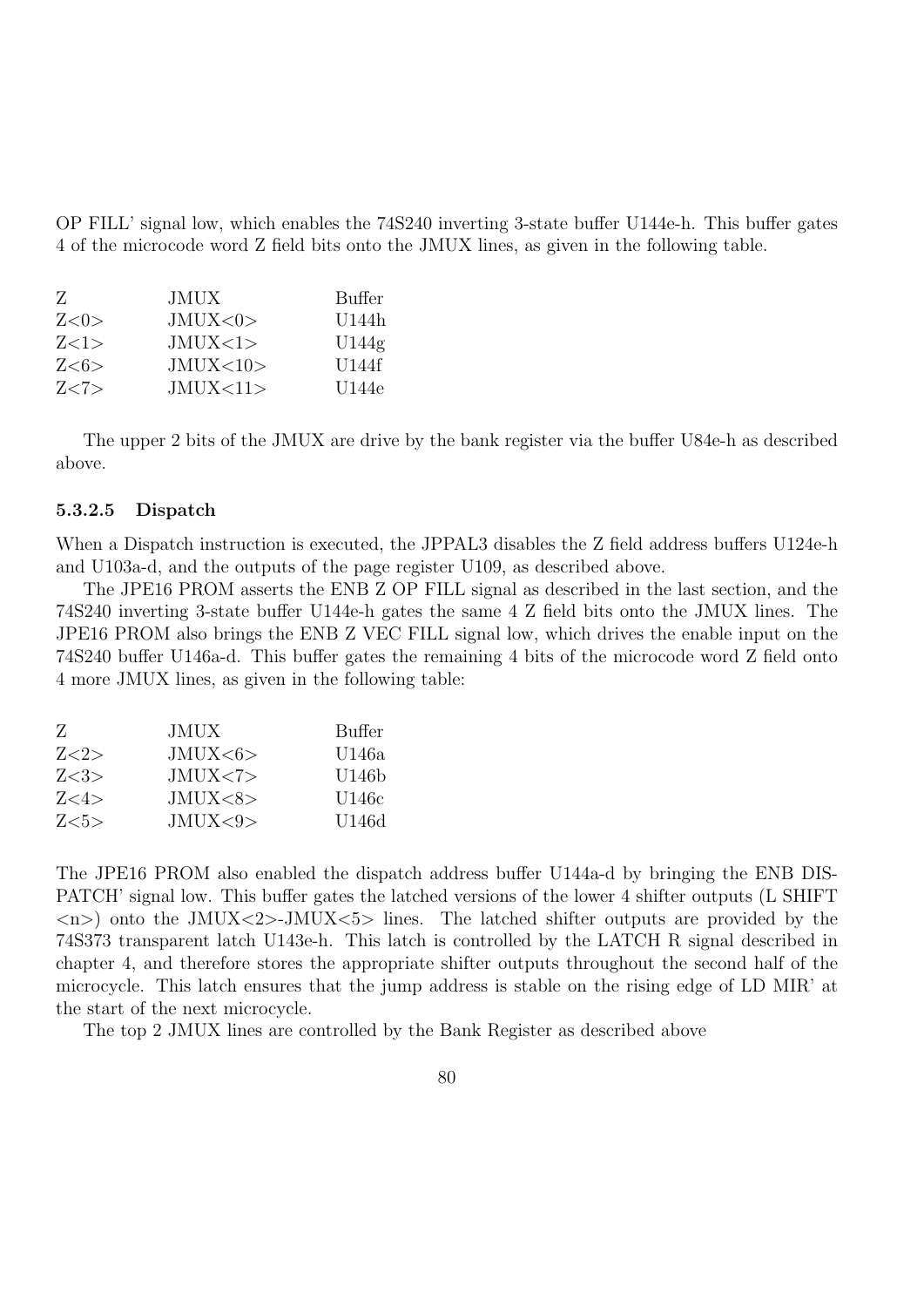OP FILL' signal low, which enables the 74S240 inverting 3-state buffer U144e-h. This buffer gates 4 of the microcode word Z field bits onto the JMUX lines, as given in the following table.

| Z    | JMUX      | Buffer |
|------|-----------|--------|
| Z<0> | JMUX<0>   | U144h  |
| Z<1> | JMUX < 1> | U144g  |
| Z<6> | JMUX<10>  | U144f  |
| Z<7> | JMUX<11>  | U144e  |

The upper 2 bits of the JMUX are drive by the bank register via the buffer U84e-h as described above.

#### 5.3.2.5 Dispatch

When a Dispatch instruction is executed, the JPPAL3 disables the Z field address buffers U124e-h and U103a-d, and the outputs of the page register U109, as described above.

The JPE16 PROM asserts the ENB Z OP FILL signal as described in the last section, and the 74S240 inverting 3-state buffer U144e-h gates the same 4 Z field bits onto the JMUX lines. The JPE16 PROM also brings the ENB Z VEC FILL signal low, which drives the enable input on the 74S240 buffer U146a-d. This buffer gates the remaining 4 bits of the microcode word Z field onto 4 more JMUX lines, as given in the following table:

| JMUX     | Buffer |
|----------|--------|
| JMUX<6>  | U146a  |
| JMUX < 7 | U146b  |
| JMUX<8>  | U146c  |
| JMUX < 9 | U146d  |
|          |        |

The JPE16 PROM also enabled the dispatch address buffer U144a-d by bringing the ENB DIS-PATCH' signal low. This buffer gates the latched versions of the lower 4 shifter outputs (L SHIFT  $\langle n \rangle$  onto the JMUX $\langle 2 \rangle$ -JMUX $\langle 5 \rangle$  lines. The latched shifter outputs are provided by the 74S373 transparent latch U143e-h. This latch is controlled by the LATCH R signal described in chapter 4, and therefore stores the appropriate shifter outputs throughout the second half of the microcycle. This latch ensures that the jump address is stable on the rising edge of LD MIR' at the start of the next microcycle.

The top 2 JMUX lines are controlled by the Bank Register as described above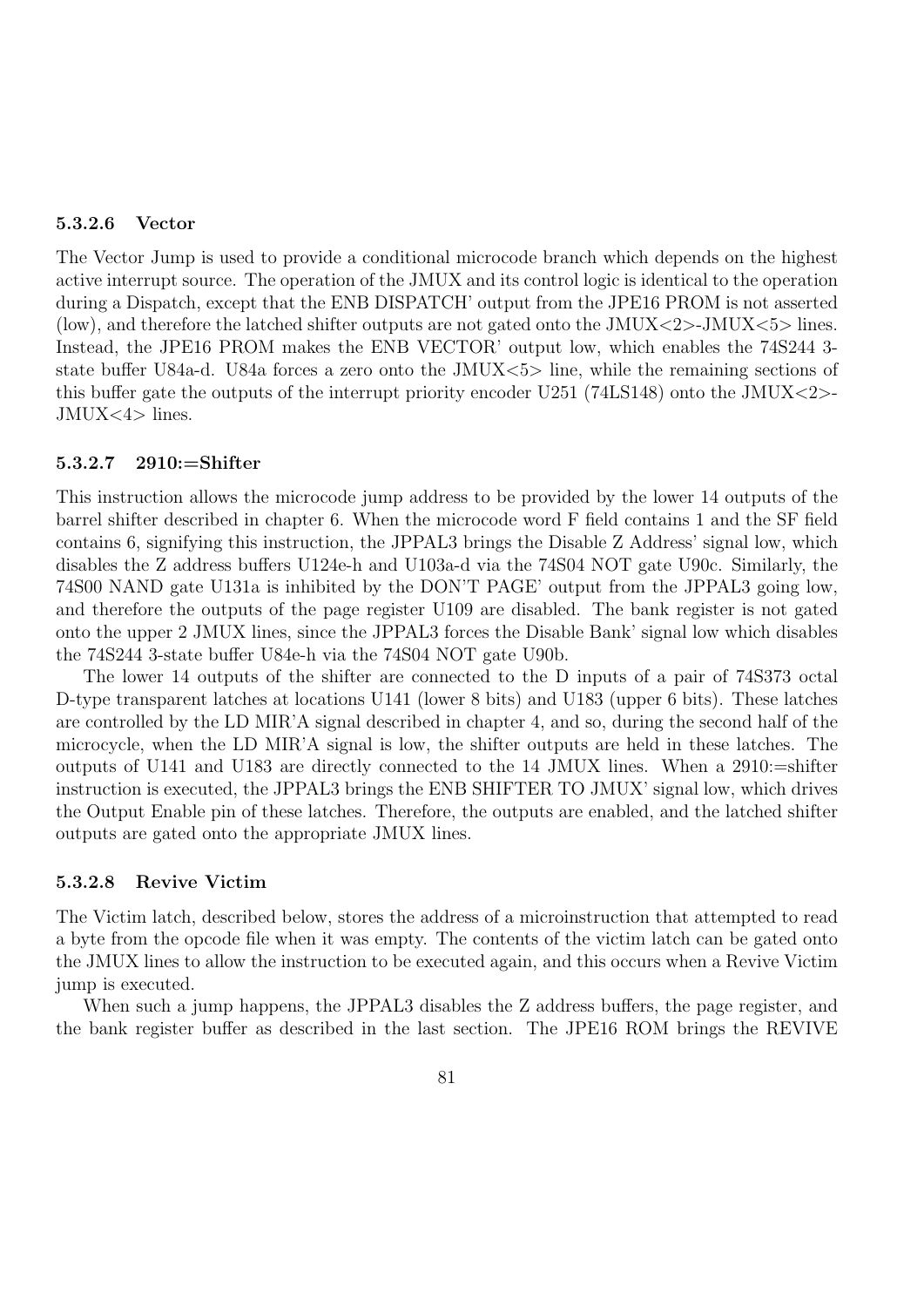#### 5.3.2.6 Vector

The Vector Jump is used to provide a conditional microcode branch which depends on the highest active interrupt source. The operation of the JMUX and its control logic is identical to the operation during a Dispatch, except that the ENB DISPATCH' output from the JPE16 PROM is not asserted (low), and therefore the latched shifter outputs are not gated onto the  $JMUX < 2$  - J $MUX < 5$  lines. Instead, the JPE16 PROM makes the ENB VECTOR' output low, which enables the 74S244 3 state buffer U84a-d. U84a forces a zero onto the JMUX<5> line, while the remaining sections of this buffer gate the outputs of the interrupt priority encoder U251 (74LS148) onto the JMUX<2>- JMUX<4> lines.

#### 5.3.2.7 2910:=Shifter

This instruction allows the microcode jump address to be provided by the lower 14 outputs of the barrel shifter described in chapter 6. When the microcode word F field contains 1 and the SF field contains 6, signifying this instruction, the JPPAL3 brings the Disable Z Address' signal low, which disables the Z address buffers U124e-h and U103a-d via the 74S04 NOT gate U90c. Similarly, the 74S00 NAND gate U131a is inhibited by the DON'T PAGE' output from the JPPAL3 going low, and therefore the outputs of the page register U109 are disabled. The bank register is not gated onto the upper 2 JMUX lines, since the JPPAL3 forces the Disable Bank' signal low which disables the 74S244 3-state buffer U84e-h via the 74S04 NOT gate U90b.

The lower 14 outputs of the shifter are connected to the D inputs of a pair of 74S373 octal D-type transparent latches at locations U141 (lower 8 bits) and U183 (upper 6 bits). These latches are controlled by the LD MIR'A signal described in chapter 4, and so, during the second half of the microcycle, when the LD MIR'A signal is low, the shifter outputs are held in these latches. The outputs of U141 and U183 are directly connected to the 14 JMUX lines. When a 2910:=shifter instruction is executed, the JPPAL3 brings the ENB SHIFTER TO JMUX' signal low, which drives the Output Enable pin of these latches. Therefore, the outputs are enabled, and the latched shifter outputs are gated onto the appropriate JMUX lines.

#### 5.3.2.8 Revive Victim

The Victim latch, described below, stores the address of a microinstruction that attempted to read a byte from the opcode file when it was empty. The contents of the victim latch can be gated onto the JMUX lines to allow the instruction to be executed again, and this occurs when a Revive Victim jump is executed.

When such a jump happens, the JPPAL3 disables the Z address buffers, the page register, and the bank register buffer as described in the last section. The JPE16 ROM brings the REVIVE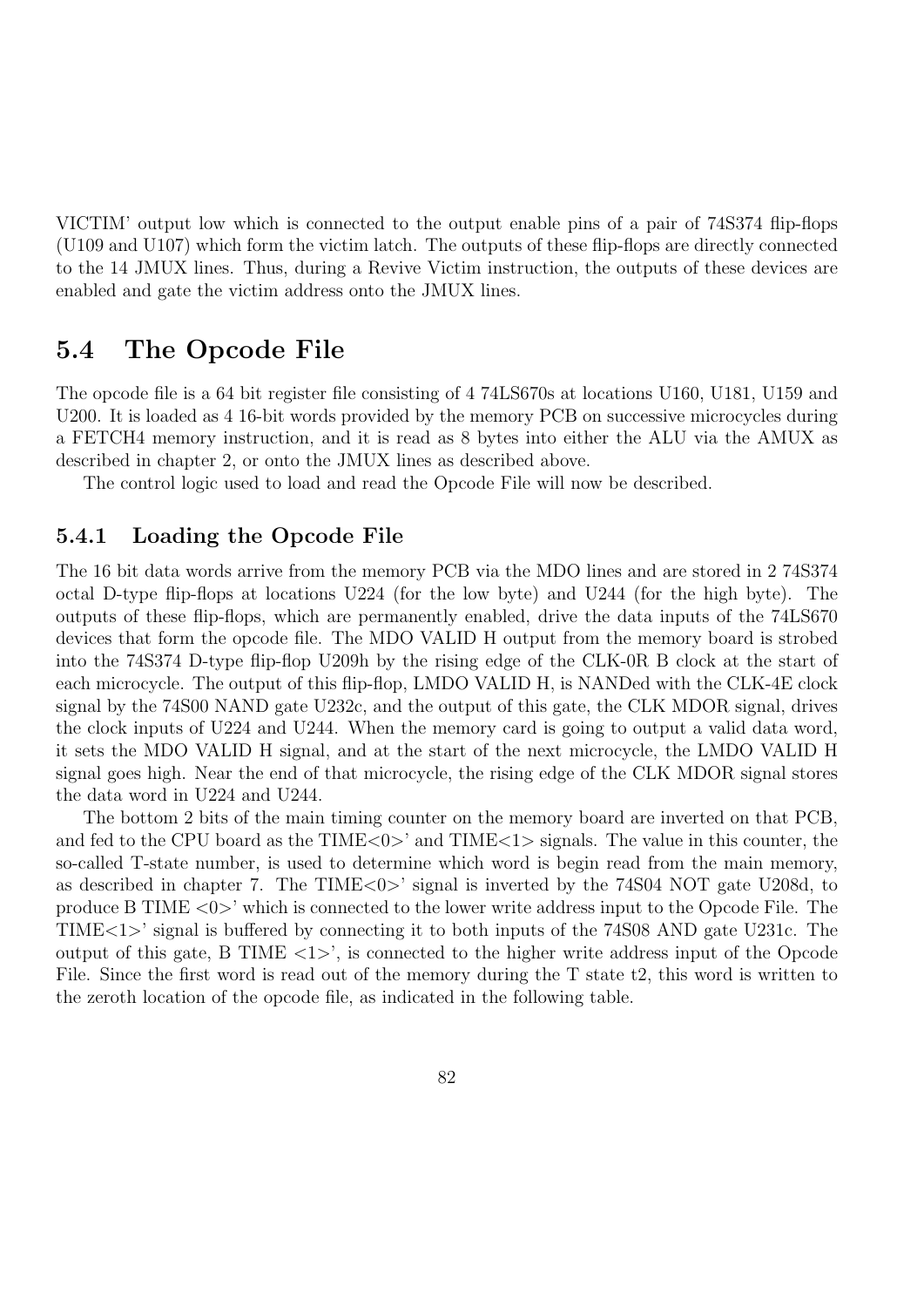VICTIM' output low which is connected to the output enable pins of a pair of 74S374 flip-flops (U109 and U107) which form the victim latch. The outputs of these flip-flops are directly connected to the 14 JMUX lines. Thus, during a Revive Victim instruction, the outputs of these devices are enabled and gate the victim address onto the JMUX lines.

# 5.4 The Opcode File

The opcode file is a 64 bit register file consisting of 4 74LS670s at locations U160, U181, U159 and U200. It is loaded as 4 16-bit words provided by the memory PCB on successive microcycles during a FETCH4 memory instruction, and it is read as 8 bytes into either the ALU via the AMUX as described in chapter 2, or onto the JMUX lines as described above.

The control logic used to load and read the Opcode File will now be described.

## 5.4.1 Loading the Opcode File

The 16 bit data words arrive from the memory PCB via the MDO lines and are stored in 2 74S374 octal D-type flip-flops at locations U224 (for the low byte) and U244 (for the high byte). The outputs of these flip-flops, which are permanently enabled, drive the data inputs of the 74LS670 devices that form the opcode file. The MDO VALID H output from the memory board is strobed into the 74S374 D-type flip-flop U209h by the rising edge of the CLK-0R B clock at the start of each microcycle. The output of this flip-flop, LMDO VALID H, is NANDed with the CLK-4E clock signal by the 74S00 NAND gate U232c, and the output of this gate, the CLK MDOR signal, drives the clock inputs of U224 and U244. When the memory card is going to output a valid data word, it sets the MDO VALID H signal, and at the start of the next microcycle, the LMDO VALID H signal goes high. Near the end of that microcycle, the rising edge of the CLK MDOR signal stores the data word in U224 and U244.

The bottom 2 bits of the main timing counter on the memory board are inverted on that PCB, and fed to the CPU board as the  $TIME < 0$ ' and  $TIME < 1$ ' signals. The value in this counter, the so-called T-state number, is used to determine which word is begin read from the main memory, as described in chapter 7. The TIME $<0>$ ' signal is inverted by the 74S04 NOT gate U208d, to produce B TIME <0>' which is connected to the lower write address input to the Opcode File. The TIME<1>' signal is buffered by connecting it to both inputs of the 74S08 AND gate U231c. The output of this gate, B TIME  $\langle 1 \rangle$ , is connected to the higher write address input of the Opcode File. Since the first word is read out of the memory during the T state t2, this word is written to the zeroth location of the opcode file, as indicated in the following table.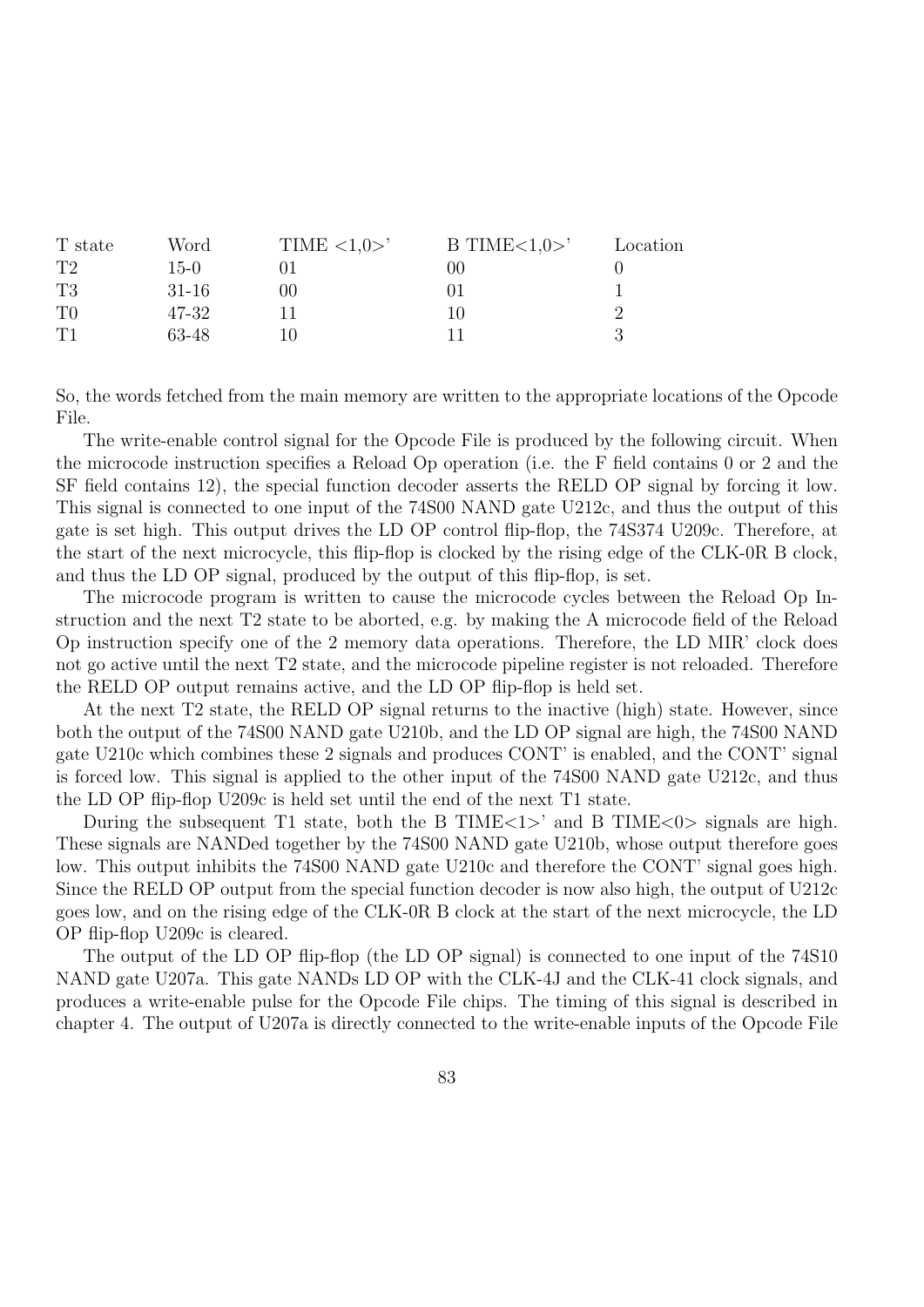| T state        | Word      | TIME $\langle 1,0 \rangle$ | B TIME $<1,0>$ | Location |
|----------------|-----------|----------------------------|----------------|----------|
| T2             | $15-0$    |                            | 00             |          |
| T3             | $31 - 16$ | 00                         |                |          |
| T <sub>0</sub> | 47-32     |                            | 10             |          |
| T1             | 63-48     |                            |                |          |

So, the words fetched from the main memory are written to the appropriate locations of the Opcode File.

The write-enable control signal for the Opcode File is produced by the following circuit. When the microcode instruction specifies a Reload Op operation (i.e. the F field contains 0 or 2 and the SF field contains 12), the special function decoder asserts the RELD OP signal by forcing it low. This signal is connected to one input of the 74S00 NAND gate U212c, and thus the output of this gate is set high. This output drives the LD OP control flip-flop, the 74S374 U209c. Therefore, at the start of the next microcycle, this flip-flop is clocked by the rising edge of the CLK-0R B clock, and thus the LD OP signal, produced by the output of this flip-flop, is set.

The microcode program is written to cause the microcode cycles between the Reload Op Instruction and the next T2 state to be aborted, e.g. by making the A microcode field of the Reload Op instruction specify one of the 2 memory data operations. Therefore, the LD MIR' clock does not go active until the next T2 state, and the microcode pipeline register is not reloaded. Therefore the RELD OP output remains active, and the LD OP flip-flop is held set.

At the next T2 state, the RELD OP signal returns to the inactive (high) state. However, since both the output of the 74S00 NAND gate U210b, and the LD OP signal are high, the 74S00 NAND gate U210c which combines these 2 signals and produces CONT' is enabled, and the CONT' signal is forced low. This signal is applied to the other input of the 74S00 NAND gate U212c, and thus the LD OP flip-flop U209c is held set until the end of the next T1 state.

During the subsequent T1 state, both the B TIME $\langle 1 \rangle$  and B TIME $\langle 0 \rangle$  signals are high. These signals are NANDed together by the 74S00 NAND gate U210b, whose output therefore goes low. This output inhibits the 74S00 NAND gate U210c and therefore the CONT' signal goes high. Since the RELD OP output from the special function decoder is now also high, the output of U212c goes low, and on the rising edge of the CLK-0R B clock at the start of the next microcycle, the LD OP flip-flop U209c is cleared.

The output of the LD OP flip-flop (the LD OP signal) is connected to one input of the 74S10 NAND gate U207a. This gate NANDs LD OP with the CLK-4J and the CLK-41 clock signals, and produces a write-enable pulse for the Opcode File chips. The timing of this signal is described in chapter 4. The output of U207a is directly connected to the write-enable inputs of the Opcode File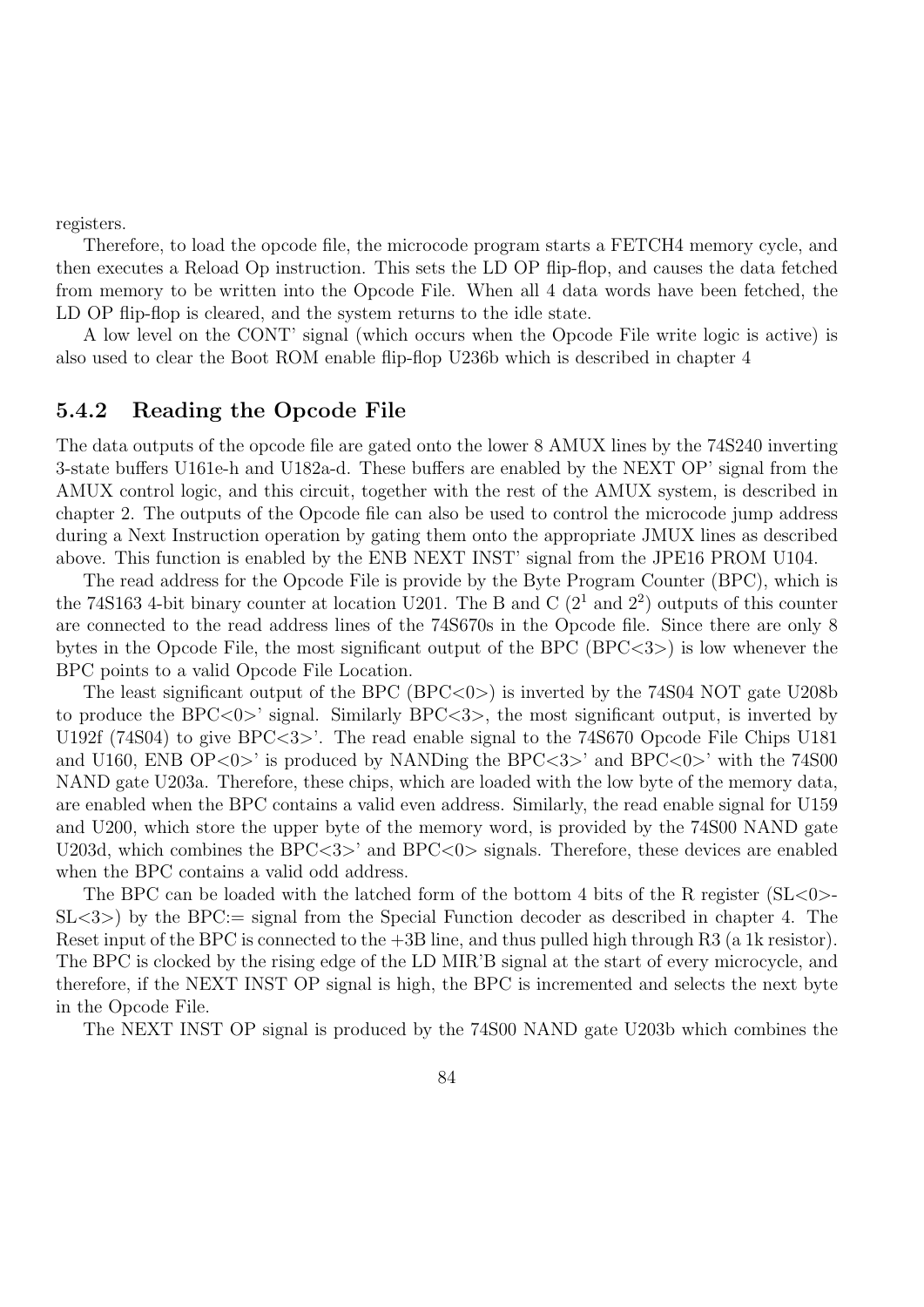registers.

Therefore, to load the opcode file, the microcode program starts a FETCH4 memory cycle, and then executes a Reload Op instruction. This sets the LD OP flip-flop, and causes the data fetched from memory to be written into the Opcode File. When all 4 data words have been fetched, the LD OP flip-flop is cleared, and the system returns to the idle state.

A low level on the CONT' signal (which occurs when the Opcode File write logic is active) is also used to clear the Boot ROM enable flip-flop U236b which is described in chapter 4

## 5.4.2 Reading the Opcode File

The data outputs of the opcode file are gated onto the lower 8 AMUX lines by the 74S240 inverting 3-state buffers U161e-h and U182a-d. These buffers are enabled by the NEXT OP' signal from the AMUX control logic, and this circuit, together with the rest of the AMUX system, is described in chapter 2. The outputs of the Opcode file can also be used to control the microcode jump address during a Next Instruction operation by gating them onto the appropriate JMUX lines as described above. This function is enabled by the ENB NEXT INST' signal from the JPE16 PROM U104.

The read address for the Opcode File is provide by the Byte Program Counter (BPC), which is the 74S163 4-bit binary counter at location U201. The B and C  $(2^1 \text{ and } 2^2)$  outputs of this counter are connected to the read address lines of the 74S670s in the Opcode file. Since there are only 8 bytes in the Opcode File, the most significant output of the BPC ( $\text{BPC}\langle 3 \rangle$ ) is low whenever the BPC points to a valid Opcode File Location.

The least significant output of the BPC  $(BPC<0>)$  is inverted by the 74S04 NOT gate U208b to produce the BPC $<0>$ ' signal. Similarly BPC $<3>$ , the most significant output, is inverted by U192f (74S04) to give BPC<3>'. The read enable signal to the 74S670 Opcode File Chips U181 and U160, ENB OP<0>' is produced by NANDing the BPC<3>' and BPC<0>' with the 74S00 NAND gate U203a. Therefore, these chips, which are loaded with the low byte of the memory data, are enabled when the BPC contains a valid even address. Similarly, the read enable signal for U159 and U200, which store the upper byte of the memory word, is provided by the 74S00 NAND gate U203d, which combines the BPC<3>' and BPC<0> signals. Therefore, these devices are enabled when the BPC contains a valid odd address.

The BPC can be loaded with the latched form of the bottom 4 bits of the R register (SL<0>-  $SL \le 3$ ) by the BPC:= signal from the Special Function decoder as described in chapter 4. The Reset input of the BPC is connected to the +3B line, and thus pulled high through R3 (a 1k resistor). The BPC is clocked by the rising edge of the LD MIR'B signal at the start of every microcycle, and therefore, if the NEXT INST OP signal is high, the BPC is incremented and selects the next byte in the Opcode File.

The NEXT INST OP signal is produced by the 74S00 NAND gate U203b which combines the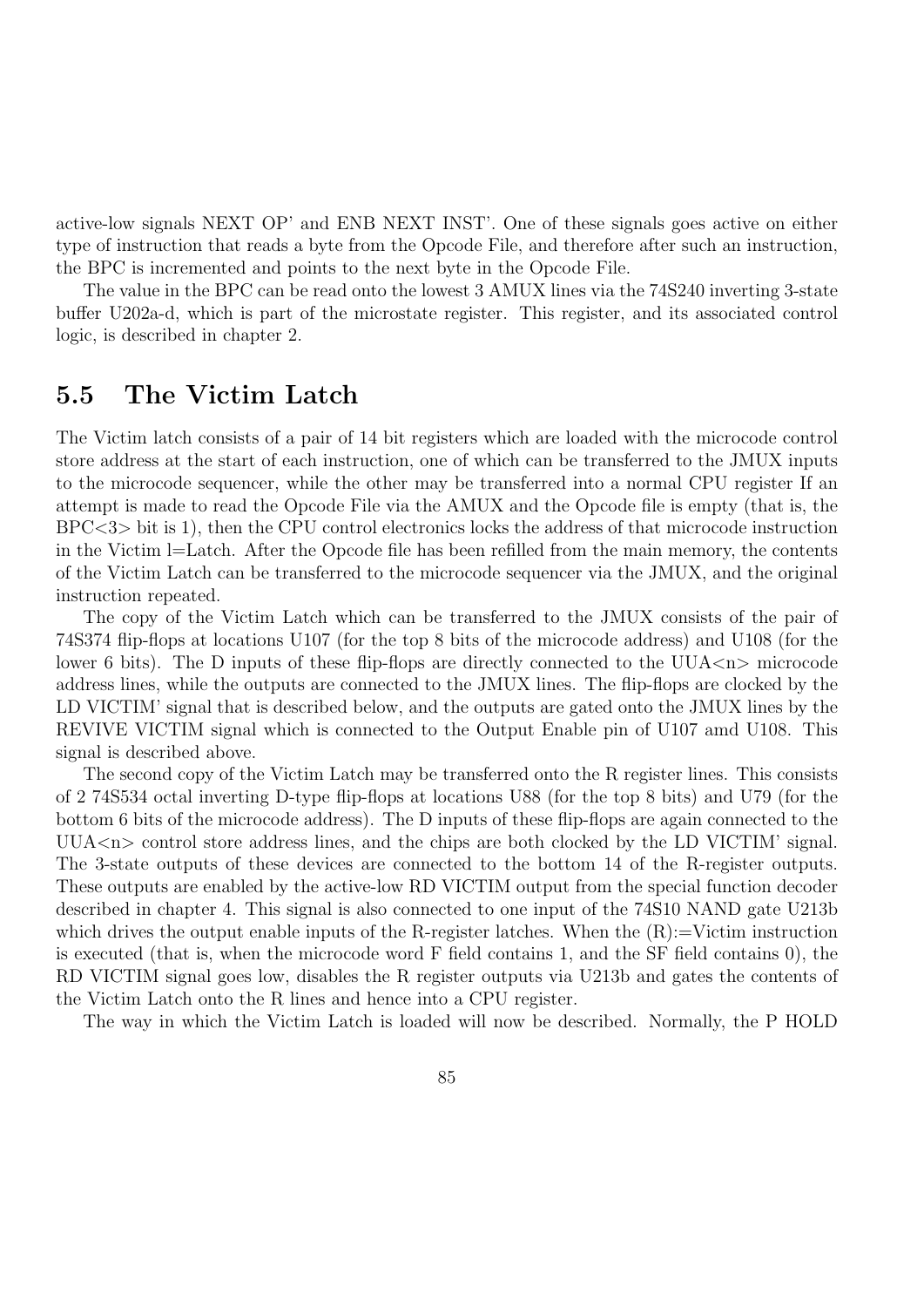active-low signals NEXT OP' and ENB NEXT INST'. One of these signals goes active on either type of instruction that reads a byte from the Opcode File, and therefore after such an instruction, the BPC is incremented and points to the next byte in the Opcode File.

The value in the BPC can be read onto the lowest 3 AMUX lines via the 74S240 inverting 3-state buffer U202a-d, which is part of the microstate register. This register, and its associated control logic, is described in chapter 2.

# 5.5 The Victim Latch

The Victim latch consists of a pair of 14 bit registers which are loaded with the microcode control store address at the start of each instruction, one of which can be transferred to the JMUX inputs to the microcode sequencer, while the other may be transferred into a normal CPU register If an attempt is made to read the Opcode File via the AMUX and the Opcode file is empty (that is, the BPC<3> bit is 1), then the CPU control electronics locks the address of that microcode instruction in the Victim l=Latch. After the Opcode file has been refilled from the main memory, the contents of the Victim Latch can be transferred to the microcode sequencer via the JMUX, and the original instruction repeated.

The copy of the Victim Latch which can be transferred to the JMUX consists of the pair of 74S374 flip-flops at locations U107 (for the top 8 bits of the microcode address) and U108 (for the lower 6 bits). The D inputs of these flip-flops are directly connected to the UUA $\langle n \rangle$  microcode address lines, while the outputs are connected to the JMUX lines. The flip-flops are clocked by the LD VICTIM' signal that is described below, and the outputs are gated onto the JMUX lines by the REVIVE VICTIM signal which is connected to the Output Enable pin of U107 amd U108. This signal is described above.

The second copy of the Victim Latch may be transferred onto the R register lines. This consists of 2 74S534 octal inverting D-type flip-flops at locations U88 (for the top 8 bits) and U79 (for the bottom 6 bits of the microcode address). The D inputs of these flip-flops are again connected to the UUA<n> control store address lines, and the chips are both clocked by the LD VICTIM' signal. The 3-state outputs of these devices are connected to the bottom 14 of the R-register outputs. These outputs are enabled by the active-low RD VICTIM output from the special function decoder described in chapter 4. This signal is also connected to one input of the 74S10 NAND gate U213b which drives the output enable inputs of the R-register latches. When the  $(R)$ :=Victim instruction is executed (that is, when the microcode word F field contains 1, and the SF field contains 0), the RD VICTIM signal goes low, disables the R register outputs via U213b and gates the contents of the Victim Latch onto the R lines and hence into a CPU register.

The way in which the Victim Latch is loaded will now be described. Normally, the P HOLD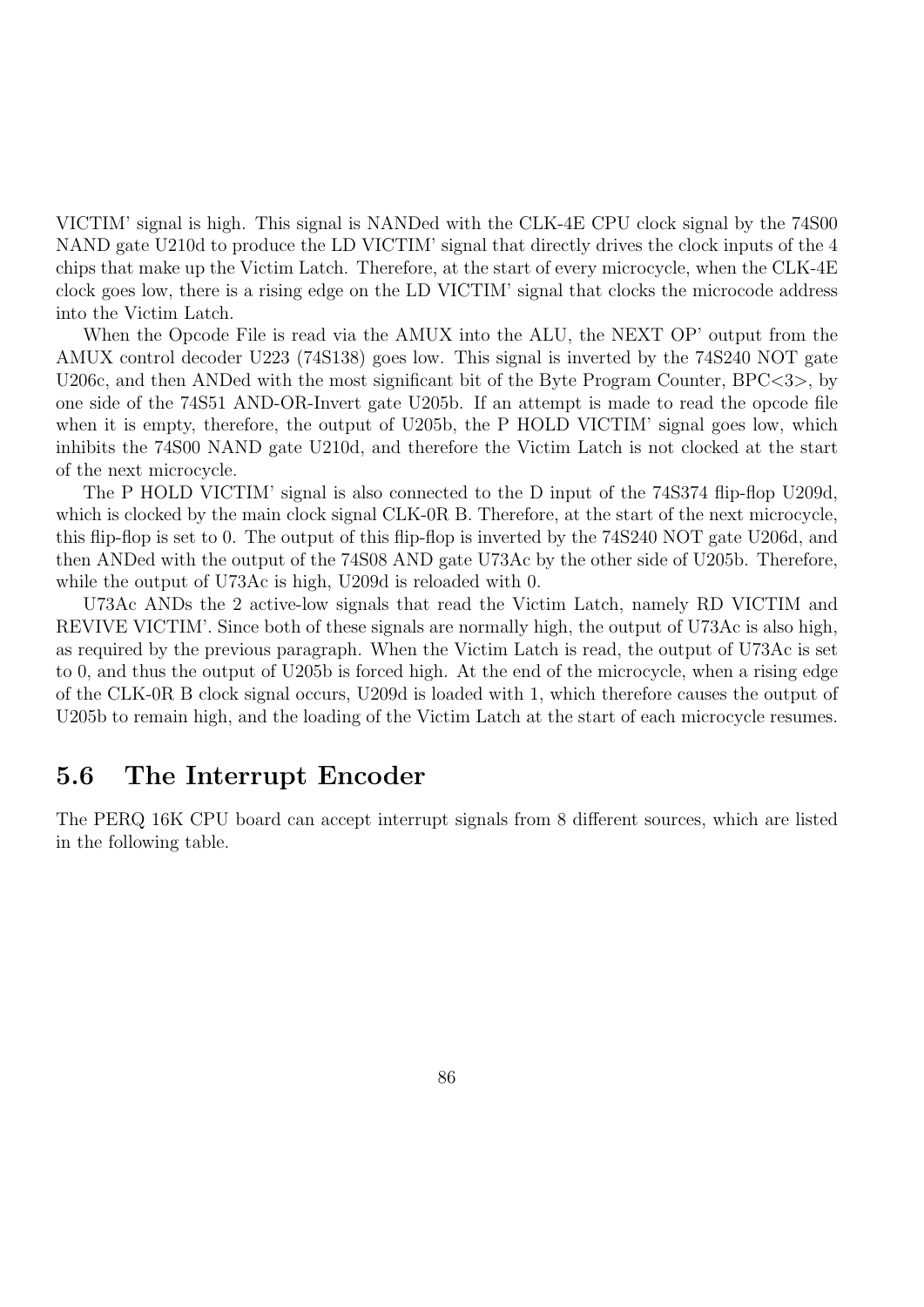VICTIM' signal is high. This signal is NANDed with the CLK-4E CPU clock signal by the 74S00 NAND gate U210d to produce the LD VICTIM' signal that directly drives the clock inputs of the 4 chips that make up the Victim Latch. Therefore, at the start of every microcycle, when the CLK-4E clock goes low, there is a rising edge on the LD VICTIM' signal that clocks the microcode address into the Victim Latch.

When the Opcode File is read via the AMUX into the ALU, the NEXT OP' output from the AMUX control decoder U223 (74S138) goes low. This signal is inverted by the 74S240 NOT gate U206c, and then ANDed with the most significant bit of the Byte Program Counter, BPC<3>, by one side of the 74S51 AND-OR-Invert gate U205b. If an attempt is made to read the opcode file when it is empty, therefore, the output of U205b, the P HOLD VICTIM' signal goes low, which inhibits the 74S00 NAND gate U210d, and therefore the Victim Latch is not clocked at the start of the next microcycle.

The P HOLD VICTIM' signal is also connected to the D input of the 74S374 flip-flop U209d, which is clocked by the main clock signal CLK-0R B. Therefore, at the start of the next microcycle, this flip-flop is set to 0. The output of this flip-flop is inverted by the 74S240 NOT gate U206d, and then ANDed with the output of the 74S08 AND gate U73Ac by the other side of U205b. Therefore, while the output of U73Ac is high, U209d is reloaded with 0.

U73Ac ANDs the 2 active-low signals that read the Victim Latch, namely RD VICTIM and REVIVE VICTIM'. Since both of these signals are normally high, the output of U73Ac is also high, as required by the previous paragraph. When the Victim Latch is read, the output of U73Ac is set to 0, and thus the output of U205b is forced high. At the end of the microcycle, when a rising edge of the CLK-0R B clock signal occurs, U209d is loaded with 1, which therefore causes the output of U205b to remain high, and the loading of the Victim Latch at the start of each microcycle resumes.

# 5.6 The Interrupt Encoder

The PERQ 16K CPU board can accept interrupt signals from 8 different sources, which are listed in the following table.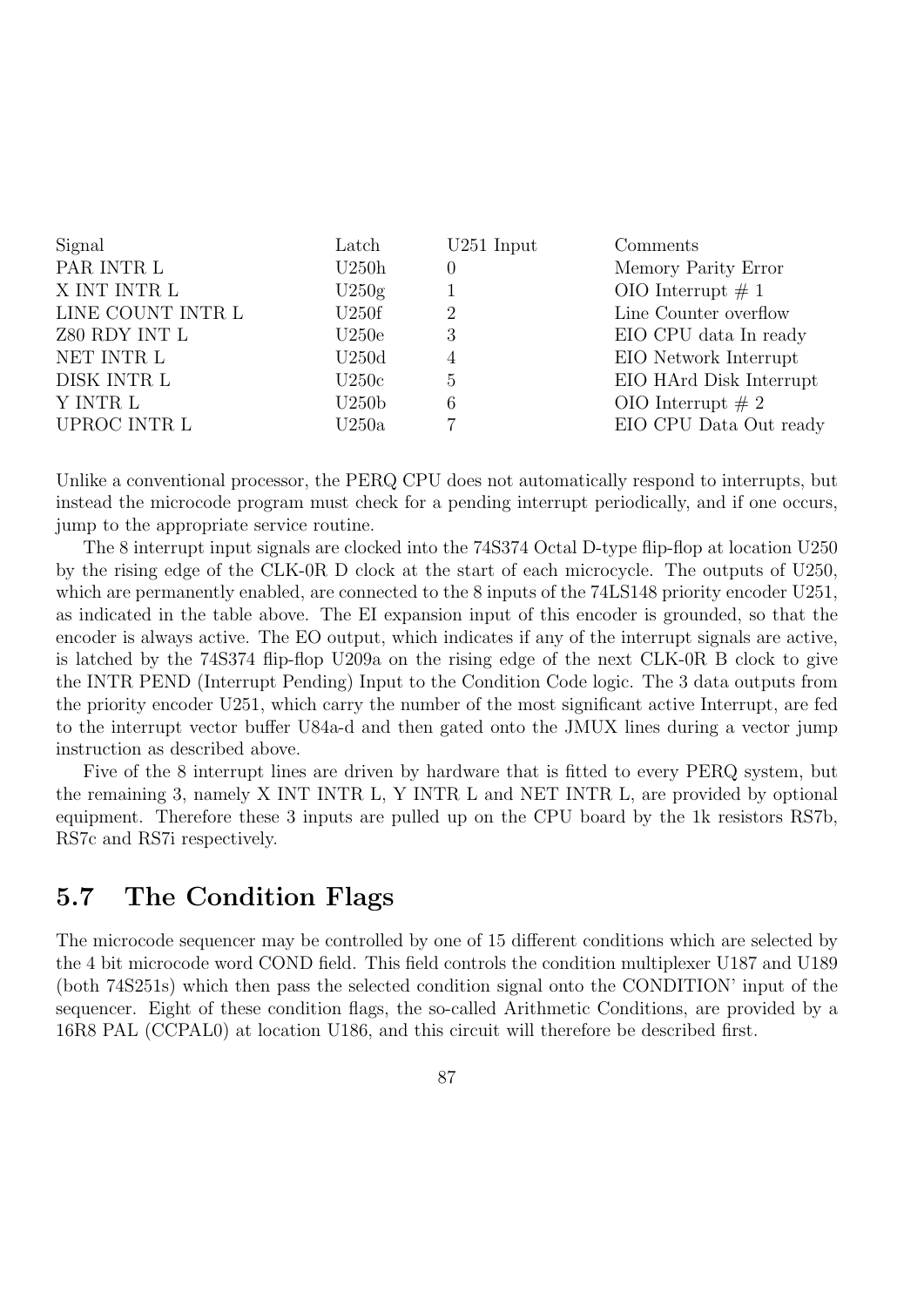| Latch             | $U251$ Input   | Comments                |
|-------------------|----------------|-------------------------|
| U250h             | $\theta$       | Memory Parity Error     |
| U250g             |                | OIO Interrupt $\# 1$    |
| U250f             | 2              | Line Counter overflow   |
| U250e             | 3              | EIO CPU data In ready   |
| U250d             | $\overline{4}$ | EIO Network Interrupt   |
| U250c             | $\overline{5}$ | EIO HArd Disk Interrupt |
| U250 <sub>b</sub> | 6              | OIO Interrupt $\# 2$    |
| U250a             | 7              | EIO CPU Data Out ready  |
|                   |                |                         |

Unlike a conventional processor, the PERQ CPU does not automatically respond to interrupts, but instead the microcode program must check for a pending interrupt periodically, and if one occurs, jump to the appropriate service routine.

The 8 interrupt input signals are clocked into the 74S374 Octal D-type flip-flop at location U250 by the rising edge of the CLK-0R D clock at the start of each microcycle. The outputs of U250, which are permanently enabled, are connected to the 8 inputs of the 74LS148 priority encoder U251, as indicated in the table above. The EI expansion input of this encoder is grounded, so that the encoder is always active. The EO output, which indicates if any of the interrupt signals are active, is latched by the 74S374 flip-flop U209a on the rising edge of the next CLK-0R B clock to give the INTR PEND (Interrupt Pending) Input to the Condition Code logic. The 3 data outputs from the priority encoder U251, which carry the number of the most significant active Interrupt, are fed to the interrupt vector buffer U84a-d and then gated onto the JMUX lines during a vector jump instruction as described above.

Five of the 8 interrupt lines are driven by hardware that is fitted to every PERQ system, but the remaining 3, namely X INT INTR L, Y INTR L and NET INTR L, are provided by optional equipment. Therefore these 3 inputs are pulled up on the CPU board by the 1k resistors RS7b, RS7c and RS7i respectively.

# 5.7 The Condition Flags

The microcode sequencer may be controlled by one of 15 different conditions which are selected by the 4 bit microcode word COND field. This field controls the condition multiplexer U187 and U189 (both 74S251s) which then pass the selected condition signal onto the CONDITION' input of the sequencer. Eight of these condition flags, the so-called Arithmetic Conditions, are provided by a 16R8 PAL (CCPAL0) at location U186, and this circuit will therefore be described first.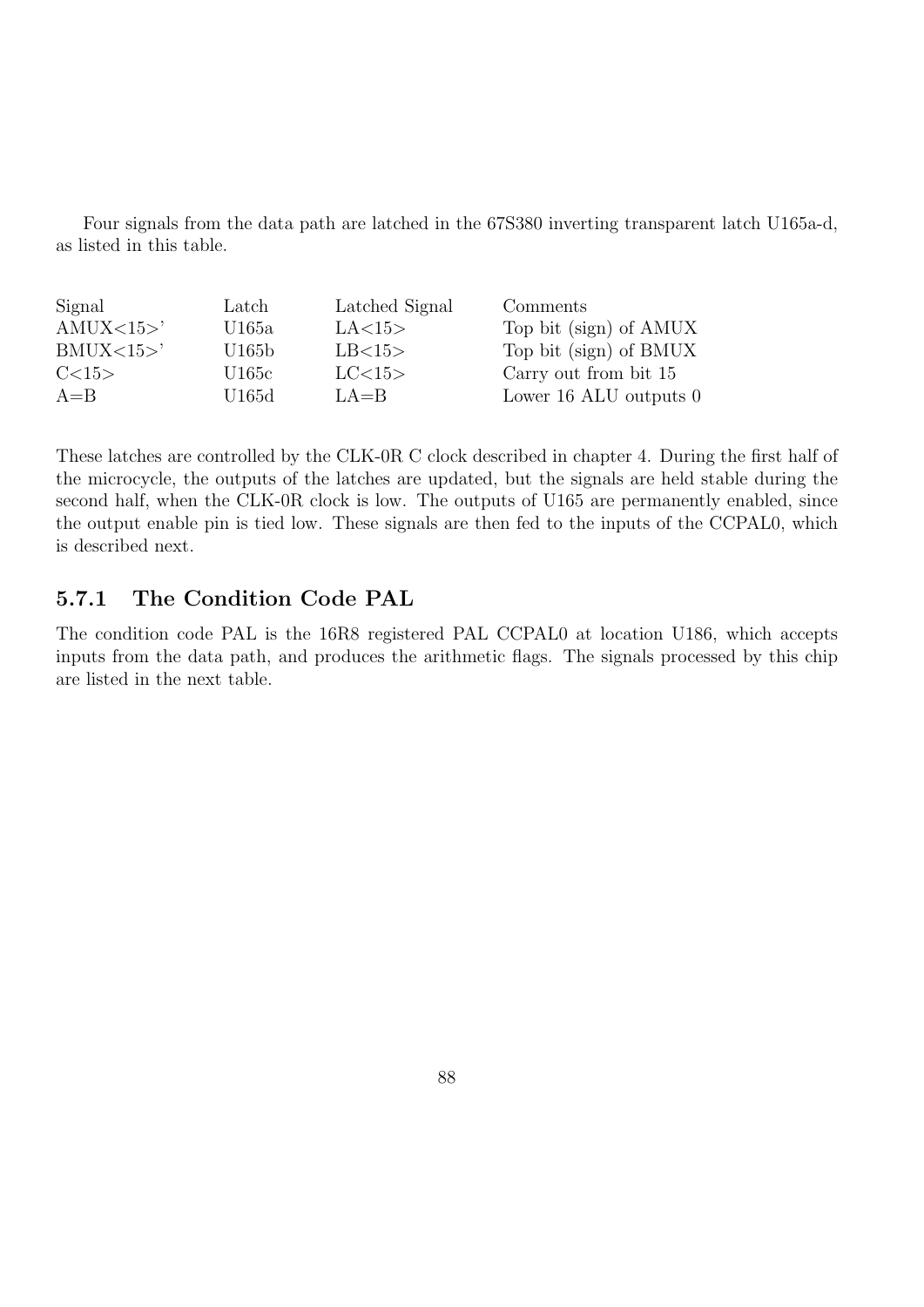Four signals from the data path are latched in the 67S380 inverting transparent latch U165a-d, as listed in this table.

| Signal    | Latch | Latched Signal | Comments                   |
|-----------|-------|----------------|----------------------------|
| AMUX < 15 | U165a | LA<15>         | Top bit (sign) of AMUX     |
| BMUX <15  | U165b | LB<15>         | Top bit (sign) of BMUX     |
| C<15      | U165c | LC<15>         | Carry out from bit 15      |
| $A = B$   | U165d | $LA = B$       | Lower $16$ ALU outputs $0$ |
|           |       |                |                            |

These latches are controlled by the CLK-0R C clock described in chapter 4. During the first half of the microcycle, the outputs of the latches are updated, but the signals are held stable during the second half, when the CLK-0R clock is low. The outputs of U165 are permanently enabled, since the output enable pin is tied low. These signals are then fed to the inputs of the CCPAL0, which is described next.

# 5.7.1 The Condition Code PAL

The condition code PAL is the 16R8 registered PAL CCPAL0 at location U186, which accepts inputs from the data path, and produces the arithmetic flags. The signals processed by this chip are listed in the next table.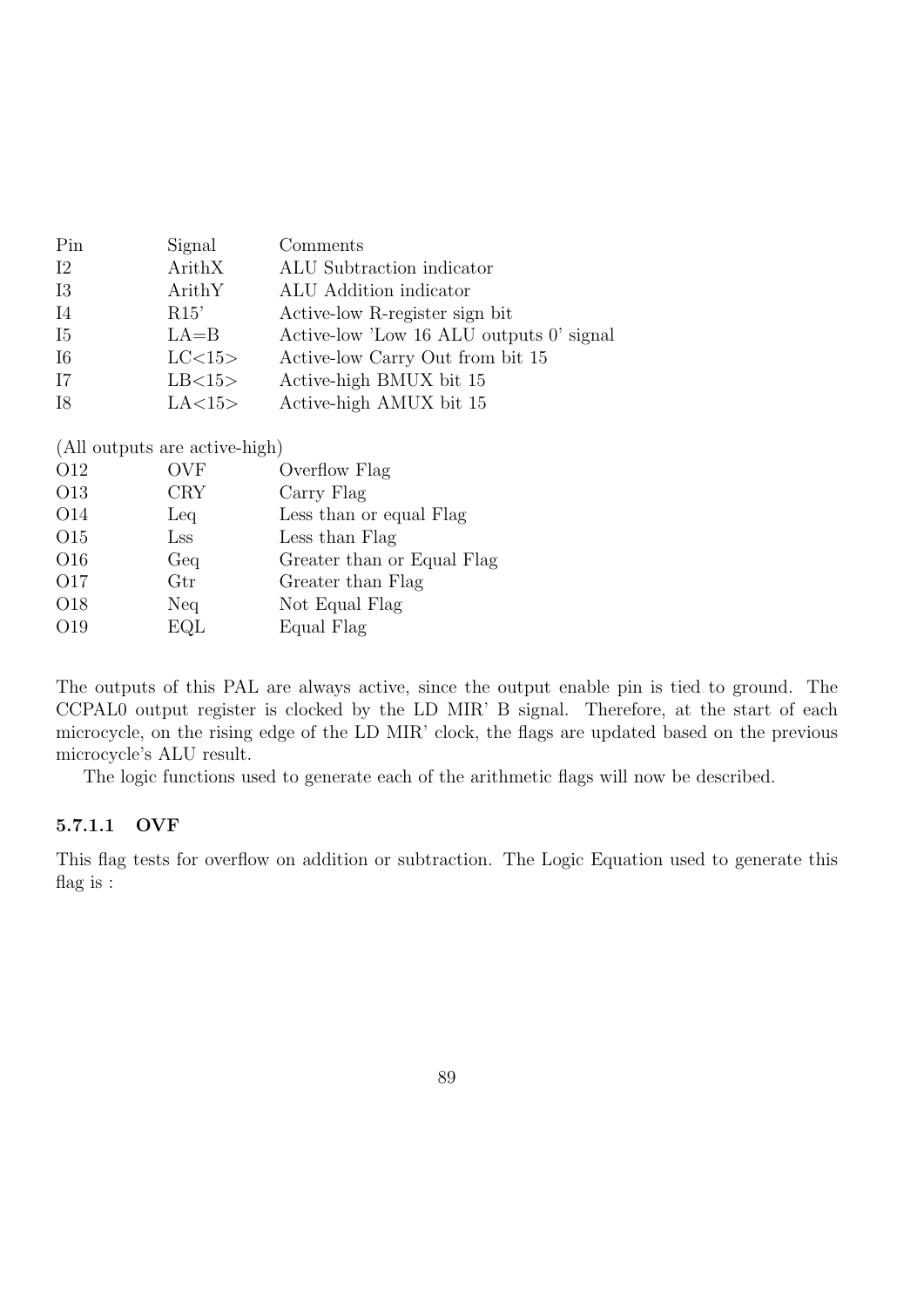| Pin        | Signal   | Comments                                 |
|------------|----------|------------------------------------------|
| 12         | ArithX   | ALU Subtraction indicator                |
| <b>I3</b>  | ArithY   | ALU Addition indicator                   |
| <b>I</b> 4 | R15'     | Active-low R-register sign bit           |
| <b>I5</b>  | $LA = B$ | Active-low 'Low 16 ALU outputs 0' signal |
| <b>I</b> 6 | LC<15>   | Active-low Carry Out from bit 15         |
| <b>I7</b>  | LB<15>   | Active-high BMUX bit 15                  |
| <b>I8</b>  | LA<15>   | Active-high AMUX bit 15                  |

(All outputs are active-high)

| O <sub>12</sub> | <b>OVF</b> | Overflow Flag              |
|-----------------|------------|----------------------------|
| O13             | <b>CRY</b> | Carry Flag                 |
| O <sub>14</sub> | Leq        | Less than or equal Flag    |
| O <sub>15</sub> | $\rm Lss$  | Less than Flag             |
| O <sub>16</sub> | Geq        | Greater than or Equal Flag |
| O17             | Gtr        | Greater than Flag          |
| O18             | Neq        | Not Equal Flag             |
| O19             | EQL        | Equal Flag                 |

The outputs of this PAL are always active, since the output enable pin is tied to ground. The CCPAL0 output register is clocked by the LD MIR' B signal. Therefore, at the start of each microcycle, on the rising edge of the LD MIR' clock, the flags are updated based on the previous microcycle's ALU result.

The logic functions used to generate each of the arithmetic flags will now be described.

#### 5.7.1.1 OVF

This flag tests for overflow on addition or subtraction. The Logic Equation used to generate this flag is :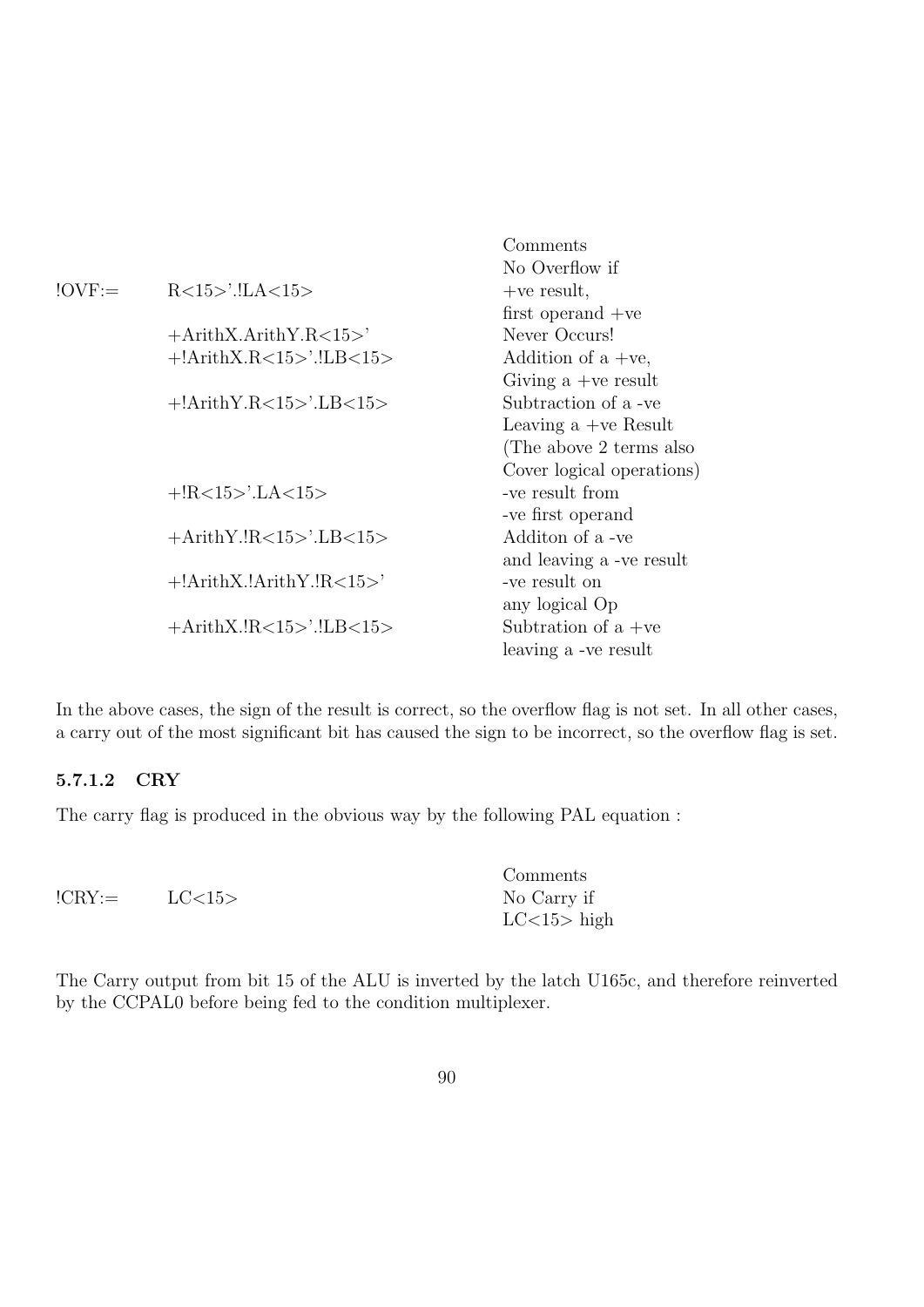|           |                             | No Overflow if            |
|-----------|-----------------------------|---------------------------|
| $!$ OVF:= |                             | $+ve$ result,             |
|           |                             | first operand $+ve$       |
|           | $+A$ rithX.ArithY.R<15>'    | Never Occurs!             |
|           | $+!$ ArithX.R<15>'.!LB<15>  | Addition of $a +ve$ ,     |
|           |                             | Giving $a +ve$ result     |
|           | $+!$ ArithY.R<15>'.LB<15>   | Subtraction of a -ve      |
|           |                             | Leaving $a +ve$ Result    |
|           |                             | (The above 2 terms also   |
|           |                             | Cover logical operations) |
|           | $+!R<15>$ '.LA $<15>$       | -ve result from           |
|           |                             | -ve first operand         |
|           | $+A$ rithY.!R<15>'.LB<15>   | Addition of a -ve         |
|           |                             | and leaving a -ve result  |
|           | $+!$ ArithX.!ArithY.!R<15>' | -ve result on             |
|           |                             | any logical Op            |
|           | $+ArithX.IR<15>$ ILB $<15>$ | Subtration of a +ve       |
|           |                             | leaving a -ve result      |

In the above cases, the sign of the result is correct, so the overflow flag is not set. In all other cases, a carry out of the most significant bit has caused the sign to be incorrect, so the overflow flag is set.

Comments

#### 5.7.1.2 CRY

The carry flag is produced in the obvious way by the following PAL equation :

|                        |         | Comments      |
|------------------------|---------|---------------|
| $!{\rm CRY}\!\!:=\!\!$ | LC < 15 | No Carry if   |
|                        |         | $LC<15>$ high |

The Carry output from bit 15 of the ALU is inverted by the latch U165c, and therefore reinverted by the CCPAL0 before being fed to the condition multiplexer.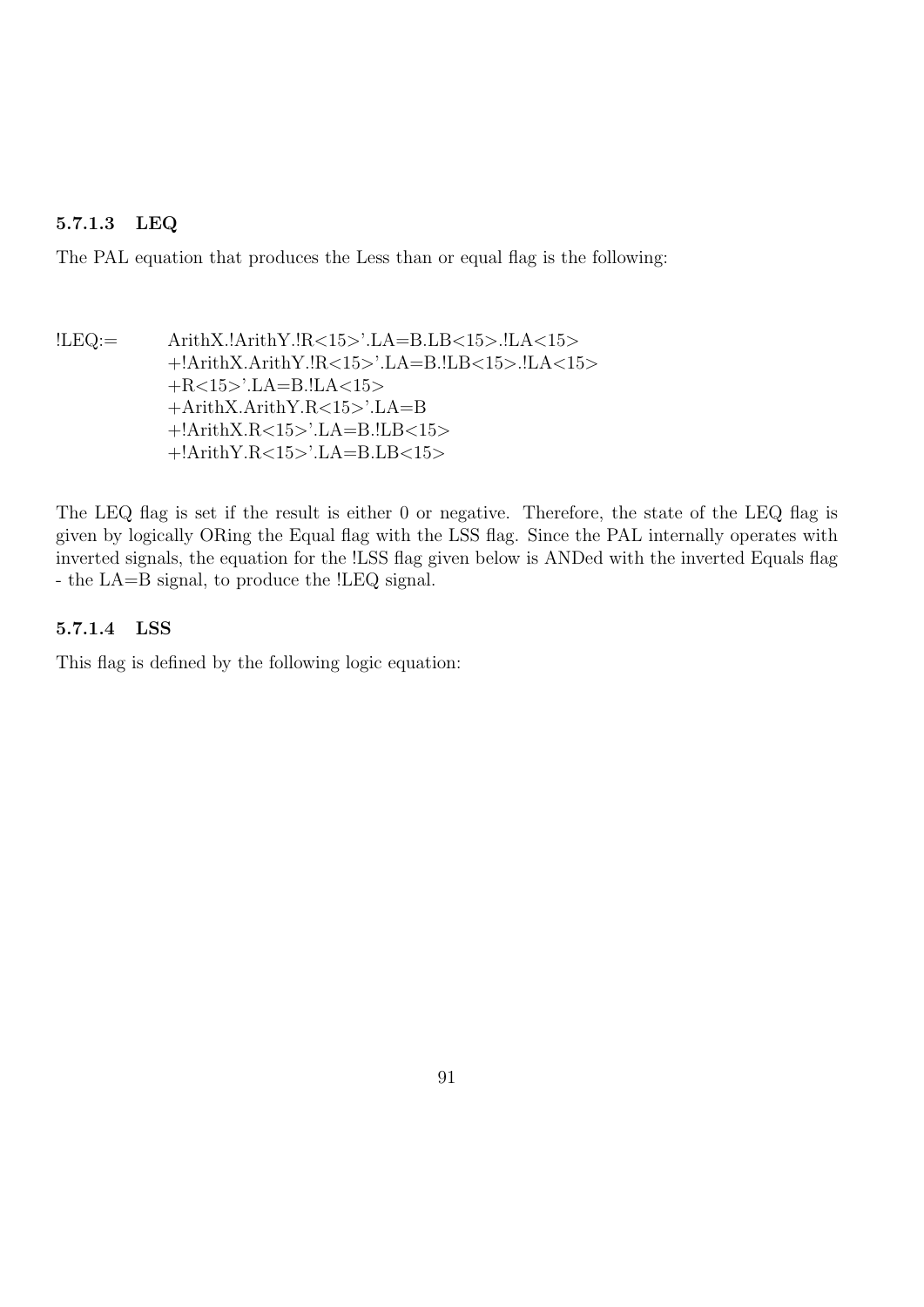## 5.7.1.3 LEQ

The PAL equation that produces the Less than or equal flag is the following:

!LEQ:= ArithX.!ArithY.!R<15>'.LA=B.LB<15>.!LA<15> +!ArithX.ArithY.!R<15>'.LA=B.!LB<15>.!LA<15> +R<15>'.LA=B.!LA<15> +ArithX.ArithY.R<15>'.LA=B +!ArithX.R<15>'.LA=B.!LB<15> +!ArithY.R<15>'.LA=B.LB<15>

The LEQ flag is set if the result is either 0 or negative. Therefore, the state of the LEQ flag is given by logically ORing the Equal flag with the LSS flag. Since the PAL internally operates with inverted signals, the equation for the !LSS flag given below is ANDed with the inverted Equals flag - the LA=B signal, to produce the !LEQ signal.

#### 5.7.1.4 LSS

This flag is defined by the following logic equation: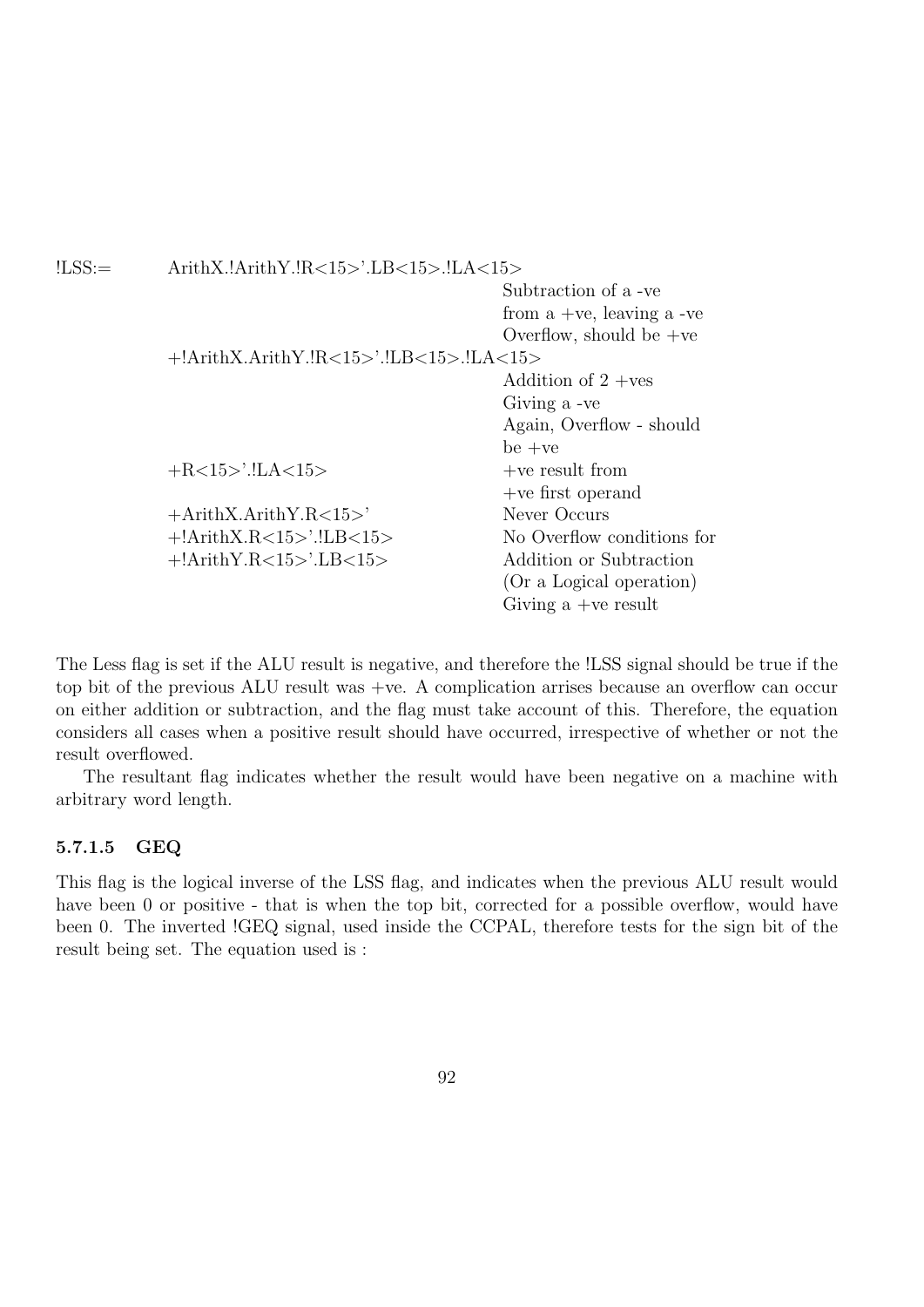| $ LSS:=$ | ArithX.!ArithY.!R<15>'.LB<15>.!LA<15> |                                            |  |  |  |
|----------|---------------------------------------|--------------------------------------------|--|--|--|
|          |                                       | Subtraction of a -ve                       |  |  |  |
|          |                                       | from $a +ve$ , leaving $a -ve$             |  |  |  |
|          |                                       | Overflow, should be $+ve$                  |  |  |  |
|          |                                       | $+!$ ArithX.ArithY.!R<15>'.!LB<15>.!LA<15> |  |  |  |
|          |                                       | Addition of $2 + \text{ves}$               |  |  |  |
|          |                                       | Giving a -ve                               |  |  |  |
|          |                                       | Again, Overflow - should                   |  |  |  |
|          |                                       | $be +ve$                                   |  |  |  |
|          |                                       | $+ve$ result from                          |  |  |  |
|          |                                       | $+ve$ first operand                        |  |  |  |
|          | $+ArithX.ArithY.R<15>$                | Never Occurs                               |  |  |  |
|          | $+!$ ArithX.R<15>'.!LB<15>            | No Overflow conditions for                 |  |  |  |
|          | $+!$ ArithY.R<15>'.LB<15>             | Addition or Subtraction                    |  |  |  |
|          |                                       | (Or a Logical operation)                   |  |  |  |
|          |                                       | Giving a +ve result                        |  |  |  |

The Less flag is set if the ALU result is negative, and therefore the !LSS signal should be true if the top bit of the previous ALU result was +ve. A complication arrises because an overflow can occur on either addition or subtraction, and the flag must take account of this. Therefore, the equation considers all cases when a positive result should have occurred, irrespective of whether or not the result overflowed.

The resultant flag indicates whether the result would have been negative on a machine with arbitrary word length.

#### 5.7.1.5 GEQ

This flag is the logical inverse of the LSS flag, and indicates when the previous ALU result would have been 0 or positive - that is when the top bit, corrected for a possible overflow, would have been 0. The inverted !GEQ signal, used inside the CCPAL, therefore tests for the sign bit of the result being set. The equation used is :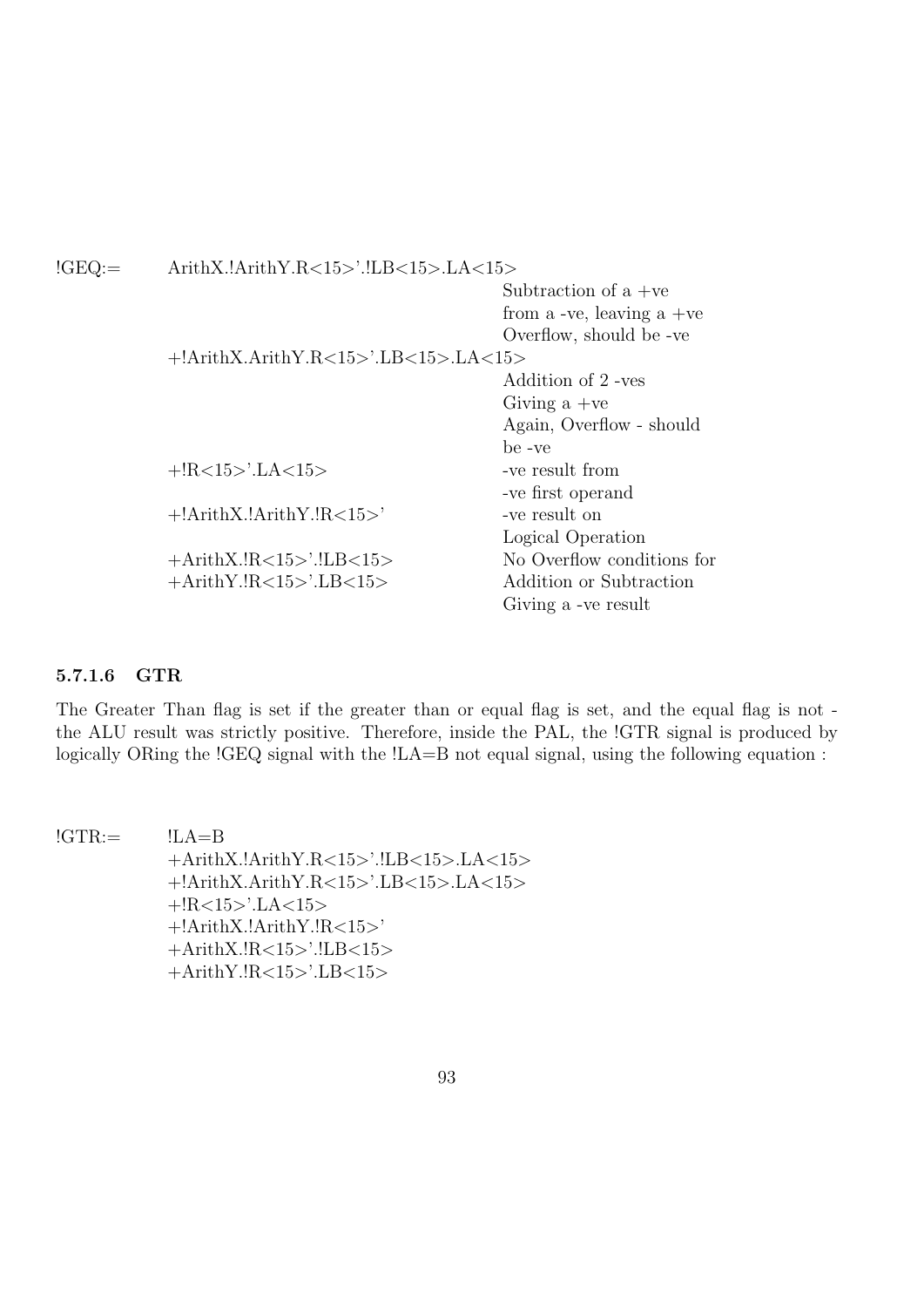| $!GEQ:=$ | ArithX.lArithY.R<15>'.lLB<15>.LA<15> |                                       |  |  |  |
|----------|--------------------------------------|---------------------------------------|--|--|--|
|          |                                      | Subtraction of $a +ve$                |  |  |  |
|          |                                      | from a -ve, leaving a +ve             |  |  |  |
|          |                                      | Overflow, should be -ve               |  |  |  |
|          |                                      | $+!ArithX.ArithY.R<15> LB<15> LA<15>$ |  |  |  |
|          |                                      | Addition of 2 -ves                    |  |  |  |
|          |                                      | Giving $a +ve$                        |  |  |  |
|          |                                      | Again, Overflow - should              |  |  |  |
|          |                                      | be -ve                                |  |  |  |
|          | $+!R<15>$ '.LA $<15>$                | -ve result from                       |  |  |  |
|          |                                      | -ve first operand                     |  |  |  |
|          | $+!$ ArithX.!ArithY.!R<15>'          | -ve result on                         |  |  |  |
|          |                                      | Logical Operation                     |  |  |  |
|          | $+A$ rithX.!R<15>'.!LB<15>           | No Overflow conditions for            |  |  |  |
|          | $+ArithY.IR<15>$ '.LB $<15>$         | Addition or Subtraction               |  |  |  |
|          |                                      | Giving a -ve result                   |  |  |  |

#### 5.7.1.6 GTR

The Greater Than flag is set if the greater than or equal flag is set, and the equal flag is not the ALU result was strictly positive. Therefore, inside the PAL, the !GTR signal is produced by logically ORing the !GEQ signal with the !LA=B not equal signal, using the following equation :

 $!GTR :=$   $!LA=B$ +ArithX.!ArithY.R<15>'.!LB<15>.LA<15> +!ArithX.ArithY.R<15>'.LB<15>.LA<15> +!R<15>'.LA<15> +!ArithX.!ArithY.!R<15>' +ArithX.!R<15>'.!LB<15> +ArithY.!R<15>'.LB<15>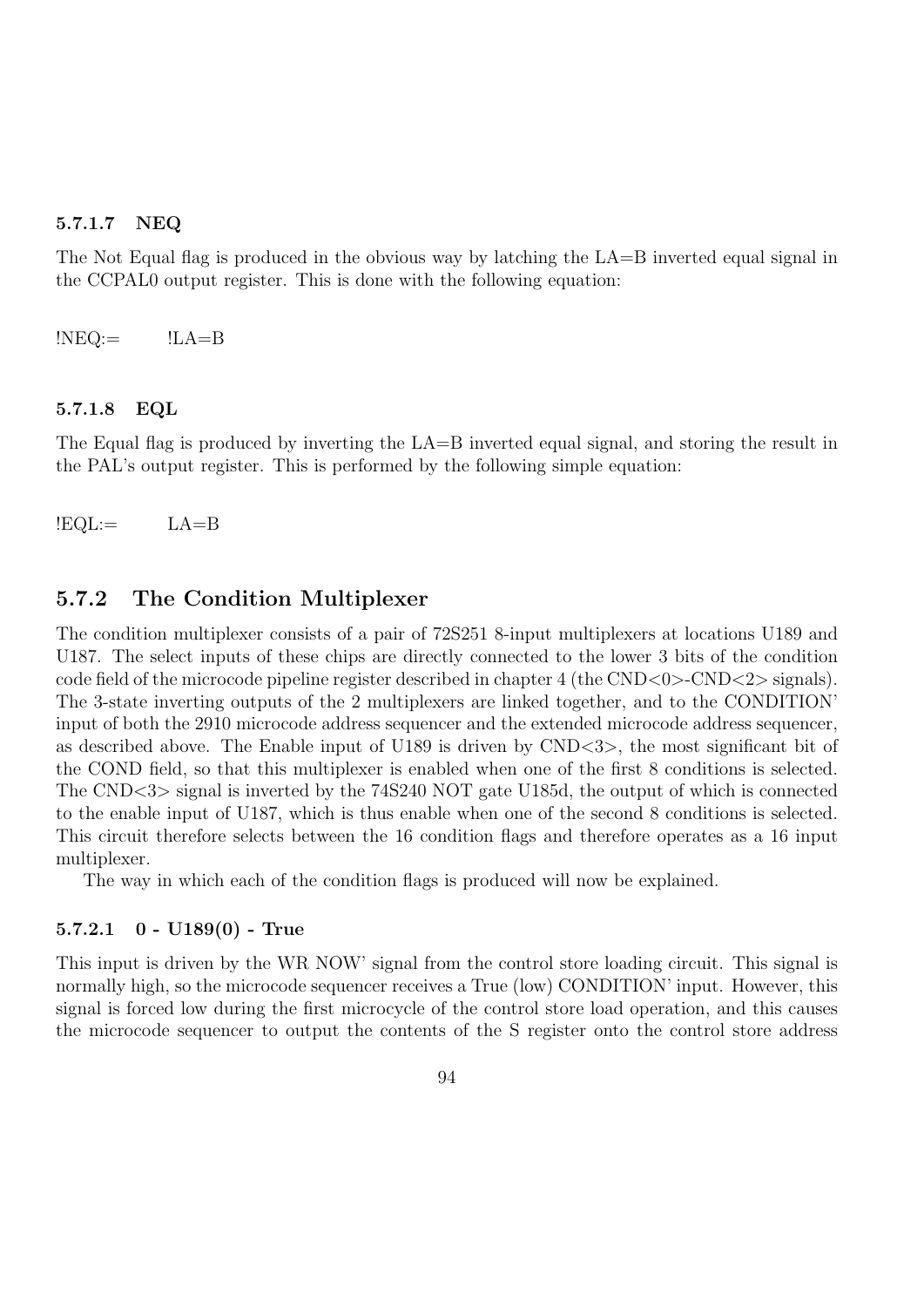#### 5.7.1.7 NEQ

The Not Equal flag is produced in the obvious way by latching the LA=B inverted equal signal in the CCPAL0 output register. This is done with the following equation:

 $$ 

#### 5.7.1.8 EQL

The Equal flag is produced by inverting the LA=B inverted equal signal, and storing the result in the PAL's output register. This is performed by the following simple equation:

 $\text{!EQL}:=$   $\text{LA}=B$ 

#### 5.7.2 The Condition Multiplexer

The condition multiplexer consists of a pair of 72S251 8-input multiplexers at locations U189 and U187. The select inputs of these chips are directly connected to the lower 3 bits of the condition code field of the microcode pipeline register described in chapter 4 (the  $\text{CND}<0$ )- $\text{CND}<2$ ) signals). The 3-state inverting outputs of the 2 multiplexers are linked together, and to the CONDITION' input of both the 2910 microcode address sequencer and the extended microcode address sequencer, as described above. The Enable input of U189 is driven by CND<3>, the most significant bit of the COND field, so that this multiplexer is enabled when one of the first 8 conditions is selected. The CND<3> signal is inverted by the 74S240 NOT gate U185d, the output of which is connected to the enable input of U187, which is thus enable when one of the second 8 conditions is selected. This circuit therefore selects between the 16 condition flags and therefore operates as a 16 input multiplexer.

The way in which each of the condition flags is produced will now be explained.

#### 5.7.2.1 0 - U189(0) - True

This input is driven by the WR NOW' signal from the control store loading circuit. This signal is normally high, so the microcode sequencer receives a True (low) CONDITION' input. However, this signal is forced low during the first microcycle of the control store load operation, and this causes the microcode sequencer to output the contents of the S register onto the control store address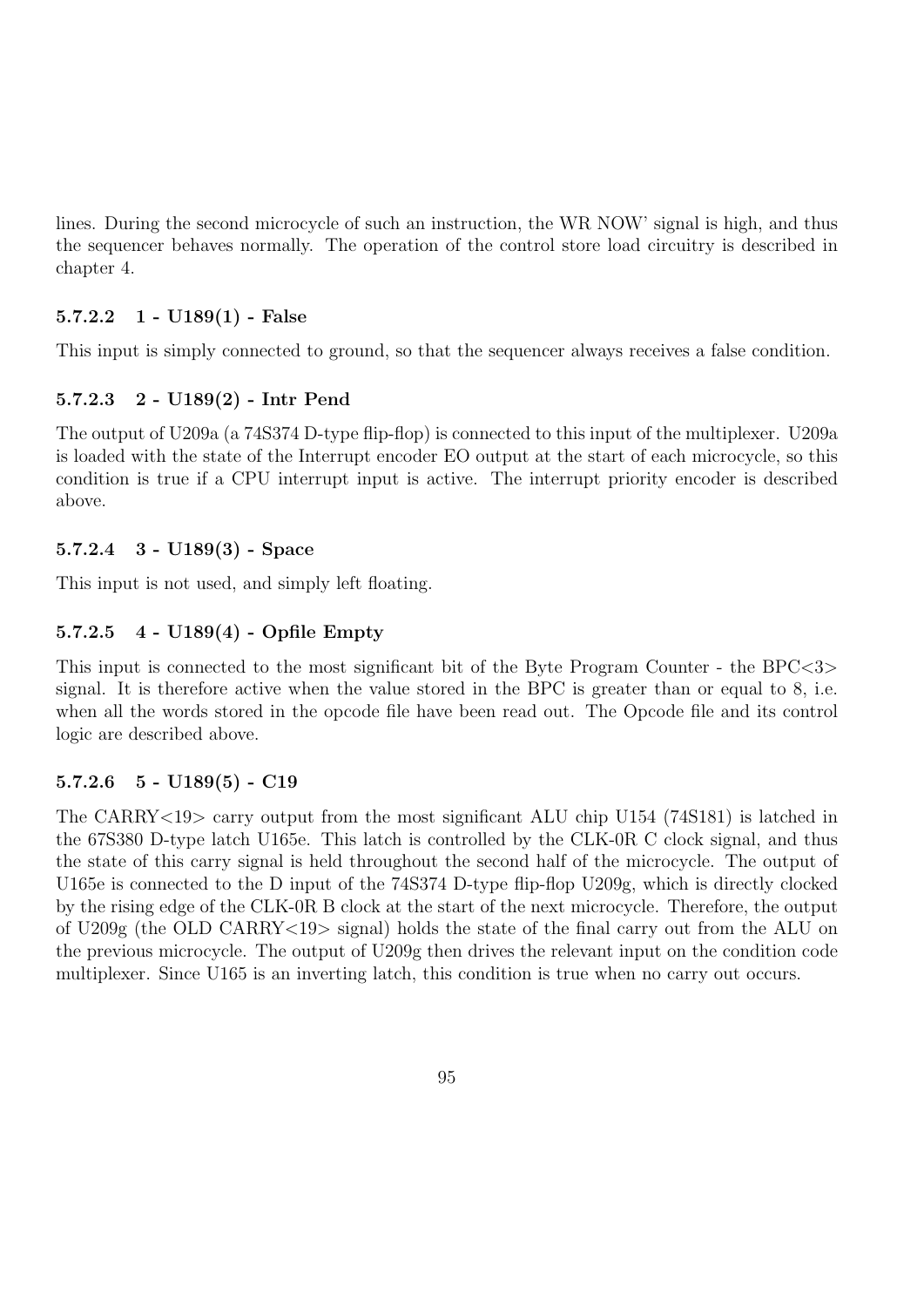lines. During the second microcycle of such an instruction, the WR NOW' signal is high, and thus the sequencer behaves normally. The operation of the control store load circuitry is described in chapter 4.

# 5.7.2.2 1 - U189(1) - False

This input is simply connected to ground, so that the sequencer always receives a false condition.

# 5.7.2.3 2 - U189(2) - Intr Pend

The output of U209a (a 74S374 D-type flip-flop) is connected to this input of the multiplexer. U209a is loaded with the state of the Interrupt encoder EO output at the start of each microcycle, so this condition is true if a CPU interrupt input is active. The interrupt priority encoder is described above.

# 5.7.2.4 3 - U189(3) - Space

This input is not used, and simply left floating.

# 5.7.2.5 4 - U189(4) - Opfile Empty

This input is connected to the most significant bit of the Byte Program Counter - the BPC<3> signal. It is therefore active when the value stored in the BPC is greater than or equal to 8, i.e. when all the words stored in the opcode file have been read out. The Opcode file and its control logic are described above.

# $5.7.2.6$   $5 - U189(5) - C19$

The CARRY<19> carry output from the most significant ALU chip U154 (74S181) is latched in the 67S380 D-type latch U165e. This latch is controlled by the CLK-0R C clock signal, and thus the state of this carry signal is held throughout the second half of the microcycle. The output of U165e is connected to the D input of the 74S374 D-type flip-flop U209g, which is directly clocked by the rising edge of the CLK-0R B clock at the start of the next microcycle. Therefore, the output of U209g (the OLD CARRY<19> signal) holds the state of the final carry out from the ALU on the previous microcycle. The output of U209g then drives the relevant input on the condition code multiplexer. Since U165 is an inverting latch, this condition is true when no carry out occurs.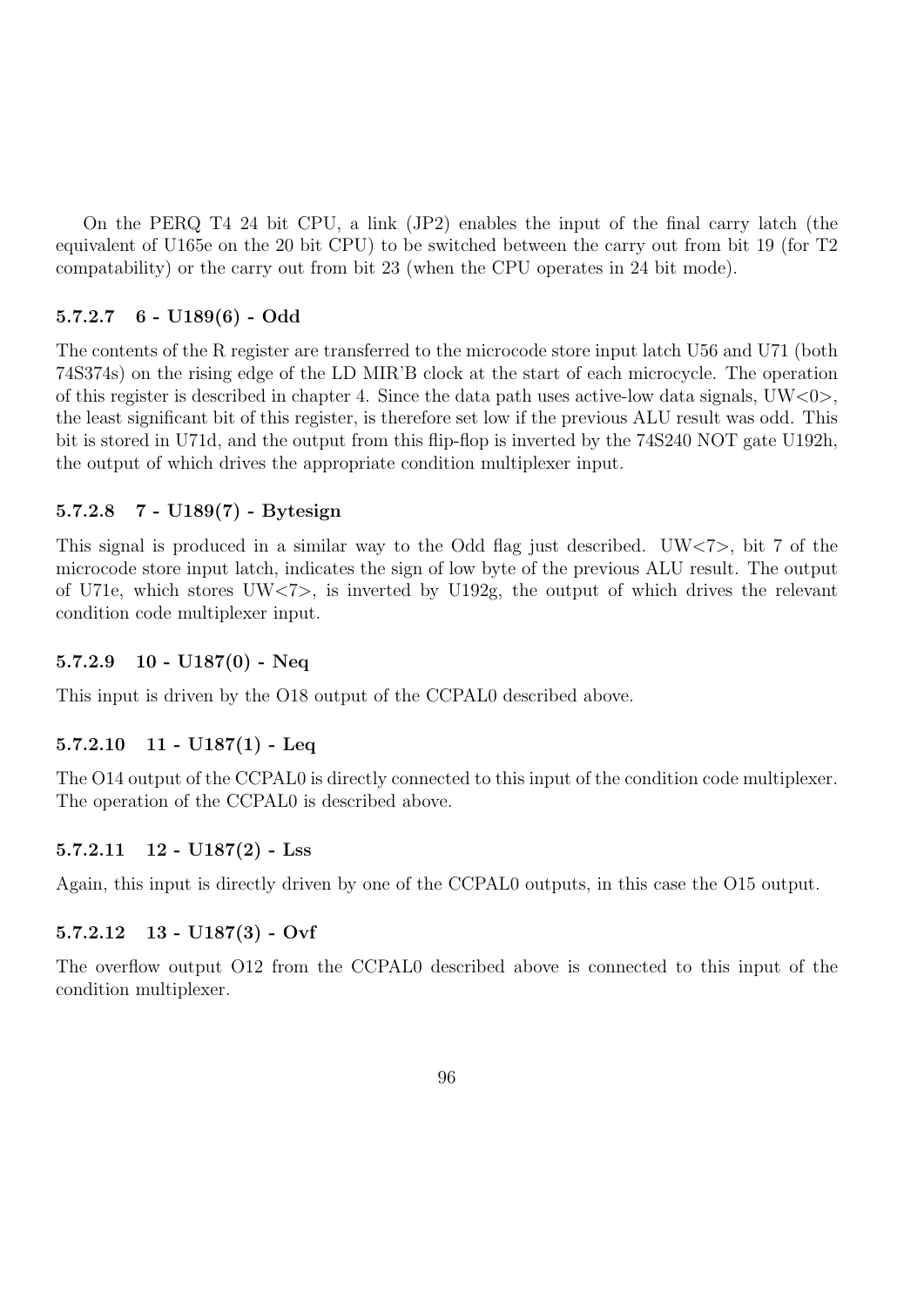On the PERQ T4 24 bit CPU, a link (JP2) enables the input of the final carry latch (the equivalent of U165e on the 20 bit CPU) to be switched between the carry out from bit 19 (for T2 compatability) or the carry out from bit 23 (when the CPU operates in 24 bit mode).

#### 5.7.2.7 6 - U189(6) - Odd

The contents of the R register are transferred to the microcode store input latch U56 and U71 (both 74S374s) on the rising edge of the LD MIR'B clock at the start of each microcycle. The operation of this register is described in chapter 4. Since the data path uses active-low data signals,  $U W < 0$ , the least significant bit of this register, is therefore set low if the previous ALU result was odd. This bit is stored in U71d, and the output from this flip-flop is inverted by the 74S240 NOT gate U192h, the output of which drives the appropriate condition multiplexer input.

#### 5.7.2.8 7 - U189(7) - Bytesign

This signal is produced in a similar way to the Odd flag just described. UW<7>, bit 7 of the microcode store input latch, indicates the sign of low byte of the previous ALU result. The output of U71e, which stores  $UW < 7$ , is inverted by U192g, the output of which drives the relevant condition code multiplexer input.

#### $5.7.2.9$  10 - U187(0) - Neq

This input is driven by the O18 output of the CCPAL0 described above.

#### $5.7.2.10$   $11 - \text{U187}(1)$  - Leq

The O14 output of the CCPAL0 is directly connected to this input of the condition code multiplexer. The operation of the CCPAL0 is described above.

#### $5.7.2.11$  12 - U187(2) - Lss

Again, this input is directly driven by one of the CCPAL0 outputs, in this case the O15 output.

#### 5.7.2.12 13 - U187(3) - Ovf

The overflow output O12 from the CCPAL0 described above is connected to this input of the condition multiplexer.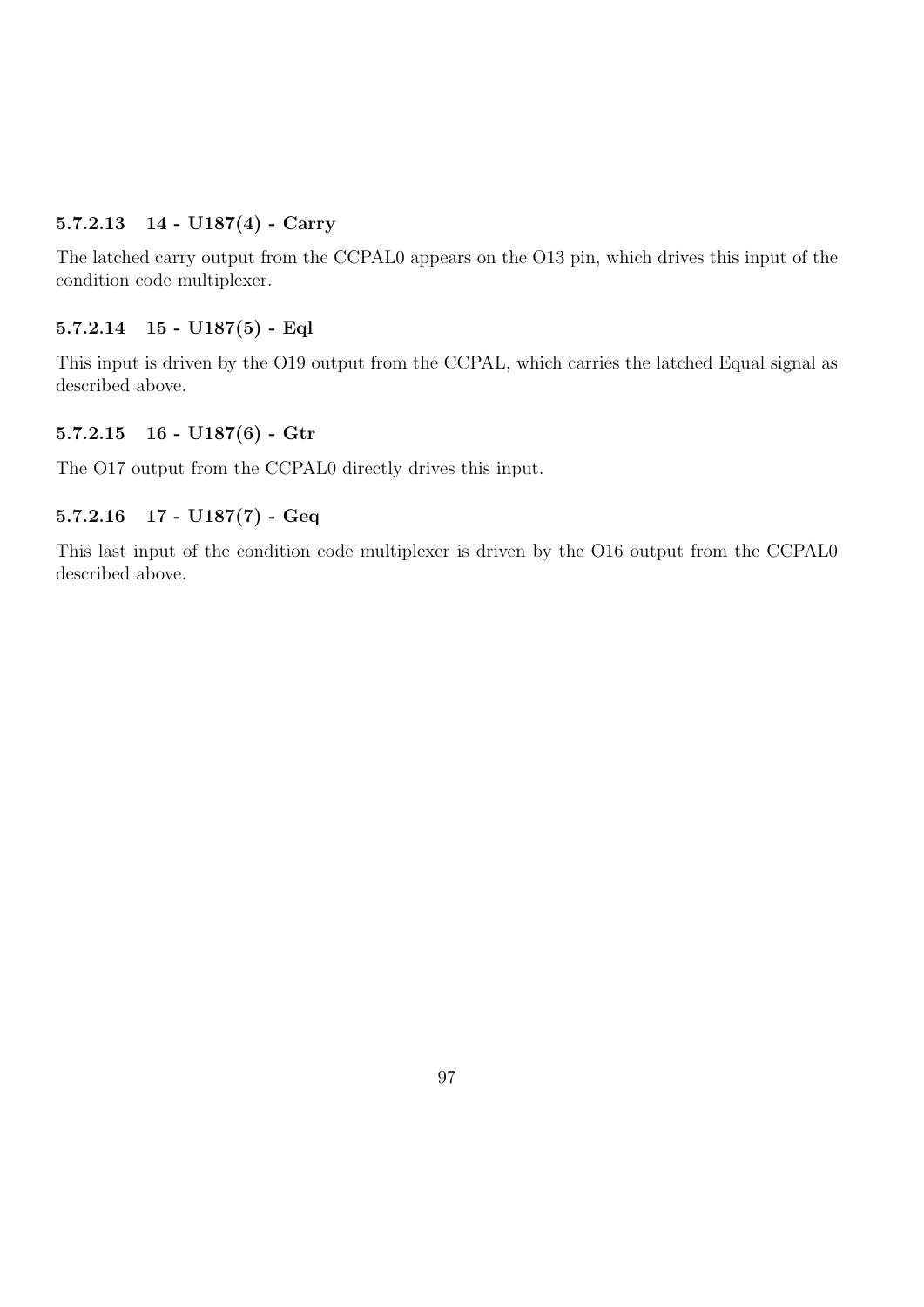# 5.7.2.13 14 - U187(4) - Carry

The latched carry output from the CCPAL0 appears on the O13 pin, which drives this input of the condition code multiplexer.

# 5.7.2.14 15 - U187(5) - Eql

This input is driven by the O19 output from the CCPAL, which carries the latched Equal signal as described above.

# 5.7.2.15 16 - U187(6) - Gtr

The O17 output from the CCPAL0 directly drives this input.

# 5.7.2.16 17 - U187(7) - Geq

This last input of the condition code multiplexer is driven by the O16 output from the CCPAL0 described above.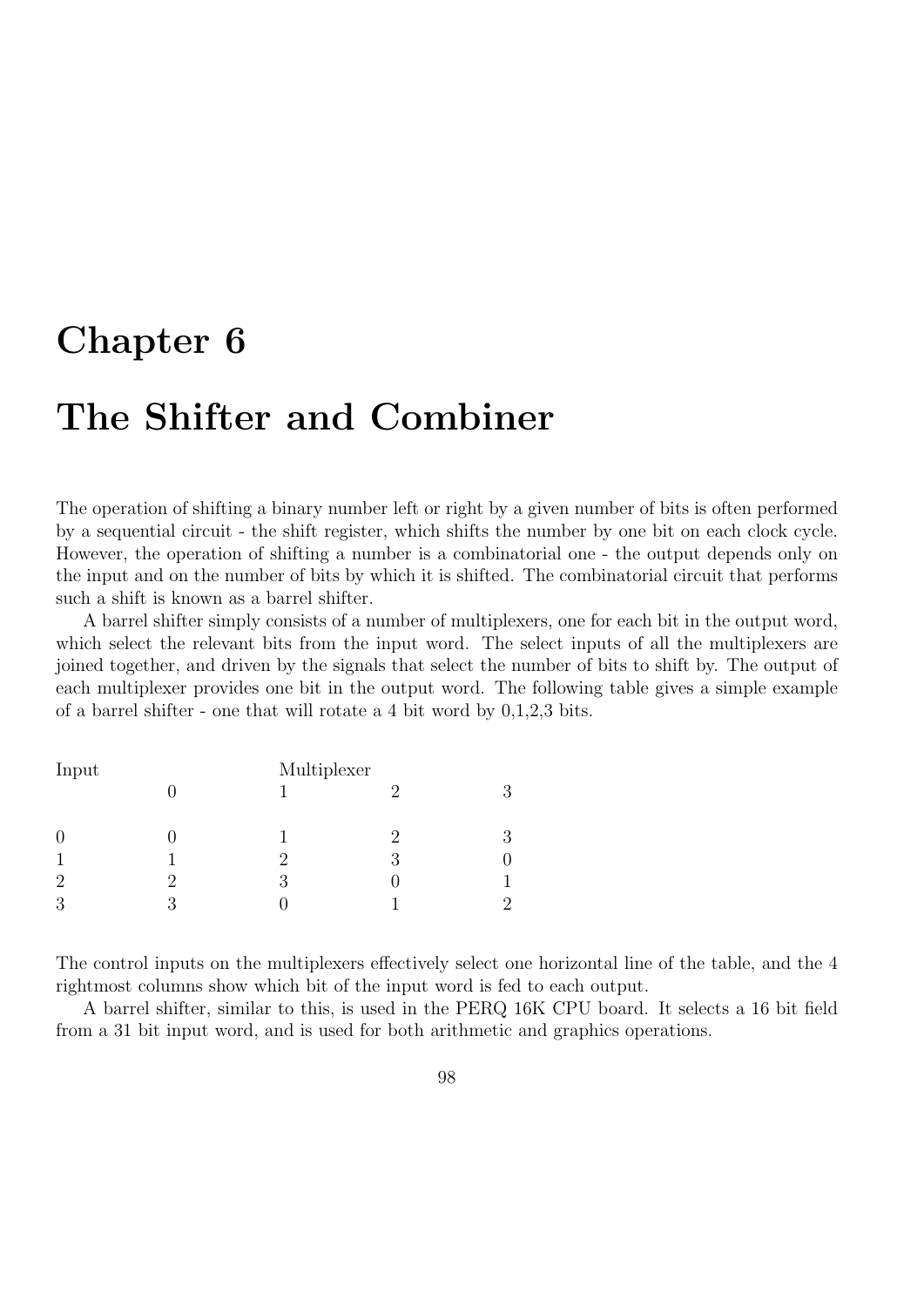# Chapter 6

# The Shifter and Combiner

The operation of shifting a binary number left or right by a given number of bits is often performed by a sequential circuit - the shift register, which shifts the number by one bit on each clock cycle. However, the operation of shifting a number is a combinatorial one - the output depends only on the input and on the number of bits by which it is shifted. The combinatorial circuit that performs such a shift is known as a barrel shifter.

A barrel shifter simply consists of a number of multiplexers, one for each bit in the output word, which select the relevant bits from the input word. The select inputs of all the multiplexers are joined together, and driven by the signals that select the number of bits to shift by. The output of each multiplexer provides one bit in the output word. The following table gives a simple example of a barrel shifter - one that will rotate a 4 bit word by  $0,1,2,3$  bits.

| Input          |               |   | Multiplexer |   |
|----------------|---------------|---|-------------|---|
|                |               |   |             |   |
|                |               |   |             |   |
| $\theta$       |               |   | റ           | ว |
|                |               |   | 3           |   |
| $\overline{2}$ | $\mathcal{D}$ | 3 |             |   |
| 3              |               |   |             |   |

The control inputs on the multiplexers effectively select one horizontal line of the table, and the 4 rightmost columns show which bit of the input word is fed to each output.

A barrel shifter, similar to this, is used in the PERQ 16K CPU board. It selects a 16 bit field from a 31 bit input word, and is used for both arithmetic and graphics operations.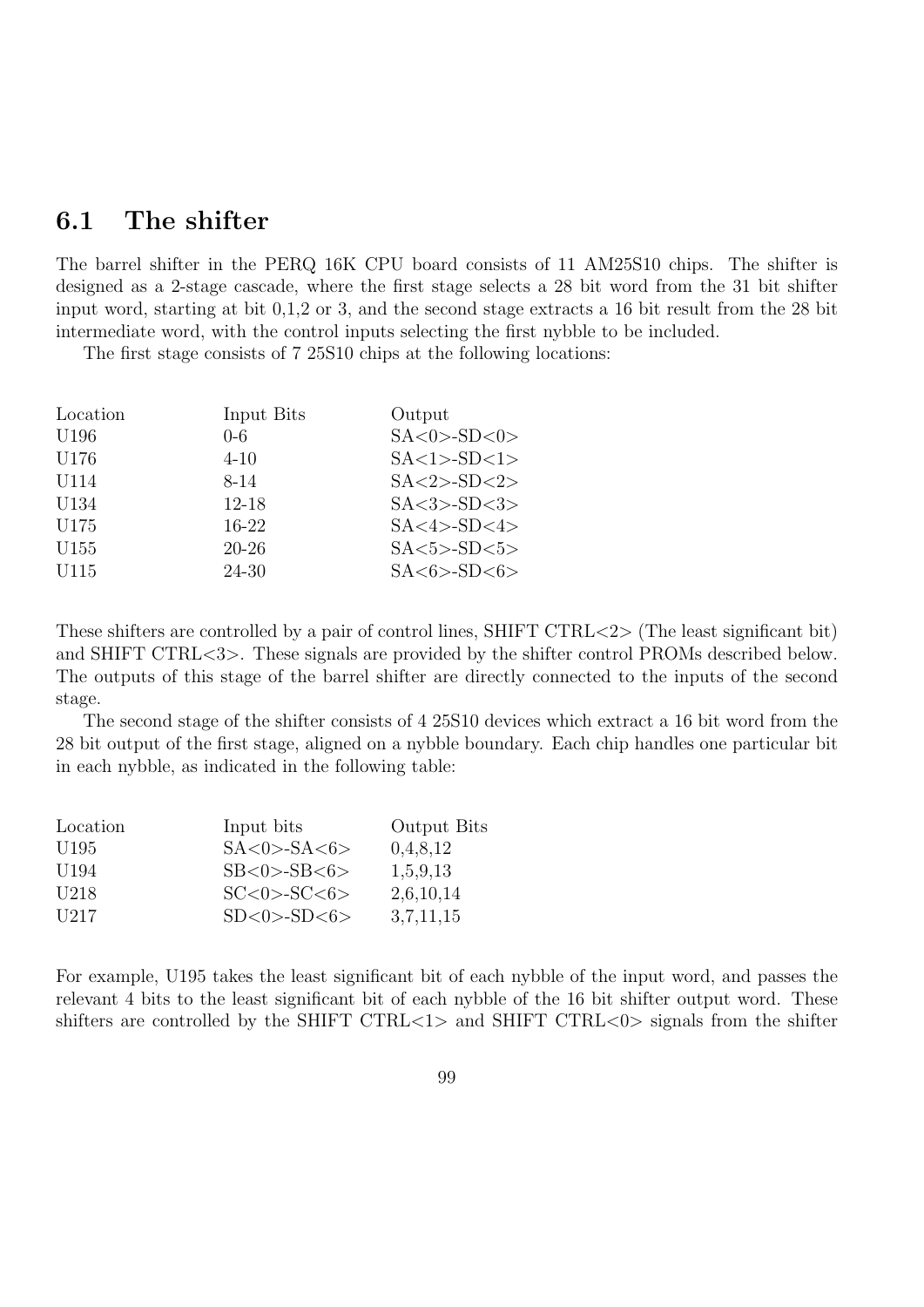# 6.1 The shifter

The barrel shifter in the PERQ 16K CPU board consists of 11 AM25S10 chips. The shifter is designed as a 2-stage cascade, where the first stage selects a 28 bit word from the 31 bit shifter input word, starting at bit 0,1,2 or 3, and the second stage extracts a 16 bit result from the 28 bit intermediate word, with the control inputs selecting the first nybble to be included.

The first stage consists of 7 25S10 chips at the following locations:

| Location | Input Bits | Output               |
|----------|------------|----------------------|
| U196     | $0-6$      | $SA < 0 > -SD < 0 >$ |
| U176     | $4 - 10$   | $SA < 1 > -SD < 1 >$ |
| U114     | $8 - 14$   | $SA < 2 > -SD < 2 >$ |
| U134     | $12 - 18$  | $SA <3 > -SD <3>$    |
| U175     | $16-22$    | $SA < 4 > -SD < 4 >$ |
| U155     | $20 - 26$  | $SA < 5 > -SD < 5 >$ |
| U115     | 24-30      | $SA < 6 > -SD < 6 >$ |

These shifters are controlled by a pair of control lines, SHIFT CTRL<2> (The least significant bit) and SHIFT CTRL<3>. These signals are provided by the shifter control PROMs described below. The outputs of this stage of the barrel shifter are directly connected to the inputs of the second stage.

The second stage of the shifter consists of 4 25S10 devices which extract a 16 bit word from the 28 bit output of the first stage, aligned on a nybble boundary. Each chip handles one particular bit in each nybble, as indicated in the following table:

| Location         | Input bits           | Output Bits |
|------------------|----------------------|-------------|
| U195             | $SA < 0 > -SA < 6 >$ | 0,4,8,12    |
| U <sub>194</sub> | $SB<0$ > $-SB<0$ >   | 1,5,9,13    |
| U <sub>218</sub> | $SC < 0 > -SC < 6 >$ | 2,6,10,14   |
| U <sub>217</sub> | $SD < 0 > -SD < 6>$  | 3,7,11,15   |
|                  |                      |             |

For example, U195 takes the least significant bit of each nybble of the input word, and passes the relevant 4 bits to the least significant bit of each nybble of the 16 bit shifter output word. These shifters are controlled by the SHIFT CTRL $\langle 1 \rangle$  and SHIFT CTRL $\langle 0 \rangle$  signals from the shifter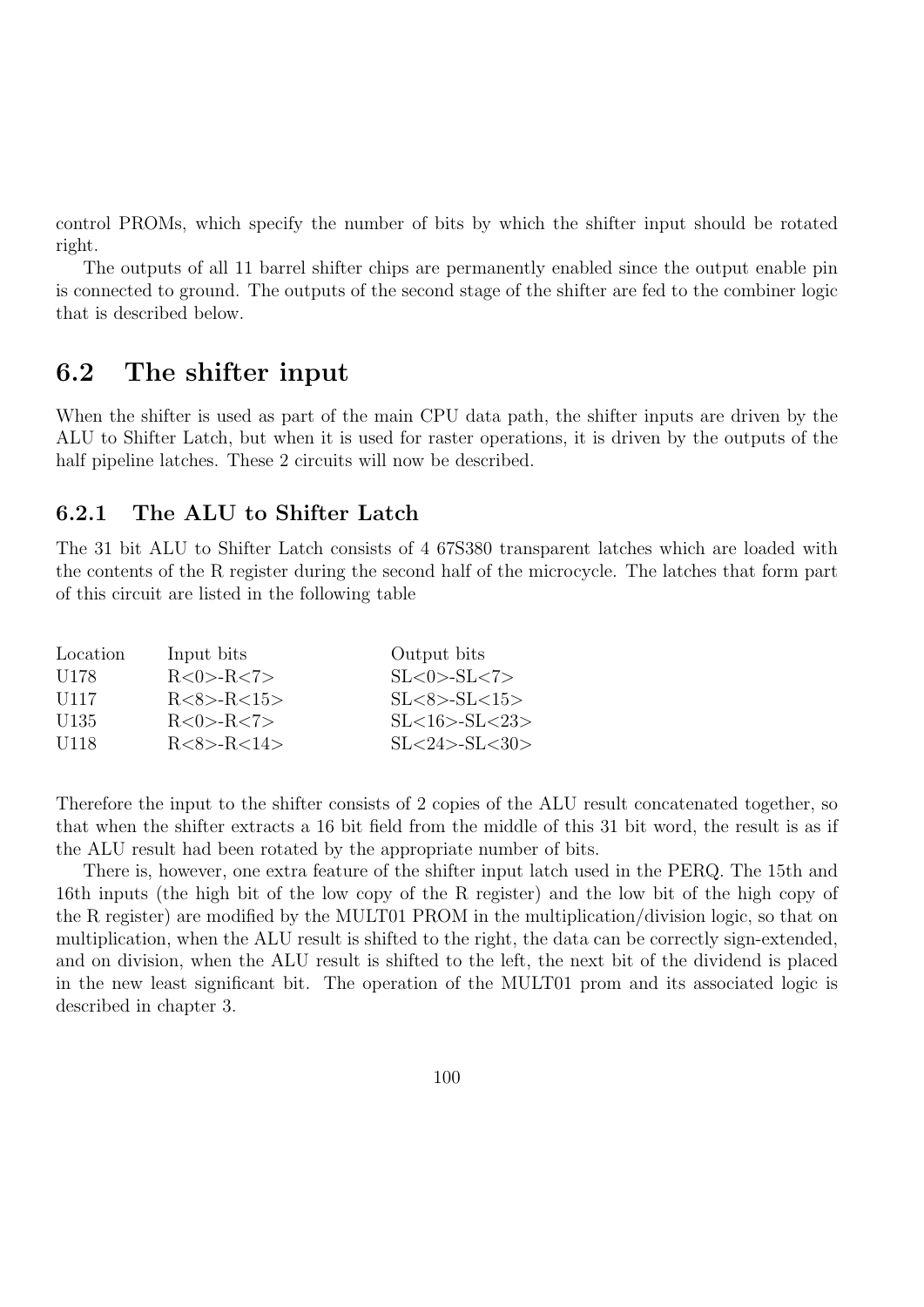control PROMs, which specify the number of bits by which the shifter input should be rotated right.

The outputs of all 11 barrel shifter chips are permanently enabled since the output enable pin is connected to ground. The outputs of the second stage of the shifter are fed to the combiner logic that is described below.

# 6.2 The shifter input

When the shifter is used as part of the main CPU data path, the shifter inputs are driven by the ALU to Shifter Latch, but when it is used for raster operations, it is driven by the outputs of the half pipeline latches. These 2 circuits will now be described.

# 6.2.1 The ALU to Shifter Latch

The 31 bit ALU to Shifter Latch consists of 4 67S380 transparent latches which are loaded with the contents of the R register during the second half of the microcycle. The latches that form part of this circuit are listed in the following table

| Input bits       | Output bits            |
|------------------|------------------------|
| R < 0 > R < 7    | $SL < 0 > -SL < 7>$    |
| R < 8 > R < 15 > | $SL < 8 > -SL < 15 >$  |
| R < 0 > R < 7    | $SL < 16 > -SL < 23 >$ |
| R < 8 > R < 14 > | $SL < 24 > -SL < 30 >$ |
|                  |                        |

Therefore the input to the shifter consists of 2 copies of the ALU result concatenated together, so that when the shifter extracts a 16 bit field from the middle of this 31 bit word, the result is as if the ALU result had been rotated by the appropriate number of bits.

There is, however, one extra feature of the shifter input latch used in the PERQ. The 15th and 16th inputs (the high bit of the low copy of the R register) and the low bit of the high copy of the R register) are modified by the MULT01 PROM in the multiplication/division logic, so that on multiplication, when the ALU result is shifted to the right, the data can be correctly sign-extended, and on division, when the ALU result is shifted to the left, the next bit of the dividend is placed in the new least significant bit. The operation of the MULT01 prom and its associated logic is described in chapter 3.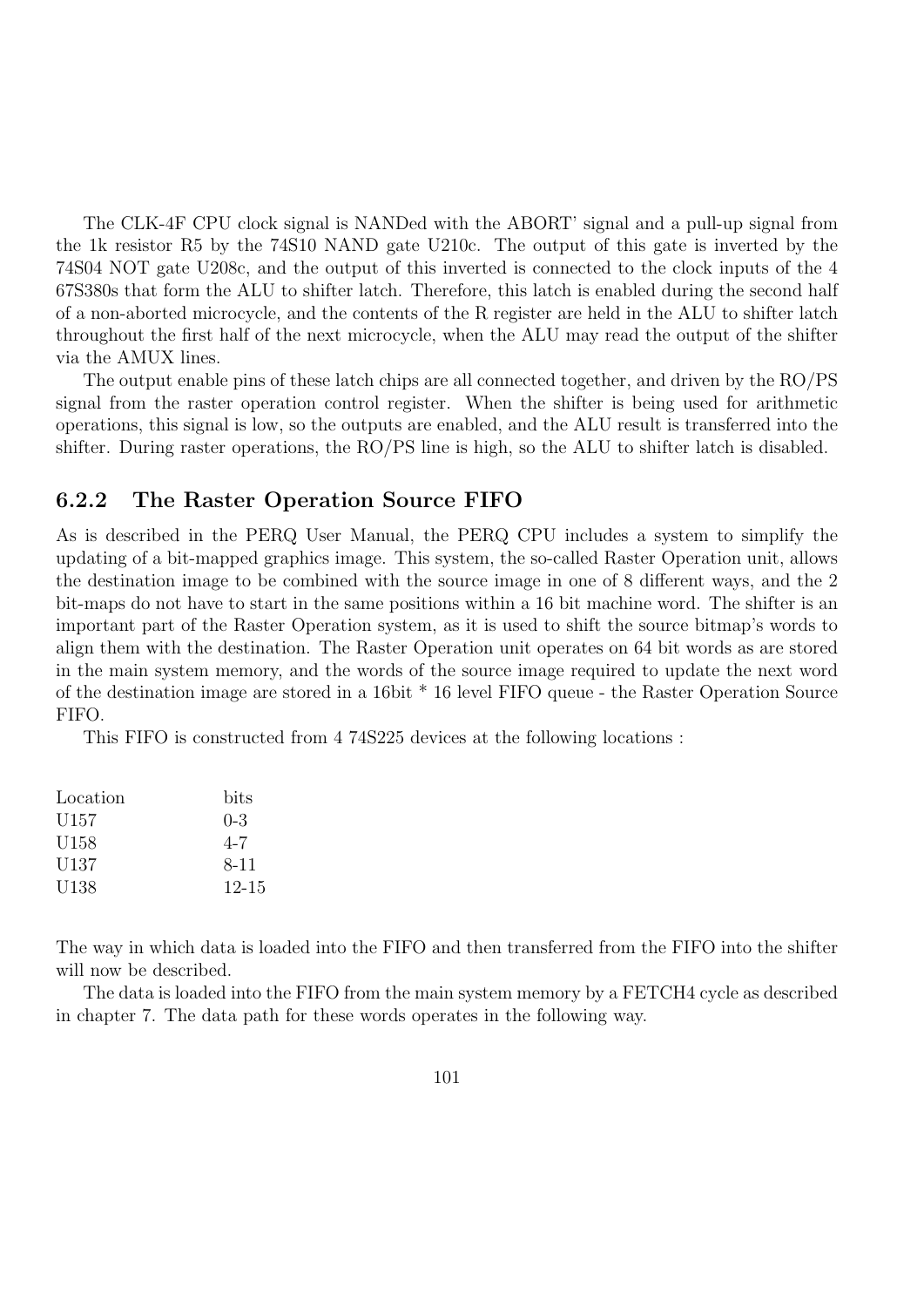The CLK-4F CPU clock signal is NANDed with the ABORT' signal and a pull-up signal from the 1k resistor R5 by the 74S10 NAND gate U210c. The output of this gate is inverted by the 74S04 NOT gate U208c, and the output of this inverted is connected to the clock inputs of the 4 67S380s that form the ALU to shifter latch. Therefore, this latch is enabled during the second half of a non-aborted microcycle, and the contents of the R register are held in the ALU to shifter latch throughout the first half of the next microcycle, when the ALU may read the output of the shifter via the AMUX lines.

The output enable pins of these latch chips are all connected together, and driven by the RO/PS signal from the raster operation control register. When the shifter is being used for arithmetic operations, this signal is low, so the outputs are enabled, and the ALU result is transferred into the shifter. During raster operations, the RO/PS line is high, so the ALU to shifter latch is disabled.

### 6.2.2 The Raster Operation Source FIFO

As is described in the PERQ User Manual, the PERQ CPU includes a system to simplify the updating of a bit-mapped graphics image. This system, the so-called Raster Operation unit, allows the destination image to be combined with the source image in one of 8 different ways, and the 2 bit-maps do not have to start in the same positions within a 16 bit machine word. The shifter is an important part of the Raster Operation system, as it is used to shift the source bitmap's words to align them with the destination. The Raster Operation unit operates on 64 bit words as are stored in the main system memory, and the words of the source image required to update the next word of the destination image are stored in a 16bit \* 16 level FIFO queue - the Raster Operation Source FIFO.

This FIFO is constructed from 4 74S225 devices at the following locations :

| bits    |
|---------|
| $0 - 3$ |
| $4 - 7$ |
| 8-11    |
| 12-15   |
|         |

The way in which data is loaded into the FIFO and then transferred from the FIFO into the shifter will now be described.

The data is loaded into the FIFO from the main system memory by a FETCH4 cycle as described in chapter 7. The data path for these words operates in the following way.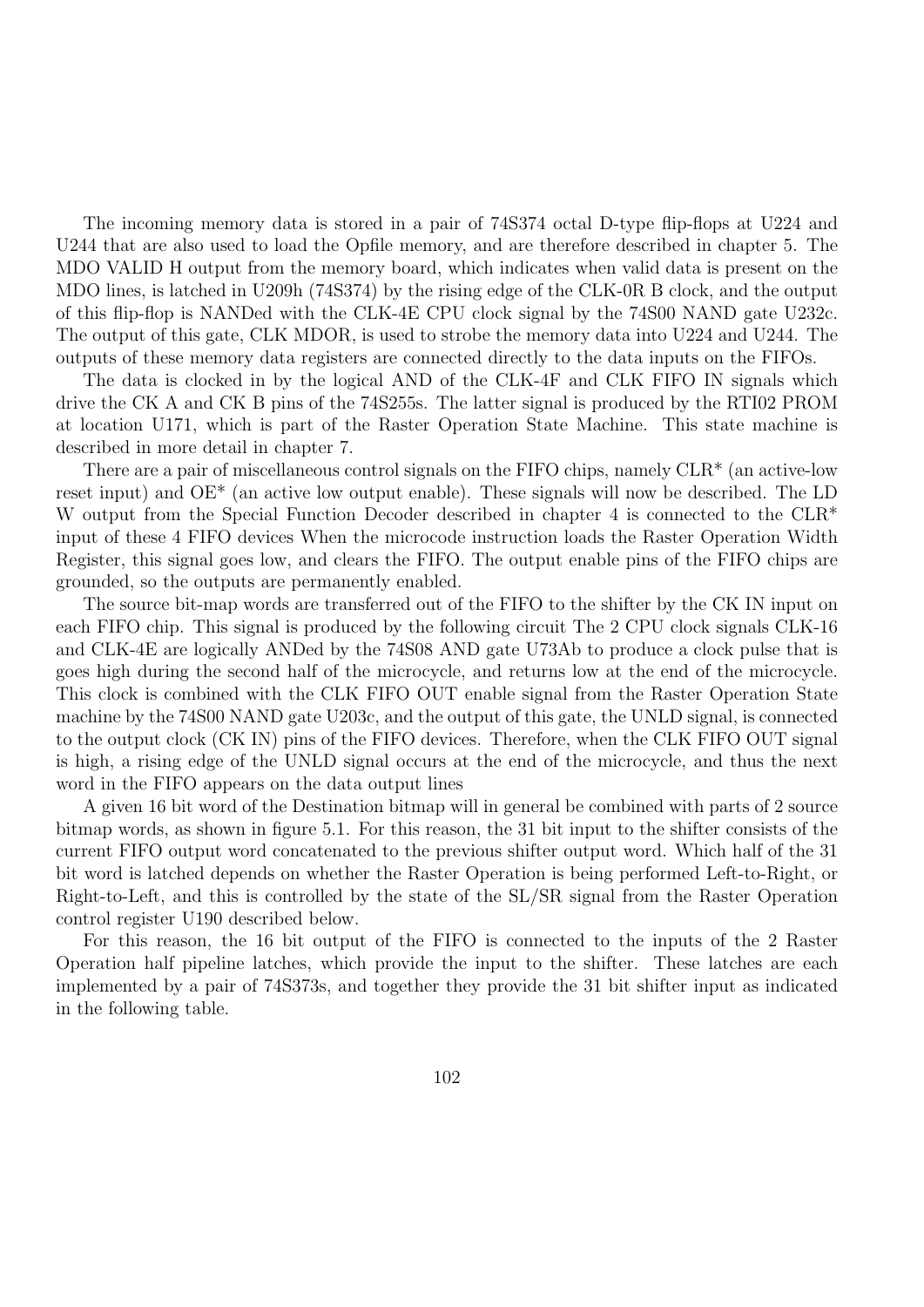The incoming memory data is stored in a pair of 74S374 octal D-type flip-flops at U224 and U244 that are also used to load the Opfile memory, and are therefore described in chapter 5. The MDO VALID H output from the memory board, which indicates when valid data is present on the MDO lines, is latched in U209h (74S374) by the rising edge of the CLK-0R B clock, and the output of this flip-flop is NANDed with the CLK-4E CPU clock signal by the 74S00 NAND gate U232c. The output of this gate, CLK MDOR, is used to strobe the memory data into U224 and U244. The outputs of these memory data registers are connected directly to the data inputs on the FIFOs.

The data is clocked in by the logical AND of the CLK-4F and CLK FIFO IN signals which drive the CK A and CK B pins of the 74S255s. The latter signal is produced by the RTI02 PROM at location U171, which is part of the Raster Operation State Machine. This state machine is described in more detail in chapter 7.

There are a pair of miscellaneous control signals on the FIFO chips, namely CLR\* (an active-low reset input) and OE\* (an active low output enable). These signals will now be described. The LD W output from the Special Function Decoder described in chapter 4 is connected to the CLR<sup>\*</sup> input of these 4 FIFO devices When the microcode instruction loads the Raster Operation Width Register, this signal goes low, and clears the FIFO. The output enable pins of the FIFO chips are grounded, so the outputs are permanently enabled.

The source bit-map words are transferred out of the FIFO to the shifter by the CK IN input on each FIFO chip. This signal is produced by the following circuit The 2 CPU clock signals CLK-16 and CLK-4E are logically ANDed by the 74S08 AND gate U73Ab to produce a clock pulse that is goes high during the second half of the microcycle, and returns low at the end of the microcycle. This clock is combined with the CLK FIFO OUT enable signal from the Raster Operation State machine by the 74S00 NAND gate U203c, and the output of this gate, the UNLD signal, is connected to the output clock (CK IN) pins of the FIFO devices. Therefore, when the CLK FIFO OUT signal is high, a rising edge of the UNLD signal occurs at the end of the microcycle, and thus the next word in the FIFO appears on the data output lines

A given 16 bit word of the Destination bitmap will in general be combined with parts of 2 source bitmap words, as shown in figure 5.1. For this reason, the 31 bit input to the shifter consists of the current FIFO output word concatenated to the previous shifter output word. Which half of the 31 bit word is latched depends on whether the Raster Operation is being performed Left-to-Right, or Right-to-Left, and this is controlled by the state of the SL/SR signal from the Raster Operation control register U190 described below.

For this reason, the 16 bit output of the FIFO is connected to the inputs of the 2 Raster Operation half pipeline latches, which provide the input to the shifter. These latches are each implemented by a pair of 74S373s, and together they provide the 31 bit shifter input as indicated in the following table.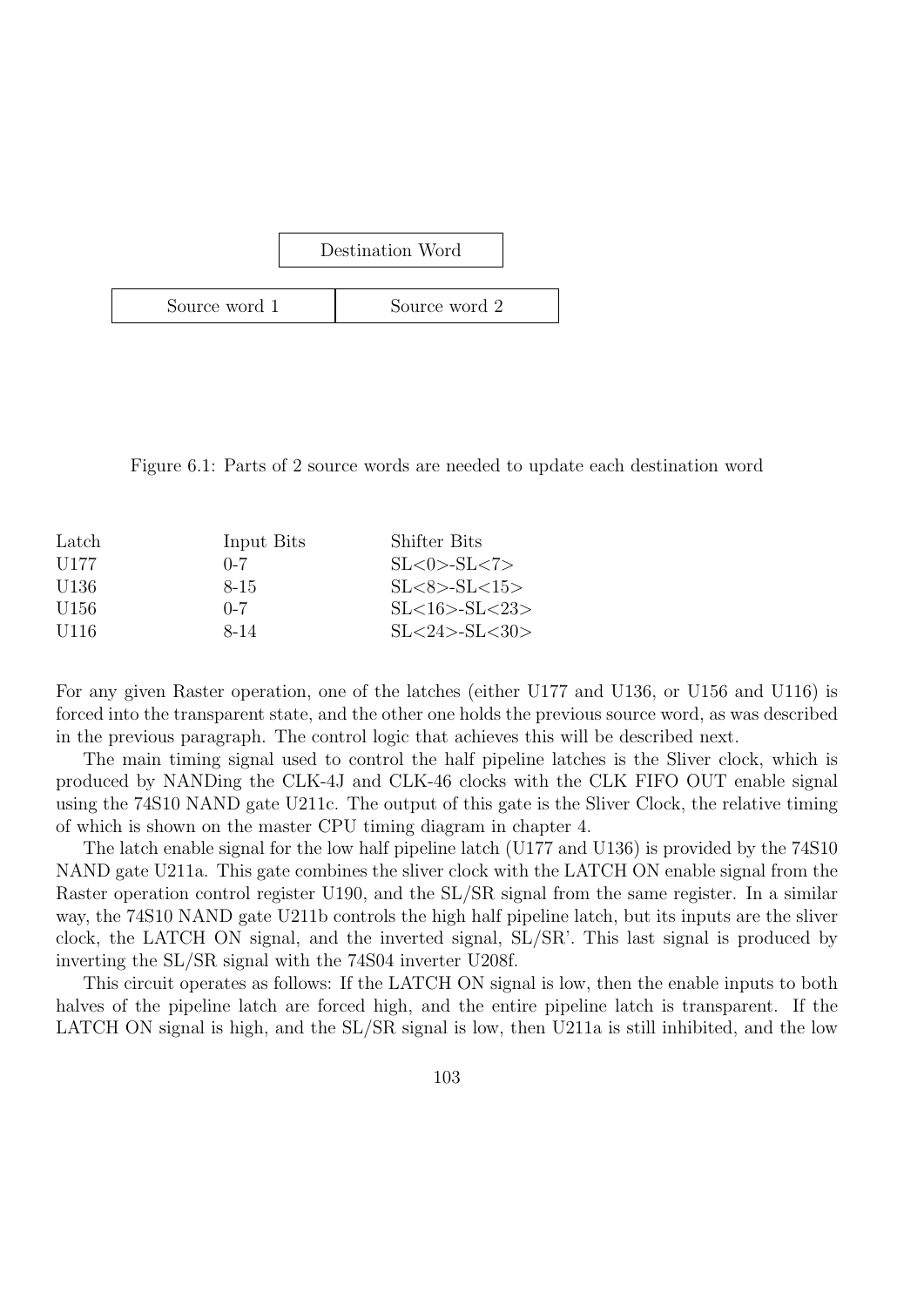

Figure 6.1: Parts of 2 source words are needed to update each destination word

| Latch | Input Bits | Shifter Bits           |
|-------|------------|------------------------|
| U177  | $0 - 7$    | $SL < 0 > -SL < 7>$    |
| U136  | 8-15       | $SL < 8 > -SL < 15 >$  |
| U156  | $0 - 7$    | $SL < 16 > -SL < 23 >$ |
| U116  | 8-14       | $SL < 24 > -SL < 30 >$ |

For any given Raster operation, one of the latches (either U177 and U136, or U156 and U116) is forced into the transparent state, and the other one holds the previous source word, as was described in the previous paragraph. The control logic that achieves this will be described next.

The main timing signal used to control the half pipeline latches is the Sliver clock, which is produced by NANDing the CLK-4J and CLK-46 clocks with the CLK FIFO OUT enable signal using the 74S10 NAND gate U211c. The output of this gate is the Sliver Clock, the relative timing of which is shown on the master CPU timing diagram in chapter 4.

The latch enable signal for the low half pipeline latch (U177 and U136) is provided by the 74S10 NAND gate U211a. This gate combines the sliver clock with the LATCH ON enable signal from the Raster operation control register U190, and the SL/SR signal from the same register. In a similar way, the 74S10 NAND gate U211b controls the high half pipeline latch, but its inputs are the sliver clock, the LATCH ON signal, and the inverted signal, SL/SR'. This last signal is produced by inverting the SL/SR signal with the 74S04 inverter U208f.

This circuit operates as follows: If the LATCH ON signal is low, then the enable inputs to both halves of the pipeline latch are forced high, and the entire pipeline latch is transparent. If the LATCH ON signal is high, and the SL/SR signal is low, then U211a is still inhibited, and the low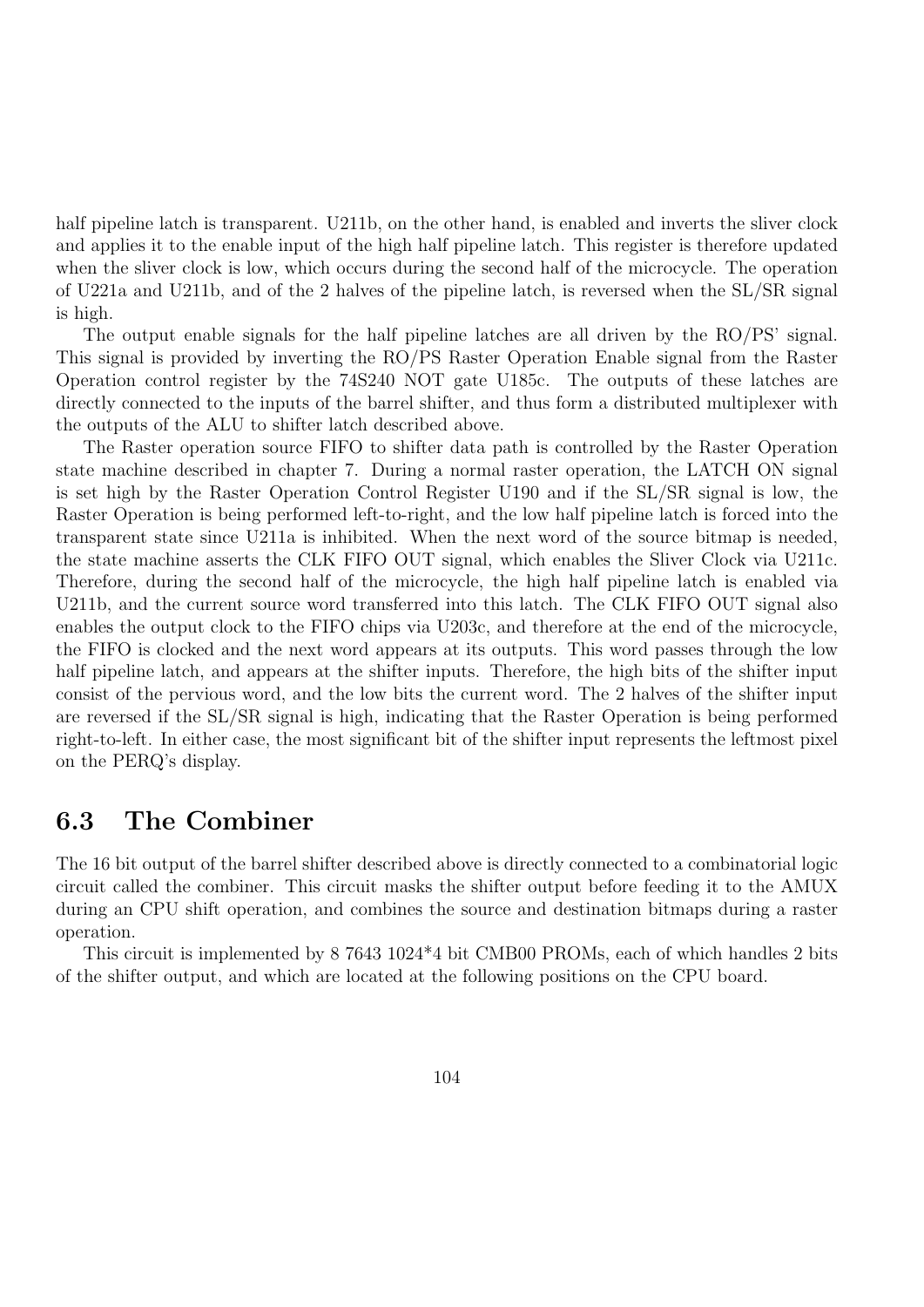half pipeline latch is transparent. U211b, on the other hand, is enabled and inverts the sliver clock and applies it to the enable input of the high half pipeline latch. This register is therefore updated when the sliver clock is low, which occurs during the second half of the microcycle. The operation of U221a and U211b, and of the 2 halves of the pipeline latch, is reversed when the SL/SR signal is high.

The output enable signals for the half pipeline latches are all driven by the RO/PS' signal. This signal is provided by inverting the RO/PS Raster Operation Enable signal from the Raster Operation control register by the 74S240 NOT gate U185c. The outputs of these latches are directly connected to the inputs of the barrel shifter, and thus form a distributed multiplexer with the outputs of the ALU to shifter latch described above.

The Raster operation source FIFO to shifter data path is controlled by the Raster Operation state machine described in chapter 7. During a normal raster operation, the LATCH ON signal is set high by the Raster Operation Control Register U190 and if the SL/SR signal is low, the Raster Operation is being performed left-to-right, and the low half pipeline latch is forced into the transparent state since U211a is inhibited. When the next word of the source bitmap is needed, the state machine asserts the CLK FIFO OUT signal, which enables the Sliver Clock via U211c. Therefore, during the second half of the microcycle, the high half pipeline latch is enabled via U211b, and the current source word transferred into this latch. The CLK FIFO OUT signal also enables the output clock to the FIFO chips via U203c, and therefore at the end of the microcycle, the FIFO is clocked and the next word appears at its outputs. This word passes through the low half pipeline latch, and appears at the shifter inputs. Therefore, the high bits of the shifter input consist of the pervious word, and the low bits the current word. The 2 halves of the shifter input are reversed if the SL/SR signal is high, indicating that the Raster Operation is being performed right-to-left. In either case, the most significant bit of the shifter input represents the leftmost pixel on the PERQ's display.

# 6.3 The Combiner

The 16 bit output of the barrel shifter described above is directly connected to a combinatorial logic circuit called the combiner. This circuit masks the shifter output before feeding it to the AMUX during an CPU shift operation, and combines the source and destination bitmaps during a raster operation.

This circuit is implemented by 8 7643 1024\*4 bit CMB00 PROMs, each of which handles 2 bits of the shifter output, and which are located at the following positions on the CPU board.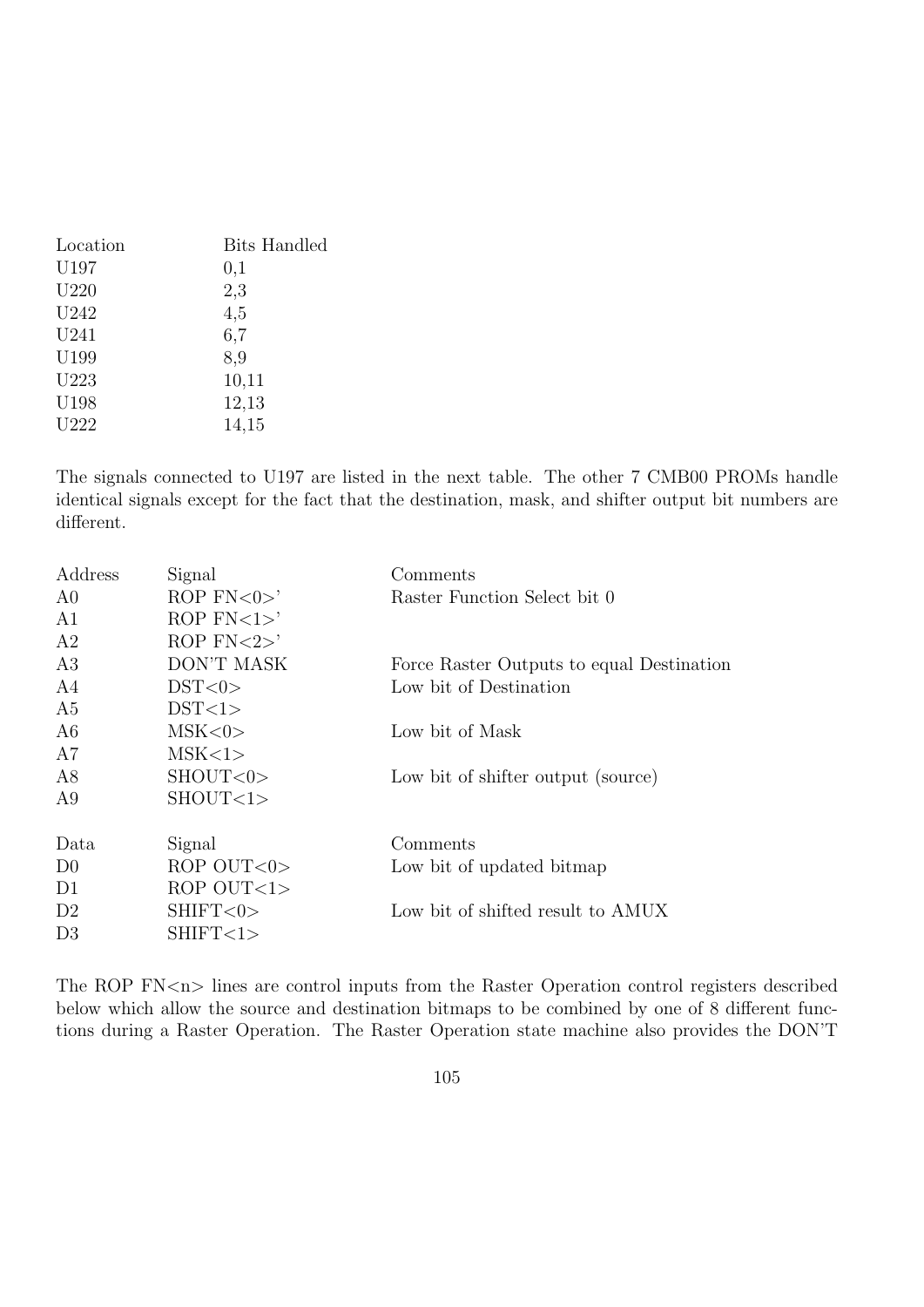| Location         | Bits Handled |
|------------------|--------------|
| U197             | 0,1          |
| U <sub>220</sub> | 2,3          |
| U242             | 4,5          |
| U241             | 6,7          |
| U199             | 8,9          |
| U223             | 10,11        |
| U198             | 12,13        |
| U222             | 14,15        |

The signals connected to U197 are listed in the next table. The other 7 CMB00 PROMs handle identical signals except for the fact that the destination, mask, and shifter output bit numbers are different.

| Address        | Signal            | Comments                                  |
|----------------|-------------------|-------------------------------------------|
| A <sub>0</sub> | ROP $FN < 0$      | Raster Function Select bit 0              |
| A <sub>1</sub> | ROP $FN < 1$      |                                           |
| A2             | ROP $FN < 2$      |                                           |
| A3             | DON'T MASK        | Force Raster Outputs to equal Destination |
| A4             | DST<0>            | Low bit of Destination                    |
| A <sub>5</sub> | DST<1>            |                                           |
| A <sub>6</sub> | MSK <0>           | Low bit of Mask                           |
| A7             | MSK<1>            |                                           |
| A8             | SHOUT <0>         | Low bit of shifter output (source)        |
| A9             | SHOUT <1>         |                                           |
| Data           | Signal            | Comments                                  |
| D <sub>0</sub> | $ROP$ $OUT < 0 >$ | Low bit of updated bitmap                 |
| D1             | $ROP$ $OUT < 1>$  |                                           |
| D2             | SHIFT<0>          | Low bit of shifted result to AMUX         |
| D3             | SHIFT<1>          |                                           |

The ROP FN<n> lines are control inputs from the Raster Operation control registers described below which allow the source and destination bitmaps to be combined by one of 8 different functions during a Raster Operation. The Raster Operation state machine also provides the DON'T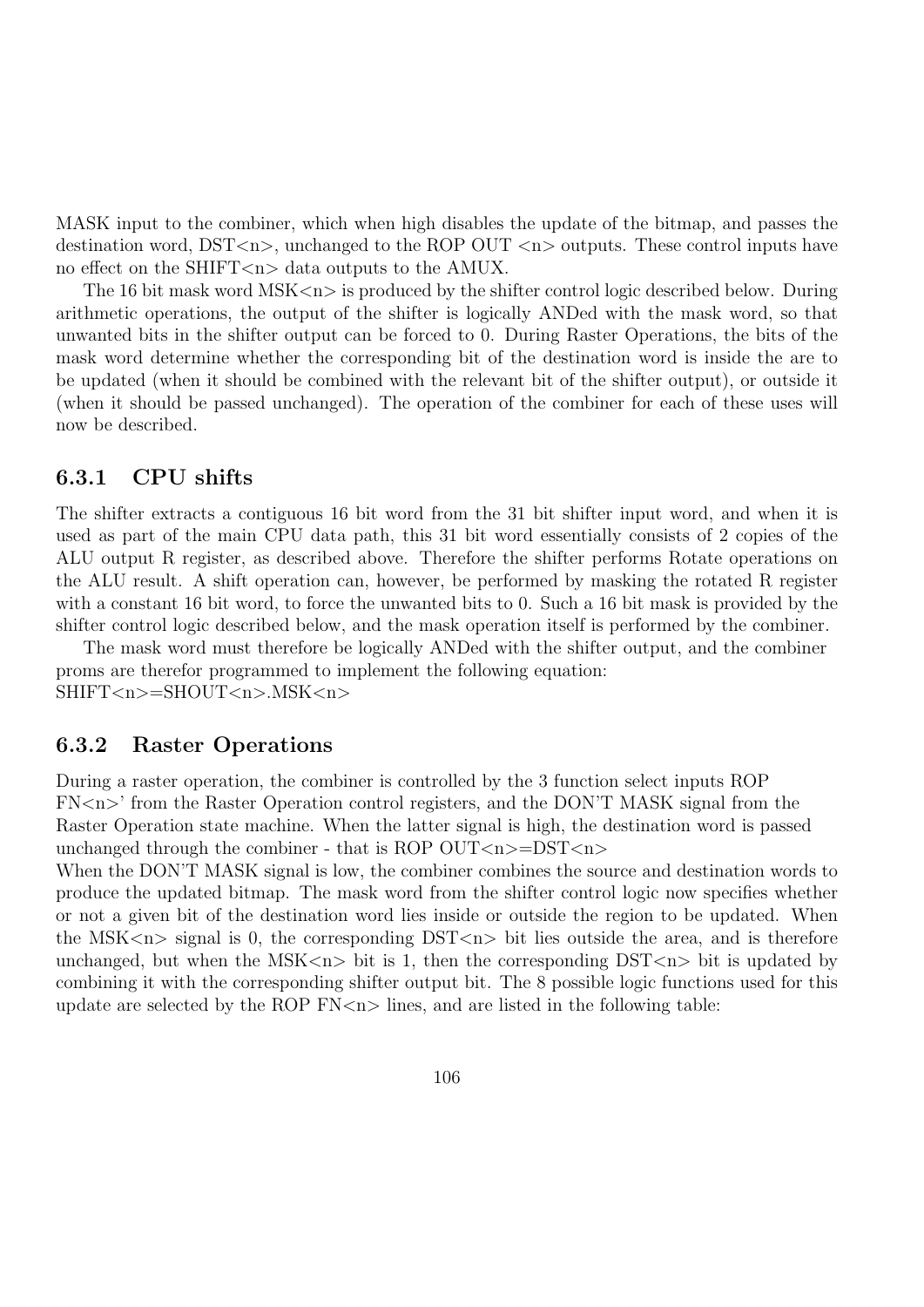MASK input to the combiner, which when high disables the update of the bitmap, and passes the destination word,  $DST\langle n \rangle$ , unchanged to the ROP OUT  $\langle n \rangle$  outputs. These control inputs have no effect on the SHIFT $\langle n \rangle$  data outputs to the AMUX.

The 16 bit mask word  $MSK < n$  is produced by the shifter control logic described below. During arithmetic operations, the output of the shifter is logically ANDed with the mask word, so that unwanted bits in the shifter output can be forced to 0. During Raster Operations, the bits of the mask word determine whether the corresponding bit of the destination word is inside the are to be updated (when it should be combined with the relevant bit of the shifter output), or outside it (when it should be passed unchanged). The operation of the combiner for each of these uses will now be described.

### 6.3.1 CPU shifts

The shifter extracts a contiguous 16 bit word from the 31 bit shifter input word, and when it is used as part of the main CPU data path, this 31 bit word essentially consists of 2 copies of the ALU output R register, as described above. Therefore the shifter performs Rotate operations on the ALU result. A shift operation can, however, be performed by masking the rotated R register with a constant 16 bit word, to force the unwanted bits to 0. Such a 16 bit mask is provided by the shifter control logic described below, and the mask operation itself is performed by the combiner.

The mask word must therefore be logically ANDed with the shifter output, and the combiner proms are therefor programmed to implement the following equation: SHIFT<n>=SHOUT<n>.MSK<n>

### 6.3.2 Raster Operations

During a raster operation, the combiner is controlled by the 3 function select inputs ROP FN<n>' from the Raster Operation control registers, and the DON'T MASK signal from the Raster Operation state machine. When the latter signal is high, the destination word is passed unchanged through the combiner - that is ROP  $OUT < n>>=$ DST $< n>$ 

When the DON'T MASK signal is low, the combiner combines the source and destination words to produce the updated bitmap. The mask word from the shifter control logic now specifies whether or not a given bit of the destination word lies inside or outside the region to be updated. When the MSK $\langle n \rangle$  signal is 0, the corresponding DST $\langle n \rangle$  bit lies outside the area, and is therefore unchanged, but when the MSK $\langle n \rangle$  bit is 1, then the corresponding DST $\langle n \rangle$  bit is updated by combining it with the corresponding shifter output bit. The 8 possible logic functions used for this update are selected by the ROP  $FN < n$  lines, and are listed in the following table: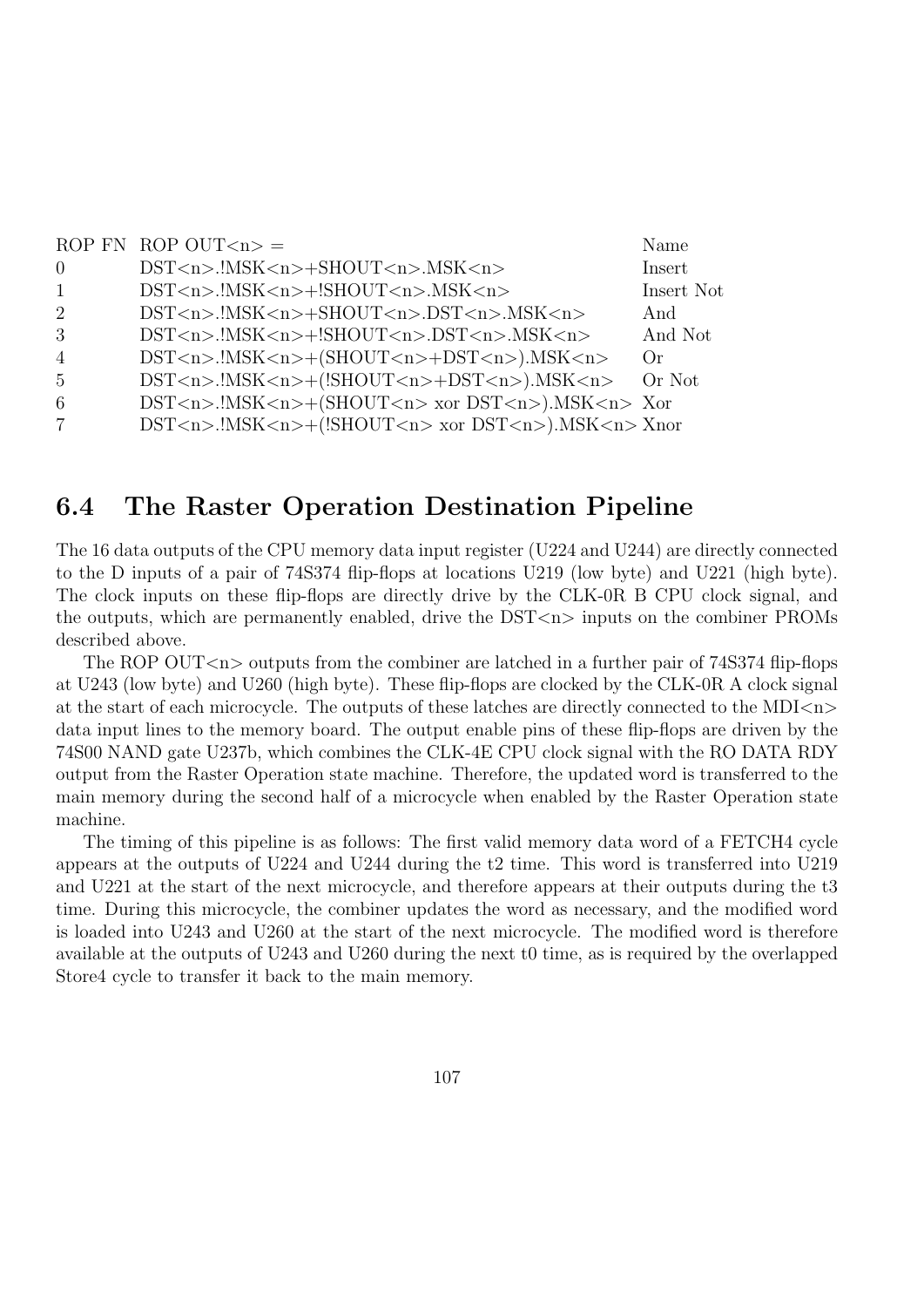|                | ROP FN ROP OUT $\langle n \rangle$ =                                           | Name       |
|----------------|--------------------------------------------------------------------------------|------------|
| $\overline{0}$ | $DST < n >$ .!MSK $< n > + SHOUT < n >$ .MSK $< n >$                           | Insert     |
| 1              | $DST < n >$ .!MSK $< n > +$ !SHOUT $< n >$ .MSK $< n >$                        | Insert Not |
| 2              | $DST < n >$ .!MSK $< n > +$ SHOUT $< n >$ .DST $< n >$ .MSK $< n >$            | And        |
| 3              | $DST < n >$ .!MSK $< n > +$ !SHOUT $< n >$ .DST $< n >$ .MSK $< n >$           | And Not    |
| $\overline{4}$ | $DST < n >$ .!MSK $< n >$ +(SHOUT $< n >$ +DST $< n >$ ).MSK $< n >$           | Or         |
| $\frac{5}{2}$  | $DST < n >$ .!MSK $< n > +$ (!SHOUT $< n > +DST < n >$ ).MSK $< n >$           | Or Not     |
| 6              |                                                                                |            |
| 7              | $DST < n >$ .!MSK $< n > +$ (!SHOUT $< n >$ xor $DST < n >$ ).MSK $< n >$ Xnor |            |

# 6.4 The Raster Operation Destination Pipeline

The 16 data outputs of the CPU memory data input register (U224 and U244) are directly connected to the D inputs of a pair of 74S374 flip-flops at locations U219 (low byte) and U221 (high byte). The clock inputs on these flip-flops are directly drive by the CLK-0R B CPU clock signal, and the outputs, which are permanently enabled, drive the  $DST\langle n \rangle$  inputs on the combiner PROMs described above.

The ROP OUT $\langle n \rangle$  outputs from the combiner are latched in a further pair of 74S374 flip-flops at U243 (low byte) and U260 (high byte). These flip-flops are clocked by the CLK-0R A clock signal at the start of each microcycle. The outputs of these latches are directly connected to the MDI $\langle n \rangle$ data input lines to the memory board. The output enable pins of these flip-flops are driven by the 74S00 NAND gate U237b, which combines the CLK-4E CPU clock signal with the RO DATA RDY output from the Raster Operation state machine. Therefore, the updated word is transferred to the main memory during the second half of a microcycle when enabled by the Raster Operation state machine.

The timing of this pipeline is as follows: The first valid memory data word of a FETCH4 cycle appears at the outputs of U224 and U244 during the t2 time. This word is transferred into U219 and U221 at the start of the next microcycle, and therefore appears at their outputs during the t3 time. During this microcycle, the combiner updates the word as necessary, and the modified word is loaded into U243 and U260 at the start of the next microcycle. The modified word is therefore available at the outputs of U243 and U260 during the next t0 time, as is required by the overlapped Store4 cycle to transfer it back to the main memory.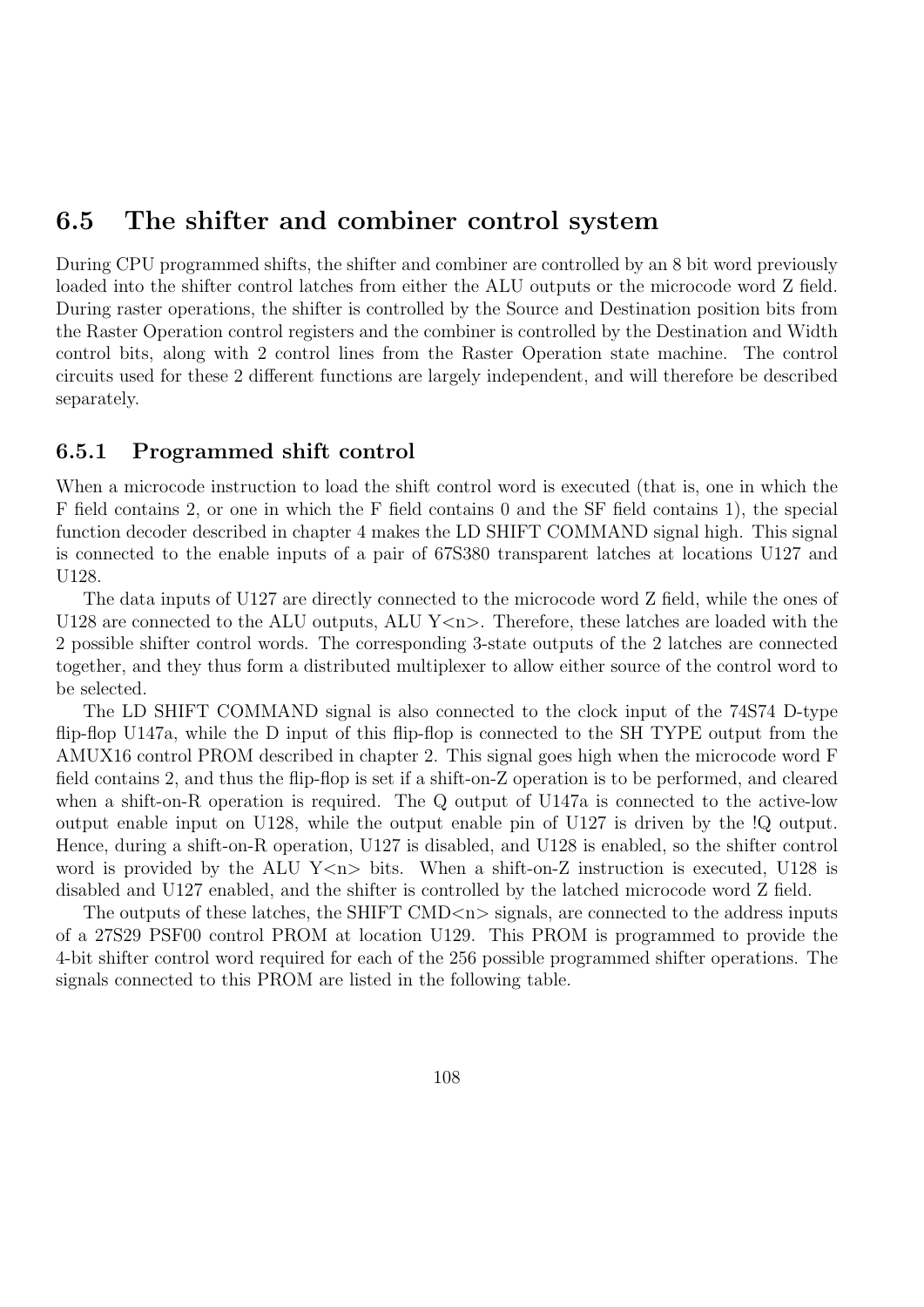# 6.5 The shifter and combiner control system

During CPU programmed shifts, the shifter and combiner are controlled by an 8 bit word previously loaded into the shifter control latches from either the ALU outputs or the microcode word Z field. During raster operations, the shifter is controlled by the Source and Destination position bits from the Raster Operation control registers and the combiner is controlled by the Destination and Width control bits, along with 2 control lines from the Raster Operation state machine. The control circuits used for these 2 different functions are largely independent, and will therefore be described separately.

### 6.5.1 Programmed shift control

When a microcode instruction to load the shift control word is executed (that is, one in which the F field contains 2, or one in which the F field contains 0 and the SF field contains 1), the special function decoder described in chapter 4 makes the LD SHIFT COMMAND signal high. This signal is connected to the enable inputs of a pair of 67S380 transparent latches at locations U127 and U128.

The data inputs of U127 are directly connected to the microcode word Z field, while the ones of U128 are connected to the ALU outputs, ALU  $Y\leq n$ . Therefore, these latches are loaded with the 2 possible shifter control words. The corresponding 3-state outputs of the 2 latches are connected together, and they thus form a distributed multiplexer to allow either source of the control word to be selected.

The LD SHIFT COMMAND signal is also connected to the clock input of the 74S74 D-type flip-flop U147a, while the D input of this flip-flop is connected to the SH TYPE output from the AMUX16 control PROM described in chapter 2. This signal goes high when the microcode word F field contains 2, and thus the flip-flop is set if a shift-on-Z operation is to be performed, and cleared when a shift-on-R operation is required. The Q output of U147a is connected to the active-low output enable input on U128, while the output enable pin of U127 is driven by the !Q output. Hence, during a shift-on-R operation, U127 is disabled, and U128 is enabled, so the shifter control word is provided by the ALU  $Y\leq n$  bits. When a shift-on-Z instruction is executed, U128 is disabled and U127 enabled, and the shifter is controlled by the latched microcode word Z field.

The outputs of these latches, the SHIFT CMD $\langle n \rangle$  signals, are connected to the address inputs of a 27S29 PSF00 control PROM at location U129. This PROM is programmed to provide the 4-bit shifter control word required for each of the 256 possible programmed shifter operations. The signals connected to this PROM are listed in the following table.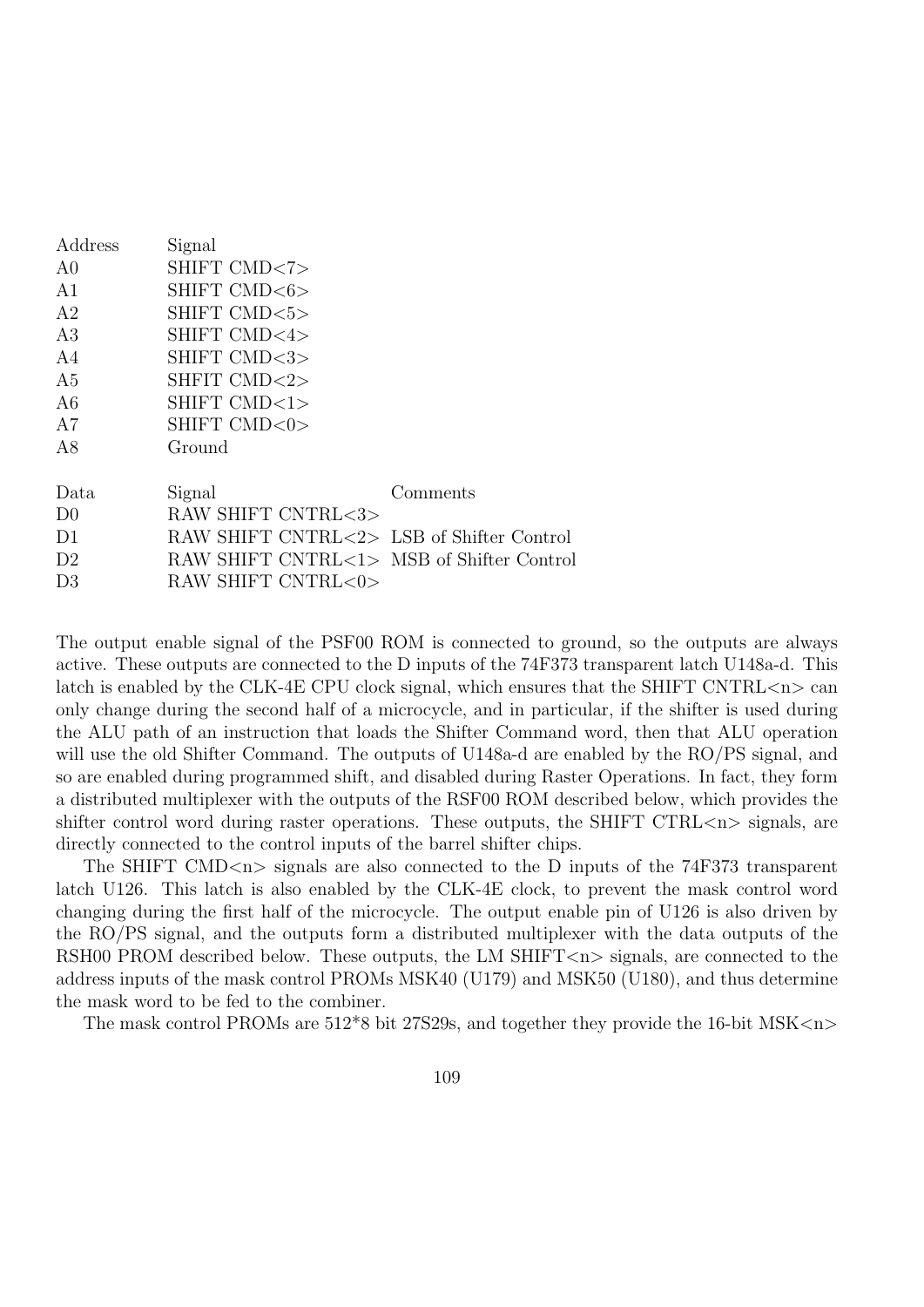| Address        | Signal                                    |          |
|----------------|-------------------------------------------|----------|
| A <sub>0</sub> | SHIFT CMD<7>                              |          |
| A <sub>1</sub> | SHIFT CMD<6>                              |          |
| A <sub>2</sub> | SHIFT CMD<5>                              |          |
| A3             | SHIFT CMD<4>                              |          |
| A4             | SHIFT CMD<3>                              |          |
| A <sub>5</sub> | SHFIT CMD<2>                              |          |
| A6             | SHIFT CMD<1>                              |          |
| A7             | SHIFT CMD<0>                              |          |
| A8             | Ground                                    |          |
|                |                                           |          |
| Data           | Signal                                    | Comments |
| D <sub>0</sub> | RAW SHIFT CNTRL<3>                        |          |
| D1             | RAW SHIFT CNTRL<2> LSB of Shifter Control |          |
| D <sub>2</sub> | RAW SHIFT CNTRL<1> MSB of Shifter Control |          |
| D <sub>3</sub> | RAW SHIFT CNTRL<0>                        |          |

The output enable signal of the PSF00 ROM is connected to ground, so the outputs are always active. These outputs are connected to the D inputs of the 74F373 transparent latch U148a-d. This latch is enabled by the CLK-4E CPU clock signal, which ensures that the SHIFT CNTRL $\langle n \rangle$  can only change during the second half of a microcycle, and in particular, if the shifter is used during the ALU path of an instruction that loads the Shifter Command word, then that ALU operation will use the old Shifter Command. The outputs of U148a-d are enabled by the RO/PS signal, and so are enabled during programmed shift, and disabled during Raster Operations. In fact, they form a distributed multiplexer with the outputs of the RSF00 ROM described below, which provides the shifter control word during raster operations. These outputs, the SHIFT CTRL $\langle n \rangle$  signals, are directly connected to the control inputs of the barrel shifter chips.

The SHIFT CMD<n> signals are also connected to the D inputs of the 74F373 transparent latch U126. This latch is also enabled by the CLK-4E clock, to prevent the mask control word changing during the first half of the microcycle. The output enable pin of U126 is also driven by the RO/PS signal, and the outputs form a distributed multiplexer with the data outputs of the RSH00 PROM described below. These outputs, the LM SHIFT $\langle n \rangle$  signals, are connected to the address inputs of the mask control PROMs MSK40 (U179) and MSK50 (U180), and thus determine the mask word to be fed to the combiner.

The mask control PROMs are 512<sup>\*8</sup> bit 27S29s, and together they provide the 16-bit MSK<n>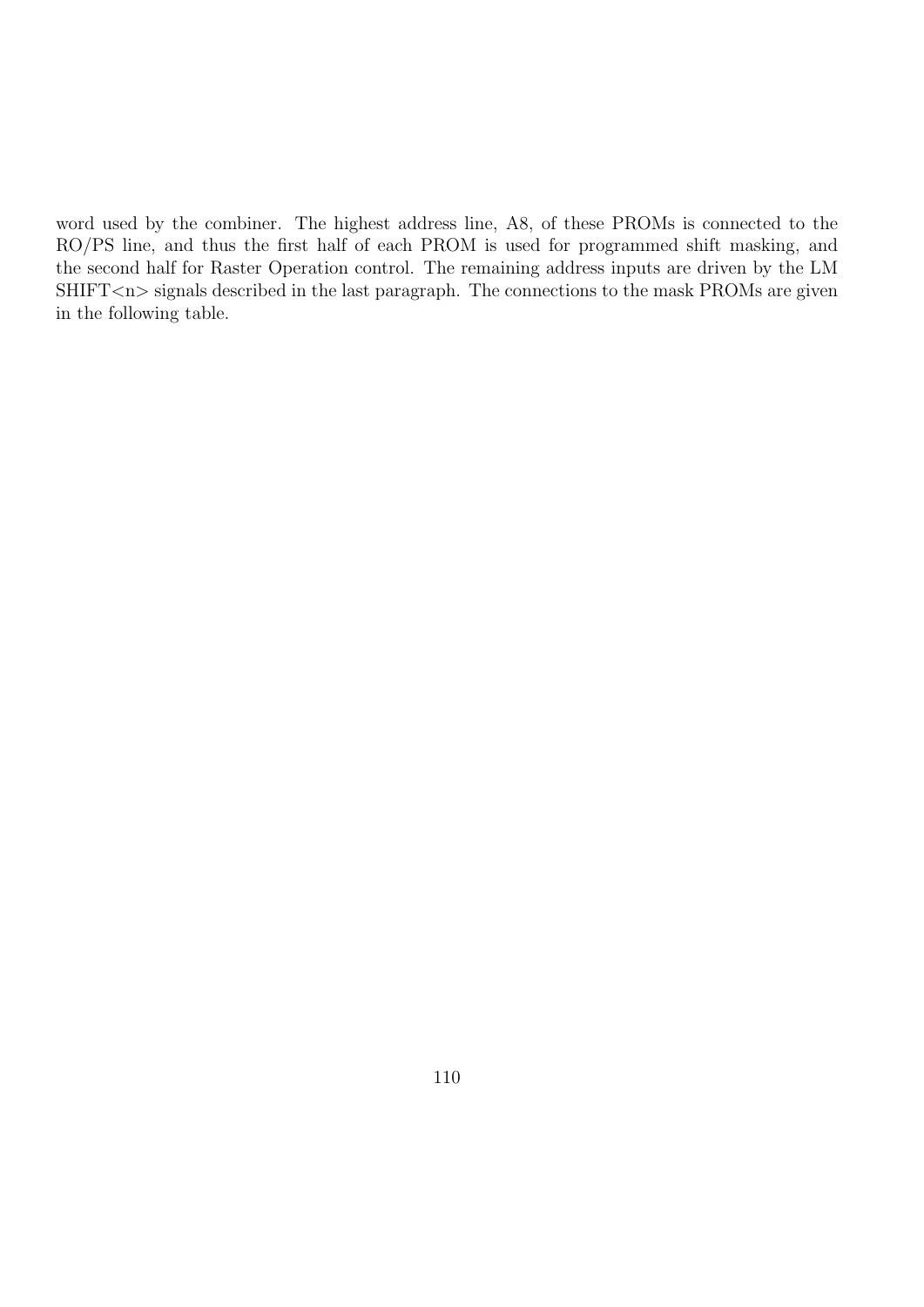word used by the combiner. The highest address line, A8, of these PROMs is connected to the RO/PS line, and thus the first half of each PROM is used for programmed shift masking, and the second half for Raster Operation control. The remaining address inputs are driven by the LM SHIFT<n> signals described in the last paragraph. The connections to the mask PROMs are given in the following table.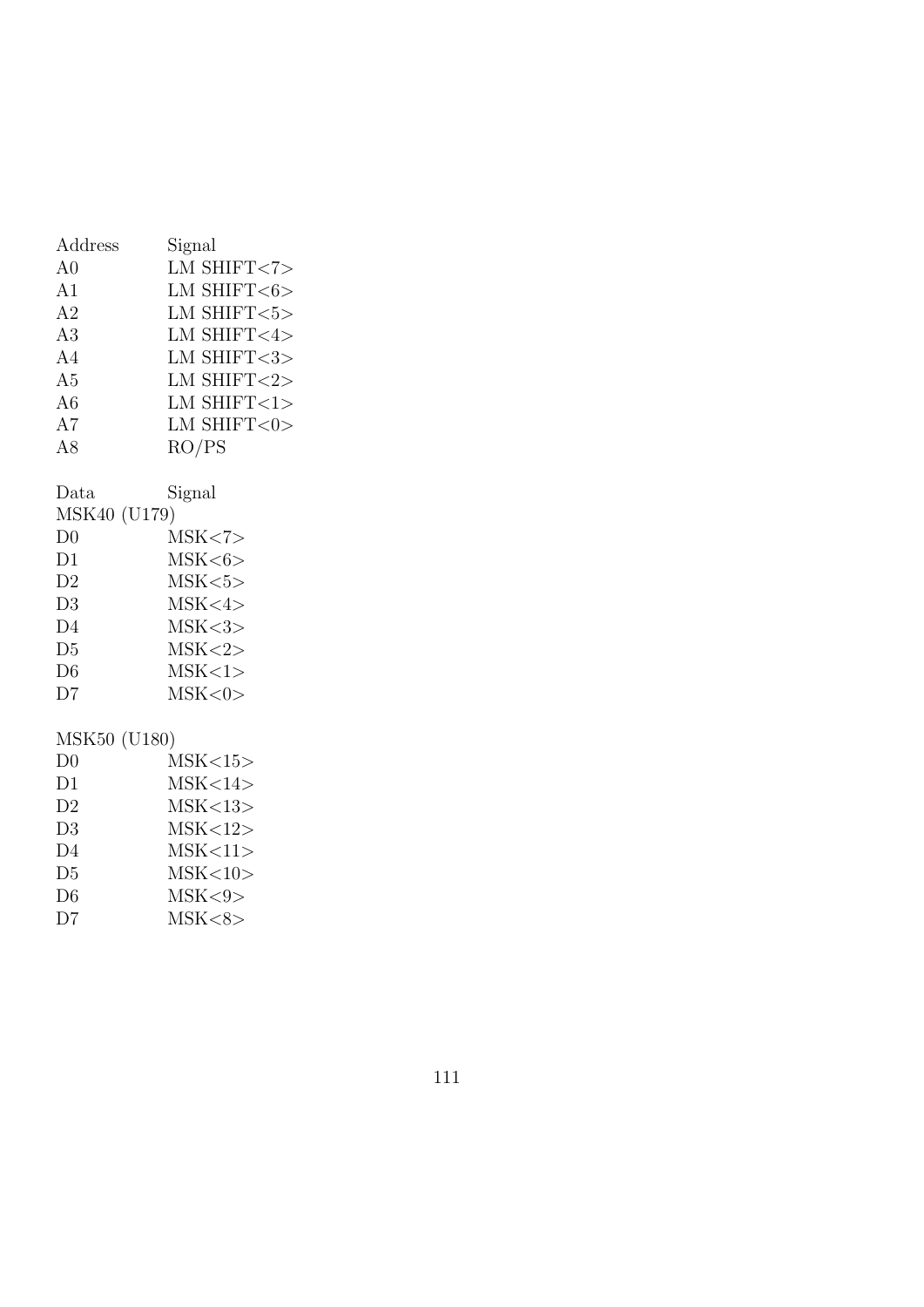| Address                  | Signal              |
|--------------------------|---------------------|
| A <sub>0</sub>           | LM SHIFT<7>         |
| A <sub>1</sub>           | LM SHIFT<6>         |
| A <sub>2</sub>           | LM SHIFT $<$ 5 $>$  |
| A3                       | LM SHIFT<4>         |
| A4                       | LM SHIFT <<br>3 $>$ |
| A <sub>5</sub>           | LM SHIFT $<$ 2>     |
| A <sub>6</sub>           | LM SHIFT $<$ 1>     |
| A7                       | LM SHIFT<0>         |
| A8                       | RO/PS               |
| Data                     | Signal              |
| MSK40 (U179)             |                     |
| D <sub>0</sub>           | MSK < 7             |
| D1                       | MSK <sub>6</sub>    |
| D <sub>2</sub>           | MSK < 5             |
| D <sub>3</sub>           | MSK < 4>            |
| $\overline{\mathrm{D4}}$ | MSK <3>             |
| $\mathop{\rm{D5}}$       | MSK <sub>2</sub>    |
| D <sub>6</sub>           | MSK<1>              |
| D7                       | MSK <0>             |
|                          |                     |
| MSK50 (U180)             |                     |
| D <sub>0</sub>           | MSK<15>             |
| D1                       | MSK<14>             |
| $\overline{D2}$          | MSK<13>             |
| D <sub>3</sub>           | MSK<12>             |
| $\overline{\mathrm{D4}}$ | MSK<11>             |
| D <sub>5</sub>           | MSK<10>             |
| D6                       | MSK <sub>9</sub>    |
| D7                       | MSK < 8 >           |
|                          |                     |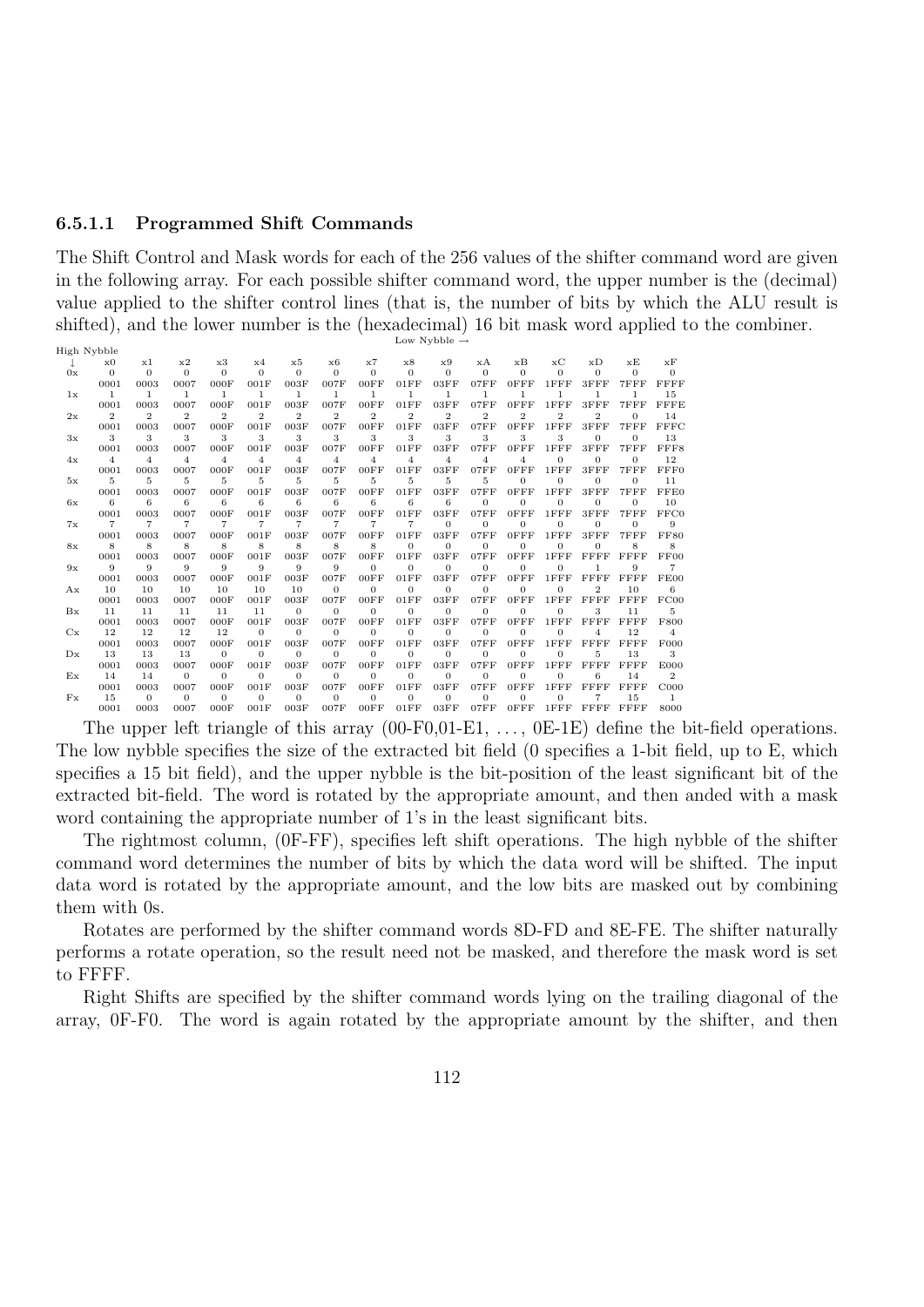#### 6.5.1.1 Programmed Shift Commands

The Shift Control and Mask words for each of the 256 values of the shifter command word are given in the following array. For each possible shifter command word, the upper number is the (decimal) value applied to the shifter control lines (that is, the number of bits by which the ALU result is shifted), and the lower number is the (hexadecimal) 16 bit mask word applied to the combiner. Low Nybble  $\stackrel{'}{\rightarrow}$ 

|             |                |                |                |                |                |                |                |                |                | LOW Nyppie $\rightarrow$ |              |                |                 |                |              |                |
|-------------|----------------|----------------|----------------|----------------|----------------|----------------|----------------|----------------|----------------|--------------------------|--------------|----------------|-----------------|----------------|--------------|----------------|
| High Nybble |                |                |                |                |                |                |                |                |                |                          |              |                |                 |                |              |                |
|             | x0             | x1             | x2             | x3             | x4             | x5             | $_{\rm x6}$    | x7             | x8             | x9                       | хA           | xB             | xC              | хD             | хE           | хF             |
| 0x          | $\theta$       | $\Omega$       | $\Omega$       | $\Omega$       | $\mathbf{0}$   | $\Omega$       | $\Omega$       | $\Omega$       | $\Omega$       | $\theta$                 | $\Omega$     | $\Omega$       | $\Omega$        | $\Omega$       | $\theta$     | $\Omega$       |
|             | 0001           | 0003           | 0007           | 000F           | 001F           | 003F           | 007F           | 00FF           | 01FF           | 03FF                     | 07FF         | $0$ FFF        | $1$ $FF$ $F$    | $3$ $FF$ $F$   | 7FFF         | <b>FFFF</b>    |
| 1x          | 1              | $\mathbf{1}$   | $\mathbf{1}$   | $\mathbf{1}$   | 1.             | $\mathbf{1}$   | $\mathbf{1}$   | $\mathbf{1}$   | $\mathbf{1}$   | $\mathbf{1}$             | 1            | $\mathbf{1}$   | 1               | 1              | $\mathbf{1}$ | 15             |
|             | 0001           | 0003           | 0007           | 000F           | 001F           | 003F           | 007F           | 00FF           | 01FF           | 03FF                     | 07FF         | $0$ FFF        | $1$ $FF$ $F$    | $3$ $FF$ $F$   | 7FFF         | <b>FFFE</b>    |
| 2x          | $\overline{2}$ | $\overline{2}$ | $\mathbf{2}$   | $\mathbf{2}$   | $\overline{2}$ | $\overline{2}$ | $\mathbf{2}$   | $\overline{2}$ | $\overline{2}$ | $\overline{2}$           | $\mathbf{2}$ | $\overline{2}$ | $\mathbf{2}$    | $\overline{2}$ | $\Omega$     | 14             |
|             | 0001           | 0003           | 0007           | 000F           | 001F           | 003F           | 007F           | 00FF           | 01FF           | 03FF                     | 07FF         | $0$ FFF        | $1$ $FF$ $F$    | 3FFF           | 7FFF         | FFFC           |
| 3x          | 3              | 3              | 3              | 3              | 3              | 3              | 3              | 3              | 3              | 3                        | 3            | 3              | 3               | $\Omega$       | $\Omega$     | 13             |
|             | 0001           | 0003           | 0007           | 000F           | 001F           | 003F           | 007F           | 00FF           | 01FF           | 03FF                     | 07FF         | $0$ FFF        | $1$ $FF$ $F$    | $3$ $FF$ $F$   | 7FFF         | FFF8           |
| 4x          | $\overline{4}$ | $\overline{4}$ | $\overline{4}$ | $\overline{4}$ | $\overline{4}$ | $\overline{4}$ | $\overline{4}$ | $\overline{4}$ | $\overline{4}$ | $\overline{4}$           | 4            | $\overline{4}$ | $\Omega$        | $\Omega$       | $\Omega$     | 12             |
|             | 0001           | 0003           | 0007           | 000F           | 001F           | 003F           | 007F           | 00FF           | 01FF           | 03FF                     | 07FF         | 0FFF           | $1$ $FF$ $F$    | 3FFF           | 7FFF         | FFF0           |
| 5x          | 5              | 5              | 5              | 5              | 5              | 5              | 5              | 5              | 5              | 5                        | 5            | $\Omega$       | $\Omega$        | $\Omega$       | $\Omega$     | 11             |
|             | 0001           | 0003           | 0007           | 000F           | 001F           | 003F           | 007F           | 00FF           | 01FF           | 03FF                     | 07FF         | $0$ FFF        | $1$ $FF$ $F$    | $3$ $FF$ $F$   | 7FFF         | FFE0           |
| 6x          | 6              | 6              | 6              | 6              | 6              | 6              | 6              | 6              | 6              | 6                        | 0            | $\mathbf{0}$   | $\Omega$        | 0              | $\mathbf{0}$ | 10             |
|             | 0001           | 0003           | 0007           | 000F           | 001F           | 003F           | 007F           | 00FF           | 01FF           | 03FF                     | 07FF         | 0FFF           | $1$ $FF$ $F$    | 3FFF           | 7FFF         | FFC0           |
| 7x          | $\overline{7}$ | $\overline{7}$ | $\overline{7}$ | $\overline{7}$ | $\overline{7}$ | $\overline{7}$ | $\overline{7}$ | $\overline{7}$ | $\overline{7}$ | $\Omega$                 | $\Omega$     | $\Omega$       | $\Omega$        | $\Omega$       | $\Omega$     | 9              |
|             | 0001           | 0003           | 0007           | 000F           | 001F           | 003F           | 007F           | 00FF           | 01FF           | 03FF                     | 07FF         | $0$ FFF        | $1$ $FF$ $F$    | 3FFF           | 7FFF         | <b>FF80</b>    |
| 8x          | 8              | 8              | 8              | 8              | 8              | 8              | 8              | 8              | $\Omega$       | $\Omega$                 | $\Omega$     | $\Omega$       | $\Omega$        | $\Omega$       | 8            | 8              |
|             | 0001           | 0003           | 0007           | 000F           | 001F           | 003F           | 007F           | 00FF           | 01FF           | 03FF                     | 07FF         | $0$ FFF        | $1$ $FF$ $F$    | FFFF           | FFFF         | FF00           |
| 9x          | 9              | 9              | 9              | 9              | 9              | 9              | 9              | $\Omega$       | $\Omega$       | $\Omega$                 | $\Omega$     | $\Omega$       | $\Omega$        |                | 9            | 7              |
|             | 0001           | 0003           | 0007           | 000F           | 001F           | 003F           | 007F           | 00FF           | 01FF           | 03FF                     | 07FF         | $0$ FFF        | $1$ $F$ $F$ $F$ | <b>FFFF</b>    | FFFF         | FE00           |
| Ax          | 10             | 10             | 10             | 10             | 10             | 10             | $\Omega$       | $\Omega$       | $\Omega$       | $\Omega$                 | $\Omega$     | $\Omega$       | $\Omega$        | $\overline{2}$ | 10           | 6              |
|             | 0001           | 0003           | 0007           | 000F           | 001F           | 003F           | 007F           | 00FF           | 01FF           | 03FF                     | 07FF         | 0FFF           | 1FFF            | FFFF           | <b>FFFF</b>  | FC00           |
| $_{\rm Bx}$ | 11             | 11             | 11             | 11             | 11             | $\Omega$       | $\Omega$       | $\Omega$       | $\Omega$       | $\Omega$                 | $\Omega$     | $\Omega$       | $\Omega$        | 3              | 11           | 5              |
|             | 0001           | 0003           | 0007           | 000F           | 001F           | 003F           | 007F           | 00FF           | 01FF           | 03FF                     | 07FF         | $0$ FFF        | $1$ $FF$ $F$    | <b>FFFF</b>    | FFFF         | F800           |
| Cx          | 12             | 12             | 12             | 12             | $\mathbf{0}$   | $\Omega$       | $\mathbf{0}$   | $\mathbf{0}$   | $\theta$       | $\theta$                 | $\Omega$     | $\mathbf{0}$   | $\Omega$        | $\overline{4}$ | 12           | 4              |
|             | 0001           | 0003           | 0007           | 000F           | 001F           | 003F           | 007F           | 00FF           | 01FF           | 03FF                     | 07FF         | 0FFF           | $1$ $FF$ $F$    | FFFF           | FFFF         | F000           |
| $_{\rm Dx}$ | 13             | 13             | 13             | $\Omega$       | $\Omega$       | $\Omega$       | $\Omega$       | $\Omega$       | $\Omega$       | $\Omega$                 | $\Omega$     | $\Omega$       | $\Omega$        | 5              | 13           | 3              |
|             | 0001           | 0003           | 0007           | 000F           | 001F           | 003F           | 007F           | 00FF           | 01FF           | 03FF                     | 07FF         | 0FFF           | $1$ $FF$ $F$    | FFFF           | <b>FFFF</b>  | E000           |
| Ex          | 14             | 14             | $\Omega$       | $\Omega$       | $\Omega$       | $\Omega$       | $\Omega$       | $\Omega$       | $\Omega$       | $\Omega$                 | $\Omega$     | $\Omega$       | $\Omega$        | 6              | 14           | $\overline{2}$ |
|             | 0001           | 0003           | 0007           | 000F           | 001F           | 003F           | 007F           | 00FF           | 01FF           | 03FF                     | 07FF         | $0$ FFF        | $1$ $FF$ $F$    | <b>FFFF</b>    | FFFF         | C000           |
| Fx          | 15             | $\theta$       | $\Omega$       | $\Omega$       | $\Omega$       | $\Omega$       | $\Omega$       | $\Omega$       | $\Omega$       | $\Omega$                 | $\Omega$     | $\Omega$       | $\Omega$        | 7              | 15           | 1.             |
|             | 0001           | 0003           | 0007           | 000F           | 001F           | 003F           | 007F           | 00FF           | 01FF           | 03FF                     | 07FF         | 0FFF           | 1FFF            | <b>FFFF</b>    | FFFF         | 8000           |
|             |                |                |                |                |                |                |                |                |                |                          |              |                |                 |                |              |                |

The upper left triangle of this array  $(00-F0,01-E1, \ldots, 0E-1E)$  define the bit-field operations. The low nybble specifies the size of the extracted bit field (0 specifies a 1-bit field, up to E, which specifies a 15 bit field), and the upper nybble is the bit-position of the least significant bit of the extracted bit-field. The word is rotated by the appropriate amount, and then anded with a mask word containing the appropriate number of 1's in the least significant bits.

The rightmost column, (0F-FF), specifies left shift operations. The high nybble of the shifter command word determines the number of bits by which the data word will be shifted. The input data word is rotated by the appropriate amount, and the low bits are masked out by combining them with 0s.

Rotates are performed by the shifter command words 8D-FD and 8E-FE. The shifter naturally performs a rotate operation, so the result need not be masked, and therefore the mask word is set to FFFF.

Right Shifts are specified by the shifter command words lying on the trailing diagonal of the array, 0F-F0. The word is again rotated by the appropriate amount by the shifter, and then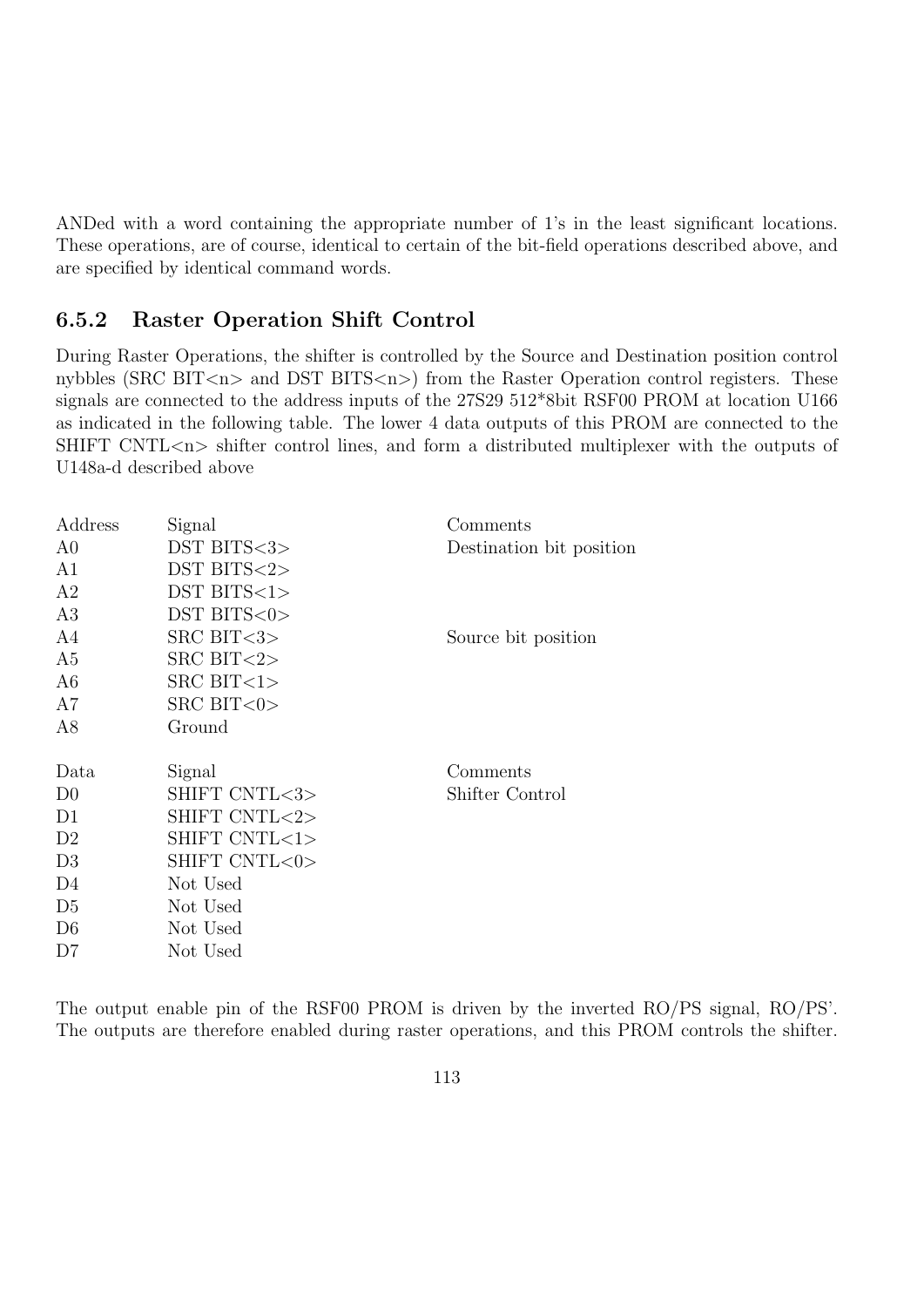ANDed with a word containing the appropriate number of 1's in the least significant locations. These operations, are of course, identical to certain of the bit-field operations described above, and are specified by identical command words.

### 6.5.2 Raster Operation Shift Control

During Raster Operations, the shifter is controlled by the Source and Destination position control nybbles (SRC BIT $\langle n \rangle$  and DST BITS $\langle n \rangle$ ) from the Raster Operation control registers. These signals are connected to the address inputs of the 27S29 512\*8bit RSF00 PROM at location U166 as indicated in the following table. The lower 4 data outputs of this PROM are connected to the SHIFT CNTL $\langle n \rangle$  shifter control lines, and form a distributed multiplexer with the outputs of U148a-d described above

| Address        | Signal              | Comments                 |
|----------------|---------------------|--------------------------|
| A <sub>0</sub> | DST BITS<3>         | Destination bit position |
| A1             | $DST$ BITS $<2>$    |                          |
| A2             | $DST$ $BITS < 1>$   |                          |
| A3             | DST BITS<0>         |                          |
| A4             | $SRC$ BIT $<$ 3 $>$ | Source bit position      |
| A5             | SRC BIT $<2>$       |                          |
| A <sub>6</sub> | $SRC$ BIT $<1>$     |                          |
| A7             | $SRC$ BIT $<0>$     |                          |
| A8             | Ground              |                          |
|                |                     |                          |
| Data           | Signal              | Comments                 |
| D <sub>0</sub> | SHIFT CNTL<3>       | Shifter Control          |
| D1             | SHIFT CNTL<2>       |                          |
| D2             | SHIFT CNTL<1>       |                          |
| D3             | SHIFT CNTL<0>       |                          |
| D <sub>4</sub> | Not Used            |                          |
| D <sub>5</sub> | Not Used            |                          |
| D <sub>6</sub> | Not Used            |                          |
| D7             | Not Used            |                          |

The output enable pin of the RSF00 PROM is driven by the inverted RO/PS signal, RO/PS'. The outputs are therefore enabled during raster operations, and this PROM controls the shifter.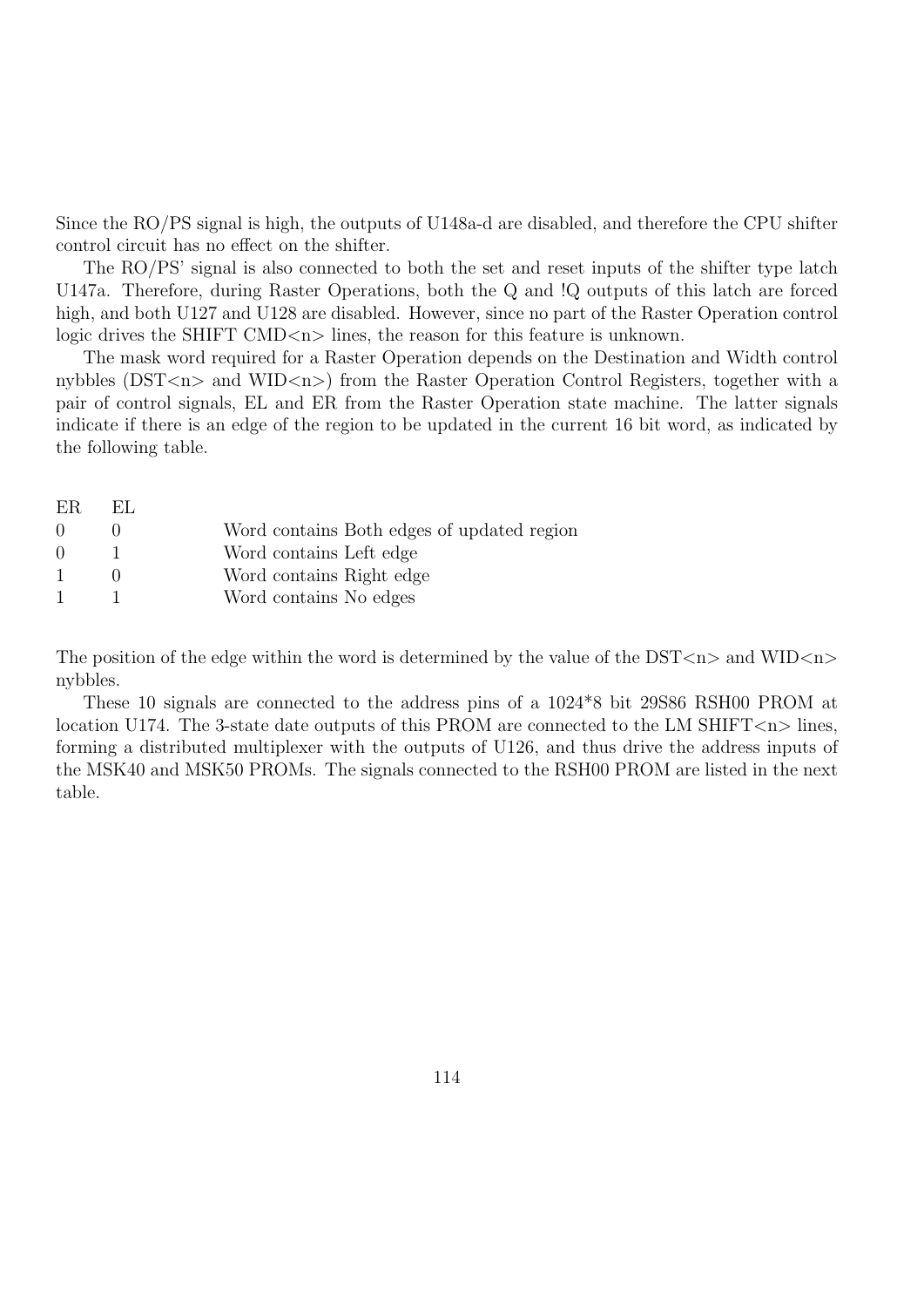Since the RO/PS signal is high, the outputs of U148a-d are disabled, and therefore the CPU shifter control circuit has no effect on the shifter.

The RO/PS' signal is also connected to both the set and reset inputs of the shifter type latch U147a. Therefore, during Raster Operations, both the Q and !Q outputs of this latch are forced high, and both U127 and U128 are disabled. However, since no part of the Raster Operation control logic drives the SHIFT CMD $\langle n \rangle$  lines, the reason for this feature is unknown.

The mask word required for a Raster Operation depends on the Destination and Width control nybbles (DST<n> and WID<n>) from the Raster Operation Control Registers, together with a pair of control signals, EL and ER from the Raster Operation state machine. The latter signals indicate if there is an edge of the region to be updated in the current 16 bit word, as indicated by the following table.

| -ER.             | EH. |                                            |
|------------------|-----|--------------------------------------------|
| $\left( \right)$ |     | Word contains Both edges of updated region |
| $\Omega$         |     | Word contains Left edge                    |
| $\mathbf{1}$     |     | Word contains Right edge                   |
| $\mathbf{1}$     |     | Word contains No edges                     |

The position of the edge within the word is determined by the value of the  $DST\langle n\rangle$  and  $WID\langle n\rangle$ nybbles.

These 10 signals are connected to the address pins of a 1024\*8 bit 29S86 RSH00 PROM at location U174. The 3-state date outputs of this PROM are connected to the LM SHIFT $\langle n \rangle$  lines, forming a distributed multiplexer with the outputs of U126, and thus drive the address inputs of the MSK40 and MSK50 PROMs. The signals connected to the RSH00 PROM are listed in the next table.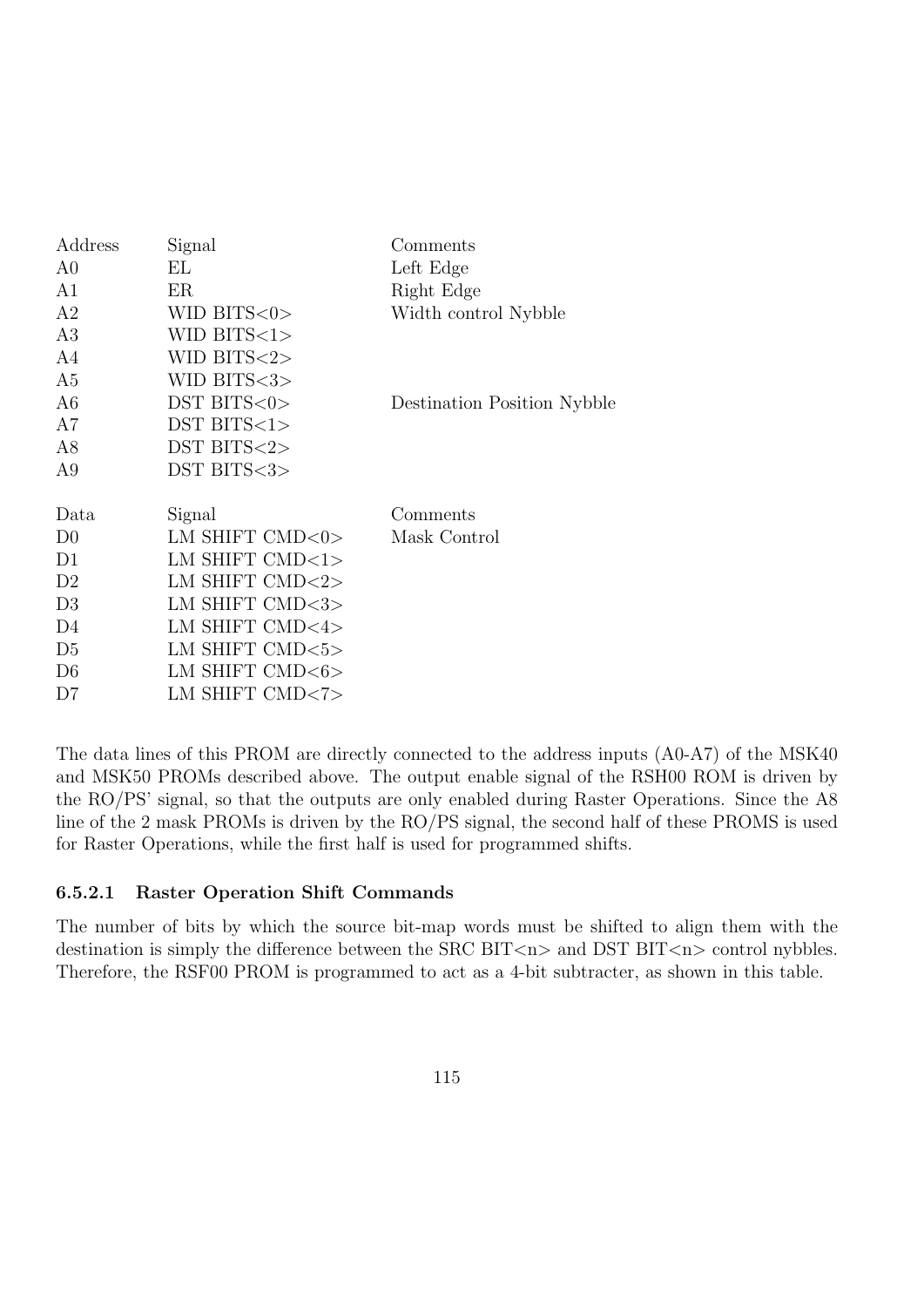| Address        | Signal                   | Comments                    |
|----------------|--------------------------|-----------------------------|
| A <sub>0</sub> | ΕL                       | Left Edge                   |
| A1             | ER                       | Right Edge                  |
| A2             | WID BITS<0>              | Width control Nybble        |
| A3             | WID BITS $<1>$           |                             |
| A4             | WID BITS $<$ 2 $>$       |                             |
| A5             | WID BITS $<$ 3 $>$       |                             |
| A6             | DST BITS<0>              | Destination Position Nybble |
| A7             | DST BITS<1>              |                             |
| A8             | $DST$ $BITS < 2>$        |                             |
| A <sub>9</sub> | DST BITS<3>              |                             |
|                |                          |                             |
| Data           | Signal                   | Comments                    |
| D <sub>0</sub> | LM SHIFT CMD<0>          | Mask Control                |
| D1             | LM SHIFT $\text{CMD}<1>$ |                             |
| D2             | LM SHIFT CMD $<2>$       |                             |
| D <sub>3</sub> | LM SHIFT CMD<3>          |                             |
| D <sub>4</sub> | LM SHIFT CMD<4>          |                             |
| D <sub>5</sub> | LM SHIFT CMD $<5>$       |                             |
| D <sub>6</sub> | LM SHIFT CMD<6>          |                             |
| D7             | LM SHIFT CMD<7>          |                             |

The data lines of this PROM are directly connected to the address inputs (A0-A7) of the MSK40 and MSK50 PROMs described above. The output enable signal of the RSH00 ROM is driven by the RO/PS' signal, so that the outputs are only enabled during Raster Operations. Since the A8 line of the 2 mask PROMs is driven by the RO/PS signal, the second half of these PROMS is used for Raster Operations, while the first half is used for programmed shifts.

### 6.5.2.1 Raster Operation Shift Commands

The number of bits by which the source bit-map words must be shifted to align them with the destination is simply the difference between the SRC BIT $\langle n \rangle$  and DST BIT $\langle n \rangle$  control nybbles. Therefore, the RSF00 PROM is programmed to act as a 4-bit subtracter, as shown in this table.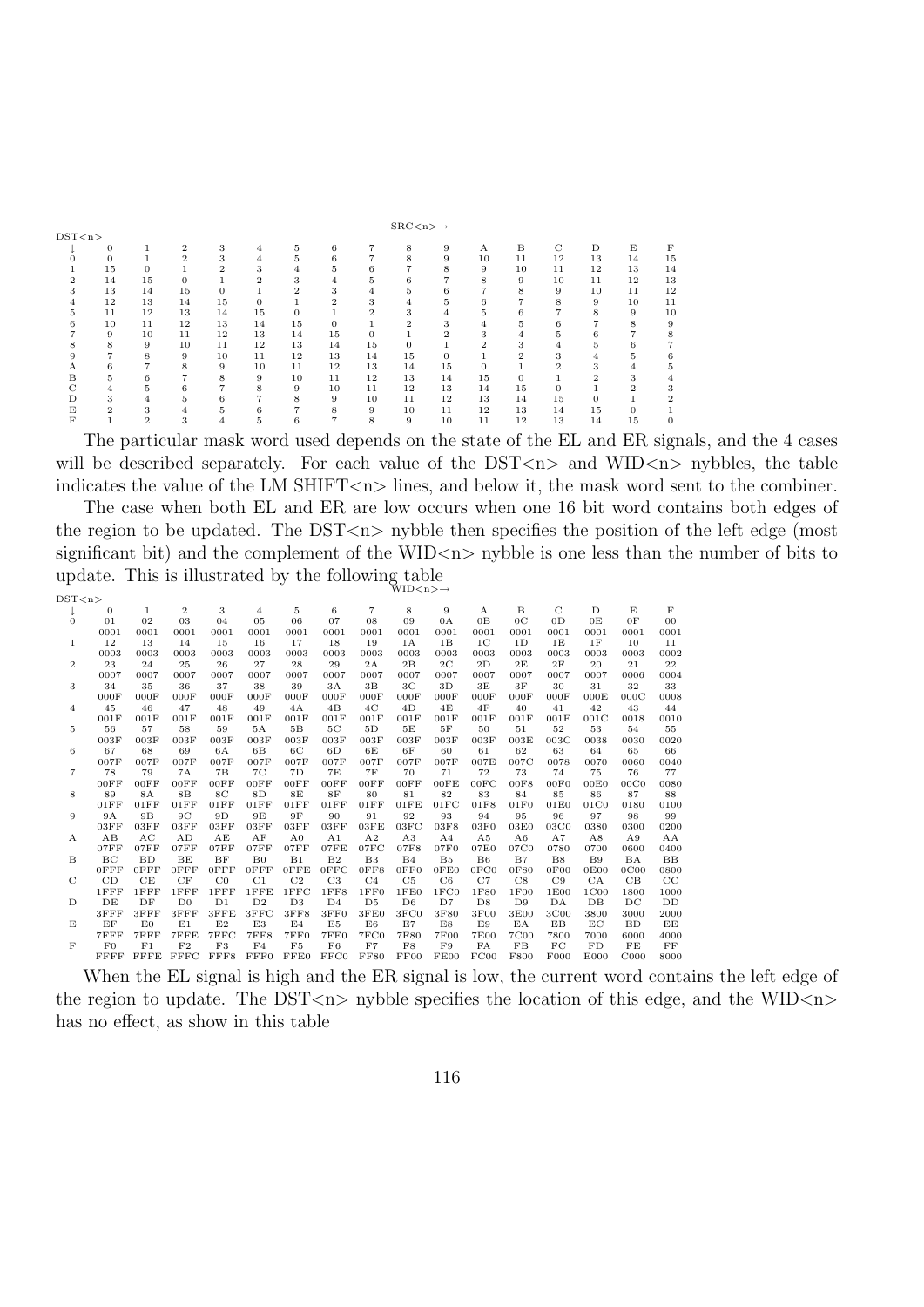| SRC<br>$\epsilon$ |
|-------------------|
|-------------------|

|    |                |                |              |    | Ð.           | 6        |    |                |          | А              | в            | С              | Ð              | Е  |    |
|----|----------------|----------------|--------------|----|--------------|----------|----|----------------|----------|----------------|--------------|----------------|----------------|----|----|
|    |                | $\overline{2}$ | 3            |    | 5            | 6        |    |                | 9        | 10             | 11           | 12             | 13             | 14 | 15 |
| 15 | $\Omega$       |                | $\mathbf{2}$ | з  | 4            | 5        | 6  |                | 8        | 9              | 10           | 11             | 12             | 13 | 14 |
| 14 | 15             | $\Omega$       |              |    | 3            | 4        | 5  |                |          | 8              | 9            | 10             | 11             | 12 | 13 |
| 13 | 14             | 15             | $\Omega$     |    | $\mathbf{2}$ | 3        |    |                |          | ,              | 8            | 9              | 10             | 11 | 12 |
| 12 | 13             | 14             | 15           | 0  |              | 2        | 3  | 4              | n.       | 6              |              | 8              | 9              | 10 | 11 |
| 11 | 12             | 13             | 14           | 15 | 0            |          | 2  | 3              | 4        | 5              | 6            |                | 8              | 9  | 10 |
| 10 | 11             | 12             | 13           | 14 | 15           | $\Omega$ |    | $\overline{2}$ | 3        | 4              | 5.           | 6              |                | 8  | 9  |
| 9  | 10             | 11             | 12           | 13 | 14           | 15       | 0  |                |          | 3              |              |                |                |    |    |
| 8  | 9              | 10             | 11           | 12 | 13           | 14       | 15 | 0              |          | $\overline{2}$ | 3            |                |                | 6. |    |
|    | 8              | 9              | 10           | 11 | 12           | 13       | 14 | 15             | $\Omega$ |                | $\mathbf{2}$ | 3              | 4              | Ð. |    |
|    | $\overline{7}$ | 8              | 9            | 10 | 11           | 12       | 13 | 14             | 15       | $\Omega$       |              | $\overline{2}$ | 3              | 4  |    |
|    | 6              |                | 8            | 9  | 10           | 11       | 12 | 13             | 14       | 15             | $\Omega$     |                | $\overline{2}$ | 3  |    |
|    | 5              | 6              |              | я  | 9            | 10       | 11 | 12             | 13       | 14             | 15           | $\Omega$       |                | 2  |    |
|    | $\overline{4}$ | Ð.             |              |    | 8            | 9        | 10 | 11             | 12       | 13             | 14           | 15             |                |    |    |
|    | 3              | 4              |              |    |              | 8        | 9  | 10             | 11       | 12             | 13           | 14             | 15             | 0  |    |
|    |                |                |              |    |              |          |    | 9              | 10       | 11             | 12           | 13             | 14             | 15 |    |

The particular mask word used depends on the state of the EL and ER signals, and the 4 cases will be described separately. For each value of the  $DST\langle n \rangle$  and  $WID\langle n \rangle$  nybbles, the table indicates the value of the LM SHIFT $\langle n \rangle$  lines, and below it, the mask word sent to the combiner.

The case when both EL and ER are low occurs when one 16 bit word contains both edges of the region to be updated. The DST $\langle n \rangle$  nybble then specifies the position of the left edge (most significant bit) and the complement of the WID $\langle n \rangle$  nybble is one less than the number of bits to update. This is illustrated by the following table<br> $\frac{\text{w}}{\text{w}}$ 

|--|--|

DST<n>

|          | $\Omega$        | 1               | $\overline{2}$ | 3              | 4               | 5              | 6              | 7              | 8              | 9              | А              | B              | C                | D                | E                | F           |
|----------|-----------------|-----------------|----------------|----------------|-----------------|----------------|----------------|----------------|----------------|----------------|----------------|----------------|------------------|------------------|------------------|-------------|
| $\Omega$ | 01              | 02              | 03             | 04             | 05              | 06             | 07             | 08             | 09             | 0A             | 0B             | 0 <sup>C</sup> | 0 <sub>D</sub>   | 0E               | 0F               | 00          |
|          | 0001            | 0001            | 0001           | 0001           | 0001            | 0001           | 0001           | 0001           | 0001           | 0001           | 0001           | 0001           | 0001             | 0001             | 0001             | 0001        |
| 1        | 12              | 13              | 14             | 15             | 16              | 17             | 18             | 19             | 1A             | 1B             | 1 <sup>C</sup> | 1D             | 1E               | 1F               | 10               | 11          |
|          | 0003            | 0003            | 0003           | 0003           | 0003            | 0003           | 0003           | 0003           | 0003           | 0003           | 0003           | 0003           | 0003             | 0003             | 0003             | 0002        |
| 2        | 23              | 24              | 25             | 26             | 27              | 28             | 29             | 2A             | 2B             | 2C             | 2D             | 2E             | 2F               | 20               | 21               | 22          |
|          | 0007            | 0007            | 0007           | 0007           | 0007            | 0007           | 0007           | 0007           | 0007           | 0007           | 0007           | 0007           | 0007             | 0007             | 0006             | 0004        |
| 3        | 34              | 35              | 36             | 37             | 38              | 39             | 3A             | 3B             | 3 <sub>C</sub> | 3D             | 3E             | 3F             | 30               | 31               | 32               | 33          |
|          | 000F            | 000F            | 000F           | 000F           | 000F            | 000F           | 000F           | 000F           | 000F           | 000F           | 000F           | 000F           | 000F             | 000E             | 000C             | 0008        |
| 4        | 45              | 46              | 47             | 48             | 49              | 4A             | 4B             | 4C             | 4D             | 4E             | 4F             | 40             | 41               | 42               | 43               | 44          |
|          | 001F            | 001F            | 001F           | 001F           | 001F            | 001F           | 001F           | 001F           | 001F           | 001F           | 001F           | 001F           | 001E             | 001C             | 0018             | 0010        |
| 5        | 56              | 57              | 58             | 59             | 5A              | 5B             | 5C             | 5D             | 5E             | 5F             | 50             | 51             | 52               | 53               | 54               | 55          |
|          | 003F            | 003F            | 003F           | 003F           | 003F            | 003F           | 003F           | 003F           | 003F           | 003F           | 003F           | 003E           | 003C             | 0038             | 0030             | 0020        |
| 6        | 67              | 68              | 69             | 6A             | 6 <sub>B</sub>  | 6C             | 6D             | 6E             | 6F             | 60             | 61             | 62             | 63               | 64               | 65               | 66          |
|          | 007F            | 007F            | 007F           | 007F           | 007F            | 007F           | 007F           | 007F           | 007F           | 007F           | 007E           | 007C           | 0078             | 0070             | 0060             | 0040        |
| 7        | 78              | 79              | 7A             | 7B             | 7C              | 7D             | 7E             | 7F             | 70             | 71             | 72             | 73             | 74               | 75               | 76               | 77          |
|          | 00FF            | 00FF            | 00FF           | 00FF           | 00FF            | 00FF           | 00FF           | 00FF           | 00FF           | 00FE           | 00FC           | 00F8           | 00F0             | 00E0             | 00C0             | 0080        |
| 8        | 89              | <b>8A</b>       | 8B             | 8 <sub>C</sub> | 8D              | 8E             | 8F             | 80             | 81             | 82             | 83             | 84             | 85               | 86               | 87               | 88          |
|          | 01FF            | 01FF            | 01FF           | 01FF           | 01FF            | 01FF           | 01FF           | 01FF           | 01FE           | 01FC           | 01F8           | 01F0           | 01E0             | 01C0             | 0180             | 0100        |
| 9        | <b>9A</b>       | 9B              | 9C             | 9D             | 9E              | 9F             | 90             | 91             | 92             | 93             | 94             | 95             | 96               | 97               | 98               | 99          |
|          | 03FF            | 03FF            | 03FF           | 03FF           | 03FF            | 03FF           | 03FF           | 03FE           | 03FC           | 03F8           | 03F0           | 03E0           | 03C0             | 0380             | 0300             | 0200        |
| A        | AB              | AC              | AD             | AE             | AF              | A <sub>0</sub> | A1             | A <sub>2</sub> | A3             | A <sub>4</sub> | A <sub>5</sub> | A6             | A7               | A8               | A9               | AA          |
|          | 07FF            | 07FF            | 07FF           | 07FF           | 07FF            | 07FF           | 07FE           | 07FC           | 07F8           | 07F0           | 07E0           | 07C0           | 0780             | 0700             | 0600             | 0400        |
| в        | BC              | <b>BD</b>       | BE             | BF             | B <sub>0</sub>  | B1             | B <sub>2</sub> | B <sub>3</sub> | B <sub>4</sub> | B <sub>5</sub> | B <sub>6</sub> | B7             | B8               | <b>B</b> 9       | BA               | BB          |
|          | $0$ FFF         | $0$ FFF         | 0FFF           | $0$ FFF        | $0$ FFF         | $0$ FFE        | 0FFC           | 0FF8           | 0FF0           | 0FE0           | 0FC0           | 0F80           | 0F00             | 0E00             | 0C <sub>00</sub> | 0800        |
| C        | CD              | CE              | CF             | $_{\rm CO}$    | C1              | C <sub>2</sub> | C3             | C <sub>4</sub> | C5             | C6             | C7             | C8             | C9               | CA               | CB               | $_{\rm CC}$ |
|          | $1$ FFF         | $1$ $F$ $F$ $F$ | $1$ $FF$ $FF$  | $1$ $FF$ $FF$  | $1$ $F$ $F$ $E$ | 1FFC           | 1FF8           | 1FF0           | 1FE0           | 1FC0           | 1F80           | 1F00           | 1E00             | 1C <sub>00</sub> | 1800             | 1000        |
| D        | DE              | DF              | D <sub>0</sub> | D1             | D <sub>2</sub>  | D3             | D <sub>4</sub> | D <sub>5</sub> | D <sub>6</sub> | D <sub>7</sub> | D <sub>8</sub> | D <sub>9</sub> | DA               | $DB$             | DC               | <b>DD</b>   |
|          | $3$ $F$ $F$ $F$ | 3FFF            | 3FFF           | 3FFE           | 3FFC            | 3FF8           | 3FF0           | 3FE0           | 3FC0           | 3F80           | 3F00           | 3E00           | 3C <sub>00</sub> | 3800             | 3000             | 2000        |
| E        | EF              | E0              | E1             | E2             | E <sub>3</sub>  | E4             | E <sub>5</sub> | E <sub>6</sub> | E7             | E8             | E9             | EA             | EB               | EC               | ED               | EE          |
|          | 7FFF            | 7FFF            | 7FFE           | 7FFC           | 7FF8            | 7FF0           | 7FE0           | 7FC0           | <b>7F80</b>    | <b>7F00</b>    | 7E00           | 7C00           | 7800             | 7000             | 6000             | 4000        |
| F        | F <sub>0</sub>  | F1              | F <sub>2</sub> | F3             | F <sub>4</sub>  | F5             | F6             | F7             | F8             | F9             | FA             | FB             | FC               | FD               | FE               | FF          |
|          | FFFF            | <b>FFFE</b>     | <b>FFFC</b>    | FFF8           | FFF0            | FFE0           | FFC0           | <b>FF80</b>    | FF00           | FE00           | FC00           | F800           | F <sub>000</sub> | E000             | C <sub>000</sub> | 8000        |

When the EL signal is high and the ER signal is low, the current word contains the left edge of the region to update. The DST $\langle n \rangle$  nybble specifies the location of this edge, and the WID $\langle n \rangle$ has no effect, as show in this table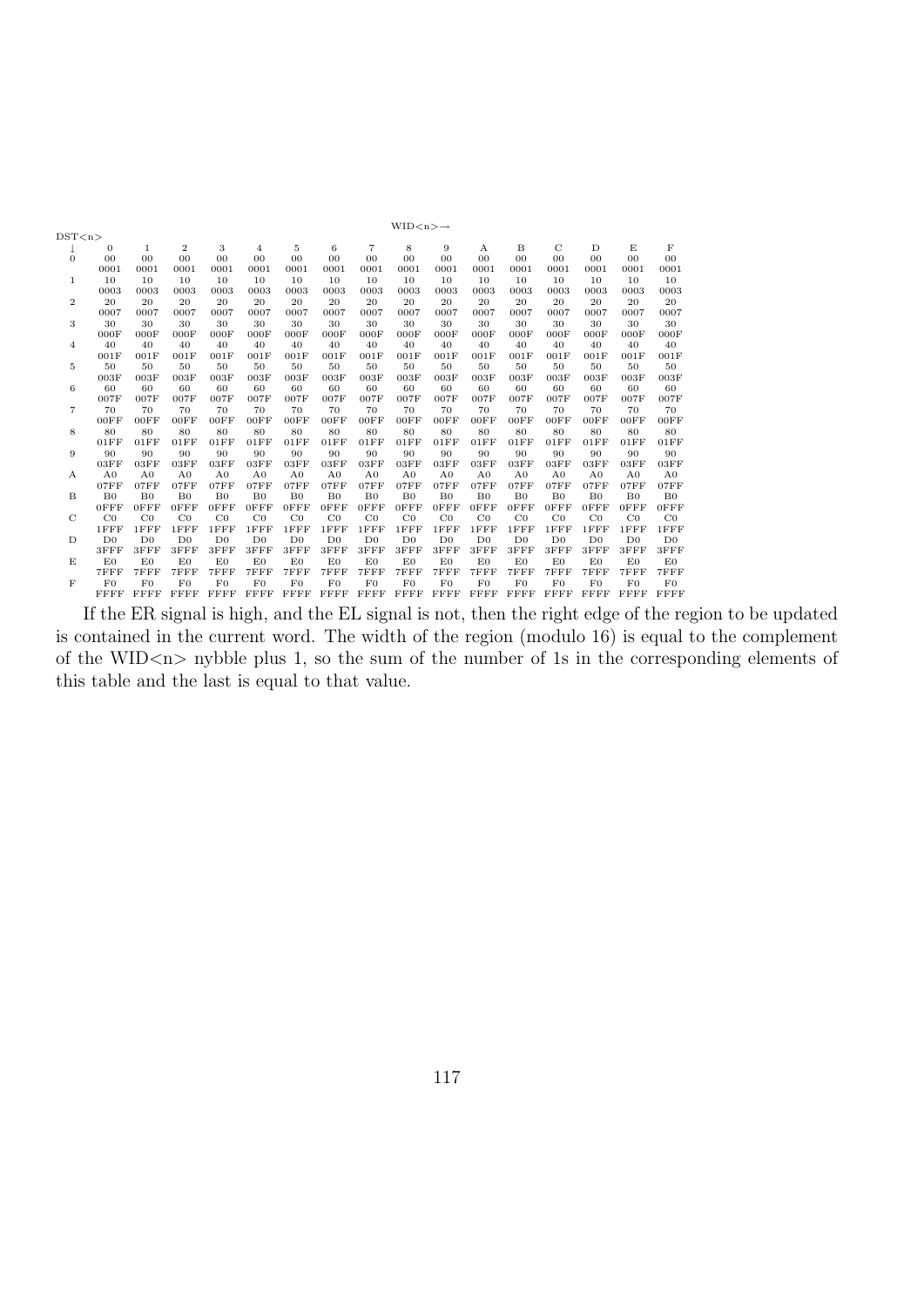|                |                | $WID < n > \rightarrow$ |                |                |                |                |                |                |                |                |                |                |                |                |                |                |
|----------------|----------------|-------------------------|----------------|----------------|----------------|----------------|----------------|----------------|----------------|----------------|----------------|----------------|----------------|----------------|----------------|----------------|
| DST < n        |                |                         |                |                |                |                |                |                |                |                |                |                |                |                |                |                |
| ↓              | $\mathbf{0}$   | $\mathbf{1}$            | $\overline{2}$ | 3              | $\overline{4}$ | 5              | 6              | $\overline{7}$ | 8              | 9              | $\mathbf{A}$   | B              | $\mathcal{C}$  | D              | E              | F              |
| $\mathbf{0}$   | 00             | 0 <sub>0</sub>          | 00             | 00             | $00\,$         | $00\,$         | 00             | 00             | 00             | 00             | 00             | 0 <sub>0</sub> | 0 <sub>0</sub> | 00             | 00             | $00\,$         |
|                | 0001           | 0001                    | 0001           | 0001           | 0001           | 0001           | 0001           | 0001           | 0001           | 0001           | 0001           | 0001           | 0001           | 0001           | 0001           | 0001           |
| 1              | 10             | 10                      | 10             | 10             | 10             | 10             | 10             | 10             | 10             | 10             | 10             | 10             | 10             | 10             | 10             | 10             |
|                | 0003           | 0003                    | 0003           | 0003           | 0003           | 0003           | 0003           | 0003           | 0003           | 0003           | 0003           | 0003           | 0003           | 0003           | 0003           | 0003           |
| $\overline{2}$ | 20             | 20                      | 20             | 20             | 20             | 20             | 20             | 20             | 20             | 20             | 20             | 20             | 20             | 20             | 20             | 20             |
|                | 0007           | 0007                    | 0007           | 0007           | 0007           | 0007           | 0007           | 0007           | 0007           | 0007           | 0007           | 0007           | 0007           | 0007           | 0007           | 0007           |
| 3              | 30             | 30                      | 30             | 30             | 30             | 30             | 30             | 30             | 30             | 30             | 30             | 30             | 30             | 30             | 30             | 30             |
|                | 000F           | 000F                    | 000F           | 000F           | 000F           | 000F           | 000F           | 000F           | 000F           | 000F           | 000F           | 000F           | 000F           | 000F           | 000F           | 000F           |
| $\overline{4}$ | 40             | 40                      | 40             | 40             | 40             | 40             | 40             | 40             | 40             | 40             | 40             | 40             | 40             | 40             | 40             | 40             |
|                | 001F           | 001F                    | 001F           | 001F           | 001F           | 001F           | 001F           | 001F           | 001F           | 001F           | 001F           | 001F           | 001F           | 001F           | 001F           | 001F           |
| 5              | 50             | 50                      | 50             | 50             | 50             | 50             | 50             | 50             | 50             | 50             | 50             | 50             | 50             | 50             | 50             | 50             |
|                | 003F           | 003F                    | 003F           | 003F           | 003F           | 003F           | 003F           | 003F           | 003F           | 003F           | 003F           | 003F           | 003F           | 003F           | 003F           | 003F           |
| 6              | 60             | 60                      | 60             | 60             | 60             | 60             | 60             | 60             | 60             | 60             | 60             | 60             | 60             | 60             | 60             | 60             |
|                | 007F           | 007F                    | 007F           | 007F           | 007F           | 007F           | 007F           | 007F           | 007F           | 007F           | 007F           | 007F           | 007F           | 007F           | 007F           | 007F           |
| $\overline{7}$ | 70             | 70                      | 70             | 70             | 70             | 70             | 70             | 70             | 70             | 70             | 70             | 70             | 70             | 70             | 70             | 70             |
|                | 00FF           | 00FF                    | 00FF           | 00FF           | 00FF           | 00FF           | 00FF           | 00FF           | 00FF           | 00FF           | 00FF           | 00FF           | 00FF           | 00FF           | 00FF           | 00FF           |
| 8              | 80             | 80                      | 80             | 80             | 80             | 80             | 80             | 80             | 80             | 80             | 80             | 80             | 80             | 80             | 80             | 80             |
|                | 01FF           | 01FF                    | 01FF           | 01FF           | 01FF           | 01FF           | 01FF           | 01FF           | 01FF           | 01FF           | 01FF           | 01FF           | 01FF           | 01FF           | 01FF           | 01FF           |
| 9              | 90             | 90                      | 90             | 90             | 90             | 90             | 90             | 90             | 90             | 90             | 90             | 90             | 90             | 90             | 90             | 90             |
|                | 03FF           | 03FF                    | 03FF           | 03FF           | 03FF           | 03FF           | 03FF           | 03FF           | 03FF           | 03FF           | 03FF           | 03FF           | 03FF           | 03FF           | 03FF           | 03FF           |
| А              | A <sub>0</sub> | A <sub>0</sub>          | A <sub>0</sub> | A <sub>0</sub> | A <sub>0</sub> | A <sub>0</sub> | A <sub>0</sub> | A <sub>0</sub> | A <sub>0</sub> | A <sub>0</sub> | A <sub>0</sub> | A <sub>0</sub> | A <sub>0</sub> | A <sub>0</sub> | A <sub>0</sub> | A <sub>0</sub> |
|                | 07FF           | 07FF                    | 07FF           | 07FF           | 07FF           | 07FF           | 07FF           | 07FF           | 07FF           | 07FF           | 07FF           | 07FF           | 07FF           | 07FF           | 07FF           | 07FF           |
| B              | B <sub>0</sub> | B <sub>0</sub>          | B <sub>0</sub> | B <sub>0</sub> | B <sub>0</sub> | B <sub>0</sub> | B <sub>0</sub> | B <sub>0</sub> | B <sub>0</sub> | B <sub>0</sub> | B <sub>0</sub> | B <sub>0</sub> | B <sub>0</sub> | B <sub>0</sub> | B <sub>0</sub> | B <sub>0</sub> |
|                | $0$ FFF        | $0$ FFF                 | 0FFF           | $0$ $FF$ $F$   | 0FFF           | 0FFF           | $0$ FFF        | $0$ FFF        | $0$ FFF        | 0FFF           | 0FFF           | $0$ FFF        | $0$ FFF        | $0$ FFF        | $0$ $FF$ $F$   | $0$ FFF        |
| $\mathcal{C}$  | $_{\rm CO}$    | $_{\rm CO}$             | $_{\rm C0}$    | $_{\rm C0}$    | $_{\rm CO}$    | $_{\rm CO}$    | $_{\rm C0}$    | $_{\rm CO}$    | $_{\rm CO}$    | $_{\rm C0}$    | C <sub>0</sub> | $_{\rm CO}$    | $_{\rm C0}$    | $_{\rm C0}$    | $_{\rm CO}$    | $_{\rm CO}$    |
|                | $1$ $FF$ $FF$  | $1$ $FF$ $F$            | 1FFF           | $1$ $FF$ $FF$  | $1$ $FF$ $FF$  | $1$ $FF$ $FF$  | $1$ $FF$ $F$   | $1$ $FF$ $F$   | $1$ $FF$ $FF$  | $1$ $FF$ $F$   | $1$ $FF$ $FF$  | $1$ $FF$ $F$   | 1FFF           | $1$ $FF$ $FF$  | $1$ $FF$ $FF$  | $1$ $FF$ $FF$  |
| D              | D <sub>0</sub> | D <sub>0</sub>          | D <sub>0</sub> | D <sub>0</sub> | D <sub>0</sub> | D <sub>0</sub> | D <sub>0</sub> | D <sub>0</sub> | D <sub>0</sub> | D <sub>0</sub> | D <sub>0</sub> | D <sub>0</sub> | D <sub>0</sub> | D <sub>0</sub> | D <sub>0</sub> | D <sub>0</sub> |
|                | 3FFF           | 3FFF                    | 3FFF           | 3FFF           | $3$ $FF$ $F$   | 3FFF           | 3FFF           | $3$ $FF$ $F$   | 3FFF           | 3FFF           | 3FFF           | 3FFF           | $3$ $FFF$      | $3$ $FF$ $F$   | 3FFF           | 3FFF           |
| Е              | E <sub>0</sub> | E0                      | E0             | E <sub>0</sub> | E <sub>0</sub> | E0             | E0             | E <sub>0</sub> | E0             | E0             | E <sub>0</sub> | E0             | E0             | E0             | E0             | E0             |
|                | 7FFF           | 7FFF                    | 7FFF           | 7FFF           | 7FFF           | 7FFF           | 7FFF           | 7FFF           | 7FFF           | 7FFF           | 7FFF           | 7FFF           | 7FFF           | 7FFF           | 7FFF           | 7FFF           |
| F              | F <sub>0</sub> | F <sub>0</sub>          | F <sub>0</sub> | F <sub>0</sub> | F <sub>0</sub> | F <sub>0</sub> | F <sub>0</sub> | F <sub>0</sub> | F <sub>0</sub> | F <sub>0</sub> | F <sub>0</sub> | F <sub>0</sub> | F <sub>0</sub> | F <sub>0</sub> | F <sub>0</sub> | F <sub>0</sub> |
|                | FFFF           | FFFF                    | <b>FFFF</b>    | FFFF           | <b>FFFF</b>    | <b>FFFF</b>    | FFFF           | FFFF           | FFFF           | FFFF           | FFFF           | FFFF           | <b>FFFF</b>    | <b>FFFF</b>    | <b>FFFF</b>    | FFFF           |

If the ER signal is high, and the EL signal is not, then the right edge of the region to be updated is contained in the current word. The width of the region (modulo 16) is equal to the complement of the WID $\langle n \rangle$  nybble plus 1, so the sum of the number of 1s in the corresponding elements of this table and the last is equal to that value.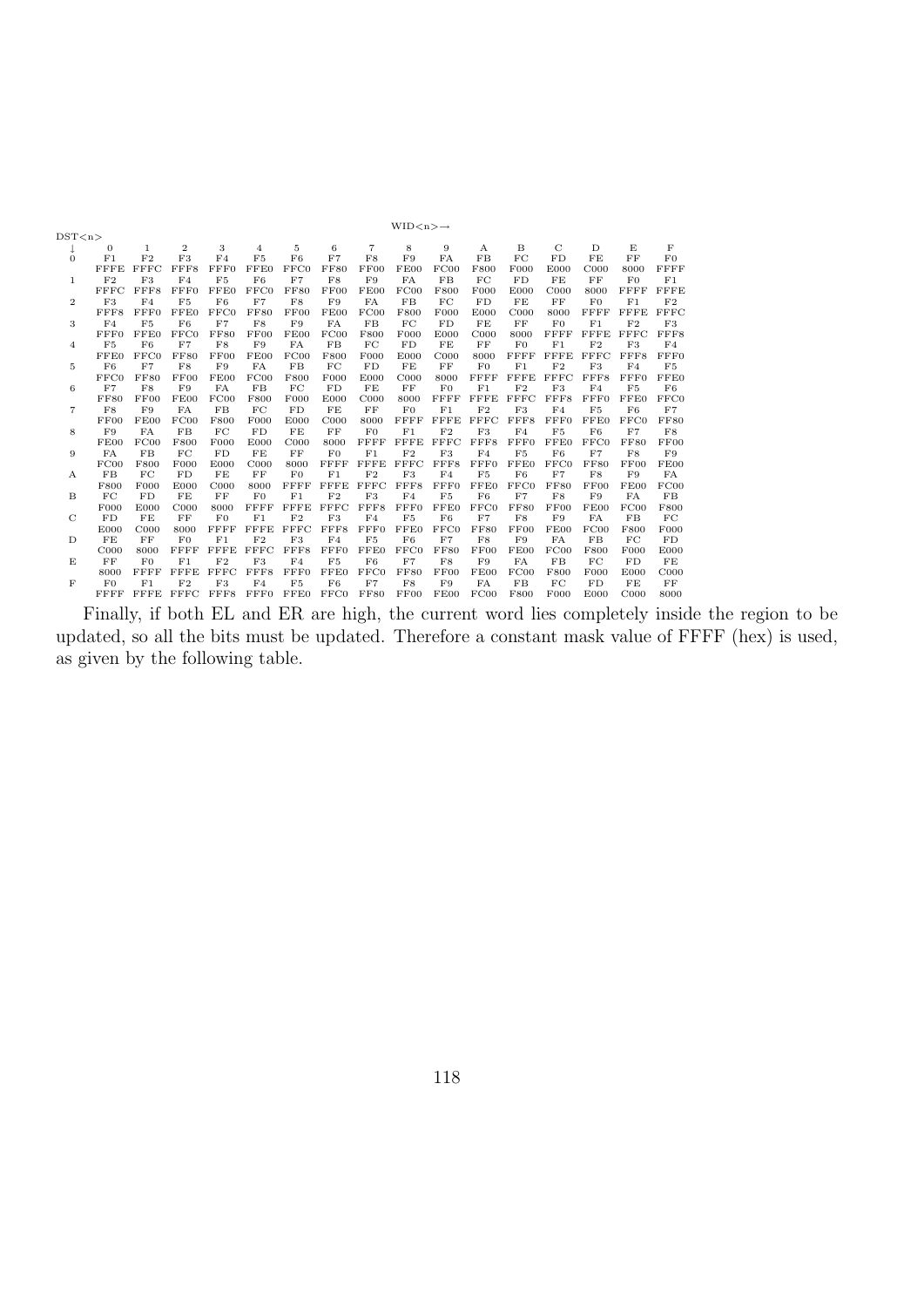|                  |                  | $WID < n > \rightarrow$ |                  |                  |                  |                  |                  |                  |                              |                  |                  |                  |                |                  |                  |                  |
|------------------|------------------|-------------------------|------------------|------------------|------------------|------------------|------------------|------------------|------------------------------|------------------|------------------|------------------|----------------|------------------|------------------|------------------|
| DST < n          |                  |                         |                  |                  |                  |                  |                  |                  |                              |                  |                  |                  |                |                  |                  |                  |
| ↓                | $\Omega$         | 1                       | $\overline{2}$   | 3                | $\overline{4}$   | 5                | 6                | $\overline{7}$   | 8                            | 9                | А                | в                | C              | D                | E                | F                |
| $\overline{0}$   | F1               | F <sub>2</sub>          | F3               | F <sub>4</sub>   | F5               | F6               | F7               | F8               | F9                           | FA               | FB               | FC               | FD             | FE               | FF               | F <sub>0</sub>   |
|                  | <b>FFFE</b>      | FFFC                    | FFF8             | FFF0             | FFE0             | FFC0             | <b>FF80</b>      | FF00             | FE00                         | FC00             | F800             | F <sub>000</sub> | E000           | C <sub>000</sub> | 8000             | FFFF             |
| $\mathbf{1}$     | F <sub>2</sub>   | F3                      | F <sub>4</sub>   | F <sub>5</sub>   | F6               | F7               | F8               | F9               | FA                           | FB               | FC               | FD               | FE             | FF               | F <sub>0</sub>   | F1               |
|                  | <b>FFFC</b>      | FFF8                    | FFF0             | FFE0             | FFCO             | <b>FF80</b>      | FF00             | FE00             | FC00                         | F800             | F <sub>000</sub> | E000             | C000           | 8000             | <b>FFFF</b>      | FFFE             |
| $\boldsymbol{2}$ | F3               | F <sub>4</sub>          | F5               | F6               | F7               | F8               | F9               | FA               | FB                           | FC               | FD               | FE               | $_{\rm FF}$    | F <sub>0</sub>   | F1               | F2               |
|                  | FFF8             | FFF0                    | FFE0             | FFCO             | <b>FF80</b>      | FF00             | FE00             | FC00             | F800                         | F <sub>000</sub> | E000             | C <sub>000</sub> | 8000           | FFFF             | <b>FFFE</b>      | <b>FFFC</b>      |
| 3                | F <sub>4</sub>   | F5                      | F6               | F7               | F8               | F9               | FA               | FB               | $_{\rm FC}$                  | FD               | FE               | FF               | F <sub>0</sub> | F1               | F2               | F3               |
|                  | FFF0             | FFE0                    | FFC0             | <b>FF80</b>      | FF00             | FE00             | FC00             | F800             | F000                         | E000             | C <sub>000</sub> | 8000             | FFFF           | <b>FFFE</b>      | <b>FFFC</b>      | FFF8             |
| $\overline{4}$   | F <sub>5</sub>   | F6                      | F7               | F8               | F9               | FA               | F <sub>B</sub>   | FC               | FD                           | FE               | FF               | F <sub>0</sub>   | F1             | F2               | F3               | F <sub>4</sub>   |
|                  | FFE0             | FFCO                    | <b>FF80</b>      | FF00             | FE00             | FC00             | F800             | F000             | E000                         | C <sub>000</sub> | 8000             | <b>FFFF</b>      | <b>FFFE</b>    | <b>FFFC</b>      | FFF8             | FFF0             |
| 5                | F6               | F7                      | F8               | F9               | <b>FA</b>        | FB               | FC               | FD               | FE                           | FF               | F <sub>0</sub>   | F1               | F <sub>2</sub> | F3               | F <sub>4</sub>   | F <sub>5</sub>   |
|                  | FFC0             | <b>FF80</b>             | FF00             | FE00             | FC00             | F800             | F <sub>000</sub> | E000             | C <sub>000</sub>             | 8000             | FFFF             | <b>FFFE</b>      | <b>FFFC</b>    | FFF8             | FFF0             | FFE0             |
| 6                | F7               | F8                      | F9               | FA               | FB               | $_{\rm FC}$      | FD               | FE               | FF                           | F <sub>0</sub>   | F1               | F <sub>2</sub>   | F3             | F <sub>4</sub>   | F5               | F6               |
|                  | <b>FF80</b>      | FF00                    | FE00             | FC00             | F800             | F <sub>000</sub> | E000             | C <sub>000</sub> | 8000                         | FFFF             | <b>FFFE</b>      | <b>FFFC</b>      | FFF8           | FFF0             | FFE0             | FFC0             |
| $\overline{7}$   | $_{\rm F8}$      | F9                      | FA               | FB               | FC               | FD               | FE               | FF               | F <sub>0</sub>               | F1               | F <sub>2</sub>   | F3               | F <sub>4</sub> | F5               | F6               | F7               |
|                  | FF00             | FE00                    | FC00             | F800             | F <sub>000</sub> | E000             | C <sub>000</sub> | 8000             | FFFF                         | FFFE             | FFFC             | FFF8             | FFF0           | FFE0             | FFC0             | <b>FF80</b>      |
| 8                | F9               | <b>FA</b>               | FB               | FC               | FD               | FE               | FF               | F <sub>0</sub>   | F1                           | F2               | F3               | F <sub>4</sub>   | F <sub>5</sub> | F <sub>6</sub>   | F7               | F8               |
|                  | FE00             | FC00                    | F800             | F000             | E000             | C000             | 8000             | <b>FFFF</b>      | FFFE                         | <b>FFFC</b>      | FFF8             | FFF0             | FFE0           | FFC0             | <b>FF80</b>      | FF00             |
| 9                | FA               | F <sub>B</sub>          | $_{\rm FC}$      | FD               | FE               | $_{\rm FF}$      | F <sub>0</sub>   | F1               | F2                           | F3               | F <sub>4</sub>   | F5               | F6             | F7               | F8               | F9               |
|                  | FC00             | F800                    | F <sub>000</sub> | E000             | C <sub>000</sub> | 8000             | FFFF             | <b>FFFE</b>      | $\ensuremath{\mathbf{FFFC}}$ | FFF8             | FFF0             | FFE0             | FFCO           | <b>FF80</b>      | FF00             | FE00             |
| А                | FB               | FC                      | FD               | FE               | FF               | F <sub>0</sub>   | F1               | F <sub>2</sub>   | F3                           | F <sub>4</sub>   | F <sub>5</sub>   | F6               | F7             | F8               | F9               | <b>FA</b>        |
|                  | F800             | F <sub>000</sub>        | E000             | C <sub>000</sub> | 8000             | <b>FFFF</b>      | <b>FFFE</b>      | <b>FFFC</b>      | FFF8                         | FFF0             | FFE0             | FFC0             | <b>FF80</b>    | FF00             | FE00             | FC00             |
| в                | FC               | FD                      | FE               | FF               | F <sub>0</sub>   | F1               | F2               | F3               | F <sub>4</sub>               | F <sub>5</sub>   | F6               | F7               | F8             | F9               | <b>FA</b>        | FB               |
|                  | F <sub>000</sub> | E000                    | C <sub>000</sub> | 8000             | <b>FFFF</b>      | <b>FFFE</b>      | FFFC             | FFF8             | FFF0                         | FFE0             | FFC0             | <b>FF80</b>      | FF00           | FE00             | FC00             | F800             |
| С                | FD               | FE                      | FF               | F <sub>0</sub>   | F1               | F2               | F3               | F <sub>4</sub>   | F <sub>5</sub>               | F6               | F7               | F8               | F9             | FA               | FB               | FC               |
|                  | E000             | C <sub>000</sub>        | 8000             | <b>FFFF</b>      | <b>FFFE</b>      | FFFC             | FFF8             | FFF0             | FFE0                         | FFCO             | <b>FF80</b>      | FF00             | FE00           | FC00             | F800             | F <sub>000</sub> |
| D                | FE               | FF                      | F <sub>0</sub>   | F1               | F2               | F3               | F <sub>4</sub>   | F <sub>5</sub>   | F6                           | F7               | F8               | F9               | <b>FA</b>      | FB               | FC               | FD               |
|                  | C000             | 8000                    | FFFF             | <b>FFFE</b>      | <b>FFFC</b>      | FFF8             | FFF0             | FFE0             | FFC0                         | <b>FF80</b>      | FF00             | FE00             | FC00           | F800             | F000             | E000             |
| E                | FF               | F <sub>0</sub>          | F1               | F <sub>2</sub>   | F3               | F <sub>4</sub>   | F <sub>5</sub>   | F6               | F7                           | F8               | F9               | FA               | FB             | $_{\rm FC}$      | FD               | FE               |
|                  | 8000             | FFFF                    | FFFE             | <b>FFFC</b>      | FFF8             | FFF0             | FFE0             | FFCO             | <b>FF80</b>                  | FF00             | FE00             | FC00             | F800           | F <sub>000</sub> | E000             | C000             |
| F                | F <sub>0</sub>   | F1                      | F <sub>2</sub>   | F3               | F <sub>4</sub>   | F <sub>5</sub>   | F6               | F7               | F8                           | F9               | <b>FA</b>        | FB               | FC             | FD               | FE               | FF               |
|                  | FFFF             | FFFE                    | FFFC             | FFF8             | FFF0             | <b>FFE0</b>      | FFCO             | <b>FF80</b>      | FF00                         | FE00             | FC00             | F800             | F000           | E000             | C <sub>000</sub> | 8000             |

Finally, if both EL and ER are high, the current word lies completely inside the region to be updated, so all the bits must be updated. Therefore a constant mask value of FFFF (hex) is used, as given by the following table.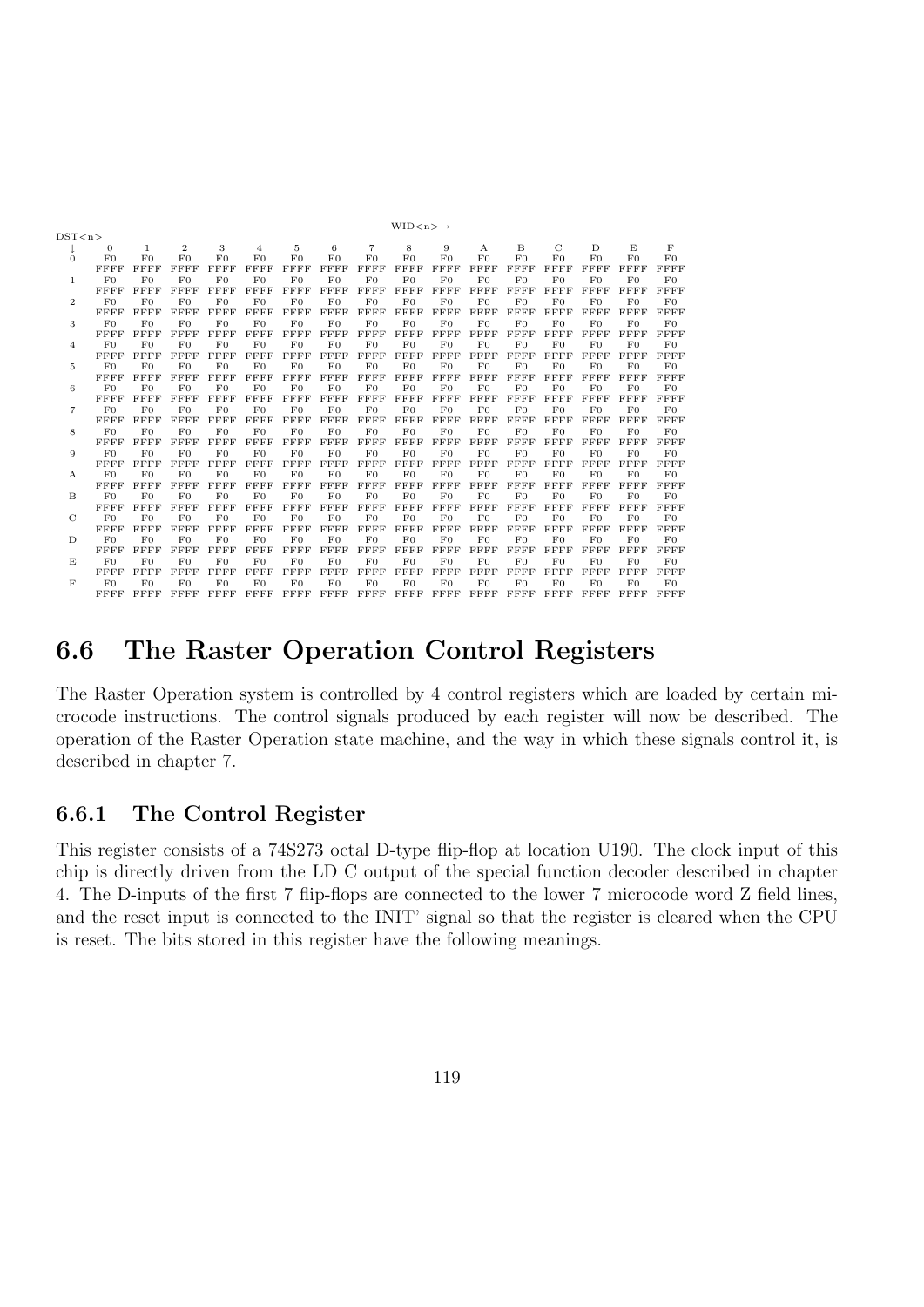|                |                |                |                |                |                |                |                |                | $WID < n > \rightarrow$ |                |                |                |                |                |                |                |
|----------------|----------------|----------------|----------------|----------------|----------------|----------------|----------------|----------------|-------------------------|----------------|----------------|----------------|----------------|----------------|----------------|----------------|
| DST < n >      |                |                |                |                |                |                |                |                |                         |                |                |                |                |                |                |                |
|                | $\Omega$       | 1              | $\overline{2}$ | 3              | $\overline{4}$ | 5              | 6              | $\overline{7}$ | 8                       | 9              | A              | в              | C              | D              | E              | F              |
| $\Omega$       | F <sub>0</sub> | F <sub>0</sub> | F()            | F <sub>0</sub> | F <sub>0</sub> | F <sub>0</sub> | F <sub>0</sub> | F <sub>0</sub> | F()                     | F <sub>0</sub> | $_{\rm F0}$    | F <sub>0</sub> | F()            | F()            | F <sub>0</sub> | F <sub>0</sub> |
|                | FFFF           | FFFF           | FFFF           | FFFF           | <b>FFFF</b>    | FFFF           | FFFF           | FFFF           | FFFF                    | FFFF           | <b>FFFF</b>    | FFFF           | FFFF           | FFFF           | FFFF           | FFFF           |
| 1              | F <sub>0</sub> | $_{\rm F0}$    | F <sub>0</sub> | F <sub>0</sub> | F <sub>0</sub> | F <sub>0</sub> | F <sub>0</sub> | F <sub>0</sub> | F <sub>0</sub>          | F <sub>0</sub> | $_{\rm F0}$    | F <sub>0</sub> | F <sub>0</sub> | F <sub>0</sub> | $_{\rm F0}$    | F <sub>0</sub> |
|                | FFFF           | <b>FFFF</b>    | FFFF           | FFFF           | FFFF           | FFFF           | FFFF           | FFFF           | FFFF                    | FFFF           | FFFF           | FFFF           | FFFF           | FFFF           | FFFF           | <b>FFFF</b>    |
| $\overline{2}$ | F <sub>0</sub> | $_{\rm F0}$    | F <sub>0</sub> | F <sub>0</sub> | F <sub>0</sub> | F <sub>0</sub> | F <sub>0</sub> | F <sub>0</sub> | F <sub>0</sub>          | F <sub>0</sub> | $_{\rm F0}$    | F <sub>0</sub> | F <sub>0</sub> | F <sub>0</sub> | F <sub>0</sub> | $_{\rm F0}$    |
|                | FFFF           | FFFF           | FFFF           | FFFF           | FFFF           | FFFF           | FFFF           | FFFF           | FFFF                    | <b>FFFF</b>    | <b>FFFF</b>    | FFFF           | FFFF           | <b>FFFF</b>    | <b>FFFF</b>    | <b>FFFF</b>    |
| 3              | F <sub>0</sub> | F <sub>0</sub> | $_{\rm F0}$    | F <sub>0</sub> | F <sub>0</sub> | F <sub>0</sub> | $_{\rm F0}$    | $_{\rm F0}$    | F <sub>0</sub>          | F <sub>0</sub> | $_{\rm F0}$    | F <sub>0</sub> | F <sub>0</sub> | F <sub>0</sub> | $_{\rm F0}$    | $_{\rm F0}$    |
|                | FFFF           | FFFF           | FFFF           | FFFF           | FFFF           | FFFF           | FFFF           | FFFF           | FFFF                    | FFFF           | FFFF           | FFFF           | FFFF           | FFFF           | FFFF           | FFFF           |
| $\overline{4}$ | F <sub>0</sub> | F <sub>0</sub> | $_{\rm F0}$    | F <sub>0</sub> | $_{\rm F0}$    | F <sub>0</sub> | F <sub>0</sub> | F <sub>0</sub> | F <sub>0</sub>          | F <sub>0</sub> | F <sub>0</sub> | $_{\rm F0}$    | F <sub>0</sub> | $_{\rm F0}$    | F <sub>0</sub> | F <sub>0</sub> |
|                | FFFF           | FFFF           | FFFF           | FFFF           | FFFF           | FFFF           | FFFF           | FFFF           | FFFF                    | FFFF           | <b>FFFF</b>    | FFFF           | FFFF           | FFFF           | FFFF           | FFFF           |
| 5              | F <sub>0</sub> | $_{\rm F0}$    | F <sub>0</sub> | F <sub>0</sub> | $_{\rm F0}$    | $_{\rm F0}$    | $_{\rm F0}$    | F <sub>0</sub> | $_{\rm F0}$             | F <sub>0</sub> | $_{\rm F0}$    | F <sub>0</sub> | F <sub>0</sub> | F <sub>0</sub> | $_{\rm F0}$    | F <sub>0</sub> |
|                | FFFF           | FFFF           | FFFF           | <b>FFFF</b>    | FFFF           | FFFF           | FFFF           | FFFF           | FFFF                    | FFFF           | FFFF           | FFFF           | FFFF           | FFFF           | FFFF           | FFFF           |
| 6              | F <sub>0</sub> | F <sub>0</sub> | F <sub>0</sub> | F <sub>0</sub> | F <sub>0</sub> | F <sub>0</sub> | F <sub>0</sub> | $_{\rm F0}$    | F <sub>0</sub>          | F <sub>0</sub> | $_{\rm F0}$    | F <sub>0</sub> | F <sub>0</sub> | F <sub>0</sub> | $_{\rm F0}$    | $_{\rm F0}$    |
|                | FFFF           | FFFF           | FFFF           | <b>FFFF</b>    | FFFF           | FFFF           | FFFF           | FFFF           | FFFF                    | FFFF           | <b>FFFF</b>    | FFFF           | FFFF           | FFFF           | FFFF           | FFFF           |
| 7              | F <sub>0</sub> | F <sub>0</sub> | F()            | F <sub>0</sub> | F <sub>0</sub> | F <sub>0</sub> | F <sub>0</sub> | $_{\rm F0}$    | F <sub>0</sub>          | F <sub>0</sub> | F <sub>0</sub> | F <sub>0</sub> | F()            | F <sub>0</sub> | F()            | $_{\rm F0}$    |
|                | FFFF           | FFFF           | FFFF           | FFFF           | FFFF           | FFFF           | FFFF           | FFFF           | FFFF                    | FFFF           | FFFF           | FFFF           | FFFF           | FFFF           | FFFF           | FFFF           |
| 8              | F <sub>0</sub> | $_{\rm F0}$    | $_{\rm F0}$    | F <sub>0</sub> | F <sub>0</sub> | F <sub>0</sub> | F <sub>0</sub> | F <sub>0</sub> | F <sub>0</sub>          | F <sub>0</sub> | $_{\rm F0}$    | F <sub>0</sub> | F <sub>0</sub> | $_{\rm F0}$    | $_{\rm F0}$    | F <sub>0</sub> |
|                | FFFF           | <b>FFFF</b>    | FFFF           | FFFF           | FFFF           | FFFF           | FFFF           | FFFF           | FFFF                    | FFFF           | FFFF           | FFFF           | FFFF           | FFFF           | <b>FFFF</b>    | <b>FFFF</b>    |
| 9              | F <sub>0</sub> | F()            | F()            | F <sub>0</sub> | F <sub>0</sub> | F <sub>0</sub> | F <sub>0</sub> | $_{\rm F0}$    | F <sub>0</sub>          | F <sub>0</sub> | $_{\rm F0}$    | $_{\rm F0}$    | F <sub>0</sub> | F <sub>0</sub> | F <sub>0</sub> | $_{\rm F0}$    |
|                | FFFF           | FFFF           | FFFF           | FFFF           | FFFF           | FFFF           | FFFF           | FFFF           | FFFF                    | FFFF           | <b>FFFF</b>    | FFFF           | FFFF           | FFFF           | <b>FFFF</b>    | FFFF           |
| A              | F <sub>0</sub> | F()            | F()            | F <sub>0</sub> | F <sub>0</sub> | F <sub>0</sub> | F <sub>0</sub> | $_{\rm F0}$    | F <sub>0</sub>          | F <sub>0</sub> | $_{\rm F0}$    | F <sub>0</sub> | F()            | F()            | F <sub>0</sub> | F <sub>0</sub> |
|                | FFFF           | <b>FFFF</b>    | FFFF           | <b>FFFF</b>    | FFFF           | FFFF           | FFFF           | <b>FFFF</b>    | FFFF                    | FFFF           | FFFF           | FFFF           | FFFF           | FFFF           | <b>FFFF</b>    | <b>FFFF</b>    |
| B              | F <sub>0</sub> | F <sub>0</sub> | F <sub>0</sub> | F <sub>0</sub> | F <sub>0</sub> | F <sub>0</sub> | F <sub>0</sub> | F <sub>0</sub> | F <sub>0</sub>          | F <sub>0</sub> | $_{\rm F0}$    | F <sub>0</sub> | F <sub>0</sub> | F <sub>0</sub> | F <sub>0</sub> | F <sub>0</sub> |
|                | FFFF           | <b>FFFF</b>    | FFFF           | FFFF           | FFFF           | FFFF           | FFFF           | FFFF           | FFFF                    | FFFF           | FFFF           | FFFF           | FFFF           | FFFF           | FFFF           | <b>FFFF</b>    |
| $\mathcal{C}$  | F <sub>0</sub> | F <sub>0</sub> | F <sub>0</sub> | F <sub>0</sub> | F <sub>0</sub> | F <sub>0</sub> | F <sub>0</sub> | F <sub>0</sub> | F <sub>0</sub>          | F <sub>0</sub> | $_{\rm F0}$    | F <sub>0</sub> | F <sub>0</sub> | F <sub>0</sub> | F <sub>0</sub> | F <sub>0</sub> |
|                | FFFF           | <b>FFFF</b>    | FFFF           | FFFF           | FFFF           | FFFF           | FFFF           | FFFF           | FFFF                    | <b>FFFF</b>    | FFFF           | FFFF           | FFFF           | FFFF           | FFFF           | FFFF           |
| D              | F <sub>0</sub> | F <sub>0</sub> | F()            | F <sub>0</sub> | F <sub>0</sub> | F <sub>0</sub> | F <sub>0</sub> | F <sub>0</sub> | F()                     | F <sub>0</sub> | F <sub>0</sub> | F()            | F()            | F()            | F()            | F <sub>0</sub> |
|                | FFFF           | FFFF           | FFFF           | <b>FFFF</b>    | <b>FFFF</b>    | FFFF           | FFFF           | FFFF           | FFFF                    | FFFF           | <b>FFFF</b>    | <b>FFFF</b>    | <b>FFFF</b>    | FFFF           | <b>FFFF</b>    | FFFF           |
| E              | F <sub>0</sub> | F <sub>0</sub> | F()            | F <sub>0</sub> | F <sub>0</sub> | F <sub>0</sub> | F <sub>0</sub> | F <sub>0</sub> | F()                     | F <sub>0</sub> | F <sub>0</sub> | F <sub>0</sub> | F <sub>0</sub> | F <sub>0</sub> | F()            | F <sub>0</sub> |
|                | FFFF           | FFFF           | FFFF           | FFFF           | FFFF           | FFFF           | FFFF           | FFFF           | FFFF                    | FFFF           | FFFF           | FFFF           | FFFF           | FFFF           | FFFF           | FFFF           |
| F              | F <sub>0</sub> | $_{\rm F0}$    | $_{\rm F0}$    | F <sub>0</sub> | F <sub>0</sub> | F <sub>0</sub> | F <sub>0</sub> | F <sub>0</sub> | F <sub>0</sub>          | F <sub>0</sub> | $_{\rm F0}$    | $_{\rm F0}$    | F <sub>0</sub> | $_{\rm F0}$    | $_{\rm F0}$    | $_{\rm F0}$    |
|                | FFFF           | FFFF           | FFFF           | FFFF           | FFFF           | FFFF           | <b>FFFF</b>    | FFFF           | FFFF                    | FFFF           | FFFF           | FFFF           | FFFF           | FFFF           | FFFF           | FFFF           |

# 6.6 The Raster Operation Control Registers

The Raster Operation system is controlled by 4 control registers which are loaded by certain microcode instructions. The control signals produced by each register will now be described. The operation of the Raster Operation state machine, and the way in which these signals control it, is described in chapter 7.

### 6.6.1 The Control Register

This register consists of a 74S273 octal D-type flip-flop at location U190. The clock input of this chip is directly driven from the LD C output of the special function decoder described in chapter 4. The D-inputs of the first 7 flip-flops are connected to the lower 7 microcode word Z field lines, and the reset input is connected to the INIT' signal so that the register is cleared when the CPU is reset. The bits stored in this register have the following meanings.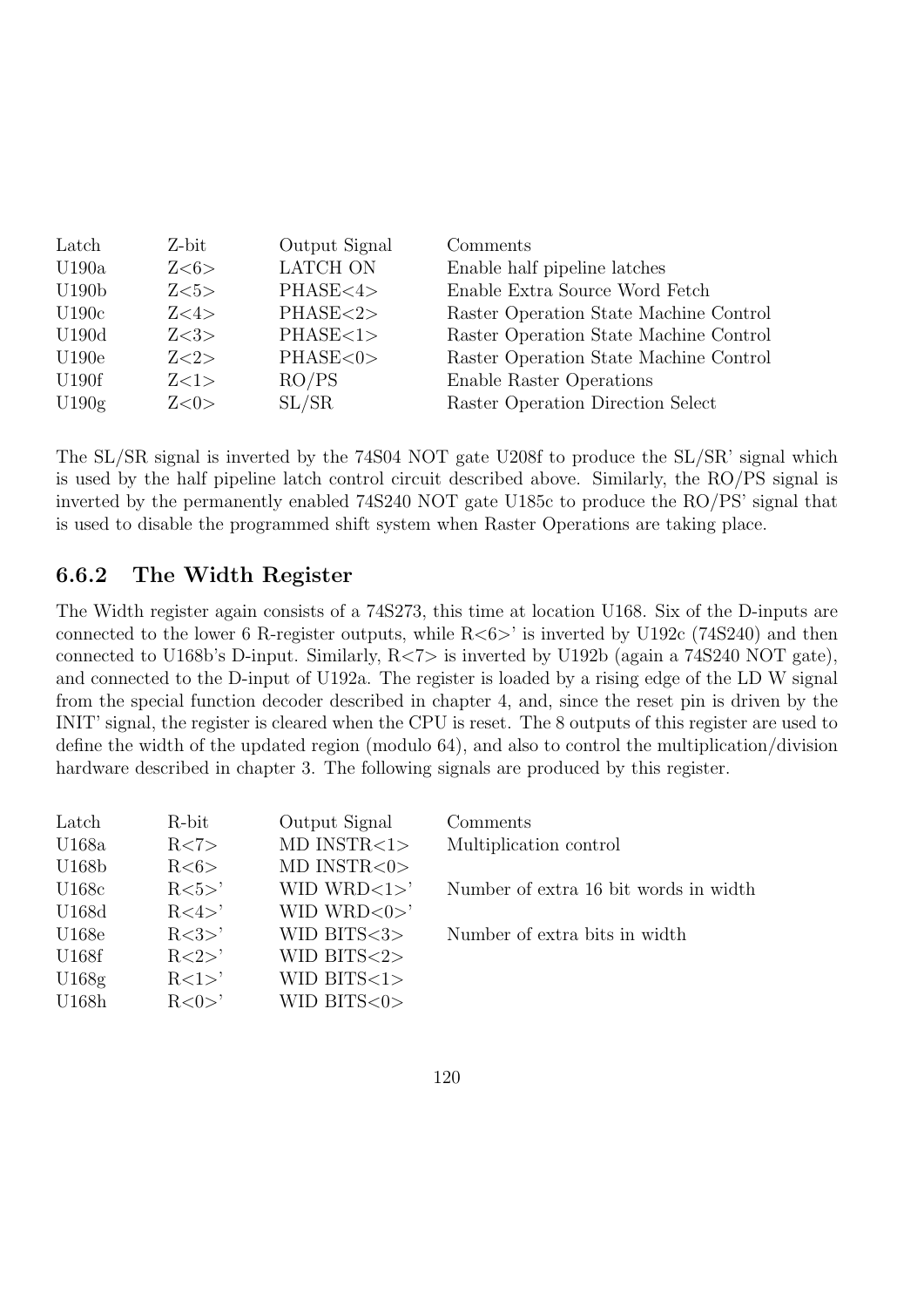| Latch             | Z-bit  | Output Signal   | Comments                               |
|-------------------|--------|-----------------|----------------------------------------|
| U190a             | Z<6>   | <b>LATCH ON</b> | Enable half pipeline latches           |
| U190 <sub>b</sub> | Z<5>   | PHASE<4>        | Enable Extra Source Word Fetch         |
| U190c             | Z<4>   | PHASE < 2>      | Raster Operation State Machine Control |
| U190d             | Z<3>   | PHASE<1>        | Raster Operation State Machine Control |
| U190e             | Z < 2> | PHASE<0>        | Raster Operation State Machine Control |
| <b>U190f</b>      | Z<1>   | RO/PS           | Enable Raster Operations               |
| U190g             | Z<0>   | SL/SR           | Raster Operation Direction Select      |

The SL/SR signal is inverted by the 74S04 NOT gate U208f to produce the SL/SR' signal which is used by the half pipeline latch control circuit described above. Similarly, the RO/PS signal is inverted by the permanently enabled 74S240 NOT gate U185c to produce the RO/PS' signal that is used to disable the programmed shift system when Raster Operations are taking place.

# 6.6.2 The Width Register

The Width register again consists of a 74S273, this time at location U168. Six of the D-inputs are connected to the lower 6 R-register outputs, while  $R<6>$  is inverted by U192c (74S240) and then connected to U168b's D-input. Similarly, R<7> is inverted by U192b (again a 74S240 NOT gate), and connected to the D-input of U192a. The register is loaded by a rising edge of the LD W signal from the special function decoder described in chapter 4, and, since the reset pin is driven by the INIT' signal, the register is cleared when the CPU is reset. The 8 outputs of this register are used to define the width of the updated region (modulo 64), and also to control the multiplication/division hardware described in chapter 3. The following signals are produced by this register.

| Latch | R-bit    | Output Signal              | Comments                              |
|-------|----------|----------------------------|---------------------------------------|
| U168a | R < 7>   | $MD$ $INSTR < 1$           | Multiplication control                |
| U168b | R<6>     | $MD$ $INSTR < 0$           |                                       |
| U168c | $R<5>$ ' | WID WRD $<1>$ <sup>'</sup> | Number of extra 16 bit words in width |
| U168d | R < 4 >' | WID WRD $<0>^{\circ}$      |                                       |
| U168e | R < 3>   | WID BITS $<$ 3 $>$         | Number of extra bits in width         |
| U168f | R < 2 >' | WID BITS $<2>$             |                                       |
| U168g | $R<1>$ ' | WID BITS $<1>$             |                                       |
| U168h | R < 0 >' | WID BITS $<0>$             |                                       |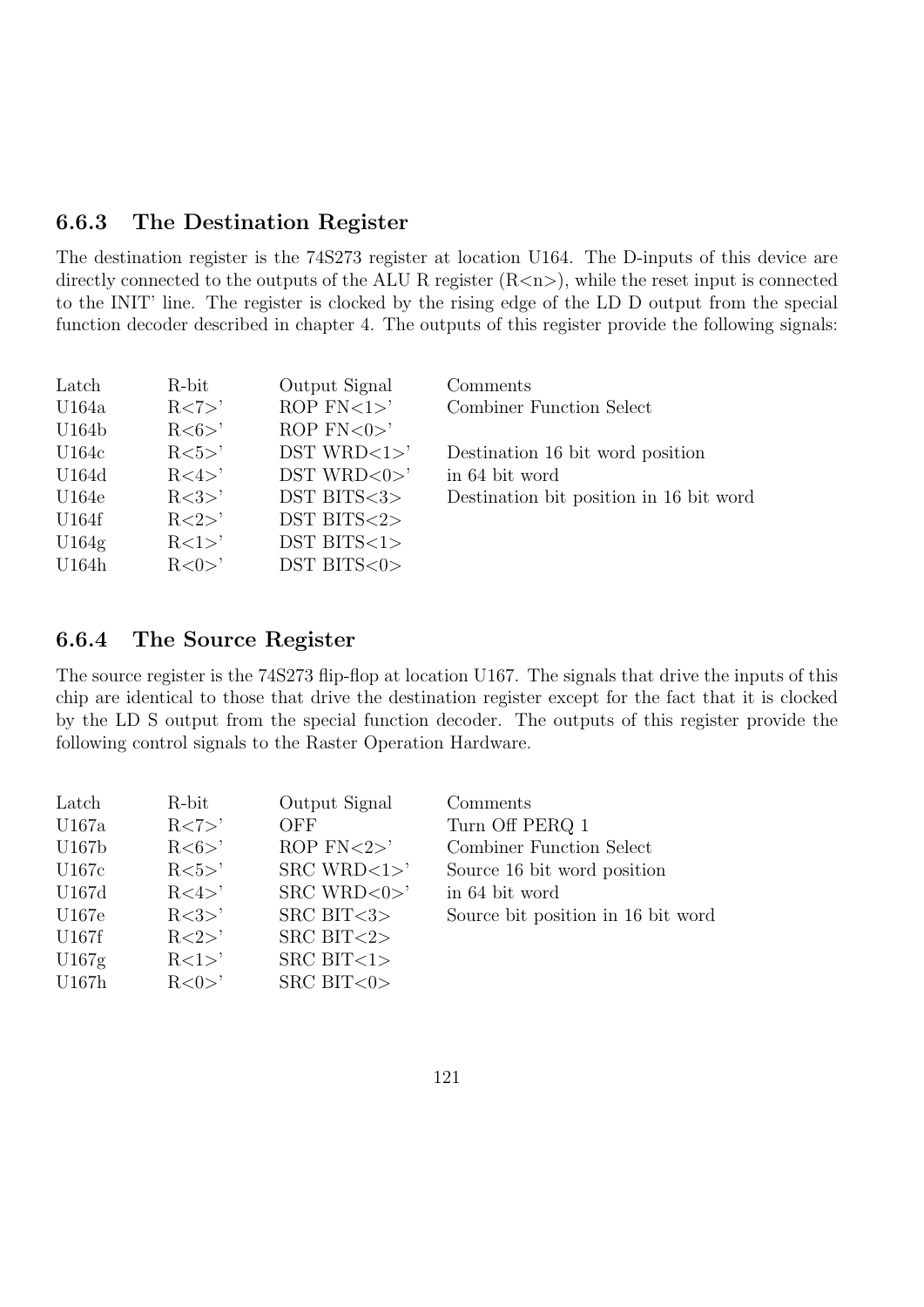## 6.6.3 The Destination Register

The destination register is the 74S273 register at location U164. The D-inputs of this device are directly connected to the outputs of the ALU R register  $(R \le n)$ , while the reset input is connected to the INIT' line. The register is clocked by the rising edge of the LD D output from the special function decoder described in chapter 4. The outputs of this register provide the following signals:

| Latch | R-bit          | Output Signal              | Comments                                |
|-------|----------------|----------------------------|-----------------------------------------|
| U164a | R < 7>         | ROP $FN < 1 >'$            | <b>Combiner Function Select</b>         |
| U164b | R < 6 >'       | ROP $FN < 0 >'$            |                                         |
| U164c | $R<5>$ '       | DST WRD $<1>$ <sup>'</sup> | Destination 16 bit word position        |
| U164d | R < 4 >'       | DST WRD $<0>^{\circ}$      | in 64 bit word                          |
| U164e | R < 3>         | $DST$ BITS $3$             | Destination bit position in 16 bit word |
| U164f | $R < 2>$ '     | $DST$ BITS $<2>$           |                                         |
| U164g | $R<1>^{\circ}$ | $DST$ BITS $<1>$           |                                         |
| U164h | R < 0 >'       | $DST$ BITS $<0>$           |                                         |

### 6.6.4 The Source Register

The source register is the 74S273 flip-flop at location U167. The signals that drive the inputs of this chip are identical to those that drive the destination register except for the fact that it is clocked by the LD S output from the special function decoder. The outputs of this register provide the following control signals to the Raster Operation Hardware.

| Latch<br>U167a<br>U167b<br>U167c<br>U167d<br>U167e<br>U167f<br>U167g | R-bit<br>R < 7><br>R < 6 >'<br>$R<5>$ '<br>R < 4 >'<br>R < 3><br>$R < 2>$ '<br>$R<1>^{\prime}$ | Output Signal<br><b>OFF</b><br>ROP $FN < 2$<br>$SRC$ WRD $<1>$ <sup>'</sup><br>$SRC$ WRD $<0>$<br>SRC BIT $<3>$<br>SRC BIT $<2>$<br>SRC BIT $<1>$ | Comments<br>Turn Off PERQ 1<br>Combiner Function Select<br>Source 16 bit word position<br>in 64 bit word<br>Source bit position in 16 bit word |
|----------------------------------------------------------------------|------------------------------------------------------------------------------------------------|---------------------------------------------------------------------------------------------------------------------------------------------------|------------------------------------------------------------------------------------------------------------------------------------------------|
| U167h                                                                | R < 0 >'                                                                                       | SRC BIT $<0>$                                                                                                                                     |                                                                                                                                                |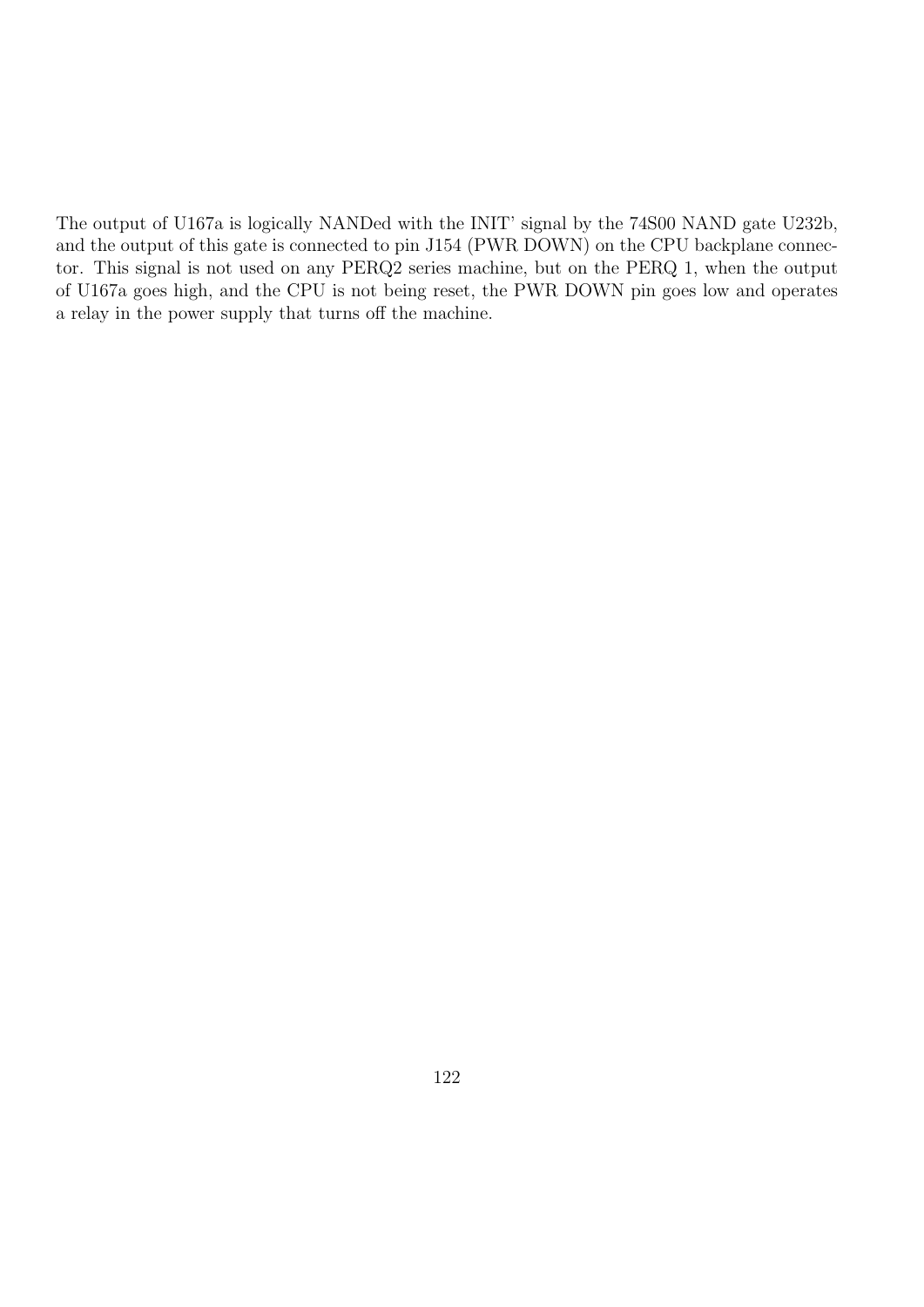The output of U167a is logically NANDed with the INIT' signal by the 74S00 NAND gate U232b, and the output of this gate is connected to pin J154 (PWR DOWN) on the CPU backplane connector. This signal is not used on any PERQ2 series machine, but on the PERQ 1, when the output of U167a goes high, and the CPU is not being reset, the PWR DOWN pin goes low and operates a relay in the power supply that turns off the machine.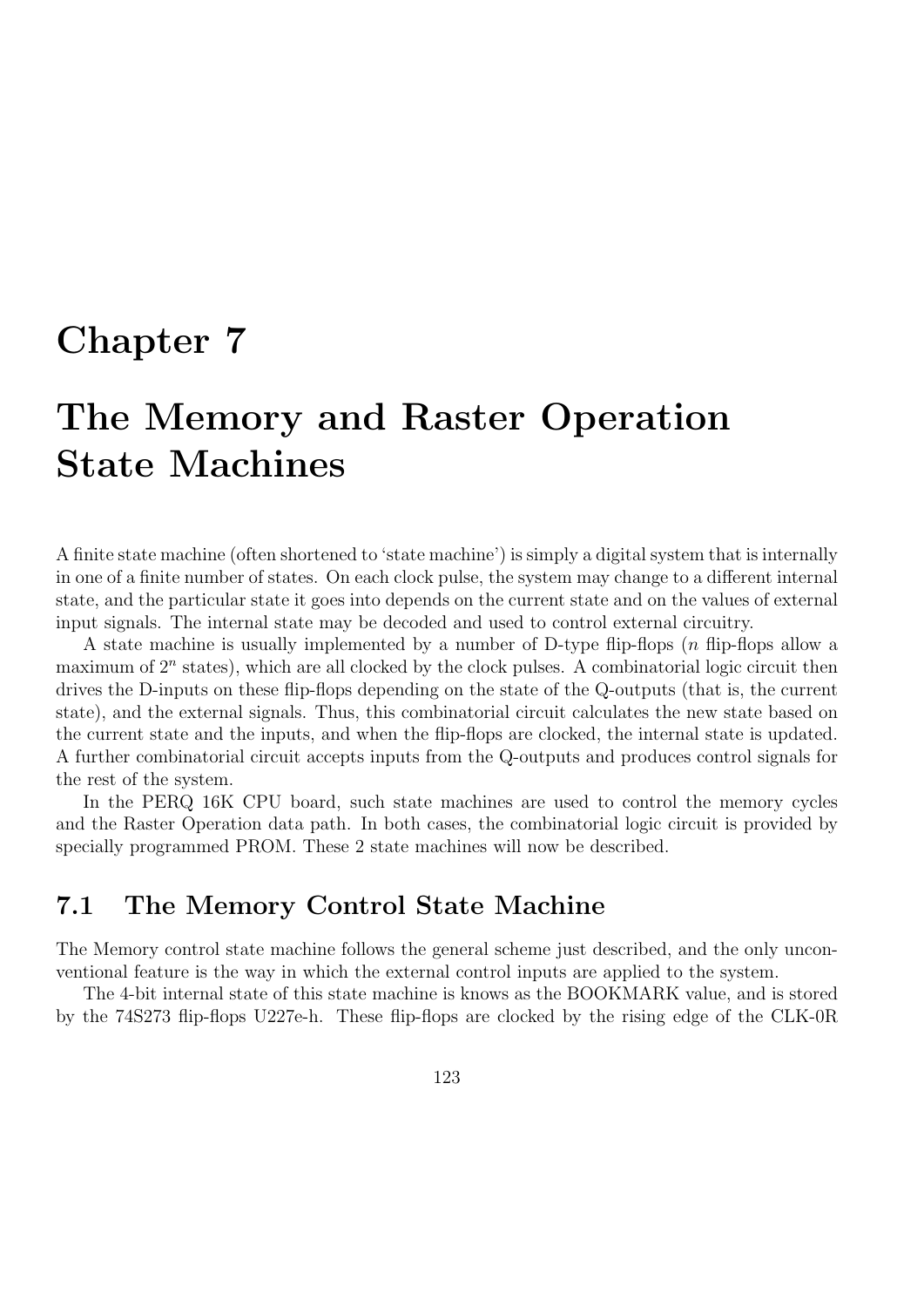# Chapter 7

# The Memory and Raster Operation State Machines

A finite state machine (often shortened to 'state machine') is simply a digital system that is internally in one of a finite number of states. On each clock pulse, the system may change to a different internal state, and the particular state it goes into depends on the current state and on the values of external input signals. The internal state may be decoded and used to control external circuitry.

A state machine is usually implemented by a number of D-type flip-flops (n flip-flops allow a maximum of  $2^n$  states), which are all clocked by the clock pulses. A combinatorial logic circuit then drives the D-inputs on these flip-flops depending on the state of the Q-outputs (that is, the current state), and the external signals. Thus, this combinatorial circuit calculates the new state based on the current state and the inputs, and when the flip-flops are clocked, the internal state is updated. A further combinatorial circuit accepts inputs from the Q-outputs and produces control signals for the rest of the system.

In the PERQ 16K CPU board, such state machines are used to control the memory cycles and the Raster Operation data path. In both cases, the combinatorial logic circuit is provided by specially programmed PROM. These 2 state machines will now be described.

# 7.1 The Memory Control State Machine

The Memory control state machine follows the general scheme just described, and the only unconventional feature is the way in which the external control inputs are applied to the system.

The 4-bit internal state of this state machine is knows as the BOOKMARK value, and is stored by the 74S273 flip-flops U227e-h. These flip-flops are clocked by the rising edge of the CLK-0R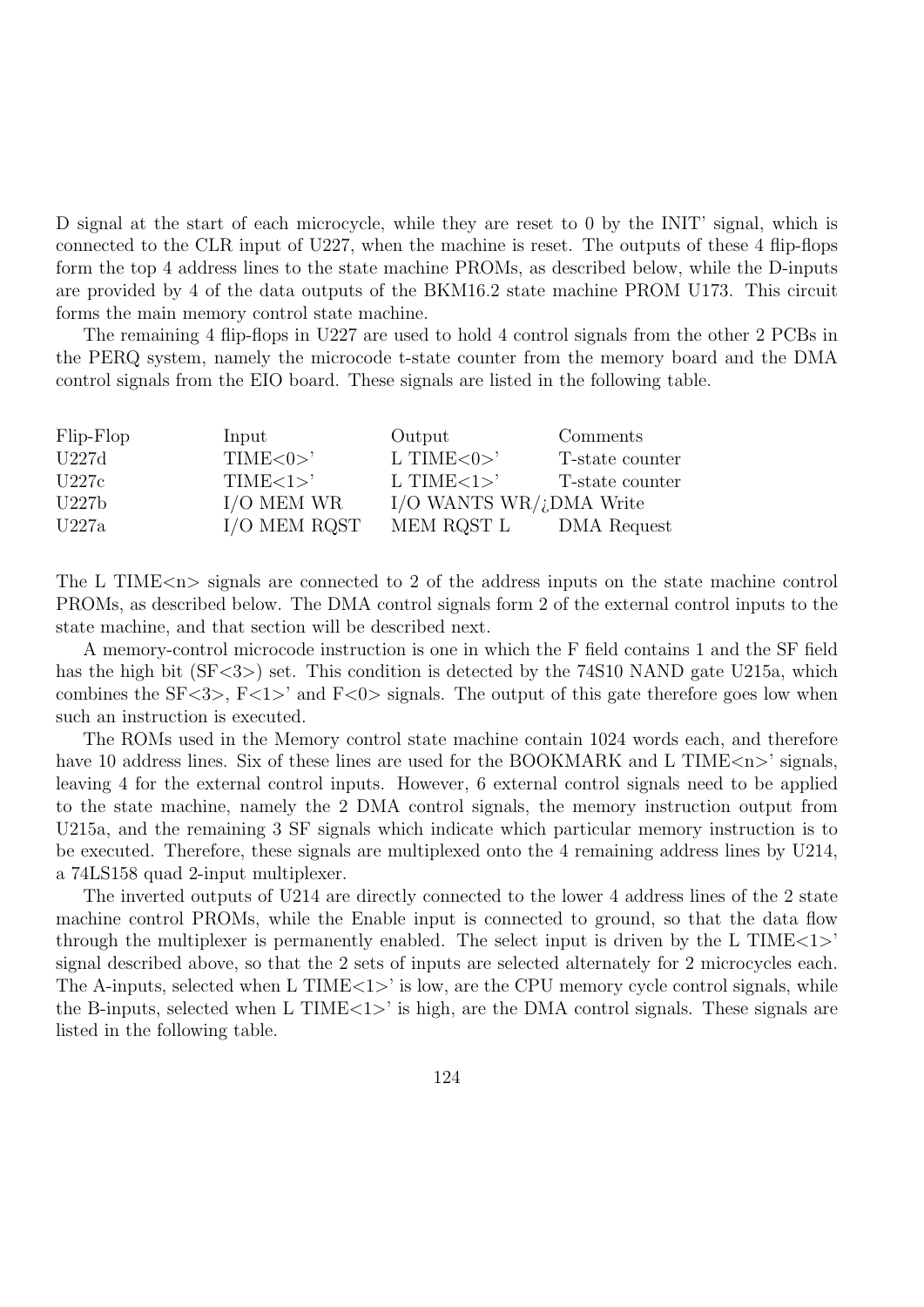D signal at the start of each microcycle, while they are reset to 0 by the INIT' signal, which is connected to the CLR input of U227, when the machine is reset. The outputs of these 4 flip-flops form the top 4 address lines to the state machine PROMs, as described below, while the D-inputs are provided by 4 of the data outputs of the BKM16.2 state machine PROM U173. This circuit forms the main memory control state machine.

The remaining 4 flip-flops in U227 are used to hold 4 control signals from the other 2 PCBs in the PERQ system, namely the microcode t-state counter from the memory board and the DMA control signals from the EIO board. These signals are listed in the following table.

| Flip-Flop | Input          | Output                  | Comments        |
|-----------|----------------|-------------------------|-----------------|
| U227d     | TIME < 0>      | L TIME $<0>$ '          | T-state counter |
| U227c     | TIME < 1>      | L TIME $<1>$ '          | T-state counter |
| U227b     | $I/O$ MEM WR   | I/O WANTS WR/¿DMA Write |                 |
| U227a     | $I/O$ MEM RQST | MEM RQST L              | DMA Request     |

The L TIME $\langle n \rangle$  signals are connected to 2 of the address inputs on the state machine control PROMs, as described below. The DMA control signals form 2 of the external control inputs to the state machine, and that section will be described next.

A memory-control microcode instruction is one in which the F field contains 1 and the SF field has the high bit  $(SF<3>)$  set. This condition is detected by the 74S10 NAND gate U215a, which combines the  $SF < 3$ ,  $F < 1$ ' and  $F < 0$ ' signals. The output of this gate therefore goes low when such an instruction is executed.

The ROMs used in the Memory control state machine contain 1024 words each, and therefore have 10 address lines. Six of these lines are used for the BOOKMARK and L TIME $\langle n \rangle$  signals, leaving 4 for the external control inputs. However, 6 external control signals need to be applied to the state machine, namely the 2 DMA control signals, the memory instruction output from U215a, and the remaining 3 SF signals which indicate which particular memory instruction is to be executed. Therefore, these signals are multiplexed onto the 4 remaining address lines by U214, a 74LS158 quad 2-input multiplexer.

The inverted outputs of U214 are directly connected to the lower 4 address lines of the 2 state machine control PROMs, while the Enable input is connected to ground, so that the data flow through the multiplexer is permanently enabled. The select input is driven by the L TIME<1>' signal described above, so that the 2 sets of inputs are selected alternately for 2 microcycles each. The A-inputs, selected when L TIME $\langle 1 \rangle$  is low, are the CPU memory cycle control signals, while the B-inputs, selected when L TIME<1>' is high, are the DMA control signals. These signals are listed in the following table.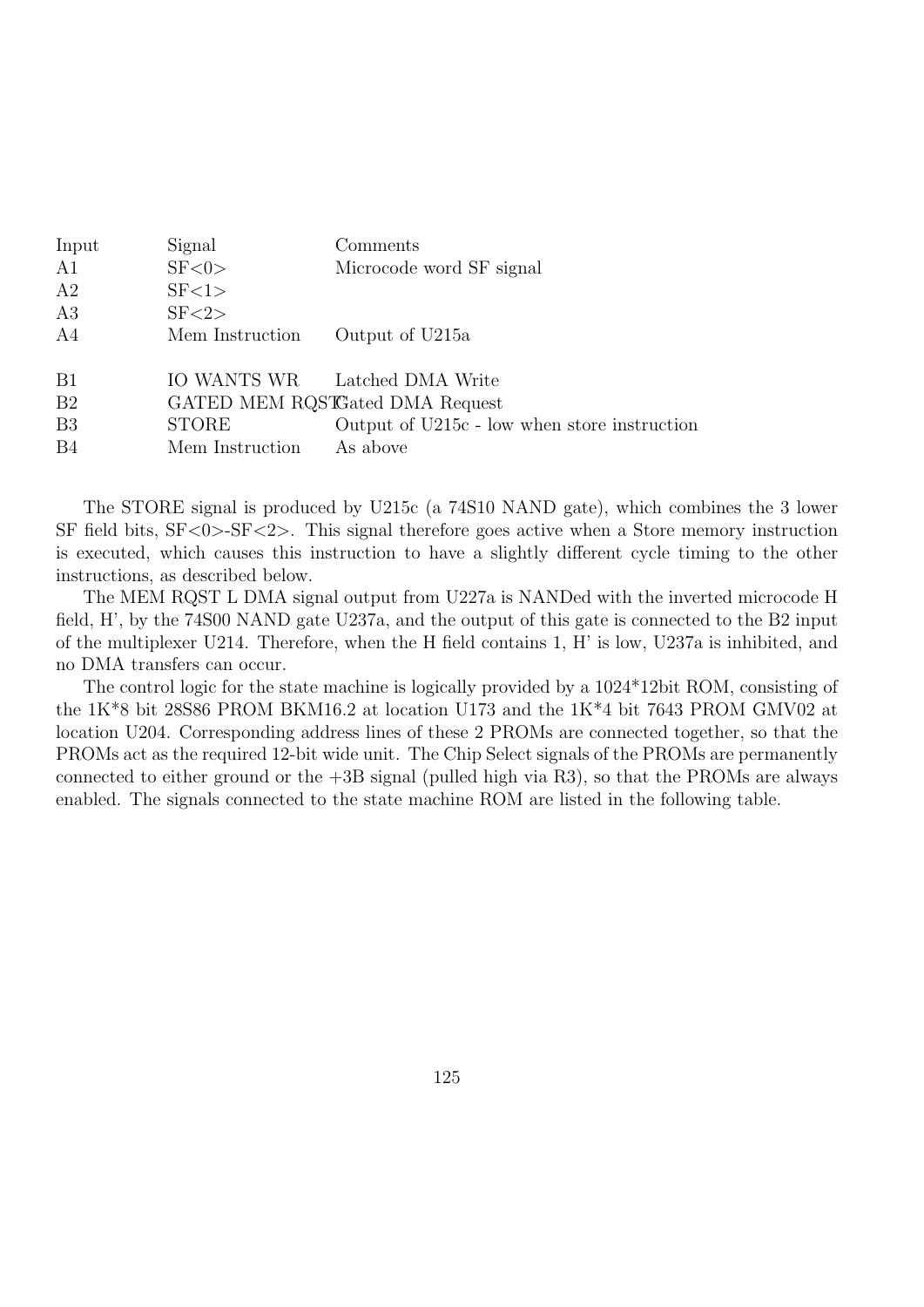| Input          | Signal          | Comments                                     |
|----------------|-----------------|----------------------------------------------|
| A1             | SF < 0          | Microcode word SF signal                     |
| A2             | SF < 1          |                                              |
| A3             | SF < 2          |                                              |
| A4             | Mem Instruction | Output of U215a                              |
|                |                 |                                              |
| <b>B1</b>      |                 | IO WANTS WR Latched DMA Write                |
| B <sub>2</sub> |                 | GATED MEM RQSTGated DMA Request              |
| B <sub>3</sub> | <b>STORE</b>    | Output of U215c - low when store instruction |
| <b>B</b> 4     | Mem Instruction | As above                                     |

The STORE signal is produced by U215c (a 74S10 NAND gate), which combines the 3 lower SF field bits,  $SF < 0$  >  $SF < 2$  >. This signal therefore goes active when a Store memory instruction is executed, which causes this instruction to have a slightly different cycle timing to the other instructions, as described below.

The MEM RQST L DMA signal output from U227a is NANDed with the inverted microcode H field, H', by the 74S00 NAND gate U237a, and the output of this gate is connected to the B2 input of the multiplexer U214. Therefore, when the H field contains 1, H' is low, U237a is inhibited, and no DMA transfers can occur.

The control logic for the state machine is logically provided by a 1024\*12bit ROM, consisting of the 1K\*8 bit 28S86 PROM BKM16.2 at location U173 and the 1K\*4 bit 7643 PROM GMV02 at location U204. Corresponding address lines of these 2 PROMs are connected together, so that the PROMs act as the required 12-bit wide unit. The Chip Select signals of the PROMs are permanently connected to either ground or the  $+3B$  signal (pulled high via R3), so that the PROMs are always enabled. The signals connected to the state machine ROM are listed in the following table.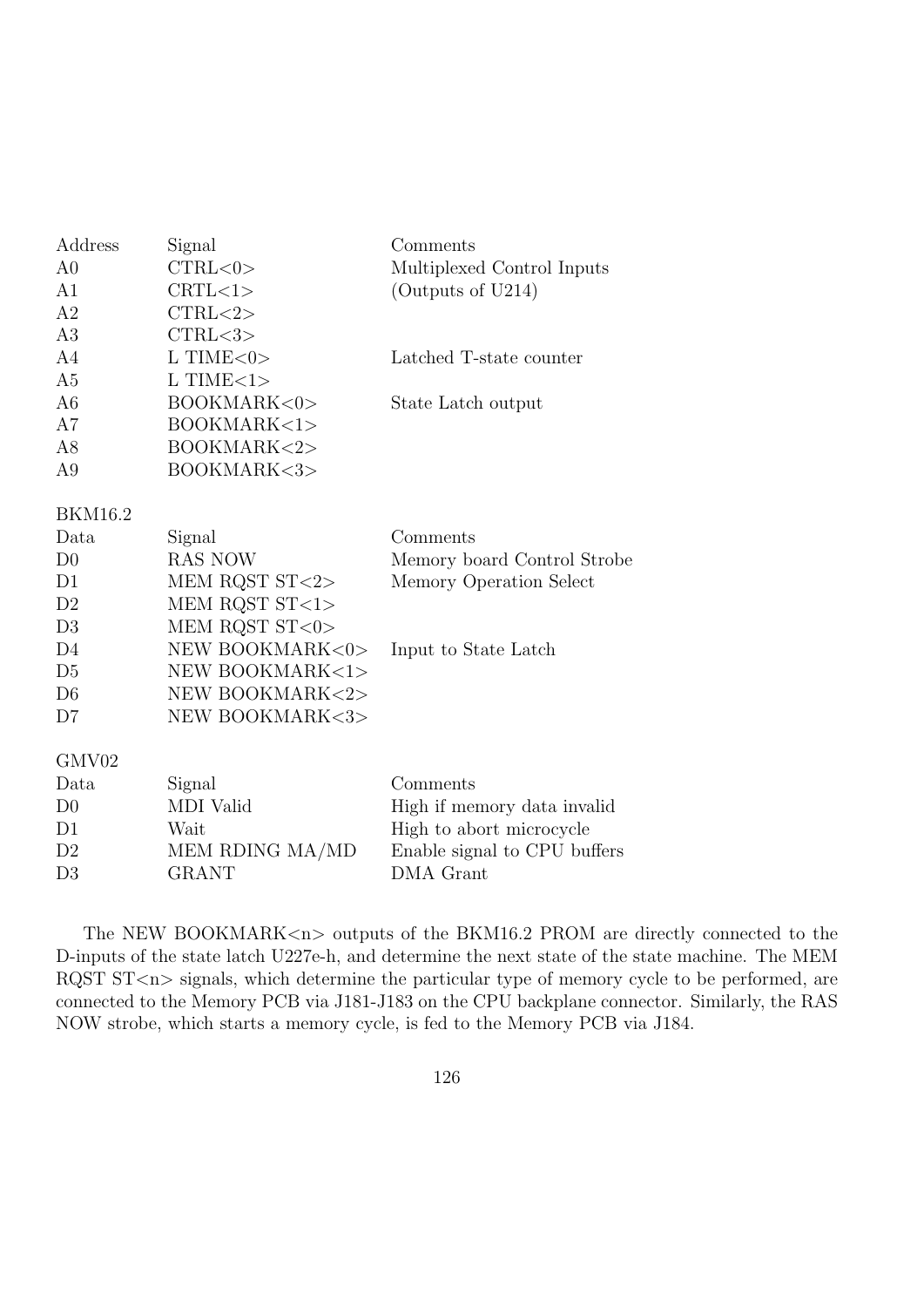| Address        | Signal             | Comments                     |
|----------------|--------------------|------------------------------|
| A <sub>0</sub> | CTRL <0>           | Multiplexed Control Inputs   |
| A1             | CRTL<1>            | (Outputs of $U214$ )         |
| A2             | CTRL <2>           |                              |
| A3             | CTRL < 3>          |                              |
| A4             | $L$ TIME $<$ 0 $>$ | Latched T-state counter      |
| A <sub>5</sub> | $L$ TIME $<$ 1>    |                              |
| A <sub>6</sub> | BOOKMARK<0>        | State Latch output           |
| A7             | BOOKMARK<1>        |                              |
| A8             | BOOKMARK<2>        |                              |
| A <sub>9</sub> | BOOKMARK<3>        |                              |
| <b>BKM16.2</b> |                    |                              |
| Data           | Signal             | Comments                     |
| D <sub>0</sub> | <b>RAS NOW</b>     | Memory board Control Strobe  |
| D1             | MEM RQST ST<2>     | Memory Operation Select      |
| D2             | MEM RQST $ST < 1$  |                              |
| D3             | MEM RQST ST<0>     |                              |
| D <sub>4</sub> | NEW BOOKMARK<0>    | Input to State Latch         |
| D <sub>5</sub> | NEW BOOKMARK<1>    |                              |
| D <sub>6</sub> | NEW BOOKMARK<2>    |                              |
| D7             | NEW BOOKMARK<3>    |                              |
| GMV02          |                    |                              |
| Data           | Signal             | Comments                     |
| D <sub>0</sub> | MDI Valid          | High if memory data invalid  |
| D1             | Wait               | High to abort microcycle     |
| D2             | MEM RDING MA/MD    | Enable signal to CPU buffers |
| D3             | <b>GRANT</b>       | DMA Grant                    |
|                |                    |                              |

The NEW BOOKMARK<n> outputs of the BKM16.2 PROM are directly connected to the D-inputs of the state latch U227e-h, and determine the next state of the state machine. The MEM RQST  $ST < n$  signals, which determine the particular type of memory cycle to be performed, are connected to the Memory PCB via J181-J183 on the CPU backplane connector. Similarly, the RAS NOW strobe, which starts a memory cycle, is fed to the Memory PCB via J184.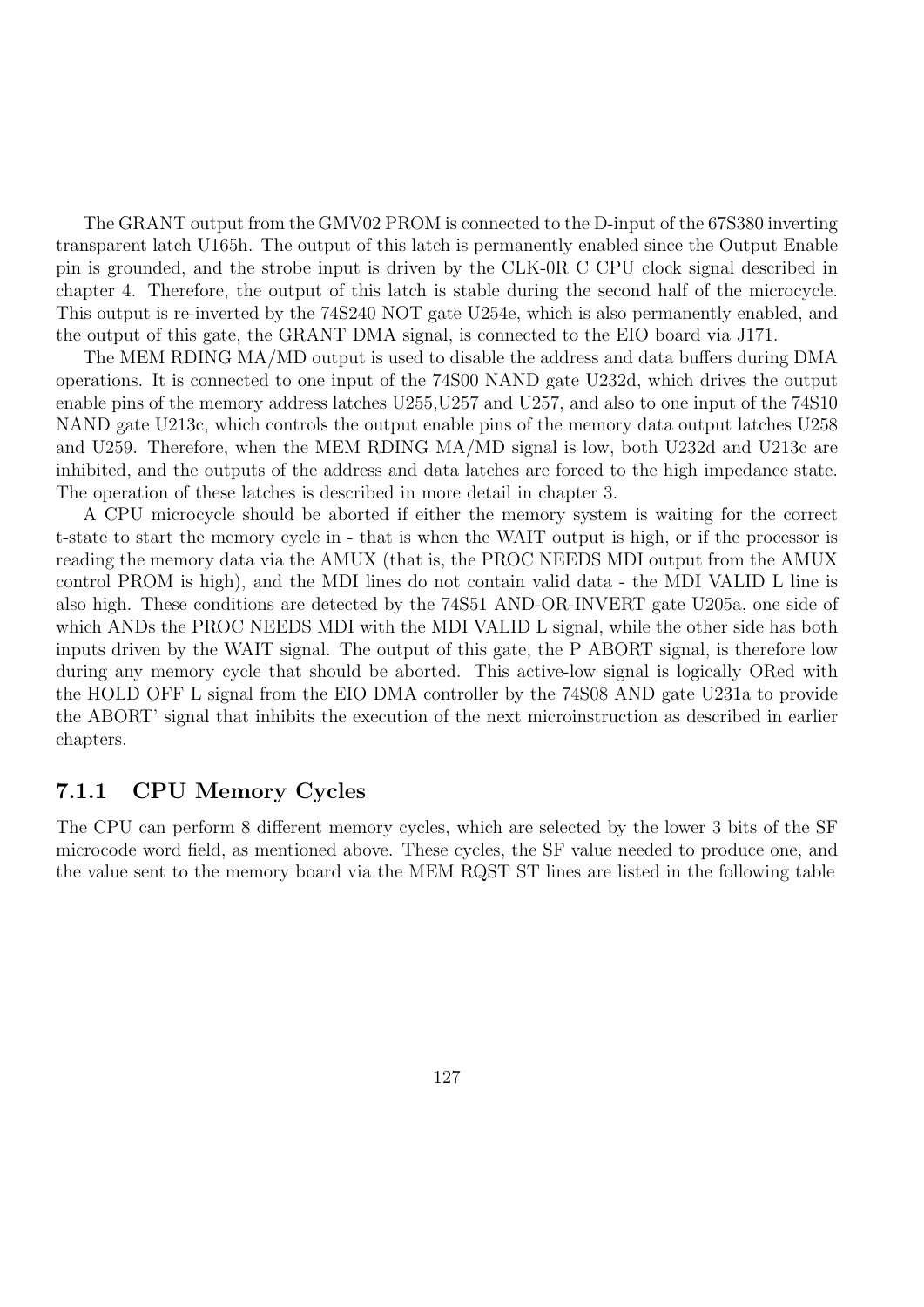The GRANT output from the GMV02 PROM is connected to the D-input of the 67S380 inverting transparent latch U165h. The output of this latch is permanently enabled since the Output Enable pin is grounded, and the strobe input is driven by the CLK-0R C CPU clock signal described in chapter 4. Therefore, the output of this latch is stable during the second half of the microcycle. This output is re-inverted by the 74S240 NOT gate U254e, which is also permanently enabled, and the output of this gate, the GRANT DMA signal, is connected to the EIO board via J171.

The MEM RDING MA/MD output is used to disable the address and data buffers during DMA operations. It is connected to one input of the 74S00 NAND gate U232d, which drives the output enable pins of the memory address latches U255,U257 and U257, and also to one input of the 74S10 NAND gate U213c, which controls the output enable pins of the memory data output latches U258 and U259. Therefore, when the MEM RDING MA/MD signal is low, both U232d and U213c are inhibited, and the outputs of the address and data latches are forced to the high impedance state. The operation of these latches is described in more detail in chapter 3.

A CPU microcycle should be aborted if either the memory system is waiting for the correct t-state to start the memory cycle in - that is when the WAIT output is high, or if the processor is reading the memory data via the AMUX (that is, the PROC NEEDS MDI output from the AMUX control PROM is high), and the MDI lines do not contain valid data - the MDI VALID L line is also high. These conditions are detected by the 74S51 AND-OR-INVERT gate U205a, one side of which ANDs the PROC NEEDS MDI with the MDI VALID L signal, while the other side has both inputs driven by the WAIT signal. The output of this gate, the P ABORT signal, is therefore low during any memory cycle that should be aborted. This active-low signal is logically ORed with the HOLD OFF L signal from the EIO DMA controller by the 74S08 AND gate U231a to provide the ABORT' signal that inhibits the execution of the next microinstruction as described in earlier chapters.

### 7.1.1 CPU Memory Cycles

The CPU can perform 8 different memory cycles, which are selected by the lower 3 bits of the SF microcode word field, as mentioned above. These cycles, the SF value needed to produce one, and the value sent to the memory board via the MEM RQST ST lines are listed in the following table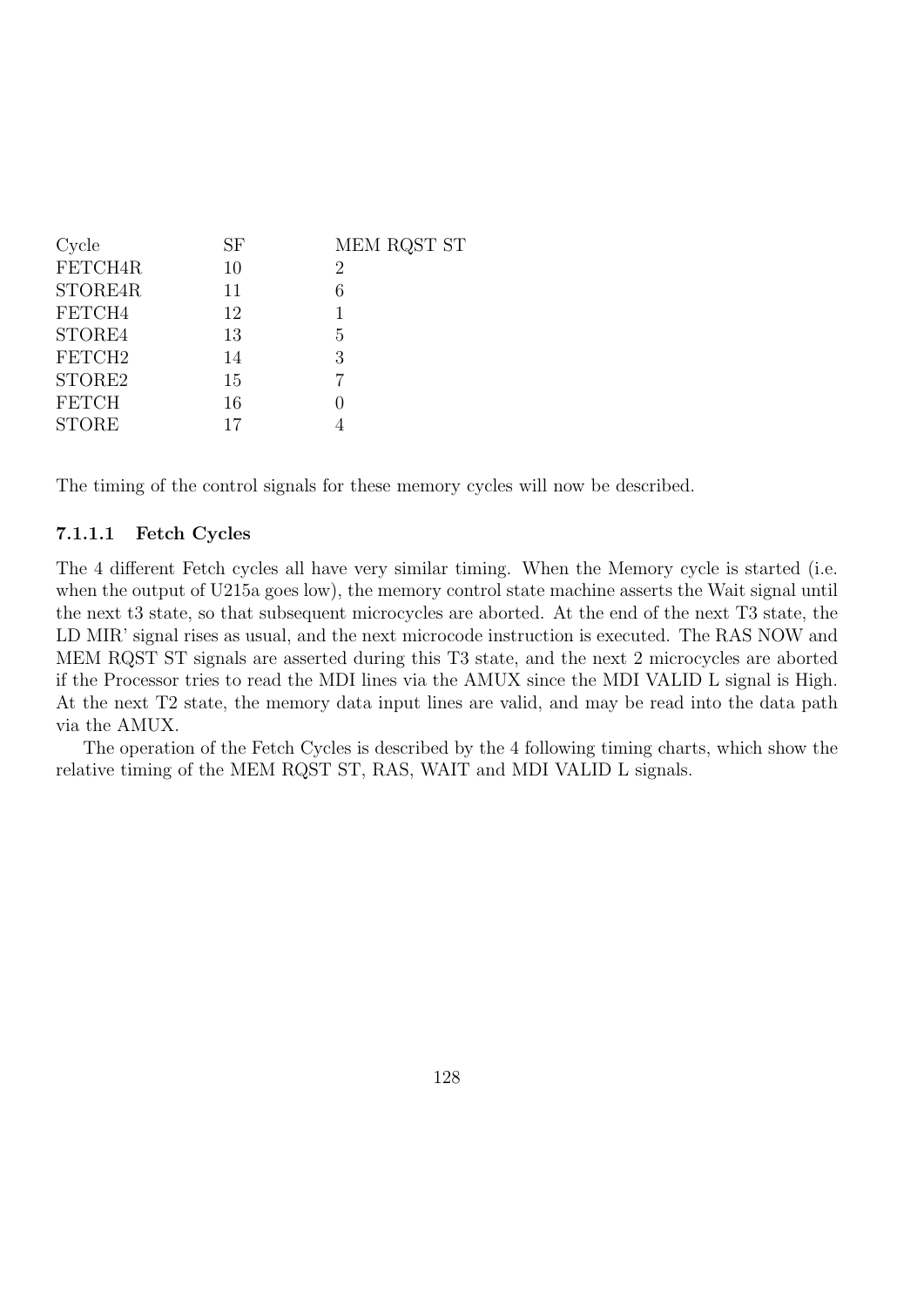| Cycle              | <b>SF</b> | MEM RQST ST |
|--------------------|-----------|-------------|
| FETCH4R            | 10        | 2           |
| STORE4R            | 11        | 6           |
| FETCH4             | 12        | 1           |
| STORE4             | 13        | 5           |
| FETCH <sub>2</sub> | 14        | 3           |
| STORE2             | 15        |             |
| <b>FETCH</b>       | 16        |             |
| <b>STORE</b>       | 17        |             |

The timing of the control signals for these memory cycles will now be described.

#### 7.1.1.1 Fetch Cycles

The 4 different Fetch cycles all have very similar timing. When the Memory cycle is started (i.e. when the output of U215a goes low), the memory control state machine asserts the Wait signal until the next t3 state, so that subsequent microcycles are aborted. At the end of the next T3 state, the LD MIR' signal rises as usual, and the next microcode instruction is executed. The RAS NOW and MEM RQST ST signals are asserted during this T3 state, and the next 2 microcycles are aborted if the Processor tries to read the MDI lines via the AMUX since the MDI VALID L signal is High. At the next T2 state, the memory data input lines are valid, and may be read into the data path via the AMUX.

The operation of the Fetch Cycles is described by the 4 following timing charts, which show the relative timing of the MEM RQST ST, RAS, WAIT and MDI VALID L signals.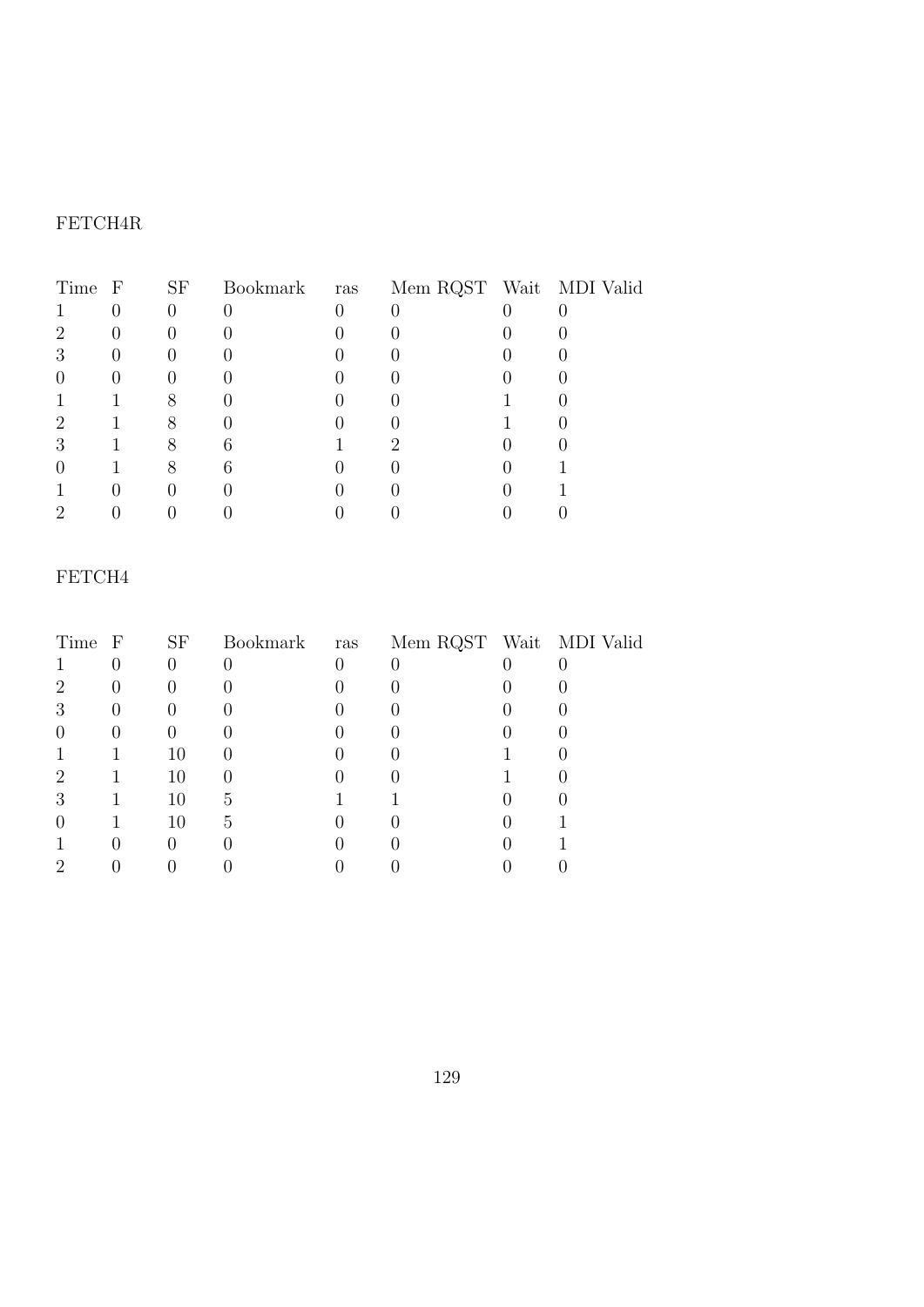# FETCH4R

| Time F | SF | Bookmark | ras | Mem RQST Wait MDI Valid |  |
|--------|----|----------|-----|-------------------------|--|
|        |    |          |     |                         |  |
|        |    |          |     |                         |  |
| 3      |    |          |     |                         |  |
|        |    |          |     |                         |  |
|        |    |          |     |                         |  |
| 6)     |    |          |     |                         |  |
| 3      |    |          |     |                         |  |
|        |    |          |     |                         |  |
|        |    |          |     |                         |  |
|        |    |          |     |                         |  |

### FETCH4

| Time F | <b>SF</b> | Bookmark ras | Mem RQST Wait MDI Valid |  |
|--------|-----------|--------------|-------------------------|--|
|        |           |              |                         |  |
|        |           |              |                         |  |
|        |           |              |                         |  |
|        |           |              |                         |  |
|        | 10        |              |                         |  |
| ٠,     | 10        |              |                         |  |
|        | 10        | 5            |                         |  |
|        | 10        | 5            |                         |  |
|        |           |              |                         |  |
|        |           |              |                         |  |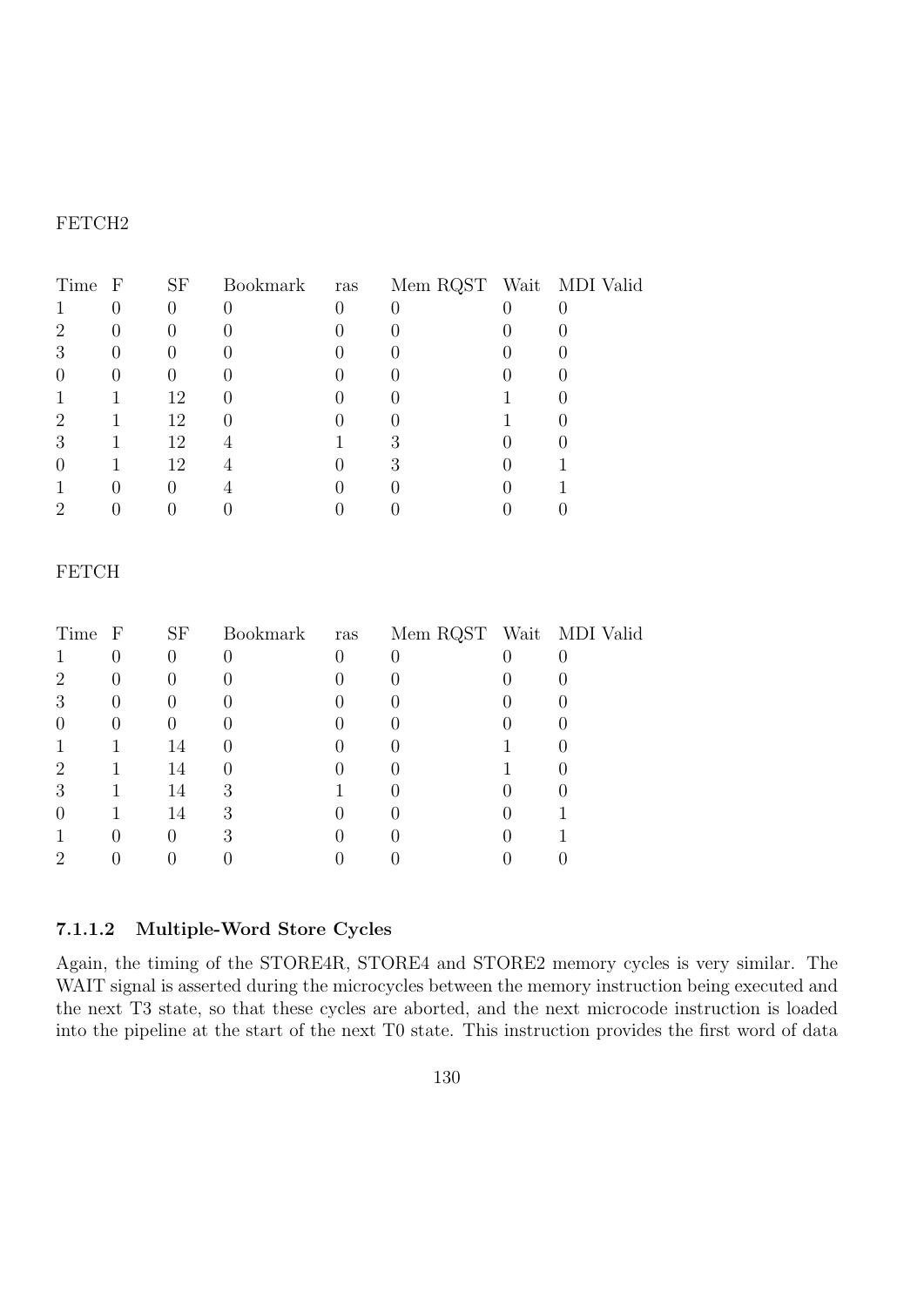#### FETCH2

| Time F | <b>SF</b> | Bookmark ras | $\,$ Mem $\,$ RQST $\,$ Wait $\,$ MDI Valid |  |
|--------|-----------|--------------|---------------------------------------------|--|
|        |           |              |                                             |  |
|        |           |              |                                             |  |
|        |           |              |                                             |  |
|        |           |              |                                             |  |
|        | 12        |              |                                             |  |
| ٠,     | 12        |              |                                             |  |
| ٠Ć     | 12        |              |                                             |  |
|        | 12        |              |                                             |  |
|        |           |              |                                             |  |
|        |           |              |                                             |  |

#### FETCH

| Time F | <b>SF</b> | Bookmark ras | Mem RQST Wait MDI Valid |  |
|--------|-----------|--------------|-------------------------|--|
|        |           |              |                         |  |
| ٠,     |           |              |                         |  |
|        |           |              |                         |  |
|        |           |              |                         |  |
|        | 14        |              |                         |  |
| ٠,     | 14        |              |                         |  |
|        | 14        | 3            |                         |  |
|        | 14        | 3            |                         |  |
|        |           |              |                         |  |
|        |           |              |                         |  |

#### 7.1.1.2 Multiple-Word Store Cycles

Again, the timing of the STORE4R, STORE4 and STORE2 memory cycles is very similar. The WAIT signal is asserted during the microcycles between the memory instruction being executed and the next T3 state, so that these cycles are aborted, and the next microcode instruction is loaded into the pipeline at the start of the next T0 state. This instruction provides the first word of data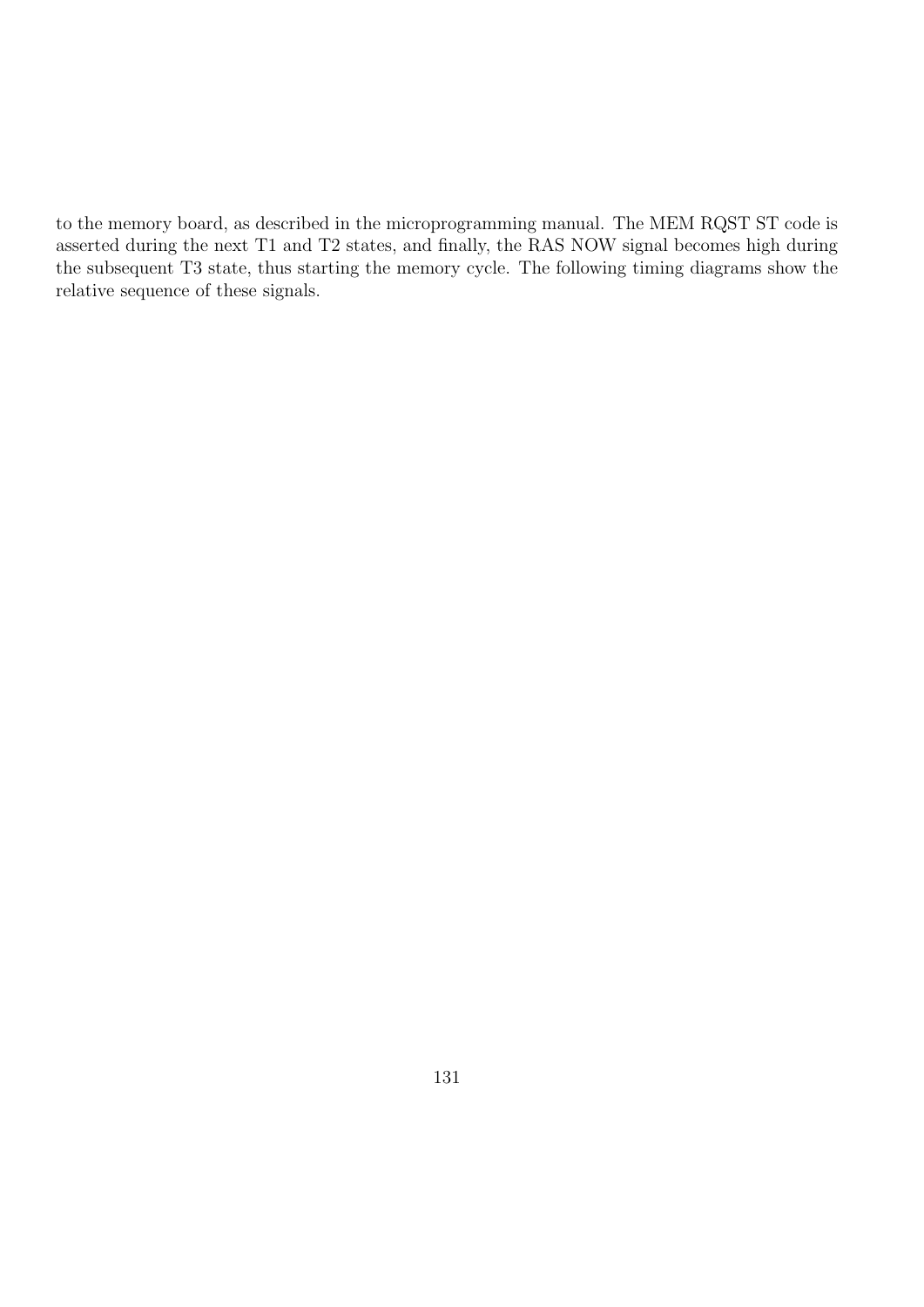to the memory board, as described in the microprogramming manual. The MEM RQST ST code is asserted during the next T1 and T2 states, and finally, the RAS NOW signal becomes high during the subsequent T3 state, thus starting the memory cycle. The following timing diagrams show the relative sequence of these signals.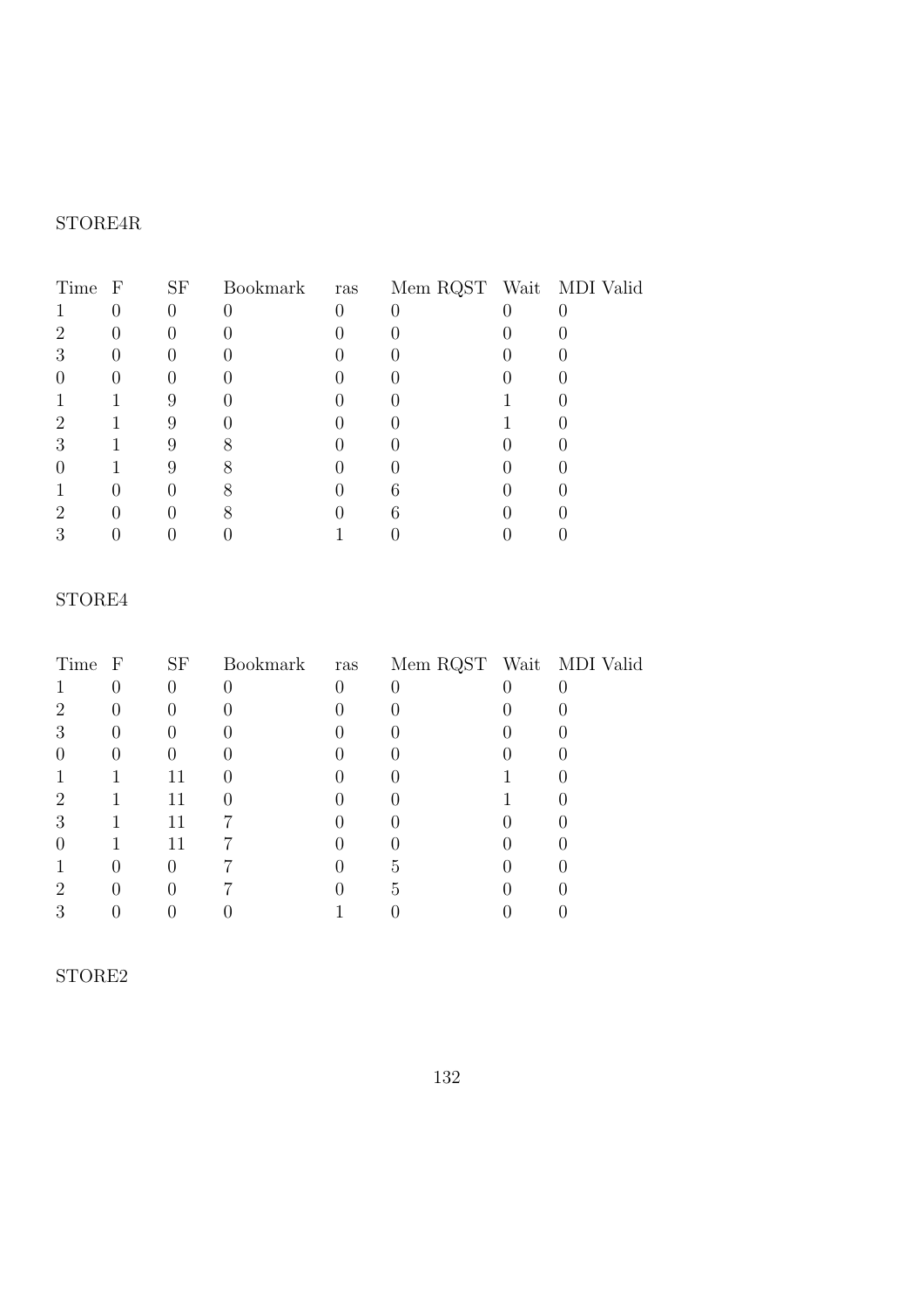# STORE4R

| Time F | <b>SF</b> | Bookmark ras | Mem RQST Wait MDI Valid |  |
|--------|-----------|--------------|-------------------------|--|
|        | O         |              |                         |  |
| ٠,     |           |              |                         |  |
| 3      |           |              |                         |  |
|        |           |              |                         |  |
|        |           |              |                         |  |
| റ      |           |              |                         |  |
|        |           |              |                         |  |
|        |           |              |                         |  |
|        |           |              |                         |  |
| ٠,     |           |              |                         |  |
|        |           |              |                         |  |

# STORE4

| Time F | SF | Bookmark ras | Mem RQST Wait MDI Valid |  |
|--------|----|--------------|-------------------------|--|
|        |    |              |                         |  |
|        |    |              |                         |  |
|        |    |              |                         |  |
|        |    |              |                         |  |
|        | 11 |              |                         |  |
|        | 11 |              |                         |  |
|        | 11 |              |                         |  |
|        | 11 |              |                         |  |
|        |    |              |                         |  |
|        |    |              |                         |  |
|        |    |              |                         |  |

STORE2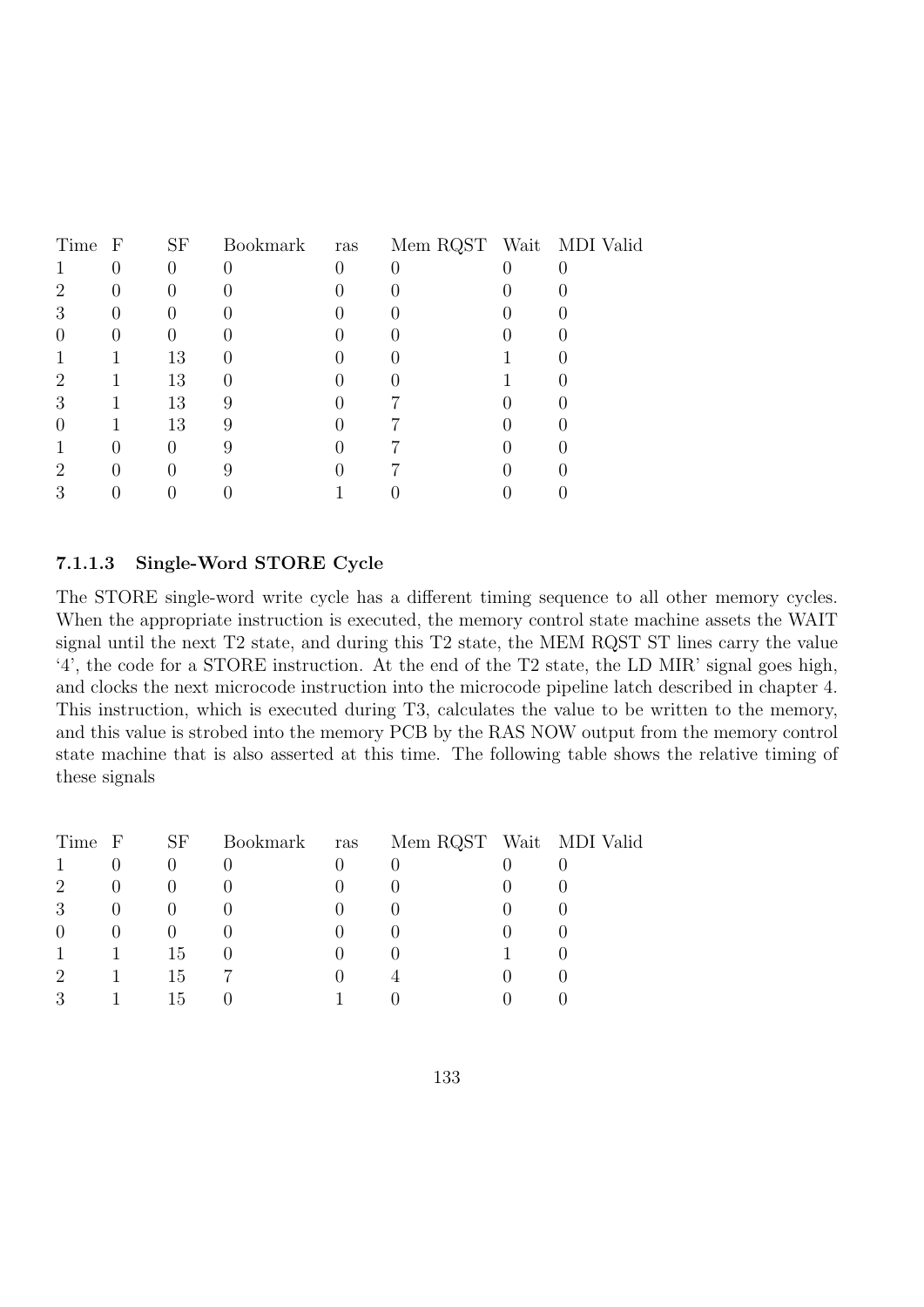| Time F | <b>SF</b> | Bookmark | ras | $\,$ Mem $\,$ RQST $\,$ Wait $\,$ MDI Valid |  |
|--------|-----------|----------|-----|---------------------------------------------|--|
|        |           |          |     |                                             |  |
|        |           |          |     |                                             |  |
| 3      |           |          |     |                                             |  |
|        |           |          |     |                                             |  |
|        | 13        |          |     |                                             |  |
| റ      | 13        |          |     |                                             |  |
|        | 13        | 9        |     |                                             |  |
|        | 13        | 9        |     |                                             |  |
|        |           |          |     |                                             |  |
| ٠,     |           |          |     |                                             |  |
|        |           |          |     |                                             |  |

### 7.1.1.3 Single-Word STORE Cycle

The STORE single-word write cycle has a different timing sequence to all other memory cycles. When the appropriate instruction is executed, the memory control state machine assets the WAIT signal until the next T2 state, and during this T2 state, the MEM RQST ST lines carry the value '4', the code for a STORE instruction. At the end of the T2 state, the LD MIR' signal goes high, and clocks the next microcode instruction into the microcode pipeline latch described in chapter 4. This instruction, which is executed during T3, calculates the value to be written to the memory, and this value is strobed into the memory PCB by the RAS NOW output from the memory control state machine that is also asserted at this time. The following table shows the relative timing of these signals

| Time F         | <b>SF</b> | Bookmark ras | Mem RQST Wait MDI Valid |  |
|----------------|-----------|--------------|-------------------------|--|
|                |           |              |                         |  |
| $\overline{2}$ |           |              |                         |  |
| 3              |           |              |                         |  |
|                |           |              |                         |  |
|                | 15        |              |                         |  |
| ٠,             | 15        |              |                         |  |
| 3              | <b>15</b> |              |                         |  |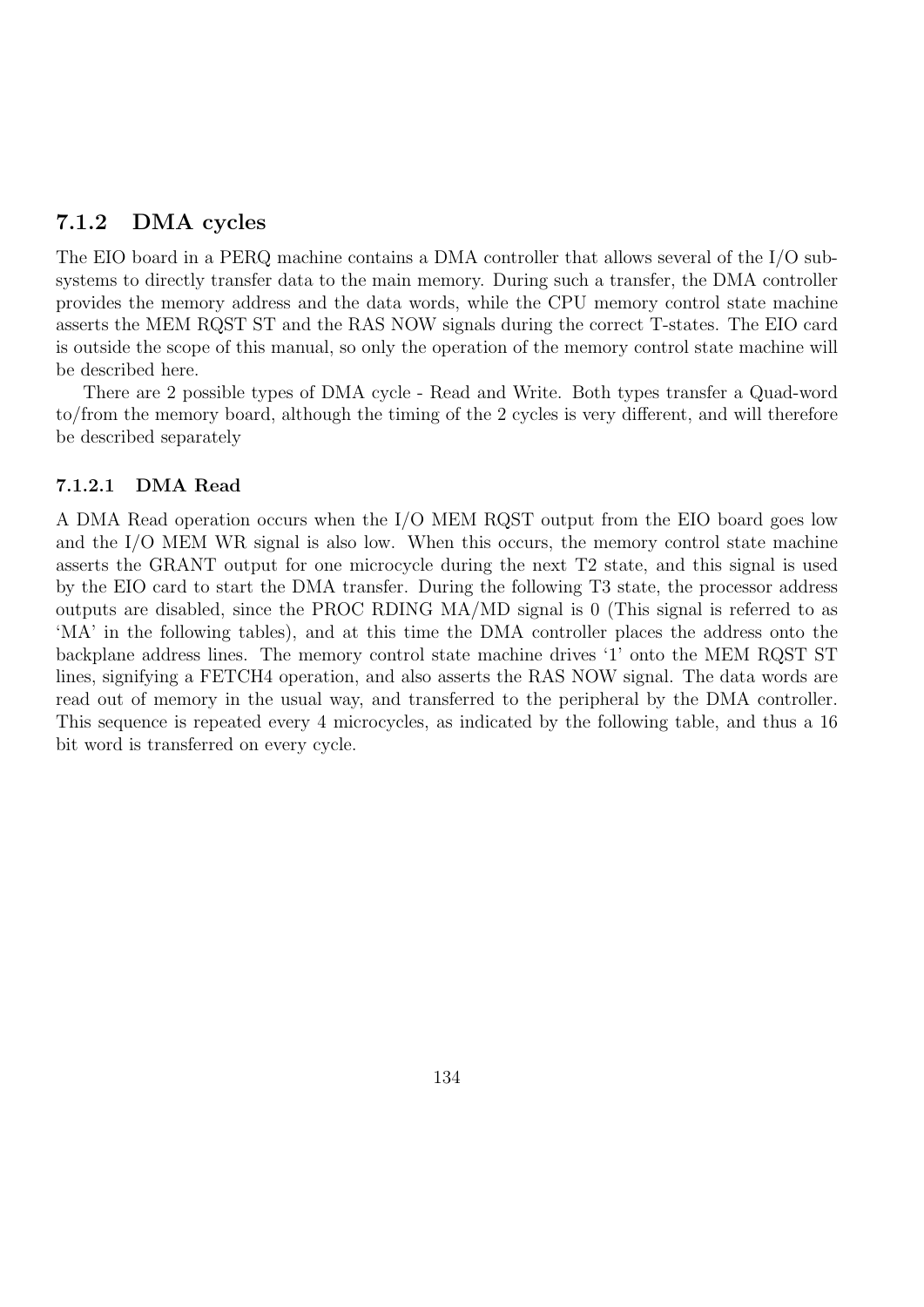### 7.1.2 DMA cycles

The EIO board in a PERQ machine contains a DMA controller that allows several of the I/O subsystems to directly transfer data to the main memory. During such a transfer, the DMA controller provides the memory address and the data words, while the CPU memory control state machine asserts the MEM RQST ST and the RAS NOW signals during the correct T-states. The EIO card is outside the scope of this manual, so only the operation of the memory control state machine will be described here.

There are 2 possible types of DMA cycle - Read and Write. Both types transfer a Quad-word to/from the memory board, although the timing of the 2 cycles is very different, and will therefore be described separately

### 7.1.2.1 DMA Read

A DMA Read operation occurs when the I/O MEM RQST output from the EIO board goes low and the I/O MEM WR signal is also low. When this occurs, the memory control state machine asserts the GRANT output for one microcycle during the next T2 state, and this signal is used by the EIO card to start the DMA transfer. During the following T3 state, the processor address outputs are disabled, since the PROC RDING MA/MD signal is 0 (This signal is referred to as 'MA' in the following tables), and at this time the DMA controller places the address onto the backplane address lines. The memory control state machine drives '1' onto the MEM RQST ST lines, signifying a FETCH4 operation, and also asserts the RAS NOW signal. The data words are read out of memory in the usual way, and transferred to the peripheral by the DMA controller. This sequence is repeated every 4 microcycles, as indicated by the following table, and thus a 16 bit word is transferred on every cycle.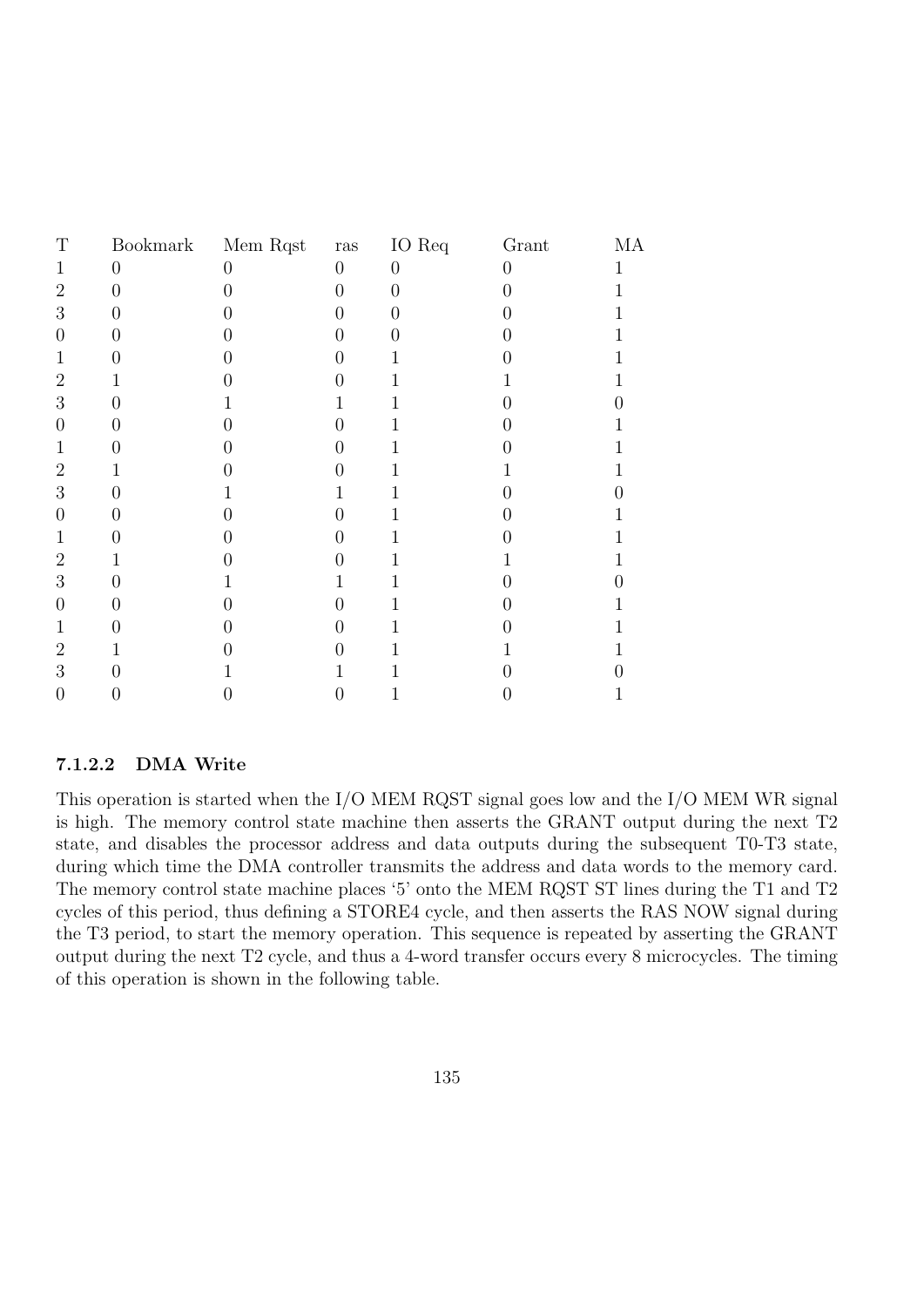| Bookmark         | Mem Rqst     | $\ensuremath{\operatorname{ras}}\xspace$ | IO Req            | Grant        | МA |
|------------------|--------------|------------------------------------------|-------------------|--------------|----|
| $\Omega$         | 0            | $\overline{0}$                           | $\theta$          | $\theta$     | 1  |
| $\left( \right)$ |              | 0                                        | 0                 | 0            | 1  |
| $\theta$         |              | 0                                        | $\mathbf{\Omega}$ | 0            |    |
|                  |              |                                          |                   |              |    |
| O                |              | $\mathbf{\Omega}$                        | 1                 | 0            | 1  |
| $\mathbf{I}$     |              |                                          | 1                 | 1            | 1  |
| $\theta$         | $\mathbf{I}$ | T                                        | 1                 |              |    |
| $\left( \right)$ |              | 0                                        | 1                 | 0            |    |
| 0                |              | $\mathbf{0}$                             | 1                 | 0            |    |
| 1                |              | 0                                        | 1                 | 1            | 1  |
| O                |              | L                                        | 1                 |              |    |
| $\theta$         |              |                                          | 1                 |              |    |
|                  |              |                                          | 1                 |              |    |
|                  |              | 0                                        | 1                 | l            | 1  |
| $\left( \right)$ |              | L                                        | 1                 | $\mathbf{0}$ | 0  |
| $\mathbf{0}$     |              |                                          | 1                 | 0            | 1  |
| 0                |              |                                          | 1                 |              |    |
|                  |              |                                          | 1                 |              | 1  |
| $\mathbf{0}$     |              |                                          |                   | 0            | 0  |
|                  |              |                                          | 1                 |              | 1  |
|                  |              |                                          |                   |              |    |

### 7.1.2.2 DMA Write

This operation is started when the I/O MEM RQST signal goes low and the I/O MEM WR signal is high. The memory control state machine then asserts the GRANT output during the next T2 state, and disables the processor address and data outputs during the subsequent T0-T3 state, during which time the DMA controller transmits the address and data words to the memory card. The memory control state machine places '5' onto the MEM RQST ST lines during the T1 and T2 cycles of this period, thus defining a STORE4 cycle, and then asserts the RAS NOW signal during the T3 period, to start the memory operation. This sequence is repeated by asserting the GRANT output during the next T2 cycle, and thus a 4-word transfer occurs every 8 microcycles. The timing of this operation is shown in the following table.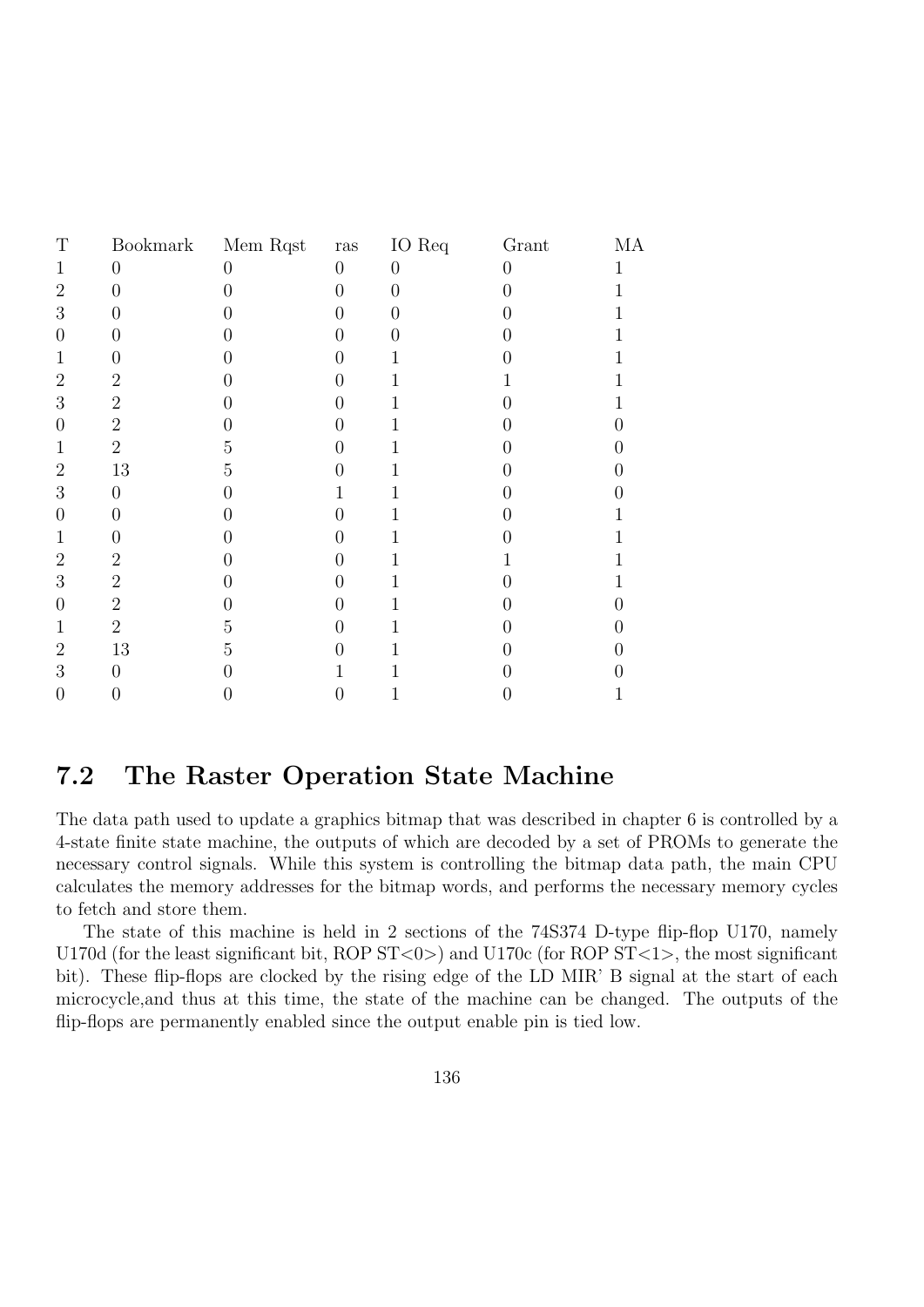| Bookmark         | Mem Rqst | $\operatorname{ras}$ | IO Req       | Grant    | МA |
|------------------|----------|----------------------|--------------|----------|----|
| 0                | $\Omega$ | $\overline{0}$       | $\Omega$     | $\theta$ | 1  |
| $\mathbf{0}$     |          |                      | $\mathbf{0}$ | 0        | 1  |
| $\theta$         |          |                      | 0            |          |    |
|                  |          |                      |              |          |    |
| $\theta$         |          |                      | 1            | 0        | 1  |
| $\overline{2}$   |          |                      | 1            | 1        |    |
| $\overline{2}$   |          |                      | 1            |          |    |
| $\overline{2}$   |          |                      |              | 0        |    |
| $\overline{2}$   | 5        | 0                    | 1            | 0        |    |
| $13\,$           | 5        | $\mathbf{\Omega}$    | 1            | 0        | 0  |
| $\theta$         |          | 1                    | 1            |          |    |
| 0                |          |                      | 1            |          |    |
| $\left( \right)$ |          |                      | 1            |          |    |
| $\overline{2}$   |          | 0                    | 1            |          |    |
| $\overline{2}$   |          | 0                    | 1            | 0        | 1  |
| $\overline{2}$   |          |                      | 1            | 0        |    |
| $\overline{2}$   | 5        |                      |              |          |    |
| $13\,$           | 5        |                      |              |          |    |
| $\theta$         |          |                      |              | 0        |    |
| U                |          | 0                    | 1            |          | 1  |
|                  |          |                      |              |          |    |

# 7.2 The Raster Operation State Machine

The data path used to update a graphics bitmap that was described in chapter 6 is controlled by a 4-state finite state machine, the outputs of which are decoded by a set of PROMs to generate the necessary control signals. While this system is controlling the bitmap data path, the main CPU calculates the memory addresses for the bitmap words, and performs the necessary memory cycles to fetch and store them.

The state of this machine is held in 2 sections of the 74S374 D-type flip-flop U170, namely U170d (for the least significant bit, ROP  $ST < 0$ ) and U170c (for ROP  $ST < 1$ ), the most significant bit). These flip-flops are clocked by the rising edge of the LD MIR' B signal at the start of each microcycle,and thus at this time, the state of the machine can be changed. The outputs of the flip-flops are permanently enabled since the output enable pin is tied low.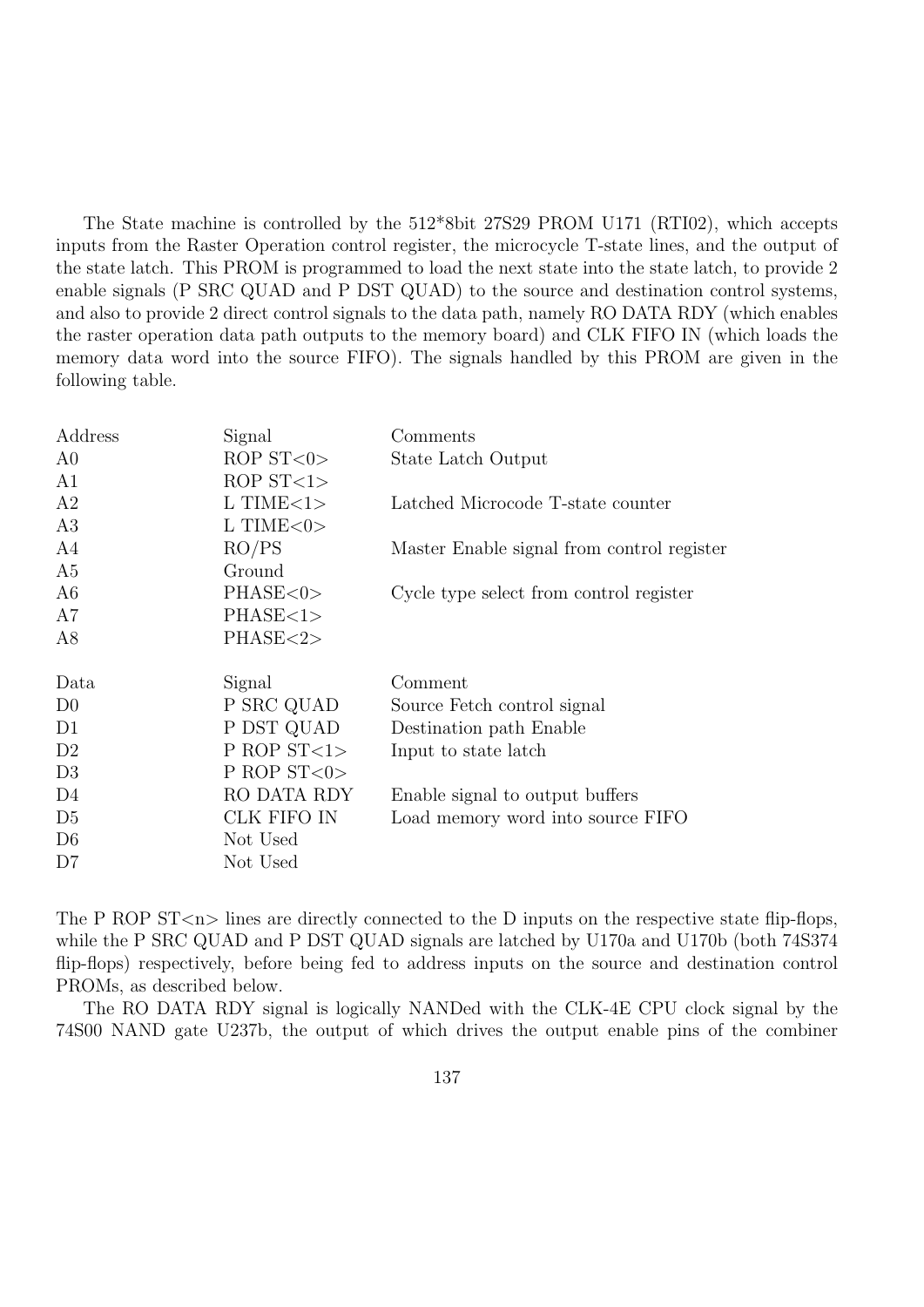The State machine is controlled by the 512\*8bit 27S29 PROM U171 (RTI02), which accepts inputs from the Raster Operation control register, the microcycle T-state lines, and the output of the state latch. This PROM is programmed to load the next state into the state latch, to provide 2 enable signals (P SRC QUAD and P DST QUAD) to the source and destination control systems, and also to provide 2 direct control signals to the data path, namely RO DATA RDY (which enables the raster operation data path outputs to the memory board) and CLK FIFO IN (which loads the memory data word into the source FIFO). The signals handled by this PROM are given in the following table.

| Address        | Signal             | Comments                                   |
|----------------|--------------------|--------------------------------------------|
| A <sub>0</sub> | ROP $ST < 0$       | State Latch Output                         |
| A1             | ROP $ST < 1>$      |                                            |
| A2             | $L$ TIME $<$ 1 $>$ | Latched Microcode T-state counter          |
| A3             | $L$ TIME $<$ 0 $>$ |                                            |
| A4             | RO/PS              | Master Enable signal from control register |
| A5             | Ground             |                                            |
| A6             | PHASE<0>           | Cycle type select from control register    |
| A7             | PHASE<1>           |                                            |
| A8             | PHASE<2>           |                                            |
| Data           | Signal             | Comment                                    |
| D <sub>0</sub> | P SRC QUAD         | Source Fetch control signal                |
| D1             | P DST QUAD         | Destination path Enable                    |
| D2             | P ROP $ST < 1>$    | Input to state latch                       |
| D3             | P ROP $ST < 0$     |                                            |
| D4             | RO DATA RDY        | Enable signal to output buffers            |
| D5             | CLK FIFO IN        | Load memory word into source FIFO          |
| D <sub>6</sub> | Not Used           |                                            |
| D7             | Not Used           |                                            |

The P ROP  $ST < n$  lines are directly connected to the D inputs on the respective state flip-flops, while the P SRC QUAD and P DST QUAD signals are latched by U170a and U170b (both 74S374 flip-flops) respectively, before being fed to address inputs on the source and destination control PROMs, as described below.

The RO DATA RDY signal is logically NANDed with the CLK-4E CPU clock signal by the 74S00 NAND gate U237b, the output of which drives the output enable pins of the combiner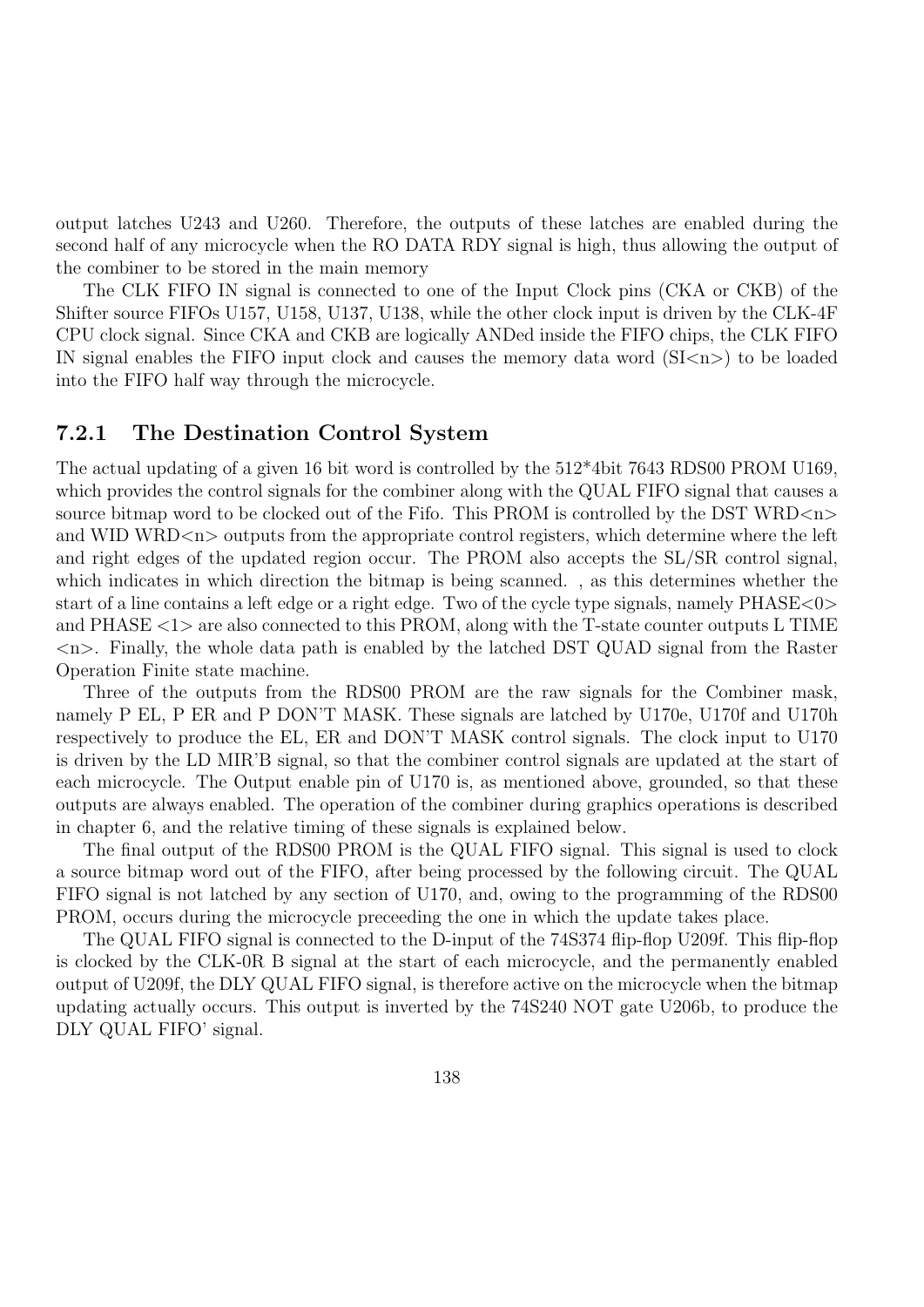output latches U243 and U260. Therefore, the outputs of these latches are enabled during the second half of any microcycle when the RO DATA RDY signal is high, thus allowing the output of the combiner to be stored in the main memory

The CLK FIFO IN signal is connected to one of the Input Clock pins (CKA or CKB) of the Shifter source FIFOs U157, U158, U137, U138, while the other clock input is driven by the CLK-4F CPU clock signal. Since CKA and CKB are logically ANDed inside the FIFO chips, the CLK FIFO IN signal enables the FIFO input clock and causes the memory data word  $(SI\langle n\rangle)$  to be loaded into the FIFO half way through the microcycle.

#### 7.2.1 The Destination Control System

The actual updating of a given 16 bit word is controlled by the 512\*4bit 7643 RDS00 PROM U169, which provides the control signals for the combiner along with the QUAL FIFO signal that causes a source bitmap word to be clocked out of the Fifo. This PROM is controlled by the DST WRD $\langle n \rangle$ and WID WRD $\langle n \rangle$  outputs from the appropriate control registers, which determine where the left and right edges of the updated region occur. The PROM also accepts the SL/SR control signal, which indicates in which direction the bitmap is being scanned. , as this determines whether the start of a line contains a left edge or a right edge. Two of the cycle type signals, namely PHASE<0> and PHASE  $\langle 1 \rangle$  are also connected to this PROM, along with the T-state counter outputs L TIME  $\langle n \rangle$ . Finally, the whole data path is enabled by the latched DST QUAD signal from the Raster Operation Finite state machine.

Three of the outputs from the RDS00 PROM are the raw signals for the Combiner mask, namely P EL, P ER and P DON'T MASK. These signals are latched by U170e, U170f and U170h respectively to produce the EL, ER and DON'T MASK control signals. The clock input to U170 is driven by the LD MIR'B signal, so that the combiner control signals are updated at the start of each microcycle. The Output enable pin of U170 is, as mentioned above, grounded, so that these outputs are always enabled. The operation of the combiner during graphics operations is described in chapter 6, and the relative timing of these signals is explained below.

The final output of the RDS00 PROM is the QUAL FIFO signal. This signal is used to clock a source bitmap word out of the FIFO, after being processed by the following circuit. The QUAL FIFO signal is not latched by any section of U170, and, owing to the programming of the RDS00 PROM, occurs during the microcycle preceeding the one in which the update takes place.

The QUAL FIFO signal is connected to the D-input of the 74S374 flip-flop U209f. This flip-flop is clocked by the CLK-0R B signal at the start of each microcycle, and the permanently enabled output of U209f, the DLY QUAL FIFO signal, is therefore active on the microcycle when the bitmap updating actually occurs. This output is inverted by the 74S240 NOT gate U206b, to produce the DLY QUAL FIFO' signal.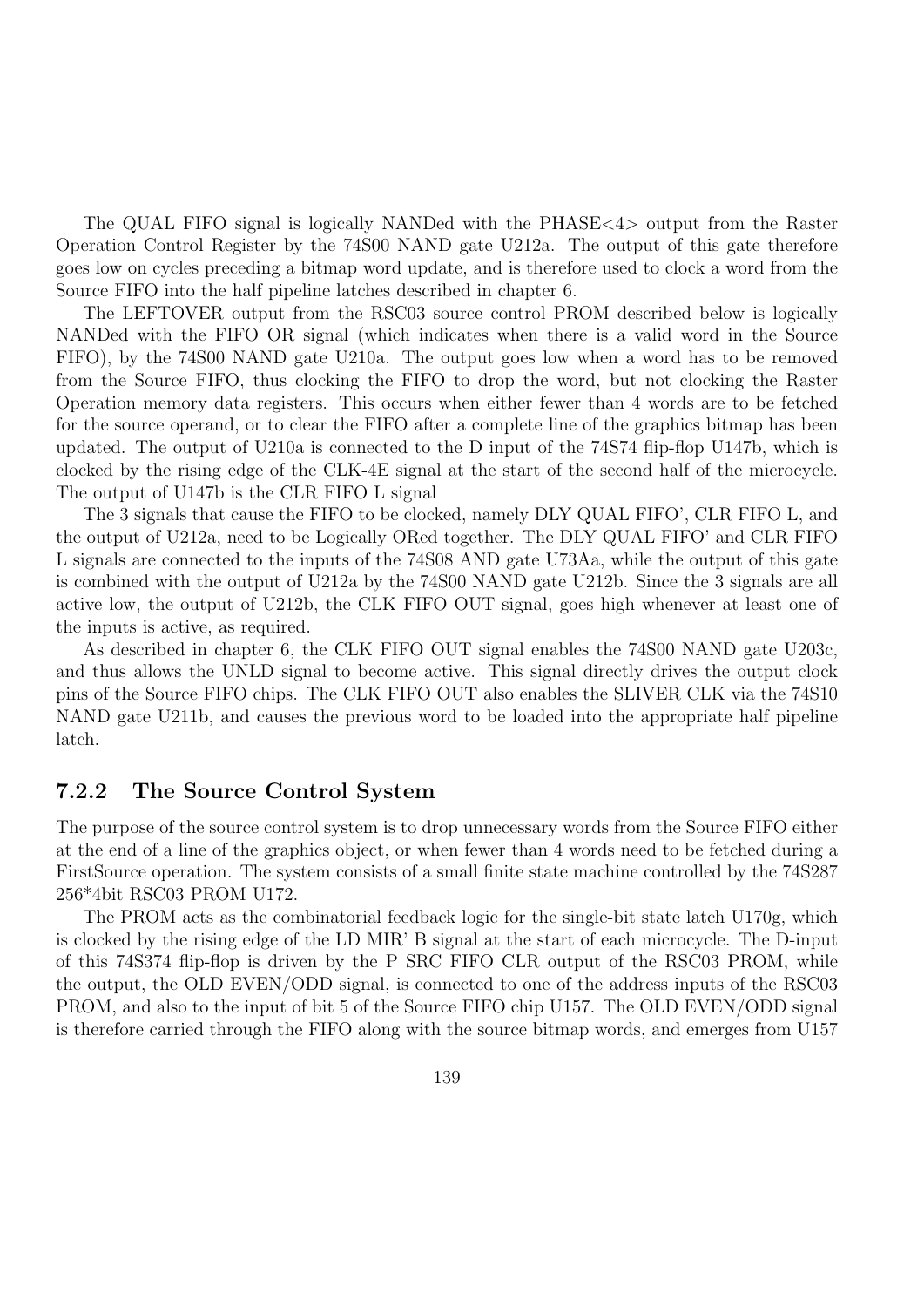The QUAL FIFO signal is logically NANDed with the PHASE<4> output from the Raster Operation Control Register by the 74S00 NAND gate U212a. The output of this gate therefore goes low on cycles preceding a bitmap word update, and is therefore used to clock a word from the Source FIFO into the half pipeline latches described in chapter 6.

The LEFTOVER output from the RSC03 source control PROM described below is logically NANDed with the FIFO OR signal (which indicates when there is a valid word in the Source FIFO), by the 74S00 NAND gate U210a. The output goes low when a word has to be removed from the Source FIFO, thus clocking the FIFO to drop the word, but not clocking the Raster Operation memory data registers. This occurs when either fewer than 4 words are to be fetched for the source operand, or to clear the FIFO after a complete line of the graphics bitmap has been updated. The output of U210a is connected to the D input of the 74S74 flip-flop U147b, which is clocked by the rising edge of the CLK-4E signal at the start of the second half of the microcycle. The output of U147b is the CLR FIFO L signal

The 3 signals that cause the FIFO to be clocked, namely DLY QUAL FIFO', CLR FIFO L, and the output of U212a, need to be Logically ORed together. The DLY QUAL FIFO' and CLR FIFO L signals are connected to the inputs of the 74S08 AND gate U73Aa, while the output of this gate is combined with the output of U212a by the 74S00 NAND gate U212b. Since the 3 signals are all active low, the output of U212b, the CLK FIFO OUT signal, goes high whenever at least one of the inputs is active, as required.

As described in chapter 6, the CLK FIFO OUT signal enables the 74S00 NAND gate U203c, and thus allows the UNLD signal to become active. This signal directly drives the output clock pins of the Source FIFO chips. The CLK FIFO OUT also enables the SLIVER CLK via the 74S10 NAND gate U211b, and causes the previous word to be loaded into the appropriate half pipeline latch.

### 7.2.2 The Source Control System

The purpose of the source control system is to drop unnecessary words from the Source FIFO either at the end of a line of the graphics object, or when fewer than 4 words need to be fetched during a FirstSource operation. The system consists of a small finite state machine controlled by the 74S287 256\*4bit RSC03 PROM U172.

The PROM acts as the combinatorial feedback logic for the single-bit state latch U170g, which is clocked by the rising edge of the LD MIR' B signal at the start of each microcycle. The D-input of this 74S374 flip-flop is driven by the P SRC FIFO CLR output of the RSC03 PROM, while the output, the OLD EVEN/ODD signal, is connected to one of the address inputs of the RSC03 PROM, and also to the input of bit 5 of the Source FIFO chip U157. The OLD EVEN/ODD signal is therefore carried through the FIFO along with the source bitmap words, and emerges from U157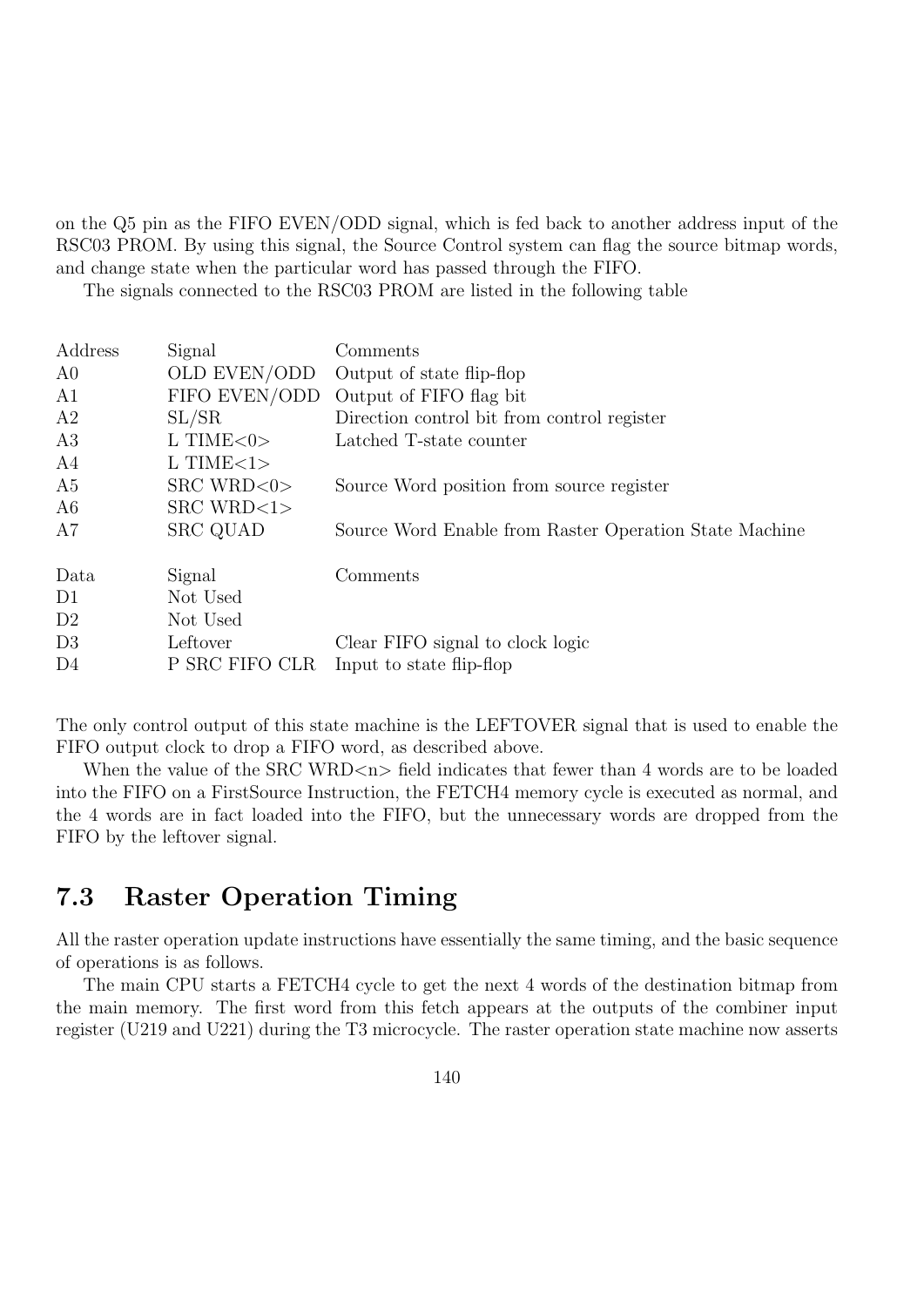on the Q5 pin as the FIFO EVEN/ODD signal, which is fed back to another address input of the RSC03 PROM. By using this signal, the Source Control system can flag the source bitmap words, and change state when the particular word has passed through the FIFO.

The signals connected to the RSC03 PROM are listed in the following table

| Address        | Signal             | Comments                                               |
|----------------|--------------------|--------------------------------------------------------|
| A <sub>0</sub> | OLD EVEN/ODD       | Output of state flip-flop                              |
| A1             | FIFO EVEN/ODD      | Output of FIFO flag bit                                |
| A2             | SL/SR              | Direction control bit from control register            |
| A3             | $L$ TIME $<$ 0 $>$ | Latched T-state counter                                |
| A4             | $L$ TIME $<$ 1 $>$ |                                                        |
| A <sub>5</sub> | $SRC$ WRD $<0>$    | Source Word position from source register              |
| A6             | $SRC$ WRD $<1>$    |                                                        |
| A7             | SRC QUAD           | Source Word Enable from Raster Operation State Machine |
| Data           | Signal             | Comments                                               |
| D <sub>1</sub> | Not Used           |                                                        |
| D2             | Not Used           |                                                        |
| D3             | Leftover           | Clear FIFO signal to clock logic                       |
| D <sub>4</sub> | P SRC FIFO CLR     | Input to state flip-flop                               |

The only control output of this state machine is the LEFTOVER signal that is used to enable the FIFO output clock to drop a FIFO word, as described above.

When the value of the SRC WRD $\langle n \rangle$  field indicates that fewer than 4 words are to be loaded into the FIFO on a FirstSource Instruction, the FETCH4 memory cycle is executed as normal, and the 4 words are in fact loaded into the FIFO, but the unnecessary words are dropped from the FIFO by the leftover signal.

# 7.3 Raster Operation Timing

All the raster operation update instructions have essentially the same timing, and the basic sequence of operations is as follows.

The main CPU starts a FETCH4 cycle to get the next 4 words of the destination bitmap from the main memory. The first word from this fetch appears at the outputs of the combiner input register (U219 and U221) during the T3 microcycle. The raster operation state machine now asserts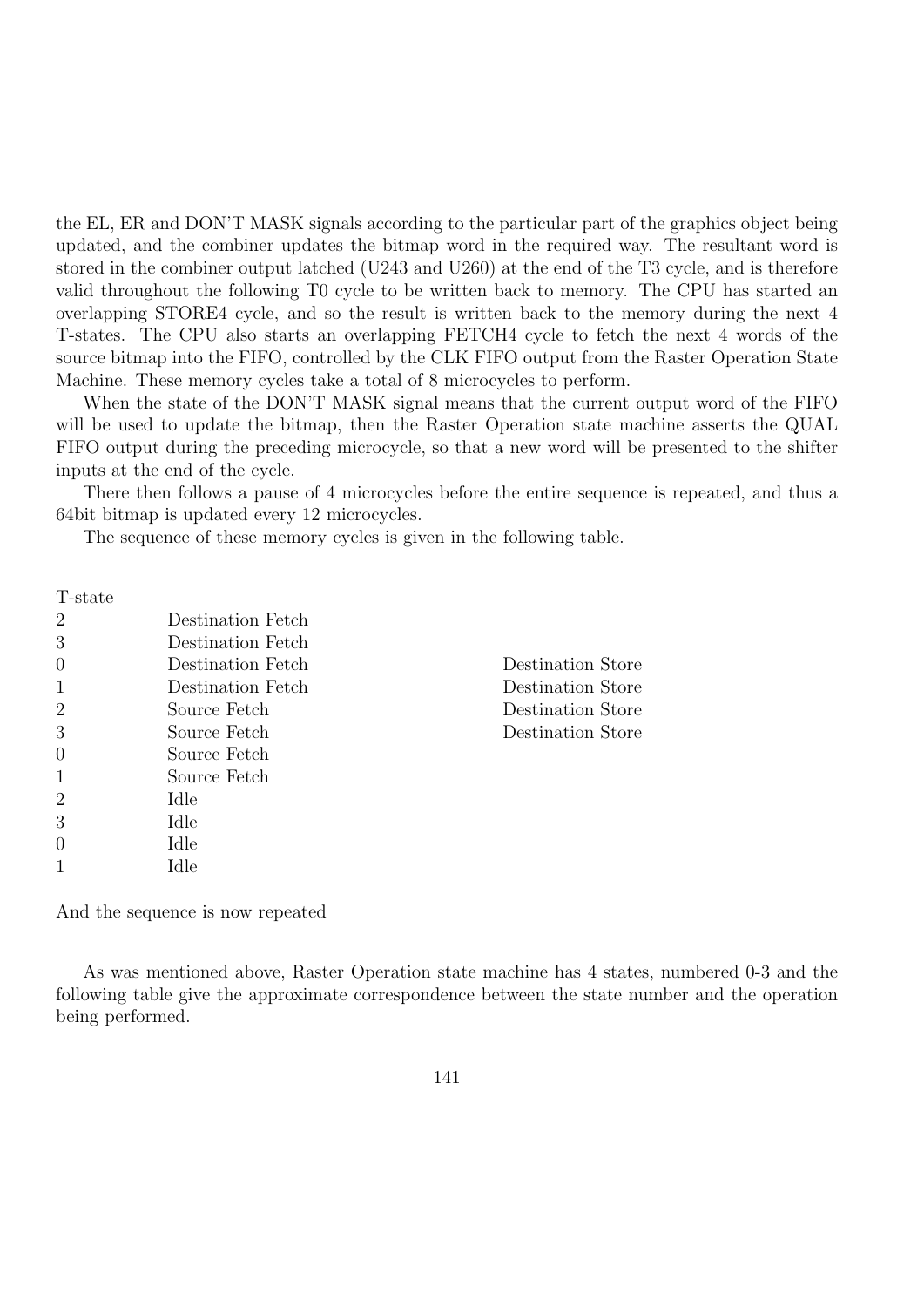the EL, ER and DON'T MASK signals according to the particular part of the graphics object being updated, and the combiner updates the bitmap word in the required way. The resultant word is stored in the combiner output latched (U243 and U260) at the end of the T3 cycle, and is therefore valid throughout the following T0 cycle to be written back to memory. The CPU has started an overlapping STORE4 cycle, and so the result is written back to the memory during the next 4 T-states. The CPU also starts an overlapping FETCH4 cycle to fetch the next 4 words of the source bitmap into the FIFO, controlled by the CLK FIFO output from the Raster Operation State Machine. These memory cycles take a total of 8 microcycles to perform.

When the state of the DON'T MASK signal means that the current output word of the FIFO will be used to update the bitmap, then the Raster Operation state machine asserts the QUAL FIFO output during the preceding microcycle, so that a new word will be presented to the shifter inputs at the end of the cycle.

There then follows a pause of 4 microcycles before the entire sequence is repeated, and thus a 64bit bitmap is updated every 12 microcycles.

The sequence of these memory cycles is given in the following table.

| T-state        |                   |                   |
|----------------|-------------------|-------------------|
| $\overline{2}$ | Destination Fetch |                   |
| 3              | Destination Fetch |                   |
| $\overline{0}$ | Destination Fetch | Destination Store |
| $\mathbf{1}$   | Destination Fetch | Destination Store |
| $\overline{2}$ | Source Fetch      | Destination Store |
| 3              | Source Fetch      | Destination Store |
| $\overline{0}$ | Source Fetch      |                   |
| $\mathbf{1}$   | Source Fetch      |                   |
| $\overline{2}$ | Idle              |                   |
| 3              | Idle              |                   |
| $\overline{0}$ | Idle              |                   |
| 1              | Idle              |                   |
|                |                   |                   |

And the sequence is now repeated

As was mentioned above, Raster Operation state machine has 4 states, numbered 0-3 and the following table give the approximate correspondence between the state number and the operation being performed.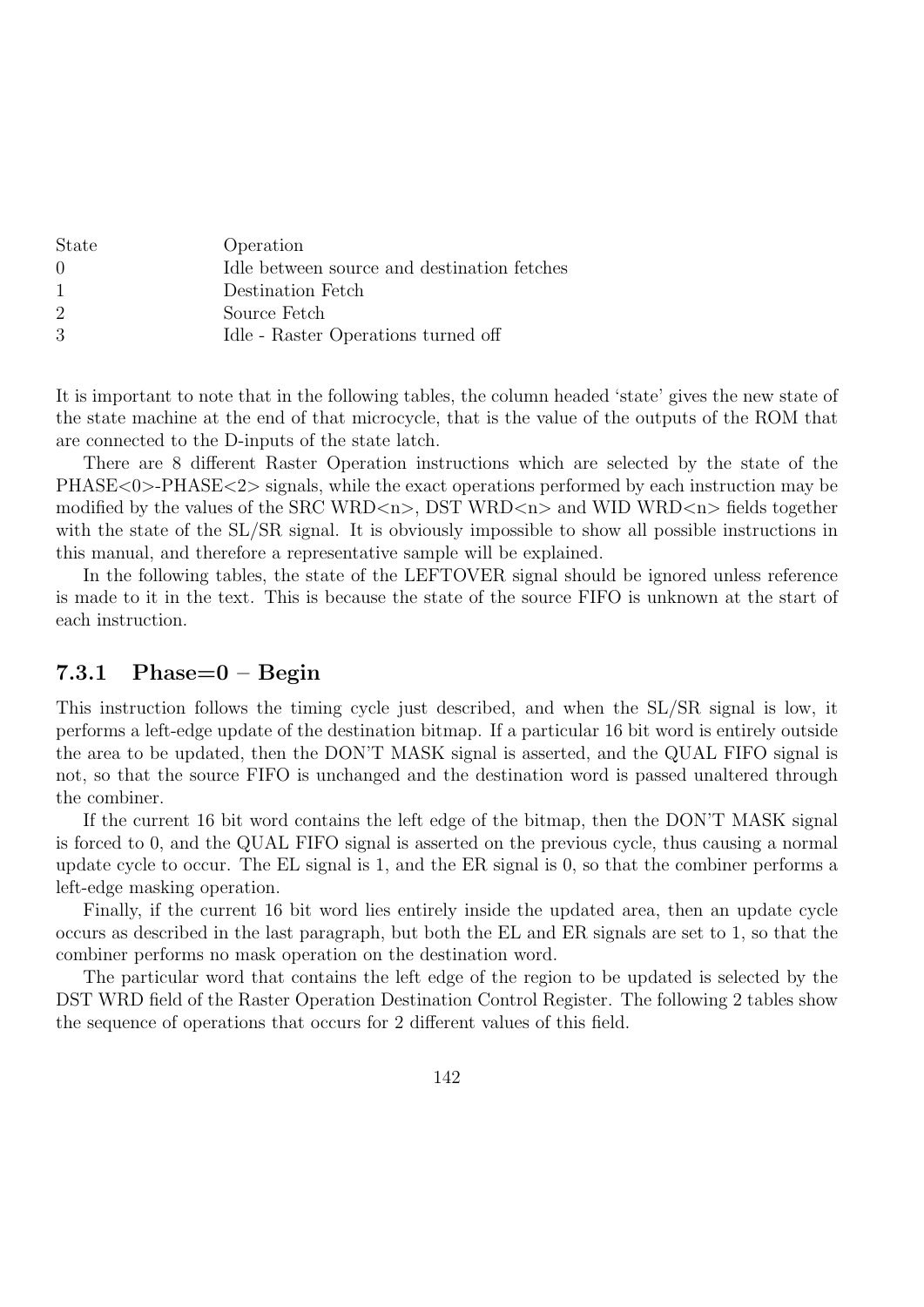| <b>State</b>     | Operation                                   |
|------------------|---------------------------------------------|
| $\left( \right)$ | Idle between source and destination fetches |
| $\mathbf{1}$     | Destination Fetch                           |
| 2                | Source Fetch                                |
| 3                | Idle - Raster Operations turned off         |

It is important to note that in the following tables, the column headed 'state' gives the new state of the state machine at the end of that microcycle, that is the value of the outputs of the ROM that are connected to the D-inputs of the state latch.

There are 8 different Raster Operation instructions which are selected by the state of the PHASE<0>-PHASE<2> signals, while the exact operations performed by each instruction may be modified by the values of the SRC WRD $\langle n \rangle$ , DST WRD $\langle n \rangle$  and WID WRD $\langle n \rangle$  fields together with the state of the  $SL/SR$  signal. It is obviously impossible to show all possible instructions in this manual, and therefore a representative sample will be explained.

In the following tables, the state of the LEFTOVER signal should be ignored unless reference is made to it in the text. This is because the state of the source FIFO is unknown at the start of each instruction.

### 7.3.1 Phase= $0 - \text{Begin}$

This instruction follows the timing cycle just described, and when the SL/SR signal is low, it performs a left-edge update of the destination bitmap. If a particular 16 bit word is entirely outside the area to be updated, then the DON'T MASK signal is asserted, and the QUAL FIFO signal is not, so that the source FIFO is unchanged and the destination word is passed unaltered through the combiner.

If the current 16 bit word contains the left edge of the bitmap, then the DON'T MASK signal is forced to 0, and the QUAL FIFO signal is asserted on the previous cycle, thus causing a normal update cycle to occur. The EL signal is 1, and the ER signal is 0, so that the combiner performs a left-edge masking operation.

Finally, if the current 16 bit word lies entirely inside the updated area, then an update cycle occurs as described in the last paragraph, but both the EL and ER signals are set to 1, so that the combiner performs no mask operation on the destination word.

The particular word that contains the left edge of the region to be updated is selected by the DST WRD field of the Raster Operation Destination Control Register. The following 2 tables show the sequence of operations that occurs for 2 different values of this field.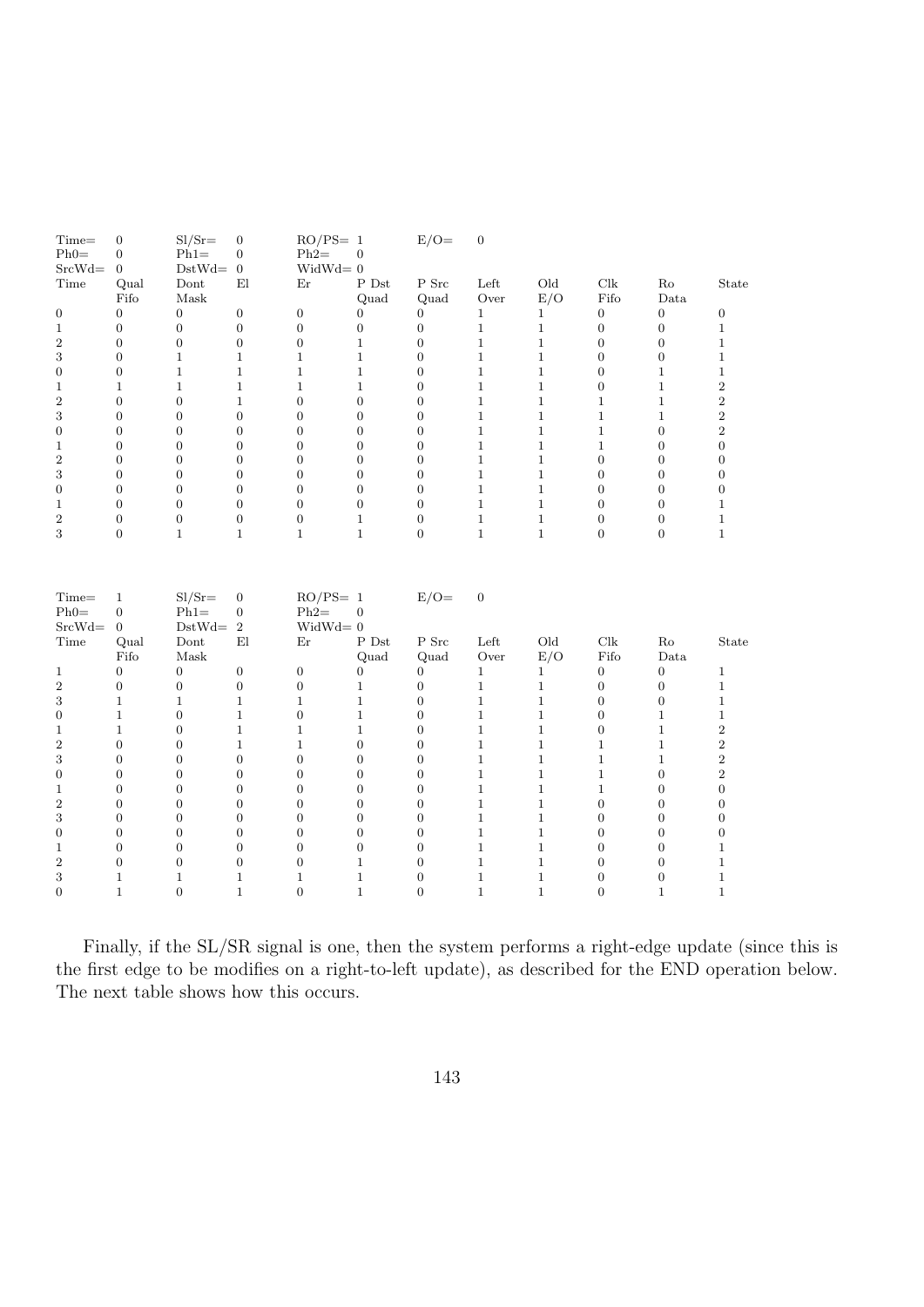| $Time =$<br>$Ph0=$                 | $\boldsymbol{0}$<br>$\overline{0}$             | $SI/Sr=$<br>$Ph1=$             | $\boldsymbol{0}$<br>$\overline{0}$            | $RO/PS = 1$<br>$Ph2=$               | $\theta$           | $E/O=$           | $\boldsymbol{0}$ |              |                  |                  |                  |
|------------------------------------|------------------------------------------------|--------------------------------|-----------------------------------------------|-------------------------------------|--------------------|------------------|------------------|--------------|------------------|------------------|------------------|
| $SrcWd=$                           | $\overline{0}$                                 | $DstWd=$                       | $\mathbf{0}$                                  | $WidthId = 0$                       |                    |                  |                  |              |                  |                  |                  |
| Time                               | Qual                                           | Dont                           | E1                                            | Er                                  | ${\rm P\, \, Dst}$ | ${\bf P}$ Src    | Left             | Old          | Clk              | Ro               | State            |
|                                    | Fifo                                           | Mask                           |                                               |                                     | Quad               | Quad             | Over             | E/O          | Fifo             | Data             |                  |
| $\boldsymbol{0}$                   | $\overline{0}$                                 | $\overline{0}$                 | $\boldsymbol{0}$                              | $\overline{0}$                      | $\overline{0}$     | $\overline{0}$   | $\,1$            | $\mathbf{1}$ | $\boldsymbol{0}$ | $\overline{0}$   | $\overline{0}$   |
| $\mathbf{1}$                       | $\boldsymbol{0}$                               | $\boldsymbol{0}$               | $\mathbf{0}$                                  | $\boldsymbol{0}$                    | $\boldsymbol{0}$   | $\boldsymbol{0}$ | $\mathbf{1}$     | $\mathbf{1}$ | $\boldsymbol{0}$ | $\boldsymbol{0}$ | $\mathbf{1}$     |
| $\boldsymbol{2}$                   | $\boldsymbol{0}$                               | $\mathbf{0}$                   | $\boldsymbol{0}$                              | $\boldsymbol{0}$                    | $\mathbf{1}$       | $\boldsymbol{0}$ | $\mathbf{1}$     | $\mathbf{1}$ | $\boldsymbol{0}$ | $\boldsymbol{0}$ | $\mathbf{1}$     |
| 3                                  | $\overline{0}$                                 | $\mathbf{1}$                   | $\mathbf{1}$                                  | $\mathbf{1}$                        | $\mathbf{1}$       | $\overline{0}$   | $\mathbf{1}$     | $\mathbf{1}$ | $\overline{0}$   | $\overline{0}$   | $\mathbf{1}$     |
| $\boldsymbol{0}$                   | $\boldsymbol{0}$                               | $\mathbf{1}$                   | $1\,$                                         | $\mathbf{1}$                        | $1\,$              | $\overline{0}$   | $\,1$            | $\,1$        | $\overline{0}$   | $\mathbf{1}$     | $\mathbf{1}$     |
| $\mathbf{1}$                       | $\mathbf{1}$                                   | $\mathbf{1}$                   | $\mathbf{1}$                                  | $\mathbf{1}$                        | $\mathbf{1}$       | $\boldsymbol{0}$ | $\mathbf{1}$     | $\mathbf{1}$ | $\boldsymbol{0}$ | $\mathbf{1}$     | $\,2$            |
| $\overline{2}$                     | $\boldsymbol{0}$                               | $\boldsymbol{0}$               | $\mathbf{1}$                                  | $\mathbf{0}$                        | $\overline{0}$     | $\overline{0}$   | $\,1\,$          | $\,1\,$      | $\mathbf 1$      | $1\,$            | $\,2$            |
| 3                                  | $\overline{0}$                                 | $\overline{0}$                 | $\boldsymbol{0}$                              | $\overline{0}$                      | $\overline{0}$     | $\overline{0}$   | $\mathbf{1}$     | $\,1$        | $\mathbf{1}$     | $\mathbf{1}$     | $\,2$            |
| $\boldsymbol{0}$                   | $\boldsymbol{0}$                               | $\overline{0}$                 | $\overline{0}$                                | $\boldsymbol{0}$                    | $\overline{0}$     | $\overline{0}$   | $\,1$            | $\,1$        | $\mathbf{1}$     | $\boldsymbol{0}$ | $\overline{2}$   |
| $\mathbf{1}$                       | $\boldsymbol{0}$                               | $\overline{0}$                 | $\boldsymbol{0}$                              | $\boldsymbol{0}$                    | $\mathbf{0}$       | $\boldsymbol{0}$ | $\,1$            | $\mathbf{1}$ | $\mathbf{1}$     | $\boldsymbol{0}$ | $\boldsymbol{0}$ |
| $\overline{2}$                     | $\overline{0}$                                 | $\overline{0}$                 | $\overline{0}$                                | $\overline{0}$                      | $\overline{0}$     | $\overline{0}$   | $\mathbf{1}$     | $\,1$        | $\overline{0}$   | $\Omega$         | $\overline{0}$   |
| $\sqrt{3}$                         | $\boldsymbol{0}$                               | $\overline{0}$                 | $\mathbf{0}$                                  | $\overline{0}$                      | $\overline{0}$     | $\overline{0}$   | $\,1$            | $\mathbf{1}$ | $\boldsymbol{0}$ | $\overline{0}$   | $\overline{0}$   |
| $\boldsymbol{0}$                   | $\boldsymbol{0}$                               | $\overline{0}$                 | $\mathbf{0}$                                  | $\boldsymbol{0}$                    | $\boldsymbol{0}$   | $\boldsymbol{0}$ | $\,1$            | $\,1\,$      | $\boldsymbol{0}$ | $\overline{0}$   | $\boldsymbol{0}$ |
| $\mathbf{1}$                       | $\overline{0}$                                 | $\overline{0}$                 | $\overline{0}$                                | $\boldsymbol{0}$                    | $\boldsymbol{0}$   | $\overline{0}$   | $\,1$            | $\,1$        | $\boldsymbol{0}$ | $\overline{0}$   | $\mathbf{1}$     |
| $\overline{2}$                     | $\mathbf{0}$                                   | $\boldsymbol{0}$               | $\mathbf{0}$                                  | $\boldsymbol{0}$                    | $\mathbf{1}$       | $\overline{0}$   | $\,1$            | $\,1\,$      | $\boldsymbol{0}$ | $\overline{0}$   | $\mathbf{1}$     |
| 3                                  | $\boldsymbol{0}$                               | $\mathbf{1}$                   | $1\,$                                         | $\mathbf{1}$                        | $\mathbf{1}$       | $\overline{0}$   | $\,1$            | $\,1\,$      | $\boldsymbol{0}$ | $\boldsymbol{0}$ | $\mathbf{1}$     |
| Time=<br>$Ph0=$<br>${\rm SrcWd} =$ | $\mathbf{1}$<br>$\mathbf{0}$<br>$\overline{0}$ | $SI/Sr=$<br>$Ph1=$<br>$DstWd=$ | $\boldsymbol{0}$<br>$\boldsymbol{0}$<br>$\,2$ | $RO/PS = 1$<br>$Ph2=$<br>$Widthd=0$ | $\overline{0}$     | $E/O=$           | $\boldsymbol{0}$ |              |                  |                  |                  |
| Time                               | Qual                                           | Dont                           | E1                                            | Er                                  | ${\rm P\, \, Dst}$ | P Src            | Left             | Old          | Clk              | Ro               | State            |
|                                    | Fifo                                           | ${\rm Mask}$                   |                                               |                                     | Quad               | Quad             | Over             | E/O          | Fifo             | Data             |                  |
| $\mathbf{1}$                       | $\mathbf{0}$                                   | $\boldsymbol{0}$               | $\boldsymbol{0}$                              | $\boldsymbol{0}$                    | $\overline{0}$     | 0                | $\mathbf{1}$     | $\mathbf{1}$ | $\boldsymbol{0}$ | $\boldsymbol{0}$ | $\mathbf{1}$     |
| $\,2$                              | $\boldsymbol{0}$                               | $\boldsymbol{0}$               | $\boldsymbol{0}$                              | $\boldsymbol{0}$                    | $\mathbf{1}$       | $\boldsymbol{0}$ | $\mathbf{1}$     | $\mathbf{1}$ | $\boldsymbol{0}$ | $\boldsymbol{0}$ | $\mathbf{1}$     |
| 3                                  | $\mathbf{1}$                                   | $\mathbf{1}$                   | $\mathbf{1}$                                  | $\mathbf{1}$                        | $\mathbf{1}$       | $\overline{0}$   | $\mathbf{1}$     | $\,1$        | $\overline{0}$   | $\overline{0}$   | $\mathbf{1}$     |
| $\boldsymbol{0}$                   | $\mathbf{1}$                                   | $\overline{0}$                 | $\mathbf{1}$                                  | $\boldsymbol{0}$                    | $\mathbf{1}$       | $\overline{0}$   | $\mathbf{1}$     | $\,1$        | $\boldsymbol{0}$ | $\mathbf{1}$     | $\mathbf{1}$     |
| $\mathbf{1}$                       | $\mathbf{1}$                                   | $\overline{0}$                 | $\mathbf{1}$                                  | $\mathbf{1}$                        | $\mathbf{1}$       | $\boldsymbol{0}$ | $\mathbf{1}$     | $\mathbf{1}$ | $\boldsymbol{0}$ | $\mathbf{1}$     | $\,2$            |
| $\,2$                              | $\overline{0}$                                 | $\overline{0}$                 | $\,1$                                         | $\,1$                               | $\boldsymbol{0}$   | $\overline{0}$   | $\,1\,$          | $\,1$        | $\,1$            | $1\,$            | $\,2$            |
| 3                                  | $\boldsymbol{0}$                               | $\overline{0}$                 | $\mathbf{0}$                                  | $\boldsymbol{0}$                    | $\overline{0}$     | $\overline{0}$   | $\,1$            | $\,1$        | $\mathbf{1}$     | $\mathbf{1}$     | $\,2$            |
| $\boldsymbol{0}$                   | $\boldsymbol{0}$                               | $\overline{0}$                 | $\mathbf{0}$                                  | $\boldsymbol{0}$                    | $\overline{0}$     | $\overline{0}$   | $\,1\,$          | $\,1$        | $\mathbf{1}$     | $\overline{0}$   | $\,2$            |
| $\mathbf{1}$                       | $\boldsymbol{0}$                               | $\overline{0}$                 | $\mathbf{0}$                                  | $\boldsymbol{0}$                    | $\boldsymbol{0}$   | $\boldsymbol{0}$ | $\mathbf{1}$     | $\mathbf{1}$ | $\mathbf{1}$     | $\boldsymbol{0}$ | $\boldsymbol{0}$ |
| $\overline{2}$                     | $\overline{0}$                                 | $\overline{0}$                 | $\overline{0}$                                | $\boldsymbol{0}$                    | $\overline{0}$     | $\overline{0}$   | $\,1$            | $\mathbf{1}$ | $\boldsymbol{0}$ | $\overline{0}$   | $\boldsymbol{0}$ |
| $\,3$                              | $\overline{0}$                                 | $\overline{0}$                 | $\boldsymbol{0}$                              | $\boldsymbol{0}$                    | $\overline{0}$     | $\overline{0}$   | $\,1$            | $\mathbf{1}$ | $\boldsymbol{0}$ | $\overline{0}$   | $\boldsymbol{0}$ |
| $\boldsymbol{0}$                   | $\boldsymbol{0}$                               | $\boldsymbol{0}$               | $\boldsymbol{0}$                              | $\boldsymbol{0}$                    | $\boldsymbol{0}$   | $\overline{0}$   | $\,1$            | $\mathbf{1}$ | $\boldsymbol{0}$ | $\overline{0}$   | $\overline{0}$   |
| $\mathbf{1}$                       | $\boldsymbol{0}$                               | $\overline{0}$                 | $\boldsymbol{0}$                              | $\boldsymbol{0}$                    | $\boldsymbol{0}$   | $\overline{0}$   | $\,1\,$          | $\,1\,$      | $\boldsymbol{0}$ | $\boldsymbol{0}$ | $\mathbf{1}$     |
| $\overline{2}$                     | $\overline{0}$                                 | $\overline{0}$                 | $\overline{0}$                                | $\boldsymbol{0}$                    | $1\,$              | $\overline{0}$   | $\mathbf{1}$     | $\,1\,$      | $\overline{0}$   | $\overline{0}$   | $\mathbf{1}$     |
| 3                                  | $\mathbf{1}$                                   | $\mathbf{1}$                   | $\mathbf{1}$                                  | $\mathbf{1}$                        | $\mathbf{1}$       | $\boldsymbol{0}$ | $\mathbf{1}$     | $\mathbf 1$  | $\boldsymbol{0}$ | $\boldsymbol{0}$ | $\mathbf{1}$     |
| $\overline{0}$                     | $\mathbf{1}$                                   | $\overline{0}$                 | $\mathbf{1}$                                  | $\overline{0}$                      | $\mathbf{1}$       | $\overline{0}$   | $\mathbf{1}$     | $\mathbf{1}$ | $\overline{0}$   | $\mathbf{1}$     | $\mathbf{1}$     |
|                                    |                                                |                                |                                               |                                     |                    |                  |                  |              |                  |                  |                  |

Finally, if the SL/SR signal is one, then the system performs a right-edge update (since this is the first edge to be modifies on a right-to-left update), as described for the END operation below. The next table shows how this occurs.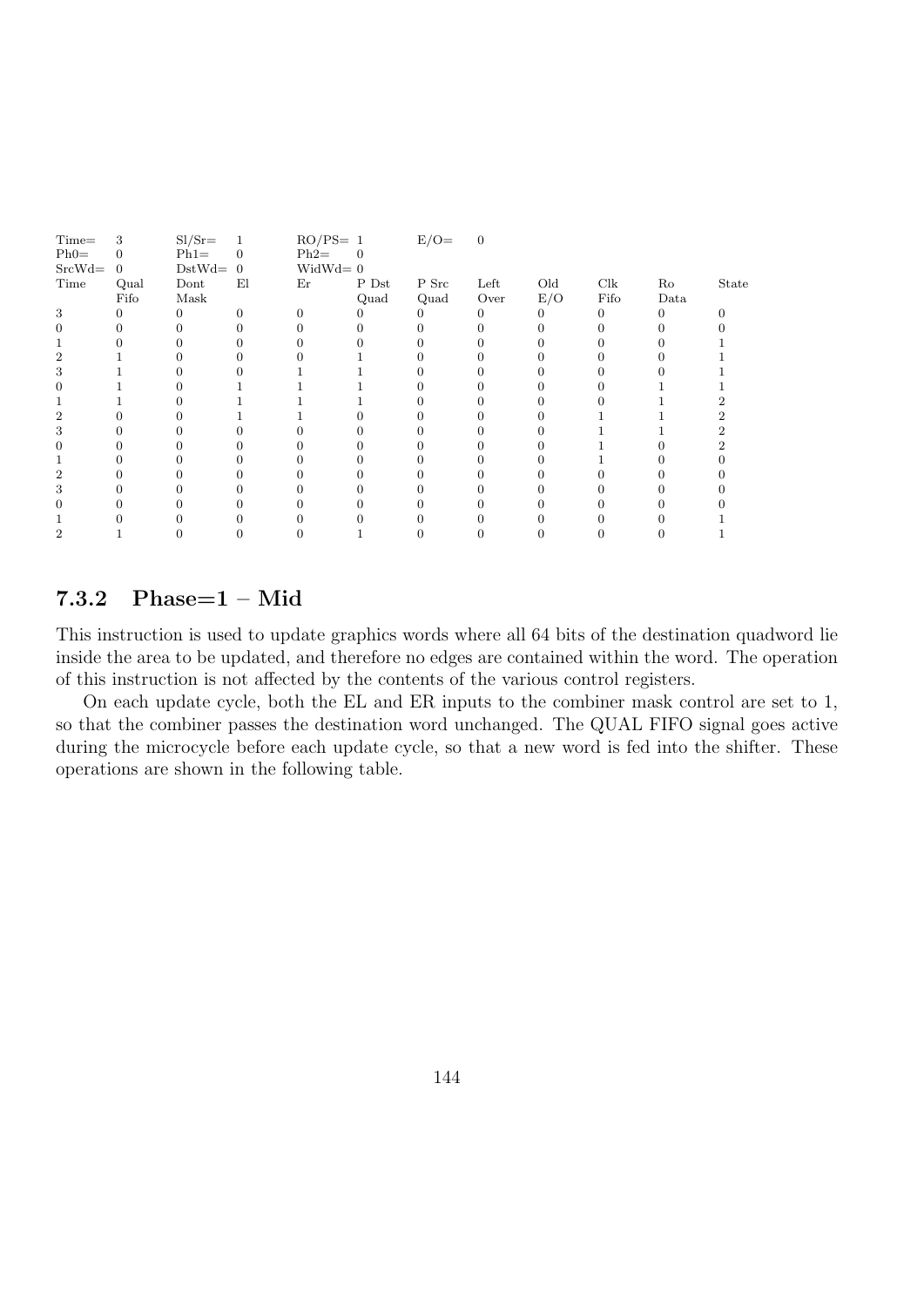| $Time =$ | 3              | $SI/Sr=$ | 1            | $RO/PS = 1$ |          | $E/O=$ | $\overline{0}$ |     |      |      |       |
|----------|----------------|----------|--------------|-------------|----------|--------|----------------|-----|------|------|-------|
| $Ph0=$   | 0              | $Ph1=$   | 0            | $Ph2=$      | $\Omega$ |        |                |     |      |      |       |
| $SrcWd=$ | $\overline{0}$ | $DstWd=$ | $\mathbf{0}$ | $Widthd=0$  |          |        |                |     |      |      |       |
| Time     | Qual           | Dont     | El           | Er          | P Dst    | P Src  | Left           | Old | Clk  | Ro   | State |
|          | Fifo           | Mask     |              |             | Quad     | Quad   | Over           | E/O | Fifo | Data |       |
| 3        | 0              | O        | O            |             |          | O      |                | 0   | 0    | 0    |       |
|          |                |          |              |             |          |        |                |     |      |      |       |
|          |                |          |              |             |          |        |                |     |      |      |       |
|          |                |          |              |             |          |        |                |     |      |      |       |
|          |                |          |              |             |          |        |                |     |      |      |       |
|          |                |          |              |             |          |        |                |     |      |      |       |
|          |                |          |              |             |          |        |                |     |      |      |       |
|          |                |          |              |             |          |        |                |     |      |      |       |
|          |                |          |              |             |          |        |                |     |      |      |       |
|          |                |          |              |             |          |        |                |     |      |      |       |
|          |                |          |              |             |          |        |                |     |      |      |       |
|          |                |          |              |             |          |        |                |     |      |      |       |
| 3        |                |          |              |             |          |        |                |     |      |      |       |
|          |                |          |              |             |          |        |                |     |      |      |       |
|          |                |          |              |             |          |        |                |     |      |      |       |
|          |                |          |              |             |          |        |                |     |      |      |       |
|          |                |          |              |             |          |        |                |     |      |      |       |

### 7.3.2 Phase=1 – Mid

This instruction is used to update graphics words where all 64 bits of the destination quadword lie inside the area to be updated, and therefore no edges are contained within the word. The operation of this instruction is not affected by the contents of the various control registers.

On each update cycle, both the EL and ER inputs to the combiner mask control are set to 1, so that the combiner passes the destination word unchanged. The QUAL FIFO signal goes active during the microcycle before each update cycle, so that a new word is fed into the shifter. These operations are shown in the following table.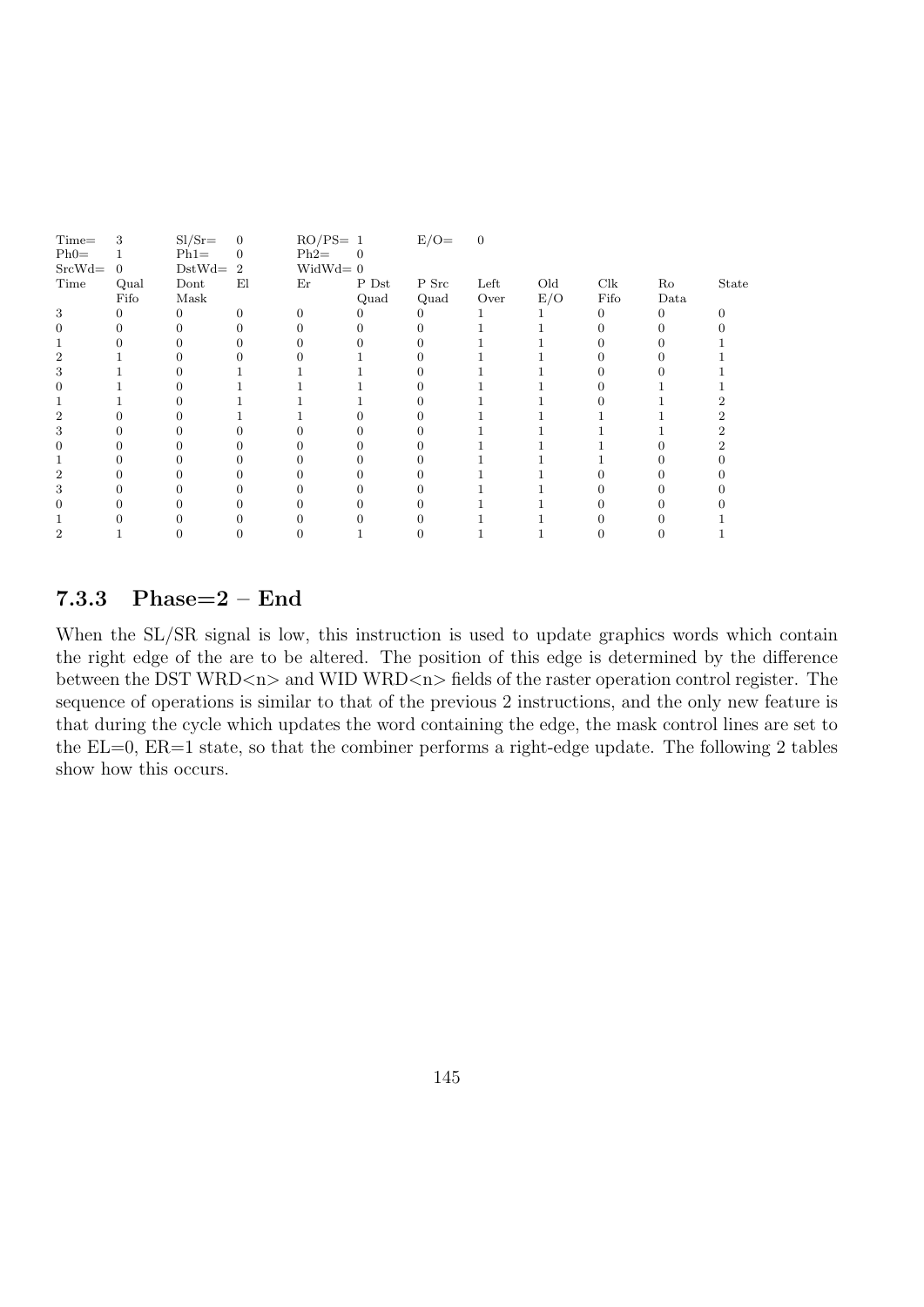| $Time =$ | 3              | $SI/Sr=$ | $\overline{0}$ | $RO/PS = 1$ |          | $E/O=$ | $\overline{0}$ |     |      |      |       |
|----------|----------------|----------|----------------|-------------|----------|--------|----------------|-----|------|------|-------|
| $Ph0=$   |                | $Ph1=$   | 0              | $Ph2=$      | $\Omega$ |        |                |     |      |      |       |
| $SrcWd=$ | $\overline{0}$ | $DstWd=$ | $\overline{2}$ | $Widthd=0$  |          |        |                |     |      |      |       |
| Time     | Qual           | Dont     | El             | Er          | P Dst    | P Src  | Left           | Old | Clk  | Ro   | State |
|          | Fifo           | Mask     |                |             | Quad     | Quad   | Over           | E/O | Fifo | Data |       |
| 3        | 0              | 0        | O              |             |          | 0      |                |     |      | 0    |       |
|          |                |          |                |             |          | 0      |                |     |      |      |       |
|          |                |          |                |             |          |        |                |     |      |      |       |
|          |                |          |                |             |          |        |                |     |      |      |       |
| з        |                |          |                |             |          |        |                |     |      |      |       |
|          |                |          |                |             |          |        |                |     |      |      |       |
|          |                |          |                |             |          |        |                |     |      |      |       |
|          |                |          |                |             |          |        |                |     |      |      |       |
| 3        |                |          |                |             |          |        |                |     |      |      |       |
|          |                |          |                |             |          |        |                |     |      |      |       |
|          |                |          |                |             |          |        |                |     |      |      |       |
|          |                |          |                |             |          |        |                |     |      |      |       |
| 3        |                |          |                |             |          |        |                |     |      |      |       |
|          |                |          |                |             |          |        |                |     |      |      |       |
|          |                |          |                |             |          |        |                |     |      |      |       |
|          |                |          |                |             |          |        |                |     |      |      |       |
|          |                |          |                |             |          |        |                |     |      |      |       |

### 7.3.3 Phase=2 – End

When the SL/SR signal is low, this instruction is used to update graphics words which contain the right edge of the are to be altered. The position of this edge is determined by the difference between the DST WRD $\langle n \rangle$  and WID WRD $\langle n \rangle$  fields of the raster operation control register. The sequence of operations is similar to that of the previous 2 instructions, and the only new feature is that during the cycle which updates the word containing the edge, the mask control lines are set to the EL=0, ER=1 state, so that the combiner performs a right-edge update. The following 2 tables show how this occurs.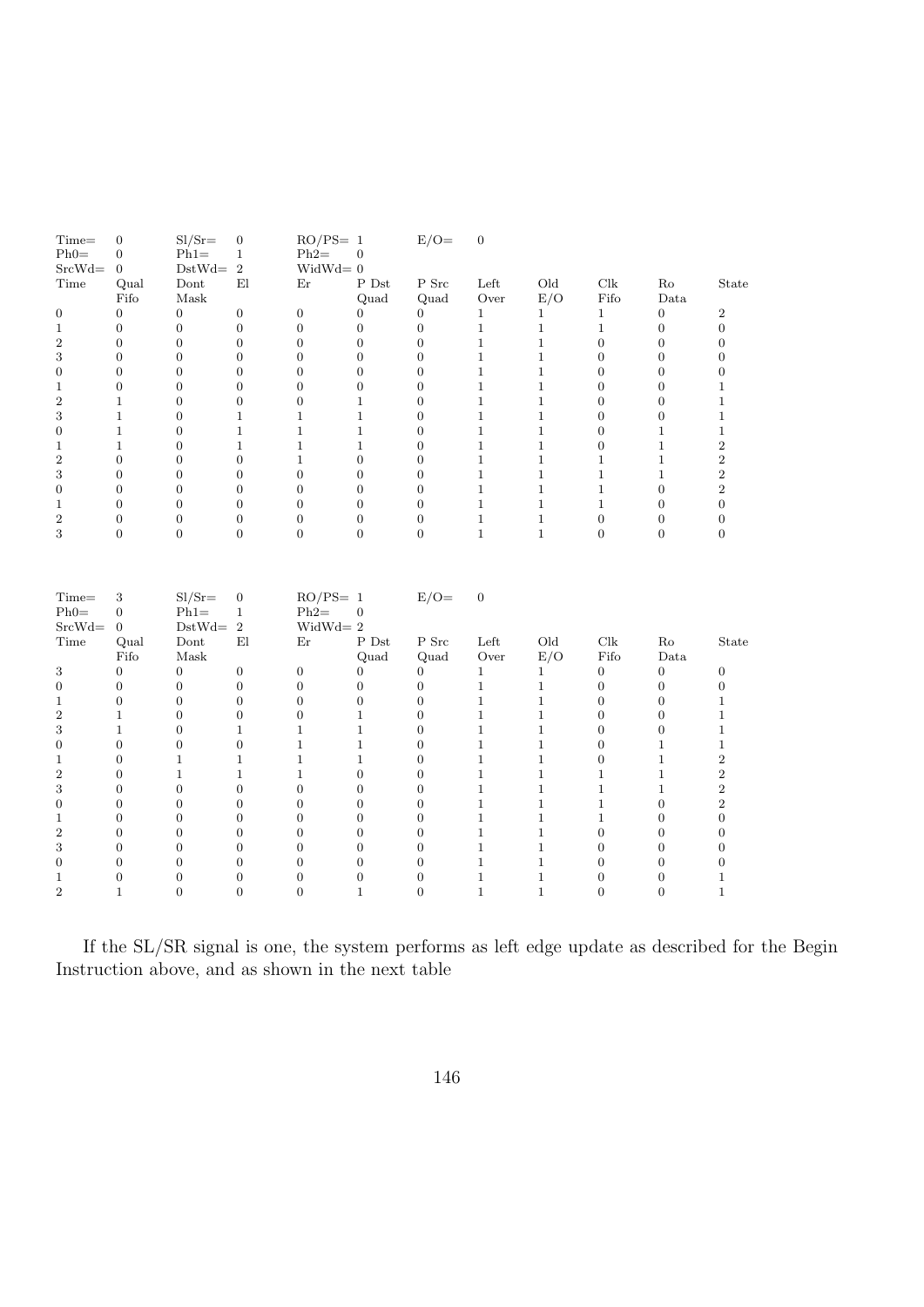| $Time =$                | $\boldsymbol{0}$ | $SI/Sr=$         | $\boldsymbol{0}$           | $RO/PS = 1$      |                    | $E/O=$           | $\boldsymbol{0}$ |              |                      |                  |                  |
|-------------------------|------------------|------------------|----------------------------|------------------|--------------------|------------------|------------------|--------------|----------------------|------------------|------------------|
| $Ph0=$                  | $\overline{0}$   | $Ph1=$           | $\mathbf{1}$               | $Ph2=$           | $\overline{0}$     |                  |                  |              |                      |                  |                  |
| $SrcWd=$                | $\overline{0}$   | $DstWd=$         | $\,2$                      | $WidthId = 0$    |                    |                  |                  |              |                      |                  |                  |
| Time                    | Qual             | Dont             | E1                         | Er               | ${\rm P\, \, Dst}$ | ${\bf P}$ Src    | Left             | Old          | Clk                  | Ro               | State            |
|                         | Fifo             | Mask             |                            |                  | Quad               | Quad             | Over             | E/O          | Fifo                 | Data             |                  |
| $\boldsymbol{0}$        | $\overline{0}$   | $\overline{0}$   | $\boldsymbol{0}$           | $\overline{0}$   | $\overline{0}$     | $\overline{0}$   | $\mathbf{1}$     | $\mathbf{1}$ | $\,1$                | $\overline{0}$   | $\,2$            |
| $\mathbf{1}$            | $\boldsymbol{0}$ | $\boldsymbol{0}$ | $\overline{0}$             | $\boldsymbol{0}$ | $\boldsymbol{0}$   | $\overline{0}$   | $\mathbf{1}$     | $\mathbf{1}$ | $\mathbf{1}$         | $\boldsymbol{0}$ | $\boldsymbol{0}$ |
| $\,2$                   | $\mathbf{0}$     | $\overline{0}$   | $\mathbf{0}$               | $\boldsymbol{0}$ | $\overline{0}$     | $\boldsymbol{0}$ | $\mathbf{1}$     | $\mathbf{1}$ | $\boldsymbol{0}$     | $\boldsymbol{0}$ | $\boldsymbol{0}$ |
| $\,3$                   | $\overline{0}$   | $\overline{0}$   | $\boldsymbol{0}$           | $\overline{0}$   | $\overline{0}$     | $\overline{0}$   | $\,1$            | $\,1\,$      | $\boldsymbol{0}$     | $\boldsymbol{0}$ | $\boldsymbol{0}$ |
| $\boldsymbol{0}$        | $\overline{0}$   | $\overline{0}$   | $\boldsymbol{0}$           | $\boldsymbol{0}$ | $\overline{0}$     | $\overline{0}$   | $\,1$            | $\,1$        | $\overline{0}$       | $\overline{0}$   | $\overline{0}$   |
| $\mathbf{1}$            | $\boldsymbol{0}$ | $\overline{0}$   | $\boldsymbol{0}$           | $\overline{0}$   | $\overline{0}$     | $\boldsymbol{0}$ | $\mathbf{1}$     | $\mathbf{1}$ | $\boldsymbol{0}$     | $\overline{0}$   | $\mathbf{1}$     |
| $\overline{2}$          | $\mathbf{1}$     | $\overline{0}$   | $\boldsymbol{0}$           | $\boldsymbol{0}$ | $\mathbf{1}$       | $\boldsymbol{0}$ | $\,1$            | $\,1\,$      | $\boldsymbol{0}$     | $\boldsymbol{0}$ | $\mathbf{1}$     |
| 3                       | $\,1$            | $\overline{0}$   | $1\,$                      | $\mathbf{1}$     | $1\,$              | $\overline{0}$   | $\mathbf{1}$     | $\,1$        | $\boldsymbol{0}$     | $\boldsymbol{0}$ | $\mathbf{1}$     |
| $\boldsymbol{0}$        | $\mathbf{1}$     | $\overline{0}$   | $\mathbf{1}$               | $\mathbf{1}$     | $\mathbf{1}$       | $\overline{0}$   | $\,1$            | $\mathbf{1}$ | $\boldsymbol{0}$     | $\mathbf{1}$     | $\mathbf{1}$     |
| $\mathbf{1}$            | $\mathbf{1}$     | $\boldsymbol{0}$ | $1\,$                      | $\mathbf{1}$     | $\mathbf{1}$       | $\overline{0}$   | $\,1$            | $\,1\,$      | $\overline{0}$       | $1\,$            | $\,2$            |
| $\overline{\mathbf{2}}$ | $\boldsymbol{0}$ | $\overline{0}$   | $\boldsymbol{0}$           | $\mathbf{1}$     | $\overline{0}$     | $\overline{0}$   | $\mathbf{1}$     | $\mathbf{1}$ | $\mathbf{1}$         | $\mathbf{1}$     | $\overline{2}$   |
| 3                       | $\boldsymbol{0}$ | $\overline{0}$   | $\mathbf{0}$               | $\mathbf{0}$     | $\overline{0}$     | $\overline{0}$   | $\,1$            | $\mathbf{1}$ | $\mathbf{1}$         | $1\,$            | $\,2$            |
| $\boldsymbol{0}$        | $\overline{0}$   | $\overline{0}$   | $\overline{0}$             | $\boldsymbol{0}$ | $\overline{0}$     | $\overline{0}$   | $\mathbf{1}$     | $\mathbf{1}$ | $\,1$                | $\overline{0}$   | $\,2$            |
| $\mathbf{1}$            | $\overline{0}$   | $\overline{0}$   | $\boldsymbol{0}$           | $\boldsymbol{0}$ | $\overline{0}$     | $\overline{0}$   | $\mathbf{1}$     | $\mathbf{1}$ | $\mathbf{1}$         | $\Omega$         | $\boldsymbol{0}$ |
| $\boldsymbol{2}$        | $\boldsymbol{0}$ | $\boldsymbol{0}$ | $\boldsymbol{0}$           | $\boldsymbol{0}$ | $\boldsymbol{0}$   | $\boldsymbol{0}$ | $\mathbf{1}$     | $\mathbf{1}$ | $\boldsymbol{0}$     | $\boldsymbol{0}$ | $\overline{0}$   |
| 3                       | $\overline{0}$   | $\overline{0}$   | $\mathbf{0}$               | $\overline{0}$   | $\overline{0}$     | $\overline{0}$   | $\mathbf{1}$     | $\mathbf{1}$ | $\boldsymbol{0}$     | $\overline{0}$   | $\boldsymbol{0}$ |
| Time=                   | 3                | $SI/Sr=$         | $\boldsymbol{0}$           | $RO/PS = 1$      |                    | $E/O=$           | $\overline{0}$   |              |                      |                  |                  |
| $Ph0=$                  | $\mathbf{0}$     | $Ph1=$           | $1\,$                      | $Ph2=$           | $\boldsymbol{0}$   |                  |                  |              |                      |                  |                  |
| $SrcWd=$                | $\overline{0}$   | $DstWd=$         | $\,2$                      | $\mbox{WidWd}=2$ |                    |                  |                  |              |                      |                  |                  |
| Time                    | Qual             | Dont             | $\mathop{\rm El}\nolimits$ | Er               | P Dst              | P Src            | Left             | Old          | $\operatorname{Clk}$ | Ro               | State            |
|                         | Fifo             | Mask             |                            |                  | Quad               | Quad             | Over             | E/O          | Fifo                 | Data             |                  |
| $\,3$                   | $\boldsymbol{0}$ | $\boldsymbol{0}$ | $\boldsymbol{0}$           | $\boldsymbol{0}$ | $\boldsymbol{0}$   | $\overline{0}$   | $\,1$            | $\mathbf{1}$ | $\boldsymbol{0}$     | $\boldsymbol{0}$ | $\boldsymbol{0}$ |
| $\boldsymbol{0}$        | $\overline{0}$   | $\overline{0}$   | $\mathbf{0}$               | $\overline{0}$   | $\overline{0}$     | $\overline{0}$   | $\mathbf{1}$     | $\mathbf{1}$ | $\boldsymbol{0}$     | $\overline{0}$   | $\overline{0}$   |
| $\mathbf{1}$            | $\overline{0}$   | $\overline{0}$   | $\boldsymbol{0}$           | $\boldsymbol{0}$ | $\boldsymbol{0}$   | $\overline{0}$   | $\mathbf{1}$     | $\mathbf{1}$ | $\overline{0}$       | $\overline{0}$   | $\mathbf{1}$     |
| $\overline{2}$          | $\mathbf{1}$     | $\boldsymbol{0}$ | $\overline{0}$             | $\boldsymbol{0}$ | $\mathbf{1}$       | $\boldsymbol{0}$ | $\,1$            | $\mathbf{1}$ | $\boldsymbol{0}$     | $\boldsymbol{0}$ | $\mathbf{1}$     |
| 3                       | $\mathbf{1}$     | $\overline{0}$   | $\mathbf{1}$               | $\mathbf{1}$     | $\mathbf{1}$       | $\overline{0}$   | $\mathbf{1}$     | $\mathbf{1}$ | $\boldsymbol{0}$     | $\boldsymbol{0}$ | $\mathbf{1}$     |
| $\boldsymbol{0}$        | $\overline{0}$   | $\boldsymbol{0}$ | $\boldsymbol{0}$           | $\mathbf{1}$     | $1\,$              | $\overline{0}$   | $\mathbf{1}$     | $\mathbf 1$  | $\overline{0}$       | $\mathbf{1}$     | $\mathbf{1}$     |
| $\mathbf{1}$            | $\boldsymbol{0}$ | $\mathbf{1}$     | $\mathbf{1}$               | $\mathbf{1}$     | $\mathbf{1}$       | $\boldsymbol{0}$ | $\mathbf{1}$     | $\mathbf{1}$ | $\boldsymbol{0}$     | $\mathbf{1}$     | $\,2$            |
| $\,2$                   | $\overline{0}$   | $\mathbf{1}$     | $\mathbf{1}$               | $\,1$            | $\overline{0}$     | $\overline{0}$   | $\,1$            | $\,1$        | $\mathbf{1}$         | $1\,$            | $\,2$            |
| 3                       | $\overline{0}$   | $\overline{0}$   | $\boldsymbol{0}$           | $\boldsymbol{0}$ | $\boldsymbol{0}$   | $\overline{0}$   | $\,1$            | $\mathbf 1$  | $\mathbf{1}$         | $\,1$            | $\,2$            |
| $\boldsymbol{0}$        | $\theta$         | $\overline{0}$   | $\mathbf{0}$               | $\mathbf{0}$     | $\overline{0}$     | $\overline{0}$   | $\mathbf{1}$     | $\,1$        | $\mathbf{1}$         | $\overline{0}$   | $\overline{2}$   |
| $\mathbf{1}$            | $\overline{0}$   | $\overline{0}$   | $\boldsymbol{0}$           | $\boldsymbol{0}$ | $\boldsymbol{0}$   | $\overline{0}$   | $\mathbf{1}$     | $\,1$        | $\,1$                | $\overline{0}$   | $\boldsymbol{0}$ |
| $\overline{2}$          | $\boldsymbol{0}$ | $\boldsymbol{0}$ | $\boldsymbol{0}$           | $\boldsymbol{0}$ | $\boldsymbol{0}$   | $\overline{0}$   | $\mathbf{1}$     | $\,1$        | $\boldsymbol{0}$     | $\overline{0}$   | $\overline{0}$   |
| 3                       | $\boldsymbol{0}$ | $\overline{0}$   | $\mathbf{0}$               | $\overline{0}$   | $\overline{0}$     | $\overline{0}$   | $\,1$            | $\mathbf{1}$ | $\boldsymbol{0}$     | $\boldsymbol{0}$ | $\boldsymbol{0}$ |
| $\boldsymbol{0}$        | $\overline{0}$   | $\overline{0}$   | $\boldsymbol{0}$           | $\boldsymbol{0}$ | $\boldsymbol{0}$   | $\overline{0}$   | $\mathbf{1}$     | $\,1\,$      | $\overline{0}$       | $\overline{0}$   | $\boldsymbol{0}$ |
| $\mathbf{1}$            | $\overline{0}$   | $\overline{0}$   | $\boldsymbol{0}$           | $\boldsymbol{0}$ | $\overline{0}$     | $\overline{0}$   | $\mathbf{1}$     | $\mathbf{1}$ | $\boldsymbol{0}$     | $\overline{0}$   | $\mathbf{1}$     |
| $\overline{2}$          | $\mathbf{1}$     | $\overline{0}$   | $\overline{0}$             | $\mathbf{0}$     | $\mathbf{1}$       | $\overline{0}$   | $\mathbf{1}$     | $\mathbf{1}$ | $\overline{0}$       | $\overline{0}$   | $\mathbf{1}$     |

If the SL/SR signal is one, the system performs as left edge update as described for the Begin Instruction above, and as shown in the next table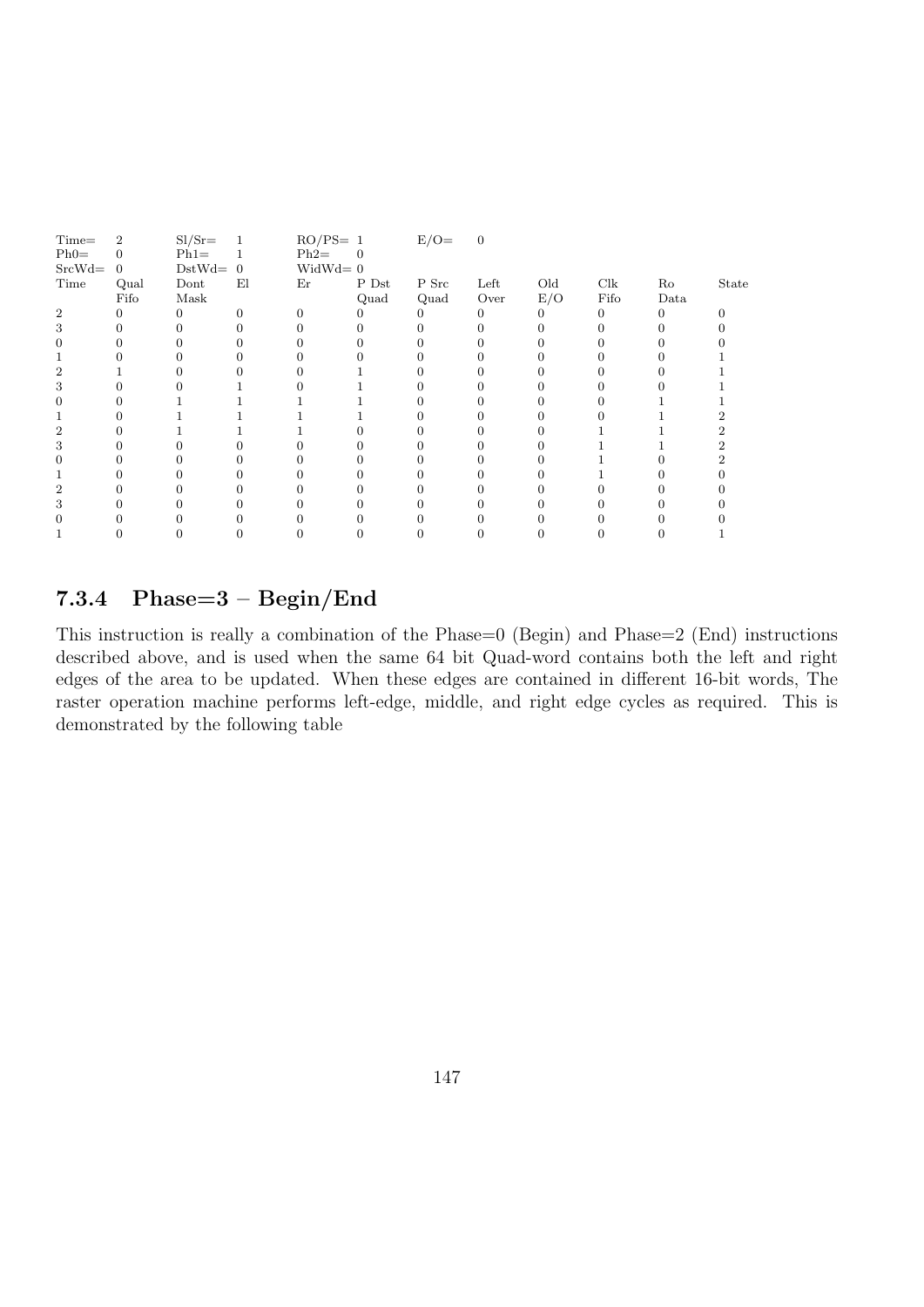| $Time =$<br>$Ph0=$<br>$SrcWd=$ | $\overline{2}$<br>0<br>$\overline{0}$ | $Sl/Sr=$<br>$Ph1=$<br>$DstWd=0$ | 1<br>1 | $RO/PS = 1$<br>$Ph2=$<br>$Widthd=0$ | $\overline{0}$ | $E/O=$   | $\overline{0}$ |          |      |      |       |
|--------------------------------|---------------------------------------|---------------------------------|--------|-------------------------------------|----------------|----------|----------------|----------|------|------|-------|
| Time                           | Qual                                  | Dont                            | El     | Er                                  | P Dst          | P Src    | Left           | Old      | Clk  | Ro   | State |
|                                | Fifo                                  | Mask                            |        |                                     | Quad           | Quad     | Over           | E/O      | Fifo | Data |       |
| $\overline{2}$                 | 0                                     | $\Omega$                        | O      |                                     |                | $\Omega$ | $\Omega$       | $\Omega$ | 0    | 0    |       |
| 3                              |                                       |                                 |        |                                     |                |          |                |          |      |      |       |
|                                |                                       |                                 |        |                                     |                |          |                |          |      |      |       |
|                                |                                       |                                 |        |                                     |                |          |                |          |      |      |       |
|                                |                                       |                                 |        |                                     |                |          |                |          |      |      |       |
| 3                              |                                       |                                 |        |                                     |                |          |                |          |      |      |       |
|                                |                                       |                                 |        |                                     |                |          |                |          |      |      |       |
|                                |                                       |                                 |        |                                     |                |          |                |          |      |      |       |
|                                |                                       |                                 |        |                                     |                |          |                |          |      |      |       |
| З                              |                                       |                                 |        |                                     |                |          |                |          |      |      |       |
|                                |                                       |                                 |        |                                     |                |          |                |          |      |      |       |
|                                |                                       |                                 |        |                                     |                |          |                |          |      |      |       |
|                                |                                       |                                 |        |                                     |                |          |                |          |      |      |       |
| 3                              |                                       |                                 |        |                                     |                |          |                |          |      |      |       |
|                                |                                       |                                 |        |                                     |                |          |                |          |      |      |       |
|                                |                                       |                                 |        |                                     |                |          |                |          |      |      |       |

### 7.3.4 Phase= $3 - \text{Begin/End}$

This instruction is really a combination of the Phase=0 (Begin) and Phase=2 (End) instructions described above, and is used when the same 64 bit Quad-word contains both the left and right edges of the area to be updated. When these edges are contained in different 16-bit words, The raster operation machine performs left-edge, middle, and right edge cycles as required. This is demonstrated by the following table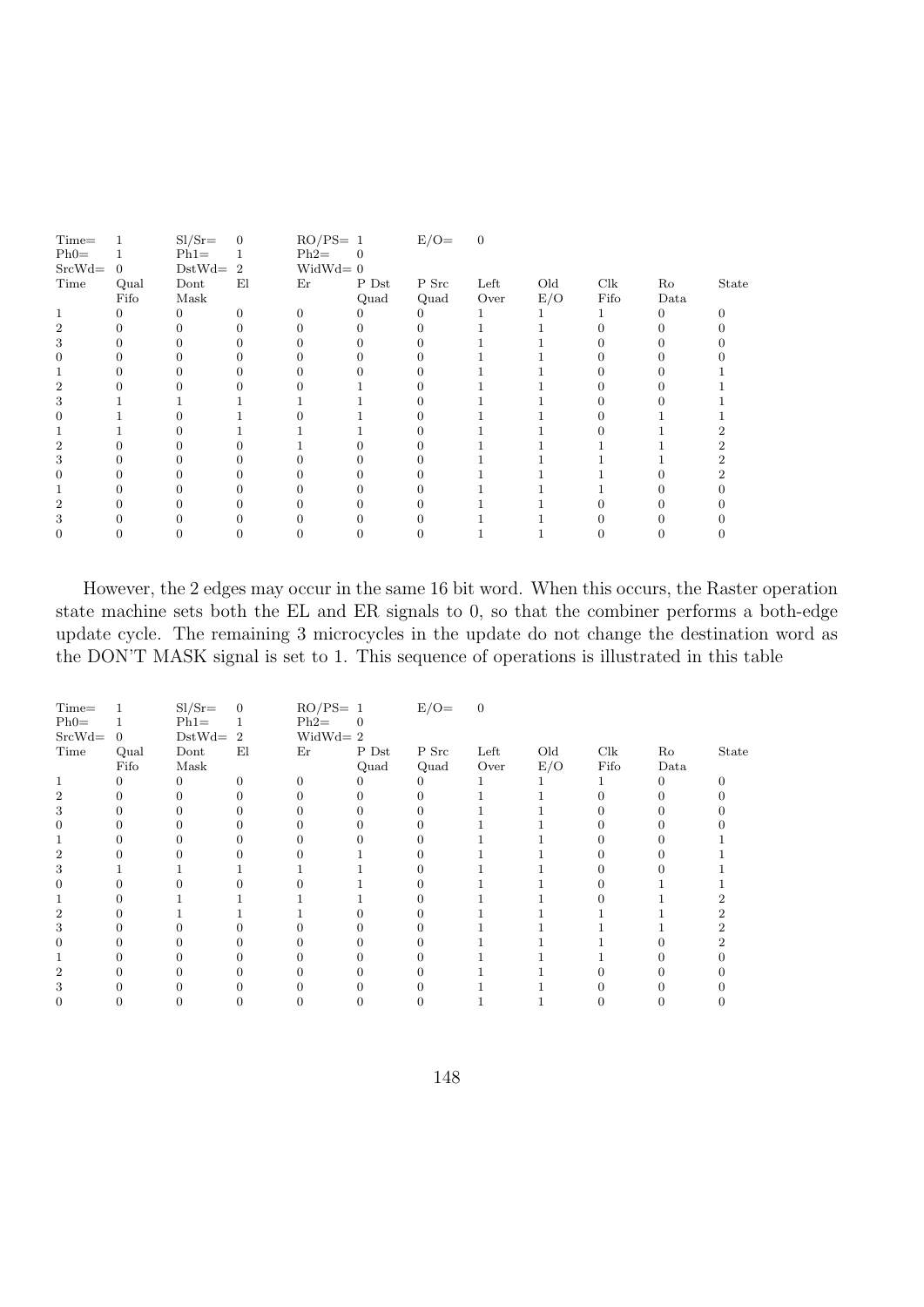| $Time =$ |                | $SI/Sr=$ | $\overline{0}$ | $RO/PS = 1$ |          | $E/O=$ | $\overline{0}$ |     |      |      |       |
|----------|----------------|----------|----------------|-------------|----------|--------|----------------|-----|------|------|-------|
| $Ph0=$   |                | $Ph1=$   |                | $Ph2=$      | $\Omega$ |        |                |     |      |      |       |
| $SrcWd=$ | $\overline{0}$ | $DstWd=$ | $\overline{2}$ | $Widthd=0$  |          |        |                |     |      |      |       |
| Time     | Qual           | Dont     | El             | Er          | P Dst    | P Src  | Left           | Old | Clk  | Ro   | State |
|          | Fifo           | Mask     |                |             | Quad     | Quad   | Over           | E/O | Fifo | Data |       |
|          | 0              | O        | 0              |             |          | O      |                |     |      | 0    |       |
|          | 0              |          |                |             |          |        |                |     |      |      |       |
|          |                |          |                |             |          |        |                |     |      |      |       |
|          |                |          |                |             |          |        |                |     |      |      |       |
|          |                |          |                |             |          |        |                |     |      |      |       |
|          |                |          |                |             |          |        |                |     |      |      |       |
|          |                |          |                |             |          |        |                |     |      |      |       |
|          |                |          |                |             |          |        |                |     |      |      |       |
|          |                |          |                |             |          |        |                |     |      |      |       |
|          |                |          |                |             |          |        |                |     |      |      |       |
|          |                |          |                |             |          |        |                |     |      |      |       |
|          |                |          |                |             |          |        |                |     |      |      |       |
|          |                |          |                |             |          |        |                |     |      |      |       |
|          |                |          |                |             |          |        |                |     |      |      |       |
|          |                |          |                |             |          |        |                |     |      |      |       |
|          |                |          |                |             |          |        |                |     |      |      |       |
|          |                |          |                |             |          |        |                |     |      |      |       |

However, the 2 edges may occur in the same 16 bit word. When this occurs, the Raster operation state machine sets both the EL and ER signals to 0, so that the combiner performs a both-edge update cycle. The remaining 3 microcycles in the update do not change the destination word as the DON'T MASK signal is set to 1. This sequence of operations is illustrated in this table

| $\mathrm{Time} =$ |                | $Sl/Sr =$ | $\mathbf{0}$ | $RO/PS = 1$  |       | $E/O =$ | $\overline{0}$ |     |      |          |       |
|-------------------|----------------|-----------|--------------|--------------|-------|---------|----------------|-----|------|----------|-------|
| $Ph0=$            |                | $Ph1=$    | 1            | $Ph2=$       | 0     |         |                |     |      |          |       |
| $SrcWd=$          | $\overline{0}$ | $DstWd=2$ |              | $WidthM = 2$ |       |         |                |     |      |          |       |
| Time              | Qual           | Dont      | El           | Er           | P Dst | P Src   | Left           | Old | Clk  | Ro       | State |
|                   | Fifo           | Mask      |              |              | Quad  | Quad    | Over           | E/O | Fifo | Data     |       |
|                   | 0              | 0         | 0            |              |       | 0       |                |     |      | $\Omega$ |       |
| 2                 |                |           |              |              |       |         |                |     |      | 0        |       |
| 3                 |                |           |              |              |       |         |                |     |      | $^{(1)}$ |       |
|                   |                |           |              |              |       |         |                |     |      |          |       |
|                   |                |           |              |              |       |         |                |     |      |          |       |
| 2                 |                |           |              |              |       |         |                |     |      |          |       |
| 3                 |                |           |              |              |       |         |                |     |      |          |       |
|                   |                |           |              |              |       |         |                |     |      |          |       |
|                   |                |           |              |              |       |         |                |     |      |          |       |
| 2                 |                |           |              |              |       |         |                |     |      |          |       |
| 3                 |                |           |              |              |       |         |                |     |      |          |       |
|                   |                |           |              |              |       |         |                |     |      |          |       |
|                   |                |           |              |              |       |         |                |     |      |          |       |
| 2                 |                |           |              |              |       |         |                |     |      |          |       |
| з                 |                |           |              |              |       |         |                |     |      |          |       |
|                   |                |           |              |              |       |         |                |     |      |          |       |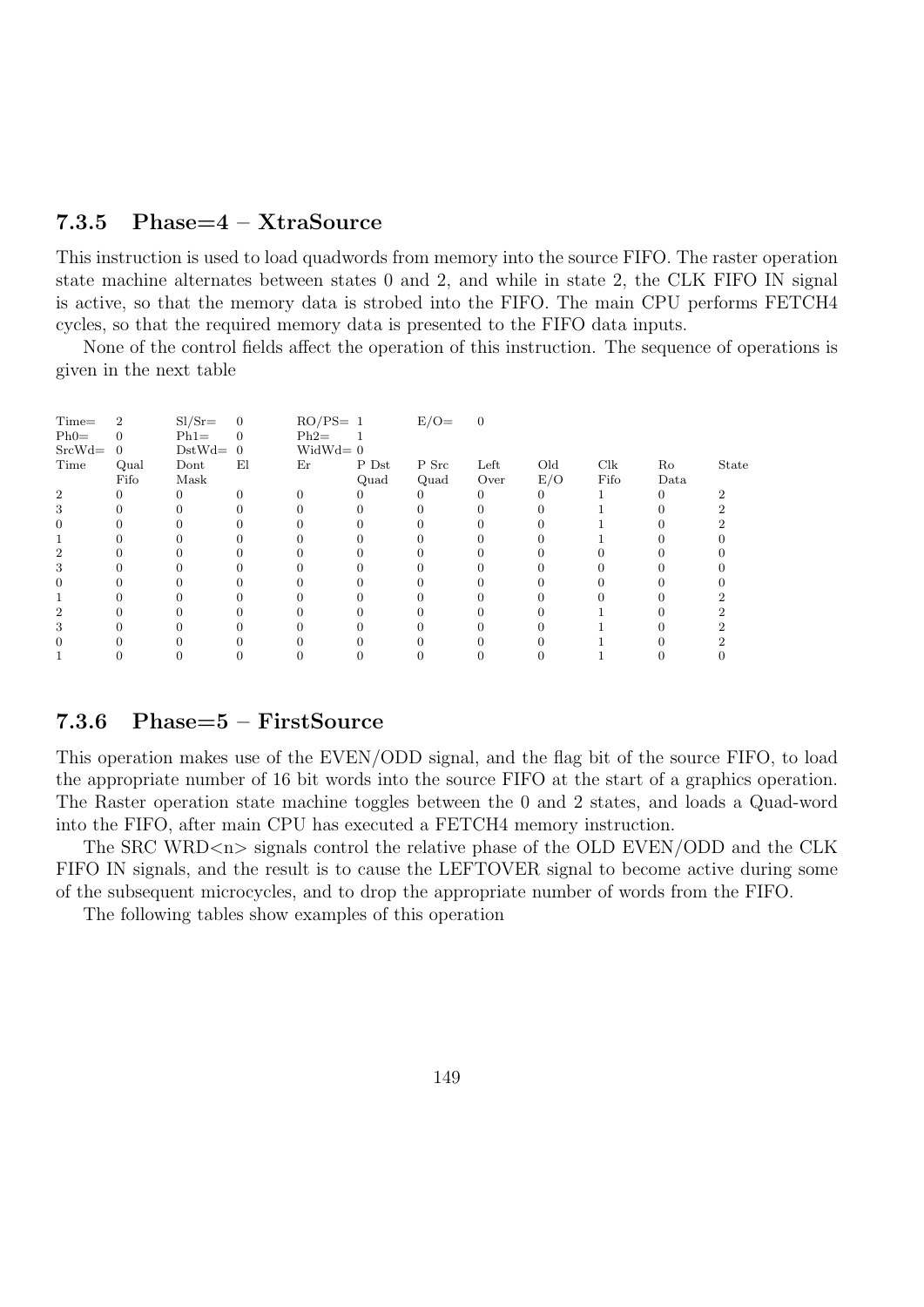### 7.3.5 Phase= $4 - X$ traSource

This instruction is used to load quadwords from memory into the source FIFO. The raster operation state machine alternates between states 0 and 2, and while in state 2, the CLK FIFO IN signal is active, so that the memory data is strobed into the FIFO. The main CPU performs FETCH4 cycles, so that the required memory data is presented to the FIFO data inputs.

None of the control fields affect the operation of this instruction. The sequence of operations is given in the next table

| $Time =$<br>$Ph0=$ | $\overline{2}$<br>0 | $SI/Sr=$<br>$Ph1=$ | $\overline{0}$<br>$\overline{0}$ | $RO/PS = 1$<br>$Ph2=$ |       | $E/O=$ | $\overline{0}$ |     |      |      |       |
|--------------------|---------------------|--------------------|----------------------------------|-----------------------|-------|--------|----------------|-----|------|------|-------|
| $SrcWd=$           | $\overline{0}$      | $DstWd=0$          |                                  | $Widthd=0$            |       |        |                |     |      |      |       |
| Time               | Qual                | Dont               | El                               | Er                    | P Dst | P Src  | Left           | Old | Clk  | Ro   | State |
|                    | Fifo                | Mask               |                                  |                       | Quad  | Quad   | Over           | E/O | Fifo | Data |       |
| $\overline{2}$     | 0                   | $\Omega$           |                                  |                       |       | 0      | $\Omega$       |     |      |      |       |
| 3                  |                     |                    |                                  |                       |       |        | 0              |     |      |      |       |
|                    |                     |                    |                                  |                       |       |        |                |     |      |      |       |
|                    |                     |                    |                                  |                       |       |        |                |     |      |      |       |
| 2                  |                     |                    |                                  |                       |       |        |                |     |      |      |       |
| 3                  |                     |                    |                                  |                       |       |        |                |     |      |      |       |
|                    |                     |                    |                                  |                       |       |        |                |     |      |      |       |
|                    |                     |                    |                                  |                       |       |        |                |     |      |      |       |
| 2                  |                     |                    |                                  |                       |       |        |                |     |      |      |       |
| 3                  |                     |                    |                                  |                       |       |        |                |     |      |      |       |
|                    |                     |                    |                                  |                       |       |        |                |     |      |      |       |
|                    |                     |                    |                                  |                       |       |        |                |     |      |      |       |

#### 7.3.6 Phase= $5 -$  FirstSource

This operation makes use of the EVEN/ODD signal, and the flag bit of the source FIFO, to load the appropriate number of 16 bit words into the source FIFO at the start of a graphics operation. The Raster operation state machine toggles between the 0 and 2 states, and loads a Quad-word into the FIFO, after main CPU has executed a FETCH4 memory instruction.

The SRC WRD $\langle n \rangle$  signals control the relative phase of the OLD EVEN/ODD and the CLK FIFO IN signals, and the result is to cause the LEFTOVER signal to become active during some of the subsequent microcycles, and to drop the appropriate number of words from the FIFO.

The following tables show examples of this operation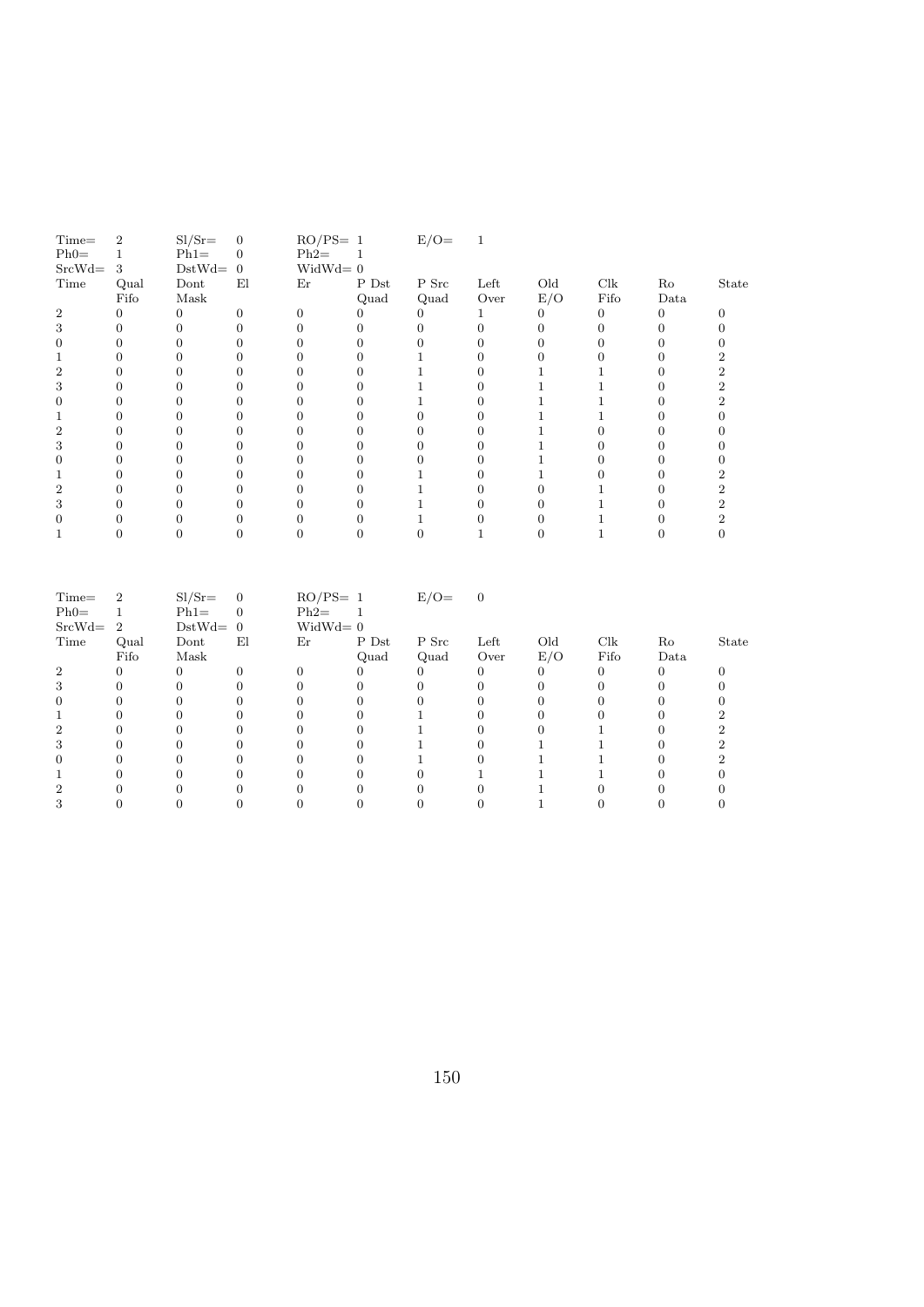| $Time =$ | $\overline{2}$ | $SI/Sr=$ | $\overline{0}$ | $RO/PS = 1$ |       | $E/O=$ |      |     |      |      |       |
|----------|----------------|----------|----------------|-------------|-------|--------|------|-----|------|------|-------|
| $Ph0=$   |                | $Ph1=$   | 0              | $Ph2=$      |       |        |      |     |      |      |       |
| $SrcWd=$ | 3              | $DstWd=$ | $\overline{0}$ | $Widthd=0$  |       |        |      |     |      |      |       |
| Time     | Qual           | Dont     | El             | Er          | P Dst | P Src  | Left | Old | Clk  | Ro   | State |
|          | Fifo           | Mask     |                |             | Quad  | Quad   | Over | E/O | Fifo | Data |       |
| 2        | 0              |          | O              |             |       | O      |      |     |      | 0    |       |
|          | 0              |          |                |             |       |        |      |     |      |      |       |
|          |                |          |                |             |       |        |      |     |      |      |       |
|          |                |          |                |             |       |        |      |     |      |      |       |
|          |                |          |                |             |       |        |      |     |      |      |       |
|          |                |          |                |             |       |        |      |     |      |      |       |
|          |                |          |                |             |       |        |      |     |      |      |       |
|          |                |          |                |             |       |        |      |     |      |      |       |
|          |                |          |                |             |       |        |      |     |      |      |       |
|          |                |          |                |             |       |        |      |     |      |      |       |
|          |                |          |                |             |       |        |      |     |      |      |       |
|          |                |          |                |             |       |        |      |     |      |      |       |
|          |                |          |                |             |       |        |      |     |      |      |       |
|          |                |          |                |             |       |        |      |     |      |      |       |
|          |                |          |                |             |       |        |      |     |      |      |       |
|          |                |          |                |             |       |        |      |     |      |      |       |
|          |                |          |                |             |       |        |      |     |      |      |       |

| $Time =$       | $\overline{2}$ | $SI/Sr=$  | $\Omega$ | $RO/PS = 1$ |       | $E/O=$ | $\Omega$ |          |      |      |       |
|----------------|----------------|-----------|----------|-------------|-------|--------|----------|----------|------|------|-------|
| $Ph0=$         |                | $Ph1=$    | $\theta$ | $Ph2=$      |       |        |          |          |      |      |       |
| $SrcWd=2$      |                | $DstWd=0$ |          | $Widthd=0$  |       |        |          |          |      |      |       |
| Time           | Qual           | Dont      | El       | Er          | P Dst | P Src  | Left     | Old      | Clk  | Ro   | State |
|                | Fifo           | Mask      |          |             | Quad  | Quad   | Over     | E/O      | Fifo | Data |       |
| $\overline{2}$ |                | 0         |          | 0           |       |        | 0        | $\theta$ | 0    |      |       |
| 3              |                |           |          |             |       |        |          |          |      |      |       |
| $\theta$       |                |           |          |             |       |        |          |          |      |      |       |
|                |                |           |          |             |       |        |          |          |      |      |       |
| 2              |                |           |          |             |       |        |          |          |      |      |       |
| 3              |                |           |          |             |       |        |          |          |      |      |       |
| $\theta$       |                |           |          |             |       |        |          |          |      |      |       |
|                |                |           |          |             |       |        |          |          |      |      |       |
| 2              |                |           |          |             |       |        |          |          |      |      |       |
|                |                |           |          |             |       |        |          |          |      |      |       |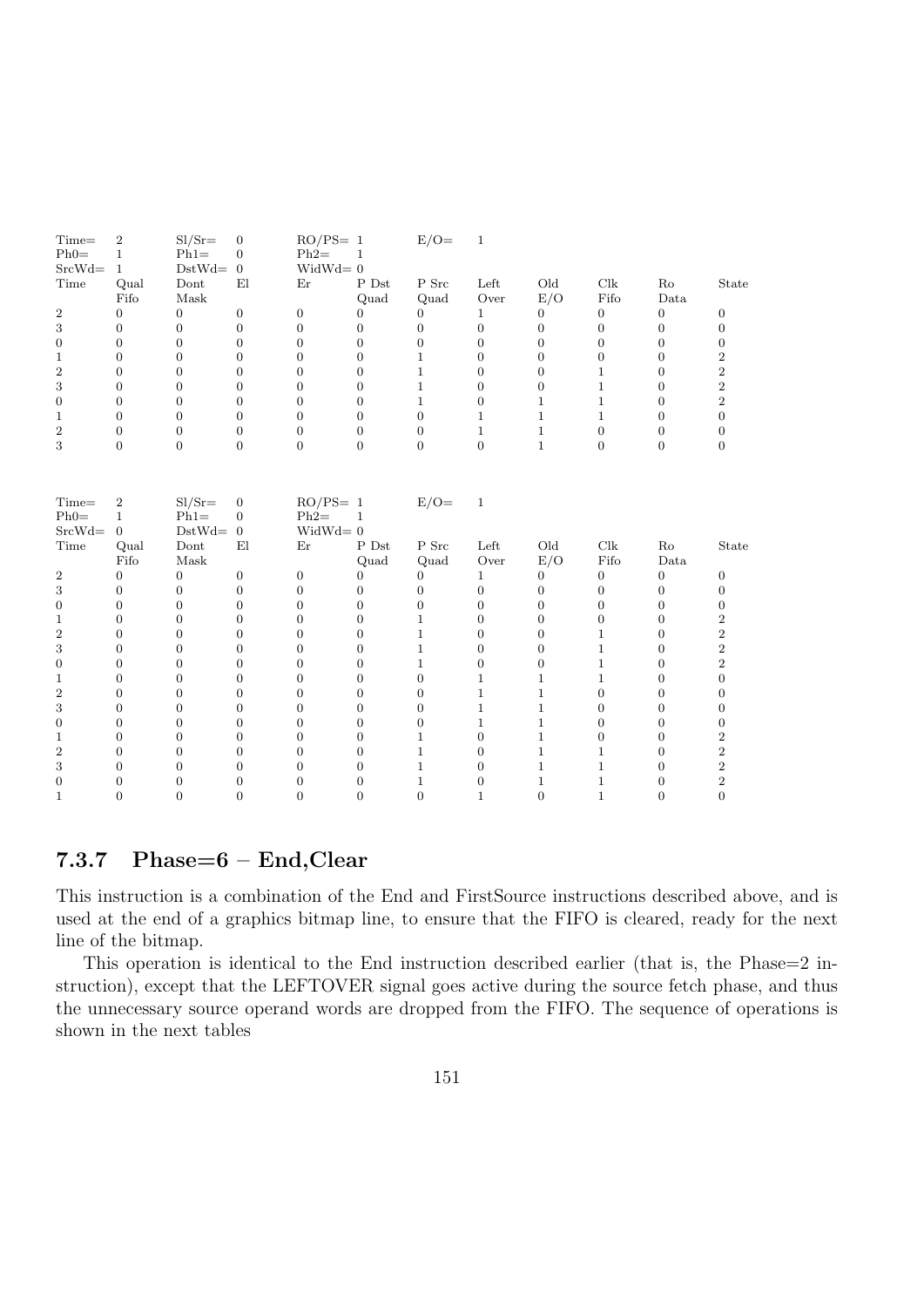| Time=<br>$Ph0=$<br>$SrcWd=$     | $\boldsymbol{2}$<br>$\mathbf{1}$<br>$\mathbf{1}$ | $Sl/Sr =$<br>$Ph1=$<br>$DstWd=$    | $\boldsymbol{0}$<br>$\boldsymbol{0}$<br>$\mathbf{0}$ | $RO/PS = 1$<br>$Ph2=$<br>$Widthd=0$ | 1                                | $E/O =$                       | $\mathbf{1}$                     |                                |                              |                                  |                                  |
|---------------------------------|--------------------------------------------------|------------------------------------|------------------------------------------------------|-------------------------------------|----------------------------------|-------------------------------|----------------------------------|--------------------------------|------------------------------|----------------------------------|----------------------------------|
| $\operatorname{Time}$           | Qual<br>Fifo                                     | Dont<br>Mask                       | E1                                                   | Er                                  | ${\rm P\, \, Dst}$<br>Quad       | P Src<br>Quad                 | Left<br>Over                     | Old<br>E/O                     | $\operatorname{Clk}$<br>Fifo | Ro<br>Data                       | State                            |
| $\,2$                           | $\overline{0}$                                   | $\overline{0}$                     | $\boldsymbol{0}$                                     | $\boldsymbol{0}$                    | $\boldsymbol{0}$                 | $\overline{0}$                | $\mathbf{1}$                     | $\mathbf{0}$                   | $\boldsymbol{0}$             | $\boldsymbol{0}$                 | 0                                |
| $\sqrt{3}$                      | $\overline{0}$                                   | $\overline{0}$                     | $\boldsymbol{0}$                                     | $\boldsymbol{0}$                    | $\overline{0}$                   | $\overline{0}$                | $\boldsymbol{0}$                 | $\mathbf{0}$                   | $\boldsymbol{0}$             | $\overline{0}$                   | 0                                |
| $\boldsymbol{0}$                | $\overline{0}$                                   | $\overline{0}$                     | $\boldsymbol{0}$                                     | $\boldsymbol{0}$                    | $\overline{0}$                   | $\overline{0}$                | $\boldsymbol{0}$                 | $\boldsymbol{0}$               | $\boldsymbol{0}$             | $\overline{0}$                   | $\boldsymbol{0}$                 |
| $\mathbf 1$                     | $\overline{0}$                                   | $\overline{0}$                     | $\boldsymbol{0}$                                     | $\boldsymbol{0}$                    | $\overline{0}$                   | $\mathbf 1$                   | $\overline{0}$                   | $\boldsymbol{0}$               | $\boldsymbol{0}$             | $\overline{0}$                   | $\overline{2}$                   |
| $\overline{2}$                  | $\Omega$                                         | $\Omega$                           | $\overline{0}$                                       | $\overline{0}$                      | $\Omega$                         | $\mathbf{1}$                  | $\overline{0}$                   | $\overline{0}$                 | $\mathbf{1}$                 | $\Omega$                         | $\overline{2}$                   |
| 3                               | $\overline{0}$                                   | $\overline{0}$                     | $\mathbf{0}$                                         | $\boldsymbol{0}$                    | $\Omega$                         | $\mathbf{1}$                  | $\overline{0}$                   | $\boldsymbol{0}$               | $\mathbf{1}$                 | $\Omega$                         | $\,2$                            |
| $\boldsymbol{0}$                | $\overline{0}$                                   | $\overline{0}$                     | $\boldsymbol{0}$                                     | $\boldsymbol{0}$                    | $\Omega$                         | $\mathbf{1}$                  | $\mathbf{0}$                     | $\mathbf{1}$                   | $\mathbf{1}$                 | $\Omega$                         | $\overline{2}$                   |
| $\mathbf{1}$                    | $\boldsymbol{0}$                                 | $\boldsymbol{0}$                   | $\boldsymbol{0}$                                     | $\boldsymbol{0}$                    | $\overline{0}$                   | $\boldsymbol{0}$              | $\mathbf{1}$                     | $\mathbf{1}$                   | $\mathbf{1}$                 | $\overline{0}$                   | $\overline{0}$                   |
| $\overline{2}$                  | $\overline{0}$                                   | $\boldsymbol{0}$                   | $\mathbf{0}$                                         | $\boldsymbol{0}$                    | $\overline{0}$                   | $\boldsymbol{0}$              | $\mathbf{1}$                     | $\mathbf{1}$                   | $\mathbf{0}$                 | $\overline{0}$                   | $\overline{0}$                   |
| 3                               | $\overline{0}$                                   | $\boldsymbol{0}$                   | $\mathbf{0}$                                         | $\boldsymbol{0}$                    | $\boldsymbol{0}$                 | $\overline{0}$                | $\overline{0}$                   | $\,1$                          | $\boldsymbol{0}$             | $\boldsymbol{0}$                 | $\overline{0}$                   |
|                                 |                                                  |                                    |                                                      |                                     |                                  |                               |                                  |                                |                              |                                  |                                  |
| Time=                           | $\,2$                                            | $SI/Sr=$                           | $\boldsymbol{0}$                                     | $RO/PS = 1$                         |                                  | $E/O =$                       | $\mathbf{1}$                     |                                |                              |                                  |                                  |
| $Ph0=$                          | $\mathbf{1}$                                     | $Ph1=$                             | $\overline{0}$                                       | $Ph2=$                              | $\mathbf{1}$                     |                               |                                  |                                |                              |                                  |                                  |
| $SrcWd=$                        | $\overline{0}$                                   | $DstWd=$                           | $\mathbf{0}$                                         | $WidthId = 0$                       |                                  |                               |                                  |                                |                              |                                  |                                  |
| Time                            | Qual                                             | Dont                               | E1                                                   | Er                                  | ${\rm P\, \, Dst}$               | P Src                         | Left                             | Old                            | $\operatorname{Clk}$         | Ro                               | State                            |
|                                 | Fifo                                             | Mask                               |                                                      |                                     | Quad                             | Quad                          | Over                             | E/O                            | Fifo                         | Data                             |                                  |
| $\,2$                           | $\boldsymbol{0}$                                 | $\boldsymbol{0}$                   | $\boldsymbol{0}$                                     | $\boldsymbol{0}$                    | $\boldsymbol{0}$                 | $\boldsymbol{0}$              | $\mathbf{1}$                     | $\mathbf{0}$                   | $\boldsymbol{0}$             | $\mathbf{0}$                     | $\overline{0}$                   |
| $\,3$                           | $\boldsymbol{0}$                                 | $\boldsymbol{0}$                   | $\boldsymbol{0}$                                     | $\boldsymbol{0}$                    | $\boldsymbol{0}$                 | $\boldsymbol{0}$              | $\boldsymbol{0}$                 | $\overline{0}$                 | $\boldsymbol{0}$             | $\boldsymbol{0}$                 | $\boldsymbol{0}$                 |
| $\overline{0}$                  | $\overline{0}$                                   | $\overline{0}$                     | $\boldsymbol{0}$                                     | $\overline{0}$                      | $\overline{0}$                   | $\overline{0}$                | $\overline{0}$                   | $\overline{0}$                 | $\overline{0}$               | $\overline{0}$                   | $\boldsymbol{0}$                 |
| $\mathbf{1}$                    | $\overline{0}$                                   | $\overline{0}$                     | $\boldsymbol{0}$                                     | $\boldsymbol{0}$                    | $\overline{0}$                   | $\mathbf{1}$                  | $\overline{0}$                   | $\boldsymbol{0}$               | $\boldsymbol{0}$             | $\overline{0}$                   | $\overline{2}$                   |
| $\overline{2}$                  | $\overline{0}$                                   | $\overline{0}$                     | $\boldsymbol{0}$                                     | $\boldsymbol{0}$                    | $\overline{0}$                   | $\mathbf{1}$                  | $\overline{0}$                   | $\boldsymbol{0}$               | $\mathbf{1}$                 | $\overline{0}$                   | $\overline{2}$                   |
| 3                               | $\overline{0}$                                   | $\overline{0}$                     | $\overline{0}$                                       | $\overline{0}$                      | $\overline{0}$                   | $\mathbf{1}$                  | $\overline{0}$                   | $\overline{0}$                 | $\mathbf{1}$                 | $\overline{0}$                   | $\overline{2}$                   |
| $\boldsymbol{0}$                | $\overline{0}$                                   | $\overline{0}$                     | $\mathbf{0}$                                         | $\boldsymbol{0}$                    | $\Omega$                         | $\mathbf{1}$                  | $\boldsymbol{0}$                 | $\mathbf{0}$                   | $\mathbf{1}$                 | $\Omega$                         | $\overline{2}$                   |
| $\mathbf{1}$                    | $\overline{0}$                                   | $\overline{0}$                     | $\mathbf{0}$                                         | $\boldsymbol{0}$                    | $\Omega$                         | $\overline{0}$                | $\mathbf{1}$                     |                                | $\mathbf{1}$                 | $\Omega$                         | $\overline{0}$                   |
| $\overline{2}$                  |                                                  |                                    |                                                      |                                     |                                  |                               |                                  | $\mathbf{1}$                   |                              |                                  |                                  |
|                                 | $\boldsymbol{0}$                                 | $\boldsymbol{0}$                   | $\boldsymbol{0}$                                     | $\boldsymbol{0}$                    | $\overline{0}$                   | $\boldsymbol{0}$              | $\mathbf{1}$                     | $\mathbf{1}$                   | $\boldsymbol{0}$             | $\overline{0}$                   | $\boldsymbol{0}$                 |
| 3                               | $\overline{0}$                                   | $\boldsymbol{0}$                   | $\overline{0}$                                       | $\boldsymbol{0}$                    | $\overline{0}$                   | $\overline{0}$                | $\mathbf{1}$                     | $\mathbf{1}$                   | $\boldsymbol{0}$             | $\overline{0}$                   | 0                                |
| $\boldsymbol{0}$                | $\boldsymbol{0}$                                 | $\boldsymbol{0}$                   | $\boldsymbol{0}$                                     | $\boldsymbol{0}$                    | $\boldsymbol{0}$                 | $\boldsymbol{0}$              | $\mathbf{1}$                     | $\mathbf{1}$                   | $\boldsymbol{0}$             | $\boldsymbol{0}$                 | $\boldsymbol{0}$                 |
| $\mathbf 1$                     | $\boldsymbol{0}$                                 | $\boldsymbol{0}$                   | $\boldsymbol{0}$                                     | $\boldsymbol{0}$                    | $\boldsymbol{0}$                 | $\mathbf{1}$                  | $\boldsymbol{0}$                 | $\mathbf 1$                    | $\boldsymbol{0}$             | $\boldsymbol{0}$                 | $\overline{\mathbf{2}}$          |
| $\sqrt{2}$                      | $\boldsymbol{0}$                                 | $\boldsymbol{0}$                   | $\boldsymbol{0}$                                     | $\boldsymbol{0}$                    | $\boldsymbol{0}$                 | $\,1$                         | $\boldsymbol{0}$                 | $\mathbf{1}$                   | $\mathbf{1}$                 | $\boldsymbol{0}$                 | $\,2$                            |
| 3                               | $\overline{0}$                                   | $\overline{0}$                     | $\boldsymbol{0}$                                     | $\boldsymbol{0}$                    | $\overline{0}$                   | $\mathbf{1}$                  | $\boldsymbol{0}$                 | $\mathbf{1}$                   | $\mathbf{1}$                 | $\overline{0}$                   | $\overline{\mathbf{2}}$          |
| $\boldsymbol{0}$<br>$\mathbf 1$ | $\overline{0}$<br>$\overline{0}$                 | $\boldsymbol{0}$<br>$\overline{0}$ | $\boldsymbol{0}$<br>$\overline{0}$                   | $\boldsymbol{0}$<br>$\overline{0}$  | $\overline{0}$<br>$\overline{0}$ | $\mathbf 1$<br>$\overline{0}$ | $\boldsymbol{0}$<br>$\mathbf{1}$ | $\mathbf{1}$<br>$\overline{0}$ | $\mathbf{1}$<br>$\,1$        | $\overline{0}$<br>$\overline{0}$ | $\overline{2}$<br>$\overline{0}$ |

### 7.3.7 Phase= $6 -$  End, Clear

This instruction is a combination of the End and FirstSource instructions described above, and is used at the end of a graphics bitmap line, to ensure that the FIFO is cleared, ready for the next line of the bitmap.

This operation is identical to the End instruction described earlier (that is, the Phase=2 instruction), except that the LEFTOVER signal goes active during the source fetch phase, and thus the unnecessary source operand words are dropped from the FIFO. The sequence of operations is shown in the next tables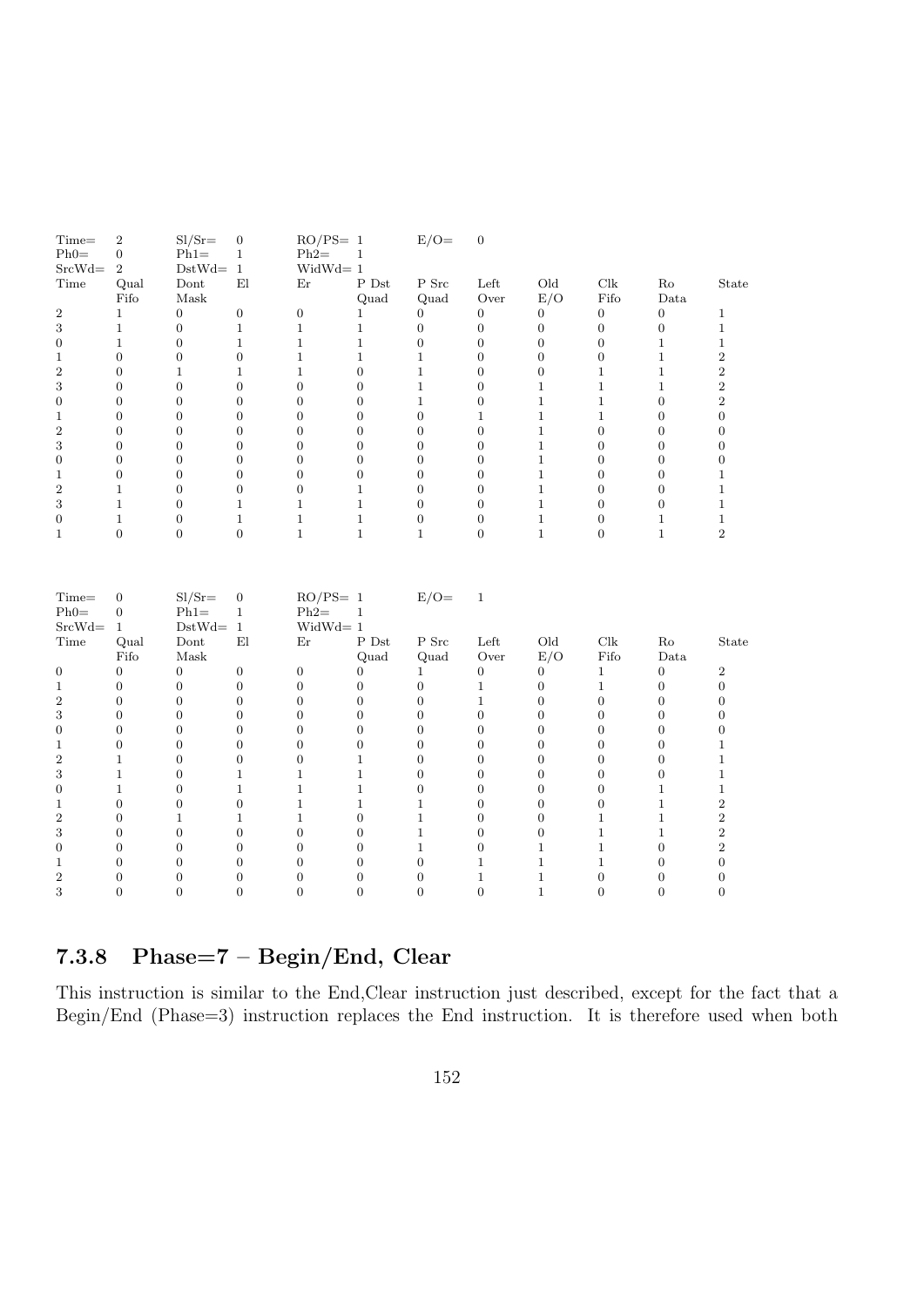| $Time =$<br>$Ph0=$ | $\boldsymbol{2}$<br>$\mathbf{0}$ | $SI/Sr=$<br>$Phi =$ | $\boldsymbol{0}$<br>$\mathbf{1}$ | $RO/PS = 1$<br>$Ph2=$ | $\mathbf{1}$     | $E/O=$           | $\boldsymbol{0}$ |                  |                      |                  |                  |
|--------------------|----------------------------------|---------------------|----------------------------------|-----------------------|------------------|------------------|------------------|------------------|----------------------|------------------|------------------|
| $SrcWd=$           | $\sqrt{2}$                       | $DstWd= 1$          |                                  | $WidthId = 1$         |                  |                  |                  |                  |                      |                  |                  |
| Time               | Qual                             | Dont                | E1                               | Εr                    | $P$ Dst          | P Src            | Left             | Old              | Clk                  | Ro               | State            |
|                    | Fifo                             | Mask                |                                  |                       | Quad             | Quad             | Over             | E/O              | Fifo                 | Data             |                  |
| $\,2$              | $\mathbf{1}$                     | $\overline{0}$      | $\boldsymbol{0}$                 | $\overline{0}$        | $\mathbf{1}$     | $\overline{0}$   | $\overline{0}$   | $\overline{0}$   | $\boldsymbol{0}$     | $\overline{0}$   | $\mathbf{1}$     |
| $\,3$              | $\,1$                            | $\boldsymbol{0}$    | $\mathbf{1}$                     | $\mathbf{1}$          | $1\,$            | $\boldsymbol{0}$ | $\boldsymbol{0}$ | $\boldsymbol{0}$ | $\overline{0}$       | $\mathbf{0}$     | $\mathbf{1}$     |
| $\boldsymbol{0}$   | $\mathbf{1}$                     | $\boldsymbol{0}$    | $\mathbf{1}$                     | $\mathbf{1}$          | $\mathbf{1}$     | $\mathbf{0}$     | $\boldsymbol{0}$ | $\boldsymbol{0}$ | $\boldsymbol{0}$     | $\mathbf{1}$     | $\mathbf{1}$     |
| $\,1$              | $\overline{0}$                   | $\boldsymbol{0}$    | $\boldsymbol{0}$                 | $\mathbf{1}$          | $\,1\,$          | $\,1$            | $\overline{0}$   | $\boldsymbol{0}$ | $\overline{0}$       | $\,1$            | $\,2$            |
| $\overline{2}$     | $\overline{0}$                   | $\mathbf{1}$        | $\mathbf{1}$                     | $\mathbf{1}$          | $\overline{0}$   | $\mathbf{1}$     | $\overline{0}$   | $\overline{0}$   | $\,1$                | $\mathbf{1}$     | $\,2$            |
| 3                  | $\boldsymbol{0}$                 | $\boldsymbol{0}$    | $\mathbf{0}$                     | $\boldsymbol{0}$      | $\theta$         | $\mathbf{1}$     | $\boldsymbol{0}$ | $\mathbf{1}$     | $\mathbf{1}$         | $\mathbf{1}$     | $\,2$            |
| $\boldsymbol{0}$   | $\overline{0}$                   | $\boldsymbol{0}$    | $\mathbf{0}$                     | $\overline{0}$        | $\mathbf{0}$     | $\,1$            | $\boldsymbol{0}$ | $\,1$            | $\mathbf{1}$         | $\boldsymbol{0}$ | $\overline{2}$   |
| $\mathbf{1}$       | $\overline{0}$                   | $\boldsymbol{0}$    | $\boldsymbol{0}$                 | $\boldsymbol{0}$      | $\overline{0}$   | $\boldsymbol{0}$ | $\mathbf{1}$     | $\,1$            | $\,1$                | $\overline{0}$   | $\overline{0}$   |
| $\,2$              | $\boldsymbol{0}$                 | $\boldsymbol{0}$    | $\boldsymbol{0}$                 | $\boldsymbol{0}$      | $\overline{0}$   | $\overline{0}$   | $\boldsymbol{0}$ | $\mathbf{1}$     | $\boldsymbol{0}$     | $\overline{0}$   | $\overline{0}$   |
| 3                  | $\overline{0}$                   | $\boldsymbol{0}$    | $\mathbf{0}$                     | $\overline{0}$        | $\theta$         | $\overline{0}$   | $\boldsymbol{0}$ | $\,1$            | $\boldsymbol{0}$     | $\theta$         | $\overline{0}$   |
| $\boldsymbol{0}$   | $\boldsymbol{0}$                 | $\overline{0}$      | $\boldsymbol{0}$                 | $\boldsymbol{0}$      | $\theta$         | $\overline{0}$   | $\overline{0}$   | $\mathbf{1}$     | $\boldsymbol{0}$     | $\theta$         | $\boldsymbol{0}$ |
| $\mathbf{1}$       | $\boldsymbol{0}$                 | $\boldsymbol{0}$    | $\boldsymbol{0}$                 | $\overline{0}$        | $\overline{0}$   | $\mathbf{0}$     | $\boldsymbol{0}$ | $\mathbf{1}$     | $\boldsymbol{0}$     | $\boldsymbol{0}$ | $\mathbf{1}$     |
| $\overline{2}$     | $\mathbf{1}$                     | $\boldsymbol{0}$    | $\boldsymbol{0}$                 | $\overline{0}$        | $\mathbf{1}$     | $\overline{0}$   | $\boldsymbol{0}$ | $\,1$            | $\boldsymbol{0}$     | $\overline{0}$   | $\mathbf{1}$     |
| 3                  | $\mathbf{1}$                     | $\overline{0}$      | $\mathbf{1}$                     | $\mathbf{1}$          | $\mathbf{1}$     | $\overline{0}$   | $\overline{0}$   | $\mathbf{1}$     | $\overline{0}$       | $\Omega$         | $\mathbf{1}$     |
| $\boldsymbol{0}$   | $\mathbf{1}$                     | $\boldsymbol{0}$    | $\mathbf{1}$                     | $\mathbf{1}$          | $\mathbf{1}$     | $\boldsymbol{0}$ | $\boldsymbol{0}$ | $\,1$            | $\boldsymbol{0}$     | $\mathbf{1}$     | $\mathbf{1}$     |
| $\mathbf{1}$       | $\overline{0}$                   | $\overline{0}$      | $\mathbf{0}$                     | $\mathbf{1}$          | $\mathbf{1}$     | $\mathbf{1}$     | $\overline{0}$   | $\,1$            | $\overline{0}$       | $\mathbf{1}$     | $\,2$            |
| Time=              | $\mathbf{0}$                     | $SI/Sr=$            | $\boldsymbol{0}$                 | $RO/PS = 1$           |                  | $E/O=$           | $\,1\,$          |                  |                      |                  |                  |
| $Ph0=$             | $\overline{0}$                   | $Ph1=$              | $\mathbf{1}$                     | $Ph2=$                | $\mathbf{1}$     |                  |                  |                  |                      |                  |                  |
| $SrcWd=$           | $\mathbf{1}$                     | $DstWd=$            | $\mathbf{1}$                     | $Widthd=1$            |                  |                  |                  |                  |                      |                  |                  |
| Time               | Qual                             | Dont                | $\mathop{\rm El}\nolimits$       | Er                    | P Dst            | P Src            | Left             | Old              | $\operatorname{Clk}$ | Ro               | State            |
|                    | Fifo                             | Mask                |                                  |                       | Quad             | Quad             | Over             | E/O              | Fifo                 | Data             |                  |
| $\boldsymbol{0}$   | $\boldsymbol{0}$                 | $\boldsymbol{0}$    | $\boldsymbol{0}$                 | $\boldsymbol{0}$      | $\mathbf{0}$     | $\mathbf{1}$     | $\boldsymbol{0}$ | 0                | $\mathbf{1}$         | $\mathbf{0}$     | $\overline{2}$   |
| $\,1$              | $\overline{0}$                   | $\boldsymbol{0}$    | $\boldsymbol{0}$                 | $\overline{0}$        | $\overline{0}$   | $\overline{0}$   | $\mathbf{1}$     | $\boldsymbol{0}$ | $\mathbf{1}$         | $\overline{0}$   | $\overline{0}$   |
| $\overline{2}$     | $\overline{0}$                   | $\overline{0}$      | $\boldsymbol{0}$                 | $\overline{0}$        | $\theta$         | $\overline{0}$   | $\mathbf{1}$     | $\boldsymbol{0}$ | $\overline{0}$       | $\theta$         | $\overline{0}$   |
| 3                  | $\boldsymbol{0}$                 | $\boldsymbol{0}$    | $\mathbf{0}$                     | $\boldsymbol{0}$      | $\mathbf{0}$     | $\boldsymbol{0}$ | $\boldsymbol{0}$ | $\boldsymbol{0}$ | $\boldsymbol{0}$     | $\mathbf{0}$     | $\boldsymbol{0}$ |
| $\boldsymbol{0}$   | $\boldsymbol{0}$                 | $\overline{0}$      | $\boldsymbol{0}$                 | $\overline{0}$        | $\boldsymbol{0}$ | $\overline{0}$   | $\overline{0}$   | $\overline{0}$   | $\overline{0}$       | $\boldsymbol{0}$ | $\overline{0}$   |
| $\mathbf{1}$       | $\overline{0}$                   | $\overline{0}$      | $\boldsymbol{0}$                 | $\overline{0}$        | $\overline{0}$   | $\overline{0}$   | $\overline{0}$   | $\overline{0}$   | $\overline{0}$       | $\Omega$         | $\mathbf{1}$     |
| $\,2$              | $\mathbf{1}$                     | $\boldsymbol{0}$    | $\boldsymbol{0}$                 | $\boldsymbol{0}$      | $\mathbf{1}$     | $\overline{0}$   | $\boldsymbol{0}$ | $\boldsymbol{0}$ | $\boldsymbol{0}$     | $\overline{0}$   | $\mathbf{1}$     |
| 3                  | $\mathbf{1}$                     | $\overline{0}$      | $\mathbf{1}$                     | $\,1$                 | $\,1$            | $\overline{0}$   | $\overline{0}$   | $\boldsymbol{0}$ | $\boldsymbol{0}$     | $\boldsymbol{0}$ | $\mathbf{1}$     |
| $\boldsymbol{0}$   | $\mathbf{1}$                     | $\overline{0}$      | $\mathbf{1}$                     | $\mathbf{1}$          | $\mathbf{1}$     | $\overline{0}$   | $\boldsymbol{0}$ | $\overline{0}$   | $\overline{0}$       | $\mathbf{1}$     | $\,1$            |
| $\mathbf{1}$       | $\mathbf{0}$                     | $\boldsymbol{0}$    | $\mathbf{0}$                     | $\mathbf{1}$          | $\mathbf{1}$     | $\mathbf{1}$     | $\boldsymbol{0}$ | $\boldsymbol{0}$ | $\boldsymbol{0}$     | $\mathbf{1}$     | $\,2$            |
| $\overline{2}$     | $\overline{0}$                   | $\mathbf{1}$        | $\mathbf{1}$                     | $\mathbf{1}$          | $\overline{0}$   | $\mathbf 1$      | $\boldsymbol{0}$ | $\boldsymbol{0}$ | $\,1$                | $\mathbf{1}$     | $\,2$            |
| 3                  | $\boldsymbol{0}$                 | $\boldsymbol{0}$    | $\boldsymbol{0}$                 | $\boldsymbol{0}$      | $\theta$         | $\,1$            | $\boldsymbol{0}$ | $\boldsymbol{0}$ | $\,1$                | $\mathbf{1}$     | $\,2$            |
| $\boldsymbol{0}$   | $\overline{0}$                   | $\boldsymbol{0}$    | $\boldsymbol{0}$                 | $\boldsymbol{0}$      | $\overline{0}$   | $1\,$            | $\boldsymbol{0}$ | $\,1$            | $\mathbf{1}$         | $\boldsymbol{0}$ | $\,2$            |
| $\mathbf{1}$       | $\overline{0}$                   | $\boldsymbol{0}$    | $\mathbf{0}$                     | $\overline{0}$        | $\overline{0}$   | $\overline{0}$   | $\mathbf{1}$     | $\,1$            | $\,1$                | $\overline{0}$   | $\overline{0}$   |
| $\overline{2}$     | $\overline{0}$                   | $\overline{0}$      | $\boldsymbol{0}$                 | $\overline{0}$        | $\theta$         | $\overline{0}$   | $\mathbf{1}$     | $\mathbf{1}$     | $\boldsymbol{0}$     | $\overline{0}$   | $\overline{0}$   |
| 3                  | $\overline{0}$                   | $\overline{0}$      | $\overline{0}$                   | $\boldsymbol{0}$      | $\overline{0}$   | $\overline{0}$   | $\overline{0}$   | $\mathbf{1}$     | $\overline{0}$       | $\overline{0}$   | $\overline{0}$   |

## 7.3.8 Phase=7 – Begin/End, Clear

This instruction is similar to the End,Clear instruction just described, except for the fact that a Begin/End (Phase=3) instruction replaces the End instruction. It is therefore used when both